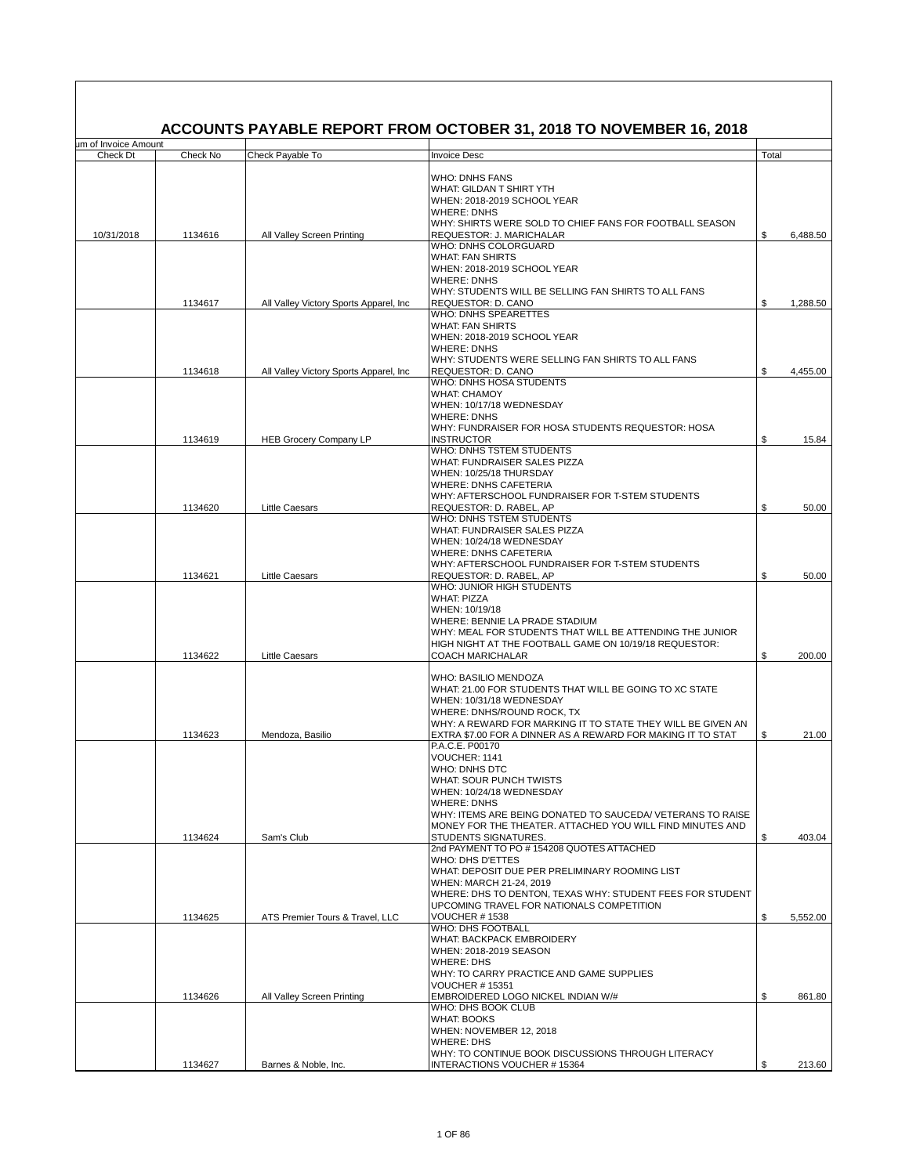|                                  |                    |                                           | ACCOUNTS PAYABLE REPORT FROM OCTOBER 31, 2018 TO NOVEMBER 16, 2018                                                                                                                                                                                                                                       |          |                 |
|----------------------------------|--------------------|-------------------------------------------|----------------------------------------------------------------------------------------------------------------------------------------------------------------------------------------------------------------------------------------------------------------------------------------------------------|----------|-----------------|
| um of Invoice Amount<br>Check Dt | Check No           | Check Payable To                          | <b>Invoice Desc</b>                                                                                                                                                                                                                                                                                      | Total    |                 |
| 10/31/2018                       | 1134616            | All Valley Screen Printing                | <b>WHO: DNHS FANS</b><br>WHAT: GILDAN T SHIRT YTH<br>WHEN: 2018-2019 SCHOOL YEAR<br><b>WHERE: DNHS</b><br>WHY: SHIRTS WERE SOLD TO CHIEF FANS FOR FOOTBALL SEASON<br>REQUESTOR: J. MARICHALAR                                                                                                            | \$       | 6,488.50        |
|                                  |                    |                                           | WHO: DNHS COLORGUARD<br><b>WHAT: FAN SHIRTS</b><br>WHEN: 2018-2019 SCHOOL YEAR<br><b>WHERE: DNHS</b><br>WHY: STUDENTS WILL BE SELLING FAN SHIRTS TO ALL FANS                                                                                                                                             |          |                 |
|                                  | 1134617            | All Valley Victory Sports Apparel, Inc.   | REQUESTOR: D. CANO                                                                                                                                                                                                                                                                                       | \$       | 1,288.50        |
|                                  | 1134618            | All Valley Victory Sports Apparel, Inc.   | WHO: DNHS SPEARETTES<br><b>WHAT: FAN SHIRTS</b><br>WHEN: 2018-2019 SCHOOL YEAR<br><b>WHERE: DNHS</b><br>WHY: STUDENTS WERE SELLING FAN SHIRTS TO ALL FANS<br>REQUESTOR: D. CANO                                                                                                                          | \$       | 4,455.00        |
|                                  | 1134619            | <b>HEB Grocery Company LP</b>             | WHO: DNHS HOSA STUDENTS<br><b>WHAT: CHAMOY</b><br>WHEN: 10/17/18 WEDNESDAY<br><b>WHERE: DNHS</b><br>WHY: FUNDRAISER FOR HOSA STUDENTS REQUESTOR: HOSA<br><b>INSTRUCTOR</b><br><b>WHO: DNHS TSTEM STUDENTS</b><br>WHAT: FUNDRAISER SALES PIZZA<br>WHEN: 10/25/18 THURSDAY<br><b>WHERE: DNHS CAFETERIA</b> | \$       | 15.84           |
|                                  |                    |                                           | WHY: AFTERSCHOOL FUNDRAISER FOR T-STEM STUDENTS                                                                                                                                                                                                                                                          |          |                 |
|                                  | 1134620            | <b>Little Caesars</b>                     | REQUESTOR: D. RABEL, AP<br>WHO: DNHS TSTEM STUDENTS<br>WHAT: FUNDRAISER SALES PIZZA<br>WHEN: 10/24/18 WEDNESDAY<br><b>WHERE: DNHS CAFETERIA</b>                                                                                                                                                          | \$       | 50.00           |
|                                  | 1134621            | <b>Little Caesars</b>                     | WHY: AFTERSCHOOL FUNDRAISER FOR T-STEM STUDENTS<br>REQUESTOR: D. RABEL, AP                                                                                                                                                                                                                               | \$       | 50.00           |
|                                  |                    |                                           | WHO: JUNIOR HIGH STUDENTS<br><b>WHAT: PIZZA</b><br>WHEN: 10/19/18<br>WHERE: BENNIE LA PRADE STADIUM<br>WHY: MEAL FOR STUDENTS THAT WILL BE ATTENDING THE JUNIOR<br>HIGH NIGHT AT THE FOOTBALL GAME ON 10/19/18 REQUESTOR:<br><b>COACH MARICHALAR</b>                                                     |          |                 |
|                                  | 1134622<br>1134623 | <b>Little Caesars</b><br>Mendoza, Basilio | WHO: BASILIO MENDOZA<br>WHAT: 21.00 FOR STUDENTS THAT WILL BE GOING TO XC STATE<br>WHEN: 10/31/18 WEDNESDAY<br>WHERE: DNHS/ROUND ROCK, TX<br>WHY: A REWARD FOR MARKING IT TO STATE THEY WILL BE GIVEN AN<br>EXTRA \$7.00 FOR A DINNER AS A REWARD FOR MAKING IT TO STAT                                  | \$<br>\$ | 200.00<br>21.00 |
|                                  |                    |                                           | P.A.C.E. P00170<br>VOUCHER: 1141<br>WHO: DNHS DTC<br><b>WHAT: SOUR PUNCH TWISTS</b><br>WHEN: 10/24/18 WEDNESDAY<br><b>WHERE: DNHS</b><br>WHY: ITEMS ARE BEING DONATED TO SAUCEDA/ VETERANS TO RAISE<br>MONEY FOR THE THEATER. ATTACHED YOU WILL FIND MINUTES AND                                         |          |                 |
|                                  | 1134624            | Sam's Club                                | <b>STUDENTS SIGNATURES.</b><br>2nd PAYMENT TO PO #154208 QUOTES ATTACHED<br>WHO: DHS D'ETTES<br>WHAT: DEPOSIT DUE PER PRELIMINARY ROOMING LIST<br>WHEN: MARCH 21-24, 2019<br>WHERE: DHS TO DENTON, TEXAS WHY: STUDENT FEES FOR STUDENT<br>UPCOMING TRAVEL FOR NATIONALS COMPETITION                      | \$       | 403.04          |
|                                  | 1134625            | ATS Premier Tours & Travel. LLC           | VOUCHER #1538<br><b>WHO: DHS FOOTBALL</b><br><b>WHAT: BACKPACK EMBROIDERY</b><br>WHEN: 2018-2019 SEASON<br><b>WHERE: DHS</b><br>WHY: TO CARRY PRACTICE AND GAME SUPPLIES<br><b>VOUCHER #15351</b>                                                                                                        | \$       | 5,552.00        |
|                                  | 1134626            | All Valley Screen Printing                | EMBROIDERED LOGO NICKEL INDIAN W/#<br>WHO: DHS BOOK CLUB<br><b>WHAT: BOOKS</b><br>WHEN: NOVEMBER 12, 2018<br><b>WHERE: DHS</b><br>WHY: TO CONTINUE BOOK DISCUSSIONS THROUGH LITERACY                                                                                                                     | \$       | 861.80          |
|                                  | 1134627            | Barnes & Noble, Inc.                      | INTERACTIONS VOUCHER #15364                                                                                                                                                                                                                                                                              | \$       | 213.60          |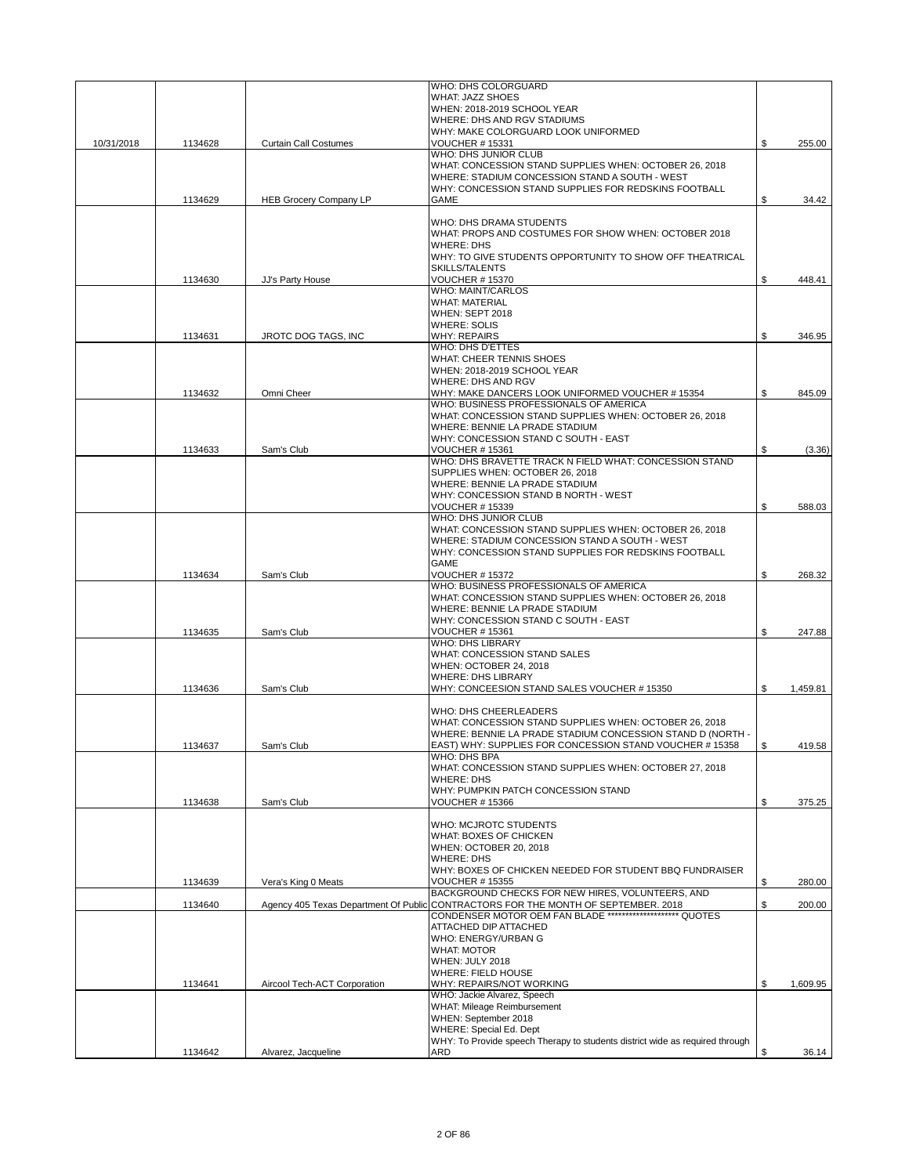|            |         |                               | WHO: DHS COLORGUARD                                                                                    |                |
|------------|---------|-------------------------------|--------------------------------------------------------------------------------------------------------|----------------|
|            |         |                               | <b>WHAT: JAZZ SHOES</b>                                                                                |                |
|            |         |                               | WHEN: 2018-2019 SCHOOL YEAR<br>WHERE: DHS AND RGV STADIUMS                                             |                |
|            |         |                               | WHY: MAKE COLORGUARD LOOK UNIFORMED                                                                    |                |
| 10/31/2018 | 1134628 | <b>Curtain Call Costumes</b>  | <b>VOUCHER #15331</b>                                                                                  | \$<br>255.00   |
|            |         |                               | WHO: DHS JUNIOR CLUB                                                                                   |                |
|            |         |                               | WHAT: CONCESSION STAND SUPPLIES WHEN: OCTOBER 26, 2018                                                 |                |
|            |         |                               | WHERE: STADIUM CONCESSION STAND A SOUTH - WEST<br>WHY: CONCESSION STAND SUPPLIES FOR REDSKINS FOOTBALL |                |
|            | 1134629 | <b>HEB Grocery Company LP</b> | <b>GAME</b>                                                                                            | \$<br>34.42    |
|            |         |                               |                                                                                                        |                |
|            |         |                               | WHO: DHS DRAMA STUDENTS                                                                                |                |
|            |         |                               | WHAT: PROPS AND COSTUMES FOR SHOW WHEN: OCTOBER 2018                                                   |                |
|            |         |                               | <b>WHERE: DHS</b>                                                                                      |                |
|            |         |                               | WHY: TO GIVE STUDENTS OPPORTUNITY TO SHOW OFF THEATRICAL<br>SKILLS/TALENTS                             |                |
|            | 1134630 | JJ's Party House              | <b>VOUCHER #15370</b>                                                                                  | \$<br>448.41   |
|            |         |                               | <b>WHO: MAINT/CARLOS</b>                                                                               |                |
|            |         |                               | <b>WHAT: MATERIAL</b>                                                                                  |                |
|            |         |                               | WHEN: SEPT 2018                                                                                        |                |
|            |         |                               | <b>WHERE: SOLIS</b>                                                                                    |                |
|            | 1134631 | JROTC DOG TAGS, INC           | <b>WHY: REPAIRS</b><br>WHO: DHS D'ETTES                                                                | \$<br>346.95   |
|            |         |                               | <b>WHAT: CHEER TENNIS SHOES</b>                                                                        |                |
|            |         |                               | WHEN: 2018-2019 SCHOOL YEAR                                                                            |                |
|            |         |                               | WHERE: DHS AND RGV                                                                                     |                |
|            | 1134632 | Omni Cheer                    | WHY: MAKE DANCERS LOOK UNIFORMED VOUCHER #15354                                                        | \$<br>845.09   |
|            |         |                               | WHO: BUSINESS PROFESSIONALS OF AMERICA                                                                 |                |
|            |         |                               | WHAT: CONCESSION STAND SUPPLIES WHEN: OCTOBER 26, 2018                                                 |                |
|            |         |                               | WHERE: BENNIE LA PRADE STADIUM<br>WHY: CONCESSION STAND C SOUTH - EAST                                 |                |
|            | 1134633 | Sam's Club                    | <b>VOUCHER #15361</b>                                                                                  | \$<br>(3.36)   |
|            |         |                               | WHO: DHS BRAVETTE TRACK N FIELD WHAT: CONCESSION STAND                                                 |                |
|            |         |                               | SUPPLIES WHEN: OCTOBER 26, 2018                                                                        |                |
|            |         |                               | WHERE: BENNIE LA PRADE STADIUM                                                                         |                |
|            |         |                               | WHY: CONCESSION STAND B NORTH - WEST                                                                   |                |
|            |         |                               | <b>VOUCHER #15339</b><br><b>WHO: DHS JUNIOR CLUB</b>                                                   | \$<br>588.03   |
|            |         |                               | WHAT: CONCESSION STAND SUPPLIES WHEN: OCTOBER 26, 2018                                                 |                |
|            |         |                               | WHERE: STADIUM CONCESSION STAND A SOUTH - WEST                                                         |                |
|            |         |                               | WHY: CONCESSION STAND SUPPLIES FOR REDSKINS FOOTBALL                                                   |                |
|            |         |                               | <b>GAME</b>                                                                                            |                |
|            | 1134634 | Sam's Club                    | VOUCHER # 15372                                                                                        | \$<br>268.32   |
|            |         |                               | WHO: BUSINESS PROFESSIONALS OF AMERICA                                                                 |                |
|            |         |                               | WHAT: CONCESSION STAND SUPPLIES WHEN: OCTOBER 26, 2018                                                 |                |
|            |         |                               | WHERE: BENNIE LA PRADE STADIUM<br>WHY: CONCESSION STAND C SOUTH - EAST                                 |                |
|            | 1134635 | Sam's Club                    | <b>VOUCHER #15361</b>                                                                                  | \$<br>247.88   |
|            |         |                               | <b>WHO: DHS LIBRARY</b>                                                                                |                |
|            |         |                               | WHAT: CONCESSION STAND SALES                                                                           |                |
|            |         |                               | WHEN: OCTOBER 24, 2018                                                                                 |                |
|            |         |                               | <b>WHERE: DHS LIBRARY</b>                                                                              |                |
|            | 1134636 | Sam's Club                    | WHY: CONCEESION STAND SALES VOUCHER #15350                                                             | \$<br>1.459.81 |
|            |         |                               | WHO: DHS CHEERLEADERS                                                                                  |                |
|            |         |                               | WHAT: CONCESSION STAND SUPPLIES WHEN: OCTOBER 26, 2018                                                 |                |
|            |         |                               | WHERE: BENNIE LA PRADE STADIUM CONCESSION STAND D (NORTH -                                             |                |
|            | 1134637 | Sam's Club                    | EAST) WHY: SUPPLIES FOR CONCESSION STAND VOUCHER # 15358                                               | \$<br>419.58   |
|            |         |                               | WHO: DHS BPA                                                                                           |                |
|            |         |                               | WHAT: CONCESSION STAND SUPPLIES WHEN: OCTOBER 27, 2018<br><b>WHERE: DHS</b>                            |                |
|            |         |                               | WHY: PUMPKIN PATCH CONCESSION STAND                                                                    |                |
|            | 1134638 | Sam's Club                    | <b>VOUCHER #15366</b>                                                                                  | \$<br>375.25   |
|            |         |                               |                                                                                                        |                |
|            |         |                               | WHO: MCJROTC STUDENTS                                                                                  |                |
|            |         |                               | WHAT: BOXES OF CHICKEN                                                                                 |                |
|            |         |                               | WHEN: OCTOBER 20, 2018<br><b>WHERE: DHS</b>                                                            |                |
|            |         |                               | WHY: BOXES OF CHICKEN NEEDED FOR STUDENT BBQ FUNDRAISER                                                |                |
|            | 1134639 | Vera's King 0 Meats           | <b>VOUCHER #15355</b>                                                                                  | \$<br>280.00   |
|            |         |                               | BACKGROUND CHECKS FOR NEW HIRES, VOLUNTEERS, AND                                                       |                |
|            | 1134640 |                               | Agency 405 Texas Department Of Public CONTRACTORS FOR THE MONTH OF SEPTEMBER. 2018                     | \$<br>200.00   |
|            |         |                               | CONDENSER MOTOR OEM FAN BLADE ******************** QUOTES                                              |                |
|            |         |                               | ATTACHED DIP ATTACHED<br>WHO: ENERGY/URBAN G                                                           |                |
|            |         |                               | <b>WHAT: MOTOR</b>                                                                                     |                |
|            |         |                               | WHEN: JULY 2018                                                                                        |                |
|            |         |                               | WHERE: FIELD HOUSE                                                                                     |                |
|            | 1134641 | Aircool Tech-ACT Corporation  | WHY: REPAIRS/NOT WORKING                                                                               | \$<br>1,609.95 |
|            |         |                               | WHO: Jackie Alvarez, Speech                                                                            |                |
|            |         |                               | WHAT: Mileage Reimbursement                                                                            |                |
|            |         |                               | WHEN: September 2018<br><b>WHERE: Special Ed. Dept</b>                                                 |                |
|            |         |                               | WHY: To Provide speech Therapy to students district wide as required through                           |                |
|            | 1134642 | Alvarez, Jacqueline           | ARD                                                                                                    | \$<br>36.14    |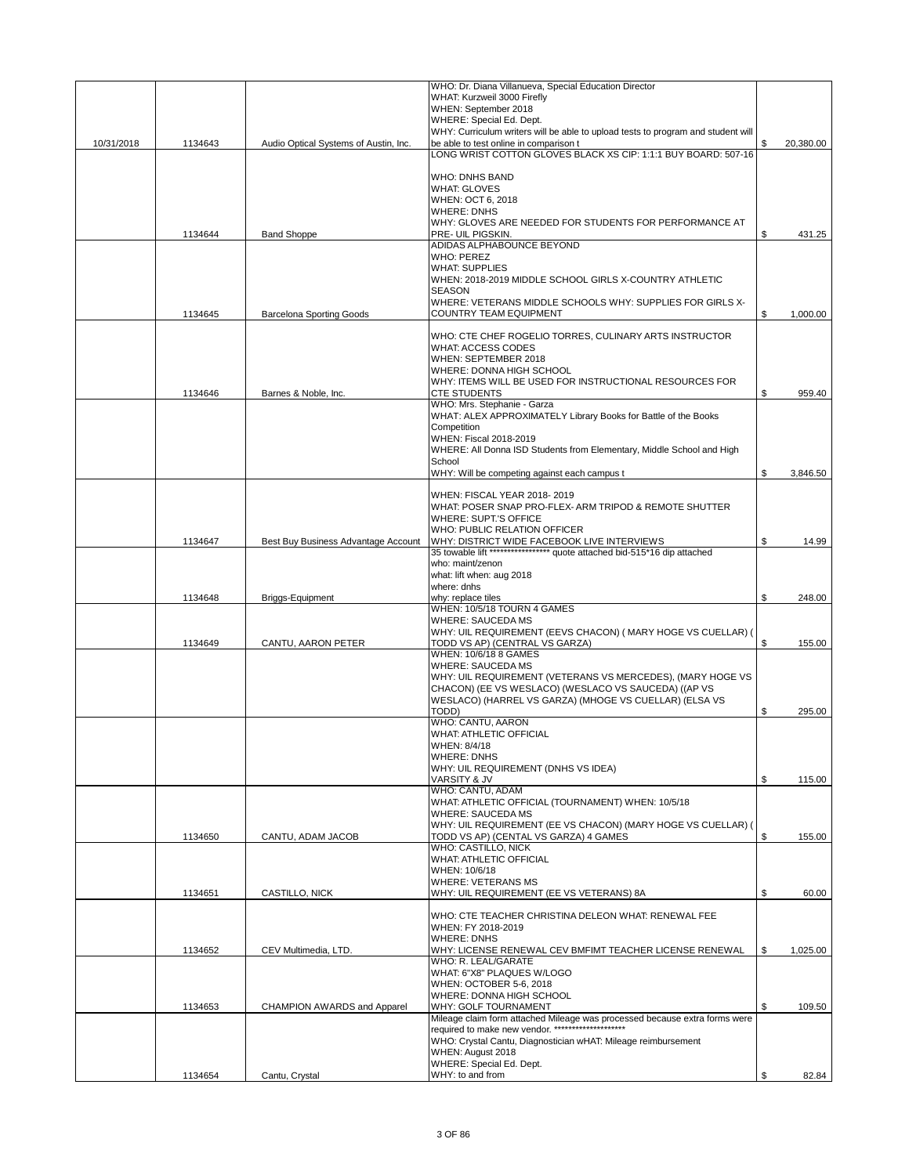|            |         |                                       | WHO: Dr. Diana Villanueva, Special Education Director                                                                    |                 |
|------------|---------|---------------------------------------|--------------------------------------------------------------------------------------------------------------------------|-----------------|
|            |         |                                       | WHAT: Kurzweil 3000 Firefly<br>WHEN: September 2018                                                                      |                 |
|            |         |                                       | WHERE: Special Ed. Dept.                                                                                                 |                 |
|            |         |                                       | WHY: Curriculum writers will be able to upload tests to program and student will                                         |                 |
| 10/31/2018 | 1134643 | Audio Optical Systems of Austin, Inc. | be able to test online in comparison t<br>LONG WRIST COTTON GLOVES BLACK XS CIP: 1:1:1 BUY BOARD: 507-16                 | \$<br>20,380.00 |
|            |         |                                       |                                                                                                                          |                 |
|            |         |                                       | <b>WHO: DNHS BAND</b>                                                                                                    |                 |
|            |         |                                       | <b>WHAT: GLOVES</b>                                                                                                      |                 |
|            |         |                                       | WHEN: OCT 6, 2018<br><b>WHERE: DNHS</b>                                                                                  |                 |
|            |         |                                       | WHY: GLOVES ARE NEEDED FOR STUDENTS FOR PERFORMANCE AT                                                                   |                 |
|            | 1134644 | <b>Band Shoppe</b>                    | PRE- UIL PIGSKIN.                                                                                                        | \$<br>431.25    |
|            |         |                                       | ADIDAS ALPHABOUNCE BEYOND                                                                                                |                 |
|            |         |                                       | <b>WHO: PEREZ</b><br><b>WHAT: SUPPLIES</b>                                                                               |                 |
|            |         |                                       | WHEN: 2018-2019 MIDDLE SCHOOL GIRLS X-COUNTRY ATHLETIC                                                                   |                 |
|            |         |                                       | <b>SEASON</b>                                                                                                            |                 |
|            |         |                                       | WHERE: VETERANS MIDDLE SCHOOLS WHY: SUPPLIES FOR GIRLS X-                                                                |                 |
|            | 1134645 | <b>Barcelona Sporting Goods</b>       | <b>COUNTRY TEAM EQUIPMENT</b>                                                                                            | \$<br>1,000.00  |
|            |         |                                       | WHO: CTE CHEF ROGELIO TORRES, CULINARY ARTS INSTRUCTOR                                                                   |                 |
|            |         |                                       | WHAT: ACCESS CODES                                                                                                       |                 |
|            |         |                                       | WHEN: SEPTEMBER 2018                                                                                                     |                 |
|            |         |                                       | WHERE: DONNA HIGH SCHOOL<br>WHY: ITEMS WILL BE USED FOR INSTRUCTIONAL RESOURCES FOR                                      |                 |
|            | 1134646 | Barnes & Noble, Inc.                  | <b>CTE STUDENTS</b>                                                                                                      | \$<br>959.40    |
|            |         |                                       | WHO: Mrs. Stephanie - Garza                                                                                              |                 |
|            |         |                                       | WHAT: ALEX APPROXIMATELY Library Books for Battle of the Books                                                           |                 |
|            |         |                                       | Competition<br>WHEN: Fiscal 2018-2019                                                                                    |                 |
|            |         |                                       | WHERE: All Donna ISD Students from Elementary, Middle School and High                                                    |                 |
|            |         |                                       | School                                                                                                                   |                 |
|            |         |                                       | WHY: Will be competing against each campus t                                                                             | \$<br>3,846.50  |
|            |         |                                       | WHEN: FISCAL YEAR 2018-2019                                                                                              |                 |
|            |         |                                       | WHAT: POSER SNAP PRO-FLEX- ARM TRIPOD & REMOTE SHUTTER                                                                   |                 |
|            |         |                                       | WHERE: SUPT.'S OFFICE                                                                                                    |                 |
|            |         |                                       | WHO: PUBLIC RELATION OFFICER                                                                                             |                 |
|            | 1134647 | Best Buy Business Advantage Account   | WHY: DISTRICT WIDE FACEBOOK LIVE INTERVIEWS<br>35 towable lift ****************** quote attached bid-515*16 dip attached | \$<br>14.99     |
|            |         |                                       | who: maint/zenon                                                                                                         |                 |
|            |         |                                       | what: lift when: aug 2018                                                                                                |                 |
|            |         |                                       | where: dnhs                                                                                                              |                 |
|            | 1134648 | Briggs-Equipment                      | why: replace tiles<br>WHEN: 10/5/18 TOURN 4 GAMES                                                                        | \$<br>248.00    |
|            |         |                                       | WHERE: SAUCEDA MS                                                                                                        |                 |
|            |         |                                       | WHY: UIL REQUIREMENT (EEVS CHACON) ( MARY HOGE VS CUELLAR) (                                                             |                 |
|            | 1134649 | CANTU, AARON PETER                    | TODD VS AP) (CENTRAL VS GARZA)                                                                                           | \$<br>155.00    |
|            |         |                                       | WHEN: 10/6/18 8 GAMES<br><b>WHERE: SAUCEDA MS</b>                                                                        |                 |
|            |         |                                       | WHY: UIL REQUIREMENT (VETERANS VS MERCEDES), (MARY HOGE VS                                                               |                 |
|            |         |                                       | CHACON) (EE VS WESLACO) (WESLACO VS SAUCEDA) ((AP VS                                                                     |                 |
|            |         |                                       | WESLACO) (HARREL VS GARZA) (MHOGE VS CUELLAR) (ELSA VS<br>TODD)                                                          | 295.00          |
|            |         |                                       | WHO: CANTU, AARON                                                                                                        | \$              |
|            |         |                                       | WHAT: ATHLETIC OFFICIAL                                                                                                  |                 |
|            |         |                                       | WHEN: 8/4/18                                                                                                             |                 |
|            |         |                                       | <b>WHERE: DNHS</b>                                                                                                       |                 |
|            |         |                                       | WHY: UIL REQUIREMENT (DNHS VS IDEA)<br>VARSITY & JV                                                                      | \$<br>115.00    |
|            |         |                                       | WHO: CANTU, ADAM                                                                                                         |                 |
|            |         |                                       | WHAT: ATHLETIC OFFICIAL (TOURNAMENT) WHEN: 10/5/18                                                                       |                 |
|            |         |                                       | <b>WHERE: SAUCEDA MS</b><br>WHY: UIL REQUIREMENT (EE VS CHACON) (MARY HOGE VS CUELLAR) (                                 |                 |
|            | 1134650 | CANTU, ADAM JACOB                     | TODD VS AP) (CENTAL VS GARZA) 4 GAMES                                                                                    | \$<br>155.00    |
|            |         |                                       | WHO: CASTILLO, NICK                                                                                                      |                 |
|            |         |                                       | WHAT: ATHLETIC OFFICIAL                                                                                                  |                 |
|            |         |                                       | WHEN: 10/6/18<br><b>WHERE: VETERANS MS</b>                                                                               |                 |
|            | 1134651 | CASTILLO, NICK                        | WHY: UIL REQUIREMENT (EE VS VETERANS) 8A                                                                                 | \$<br>60.00     |
|            |         |                                       |                                                                                                                          |                 |
|            |         |                                       | WHO: CTE TEACHER CHRISTINA DELEON WHAT: RENEWAL FEE                                                                      |                 |
|            |         |                                       | WHEN: FY 2018-2019<br><b>WHERE: DNHS</b>                                                                                 |                 |
|            | 1134652 | CEV Multimedia, LTD.                  | WHY: LICENSE RENEWAL CEV BMFIMT TEACHER LICENSE RENEWAL                                                                  | \$<br>1,025.00  |
|            |         |                                       | WHO: R. LEAL/GARATE                                                                                                      |                 |
|            |         |                                       | WHAT: 6"X8" PLAQUES W/LOGO                                                                                               |                 |
|            |         |                                       | WHEN: OCTOBER 5-6, 2018                                                                                                  |                 |
|            | 1134653 | CHAMPION AWARDS and Apparel           | WHERE: DONNA HIGH SCHOOL<br>WHY: GOLF TOURNAMENT                                                                         | \$<br>109.50    |
|            |         |                                       | Mileage claim form attached Mileage was processed because extra forms were                                               |                 |
|            |         |                                       | required to make new vendor. *********************                                                                       |                 |
|            |         |                                       | WHO: Crystal Cantu, Diagnostician wHAT: Mileage reimbursement<br>WHEN: August 2018                                       |                 |
|            |         |                                       | WHERE: Special Ed. Dept.                                                                                                 |                 |
|            | 1134654 | Cantu, Crystal                        | WHY: to and from                                                                                                         | \$<br>82.84     |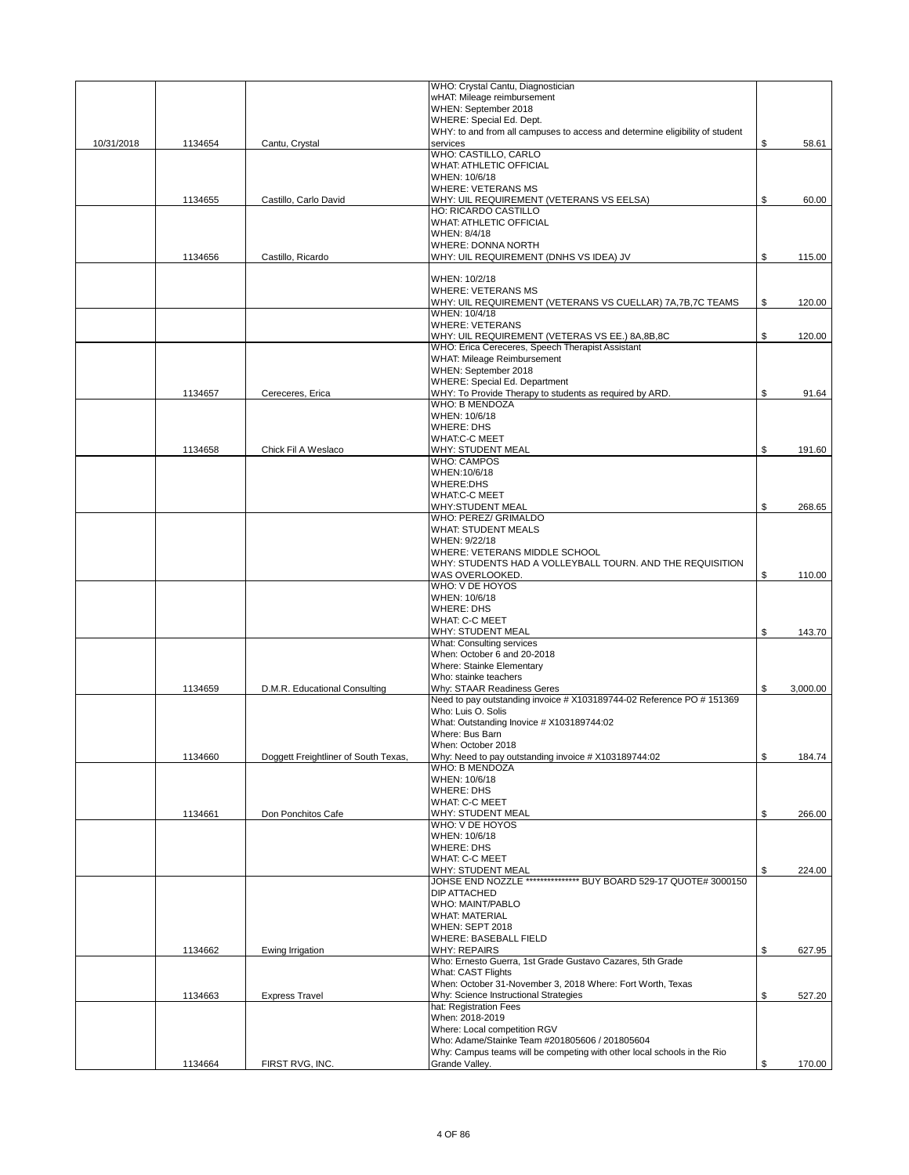|            | 1134662 | Ewing Irrigation                     | <b>WHY: REPAIRS</b><br>Who: Ernesto Guerra, 1st Grade Gustavo Cazares, 5th Grade                         | \$<br>627.95   |
|------------|---------|--------------------------------------|----------------------------------------------------------------------------------------------------------|----------------|
|            |         |                                      | WHEN: SEPT 2018<br>WHERE: BASEBALL FIELD                                                                 |                |
|            |         |                                      | <b>WHAT: MATERIAL</b>                                                                                    |                |
|            |         |                                      | DIP ATTACHED<br>WHO: MAINT/PABLO                                                                         |                |
|            |         |                                      | WHY: STUDENT MEAL<br>JOHSE END NOZZLE **************** BUY BOARD 529-17 QUOTE# 3000150                   |                |
|            |         |                                      | WHAT: C-C MEET                                                                                           | \$<br>224.00   |
|            |         |                                      | <b>WHERE: DHS</b>                                                                                        |                |
|            |         |                                      | WHO: V DE HOYOS<br>WHEN: 10/6/18                                                                         |                |
|            | 1134661 | Don Ponchitos Cafe                   | WHAT: C-C MEET<br>WHY: STUDENT MEAL                                                                      | \$<br>266.00   |
|            |         |                                      | <b>WHERE: DHS</b>                                                                                        |                |
|            |         |                                      | <b>WHO: B MENDOZA</b><br>WHEN: 10/6/18                                                                   |                |
|            | 1134660 | Doggett Freightliner of South Texas, | Why: Need to pay outstanding invoice # X103189744:02                                                     | \$<br>184.74   |
|            |         |                                      | Where: Bus Barn<br>When: October 2018                                                                    |                |
|            |         |                                      | What: Outstanding Inovice # X103189744:02                                                                |                |
|            |         |                                      | Need to pay outstanding invoice # X103189744-02 Reference PO # 151369<br>Who: Luis O. Solis              |                |
|            | 1134659 | D.M.R. Educational Consulting        | Why: STAAR Readiness Geres                                                                               | \$<br>3,000.00 |
|            |         |                                      | <b>Where: Stainke Elementary</b><br>Who: stainke teachers                                                |                |
|            |         |                                      | When: October 6 and 20-2018                                                                              |                |
|            |         |                                      | <b>WHY: STUDENT MEAL</b><br>What: Consulting services                                                    | \$<br>143.70   |
|            |         |                                      | WHAT: C-C MEET                                                                                           |                |
|            |         |                                      | WHEN: 10/6/18<br><b>WHERE: DHS</b>                                                                       |                |
|            |         |                                      | WHO: V DE HOYOS                                                                                          |                |
|            |         |                                      | WHY: STUDENTS HAD A VOLLEYBALL TOURN. AND THE REQUISITION<br>WAS OVERLOOKED.                             | \$<br>110.00   |
|            |         |                                      | WHERE: VETERANS MIDDLE SCHOOL                                                                            |                |
|            |         |                                      | <b>WHAT: STUDENT MEALS</b><br>WHEN: 9/22/18                                                              |                |
|            |         |                                      | <b>WHY:STUDENT MEAL</b><br>WHO: PEREZ/ GRIMALDO                                                          | \$<br>268.65   |
|            |         |                                      | <b>WHAT:C-C MEET</b>                                                                                     |                |
|            |         |                                      | WHEN:10/6/18<br><b>WHERE:DHS</b>                                                                         |                |
|            |         | Chick Fil A Weslaco                  | <b>WHO: CAMPOS</b>                                                                                       |                |
|            | 1134658 |                                      | <b>WHAT:C-C MEET</b><br>WHY: STUDENT MEAL                                                                | \$<br>191.60   |
|            |         |                                      | WHEN: 10/6/18<br><b>WHERE: DHS</b>                                                                       |                |
|            |         |                                      | WHO: B MENDOZA                                                                                           |                |
|            | 1134657 | Cereceres, Erica                     | WHERE: Special Ed. Department<br>WHY: To Provide Therapy to students as required by ARD.                 | \$<br>91.64    |
|            |         |                                      | WHEN: September 2018                                                                                     |                |
|            |         |                                      | WHO: Erica Cereceres, Speech Therapist Assistant<br>WHAT: Mileage Reimbursement                          |                |
|            |         |                                      | WHY: UIL REQUIREMENT (VETERAS VS EE.) 8A,8B,8C                                                           | \$<br>120.00   |
|            |         |                                      | WHEN: 10/4/18<br><b>WHERE: VETERANS</b>                                                                  |                |
|            |         |                                      | <b>WHERE: VETERANS MS</b><br>WHY: UIL REQUIREMENT (VETERANS VS CUELLAR) 7A, 7B, 7C TEAMS                 | \$<br>120.00   |
|            |         |                                      | WHEN: 10/2/18                                                                                            |                |
|            | 1134656 | Castillo, Ricardo                    | WHY: UIL REQUIREMENT (DNHS VS IDEA) JV                                                                   | \$<br>115.00   |
|            |         |                                      | <b>WHERE: DONNA NORTH</b>                                                                                |                |
|            |         |                                      | <b>WHAT: ATHLETIC OFFICIAL</b><br>WHEN: 8/4/18                                                           |                |
|            |         |                                      | HO: RICARDO CASTILLO                                                                                     |                |
|            | 1134655 | Castillo, Carlo David                | <b>WHERE: VETERANS MS</b><br>WHY: UIL REQUIREMENT (VETERANS VS EELSA)                                    | \$<br>60.00    |
|            |         |                                      | WHEN: 10/6/18                                                                                            |                |
|            |         |                                      | WHO: CASTILLO, CARLO<br><b>WHAT: ATHLETIC OFFICIAL</b>                                                   |                |
| 10/31/2018 | 1134654 | Cantu, Crystal                       | services                                                                                                 | \$<br>58.61    |
|            |         |                                      | WHERE: Special Ed. Dept.<br>WHY: to and from all campuses to access and determine eligibility of student |                |
|            |         |                                      | wHAT: Mileage reimbursement<br>WHEN: September 2018                                                      |                |
|            |         |                                      | WHO: Crystal Cantu, Diagnostician                                                                        |                |
|            |         |                                      |                                                                                                          |                |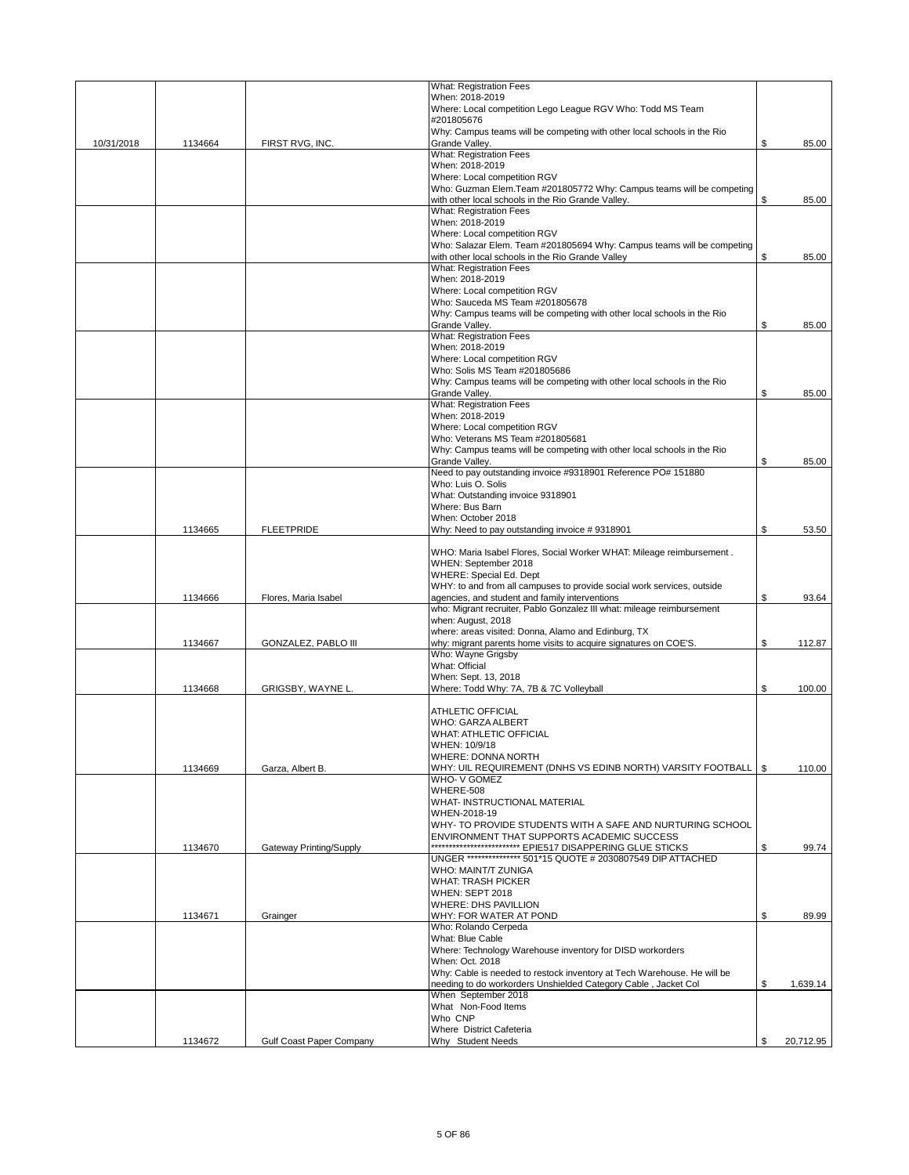|            |         |                            | <b>What: Registration Fees</b>                                                                                          |                 |
|------------|---------|----------------------------|-------------------------------------------------------------------------------------------------------------------------|-----------------|
|            |         |                            | When: 2018-2019<br>Where: Local competition Lego League RGV Who: Todd MS Team                                           |                 |
|            |         |                            | #201805676                                                                                                              |                 |
|            |         |                            | Why: Campus teams will be competing with other local schools in the Rio                                                 |                 |
| 10/31/2018 | 1134664 | FIRST RVG, INC.            | Grande Valley.<br><b>What: Registration Fees</b>                                                                        | \$<br>85.00     |
|            |         |                            | When: 2018-2019                                                                                                         |                 |
|            |         |                            | Where: Local competition RGV                                                                                            |                 |
|            |         |                            | Who: Guzman Elem. Team #201805772 Why: Campus teams will be competing                                                   |                 |
|            |         |                            | with other local schools in the Rio Grande Valley.<br><b>What: Registration Fees</b>                                    | \$<br>85.00     |
|            |         |                            | When: 2018-2019                                                                                                         |                 |
|            |         |                            | Where: Local competition RGV                                                                                            |                 |
|            |         |                            | Who: Salazar Elem. Team #201805694 Why: Campus teams will be competing                                                  |                 |
|            |         |                            | with other local schools in the Rio Grande Valley                                                                       | \$<br>85.00     |
|            |         |                            | <b>What: Registration Fees</b><br>When: 2018-2019                                                                       |                 |
|            |         |                            | Where: Local competition RGV                                                                                            |                 |
|            |         |                            | Who: Sauceda MS Team #201805678                                                                                         |                 |
|            |         |                            | Why: Campus teams will be competing with other local schools in the Rio                                                 |                 |
|            |         |                            | Grande Valley.<br><b>What: Registration Fees</b>                                                                        | \$<br>85.00     |
|            |         |                            | When: 2018-2019                                                                                                         |                 |
|            |         |                            | Where: Local competition RGV                                                                                            |                 |
|            |         |                            | Who: Solis MS Team #201805686                                                                                           |                 |
|            |         |                            | Why: Campus teams will be competing with other local schools in the Rio                                                 |                 |
|            |         |                            | Grande Valley.<br><b>What: Registration Fees</b>                                                                        | \$<br>85.00     |
|            |         |                            | When: 2018-2019                                                                                                         |                 |
|            |         |                            | Where: Local competition RGV                                                                                            |                 |
|            |         |                            | Who: Veterans MS Team #201805681                                                                                        |                 |
|            |         |                            | Why: Campus teams will be competing with other local schools in the Rio<br>Grande Valley.                               | \$<br>85.00     |
|            |         |                            | Need to pay outstanding invoice #9318901 Reference PO# 151880                                                           |                 |
|            |         |                            | Who: Luis O. Solis                                                                                                      |                 |
|            |         |                            | What: Outstanding invoice 9318901                                                                                       |                 |
|            |         |                            | Where: Bus Barn                                                                                                         |                 |
|            | 1134665 | <b>FLEETPRIDE</b>          | When: October 2018<br>Why: Need to pay outstanding invoice #9318901                                                     | \$<br>53.50     |
|            |         |                            |                                                                                                                         |                 |
|            |         |                            | WHO: Maria Isabel Flores, Social Worker WHAT: Mileage reimbursement.                                                    |                 |
|            |         |                            | WHEN: September 2018                                                                                                    |                 |
|            |         |                            | WHERE: Special Ed. Dept<br>WHY: to and from all campuses to provide social work services, outside                       |                 |
|            | 1134666 | Flores, Maria Isabel       | agencies, and student and family interventions                                                                          | \$<br>93.64     |
|            |         |                            | who: Migrant recruiter, Pablo Gonzalez III what: mileage reimbursement                                                  |                 |
|            |         |                            | when: August, 2018                                                                                                      |                 |
|            | 1134667 | <b>GONZALEZ, PABLO III</b> | where: areas visited: Donna, Alamo and Edinburg, TX<br>why: migrant parents home visits to acquire signatures on COE'S. | \$<br>112.87    |
|            |         |                            | Who: Wayne Grigsby                                                                                                      |                 |
|            |         |                            | What: Official                                                                                                          |                 |
|            |         |                            | When: Sept. 13, 2018                                                                                                    |                 |
|            | 1134668 | GRIGSBY, WAYNE L.          | Where: Todd Why: 7A, 7B & 7C Volleyball                                                                                 | \$<br>100.00    |
|            |         |                            | ATHLETIC OFFICIAL                                                                                                       |                 |
|            |         |                            | WHO: GARZA ALBERT                                                                                                       |                 |
|            |         |                            | WHAT: ATHLETIC OFFICIAL                                                                                                 |                 |
|            |         |                            | WHEN: 10/9/18                                                                                                           |                 |
|            | 1134669 | Garza, Albert B.           | WHERE: DONNA NORTH<br>WHY: UIL REQUIREMENT (DNHS VS EDINB NORTH) VARSITY FOOTBALL                                       | \$<br>110.00    |
|            |         |                            | WHO-V GOMEZ                                                                                                             |                 |
|            |         |                            | WHERE-508                                                                                                               |                 |
|            |         |                            | WHAT- INSTRUCTIONAL MATERIAL                                                                                            |                 |
|            |         |                            | WHEN-2018-19<br>WHY- TO PROVIDE STUDENTS WITH A SAFE AND NURTURING SCHOOL                                               |                 |
|            |         |                            | ENVIRONMENT THAT SUPPORTS ACADEMIC SUCCESS                                                                              |                 |
|            | 1134670 | Gateway Printing/Supply    |                                                                                                                         | \$<br>99.74     |
|            |         |                            | UNGER *************** 501*15 QUOTE # 2030807549 DIP ATTACHED                                                            |                 |
|            |         |                            | WHO: MAINT/T ZUNIGA<br><b>WHAT: TRASH PICKER</b>                                                                        |                 |
|            |         |                            | WHEN: SEPT 2018                                                                                                         |                 |
|            |         |                            | <b>WHERE: DHS PAVILLION</b>                                                                                             |                 |
|            | 1134671 | Grainger                   | WHY: FOR WATER AT POND                                                                                                  | \$<br>89.99     |
|            |         |                            | Who: Rolando Cerpeda<br>What: Blue Cable                                                                                |                 |
|            |         |                            | Where: Technology Warehouse inventory for DISD workorders                                                               |                 |
|            |         |                            | When: Oct. 2018                                                                                                         |                 |
|            |         |                            | Why: Cable is needed to restock inventory at Tech Warehouse. He will be                                                 |                 |
|            |         |                            | needing to do workorders Unshielded Category Cable, Jacket Col<br>When September 2018                                   | \$<br>1,639.14  |
|            |         |                            | What Non-Food Items                                                                                                     |                 |
|            |         |                            | Who CNP                                                                                                                 |                 |
|            |         |                            | Where District Cafeteria                                                                                                |                 |
|            | 1134672 | Gulf Coast Paper Company   | Why Student Needs                                                                                                       | \$<br>20,712.95 |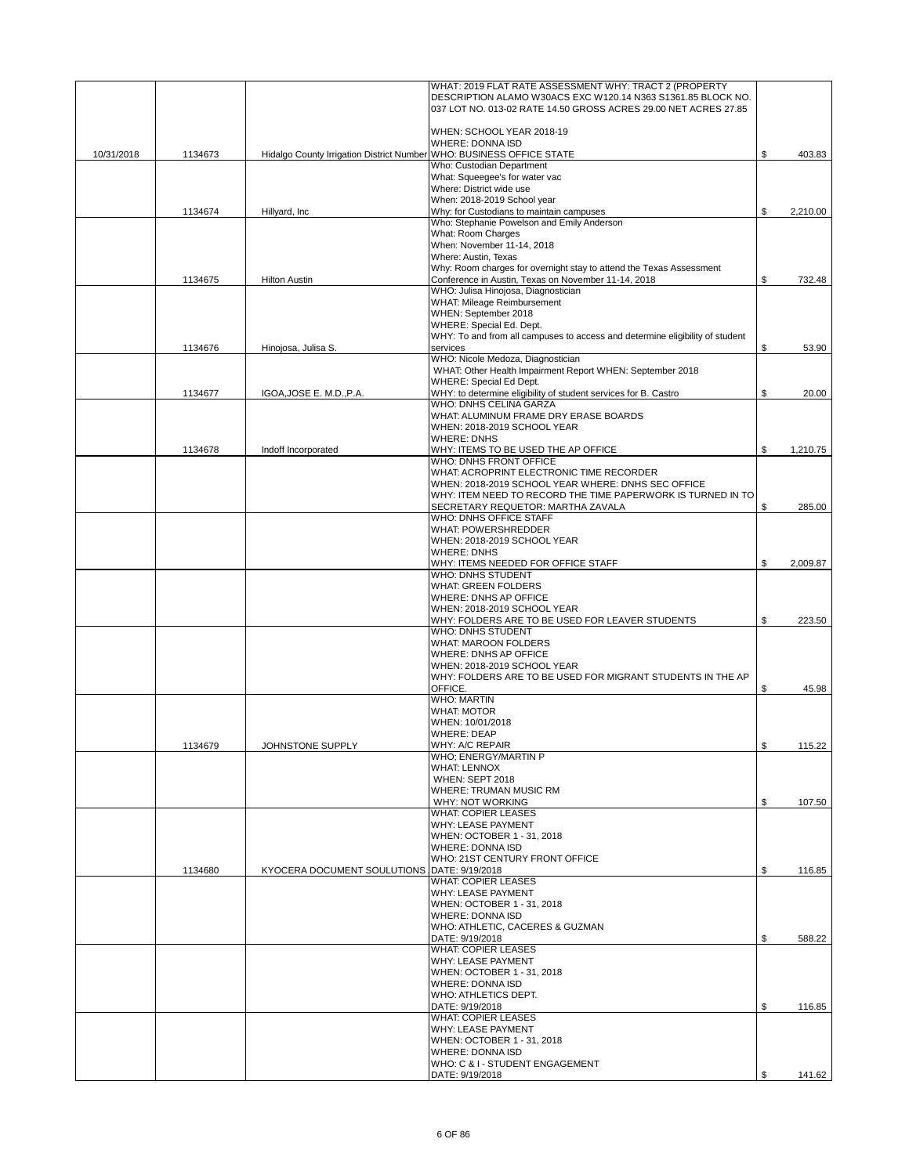|            |         |                                                                      | WHAT: 2019 FLAT RATE ASSESSMENT WHY: TRACT 2 (PROPERTY<br>DESCRIPTION ALAMO W30ACS EXC W120.14 N363 S1361.85 BLOCK NO. |                |
|------------|---------|----------------------------------------------------------------------|------------------------------------------------------------------------------------------------------------------------|----------------|
|            |         |                                                                      | 037 LOT NO. 013-02 RATE 14.50 GROSS ACRES 29.00 NET ACRES 27.85                                                        |                |
|            |         |                                                                      |                                                                                                                        |                |
|            |         |                                                                      | WHEN: SCHOOL YEAR 2018-19                                                                                              |                |
|            |         |                                                                      | <b>WHERE: DONNA ISD</b>                                                                                                |                |
| 10/31/2018 | 1134673 | Hidalgo County Irrigation District Number WHO: BUSINESS OFFICE STATE |                                                                                                                        | \$<br>403.83   |
|            |         |                                                                      | Who: Custodian Department                                                                                              |                |
|            |         |                                                                      | What: Squeeqee's for water vac                                                                                         |                |
|            |         |                                                                      | Where: District wide use                                                                                               |                |
|            |         |                                                                      | When: 2018-2019 School year                                                                                            |                |
|            | 1134674 | Hillyard, Inc.                                                       | Why: for Custodians to maintain campuses                                                                               | \$<br>2,210.00 |
|            |         |                                                                      | Who: Stephanie Powelson and Emily Anderson                                                                             |                |
|            |         |                                                                      | What: Room Charges                                                                                                     |                |
|            |         |                                                                      | When: November 11-14, 2018                                                                                             |                |
|            |         |                                                                      | Where: Austin, Texas                                                                                                   |                |
|            |         |                                                                      | Why: Room charges for overnight stay to attend the Texas Assessment                                                    |                |
|            | 1134675 | <b>Hilton Austin</b>                                                 | Conference in Austin, Texas on November 11-14, 2018                                                                    | \$<br>732.48   |
|            |         |                                                                      | WHO: Julisa Hinojosa, Diagnostician<br>WHAT: Mileage Reimbursement                                                     |                |
|            |         |                                                                      | WHEN: September 2018                                                                                                   |                |
|            |         |                                                                      | WHERE: Special Ed. Dept.                                                                                               |                |
|            |         |                                                                      | WHY: To and from all campuses to access and determine eligibility of student                                           |                |
|            | 1134676 | Hinojosa, Julisa S.                                                  | services                                                                                                               | \$<br>53.90    |
|            |         |                                                                      | WHO: Nicole Medoza, Diagnostician                                                                                      |                |
|            |         |                                                                      | WHAT: Other Health Impairment Report WHEN: September 2018                                                              |                |
|            |         |                                                                      | <b>WHERE: Special Ed Dept.</b>                                                                                         |                |
|            | 1134677 | IGOA, JOSE E. M.D., P.A.                                             | WHY: to determine eligibility of student services for B. Castro                                                        | \$<br>20.00    |
|            |         |                                                                      | WHO: DNHS CELINA GARZA                                                                                                 |                |
|            |         |                                                                      | WHAT: ALUMINUM FRAME DRY ERASE BOARDS                                                                                  |                |
|            |         |                                                                      | WHEN: 2018-2019 SCHOOL YEAR                                                                                            |                |
|            |         |                                                                      | <b>WHERE: DNHS</b>                                                                                                     |                |
|            | 1134678 | Indoff Incorporated                                                  | WHY: ITEMS TO BE USED THE AP OFFICE                                                                                    | \$<br>1,210.75 |
|            |         |                                                                      | WHO: DNHS FRONT OFFICE                                                                                                 |                |
|            |         |                                                                      | WHAT: ACROPRINT ELECTRONIC TIME RECORDER                                                                               |                |
|            |         |                                                                      | WHEN: 2018-2019 SCHOOL YEAR WHERE: DNHS SEC OFFICE                                                                     |                |
|            |         |                                                                      | WHY: ITEM NEED TO RECORD THE TIME PAPERWORK IS TURNED IN TO                                                            |                |
|            |         |                                                                      | SECRETARY REQUETOR: MARTHA ZAVALA                                                                                      | \$<br>285.00   |
|            |         |                                                                      | <b>WHO: DNHS OFFICE STAFF</b>                                                                                          |                |
|            |         |                                                                      | <b>WHAT: POWERSHREDDER</b>                                                                                             |                |
|            |         |                                                                      | WHEN: 2018-2019 SCHOOL YEAR                                                                                            |                |
|            |         |                                                                      | <b>WHERE: DNHS</b>                                                                                                     |                |
|            |         |                                                                      | WHY: ITEMS NEEDED FOR OFFICE STAFF                                                                                     | \$<br>2,009.87 |
|            |         |                                                                      | <b>WHO: DNHS STUDENT</b>                                                                                               |                |
|            |         |                                                                      | <b>WHAT: GREEN FOLDERS</b>                                                                                             |                |
|            |         |                                                                      | WHERE: DNHS AP OFFICE                                                                                                  |                |
|            |         |                                                                      | WHEN: 2018-2019 SCHOOL YEAR                                                                                            |                |
|            |         |                                                                      | WHY: FOLDERS ARE TO BE USED FOR LEAVER STUDENTS                                                                        | \$<br>223.50   |
|            |         |                                                                      | <b>WHO: DNHS STUDENT</b>                                                                                               |                |
|            |         |                                                                      | <b>WHAT: MAROON FOLDERS</b>                                                                                            |                |
|            |         |                                                                      | WHERE: DNHS AP OFFICE                                                                                                  |                |
|            |         |                                                                      | WHEN: 2018-2019 SCHOOL YEAR                                                                                            |                |
|            |         |                                                                      | WHY: FOLDERS ARE TO BE USED FOR MIGRANT STUDENTS IN THE AP                                                             |                |
|            |         |                                                                      | OFFICE.                                                                                                                | \$<br>45.98    |
|            |         |                                                                      | <b>WHO: MARTIN</b>                                                                                                     |                |
|            |         |                                                                      | <b>WHAT: MOTOR</b>                                                                                                     |                |
|            |         |                                                                      | WHEN: 10/01/2018                                                                                                       |                |
|            |         |                                                                      | <b>WHERE: DEAP</b>                                                                                                     |                |
|            | 1134679 | JOHNSTONE SUPPLY                                                     | WHY: A/C REPAIR<br>WHO; ENERGY/MARTIN P                                                                                | \$<br>115.22   |
|            |         |                                                                      | <b>WHAT: LENNOX</b>                                                                                                    |                |
|            |         |                                                                      | <b>WHEN: SEPT 2018</b>                                                                                                 |                |
|            |         |                                                                      | WHERE: TRUMAN MUSIC RM                                                                                                 |                |
|            |         |                                                                      | WHY: NOT WORKING                                                                                                       | \$<br>107.50   |
|            |         |                                                                      | <b>WHAT: COPIER LEASES</b>                                                                                             |                |
|            |         |                                                                      | <b>WHY: LEASE PAYMENT</b>                                                                                              |                |
|            |         |                                                                      | WHEN: OCTOBER 1 - 31, 2018                                                                                             |                |
|            |         |                                                                      | <b>WHERE: DONNA ISD</b>                                                                                                |                |
|            |         |                                                                      | WHO: 21ST CENTURY FRONT OFFICE                                                                                         |                |
|            | 1134680 | KYOCERA DOCUMENT SOULUTIONS DATE: 9/19/2018                          |                                                                                                                        | \$<br>116.85   |
|            |         |                                                                      | <b>WHAT: COPIER LEASES</b>                                                                                             |                |
|            |         |                                                                      | WHY: LEASE PAYMENT                                                                                                     |                |
|            |         |                                                                      | WHEN: OCTOBER 1 - 31, 2018                                                                                             |                |
|            |         |                                                                      | WHERE: DONNA ISD                                                                                                       |                |
|            |         |                                                                      | WHO: ATHLETIC, CACERES & GUZMAN                                                                                        |                |
|            |         |                                                                      | DATE: 9/19/2018                                                                                                        | \$<br>588.22   |
|            |         |                                                                      | <b>WHAT: COPIER LEASES</b>                                                                                             |                |
|            |         |                                                                      | <b>WHY: LEASE PAYMENT</b>                                                                                              |                |
|            |         |                                                                      | WHEN: OCTOBER 1 - 31, 2018                                                                                             |                |
|            |         |                                                                      | <b>WHERE: DONNA ISD</b>                                                                                                |                |
|            |         |                                                                      | WHO: ATHLETICS DEPT.                                                                                                   |                |
|            |         |                                                                      | DATE: 9/19/2018                                                                                                        | \$<br>116.85   |
|            |         |                                                                      | <b>WHAT: COPIER LEASES</b>                                                                                             |                |
|            |         |                                                                      | <b>WHY: LEASE PAYMENT</b>                                                                                              |                |
|            |         |                                                                      | WHEN: OCTOBER 1 - 31, 2018                                                                                             |                |
|            |         |                                                                      | <b>WHERE: DONNA ISD</b>                                                                                                |                |
|            |         |                                                                      | WHO: C & I - STUDENT ENGAGEMENT                                                                                        |                |
|            |         |                                                                      | DATE: 9/19/2018                                                                                                        | \$<br>141.62   |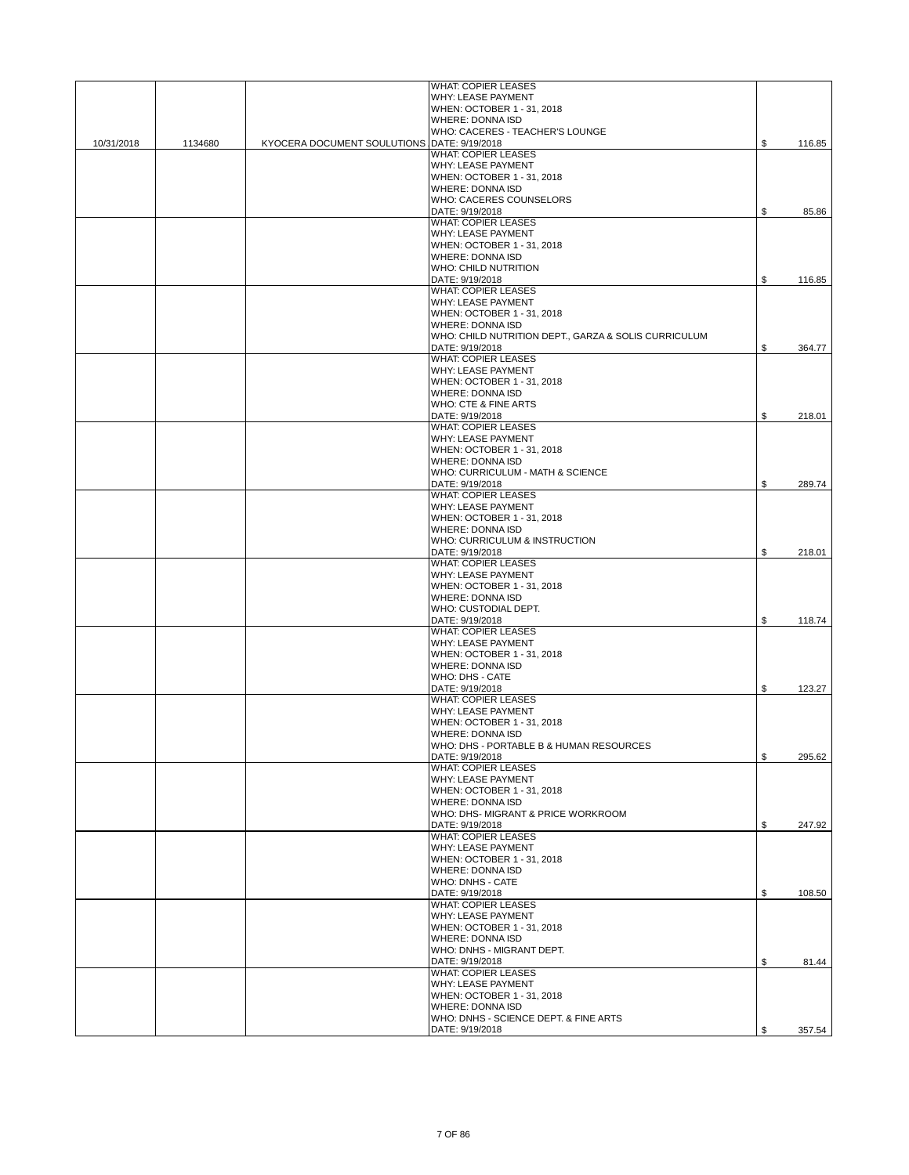|            |         |                                             | <b>WHAT: COPIER LEASES</b>                                  |              |
|------------|---------|---------------------------------------------|-------------------------------------------------------------|--------------|
|            |         |                                             | WHY: LEASE PAYMENT                                          |              |
|            |         |                                             | WHEN: OCTOBER 1 - 31, 2018                                  |              |
|            |         |                                             | <b>WHERE: DONNA ISD</b>                                     |              |
|            |         |                                             | WHO: CACERES - TEACHER'S LOUNGE                             |              |
| 10/31/2018 | 1134680 | KYOCERA DOCUMENT SOULUTIONS DATE: 9/19/2018 |                                                             | \$<br>116.85 |
|            |         |                                             | <b>WHAT: COPIER LEASES</b><br>WHY: LEASE PAYMENT            |              |
|            |         |                                             | WHEN: OCTOBER 1 - 31, 2018                                  |              |
|            |         |                                             | <b>WHERE: DONNA ISD</b>                                     |              |
|            |         |                                             | WHO: CACERES COUNSELORS                                     |              |
|            |         |                                             | DATE: 9/19/2018                                             | \$<br>85.86  |
|            |         |                                             | <b>WHAT: COPIER LEASES</b>                                  |              |
|            |         |                                             | <b>WHY: LEASE PAYMENT</b>                                   |              |
|            |         |                                             | WHEN: OCTOBER 1 - 31, 2018                                  |              |
|            |         |                                             | <b>WHERE: DONNA ISD</b>                                     |              |
|            |         |                                             | <b>WHO: CHILD NUTRITION</b>                                 |              |
|            |         |                                             | DATE: 9/19/2018                                             | \$<br>116.85 |
|            |         |                                             | <b>WHAT: COPIER LEASES</b>                                  |              |
|            |         |                                             | WHY: LEASE PAYMENT<br>WHEN: OCTOBER 1 - 31, 2018            |              |
|            |         |                                             | <b>WHERE: DONNA ISD</b>                                     |              |
|            |         |                                             | WHO: CHILD NUTRITION DEPT., GARZA & SOLIS CURRICULUM        |              |
|            |         |                                             | DATE: 9/19/2018                                             | \$<br>364.77 |
|            |         |                                             | <b>WHAT: COPIER LEASES</b>                                  |              |
|            |         |                                             | WHY: LEASE PAYMENT                                          |              |
|            |         |                                             | WHEN: OCTOBER 1 - 31, 2018                                  |              |
|            |         |                                             | <b>WHERE: DONNA ISD</b>                                     |              |
|            |         |                                             | WHO: CTE & FINE ARTS                                        |              |
|            |         |                                             | DATE: 9/19/2018                                             | \$<br>218.01 |
|            |         |                                             | <b>WHAT: COPIER LEASES</b>                                  |              |
|            |         |                                             | <b>WHY: LEASE PAYMENT</b>                                   |              |
|            |         |                                             | WHEN: OCTOBER 1 - 31, 2018                                  |              |
|            |         |                                             | <b>WHERE: DONNA ISD</b><br>WHO: CURRICULUM - MATH & SCIENCE |              |
|            |         |                                             | DATE: 9/19/2018                                             | \$<br>289.74 |
|            |         |                                             | <b>WHAT: COPIER LEASES</b>                                  |              |
|            |         |                                             | WHY: LEASE PAYMENT                                          |              |
|            |         |                                             | WHEN: OCTOBER 1 - 31, 2018                                  |              |
|            |         |                                             | <b>WHERE: DONNA ISD</b>                                     |              |
|            |         |                                             | WHO: CURRICULUM & INSTRUCTION                               |              |
|            |         |                                             | DATE: 9/19/2018                                             | \$<br>218.01 |
|            |         |                                             | <b>WHAT: COPIER LEASES</b>                                  |              |
|            |         |                                             | WHY: LEASE PAYMENT                                          |              |
|            |         |                                             | WHEN: OCTOBER 1 - 31, 2018                                  |              |
|            |         |                                             | <b>WHERE: DONNA ISD</b>                                     |              |
|            |         |                                             | WHO: CUSTODIAL DEPT.                                        |              |
|            |         |                                             | DATE: 9/19/2018<br><b>WHAT: COPIER LEASES</b>               | \$<br>118.74 |
|            |         |                                             | <b>WHY: LEASE PAYMENT</b>                                   |              |
|            |         |                                             | WHEN: OCTOBER 1 - 31, 2018                                  |              |
|            |         |                                             | <b>WHERE: DONNA ISD</b>                                     |              |
|            |         |                                             | <b>WHO: DHS - CATE</b>                                      |              |
|            |         |                                             | DATE: 9/19/2018                                             | \$<br>123.27 |
|            |         |                                             | <b>WHAT: COPIER LEASES</b>                                  |              |
|            |         |                                             | WHY: LEASE PAYMENT                                          |              |
|            |         |                                             | WHEN: OCTOBER 1 - 31, 2018                                  |              |
|            |         |                                             | <b>WHERE: DONNA ISD</b>                                     |              |
|            |         |                                             | WHO: DHS - PORTABLE B & HUMAN RESOURCES                     |              |
|            |         |                                             | DATE: 9/19/2018                                             | \$<br>295.62 |
|            |         |                                             | <b>WHAT: COPIER LEASES</b>                                  |              |
|            |         |                                             | WHY: LEASE PAYMENT<br>WHEN: OCTOBER 1 - 31, 2018            |              |
|            |         |                                             | WHERE: DONNA ISD                                            |              |
|            |         |                                             | WHO: DHS- MIGRANT & PRICE WORKROOM                          |              |
|            |         |                                             | DATE: 9/19/2018                                             | \$<br>247.92 |
|            |         |                                             | <b>WHAT: COPIER LEASES</b>                                  |              |
|            |         |                                             | WHY: LEASE PAYMENT                                          |              |
|            |         |                                             | WHEN: OCTOBER 1 - 31, 2018                                  |              |
|            |         |                                             | <b>WHERE: DONNA ISD</b>                                     |              |
|            |         |                                             | WHO: DNHS - CATE                                            |              |
|            |         |                                             | DATE: 9/19/2018                                             | \$<br>108.50 |
|            |         |                                             | <b>WHAT: COPIER LEASES</b>                                  |              |
|            |         |                                             | WHY: LEASE PAYMENT                                          |              |
|            |         |                                             | WHEN: OCTOBER 1 - 31, 2018                                  |              |
|            |         |                                             | WHERE: DONNA ISD<br>WHO: DNHS - MIGRANT DEPT.               |              |
|            |         |                                             | DATE: 9/19/2018                                             | \$<br>81.44  |
|            |         |                                             | <b>WHAT: COPIER LEASES</b>                                  |              |
|            |         |                                             | WHY: LEASE PAYMENT                                          |              |
|            |         |                                             | WHEN: OCTOBER 1 - 31, 2018                                  |              |
|            |         |                                             | <b>WHERE: DONNA ISD</b>                                     |              |
|            |         |                                             | WHO: DNHS - SCIENCE DEPT. & FINE ARTS                       |              |
|            |         |                                             | DATE: 9/19/2018                                             | \$<br>357.54 |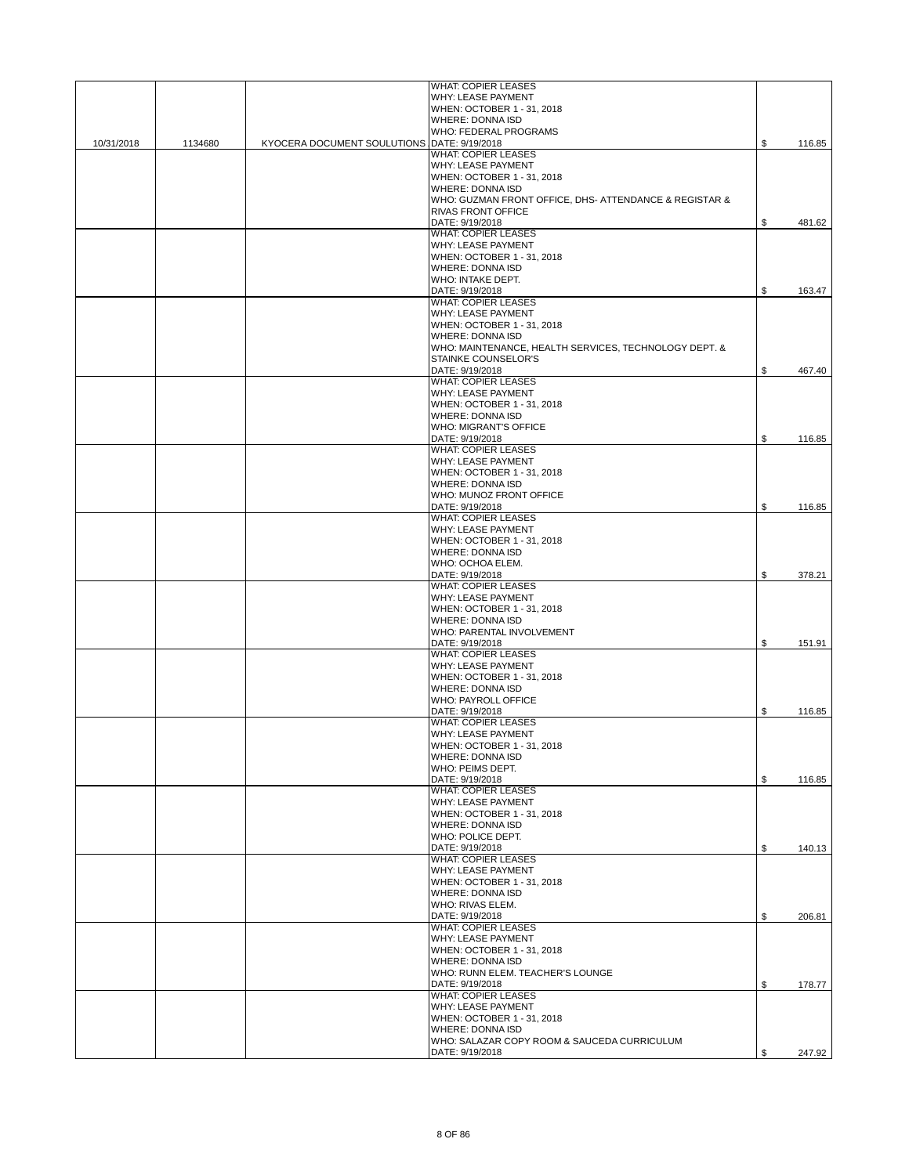|            |         |                                             | <b>WHAT: COPIER LEASES</b>                             |              |
|------------|---------|---------------------------------------------|--------------------------------------------------------|--------------|
|            |         |                                             | <b>WHY: LEASE PAYMENT</b>                              |              |
|            |         |                                             | WHEN: OCTOBER 1 - 31, 2018                             |              |
|            |         |                                             | <b>WHERE: DONNA ISD</b>                                |              |
|            |         |                                             | <b>WHO: FEDERAL PROGRAMS</b>                           |              |
| 10/31/2018 | 1134680 | KYOCERA DOCUMENT SOULUTIONS DATE: 9/19/2018 |                                                        | \$<br>116.85 |
|            |         |                                             | <b>WHAT: COPIER LEASES</b>                             |              |
|            |         |                                             | WHY: LEASE PAYMENT                                     |              |
|            |         |                                             | WHEN: OCTOBER 1 - 31, 2018                             |              |
|            |         |                                             | <b>WHERE: DONNA ISD</b>                                |              |
|            |         |                                             | WHO: GUZMAN FRONT OFFICE, DHS- ATTENDANCE & REGISTAR & |              |
|            |         |                                             | <b>RIVAS FRONT OFFICE</b>                              |              |
|            |         |                                             | DATE: 9/19/2018                                        | \$<br>481.62 |
|            |         |                                             | <b>WHAT: COPIER LEASES</b>                             |              |
|            |         |                                             | WHY: LEASE PAYMENT                                     |              |
|            |         |                                             | WHEN: OCTOBER 1 - 31, 2018                             |              |
|            |         |                                             | <b>WHERE: DONNA ISD</b>                                |              |
|            |         |                                             | WHO: INTAKE DEPT.                                      |              |
|            |         |                                             |                                                        | \$<br>163.47 |
|            |         |                                             | DATE: 9/19/2018<br><b>WHAT: COPIER LEASES</b>          |              |
|            |         |                                             |                                                        |              |
|            |         |                                             | WHY: LEASE PAYMENT                                     |              |
|            |         |                                             | WHEN: OCTOBER 1 - 31, 2018                             |              |
|            |         |                                             | <b>WHERE: DONNA ISD</b>                                |              |
|            |         |                                             | WHO: MAINTENANCE, HEALTH SERVICES, TECHNOLOGY DEPT. &  |              |
|            |         |                                             | STAINKE COUNSELOR'S                                    |              |
|            |         |                                             | DATE: 9/19/2018                                        | \$<br>467.40 |
|            |         |                                             | <b>WHAT: COPIER LEASES</b>                             |              |
|            |         |                                             | WHY: LEASE PAYMENT                                     |              |
|            |         |                                             | WHEN: OCTOBER 1 - 31, 2018                             |              |
|            |         |                                             | <b>WHERE: DONNA ISD</b>                                |              |
|            |         |                                             | <b>WHO: MIGRANT'S OFFICE</b>                           |              |
|            |         |                                             | DATE: 9/19/2018                                        | \$<br>116.85 |
|            |         |                                             | <b>WHAT: COPIER LEASES</b>                             |              |
|            |         |                                             | WHY: LEASE PAYMENT                                     |              |
|            |         |                                             | WHEN: OCTOBER 1 - 31, 2018                             |              |
|            |         |                                             | <b>WHERE: DONNA ISD</b>                                |              |
|            |         |                                             | WHO: MUNOZ FRONT OFFICE                                |              |
|            |         |                                             | DATE: 9/19/2018                                        | \$<br>116.85 |
|            |         |                                             | <b>WHAT: COPIER LEASES</b>                             |              |
|            |         |                                             | <b>WHY: LEASE PAYMENT</b>                              |              |
|            |         |                                             | WHEN: OCTOBER 1 - 31, 2018                             |              |
|            |         |                                             | <b>WHERE: DONNA ISD</b>                                |              |
|            |         |                                             | WHO: OCHOA ELEM.                                       |              |
|            |         |                                             | DATE: 9/19/2018                                        | \$<br>378.21 |
|            |         |                                             | <b>WHAT: COPIER LEASES</b>                             |              |
|            |         |                                             | WHY: LEASE PAYMENT                                     |              |
|            |         |                                             | WHEN: OCTOBER 1 - 31, 2018                             |              |
|            |         |                                             | <b>WHERE: DONNA ISD</b>                                |              |
|            |         |                                             | WHO: PARENTAL INVOLVEMENT                              |              |
|            |         |                                             | DATE: 9/19/2018                                        | \$<br>151.91 |
|            |         |                                             | <b>WHAT: COPIER LEASES</b>                             |              |
|            |         |                                             | WHY: LEASE PAYMENT                                     |              |
|            |         |                                             | WHEN: OCTOBER 1 - 31, 2018                             |              |
|            |         |                                             | WHERE: DONNA ISD                                       |              |
|            |         |                                             |                                                        |              |
|            |         |                                             | <b>WHO: PAYROLL OFFICE</b>                             |              |
|            |         |                                             | DATE: 9/19/2018                                        | \$<br>116.85 |
|            |         |                                             | <b>WHAT: COPIER LEASES</b>                             |              |
|            |         |                                             | WHY: LEASE PAYMENT                                     |              |
|            |         |                                             | WHEN: OCTOBER 1 - 31, 2018                             |              |
|            |         |                                             | WHERE: DONNA ISD                                       |              |
|            |         |                                             | WHO: PEIMS DEPT.                                       |              |
|            |         |                                             | DATE: 9/19/2018                                        | \$<br>116.85 |
|            |         |                                             | <b>WHAT: COPIER LEASES</b>                             |              |
|            |         |                                             | WHY: LEASE PAYMENT                                     |              |
|            |         |                                             | WHEN: OCTOBER 1 - 31, 2018                             |              |
|            |         |                                             | <b>WHERE: DONNA ISD</b>                                |              |
|            |         |                                             | WHO: POLICE DEPT.                                      |              |
|            |         |                                             | DATE: 9/19/2018                                        | \$<br>140.13 |
|            |         |                                             | <b>WHAT: COPIER LEASES</b>                             |              |
|            |         |                                             | <b>WHY: LEASE PAYMENT</b>                              |              |
|            |         |                                             | WHEN: OCTOBER 1 - 31, 2018                             |              |
|            |         |                                             | WHERE: DONNA ISD                                       |              |
|            |         |                                             | WHO: RIVAS ELEM.                                       |              |
|            |         |                                             | DATE: 9/19/2018                                        | \$<br>206.81 |
|            |         |                                             | <b>WHAT: COPIER LEASES</b>                             |              |
|            |         |                                             | WHY: LEASE PAYMENT                                     |              |
|            |         |                                             | WHEN: OCTOBER 1 - 31, 2018                             |              |
|            |         |                                             | WHERE: DONNA ISD                                       |              |
|            |         |                                             | WHO: RUNN ELEM. TEACHER'S LOUNGE                       |              |
|            |         |                                             | DATE: 9/19/2018                                        | \$<br>178.77 |
|            |         |                                             | <b>WHAT: COPIER LEASES</b>                             |              |
|            |         |                                             | WHY: LEASE PAYMENT                                     |              |
|            |         |                                             | WHEN: OCTOBER 1 - 31, 2018                             |              |
|            |         |                                             | WHERE: DONNA ISD                                       |              |
|            |         |                                             | WHO: SALAZAR COPY ROOM & SAUCEDA CURRICULUM            |              |
|            |         |                                             | DATE: 9/19/2018                                        | \$<br>247.92 |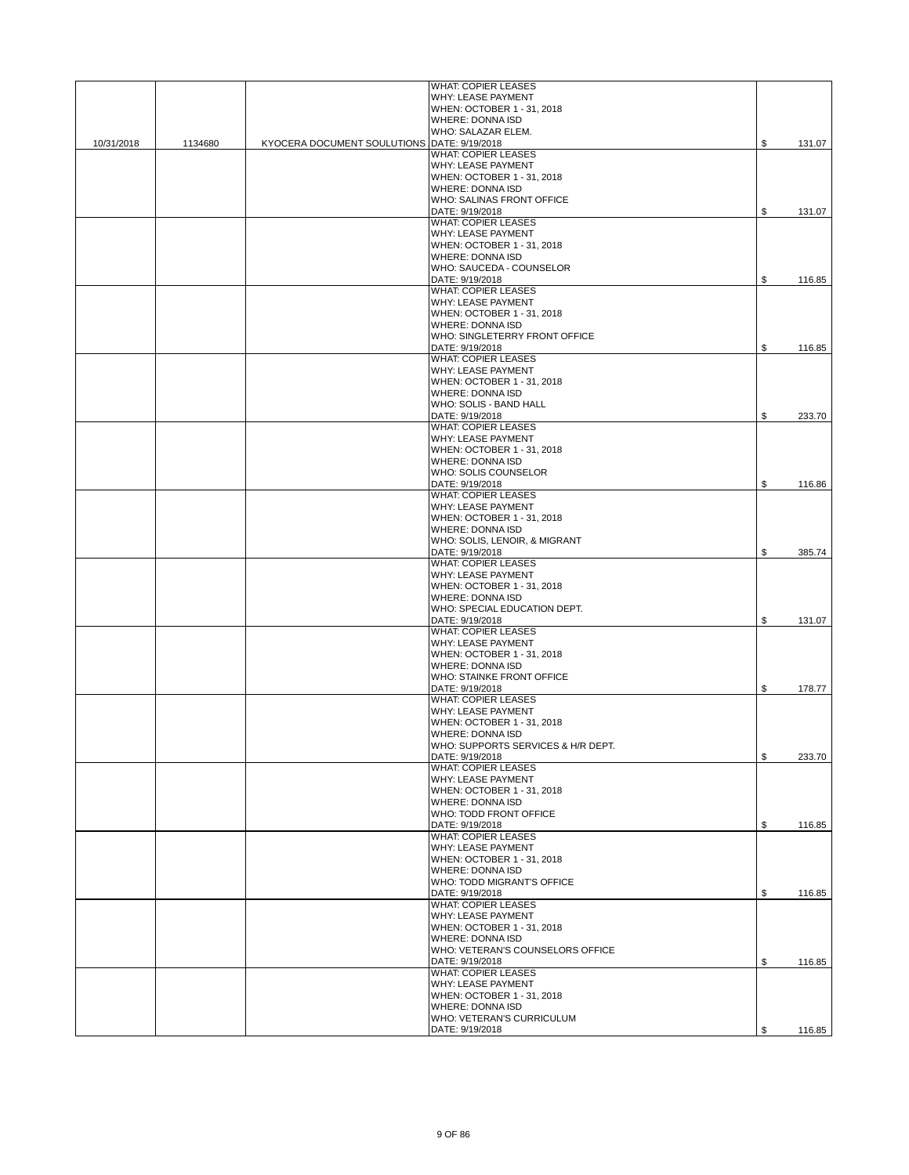|            |         |                                             | <b>WHAT: COPIER LEASES</b>                                    |              |
|------------|---------|---------------------------------------------|---------------------------------------------------------------|--------------|
|            |         |                                             | WHY: LEASE PAYMENT                                            |              |
|            |         |                                             | WHEN: OCTOBER 1 - 31, 2018                                    |              |
|            |         |                                             | <b>WHERE: DONNA ISD</b><br>WHO: SALAZAR ELEM.                 |              |
| 10/31/2018 | 1134680 | KYOCERA DOCUMENT SOULUTIONS DATE: 9/19/2018 |                                                               | \$<br>131.07 |
|            |         |                                             | <b>WHAT: COPIER LEASES</b>                                    |              |
|            |         |                                             | <b>WHY: LEASE PAYMENT</b>                                     |              |
|            |         |                                             | WHEN: OCTOBER 1 - 31, 2018                                    |              |
|            |         |                                             | <b>WHERE: DONNA ISD</b><br>WHO: SALINAS FRONT OFFICE          |              |
|            |         |                                             | DATE: 9/19/2018                                               | \$<br>131.07 |
|            |         |                                             | <b>WHAT: COPIER LEASES</b>                                    |              |
|            |         |                                             | WHY: LEASE PAYMENT                                            |              |
|            |         |                                             | WHEN: OCTOBER 1 - 31, 2018                                    |              |
|            |         |                                             | <b>WHERE: DONNA ISD</b>                                       |              |
|            |         |                                             | WHO: SAUCEDA - COUNSELOR<br>DATE: 9/19/2018                   | \$<br>116.85 |
|            |         |                                             | <b>WHAT: COPIER LEASES</b>                                    |              |
|            |         |                                             | WHY: LEASE PAYMENT                                            |              |
|            |         |                                             | WHEN: OCTOBER 1 - 31, 2018                                    |              |
|            |         |                                             | <b>WHERE: DONNA ISD</b>                                       |              |
|            |         |                                             | WHO: SINGLETERRY FRONT OFFICE                                 |              |
|            |         |                                             | DATE: 9/19/2018<br><b>WHAT: COPIER LEASES</b>                 | \$<br>116.85 |
|            |         |                                             | WHY: LEASE PAYMENT                                            |              |
|            |         |                                             | WHEN: OCTOBER 1 - 31, 2018                                    |              |
|            |         |                                             | <b>WHERE: DONNA ISD</b>                                       |              |
|            |         |                                             | WHO: SOLIS - BAND HALL                                        |              |
|            |         |                                             | DATE: 9/19/2018<br><b>WHAT: COPIER LEASES</b>                 | \$<br>233.70 |
|            |         |                                             | WHY: LEASE PAYMENT                                            |              |
|            |         |                                             | WHEN: OCTOBER 1 - 31, 2018                                    |              |
|            |         |                                             | <b>WHERE: DONNA ISD</b>                                       |              |
|            |         |                                             | WHO: SOLIS COUNSELOR                                          |              |
|            |         |                                             | DATE: 9/19/2018                                               | \$<br>116.86 |
|            |         |                                             | <b>WHAT: COPIER LEASES</b>                                    |              |
|            |         |                                             | WHY: LEASE PAYMENT<br>WHEN: OCTOBER 1 - 31, 2018              |              |
|            |         |                                             | <b>WHERE: DONNA ISD</b>                                       |              |
|            |         |                                             | WHO: SOLIS, LENOIR, & MIGRANT                                 |              |
|            |         |                                             | DATE: 9/19/2018                                               | \$<br>385.74 |
|            |         |                                             | <b>WHAT: COPIER LEASES</b>                                    |              |
|            |         |                                             | WHY: LEASE PAYMENT<br>WHEN: OCTOBER 1 - 31, 2018              |              |
|            |         |                                             | WHERE: DONNA ISD                                              |              |
|            |         |                                             | WHO: SPECIAL EDUCATION DEPT.                                  |              |
|            |         |                                             | DATE: 9/19/2018                                               | \$<br>131.07 |
|            |         |                                             | <b>WHAT: COPIER LEASES</b>                                    |              |
|            |         |                                             | WHY: LEASE PAYMENT                                            |              |
|            |         |                                             | WHEN: OCTOBER 1 - 31, 2018<br><b>WHERE: DONNA ISD</b>         |              |
|            |         |                                             | WHO: STAINKE FRONT OFFICE                                     |              |
|            |         |                                             | DATE: 9/19/2018                                               | \$<br>178.77 |
|            |         |                                             | <b>WHAT: COPIER LEASES</b>                                    |              |
|            |         |                                             | WHY: LEASE PAYMENT                                            |              |
|            |         |                                             | WHEN: OCTOBER 1 - 31, 2018                                    |              |
|            |         |                                             | <b>WHERE: DONNA ISD</b><br>WHO: SUPPORTS SERVICES & H/R DEPT. |              |
|            |         |                                             | DATE: 9/19/2018                                               | \$<br>233.70 |
|            |         |                                             | <b>WHAT: COPIER LEASES</b>                                    |              |
|            |         |                                             | WHY: LEASE PAYMENT                                            |              |
|            |         |                                             | WHEN: OCTOBER 1 - 31, 2018                                    |              |
|            |         |                                             | <b>WHERE: DONNA ISD</b>                                       |              |
|            |         |                                             | WHO: TODD FRONT OFFICE<br>DATE: 9/19/2018                     | \$<br>116.85 |
|            |         |                                             | <b>WHAT: COPIER LEASES</b>                                    |              |
|            |         |                                             | WHY: LEASE PAYMENT                                            |              |
|            |         |                                             | WHEN: OCTOBER 1 - 31, 2018                                    |              |
|            |         |                                             | <b>WHERE: DONNA ISD</b>                                       |              |
|            |         |                                             | WHO: TODD MIGRANT'S OFFICE                                    |              |
|            |         |                                             | DATE: 9/19/2018<br><b>WHAT: COPIER LEASES</b>                 | \$<br>116.85 |
|            |         |                                             | WHY: LEASE PAYMENT                                            |              |
|            |         |                                             | WHEN: OCTOBER 1 - 31, 2018                                    |              |
|            |         |                                             | WHERE: DONNA ISD                                              |              |
|            |         |                                             | WHO: VETERAN'S COUNSELORS OFFICE                              |              |
|            |         |                                             | DATE: 9/19/2018<br><b>WHAT: COPIER LEASES</b>                 | \$<br>116.85 |
|            |         |                                             | WHY: LEASE PAYMENT                                            |              |
|            |         |                                             | WHEN: OCTOBER 1 - 31, 2018                                    |              |
|            |         |                                             | <b>WHERE: DONNA ISD</b>                                       |              |
|            |         |                                             | WHO: VETERAN'S CURRICULUM                                     |              |
|            |         |                                             | DATE: 9/19/2018                                               | \$<br>116.85 |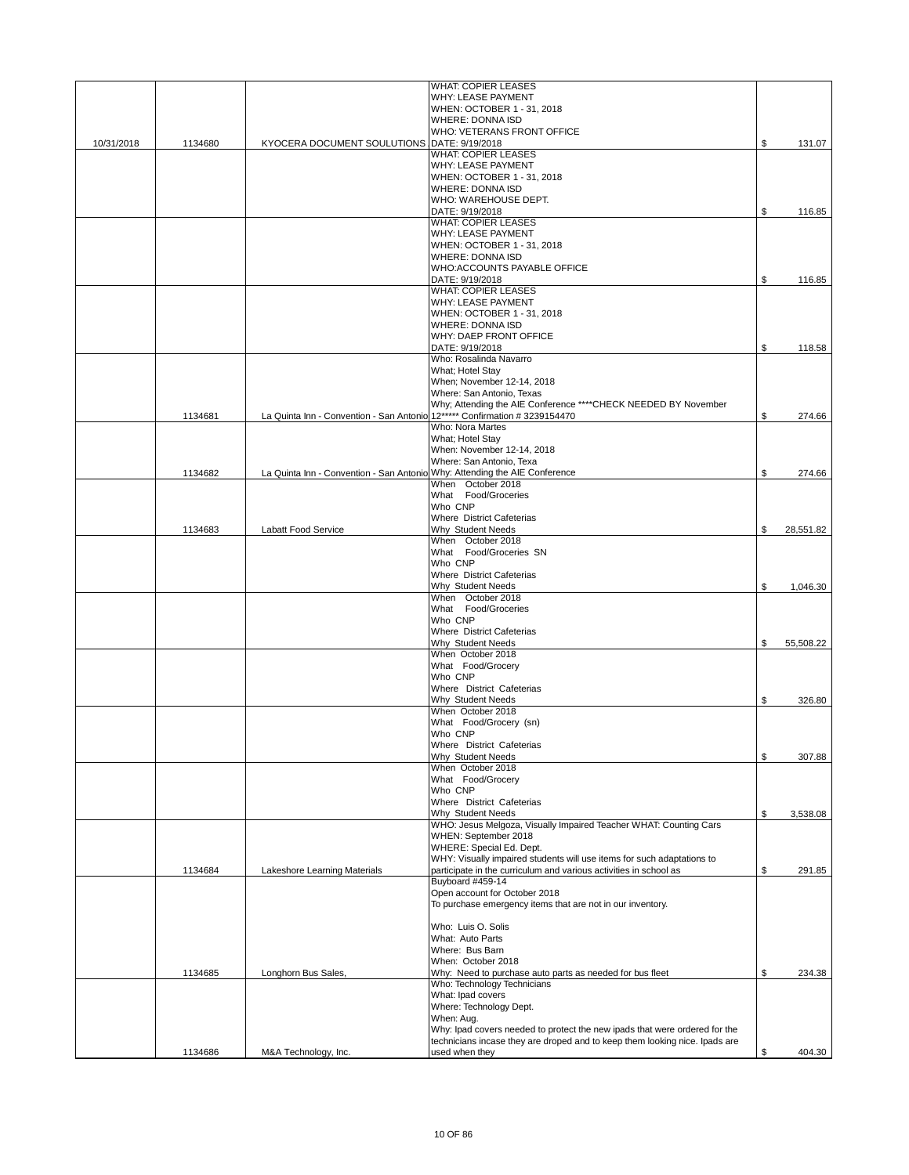|            |         |                                                                            | <b>WHAT: COPIER LEASES</b>                                                               |                 |
|------------|---------|----------------------------------------------------------------------------|------------------------------------------------------------------------------------------|-----------------|
|            |         |                                                                            | WHY: LEASE PAYMENT                                                                       |                 |
|            |         |                                                                            | WHEN: OCTOBER 1 - 31, 2018<br><b>WHERE: DONNA ISD</b>                                    |                 |
|            |         |                                                                            | WHO: VETERANS FRONT OFFICE                                                               |                 |
| 10/31/2018 | 1134680 | KYOCERA DOCUMENT SOULUTIONS DATE: 9/19/2018                                |                                                                                          | \$<br>131.07    |
|            |         |                                                                            | <b>WHAT: COPIER LEASES</b>                                                               |                 |
|            |         |                                                                            | WHY: LEASE PAYMENT                                                                       |                 |
|            |         |                                                                            | WHEN: OCTOBER 1 - 31, 2018                                                               |                 |
|            |         |                                                                            | <b>WHERE: DONNA ISD</b>                                                                  |                 |
|            |         |                                                                            | WHO: WAREHOUSE DEPT.                                                                     |                 |
|            |         |                                                                            | DATE: 9/19/2018                                                                          | \$<br>116.85    |
|            |         |                                                                            | <b>WHAT: COPIER LEASES</b><br><b>WHY: LEASE PAYMENT</b>                                  |                 |
|            |         |                                                                            | WHEN: OCTOBER 1 - 31, 2018                                                               |                 |
|            |         |                                                                            | <b>WHERE: DONNA ISD</b>                                                                  |                 |
|            |         |                                                                            | WHO:ACCOUNTS PAYABLE OFFICE                                                              |                 |
|            |         |                                                                            | DATE: 9/19/2018                                                                          | \$<br>116.85    |
|            |         |                                                                            | <b>WHAT: COPIER LEASES</b>                                                               |                 |
|            |         |                                                                            | WHY: LEASE PAYMENT                                                                       |                 |
|            |         |                                                                            | WHEN: OCTOBER 1 - 31, 2018                                                               |                 |
|            |         |                                                                            | <b>WHERE: DONNA ISD</b>                                                                  |                 |
|            |         |                                                                            | WHY: DAEP FRONT OFFICE                                                                   |                 |
|            |         |                                                                            | DATE: 9/19/2018                                                                          | \$<br>118.58    |
|            |         |                                                                            | Who: Rosalinda Navarro                                                                   |                 |
|            |         |                                                                            | What; Hotel Stay                                                                         |                 |
|            |         |                                                                            | When; November 12-14, 2018                                                               |                 |
|            |         |                                                                            | Where: San Antonio, Texas                                                                |                 |
|            |         | La Quinta Inn - Convention - San Antonio 12***** Confirmation # 3239154470 | Why; Attending the AIE Conference **** CHECK NEEDED BY November                          |                 |
|            | 1134681 |                                                                            | Who: Nora Martes                                                                         | \$<br>274.66    |
|            |         |                                                                            | What; Hotel Stay                                                                         |                 |
|            |         |                                                                            | When: November 12-14, 2018                                                               |                 |
|            |         |                                                                            | Where: San Antonio, Texa                                                                 |                 |
|            | 1134682 | La Quinta Inn - Convention - San Antonio Why: Attending the AIE Conference |                                                                                          | \$<br>274.66    |
|            |         |                                                                            | When October 2018                                                                        |                 |
|            |         |                                                                            | What Food/Groceries                                                                      |                 |
|            |         |                                                                            | Who CNP                                                                                  |                 |
|            |         |                                                                            | Where District Cafeterias                                                                |                 |
|            | 1134683 | <b>Labatt Food Service</b>                                                 | Why Student Needs                                                                        | \$<br>28,551.82 |
|            |         |                                                                            | When October 2018                                                                        |                 |
|            |         |                                                                            | What Food/Groceries SN                                                                   |                 |
|            |         |                                                                            | Who CNP                                                                                  |                 |
|            |         |                                                                            | Where District Cafeterias                                                                |                 |
|            |         |                                                                            | Why Student Needs<br>When October 2018                                                   | \$<br>1,046.30  |
|            |         |                                                                            | What Food/Groceries                                                                      |                 |
|            |         |                                                                            | Who CNP                                                                                  |                 |
|            |         |                                                                            | Where District Cafeterias                                                                |                 |
|            |         |                                                                            | Why Student Needs                                                                        | \$<br>55,508.22 |
|            |         |                                                                            | When October 2018                                                                        |                 |
|            |         |                                                                            | What Food/Grocery                                                                        |                 |
|            |         |                                                                            | Who CNP                                                                                  |                 |
|            |         |                                                                            | Where District Cafeterias                                                                |                 |
|            |         |                                                                            | Why Student Needs                                                                        | \$<br>326.80    |
|            |         |                                                                            | When October 2018                                                                        |                 |
|            |         |                                                                            | What Food/Grocery (sn)                                                                   |                 |
|            |         |                                                                            | Who CNP                                                                                  |                 |
|            |         |                                                                            | Where District Cafeterias<br>Why Student Needs                                           | \$<br>307.88    |
|            |         |                                                                            | When October 2018                                                                        |                 |
|            |         |                                                                            | What Food/Grocery                                                                        |                 |
|            |         |                                                                            | Who CNP                                                                                  |                 |
|            |         |                                                                            | Where District Cafeterias                                                                |                 |
|            |         |                                                                            | Why Student Needs                                                                        | \$<br>3,538.08  |
|            |         |                                                                            | WHO: Jesus Melgoza, Visually Impaired Teacher WHAT: Counting Cars                        |                 |
|            |         |                                                                            | WHEN: September 2018                                                                     |                 |
|            |         |                                                                            | WHERE: Special Ed. Dept.                                                                 |                 |
|            |         |                                                                            | WHY: Visually impaired students will use items for such adaptations to                   |                 |
|            | 1134684 | Lakeshore Learning Materials                                               | participate in the curriculum and various activities in school as                        | \$<br>291.85    |
|            |         |                                                                            | Buyboard #459-14<br>Open account for October 2018                                        |                 |
|            |         |                                                                            | To purchase emergency items that are not in our inventory.                               |                 |
|            |         |                                                                            |                                                                                          |                 |
|            |         |                                                                            | Who: Luis O. Solis                                                                       |                 |
|            |         |                                                                            | What: Auto Parts                                                                         |                 |
|            |         |                                                                            | Where: Bus Barn                                                                          |                 |
|            |         |                                                                            | When: October 2018                                                                       |                 |
|            | 1134685 | Longhorn Bus Sales,                                                        | Why: Need to purchase auto parts as needed for bus fleet                                 | \$<br>234.38    |
|            |         |                                                                            | Who: Technology Technicians                                                              |                 |
|            |         |                                                                            | What: Ipad covers                                                                        |                 |
|            |         |                                                                            | Where: Technology Dept.                                                                  |                 |
|            |         |                                                                            | When: Aug.<br>Why: Ipad covers needed to protect the new ipads that were ordered for the |                 |
|            |         |                                                                            | technicians incase they are droped and to keep them looking nice. Ipads are              |                 |
|            | 1134686 | M&A Technology, Inc.                                                       | used when they                                                                           | \$<br>404.30    |
|            |         |                                                                            |                                                                                          |                 |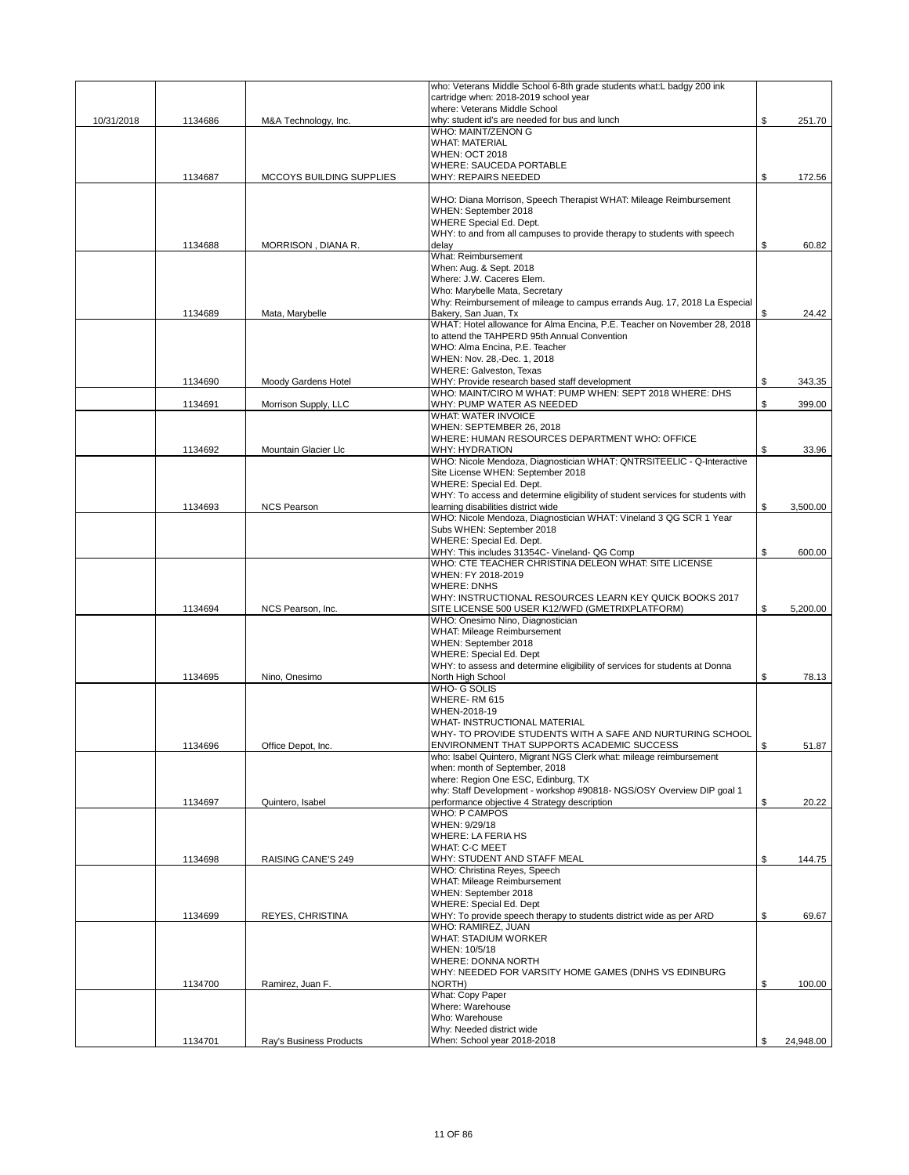|            |         |                          | who: Veterans Middle School 6-8th grade students what:L badgy 200 ink                                       |                 |
|------------|---------|--------------------------|-------------------------------------------------------------------------------------------------------------|-----------------|
|            |         |                          | cartridge when: 2018-2019 school year<br>where: Veterans Middle School                                      |                 |
| 10/31/2018 | 1134686 | M&A Technology, Inc.     | why: student id's are needed for bus and lunch                                                              | \$<br>251.70    |
|            |         |                          | WHO: MAINT/ZENON G                                                                                          |                 |
|            |         |                          | <b>WHAT: MATERIAL</b>                                                                                       |                 |
|            |         |                          | <b>WHEN: OCT 2018</b><br><b>WHERE: SAUCEDA PORTABLE</b>                                                     |                 |
|            | 1134687 | MCCOYS BUILDING SUPPLIES | WHY: REPAIRS NEEDED                                                                                         | \$<br>172.56    |
|            |         |                          |                                                                                                             |                 |
|            |         |                          | WHO: Diana Morrison, Speech Therapist WHAT: Mileage Reimbursement                                           |                 |
|            |         |                          | WHEN: September 2018                                                                                        |                 |
|            |         |                          | WHERE Special Ed. Dept.<br>WHY: to and from all campuses to provide therapy to students with speech         |                 |
|            | 1134688 | MORRISON, DIANA R.       | delay                                                                                                       | \$<br>60.82     |
|            |         |                          | What: Reimbursement                                                                                         |                 |
|            |         |                          | When: Aug. & Sept. 2018                                                                                     |                 |
|            |         |                          | Where: J.W. Caceres Elem.                                                                                   |                 |
|            |         |                          | Who: Marybelle Mata, Secretary<br>Why: Reimbursement of mileage to campus errands Aug. 17, 2018 La Especial |                 |
|            | 1134689 | Mata, Marybelle          | Bakery, San Juan, Tx                                                                                        | \$<br>24.42     |
|            |         |                          | WHAT: Hotel allowance for Alma Encina, P.E. Teacher on November 28, 2018                                    |                 |
|            |         |                          | to attend the TAHPERD 95th Annual Convention                                                                |                 |
|            |         |                          | WHO: Alma Encina, P.E. Teacher<br>WHEN: Nov. 28,-Dec. 1, 2018                                               |                 |
|            |         |                          | <b>WHERE: Galveston, Texas</b>                                                                              |                 |
|            | 1134690 | Moody Gardens Hotel      | WHY: Provide research based staff development                                                               | \$<br>343.35    |
|            |         |                          | WHO: MAINT/CIRO M WHAT: PUMP WHEN: SEPT 2018 WHERE: DHS                                                     |                 |
|            | 1134691 | Morrison Supply, LLC     | WHY: PUMP WATER AS NEEDED                                                                                   | \$<br>399.00    |
|            |         |                          | <b>WHAT: WATER INVOICE</b><br>WHEN: SEPTEMBER 26, 2018                                                      |                 |
|            |         |                          | WHERE: HUMAN RESOURCES DEPARTMENT WHO: OFFICE                                                               |                 |
|            | 1134692 | Mountain Glacier Llc     | <b>WHY: HYDRATION</b>                                                                                       | \$<br>33.96     |
|            |         |                          | WHO: Nicole Mendoza, Diagnostician WHAT: QNTRSITEELIC - Q-Interactive                                       |                 |
|            |         |                          | Site License WHEN: September 2018                                                                           |                 |
|            |         |                          | WHERE: Special Ed. Dept.<br>WHY: To access and determine eligibility of student services for students with  |                 |
|            | 1134693 | <b>NCS Pearson</b>       | learning disabilities district wide                                                                         | \$<br>3,500.00  |
|            |         |                          | WHO: Nicole Mendoza, Diagnostician WHAT: Vineland 3 QG SCR 1 Year                                           |                 |
|            |         |                          | Subs WHEN: September 2018                                                                                   |                 |
|            |         |                          | WHERE: Special Ed. Dept.                                                                                    |                 |
|            |         |                          | WHY: This includes 31354C- Vineland- QG Comp<br>WHO: CTE TEACHER CHRISTINA DELEON WHAT: SITE LICENSE        | \$<br>600.00    |
|            |         |                          | WHEN: FY 2018-2019                                                                                          |                 |
|            |         |                          | <b>WHERE: DNHS</b>                                                                                          |                 |
|            |         |                          | WHY: INSTRUCTIONAL RESOURCES LEARN KEY QUICK BOOKS 2017                                                     |                 |
|            | 1134694 | NCS Pearson, Inc.        | SITE LICENSE 500 USER K12/WFD (GMETRIXPLATFORM)                                                             | \$<br>5,200.00  |
|            |         |                          | WHO: Onesimo Nino, Diagnostician<br>WHAT: Mileage Reimbursement                                             |                 |
|            |         |                          | WHEN: September 2018                                                                                        |                 |
|            |         |                          | WHERE: Special Ed. Dept                                                                                     |                 |
|            |         |                          | WHY: to assess and determine eligibility of services for students at Donna                                  |                 |
|            | 1134695 | Nino, Onesimo            | North High School                                                                                           | \$<br>78.13     |
|            |         |                          | WHO- G SOLIS<br>WHERE-RM 615                                                                                |                 |
|            |         |                          | WHEN-2018-19                                                                                                |                 |
|            |         |                          | WHAT- INSTRUCTIONAL MATERIAL                                                                                |                 |
|            |         |                          | WHY- TO PROVIDE STUDENTS WITH A SAFE AND NURTURING SCHOOL                                                   |                 |
|            | 1134696 | Office Depot, Inc.       | ENVIRONMENT THAT SUPPORTS ACADEMIC SUCCESS                                                                  | \$<br>51.87     |
|            |         |                          | who: Isabel Quintero, Migrant NGS Clerk what: mileage reimbursement<br>when: month of September, 2018       |                 |
|            |         |                          | where: Region One ESC, Edinburg, TX                                                                         |                 |
|            |         |                          | why: Staff Development - workshop #90818- NGS/OSY Overview DIP goal 1                                       |                 |
|            | 1134697 | Quintero, Isabel         | performance objective 4 Strategy description                                                                | \$<br>20.22     |
|            |         |                          | <b>WHO: P CAMPOS</b><br>WHEN: 9/29/18                                                                       |                 |
|            |         |                          | WHERE: LA FERIA HS                                                                                          |                 |
|            |         |                          | <b>WHAT: C-C MEET</b>                                                                                       |                 |
|            | 1134698 | RAISING CANE'S 249       | WHY: STUDENT AND STAFF MEAL                                                                                 | \$<br>144.75    |
|            |         |                          | WHO: Christina Reyes, Speech<br><b>WHAT: Mileage Reimbursement</b>                                          |                 |
|            |         |                          | WHEN: September 2018                                                                                        |                 |
|            |         |                          | WHERE: Special Ed. Dept                                                                                     |                 |
|            | 1134699 | REYES, CHRISTINA         | WHY: To provide speech therapy to students district wide as per ARD                                         | \$<br>69.67     |
|            |         |                          | WHO: RAMIREZ, JUAN<br><b>WHAT: STADIUM WORKER</b>                                                           |                 |
|            |         |                          | WHEN: 10/5/18                                                                                               |                 |
|            |         |                          | <b>WHERE: DONNA NORTH</b>                                                                                   |                 |
|            |         |                          | WHY: NEEDED FOR VARSITY HOME GAMES (DNHS VS EDINBURG                                                        |                 |
|            | 1134700 | Ramirez, Juan F.         | NORTH)                                                                                                      | \$<br>100.00    |
|            |         |                          | What: Copy Paper<br>Where: Warehouse                                                                        |                 |
|            |         |                          | Who: Warehouse                                                                                              |                 |
|            |         |                          | Why: Needed district wide                                                                                   |                 |
|            | 1134701 | Ray's Business Products  | When: School year 2018-2018                                                                                 | \$<br>24,948.00 |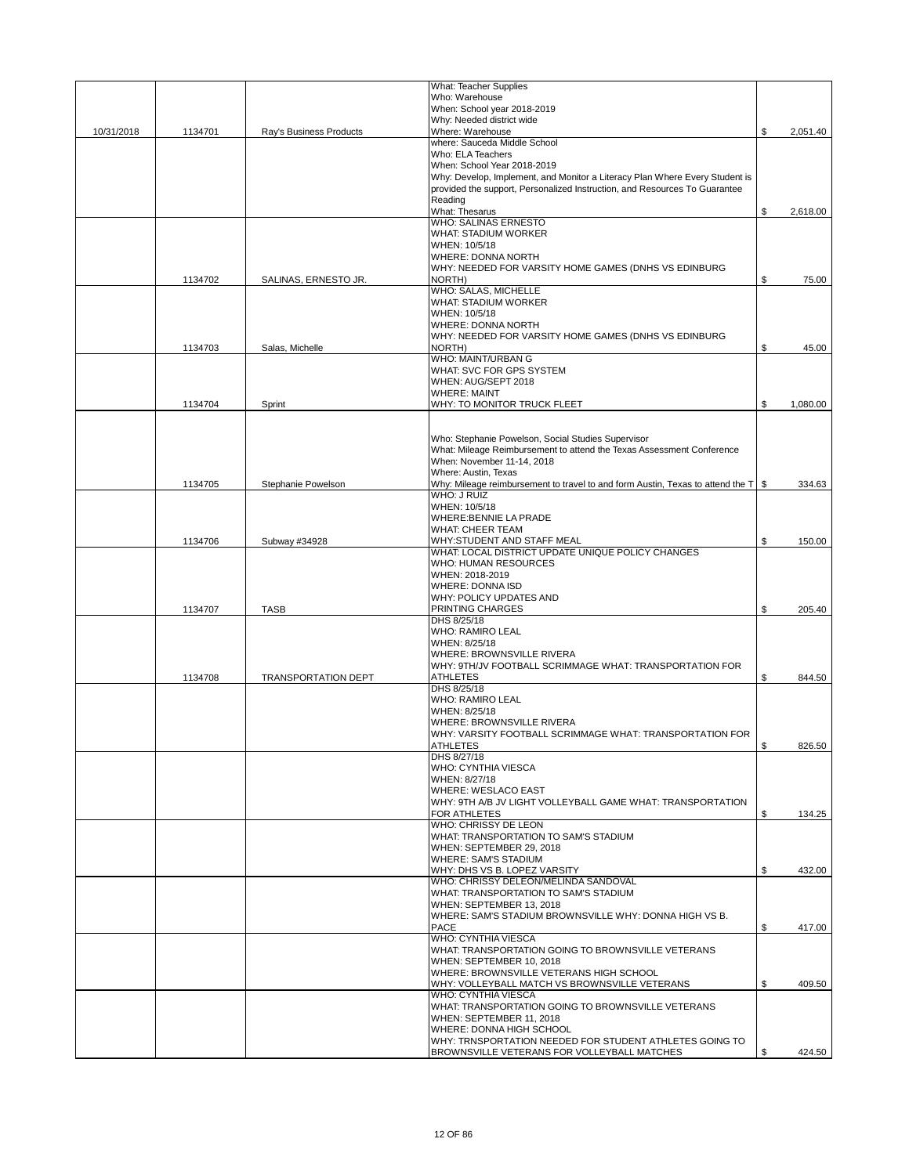|            |         |                            | <b>What: Teacher Supplies</b>                                                                     |                |
|------------|---------|----------------------------|---------------------------------------------------------------------------------------------------|----------------|
|            |         |                            | Who: Warehouse                                                                                    |                |
|            |         |                            | When: School year 2018-2019                                                                       |                |
|            |         |                            | Why: Needed district wide                                                                         |                |
| 10/31/2018 | 1134701 | Ray's Business Products    | Where: Warehouse<br>where: Sauceda Middle School                                                  | \$<br>2,051.40 |
|            |         |                            | Who: ELA Teachers                                                                                 |                |
|            |         |                            | When: School Year 2018-2019                                                                       |                |
|            |         |                            | Why: Develop, Implement, and Monitor a Literacy Plan Where Every Student is                       |                |
|            |         |                            | provided the support, Personalized Instruction, and Resources To Guarantee                        |                |
|            |         |                            | Reading                                                                                           |                |
|            |         |                            | What: Thesarus                                                                                    | \$<br>2,618.00 |
|            |         |                            | <b>WHO: SALINAS ERNESTO</b><br><b>WHAT: STADIUM WORKER</b>                                        |                |
|            |         |                            | WHEN: 10/5/18                                                                                     |                |
|            |         |                            | <b>WHERE: DONNA NORTH</b>                                                                         |                |
|            |         |                            | WHY: NEEDED FOR VARSITY HOME GAMES (DNHS VS EDINBURG                                              |                |
|            | 1134702 | SALINAS, ERNESTO JR.       | NORTH)                                                                                            | \$<br>75.00    |
|            |         |                            | WHO: SALAS, MICHELLE                                                                              |                |
|            |         |                            | <b>WHAT: STADIUM WORKER</b>                                                                       |                |
|            |         |                            | WHEN: 10/5/18                                                                                     |                |
|            |         |                            | <b>WHERE: DONNA NORTH</b>                                                                         |                |
|            | 1134703 | Salas, Michelle            | WHY: NEEDED FOR VARSITY HOME GAMES (DNHS VS EDINBURG<br>NORTH)                                    | \$<br>45.00    |
|            |         |                            | WHO: MAINT/URBAN G                                                                                |                |
|            |         |                            | WHAT: SVC FOR GPS SYSTEM                                                                          |                |
|            |         |                            | WHEN: AUG/SEPT 2018                                                                               |                |
|            |         |                            | <b>WHERE: MAINT</b>                                                                               |                |
|            | 1134704 | Sprint                     | WHY: TO MONITOR TRUCK FLEET                                                                       | \$<br>1.080.00 |
|            |         |                            |                                                                                                   |                |
|            |         |                            | Who: Stephanie Powelson, Social Studies Supervisor                                                |                |
|            |         |                            | What: Mileage Reimbursement to attend the Texas Assessment Conference                             |                |
|            |         |                            | When: November 11-14, 2018                                                                        |                |
|            |         |                            | Where: Austin, Texas                                                                              |                |
|            | 1134705 | Stephanie Powelson         | Why: Mileage reimbursement to travel to and form Austin, Texas to attend the $T \mid \mathcal{S}$ | 334.63         |
|            |         |                            | WHO: J RUIZ                                                                                       |                |
|            |         |                            | WHEN: 10/5/18                                                                                     |                |
|            |         |                            | <b>WHERE:BENNIE LA PRADE</b>                                                                      |                |
|            |         |                            | <b>WHAT: CHEER TEAM</b>                                                                           |                |
|            | 1134706 | Subway #34928              | WHY:STUDENT AND STAFF MEAL<br>WHAT: LOCAL DISTRICT UPDATE UNIQUE POLICY CHANGES                   | \$<br>150.00   |
|            |         |                            | WHO: HUMAN RESOURCES                                                                              |                |
|            |         |                            | WHEN: 2018-2019                                                                                   |                |
|            |         |                            | <b>WHERE: DONNA ISD</b>                                                                           |                |
|            |         |                            | WHY: POLICY UPDATES AND                                                                           |                |
|            | 1134707 | <b>TASB</b>                | PRINTING CHARGES                                                                                  | \$<br>205.40   |
|            |         |                            | DHS 8/25/18                                                                                       |                |
|            |         |                            | <b>WHO: RAMIRO LEAL</b>                                                                           |                |
|            |         |                            | WHEN: 8/25/18                                                                                     |                |
|            |         |                            | WHERE: BROWNSVILLE RIVERA<br>WHY: 9TH/JV FOOTBALL SCRIMMAGE WHAT: TRANSPORTATION FOR              |                |
|            | 1134708 | <b>TRANSPORTATION DEPT</b> | <b>ATHLETES</b>                                                                                   | \$<br>844.50   |
|            |         |                            | DHS 8/25/18                                                                                       |                |
|            |         |                            | <b>WHO: RAMIRO LEAL</b>                                                                           |                |
|            |         |                            | WHEN: 8/25/18                                                                                     |                |
|            |         |                            | WHERE: BROWNSVILLE RIVERA                                                                         |                |
|            |         |                            | WHY: VARSITY FOOTBALL SCRIMMAGE WHAT: TRANSPORTATION FOR                                          |                |
|            |         |                            | AIHLEIES                                                                                          | \$<br>826.50   |
|            |         |                            | DHS 8/27/18                                                                                       |                |
|            |         |                            | <b>WHO: CYNTHIA VIESCA</b><br>WHEN: 8/27/18                                                       |                |
|            |         |                            | <b>WHERE: WESLACO EAST</b>                                                                        |                |
|            |         |                            | WHY: 9TH A/B JV LIGHT VOLLEYBALL GAME WHAT: TRANSPORTATION                                        |                |
|            |         |                            | <b>FOR ATHLETES</b>                                                                               | \$<br>134.25   |
|            |         |                            | WHO: CHRISSY DE LEON                                                                              |                |
|            |         |                            | WHAT: TRANSPORTATION TO SAM'S STADIUM                                                             |                |
|            |         |                            | WHEN: SEPTEMBER 29, 2018                                                                          |                |
|            |         |                            | <b>WHERE: SAM'S STADIUM</b>                                                                       |                |
|            |         |                            | WHY: DHS VS B. LOPEZ VARSITY<br>WHO: CHRISSY DELEON/MELINDA SANDOVAL                              | \$<br>432.00   |
|            |         |                            | WHAT: TRANSPORTATION TO SAM'S STADIUM                                                             |                |
|            |         |                            | WHEN: SEPTEMBER 13, 2018                                                                          |                |
|            |         |                            | WHERE: SAM'S STADIUM BROWNSVILLE WHY: DONNA HIGH VS B.                                            |                |
|            |         |                            | <b>PACE</b>                                                                                       | \$<br>417.00   |
|            |         |                            | <b>WHO: CYNTHIA VIESCA</b>                                                                        |                |
|            |         |                            | WHAT: TRANSPORTATION GOING TO BROWNSVILLE VETERANS                                                |                |
|            |         |                            | WHEN: SEPTEMBER 10, 2018                                                                          |                |
|            |         |                            | WHERE: BROWNSVILLE VETERANS HIGH SCHOOL                                                           | \$             |
|            |         |                            | WHY: VOLLEYBALL MATCH VS BROWNSVILLE VETERANS<br>WHO: CYNTHIA VIESCA                              | 409.50         |
|            |         |                            | WHAT: TRANSPORTATION GOING TO BROWNSVILLE VETERANS                                                |                |
|            |         |                            | WHEN: SEPTEMBER 11, 2018                                                                          |                |
|            |         |                            | WHERE: DONNA HIGH SCHOOL                                                                          |                |
|            |         |                            | WHY: TRNSPORTATION NEEDED FOR STUDENT ATHLETES GOING TO                                           |                |
|            |         |                            | BROWNSVILLE VETERANS FOR VOLLEYBALL MATCHES                                                       | \$<br>424.50   |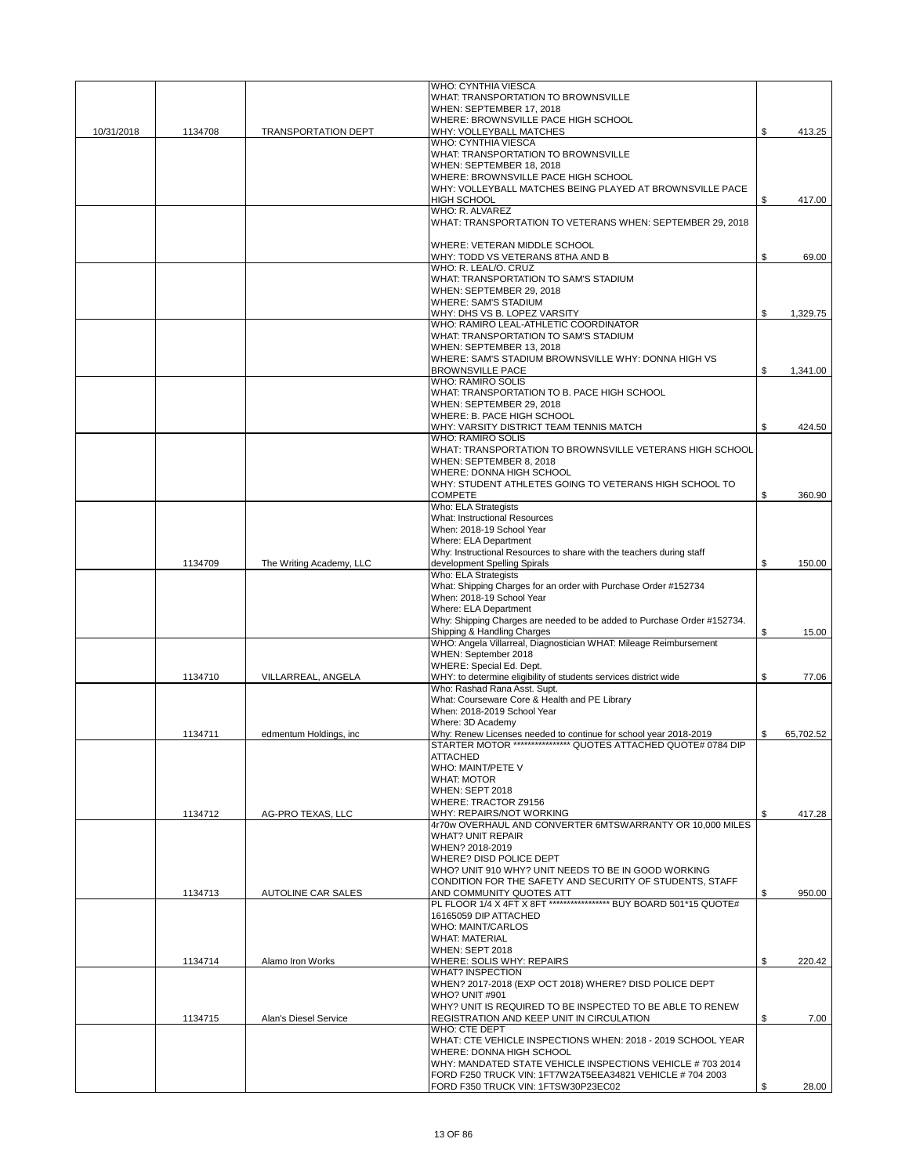|            |         |                            | <b>WHO: CYNTHIA VIESCA</b>                                                                             |                 |
|------------|---------|----------------------------|--------------------------------------------------------------------------------------------------------|-----------------|
|            |         |                            | WHAT: TRANSPORTATION TO BROWNSVILLE                                                                    |                 |
|            |         |                            | WHEN: SEPTEMBER 17, 2018                                                                               |                 |
| 10/31/2018 | 1134708 | <b>TRANSPORTATION DEPT</b> | WHERE: BROWNSVILLE PACE HIGH SCHOOL<br>WHY: VOLLEYBALL MATCHES                                         | \$<br>413.25    |
|            |         |                            | WHO: CYNTHIA VIESCA                                                                                    |                 |
|            |         |                            | WHAT: TRANSPORTATION TO BROWNSVILLE                                                                    |                 |
|            |         |                            | WHEN: SEPTEMBER 18, 2018                                                                               |                 |
|            |         |                            | WHERE: BROWNSVILLE PACE HIGH SCHOOL                                                                    |                 |
|            |         |                            | WHY: VOLLEYBALL MATCHES BEING PLAYED AT BROWNSVILLE PACE<br><b>HIGH SCHOOL</b>                         |                 |
|            |         |                            | WHO: R. ALVAREZ                                                                                        | \$<br>417.00    |
|            |         |                            | WHAT: TRANSPORTATION TO VETERANS WHEN: SEPTEMBER 29, 2018                                              |                 |
|            |         |                            |                                                                                                        |                 |
|            |         |                            | WHERE: VETERAN MIDDLE SCHOOL                                                                           |                 |
|            |         |                            | WHY: TODD VS VETERANS 8THA AND B<br>WHO: R. LEAL/O. CRUZ                                               | \$<br>69.00     |
|            |         |                            | WHAT: TRANSPORTATION TO SAM'S STADIUM                                                                  |                 |
|            |         |                            | WHEN: SEPTEMBER 29, 2018                                                                               |                 |
|            |         |                            | <b>WHERE: SAM'S STADIUM</b>                                                                            |                 |
|            |         |                            | WHY: DHS VS B. LOPEZ VARSITY                                                                           | \$<br>1,329.75  |
|            |         |                            | WHO: RAMIRO LEAL-ATHLETIC COORDINATOR                                                                  |                 |
|            |         |                            | WHAT: TRANSPORTATION TO SAM'S STADIUM<br>WHEN: SEPTEMBER 13, 2018                                      |                 |
|            |         |                            | WHERE: SAM'S STADIUM BROWNSVILLE WHY: DONNA HIGH VS                                                    |                 |
|            |         |                            | <b>BROWNSVILLE PACE</b>                                                                                | \$<br>1,341.00  |
|            |         |                            | <b>WHO: RAMIRO SOLIS</b>                                                                               |                 |
|            |         |                            | WHAT: TRANSPORTATION TO B. PACE HIGH SCHOOL                                                            |                 |
|            |         |                            | WHEN: SEPTEMBER 29, 2018<br>WHERE: B. PACE HIGH SCHOOL                                                 |                 |
|            |         |                            | WHY: VARSITY DISTRICT TEAM TENNIS MATCH                                                                | \$<br>424.50    |
|            |         |                            | <b>WHO: RAMIRO SOLIS</b>                                                                               |                 |
|            |         |                            | WHAT: TRANSPORTATION TO BROWNSVILLE VETERANS HIGH SCHOOL                                               |                 |
|            |         |                            | WHEN: SEPTEMBER 8, 2018                                                                                |                 |
|            |         |                            | WHERE: DONNA HIGH SCHOOL                                                                               |                 |
|            |         |                            | WHY: STUDENT ATHLETES GOING TO VETERANS HIGH SCHOOL TO<br><b>COMPETE</b>                               | \$<br>360.90    |
|            |         |                            | <b>Who: ELA Strategists</b>                                                                            |                 |
|            |         |                            | <b>What: Instructional Resources</b>                                                                   |                 |
|            |         |                            | When: 2018-19 School Year                                                                              |                 |
|            |         |                            | Where: ELA Department                                                                                  |                 |
|            | 1134709 | The Writing Academy, LLC   | Why: Instructional Resources to share with the teachers during staff<br>development Spelling Spirals   | \$<br>150.00    |
|            |         |                            | Who: ELA Strategists                                                                                   |                 |
|            |         |                            | What: Shipping Charges for an order with Purchase Order #152734                                        |                 |
|            |         |                            | When: 2018-19 School Year                                                                              |                 |
|            |         |                            | Where: ELA Department                                                                                  |                 |
|            |         |                            | Why: Shipping Charges are needed to be added to Purchase Order #152734.<br>Shipping & Handling Charges | \$<br>15.00     |
|            |         |                            | WHO: Angela Villarreal, Diagnostician WHAT: Mileage Reimbursement                                      |                 |
|            |         |                            | WHEN: September 2018                                                                                   |                 |
|            |         |                            | WHERE: Special Ed. Dept.                                                                               |                 |
|            | 1134710 | VILLARREAL, ANGELA         | WHY: to determine eligibility of students services district wide                                       | \$<br>77.06     |
|            |         |                            | Who: Rashad Rana Asst. Supt.<br>What: Courseware Core & Health and PE Library                          |                 |
|            |         |                            | When: 2018-2019 School Year                                                                            |                 |
|            |         |                            | Where: 3D Academy                                                                                      |                 |
|            | 1134711 | edmentum Holdings, inc     | Why: Renew Licenses needed to continue for school year 2018-2019                                       | \$<br>65,702.52 |
|            |         |                            | STARTER MOTOR **************** QUOTES ATTACHED QUOTE# 0784 DIP                                         |                 |
|            |         |                            | <b>ATTACHED</b><br>WHO: MAINT/PETE V                                                                   |                 |
|            |         |                            | <b>WHAT: MOTOR</b>                                                                                     |                 |
|            |         |                            | WHEN: SEPT 2018                                                                                        |                 |
|            |         |                            | WHERE: TRACTOR Z9156                                                                                   |                 |
|            | 1134712 | AG-PRO TEXAS, LLC          | WHY: REPAIRS/NOT WORKING                                                                               | \$<br>417.28    |
|            |         |                            | 4r70w OVERHAUL AND CONVERTER 6MTSWARRANTY OR 10,000 MILES<br><b>WHAT? UNIT REPAIR</b>                  |                 |
|            |         |                            | WHEN? 2018-2019                                                                                        |                 |
|            |         |                            | WHERE? DISD POLICE DEPT                                                                                |                 |
|            |         |                            | WHO? UNIT 910 WHY? UNIT NEEDS TO BE IN GOOD WORKING                                                    |                 |
|            |         |                            | CONDITION FOR THE SAFETY AND SECURITY OF STUDENTS, STAFF                                               |                 |
|            | 1134713 | AUTOLINE CAR SALES         | AND COMMUNITY QUOTES ATT<br>PL FLOOR 1/4 X 4FT X 8FT ***************** BUY BOARD 501*15 QUOTE#         | \$<br>950.00    |
|            |         |                            | 16165059 DIP ATTACHED                                                                                  |                 |
|            |         |                            | <b>WHO: MAINT/CARLOS</b>                                                                               |                 |
|            |         |                            | <b>WHAT: MATERIAL</b>                                                                                  |                 |
|            | 1134714 | Alamo Iron Works           | WHEN: SEPT 2018<br>WHERE: SOLIS WHY: REPAIRS                                                           | \$<br>220.42    |
|            |         |                            | <b>WHAT? INSPECTION</b>                                                                                |                 |
|            |         |                            | WHEN? 2017-2018 (EXP OCT 2018) WHERE? DISD POLICE DEPT                                                 |                 |
|            |         |                            | <b>WHO? UNIT #901</b>                                                                                  |                 |
|            |         |                            | WHY? UNIT IS REQUIRED TO BE INSPECTED TO BE ABLE TO RENEW                                              |                 |
|            | 1134715 | Alan's Diesel Service      | REGISTRATION AND KEEP UNIT IN CIRCULATION<br><b>WHO: CTE DEPT</b>                                      | \$<br>7.00      |
|            |         |                            | WHAT: CTE VEHICLE INSPECTIONS WHEN: 2018 - 2019 SCHOOL YEAR                                            |                 |
|            |         |                            | WHERE: DONNA HIGH SCHOOL                                                                               |                 |
|            |         |                            | WHY: MANDATED STATE VEHICLE INSPECTIONS VEHICLE # 703 2014                                             |                 |
|            |         |                            | FORD F250 TRUCK VIN: 1FT7W2AT5EEA34821 VEHICLE #704 2003<br>FORD F350 TRUCK VIN: 1FTSW30P23EC02        | \$<br>28.00     |
|            |         |                            |                                                                                                        |                 |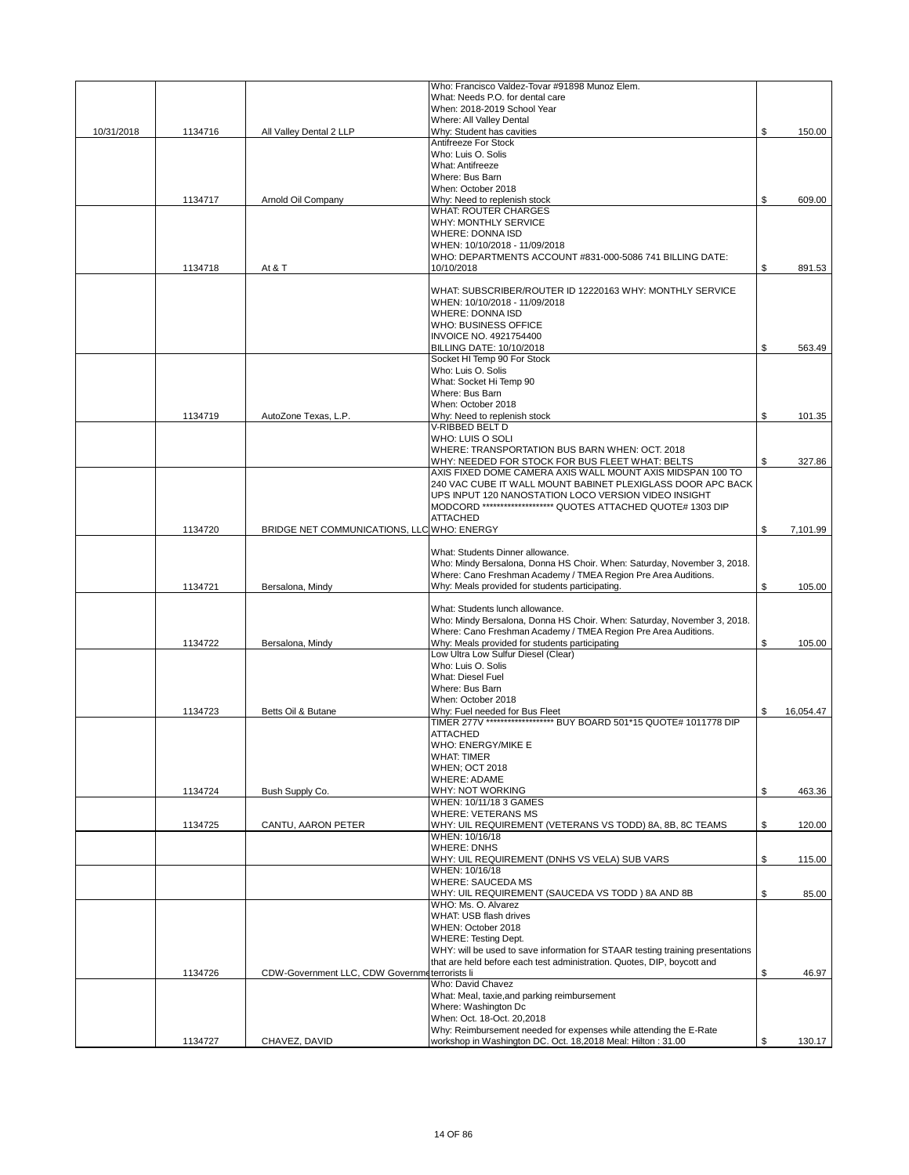|            |         |                                               | Who: Francisco Valdez-Tovar #91898 Munoz Elem.                                                                                   |                 |
|------------|---------|-----------------------------------------------|----------------------------------------------------------------------------------------------------------------------------------|-----------------|
|            |         |                                               | What: Needs P.O. for dental care<br>When: 2018-2019 School Year                                                                  |                 |
|            |         |                                               | Where: All Valley Dental                                                                                                         |                 |
| 10/31/2018 | 1134716 | All Valley Dental 2 LLP                       | Why: Student has cavities                                                                                                        | \$<br>150.00    |
|            |         |                                               | Antifreeze For Stock                                                                                                             |                 |
|            |         |                                               | Who: Luis O. Solis<br>What: Antifreeze                                                                                           |                 |
|            |         |                                               | Where: Bus Barn                                                                                                                  |                 |
|            |         |                                               | When: October 2018                                                                                                               |                 |
|            | 1134717 | Arnold Oil Company                            | Why: Need to replenish stock<br><b>WHAT: ROUTER CHARGES</b>                                                                      | \$<br>609.00    |
|            |         |                                               | <b>WHY: MONTHLY SERVICE</b>                                                                                                      |                 |
|            |         |                                               | <b>WHERE: DONNA ISD</b>                                                                                                          |                 |
|            |         |                                               | WHEN: 10/10/2018 - 11/09/2018                                                                                                    |                 |
|            |         |                                               | WHO: DEPARTMENTS ACCOUNT #831-000-5086 741 BILLING DATE:<br>10/10/2018                                                           | \$<br>891.53    |
|            | 1134718 | At & T                                        |                                                                                                                                  |                 |
|            |         |                                               | WHAT: SUBSCRIBER/ROUTER ID 12220163 WHY: MONTHLY SERVICE                                                                         |                 |
|            |         |                                               | WHEN: 10/10/2018 - 11/09/2018                                                                                                    |                 |
|            |         |                                               | <b>WHERE: DONNA ISD</b><br>WHO: BUSINESS OFFICE                                                                                  |                 |
|            |         |                                               | <b>INVOICE NO. 4921754400</b>                                                                                                    |                 |
|            |         |                                               | BILLING DATE: 10/10/2018                                                                                                         | \$<br>563.49    |
|            |         |                                               | Socket HI Temp 90 For Stock                                                                                                      |                 |
|            |         |                                               | Who: Luis O. Solis                                                                                                               |                 |
|            |         |                                               | What: Socket Hi Temp 90<br>Where: Bus Barn                                                                                       |                 |
|            |         |                                               | When: October 2018                                                                                                               |                 |
|            | 1134719 | AutoZone Texas, L.P.                          | Why: Need to replenish stock                                                                                                     | \$<br>101.35    |
|            |         |                                               | V-RIBBED BELT D                                                                                                                  |                 |
|            |         |                                               | WHO: LUIS O SOLI                                                                                                                 |                 |
|            |         |                                               | WHERE: TRANSPORTATION BUS BARN WHEN: OCT. 2018<br>WHY: NEEDED FOR STOCK FOR BUS FLEET WHAT: BELTS                                | \$<br>327.86    |
|            |         |                                               | AXIS FIXED DOME CAMERA AXIS WALL MOUNT AXIS MIDSPAN 100 TO                                                                       |                 |
|            |         |                                               | 240 VAC CUBE IT WALL MOUNT BABINET PLEXIGLASS DOOR APC BACK                                                                      |                 |
|            |         |                                               | UPS INPUT 120 NANOSTATION LOCO VERSION VIDEO INSIGHT                                                                             |                 |
|            |         |                                               | MODCORD ******************** QUOTES ATTACHED QUOTE# 1303 DIP                                                                     |                 |
|            | 1134720 | BRIDGE NET COMMUNICATIONS, LLC WHO: ENERGY    | <b>ATTACHED</b>                                                                                                                  | \$<br>7,101.99  |
|            |         |                                               |                                                                                                                                  |                 |
|            |         |                                               | What: Students Dinner allowance.                                                                                                 |                 |
|            |         |                                               | Who: Mindy Bersalona, Donna HS Choir. When: Saturday, November 3, 2018.                                                          |                 |
|            |         |                                               | Where: Cano Freshman Academy / TMEA Region Pre Area Auditions.                                                                   |                 |
|            | 1134721 | Bersalona, Mindy                              | Why: Meals provided for students participating.                                                                                  | \$<br>105.00    |
|            |         |                                               | What: Students lunch allowance.                                                                                                  |                 |
|            |         |                                               | Who: Mindy Bersalona, Donna HS Choir. When: Saturday, November 3, 2018.                                                          |                 |
|            |         |                                               | Where: Cano Freshman Academy / TMEA Region Pre Area Auditions.                                                                   |                 |
|            | 1134722 | Bersalona, Mindy                              | Why: Meals provided for students participating<br>Low Ultra Low Sulfur Diesel (Clear)                                            | \$<br>105.00    |
|            |         |                                               | Who: Luis O. Solis                                                                                                               |                 |
|            |         |                                               | <b>What: Diesel Fuel</b>                                                                                                         |                 |
|            |         |                                               | Where: Bus Barn                                                                                                                  |                 |
|            |         |                                               | When: October 2018                                                                                                               |                 |
|            | 1134723 | Betts Oil & Butane                            | Why: Fuel needed for Bus Fleet<br>TIMER 277V ******************* BUY BOARD 501*15 QUOTE# 1011778 DIP                             | \$<br>16.054.47 |
|            |         |                                               | <b>ATTACHED</b>                                                                                                                  |                 |
|            |         |                                               | WHO: ENERGY/MIKE E                                                                                                               |                 |
|            |         |                                               | <b>WHAT: TIMER</b>                                                                                                               |                 |
|            |         |                                               | <b>WHEN; OCT 2018</b><br>WHERE: ADAME                                                                                            |                 |
|            | 1134724 | Bush Supply Co.                               | WHY: NOT WORKING                                                                                                                 | \$<br>463.36    |
|            |         |                                               | WHEN: 10/11/18 3 GAMES                                                                                                           |                 |
|            |         |                                               | <b>WHERE: VETERANS MS</b>                                                                                                        |                 |
|            | 1134725 | CANTU, AARON PETER                            | WHY: UIL REQUIREMENT (VETERANS VS TODD) 8A, 8B, 8C TEAMS                                                                         | \$<br>120.00    |
|            |         |                                               | WHEN: 10/16/18<br><b>WHERE: DNHS</b>                                                                                             |                 |
|            |         |                                               | WHY: UIL REQUIREMENT (DNHS VS VELA) SUB VARS                                                                                     | \$<br>115.00    |
|            |         |                                               | WHEN: 10/16/18                                                                                                                   |                 |
|            |         |                                               | <b>WHERE: SAUCEDA MS</b>                                                                                                         |                 |
|            |         |                                               | WHY: UIL REQUIREMENT (SAUCEDA VS TODD) 8A AND 8B<br>WHO: Ms. O. Alvarez                                                          | \$<br>85.00     |
|            |         |                                               | WHAT: USB flash drives                                                                                                           |                 |
|            |         |                                               | WHEN: October 2018                                                                                                               |                 |
|            |         |                                               | <b>WHERE: Testing Dept.</b>                                                                                                      |                 |
|            |         |                                               | WHY: will be used to save information for STAAR testing training presentations                                                   |                 |
|            | 1134726 | CDW-Government LLC, CDW Governmeterrorists li | that are held before each test administration. Quotes, DIP, boycott and                                                          | \$<br>46.97     |
|            |         |                                               | Who: David Chavez                                                                                                                |                 |
|            |         |                                               | What: Meal, taxie, and parking reimbursement                                                                                     |                 |
|            |         |                                               | Where: Washington Dc                                                                                                             |                 |
|            |         |                                               | When: Oct. 18-Oct. 20,2018                                                                                                       |                 |
|            | 1134727 | CHAVEZ, DAVID                                 | Why: Reimbursement needed for expenses while attending the E-Rate<br>workshop in Washington DC. Oct. 18,2018 Meal: Hilton: 31.00 | \$<br>130.17    |
|            |         |                                               |                                                                                                                                  |                 |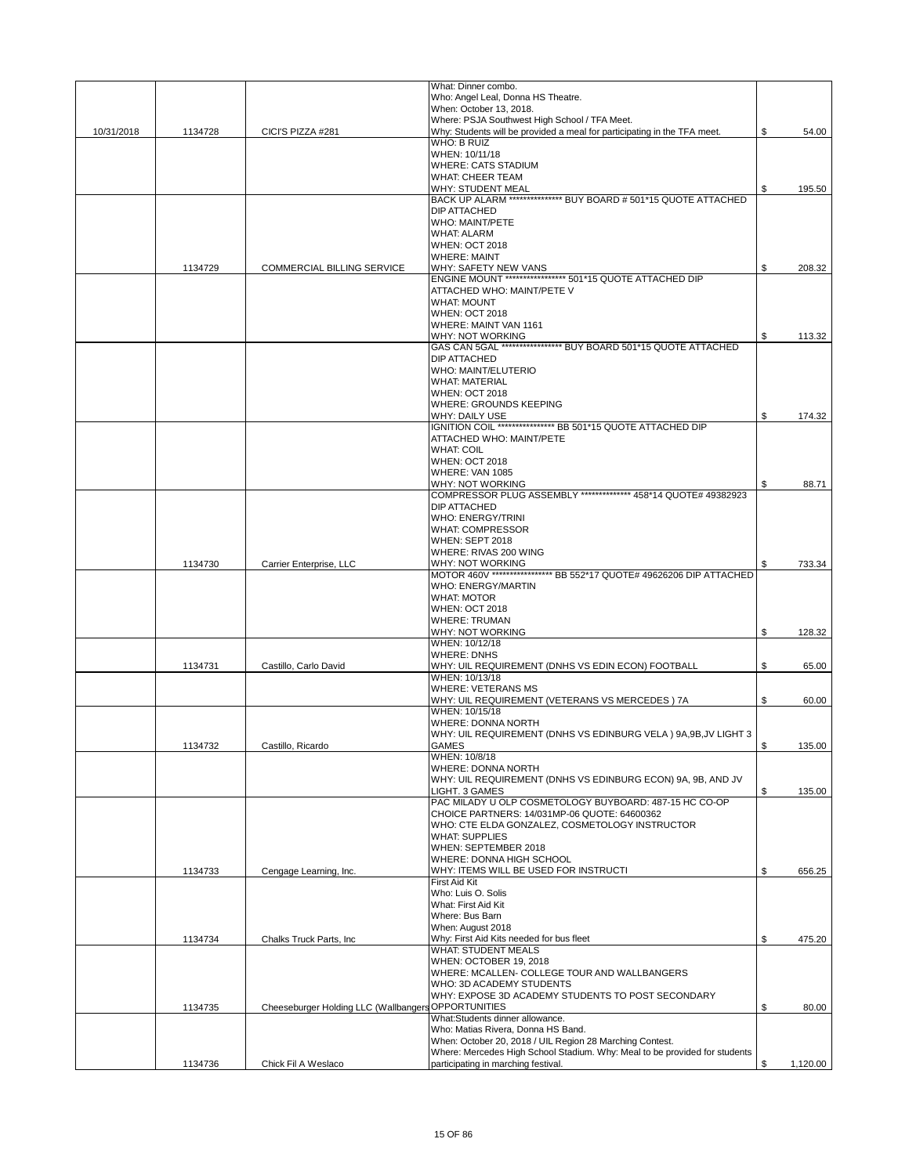|            |         |                                                     | What: Dinner combo.                                                                            |                |
|------------|---------|-----------------------------------------------------|------------------------------------------------------------------------------------------------|----------------|
|            |         |                                                     | Who: Angel Leal, Donna HS Theatre.                                                             |                |
|            |         |                                                     | When: October 13, 2018.<br>Where: PSJA Southwest High School / TFA Meet.                       |                |
| 10/31/2018 | 1134728 | CICI'S PIZZA #281                                   | Why: Students will be provided a meal for participating in the TFA meet.                       | \$<br>54.00    |
|            |         |                                                     | <b>WHO: B RUIZ</b>                                                                             |                |
|            |         |                                                     | WHEN: 10/11/18                                                                                 |                |
|            |         |                                                     | <b>WHERE: CATS STADIUM</b>                                                                     |                |
|            |         |                                                     | <b>WHAT: CHEER TEAM</b><br><b>WHY: STUDENT MEAL</b>                                            | \$<br>195.50   |
|            |         |                                                     | BACK UP ALARM *************** BUY BOARD # 501*15 QUOTE ATTACHED                                |                |
|            |         |                                                     | DIP ATTACHED                                                                                   |                |
|            |         |                                                     | <b>WHO: MAINT/PETE</b>                                                                         |                |
|            |         |                                                     | <b>WHAT: ALARM</b>                                                                             |                |
|            |         |                                                     | <b>WHEN: OCT 2018</b>                                                                          |                |
|            | 1134729 | <b>COMMERCIAL BILLING SERVICE</b>                   | <b>WHERE: MAINT</b><br>WHY: SAFETY NEW VANS                                                    | \$<br>208.32   |
|            |         |                                                     | ENGINE MOUNT ***************** 501*15 QUOTE ATTACHED DIP                                       |                |
|            |         |                                                     | ATTACHED WHO: MAINT/PETE V                                                                     |                |
|            |         |                                                     | <b>WHAT: MOUNT</b>                                                                             |                |
|            |         |                                                     | <b>WHEN: OCT 2018</b>                                                                          |                |
|            |         |                                                     | WHERE: MAINT VAN 1161                                                                          |                |
|            |         |                                                     | WHY: NOT WORKING<br>GAS CAN 5GAL ***************** BUY BOARD 501*15 QUOTE ATTACHED             | \$<br>113.32   |
|            |         |                                                     | <b>DIP ATTACHED</b>                                                                            |                |
|            |         |                                                     | <b>WHO: MAINT/ELUTERIO</b>                                                                     |                |
|            |         |                                                     | <b>WHAT: MATERIAL</b>                                                                          |                |
|            |         |                                                     | <b>WHEN: OCT 2018</b>                                                                          |                |
|            |         |                                                     | <b>WHERE: GROUNDS KEEPING</b><br>WHY: DAILY USE                                                | \$<br>174.32   |
|            |         |                                                     | IGNITION COIL ***************** BB 501*15 QUOTE ATTACHED DIP                                   |                |
|            |         |                                                     | ATTACHED WHO: MAINT/PETE                                                                       |                |
|            |         |                                                     | <b>WHAT: COIL</b>                                                                              |                |
|            |         |                                                     | <b>WHEN: OCT 2018</b>                                                                          |                |
|            |         |                                                     | WHERE: VAN 1085                                                                                |                |
|            |         |                                                     | WHY: NOT WORKING<br>COMPRESSOR PLUG ASSEMBLY ************** 458*14 QUOTE# 49382923             | \$<br>88.71    |
|            |         |                                                     | <b>DIP ATTACHED</b>                                                                            |                |
|            |         |                                                     | <b>WHO: ENERGY/TRINI</b>                                                                       |                |
|            |         |                                                     | <b>WHAT: COMPRESSOR</b>                                                                        |                |
|            |         |                                                     | WHEN: SEPT 2018                                                                                |                |
|            | 1134730 | Carrier Enterprise, LLC                             | WHERE: RIVAS 200 WING<br>WHY: NOT WORKING                                                      | \$<br>733.34   |
|            |         |                                                     | MOTOR 460V ***************** BB 552*17 QUOTE# 49626206 DIP ATTACHED                            |                |
|            |         |                                                     | <b>WHO: ENERGY/MARTIN</b>                                                                      |                |
|            |         |                                                     | <b>WHAT: MOTOR</b>                                                                             |                |
|            |         |                                                     | <b>WHEN: OCT 2018</b><br><b>WHERE: TRUMAN</b>                                                  |                |
|            |         |                                                     | <b>WHY: NOT WORKING</b>                                                                        | \$<br>128.32   |
|            |         |                                                     | WHEN: 10/12/18                                                                                 |                |
|            |         |                                                     | <b>WHERE: DNHS</b>                                                                             |                |
|            | 1134731 | Castillo, Carlo David                               | WHY: UIL REQUIREMENT (DNHS VS EDIN ECON) FOOTBALL                                              | \$<br>65.00    |
|            |         |                                                     | WHEN: 10/13/18<br><b>WHERE: VETERANS MS</b>                                                    |                |
|            |         |                                                     | WHY: UIL REQUIREMENT (VETERANS VS MERCEDES) 7A                                                 | \$<br>60.00    |
|            |         |                                                     | WHEN: 10/15/18                                                                                 |                |
|            |         |                                                     | <b>WHERE: DONNA NORTH</b>                                                                      |                |
|            |         |                                                     | WHY: UIL REQUIREMENT (DNHS VS EDINBURG VELA) 9A, 9B, JV LIGHT 3                                |                |
|            | 1134732 | Castillo, Ricardo                                   | GAMES<br>WHEN: 10/8/18                                                                         | \$<br>135.00   |
|            |         |                                                     | WHERE: DONNA NORTH                                                                             |                |
|            |         |                                                     | WHY: UIL REQUIREMENT (DNHS VS EDINBURG ECON) 9A, 9B, AND JV                                    |                |
|            |         |                                                     | LIGHT, 3 GAMES                                                                                 | \$<br>135.00   |
|            |         |                                                     | PAC MILADY U OLP COSMETOLOGY BUYBOARD: 487-15 HC CO-OP                                         |                |
|            |         |                                                     | CHOICE PARTNERS: 14/031MP-06 QUOTE: 64600362                                                   |                |
|            |         |                                                     | WHO: CTE ELDA GONZALEZ, COSMETOLOGY INSTRUCTOR<br><b>WHAT: SUPPLIES</b>                        |                |
|            |         |                                                     | WHEN: SEPTEMBER 2018                                                                           |                |
|            |         |                                                     | WHERE: DONNA HIGH SCHOOL                                                                       |                |
|            | 1134733 | Cengage Learning, Inc.                              | WHY: ITEMS WILL BE USED FOR INSTRUCTI                                                          | \$<br>656.25   |
|            |         |                                                     | First Aid Kit                                                                                  |                |
|            |         |                                                     | Who: Luis O. Solis<br>What: First Aid Kit                                                      |                |
|            |         |                                                     | Where: Bus Barn                                                                                |                |
|            |         |                                                     | When: August 2018                                                                              |                |
|            | 1134734 | Chalks Truck Parts, Inc                             | Why: First Aid Kits needed for bus fleet                                                       | \$<br>475.20   |
|            |         |                                                     | <b>WHAT: STUDENT MEALS</b>                                                                     |                |
|            |         |                                                     | WHEN: OCTOBER 19, 2018<br>WHERE: MCALLEN- COLLEGE TOUR AND WALLBANGERS                         |                |
|            |         |                                                     | WHO: 3D ACADEMY STUDENTS                                                                       |                |
|            |         |                                                     | WHY: EXPOSE 3D ACADEMY STUDENTS TO POST SECONDARY                                              |                |
|            | 1134735 | Cheeseburger Holding LLC (Wallbangers OPPORTUNITIES |                                                                                                | \$<br>80.00    |
|            |         |                                                     | What:Students dinner allowance.                                                                |                |
|            |         |                                                     | Who: Matias Rivera, Donna HS Band.<br>When: October 20, 2018 / UIL Region 28 Marching Contest. |                |
|            |         |                                                     | Where: Mercedes High School Stadium. Why: Meal to be provided for students                     |                |
|            | 1134736 | Chick Fil A Weslaco                                 | participating in marching festival.                                                            | \$<br>1,120.00 |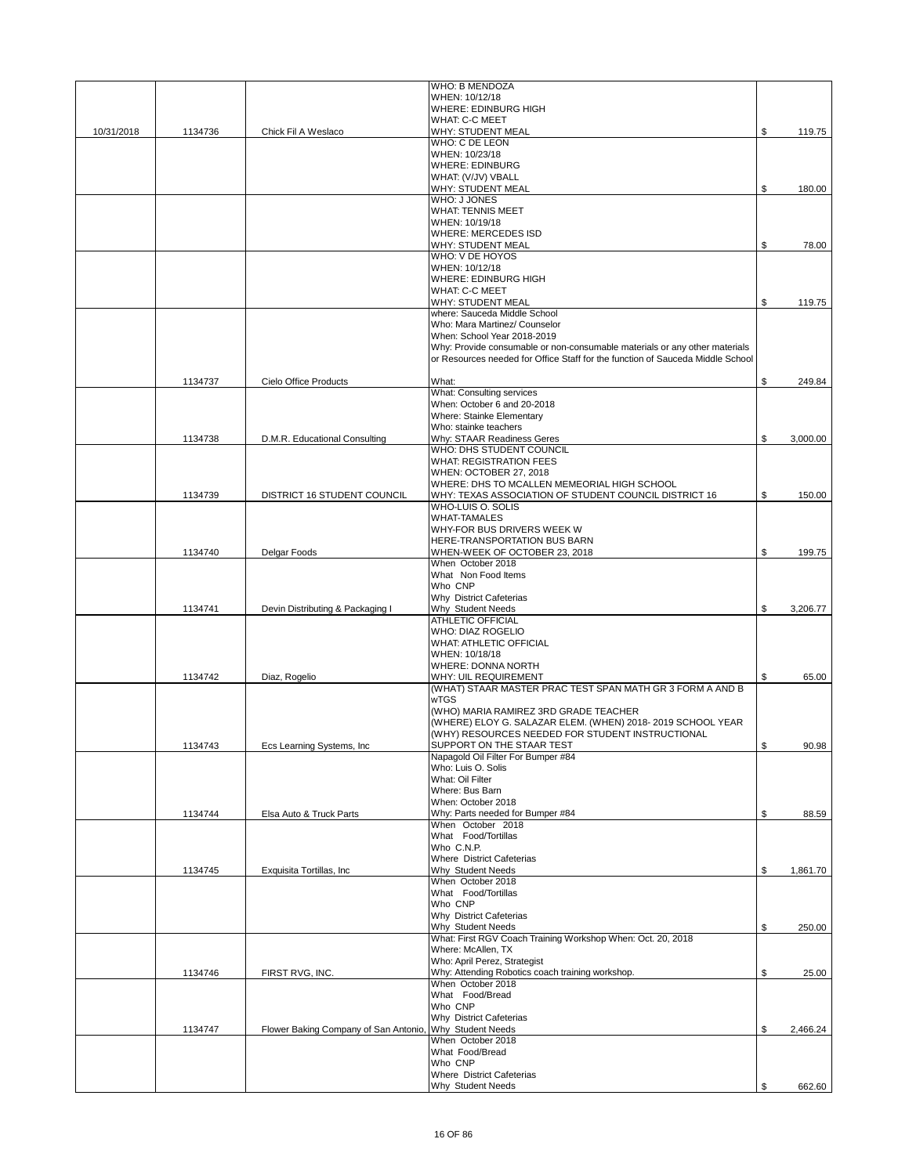|            |         |                                      | WHO: B MENDOZA                                                                 |                |
|------------|---------|--------------------------------------|--------------------------------------------------------------------------------|----------------|
|            |         |                                      | WHEN: 10/12/18                                                                 |                |
|            |         |                                      | WHERE: EDINBURG HIGH                                                           |                |
|            |         |                                      | <b>WHAT: C-C MEET</b>                                                          |                |
| 10/31/2018 | 1134736 | Chick Fil A Weslaco                  | WHY: STUDENT MEAL<br>WHO: C DE LEON                                            | \$<br>119.75   |
|            |         |                                      | WHEN: 10/23/18                                                                 |                |
|            |         |                                      | <b>WHERE: EDINBURG</b>                                                         |                |
|            |         |                                      | WHAT: (V/JV) VBALL                                                             |                |
|            |         |                                      | <b>WHY: STUDENT MEAL</b>                                                       | \$<br>180.00   |
|            |         |                                      | <b>WHO: J JONES</b>                                                            |                |
|            |         |                                      | <b>WHAT: TENNIS MEET</b>                                                       |                |
|            |         |                                      | WHEN: 10/19/18                                                                 |                |
|            |         |                                      | <b>WHERE: MERCEDES ISD</b>                                                     |                |
|            |         |                                      | <b>WHY: STUDENT MEAL</b>                                                       | \$<br>78.00    |
|            |         |                                      | WHO: V DE HOYOS                                                                |                |
|            |         |                                      | WHEN: 10/12/18<br><b>WHERE: EDINBURG HIGH</b>                                  |                |
|            |         |                                      | WHAT: C-C MEET                                                                 |                |
|            |         |                                      | <b>WHY: STUDENT MEAL</b>                                                       | \$<br>119.75   |
|            |         |                                      | where: Sauceda Middle School                                                   |                |
|            |         |                                      | Who: Mara Martinez/ Counselor                                                  |                |
|            |         |                                      | When: School Year 2018-2019                                                    |                |
|            |         |                                      | Why: Provide consumable or non-consumable materials or any other materials     |                |
|            |         |                                      | or Resources needed for Office Staff for the function of Sauceda Middle School |                |
|            |         |                                      |                                                                                |                |
|            | 1134737 | Cielo Office Products                | What:                                                                          | \$<br>249.84   |
|            |         |                                      | <b>What: Consulting services</b>                                               |                |
|            |         |                                      | When: October 6 and 20-2018                                                    |                |
|            |         |                                      | Where: Stainke Elementary                                                      |                |
|            |         |                                      | Who: stainke teachers                                                          |                |
|            | 1134738 | D.M.R. Educational Consulting        | Why: STAAR Readiness Geres                                                     | \$<br>3,000.00 |
|            |         |                                      | WHO: DHS STUDENT COUNCIL<br><b>WHAT: REGISTRATION FEES</b>                     |                |
|            |         |                                      | WHEN: OCTOBER 27, 2018                                                         |                |
|            |         |                                      | WHERE: DHS TO MCALLEN MEMEORIAL HIGH SCHOOL                                    |                |
|            | 1134739 | DISTRICT 16 STUDENT COUNCIL          | WHY: TEXAS ASSOCIATION OF STUDENT COUNCIL DISTRICT 16                          | \$<br>150.00   |
|            |         |                                      | WHO-LUIS O. SOLIS                                                              |                |
|            |         |                                      | <b>WHAT-TAMALES</b>                                                            |                |
|            |         |                                      | WHY-FOR BUS DRIVERS WEEK W                                                     |                |
|            |         |                                      | HERE-TRANSPORTATION BUS BARN                                                   |                |
|            | 1134740 | Delgar Foods                         | WHEN-WEEK OF OCTOBER 23, 2018                                                  | \$<br>199.75   |
|            |         |                                      | When October 2018                                                              |                |
|            |         |                                      | What Non Food Items                                                            |                |
|            |         |                                      | Who CNP                                                                        |                |
|            |         |                                      | Why District Cafeterias                                                        |                |
|            | 1134741 | Devin Distributing & Packaging I     | Why Student Needs<br>ATHLETIC OFFICIAL                                         | \$<br>3,206.77 |
|            |         |                                      | <b>WHO: DIAZ ROGELIO</b>                                                       |                |
|            |         |                                      | <b>WHAT: ATHLETIC OFFICIAL</b>                                                 |                |
|            |         |                                      | WHEN: 10/18/18                                                                 |                |
|            |         |                                      | <b>WHERE: DONNA NORTH</b>                                                      |                |
|            | 1134742 | Diaz, Rogelio                        | <b>WHY: UIL REQUIREMENT</b>                                                    | \$<br>65.00    |
|            |         |                                      | (WHAT) STAAR MASTER PRAC TEST SPAN MATH GR 3 FORM A AND B                      |                |
|            |         |                                      | <b>wTGS</b>                                                                    |                |
|            |         |                                      | (WHO) MARIA RAMIREZ 3RD GRADE TEACHER                                          |                |
|            |         |                                      | (WHERE) ELOY G. SALAZAR ELEM. (WHEN) 2018-2019 SCHOOL YEAR                     |                |
|            |         |                                      | (WHY) RESOURCES NEEDED FOR STUDENT INSTRUCTIONAL                               |                |
|            | 1134743 | Ecs Learning Systems, Inc            | SUPPORT ON THE STAAR TEST                                                      | 90.98          |
|            |         |                                      | Napagold Oil Filter For Bumper #84<br>Who: Luis O. Solis                       |                |
|            |         |                                      | What: Oil Filter                                                               |                |
|            |         |                                      | Where: Bus Barn                                                                |                |
|            |         |                                      | When: October 2018                                                             |                |
|            | 1134744 | Elsa Auto & Truck Parts              | Why: Parts needed for Bumper #84                                               | \$<br>88.59    |
|            |         |                                      | When October 2018                                                              |                |
|            |         |                                      | What Food/Tortillas                                                            |                |
|            |         |                                      | Who C.N.P.                                                                     |                |
|            |         |                                      | <b>Where District Cafeterias</b>                                               |                |
|            | 1134745 | Exquisita Tortillas, Inc.            | Why Student Needs                                                              | \$<br>1,861.70 |
|            |         |                                      | When October 2018                                                              |                |
|            |         |                                      | What Food/Tortillas<br>Who CNP                                                 |                |
|            |         |                                      | Why District Cafeterias                                                        |                |
|            |         |                                      | Why Student Needs                                                              | \$<br>250.00   |
|            |         |                                      | What: First RGV Coach Training Workshop When: Oct. 20, 2018                    |                |
|            |         |                                      | Where: McAllen, TX                                                             |                |
|            |         |                                      | Who: April Perez, Strategist                                                   |                |
|            | 1134746 | FIRST RVG, INC.                      | Why: Attending Robotics coach training workshop.                               | \$<br>25.00    |
|            |         |                                      | When October 2018                                                              |                |
|            |         |                                      | What Food/Bread                                                                |                |
|            |         |                                      | Who CNP                                                                        |                |
|            |         |                                      | Why District Cafeterias                                                        |                |
|            | 1134747 | Flower Baking Company of San Antonio | Why Student Needs<br>When October 2018                                         | \$<br>2,466.24 |
|            |         |                                      | What Food/Bread                                                                |                |
|            |         |                                      | Who CNP                                                                        |                |
|            |         |                                      | Where District Cafeterias                                                      |                |
|            |         |                                      | Why Student Needs                                                              | \$<br>662.60   |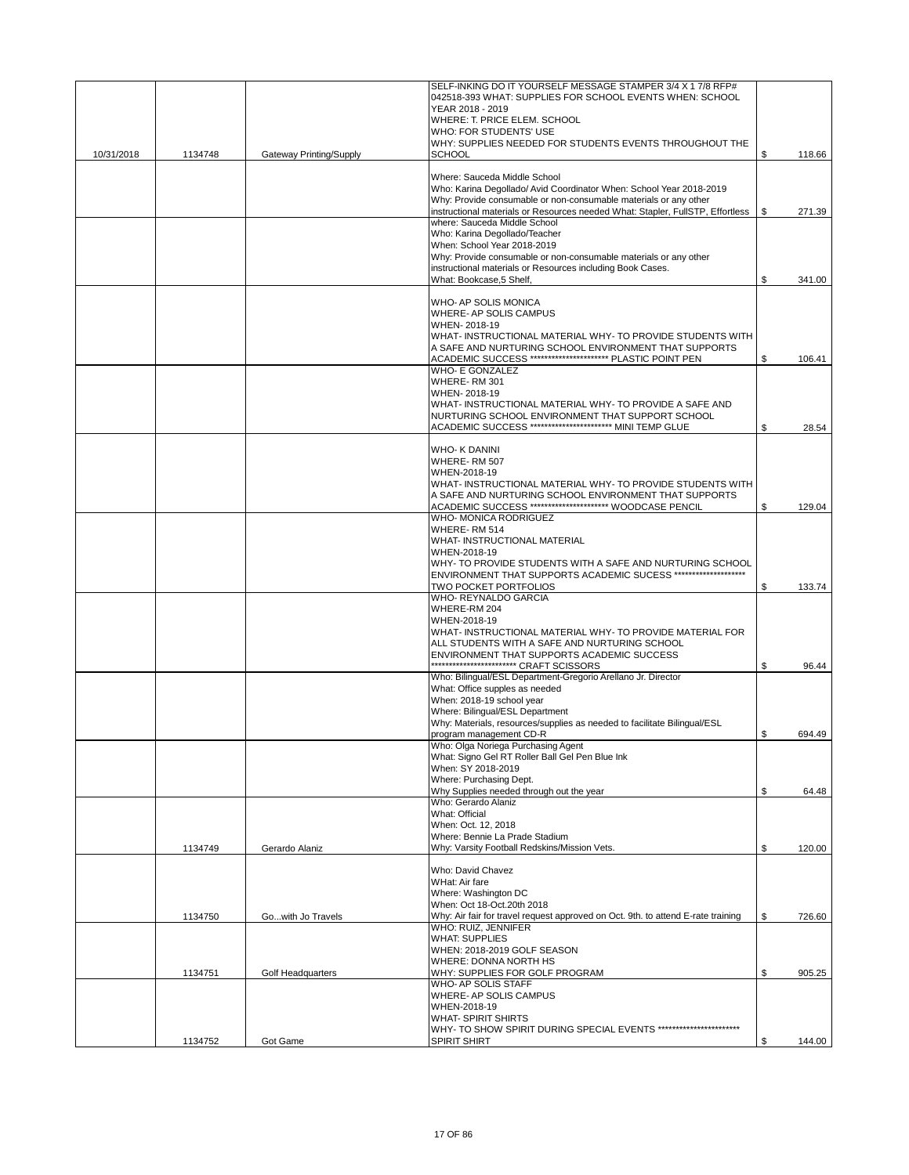|            |         |                         | SELF-INKING DO IT YOURSELF MESSAGE STAMPER 3/4 X 1 7/8 RFP#<br>042518-393 WHAT: SUPPLIES FOR SCHOOL EVENTS WHEN: SCHOOL<br>YEAR 2018 - 2019<br>WHERE: T. PRICE ELEM. SCHOOL<br>WHO: FOR STUDENTS' USE                                              |              |
|------------|---------|-------------------------|----------------------------------------------------------------------------------------------------------------------------------------------------------------------------------------------------------------------------------------------------|--------------|
| 10/31/2018 | 1134748 | Gateway Printing/Supply | WHY: SUPPLIES NEEDED FOR STUDENTS EVENTS THROUGHOUT THE<br><b>SCHOOL</b>                                                                                                                                                                           | \$<br>118.66 |
|            |         |                         | Where: Sauceda Middle School<br>Who: Karina Degollado/ Avid Coordinator When: School Year 2018-2019<br>Why: Provide consumable or non-consumable materials or any other                                                                            |              |
|            |         |                         | instructional materials or Resources needed What: Stapler, FullSTP, Effortless<br>where: Sauceda Middle School                                                                                                                                     | \$<br>271.39 |
|            |         |                         | Who: Karina Degollado/Teacher<br>When: School Year 2018-2019<br>Why: Provide consumable or non-consumable materials or any other<br>instructional materials or Resources including Book Cases.                                                     |              |
|            |         |                         | What: Bookcase,5 Shelf,                                                                                                                                                                                                                            | \$<br>341.00 |
|            |         |                         | WHO- AP SOLIS MONICA<br>WHERE- AP SOLIS CAMPUS<br>WHEN-2018-19<br>WHAT- INSTRUCTIONAL MATERIAL WHY- TO PROVIDE STUDENTS WITH<br>A SAFE AND NURTURING SCHOOL ENVIRONMENT THAT SUPPORTS<br>ACADEMIC SUCCESS ********************** PLASTIC POINT PEN | \$<br>106.41 |
|            |         |                         | <b>WHO- E GONZALEZ</b><br>WHERE-RM 301<br>WHEN-2018-19<br>WHAT- INSTRUCTIONAL MATERIAL WHY- TO PROVIDE A SAFE AND                                                                                                                                  |              |
|            |         |                         | NURTURING SCHOOL ENVIRONMENT THAT SUPPORT SCHOOL<br>ACADEMIC SUCCESS *********************** MINI TEMP GLUE                                                                                                                                        | \$<br>28.54  |
|            |         |                         | <b>WHO-K DANINI</b><br>WHERE-RM 507<br>WHEN-2018-19<br>WHAT-INSTRUCTIONAL MATERIAL WHY- TO PROVIDE STUDENTS WITH<br>A SAFE AND NURTURING SCHOOL ENVIRONMENT THAT SUPPORTS                                                                          |              |
|            |         |                         | ACADEMIC SUCCESS ********************** WOODCASE PENCIL                                                                                                                                                                                            | \$<br>129.04 |
|            |         |                         | <b>WHO- MONICA RODRIGUEZ</b><br>WHERE-RM 514<br>WHAT- INSTRUCTIONAL MATERIAL<br>WHEN-2018-19<br>WHY- TO PROVIDE STUDENTS WITH A SAFE AND NURTURING SCHOOL<br>ENVIRONMENT THAT SUPPORTS ACADEMIC SUCESS *********************                       |              |
|            |         |                         | TWO POCKET PORTFOLIOS<br>WHO- REYNALDO GARCIA                                                                                                                                                                                                      | \$<br>133.74 |
|            |         |                         | WHERE-RM 204<br>WHEN-2018-19<br>WHAT-INSTRUCTIONAL MATERIAL WHY- TO PROVIDE MATERIAL FOR<br>ALL STUDENTS WITH A SAFE AND NURTURING SCHOOL<br>ENVIRONMENT THAT SUPPORTS ACADEMIC SUCCESS                                                            | \$           |
|            |         |                         | Who: Bilingual/ESL Department-Gregorio Arellano Jr. Director<br>What: Office supples as needed<br>When: 2018-19 school year<br>Where: Bilingual/ESL Department                                                                                     | 96.44        |
|            |         |                         | Why: Materials, resources/supplies as needed to facilitate Bilingual/ESL<br>program management CD-R                                                                                                                                                | \$<br>694.49 |
|            |         |                         | Who: Olga Noriega Purchasing Agent<br>What: Signo Gel RT Roller Ball Gel Pen Blue Ink<br>When: SY 2018-2019<br>Where: Purchasing Dept.                                                                                                             |              |
|            |         |                         | Why Supplies needed through out the year<br>Who: Gerardo Alaniz                                                                                                                                                                                    | \$<br>64.48  |
|            |         |                         | What: Official<br>When: Oct. 12, 2018<br>Where: Bennie La Prade Stadium                                                                                                                                                                            |              |
|            | 1134749 | Gerardo Alaniz          | Why: Varsity Football Redskins/Mission Vets.                                                                                                                                                                                                       | \$<br>120.00 |
|            |         |                         | Who: David Chavez<br>WHat: Air fare<br>Where: Washington DC                                                                                                                                                                                        |              |
|            | 1134750 | Gowith Jo Travels       | When: Oct 18-Oct.20th 2018<br>Why: Air fair for travel request approved on Oct. 9th. to attend E-rate training                                                                                                                                     | \$<br>726.60 |
|            |         |                         | WHO: RUIZ, JENNIFER<br><b>WHAT: SUPPLIES</b><br>WHEN: 2018-2019 GOLF SEASON<br>WHERE: DONNA NORTH HS                                                                                                                                               |              |
|            | 1134751 | Golf Headquarters       | WHY: SUPPLIES FOR GOLF PROGRAM                                                                                                                                                                                                                     | \$<br>905.25 |
|            |         |                         | WHO- AP SOLIS STAFF<br>WHERE- AP SOLIS CAMPUS<br>WHEN-2018-19<br><b>WHAT- SPIRIT SHIRTS</b>                                                                                                                                                        |              |
|            | 1134752 | Got Game                | WHY- TO SHOW SPIRIT DURING SPECIAL EVENTS ************************<br><b>SPIRIT SHIRT</b>                                                                                                                                                          | \$<br>144.00 |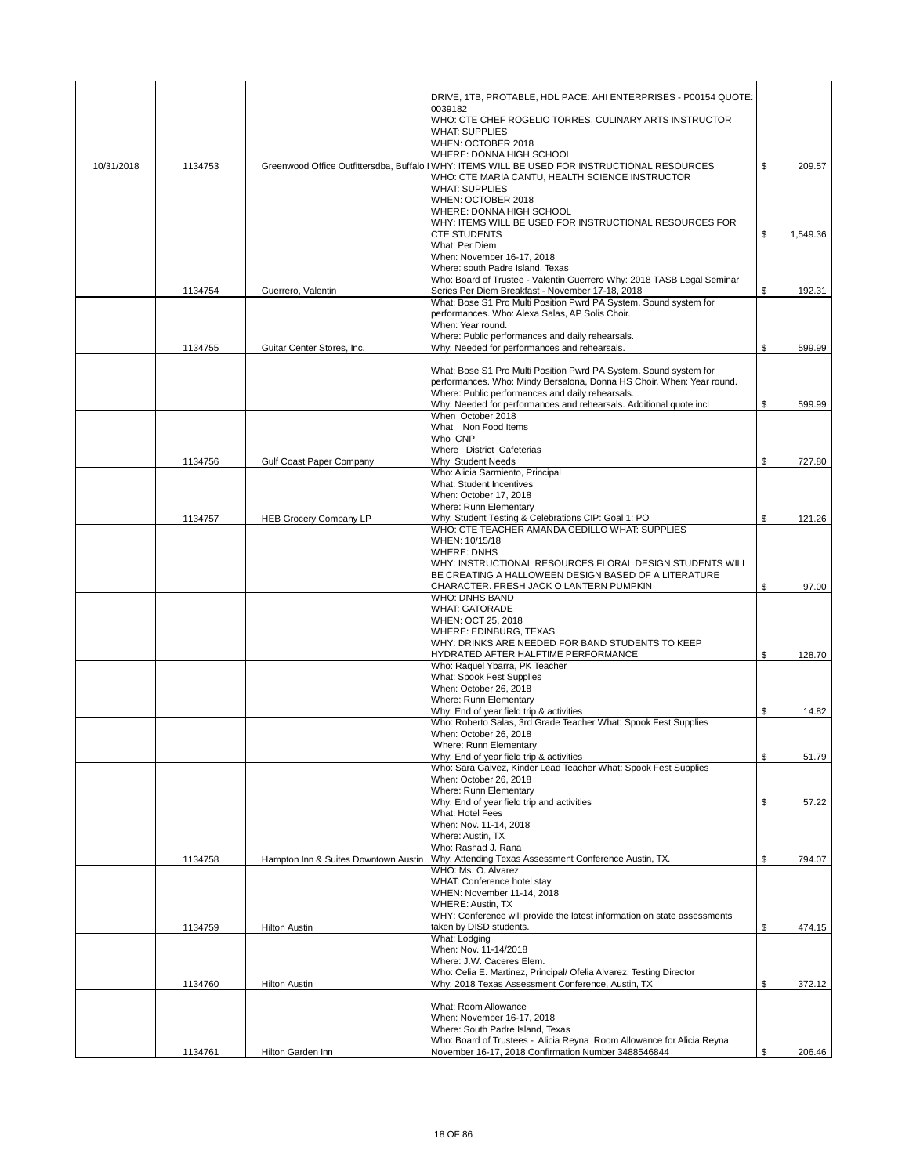|            |         |                                      | DRIVE, 1TB, PROTABLE, HDL PACE: AHI ENTERPRISES - P00154 QUOTE:                                                            |                |
|------------|---------|--------------------------------------|----------------------------------------------------------------------------------------------------------------------------|----------------|
|            |         |                                      | 0039182<br>WHO: CTE CHEF ROGELIO TORRES, CULINARY ARTS INSTRUCTOR                                                          |                |
|            |         |                                      | <b>WHAT: SUPPLIES</b>                                                                                                      |                |
|            |         |                                      | WHEN: OCTOBER 2018<br>WHERE: DONNA HIGH SCHOOL                                                                             |                |
| 10/31/2018 | 1134753 |                                      | Greenwood Office Outfittersdba, Buffalo IWHY: ITEMS WILL BE USED FOR INSTRUCTIONAL RESOURCES                               | \$<br>209.57   |
|            |         |                                      | WHO: CTE MARIA CANTU, HEALTH SCIENCE INSTRUCTOR<br><b>WHAT: SUPPLIES</b>                                                   |                |
|            |         |                                      | WHEN: OCTOBER 2018                                                                                                         |                |
|            |         |                                      | WHERE: DONNA HIGH SCHOOL<br>WHY: ITEMS WILL BE USED FOR INSTRUCTIONAL RESOURCES FOR                                        |                |
|            |         |                                      | <b>CTE STUDENTS</b>                                                                                                        | \$<br>1,549.36 |
|            |         |                                      | What: Per Diem<br>When: November 16-17, 2018                                                                               |                |
|            |         |                                      | Where: south Padre Island, Texas                                                                                           |                |
|            | 1134754 | Guerrero, Valentin                   | Who: Board of Trustee - Valentin Guerrero Why: 2018 TASB Legal Seminar<br>Series Per Diem Breakfast - November 17-18, 2018 | \$<br>192.31   |
|            |         |                                      | What: Bose S1 Pro Multi Position Pwrd PA System. Sound system for                                                          |                |
|            |         |                                      | performances. Who: Alexa Salas, AP Solis Choir.<br>When: Year round.                                                       |                |
|            |         |                                      | Where: Public performances and daily rehearsals.                                                                           |                |
|            | 1134755 | Guitar Center Stores, Inc.           | Why: Needed for performances and rehearsals.                                                                               | \$<br>599.99   |
|            |         |                                      | What: Bose S1 Pro Multi Position Pwrd PA System. Sound system for                                                          |                |
|            |         |                                      | performances. Who: Mindy Bersalona, Donna HS Choir. When: Year round.                                                      |                |
|            |         |                                      | Where: Public performances and daily rehearsals.<br>Why: Needed for performances and rehearsals. Additional quote incl     | \$<br>599.99   |
|            |         |                                      | When October 2018                                                                                                          |                |
|            |         |                                      | What Non Food Items                                                                                                        |                |
|            |         |                                      | Who CNP<br>Where District Cafeterias                                                                                       |                |
|            | 1134756 | Gulf Coast Paper Company             | Why Student Needs                                                                                                          | \$<br>727.80   |
|            |         |                                      | Who: Alicia Sarmiento, Principal                                                                                           |                |
|            |         |                                      | <b>What: Student Incentives</b><br>When: October 17, 2018                                                                  |                |
|            |         |                                      | Where: Runn Elementary                                                                                                     |                |
|            | 1134757 | <b>HEB Grocery Company LP</b>        | Why: Student Testing & Celebrations CIP: Goal 1: PO<br>WHO: CTE TEACHER AMANDA CEDILLO WHAT: SUPPLIES                      | \$<br>121.26   |
|            |         |                                      | WHEN: 10/15/18                                                                                                             |                |
|            |         |                                      | <b>WHERE: DNHS</b>                                                                                                         |                |
|            |         |                                      | WHY: INSTRUCTIONAL RESOURCES FLORAL DESIGN STUDENTS WILL<br>BE CREATING A HALLOWEEN DESIGN BASED OF A LITERATURE           |                |
|            |         |                                      | CHARACTER. FRESH JACK O LANTERN PUMPKIN                                                                                    | \$<br>97.00    |
|            |         |                                      | <b>WHO: DNHS BAND</b>                                                                                                      |                |
|            |         |                                      | <b>WHAT: GATORADE</b><br>WHEN: OCT 25, 2018                                                                                |                |
|            |         |                                      | WHERE: EDINBURG, TEXAS                                                                                                     |                |
|            |         |                                      | WHY: DRINKS ARE NEEDED FOR BAND STUDENTS TO KEEP<br>HYDRATED AFTER HALFTIME PERFORMANCE                                    | \$<br>128.70   |
|            |         |                                      | Who: Raquel Ybarra, PK Teacher                                                                                             |                |
|            |         |                                      | What: Spook Fest Supplies                                                                                                  |                |
|            |         |                                      | When: October 26, 2018<br>Where: Runn Elementary                                                                           |                |
|            |         |                                      | Why: End of year field trip & activities                                                                                   | \$<br>14.82    |
|            |         |                                      | Who: Roberto Salas, 3rd Grade Teacher What: Spook Fest Supplies<br>When: October 26, 2018                                  |                |
|            |         |                                      | Where: Runn Elementary                                                                                                     |                |
|            |         |                                      | Why: End of year field trip & activities                                                                                   | \$<br>51.79    |
|            |         |                                      | Who: Sara Galvez, Kinder Lead Teacher What: Spook Fest Supplies<br>When: October 26, 2018                                  |                |
|            |         |                                      | Where: Runn Elementary                                                                                                     |                |
|            |         |                                      | Why: End of year field trip and activities                                                                                 | \$<br>57.22    |
|            |         |                                      | What: Hotel Fees<br>When: Nov. 11-14, 2018                                                                                 |                |
|            |         |                                      | Where: Austin, TX                                                                                                          |                |
|            | 1134758 | Hampton Inn & Suites Downtown Austin | Who: Rashad J. Rana<br>Why: Attending Texas Assessment Conference Austin, TX.                                              | \$<br>794.07   |
|            |         |                                      | WHO: Ms. O. Alvarez                                                                                                        |                |
|            |         |                                      | WHAT: Conference hotel stay                                                                                                |                |
|            |         |                                      | WHEN: November 11-14, 2018<br><b>WHERE: Austin, TX</b>                                                                     |                |
|            |         |                                      | WHY: Conference will provide the latest information on state assessments                                                   |                |
|            | 1134759 | <b>Hilton Austin</b>                 | taken by DISD students.                                                                                                    | \$<br>474.15   |
|            |         |                                      | What: Lodging<br>When: Nov. 11-14/2018                                                                                     |                |
|            |         |                                      | Where: J.W. Caceres Elem.                                                                                                  |                |
|            | 1134760 | <b>Hilton Austin</b>                 | Who: Celia E. Martinez, Principal/ Ofelia Alvarez, Testing Director<br>Why: 2018 Texas Assessment Conference, Austin, TX   | \$<br>372.12   |
|            |         |                                      |                                                                                                                            |                |
|            |         |                                      | What: Room Allowance                                                                                                       |                |
|            |         |                                      | When: November 16-17, 2018<br>Where: South Padre Island, Texas                                                             |                |
|            |         |                                      | Who: Board of Trustees - Alicia Reyna Room Allowance for Alicia Reyna                                                      |                |
|            | 1134761 | Hilton Garden Inn                    | November 16-17, 2018 Confirmation Number 3488546844                                                                        | \$<br>206.46   |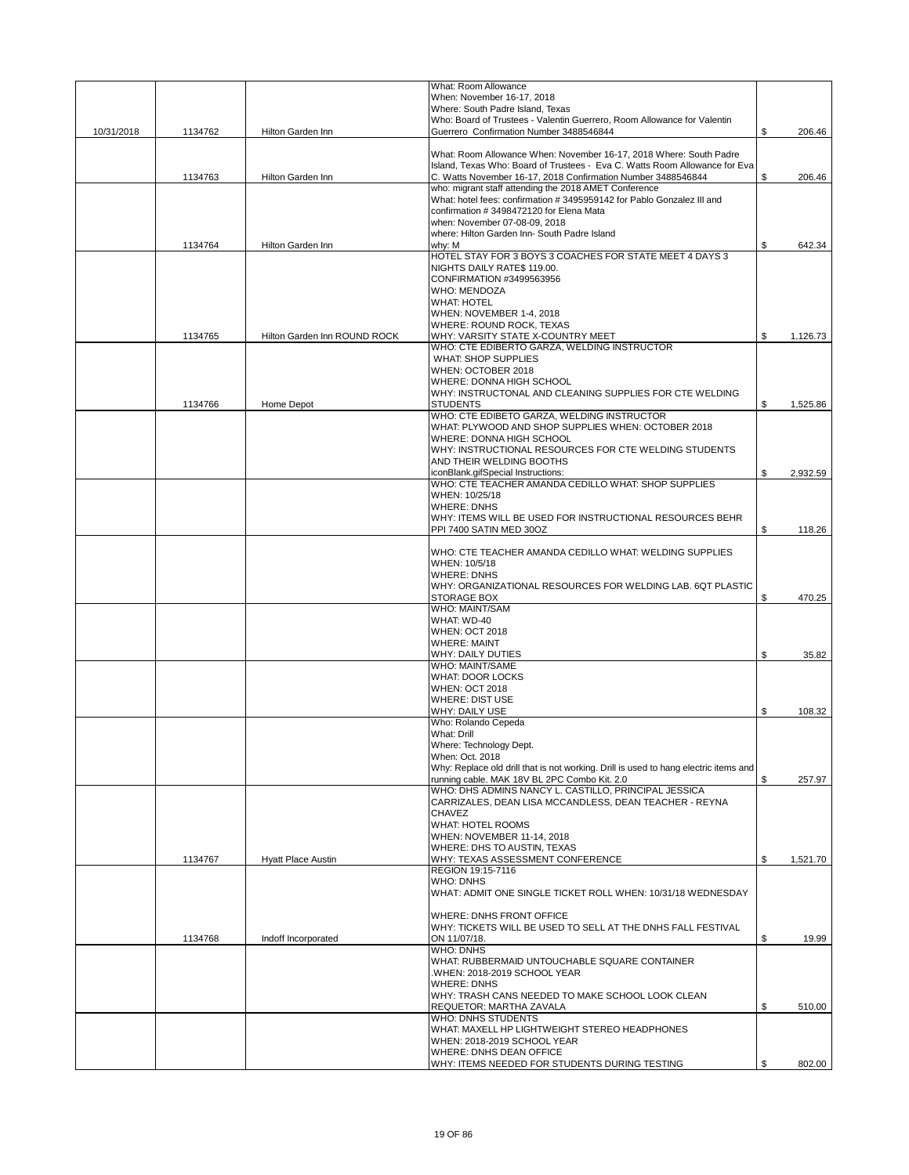|            |         |                              | What: Room Allowance<br>When: November 16-17, 2018                                                                    |                |
|------------|---------|------------------------------|-----------------------------------------------------------------------------------------------------------------------|----------------|
|            |         |                              | Where: South Padre Island, Texas                                                                                      |                |
|            |         |                              | Who: Board of Trustees - Valentin Guerrero, Room Allowance for Valentin                                               |                |
| 10/31/2018 | 1134762 | Hilton Garden Inn            | Guerrero Confirmation Number 3488546844                                                                               | \$<br>206.46   |
|            |         |                              | What: Room Allowance When: November 16-17, 2018 Where: South Padre                                                    |                |
|            |         |                              | Island, Texas Who: Board of Trustees - Eva C. Watts Room Allowance for Eva                                            |                |
|            | 1134763 | Hilton Garden Inn            | C. Watts November 16-17, 2018 Confirmation Number 3488546844<br>who: migrant staff attending the 2018 AMET Conference | \$<br>206.46   |
|            |         |                              | What: hotel fees: confirmation #3495959142 for Pablo Gonzalez III and                                                 |                |
|            |         |                              | confirmation #3498472120 for Elena Mata<br>when: November 07-08-09, 2018                                              |                |
|            |         |                              | where: Hilton Garden Inn- South Padre Island                                                                          |                |
|            | 1134764 | Hilton Garden Inn            | why: M                                                                                                                | \$<br>642.34   |
|            |         |                              | HOTEL STAY FOR 3 BOYS 3 COACHES FOR STATE MEET 4 DAYS 3                                                               |                |
|            |         |                              | NIGHTS DAILY RATE\$ 119.00.<br>CONFIRMATION #3499563956                                                               |                |
|            |         |                              | WHO: MENDOZA                                                                                                          |                |
|            |         |                              | <b>WHAT: HOTEL</b>                                                                                                    |                |
|            |         |                              | WHEN: NOVEMBER 1-4, 2018<br>WHERE: ROUND ROCK, TEXAS                                                                  |                |
|            | 1134765 | Hilton Garden Inn ROUND ROCK | WHY: VARSITY STATE X-COUNTRY MEET                                                                                     | \$<br>1,126.73 |
|            |         |                              | WHO: CTE EDIBERTO GARZA, WELDING INSTRUCTOR<br>WHAT: SHOP SUPPLIES                                                    |                |
|            |         |                              | WHEN: OCTOBER 2018                                                                                                    |                |
|            |         |                              | WHERE: DONNA HIGH SCHOOL                                                                                              |                |
|            |         |                              | WHY: INSTRUCTONAL AND CLEANING SUPPLIES FOR CTE WELDING<br><b>STUDENTS</b>                                            | \$             |
|            | 1134766 | Home Depot                   | WHO: CTE EDIBETO GARZA, WELDING INSTRUCTOR                                                                            | 1,525.86       |
|            |         |                              | WHAT: PLYWOOD AND SHOP SUPPLIES WHEN: OCTOBER 2018                                                                    |                |
|            |         |                              | WHERE: DONNA HIGH SCHOOL<br>WHY: INSTRUCTIONAL RESOURCES FOR CTE WELDING STUDENTS                                     |                |
|            |         |                              | AND THEIR WELDING BOOTHS                                                                                              |                |
|            |         |                              | iconBlank.gifSpecial Instructions:                                                                                    | \$<br>2,932.59 |
|            |         |                              | WHO: CTE TEACHER AMANDA CEDILLO WHAT: SHOP SUPPLIES<br>WHEN: 10/25/18                                                 |                |
|            |         |                              | <b>WHERE: DNHS</b>                                                                                                    |                |
|            |         |                              | WHY: ITEMS WILL BE USED FOR INSTRUCTIONAL RESOURCES BEHR                                                              |                |
|            |         |                              | PPI 7400 SATIN MED 30OZ                                                                                               | \$<br>118.26   |
|            |         |                              | WHO: CTE TEACHER AMANDA CEDILLO WHAT: WELDING SUPPLIES                                                                |                |
|            |         |                              | WHEN: 10/5/18                                                                                                         |                |
|            |         |                              | <b>WHERE: DNHS</b><br>WHY: ORGANIZATIONAL RESOURCES FOR WELDING LAB. 6QT PLASTIC                                      |                |
|            |         |                              | <b>STORAGE BOX</b>                                                                                                    | \$<br>470.25   |
|            |         |                              | WHO: MAINT/SAM                                                                                                        |                |
|            |         |                              | WHAT: WD-40<br><b>WHEN: OCT 2018</b>                                                                                  |                |
|            |         |                              | <b>WHERE: MAINT</b>                                                                                                   |                |
|            |         |                              | <b>WHY: DAILY DUTIES</b><br>WHO: MAINT/SAME                                                                           | \$<br>35.82    |
|            |         |                              | WHAT: DOOR LOCKS                                                                                                      |                |
|            |         |                              | <b>WHEN: OCT 2018</b>                                                                                                 |                |
|            |         |                              | WHERE: DIST USE<br>WHY: DAILY USE                                                                                     | \$<br>108.32   |
|            |         |                              | Who: Rolando Cepeda                                                                                                   |                |
|            |         |                              | What: Drill                                                                                                           |                |
|            |         |                              | Where: Technology Dept.<br>When: Oct. 2018                                                                            |                |
|            |         |                              | Why: Replace old drill that is not working. Drill is used to hang electric items and                                  |                |
|            |         |                              | running cable. MAK 18V BL 2PC Combo Kit. 2.0                                                                          | \$<br>257.97   |
|            |         |                              | WHO: DHS ADMINS NANCY L. CASTILLO, PRINCIPAL JESSICA<br>CARRIZALES, DEAN LISA MCCANDLESS, DEAN TEACHER - REYNA        |                |
|            |         |                              | <b>CHAVEZ</b>                                                                                                         |                |
|            |         |                              | <b>WHAT: HOTEL ROOMS</b><br>WHEN: NOVEMBER 11-14, 2018                                                                |                |
|            |         |                              | WHERE: DHS TO AUSTIN, TEXAS                                                                                           |                |
|            | 1134767 | <b>Hyatt Place Austin</b>    | WHY: TEXAS ASSESSMENT CONFERENCE                                                                                      | \$<br>1,521.70 |
|            |         |                              | REGION 19:15-7116<br>WHO: DNHS                                                                                        |                |
|            |         |                              | WHAT: ADMIT ONE SINGLE TICKET ROLL WHEN: 10/31/18 WEDNESDAY                                                           |                |
|            |         |                              |                                                                                                                       |                |
|            |         |                              | WHERE: DNHS FRONT OFFICE<br>WHY: TICKETS WILL BE USED TO SELL AT THE DNHS FALL FESTIVAL                               |                |
|            | 1134768 | Indoff Incorporated          | ON 11/07/18.                                                                                                          | \$<br>19.99    |
|            |         |                              | <b>WHO: DNHS</b>                                                                                                      |                |
|            |         |                              | WHAT: RUBBERMAID UNTOUCHABLE SQUARE CONTAINER<br>.WHEN: 2018-2019 SCHOOL YEAR                                         |                |
|            |         |                              | <b>WHERE: DNHS</b>                                                                                                    |                |
|            |         |                              | WHY: TRASH CANS NEEDED TO MAKE SCHOOL LOOK CLEAN                                                                      |                |
|            |         |                              | REQUETOR: MARTHA ZAVALA<br><b>WHO: DNHS STUDENTS</b>                                                                  | \$<br>510.00   |
|            |         |                              | WHAT: MAXELL HP LIGHTWEIGHT STEREO HEADPHONES                                                                         |                |
|            |         |                              | WHEN: 2018-2019 SCHOOL YEAR<br>WHERE: DNHS DEAN OFFICE                                                                |                |
|            |         |                              | WHY: ITEMS NEEDED FOR STUDENTS DURING TESTING                                                                         | \$<br>802.00   |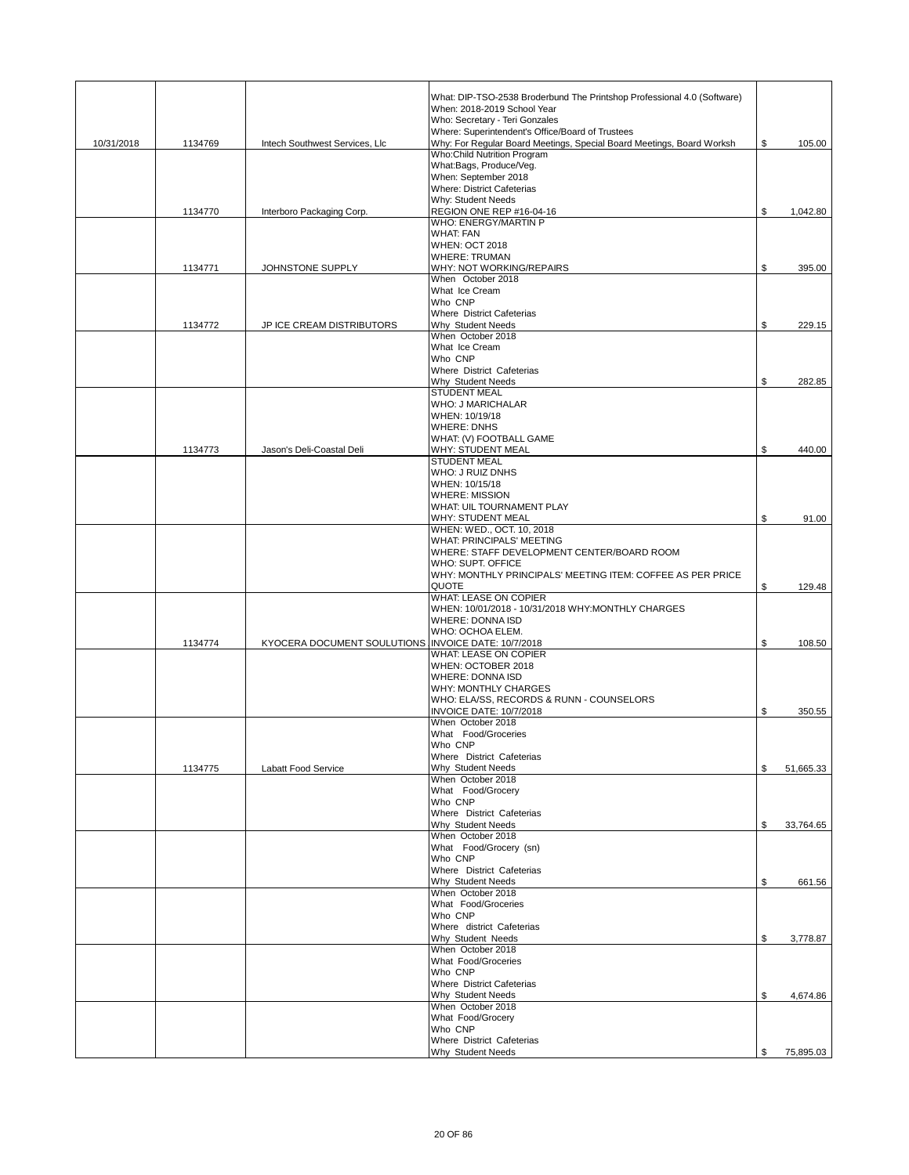|            |         |                                                     | What: DIP-TSO-2538 Broderbund The Printshop Professional 4.0 (Software)<br>When: 2018-2019 School Year<br>Who: Secretary - Teri Gonzales |                 |
|------------|---------|-----------------------------------------------------|------------------------------------------------------------------------------------------------------------------------------------------|-----------------|
| 10/31/2018 | 1134769 | Intech Southwest Services, Llc                      | Where: Superintendent's Office/Board of Trustees<br>Why: For Regular Board Meetings, Special Board Meetings, Board Worksh                | \$<br>105.00    |
|            |         |                                                     | <b>Who:Child Nutrition Program</b><br>What:Bags, Produce/Veg.                                                                            |                 |
|            |         |                                                     | When: September 2018<br><b>Where: District Cafeterias</b>                                                                                |                 |
|            |         |                                                     | Why: Student Needs                                                                                                                       |                 |
|            | 1134770 | Interboro Packaging Corp.                           | REGION ONE REP #16-04-16<br><b>WHO: ENERGY/MARTIN P</b>                                                                                  | \$<br>1,042.80  |
|            |         |                                                     | <b>WHAT: FAN</b>                                                                                                                         |                 |
|            |         |                                                     | <b>WHEN: OCT 2018</b><br><b>WHERE: TRUMAN</b>                                                                                            |                 |
|            | 1134771 | JOHNSTONE SUPPLY                                    | WHY: NOT WORKING/REPAIRS                                                                                                                 | \$<br>395.00    |
|            |         |                                                     | When October 2018<br>What Ice Cream                                                                                                      |                 |
|            |         |                                                     | Who CNP                                                                                                                                  |                 |
|            | 1134772 | JP ICE CREAM DISTRIBUTORS                           | Where District Cafeterias<br>Why Student Needs                                                                                           | \$<br>229.15    |
|            |         |                                                     | When October 2018<br>What Ice Cream                                                                                                      |                 |
|            |         |                                                     | Who CNP                                                                                                                                  |                 |
|            |         |                                                     | Where District Cafeterias<br>Why Student Needs                                                                                           | 282.85          |
|            |         |                                                     | <b>STUDENT MEAL</b>                                                                                                                      | \$              |
|            |         |                                                     | WHO: J MARICHALAR<br>WHEN: 10/19/18                                                                                                      |                 |
|            |         |                                                     | <b>WHERE: DNHS</b>                                                                                                                       |                 |
|            | 1134773 |                                                     | WHAT: (V) FOOTBALL GAME                                                                                                                  | 440.00          |
|            |         | Jason's Deli-Coastal Deli                           | <b>WHY: STUDENT MEAL</b><br><b>STUDENT MEAL</b>                                                                                          | \$              |
|            |         |                                                     | WHO: J RUIZ DNHS                                                                                                                         |                 |
|            |         |                                                     | WHEN: 10/15/18<br><b>WHERE: MISSION</b>                                                                                                  |                 |
|            |         |                                                     | WHAT: UIL TOURNAMENT PLAY                                                                                                                |                 |
|            |         |                                                     | WHY: STUDENT MEAL<br>WHEN: WED., OCT. 10, 2018                                                                                           | \$<br>91.00     |
|            |         |                                                     | <b>WHAT: PRINCIPALS' MEETING</b>                                                                                                         |                 |
|            |         |                                                     | WHERE: STAFF DEVELOPMENT CENTER/BOARD ROOM<br>WHO: SUPT. OFFICE                                                                          |                 |
|            |         |                                                     | WHY: MONTHLY PRINCIPALS' MEETING ITEM: COFFEE AS PER PRICE<br><b>QUOTE</b>                                                               | 129.48          |
|            |         |                                                     | WHAT: LEASE ON COPIER                                                                                                                    | \$              |
|            |         |                                                     | WHEN: 10/01/2018 - 10/31/2018 WHY:MONTHLY CHARGES<br>WHERE: DONNA ISD                                                                    |                 |
|            |         |                                                     | WHO: OCHOA ELEM.                                                                                                                         |                 |
|            | 1134774 | KYOCERA DOCUMENT SOULUTIONS INVOICE DATE: 10/7/2018 | <b>WHAT: LEASE ON COPIER</b>                                                                                                             | \$<br>108.50    |
|            |         |                                                     | WHEN: OCTOBER 2018                                                                                                                       |                 |
|            |         |                                                     | <b>WHERE: DONNA ISD</b><br><b>WHY: MONTHLY CHARGES</b>                                                                                   |                 |
|            |         |                                                     | WHO: ELA/SS, RECORDS & RUNN - COUNSELORS                                                                                                 |                 |
|            |         |                                                     | <b>INVOICE DATE: 10/7/2018</b><br>When October 2018                                                                                      | \$<br>350.55    |
|            |         |                                                     | What Food/Groceries                                                                                                                      |                 |
|            |         |                                                     | Who CNP                                                                                                                                  |                 |
|            | 1134775 | Labatt Food Service                                 | Where District Cafeterias<br>Why Student Needs                                                                                           | \$<br>51,665.33 |
|            |         |                                                     | When October 2018<br>What Food/Grocery                                                                                                   |                 |
|            |         |                                                     | Who CNP                                                                                                                                  |                 |
|            |         |                                                     | Where District Cafeterias                                                                                                                | \$<br>33,764.65 |
|            |         |                                                     | Why Student Needs<br>When October 2018                                                                                                   |                 |
|            |         |                                                     | What Food/Grocery (sn)<br>Who CNP                                                                                                        |                 |
|            |         |                                                     | Where District Cafeterias                                                                                                                |                 |
|            |         |                                                     | Why Student Needs<br>When October 2018                                                                                                   | \$<br>661.56    |
|            |         |                                                     | What Food/Groceries                                                                                                                      |                 |
|            |         |                                                     | Who CNP<br>Where district Cafeterias                                                                                                     |                 |
|            |         |                                                     | Why Student Needs                                                                                                                        | \$<br>3,778.87  |
|            |         |                                                     | When October 2018<br>What Food/Groceries                                                                                                 |                 |
|            |         |                                                     | Who CNP                                                                                                                                  |                 |
|            |         |                                                     | Where District Cafeterias<br>Why Student Needs                                                                                           | \$<br>4,674.86  |
|            |         |                                                     | When October 2018                                                                                                                        |                 |
|            |         |                                                     | What Food/Grocery<br>Who CNP                                                                                                             |                 |
|            |         |                                                     | Where District Cafeterias                                                                                                                |                 |
|            |         |                                                     | Why Student Needs                                                                                                                        | \$<br>75,895.03 |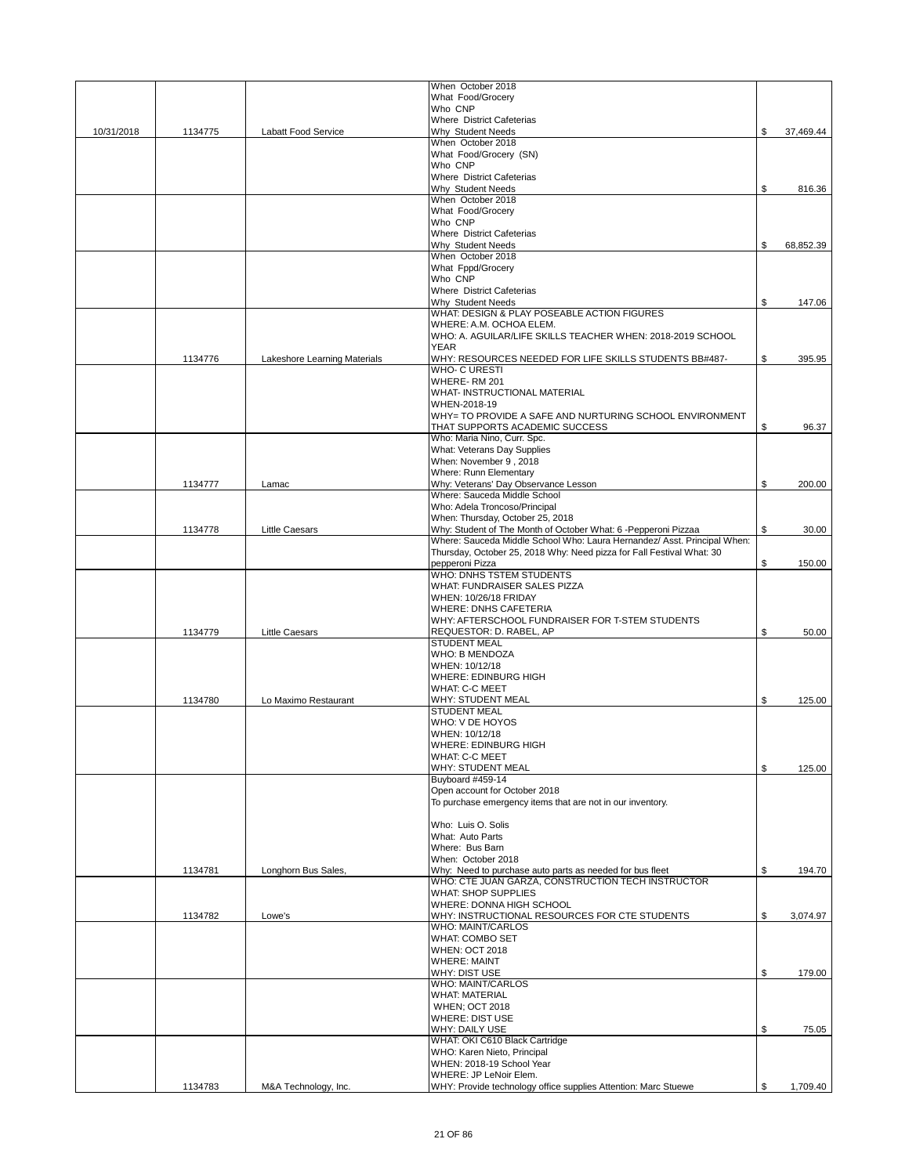|            |         |                              | When October 2018                                                                         |                 |
|------------|---------|------------------------------|-------------------------------------------------------------------------------------------|-----------------|
|            |         |                              | What Food/Grocery<br>Who CNP                                                              |                 |
|            |         |                              | <b>Where District Cafeterias</b>                                                          |                 |
| 10/31/2018 | 1134775 | Labatt Food Service          | Why Student Needs                                                                         | \$<br>37,469.44 |
|            |         |                              | When October 2018                                                                         |                 |
|            |         |                              | What Food/Grocery (SN)                                                                    |                 |
|            |         |                              | Who CNP<br>Where District Cafeterias                                                      |                 |
|            |         |                              | Why Student Needs                                                                         | \$<br>816.36    |
|            |         |                              | When October 2018                                                                         |                 |
|            |         |                              | What Food/Grocery                                                                         |                 |
|            |         |                              | Who CNP                                                                                   |                 |
|            |         |                              | Where District Cafeterias                                                                 |                 |
|            |         |                              | Why Student Needs                                                                         | \$<br>68,852.39 |
|            |         |                              | When October 2018<br>What Fppd/Grocery                                                    |                 |
|            |         |                              | Who CNP                                                                                   |                 |
|            |         |                              | <b>Where District Cafeterias</b>                                                          |                 |
|            |         |                              | Why Student Needs                                                                         | \$<br>147.06    |
|            |         |                              | WHAT: DESIGN & PLAY POSEABLE ACTION FIGURES                                               |                 |
|            |         |                              | WHERE: A.M. OCHOA ELEM.                                                                   |                 |
|            |         |                              | WHO: A. AGUILAR/LIFE SKILLS TEACHER WHEN: 2018-2019 SCHOOL<br><b>YEAR</b>                 |                 |
|            | 1134776 | Lakeshore Learning Materials | WHY: RESOURCES NEEDED FOR LIFE SKILLS STUDENTS BB#487-                                    | \$<br>395.95    |
|            |         |                              | <b>WHO- C URESTI</b>                                                                      |                 |
|            |         |                              | WHERE-RM 201                                                                              |                 |
|            |         |                              | WHAT- INSTRUCTIONAL MATERIAL                                                              |                 |
|            |         |                              | WHEN-2018-19                                                                              |                 |
|            |         |                              | WHY= TO PROVIDE A SAFE AND NURTURING SCHOOL ENVIRONMENT<br>THAT SUPPORTS ACADEMIC SUCCESS | \$<br>96.37     |
|            |         |                              | Who: Maria Nino, Curr. Spc.                                                               |                 |
|            |         |                              | What: Veterans Day Supplies                                                               |                 |
|            |         |                              | When: November 9, 2018                                                                    |                 |
|            |         |                              | Where: Runn Elementary                                                                    |                 |
|            | 1134777 | Lamac                        | Why: Veterans' Day Observance Lesson                                                      | \$<br>200.00    |
|            |         |                              | Where: Sauceda Middle School<br>Who: Adela Troncoso/Principal                             |                 |
|            |         |                              | When: Thursday, October 25, 2018                                                          |                 |
|            | 1134778 | <b>Little Caesars</b>        | Why: Student of The Month of October What: 6 - Pepperoni Pizzaa                           | \$<br>30.00     |
|            |         |                              | Where: Sauceda Middle School Who: Laura Hernandez/ Asst. Principal When:                  |                 |
|            |         |                              | Thursday, October 25, 2018 Why: Need pizza for Fall Festival What: 30                     |                 |
|            |         |                              | pepperoni Pizza                                                                           | \$<br>150.00    |
|            |         |                              | <b>WHO: DNHS TSTEM STUDENTS</b>                                                           |                 |
|            |         |                              | WHAT: FUNDRAISER SALES PIZZA<br>WHEN: 10/26/18 FRIDAY                                     |                 |
|            |         |                              | <b>WHERE: DNHS CAFETERIA</b>                                                              |                 |
|            |         |                              | WHY: AFTERSCHOOL FUNDRAISER FOR T-STEM STUDENTS                                           |                 |
|            | 1134779 | <b>Little Caesars</b>        | REQUESTOR: D. RABEL, AP                                                                   | \$<br>50.00     |
|            |         |                              | <b>STUDENT MEAL</b>                                                                       |                 |
|            |         |                              | <b>WHO: B MENDOZA</b>                                                                     |                 |
|            |         |                              | WHEN: 10/12/18<br>WHERE: EDINBURG HIGH                                                    |                 |
|            |         |                              | <b>WHAT: C-C MEET</b>                                                                     |                 |
|            | 1134780 | Lo Maximo Restaurant         | WHY: STUDENT MEAL                                                                         | \$<br>125.00    |
|            |         |                              | <b>STUDENT MEAL</b>                                                                       |                 |
|            |         |                              | WHO: V DE HOYOS                                                                           |                 |
|            |         |                              | WHEN: 10/12/18                                                                            |                 |
|            |         |                              | WHERE: EDINBURG HIGH<br><b>WHAT: C-C MEET</b>                                             |                 |
|            |         |                              | WHY: STUDENT MEAL                                                                         | \$<br>125.00    |
|            |         |                              | Buyboard #459-14                                                                          |                 |
|            |         |                              | Open account for October 2018                                                             |                 |
|            |         |                              | To purchase emergency items that are not in our inventory.                                |                 |
|            |         |                              |                                                                                           |                 |
|            |         |                              | Who: Luis O. Solis<br>What: Auto Parts                                                    |                 |
|            |         |                              | Where: Bus Barn                                                                           |                 |
|            |         |                              | When: October 2018                                                                        |                 |
|            | 1134781 | Longhorn Bus Sales,          | Why: Need to purchase auto parts as needed for bus fleet                                  | \$<br>194.70    |
|            |         |                              | WHO: CTE JUAN GARZA, CONSTRUCTION TECH INSTRUCTOR                                         |                 |
|            |         |                              | WHAT: SHOP SUPPLIES                                                                       |                 |
|            | 1134782 | Lowe's                       | WHERE: DONNA HIGH SCHOOL<br>WHY: INSTRUCTIONAL RESOURCES FOR CTE STUDENTS                 | \$<br>3,074.97  |
|            |         |                              | <b>WHO: MAINT/CARLOS</b>                                                                  |                 |
|            |         |                              | <b>WHAT: COMBO SET</b>                                                                    |                 |
|            |         |                              | <b>WHEN: OCT 2018</b>                                                                     |                 |
|            |         |                              | <b>WHERE: MAINT</b>                                                                       |                 |
|            |         |                              | WHY: DIST USE                                                                             | \$<br>179.00    |
|            |         |                              | <b>WHO: MAINT/CARLOS</b><br><b>WHAT: MATERIAL</b>                                         |                 |
|            |         |                              | <b>WHEN; OCT 2018</b>                                                                     |                 |
|            |         |                              | <b>WHERE: DIST USE</b>                                                                    |                 |
|            |         |                              | <b>WHY: DAILY USE</b>                                                                     | \$<br>75.05     |
|            |         |                              | WHAT: OKI C610 Black Cartridge                                                            |                 |
|            |         |                              | WHO: Karen Nieto, Principal                                                               |                 |
|            |         |                              | WHEN: 2018-19 School Year                                                                 |                 |
|            | 1134783 | M&A Technology, Inc.         | WHERE: JP LeNoir Elem.<br>WHY: Provide technology office supplies Attention: Marc Stuewe  | \$<br>1,709.40  |
|            |         |                              |                                                                                           |                 |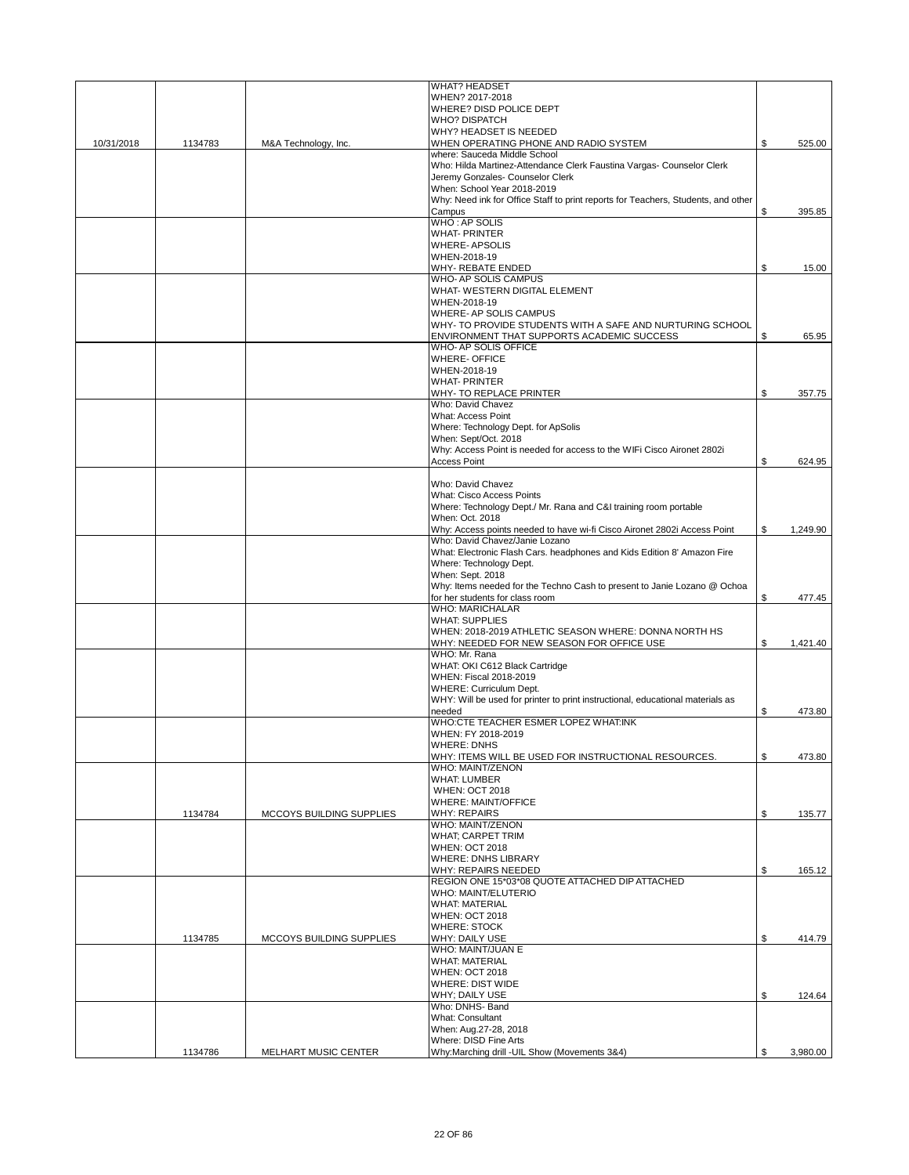|            |         |                          | <b>WHAT? HEADSET</b>                                                                                       |                |
|------------|---------|--------------------------|------------------------------------------------------------------------------------------------------------|----------------|
|            |         |                          | WHEN? 2017-2018                                                                                            |                |
|            |         |                          | WHERE? DISD POLICE DEPT<br><b>WHO? DISPATCH</b>                                                            |                |
|            |         |                          | WHY? HEADSET IS NEEDED                                                                                     |                |
| 10/31/2018 | 1134783 | M&A Technology, Inc.     | WHEN OPERATING PHONE AND RADIO SYSTEM                                                                      | \$<br>525.00   |
|            |         |                          | where: Sauceda Middle School                                                                               |                |
|            |         |                          | Who: Hilda Martinez-Attendance Clerk Faustina Vargas- Counselor Clerk                                      |                |
|            |         |                          | Jeremy Gonzales- Counselor Clerk                                                                           |                |
|            |         |                          | When: School Year 2018-2019                                                                                |                |
|            |         |                          | Why: Need ink for Office Staff to print reports for Teachers, Students, and other                          |                |
|            |         |                          | Campus                                                                                                     | \$<br>395.85   |
|            |         |                          | <b>WHO: AP SOLIS</b><br><b>WHAT-PRINTER</b>                                                                |                |
|            |         |                          | <b>WHERE-APSOLIS</b>                                                                                       |                |
|            |         |                          | WHEN-2018-19                                                                                               |                |
|            |         |                          | WHY- REBATE ENDED                                                                                          | \$<br>15.00    |
|            |         |                          | WHO- AP SOLIS CAMPUS                                                                                       |                |
|            |         |                          | WHAT- WESTERN DIGITAL ELEMENT                                                                              |                |
|            |         |                          | WHEN-2018-19                                                                                               |                |
|            |         |                          | WHERE- AP SOLIS CAMPUS                                                                                     |                |
|            |         |                          | WHY- TO PROVIDE STUDENTS WITH A SAFE AND NURTURING SCHOOL                                                  |                |
|            |         |                          | ENVIRONMENT THAT SUPPORTS ACADEMIC SUCCESS                                                                 | \$<br>65.95    |
|            |         |                          | WHO- AP SOLIS OFFICE                                                                                       |                |
|            |         |                          | <b>WHERE-OFFICE</b><br>WHEN-2018-19                                                                        |                |
|            |         |                          | <b>WHAT-PRINTER</b>                                                                                        |                |
|            |         |                          | WHY- TO REPLACE PRINTER                                                                                    | \$<br>357.75   |
|            |         |                          | Who: David Chavez                                                                                          |                |
|            |         |                          | What: Access Point                                                                                         |                |
|            |         |                          | Where: Technology Dept. for ApSolis                                                                        |                |
|            |         |                          | When: Sept/Oct. 2018                                                                                       |                |
|            |         |                          | Why: Access Point is needed for access to the WIFi Cisco Aironet 2802i                                     |                |
|            |         |                          | <b>Access Point</b>                                                                                        | \$<br>624.95   |
|            |         |                          |                                                                                                            |                |
|            |         |                          | Who: David Chavez                                                                                          |                |
|            |         |                          | <b>What: Cisco Access Points</b>                                                                           |                |
|            |         |                          | Where: Technology Dept./ Mr. Rana and C&I training room portable                                           |                |
|            |         |                          | When: Oct. 2018                                                                                            | \$             |
|            |         |                          | Why: Access points needed to have wi-fi Cisco Aironet 2802i Access Point<br>Who: David Chavez/Janie Lozano | 1,249.90       |
|            |         |                          | What: Electronic Flash Cars. headphones and Kids Edition 8' Amazon Fire                                    |                |
|            |         |                          | Where: Technology Dept.                                                                                    |                |
|            |         |                          | When: Sept. 2018                                                                                           |                |
|            |         |                          | Why: Items needed for the Techno Cash to present to Janie Lozano @ Ochoa                                   |                |
|            |         |                          | for her students for class room                                                                            | \$<br>477.45   |
|            |         |                          | <b>WHO: MARICHALAR</b>                                                                                     |                |
|            |         |                          | <b>WHAT: SUPPLIES</b>                                                                                      |                |
|            |         |                          | WHEN: 2018-2019 ATHLETIC SEASON WHERE: DONNA NORTH HS                                                      |                |
|            |         |                          | WHY: NEEDED FOR NEW SEASON FOR OFFICE USE                                                                  | \$<br>1,421.40 |
|            |         |                          | WHO: Mr. Rana                                                                                              |                |
|            |         |                          | WHAT: OKI C612 Black Cartridge                                                                             |                |
|            |         |                          | WHEN: Fiscal 2018-2019                                                                                     |                |
|            |         |                          | WHERE: Curriculum Dept.                                                                                    |                |
|            |         |                          | WHY: Will be used for printer to print instructional, educational materials as<br>needed                   | \$<br>473.80   |
|            |         |                          | WHO:CTE TEACHER ESMER LOPEZ WHAT:INK                                                                       |                |
|            |         |                          | WHEN: FY 2018-2019                                                                                         |                |
|            |         |                          | WHERE: DNHS                                                                                                |                |
|            |         |                          | WHY: ITEMS WILL BE USED FOR INSTRUCTIONAL RESOURCES.                                                       | \$<br>473.80   |
|            |         |                          | <b>WHO: MAINT/ZENON</b>                                                                                    |                |
|            |         |                          |                                                                                                            |                |
|            |         |                          | <b>WHAT: LUMBER</b>                                                                                        |                |
|            |         |                          | <b>WHEN: OCT 2018</b>                                                                                      |                |
|            |         |                          | WHERE: MAINT/OFFICE                                                                                        |                |
|            | 1134784 | MCCOYS BUILDING SUPPLIES | <b>WHY: REPAIRS</b>                                                                                        | \$<br>135.77   |
|            |         |                          | WHO: MAINT/ZENON                                                                                           |                |
|            |         |                          | WHAT; CARPET TRIM                                                                                          |                |
|            |         |                          | <b>WHEN: OCT 2018</b>                                                                                      |                |
|            |         |                          | <b>WHERE: DNHS LIBRARY</b>                                                                                 |                |
|            |         |                          | WHY: REPAIRS NEEDED                                                                                        | \$<br>165.12   |
|            |         |                          | REGION ONE 15*03*08 QUOTE ATTACHED DIP ATTACHED<br><b>WHO: MAINT/ELUTERIO</b>                              |                |
|            |         |                          | <b>WHAT: MATERIAL</b>                                                                                      |                |
|            |         |                          | <b>WHEN: OCT 2018</b>                                                                                      |                |
|            |         |                          | <b>WHERE: STOCK</b>                                                                                        |                |
|            | 1134785 | MCCOYS BUILDING SUPPLIES | WHY: DAILY USE                                                                                             | \$<br>414.79   |
|            |         |                          | WHO: MAINT/JUAN E                                                                                          |                |
|            |         |                          | <b>WHAT: MATERIAL</b>                                                                                      |                |
|            |         |                          | <b>WHEN: OCT 2018</b>                                                                                      |                |
|            |         |                          | <b>WHERE: DIST WIDE</b>                                                                                    |                |
|            |         |                          | WHY; DAILY USE                                                                                             | \$<br>124.64   |
|            |         |                          | Who: DNHS- Band                                                                                            |                |
|            |         |                          | <b>What: Consultant</b>                                                                                    |                |
|            |         |                          | When: Aug.27-28, 2018<br>Where: DISD Fine Arts                                                             |                |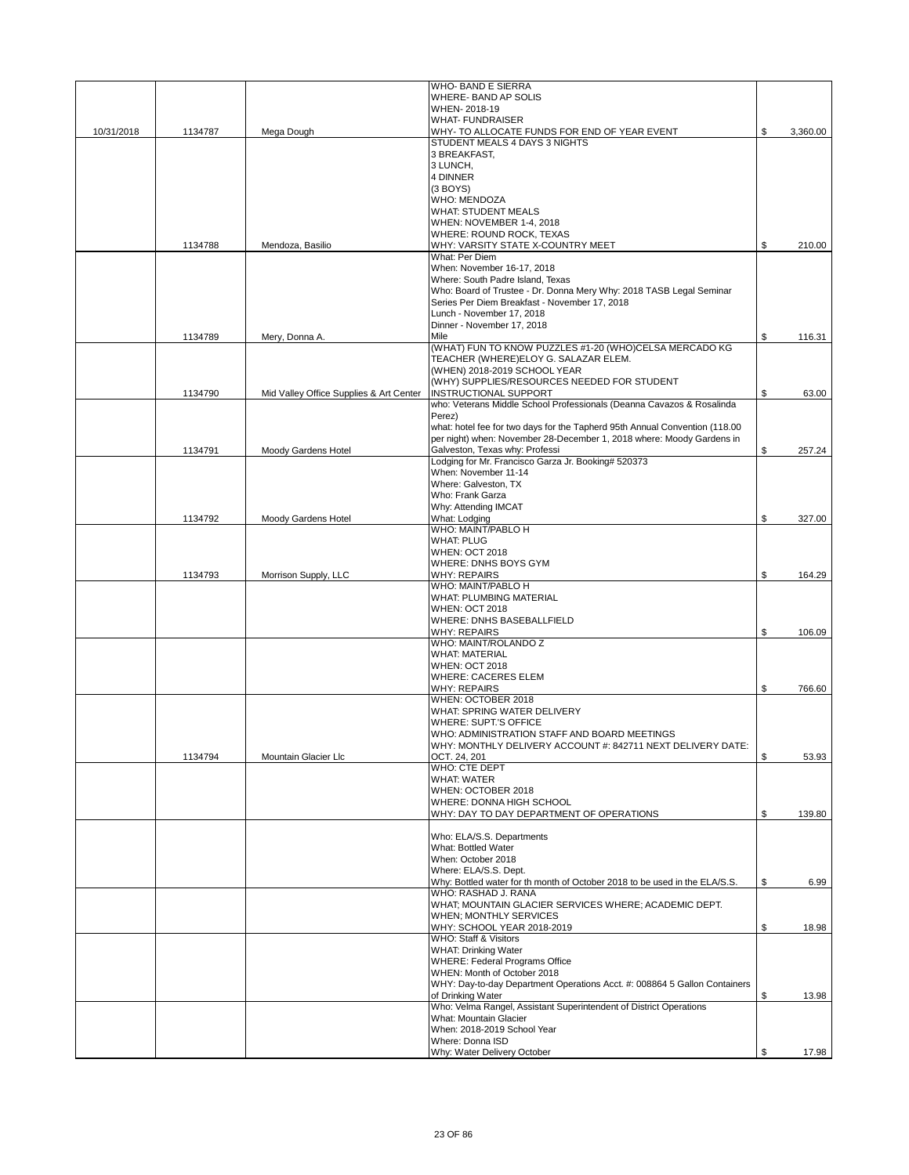|            |         |                                         | <b>WHO-BAND E SIERRA</b><br>WHERE- BAND AP SOLIS                            |                |
|------------|---------|-----------------------------------------|-----------------------------------------------------------------------------|----------------|
|            |         |                                         | WHEN-2018-19                                                                |                |
|            |         |                                         | <b>WHAT- FUNDRAISER</b>                                                     |                |
| 10/31/2018 | 1134787 | Mega Dough                              | WHY- TO ALLOCATE FUNDS FOR END OF YEAR EVENT                                | \$<br>3,360.00 |
|            |         |                                         | STUDENT MEALS 4 DAYS 3 NIGHTS                                               |                |
|            |         |                                         | 3 BREAKFAST,                                                                |                |
|            |         |                                         | 3 LUNCH.                                                                    |                |
|            |         |                                         | 4 DINNER                                                                    |                |
|            |         |                                         | $(3$ BOYS)                                                                  |                |
|            |         |                                         | <b>WHO: MENDOZA</b><br><b>WHAT: STUDENT MEALS</b>                           |                |
|            |         |                                         | WHEN: NOVEMBER 1-4, 2018                                                    |                |
|            |         |                                         | WHERE: ROUND ROCK, TEXAS                                                    |                |
|            | 1134788 | Mendoza, Basilio                        | WHY: VARSITY STATE X-COUNTRY MEET                                           | \$<br>210.00   |
|            |         |                                         | What: Per Diem                                                              |                |
|            |         |                                         | When: November 16-17, 2018                                                  |                |
|            |         |                                         | Where: South Padre Island, Texas                                            |                |
|            |         |                                         | Who: Board of Trustee - Dr. Donna Mery Why: 2018 TASB Legal Seminar         |                |
|            |         |                                         | Series Per Diem Breakfast - November 17, 2018                               |                |
|            |         |                                         | Lunch - November 17, 2018                                                   |                |
|            |         |                                         | Dinner - November 17, 2018                                                  |                |
|            | 1134789 | Mery, Donna A.                          | Mile<br>(WHAT) FUN TO KNOW PUZZLES #1-20 (WHO)CELSA MERCADO KG              | \$<br>116.31   |
|            |         |                                         | TEACHER (WHERE)ELOY G. SALAZAR ELEM.                                        |                |
|            |         |                                         | (WHEN) 2018-2019 SCHOOL YEAR                                                |                |
|            |         |                                         | (WHY) SUPPLIES/RESOURCES NEEDED FOR STUDENT                                 |                |
|            | 1134790 | Mid Valley Office Supplies & Art Center | <b>INSTRUCTIONAL SUPPORT</b>                                                | \$<br>63.00    |
|            |         |                                         | who: Veterans Middle School Professionals (Deanna Cavazos & Rosalinda       |                |
|            |         |                                         | Perez)                                                                      |                |
|            |         |                                         | what: hotel fee for two days for the Tapherd 95th Annual Convention (118.00 |                |
|            |         |                                         | per night) when: November 28-December 1, 2018 where: Moody Gardens in       |                |
|            | 1134791 | Moody Gardens Hotel                     | Galveston, Texas why: Professi                                              | \$<br>257.24   |
|            |         |                                         | Lodging for Mr. Francisco Garza Jr. Booking# 520373                         |                |
|            |         |                                         | When: November 11-14                                                        |                |
|            |         |                                         | Where: Galveston, TX                                                        |                |
|            |         |                                         | Who: Frank Garza                                                            |                |
|            |         |                                         | Why: Attending IMCAT                                                        |                |
|            | 1134792 | Moody Gardens Hotel                     | What: Lodging<br>WHO: MAINT/PABLO H                                         | \$<br>327.00   |
|            |         |                                         | <b>WHAT: PLUG</b>                                                           |                |
|            |         |                                         | <b>WHEN: OCT 2018</b>                                                       |                |
|            |         |                                         | WHERE: DNHS BOYS GYM                                                        |                |
|            | 1134793 | Morrison Supply, LLC                    | <b>WHY: REPAIRS</b>                                                         | \$<br>164.29   |
|            |         |                                         | WHO: MAINT/PABLO H                                                          |                |
|            |         |                                         | WHAT: PLUMBING MATERIAL                                                     |                |
|            |         |                                         | <b>WHEN: OCT 2018</b>                                                       |                |
|            |         |                                         | WHERE: DNHS BASEBALLFIELD                                                   |                |
|            |         |                                         | <b>WHY: REPAIRS</b>                                                         | \$<br>106.09   |
|            |         |                                         | WHO: MAINT/ROLANDO Z                                                        |                |
|            |         |                                         | <b>WHAT: MATERIAL</b>                                                       |                |
|            |         |                                         | <b>WHEN: OCT 2018</b>                                                       |                |
|            |         |                                         | <b>WHERE: CACERES ELEM</b><br><b>WHY: REPAIRS</b>                           | \$<br>766.60   |
|            |         |                                         | WHEN: OCTOBER 2018                                                          |                |
|            |         |                                         | WHAT: SPRING WATER DELIVERY                                                 |                |
|            |         |                                         | WHERE: SUPT.'S OFFICE                                                       |                |
|            |         |                                         | WHO: ADMINISTRATION STAFF AND BOARD MEETINGS                                |                |
|            |         |                                         | WHY: MONTHLY DELIVERY ACCOUNT #: 842711 NEXT DELIVERY DATE:                 |                |
|            | 1134794 | Mountain Glacier Llc                    | OCT. 24, 201                                                                | \$<br>53.93    |
|            |         |                                         | WHO: CTE DEPT                                                               |                |
|            |         |                                         | <b>WHAT: WATER</b>                                                          |                |
|            |         |                                         | WHEN: OCTOBER 2018                                                          |                |
|            |         |                                         | WHERE: DONNA HIGH SCHOOL                                                    |                |
|            |         |                                         | WHY: DAY TO DAY DEPARTMENT OF OPERATIONS                                    | \$<br>139.80   |
|            |         |                                         | Who: ELA/S.S. Departments                                                   |                |
|            |         |                                         | What: Bottled Water                                                         |                |
|            |         |                                         | When: October 2018                                                          |                |
|            |         |                                         | Where: ELA/S.S. Dept.                                                       |                |
|            |         |                                         | Why: Bottled water for th month of October 2018 to be used in the ELA/S.S.  | \$<br>6.99     |
|            |         |                                         | WHO: RASHAD J. RANA                                                         |                |
|            |         |                                         | WHAT; MOUNTAIN GLACIER SERVICES WHERE; ACADEMIC DEPT.                       |                |
|            |         |                                         | WHEN; MONTHLY SERVICES                                                      |                |
|            |         |                                         | WHY: SCHOOL YEAR 2018-2019                                                  | \$<br>18.98    |
|            |         |                                         | WHO: Staff & Visitors                                                       |                |
|            |         |                                         | <b>WHAT: Drinking Water</b><br><b>WHERE: Federal Programs Office</b>        |                |
|            |         |                                         | WHEN: Month of October 2018                                                 |                |
|            |         |                                         | WHY: Day-to-day Department Operations Acct. #: 008864 5 Gallon Containers   |                |
|            |         |                                         | of Drinking Water                                                           | \$<br>13.98    |
|            |         |                                         | Who: Velma Rangel, Assistant Superintendent of District Operations          |                |
|            |         |                                         | What: Mountain Glacier                                                      |                |
|            |         |                                         | When: 2018-2019 School Year                                                 |                |
|            |         |                                         | Where: Donna ISD                                                            |                |
|            |         |                                         | Why: Water Delivery October                                                 | \$<br>17.98    |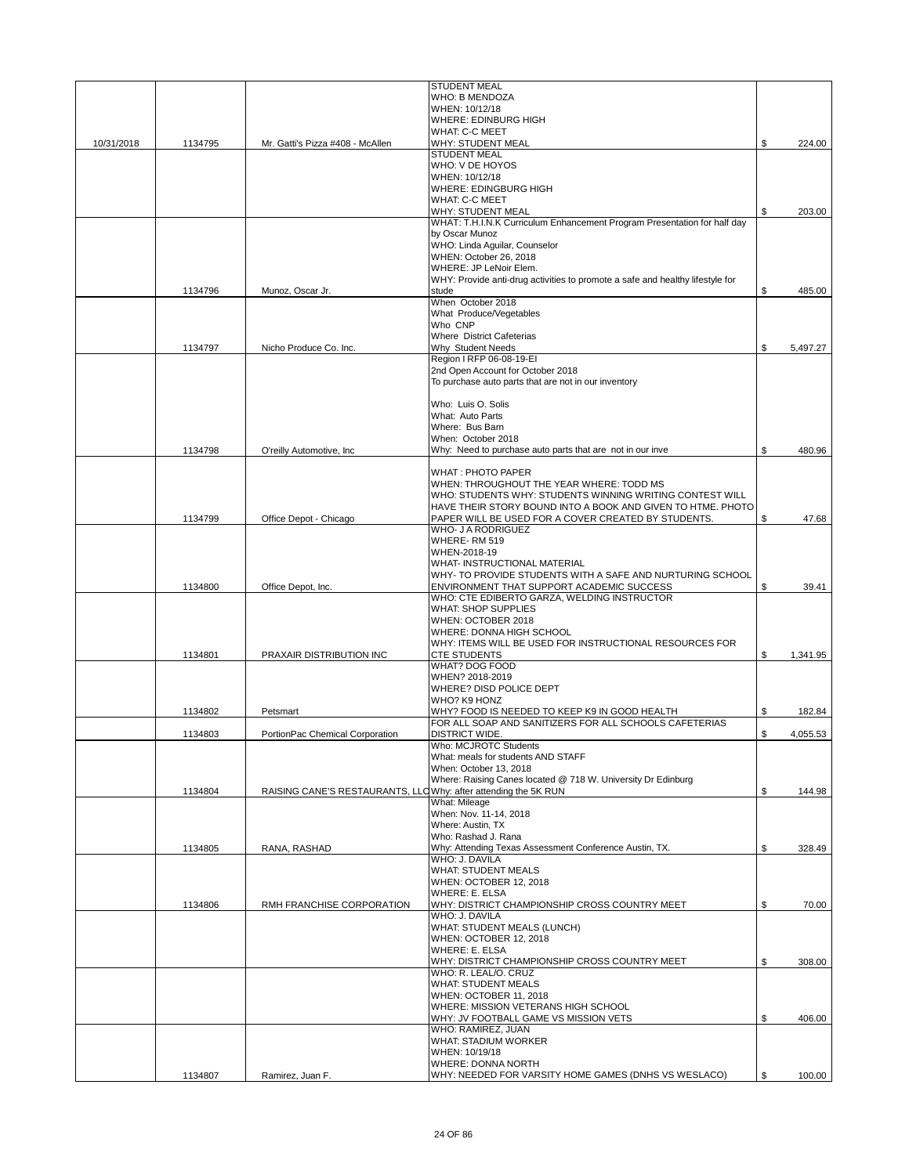|            |         |                                                                 | <b>STUDENT MEAL</b>                                                           |                |
|------------|---------|-----------------------------------------------------------------|-------------------------------------------------------------------------------|----------------|
|            |         |                                                                 | WHO: B MENDOZA                                                                |                |
|            |         |                                                                 | WHEN: 10/12/18                                                                |                |
|            |         |                                                                 | WHERE: EDINBURG HIGH                                                          |                |
|            |         |                                                                 | <b>WHAT: C-C MEET</b><br><b>WHY: STUDENT MEAL</b>                             | \$             |
| 10/31/2018 | 1134795 | Mr. Gatti's Pizza #408 - McAllen                                | <b>STUDENT MEAL</b>                                                           | 224.00         |
|            |         |                                                                 | WHO: V DE HOYOS                                                               |                |
|            |         |                                                                 | WHEN: 10/12/18                                                                |                |
|            |         |                                                                 | <b>WHERE: EDINGBURG HIGH</b>                                                  |                |
|            |         |                                                                 | <b>WHAT: C-C MEET</b>                                                         |                |
|            |         |                                                                 | WHY: STUDENT MEAL                                                             | \$<br>203.00   |
|            |         |                                                                 | WHAT: T.H.I.N.K Curriculum Enhancement Program Presentation for half day      |                |
|            |         |                                                                 | by Oscar Munoz                                                                |                |
|            |         |                                                                 | WHO: Linda Aguilar, Counselor                                                 |                |
|            |         |                                                                 | WHEN: October 26, 2018                                                        |                |
|            |         |                                                                 | WHERE: JP LeNoir Elem.                                                        |                |
|            |         |                                                                 | WHY: Provide anti-drug activities to promote a safe and healthy lifestyle for |                |
|            | 1134796 | Munoz, Oscar Jr.                                                | stude                                                                         | \$<br>485.00   |
|            |         |                                                                 | When October 2018                                                             |                |
|            |         |                                                                 | What Produce/Vegetables<br>Who CNP                                            |                |
|            |         |                                                                 |                                                                               |                |
|            | 1134797 | Nicho Produce Co. Inc.                                          | Where District Cafeterias<br>Why Student Needs                                | \$<br>5,497.27 |
|            |         |                                                                 | Region I RFP 06-08-19-EI                                                      |                |
|            |         |                                                                 | 2nd Open Account for October 2018                                             |                |
|            |         |                                                                 | To purchase auto parts that are not in our inventory                          |                |
|            |         |                                                                 |                                                                               |                |
|            |         |                                                                 | Who: Luis O. Solis                                                            |                |
|            |         |                                                                 | What: Auto Parts                                                              |                |
|            |         |                                                                 | Where: Bus Barn                                                               |                |
|            |         |                                                                 | When: October 2018                                                            |                |
|            | 1134798 | O'reilly Automotive, Inc.                                       | Why: Need to purchase auto parts that are not in our inve                     | \$<br>480.96   |
|            |         |                                                                 |                                                                               |                |
|            |         |                                                                 | <b>WHAT: PHOTO PAPER</b>                                                      |                |
|            |         |                                                                 | WHEN: THROUGHOUT THE YEAR WHERE: TODD MS                                      |                |
|            |         |                                                                 | WHO: STUDENTS WHY: STUDENTS WINNING WRITING CONTEST WILL                      |                |
|            |         |                                                                 | HAVE THEIR STORY BOUND INTO A BOOK AND GIVEN TO HTME. PHOTO                   |                |
|            | 1134799 | Office Depot - Chicago                                          | PAPER WILL BE USED FOR A COVER CREATED BY STUDENTS.                           | \$<br>47.68    |
|            |         |                                                                 | WHO- J A RODRIGUEZ                                                            |                |
|            |         |                                                                 | WHERE-RM 519                                                                  |                |
|            |         |                                                                 | WHEN-2018-19                                                                  |                |
|            |         |                                                                 | WHAT- INSTRUCTIONAL MATERIAL                                                  |                |
|            |         |                                                                 | WHY- TO PROVIDE STUDENTS WITH A SAFE AND NURTURING SCHOOL                     |                |
|            | 1134800 | Office Depot, Inc.                                              | ENVIRONMENT THAT SUPPORT ACADEMIC SUCCESS                                     | \$<br>39.41    |
|            |         |                                                                 | WHO: CTE EDIBERTO GARZA, WELDING INSTRUCTOR<br><b>WHAT: SHOP SUPPLIES</b>     |                |
|            |         |                                                                 | WHEN: OCTOBER 2018                                                            |                |
|            |         |                                                                 | WHERE: DONNA HIGH SCHOOL                                                      |                |
|            |         |                                                                 | WHY: ITEMS WILL BE USED FOR INSTRUCTIONAL RESOURCES FOR                       |                |
|            | 1134801 | PRAXAIR DISTRIBUTION INC                                        | <b>CTE STUDENTS</b>                                                           | \$<br>1,341.95 |
|            |         |                                                                 | <b>WHAT? DOG FOOD</b>                                                         |                |
|            |         |                                                                 | WHEN? 2018-2019                                                               |                |
|            |         |                                                                 | WHERE? DISD POLICE DEPT                                                       |                |
|            |         |                                                                 | WHO? K9 HONZ                                                                  |                |
|            | 1134802 | Petsmart                                                        | WHY? FOOD IS NEEDED TO KEEP K9 IN GOOD HEALTH                                 | \$<br>182.84   |
|            |         |                                                                 | FOR ALL SOAP AND SANITIZERS FOR ALL SCHOOLS CAFETERIAS                        |                |
|            | 1134803 | PortionPac Chemical Corporation                                 | <b>DISTRICT WIDE.</b>                                                         | \$<br>4,055.53 |
|            |         |                                                                 | Who: MCJROTC Students                                                         |                |
|            |         |                                                                 | What: meals for students AND STAFF                                            |                |
|            |         |                                                                 | When: October 13, 2018                                                        |                |
|            |         |                                                                 | Where: Raising Canes located @ 718 W. University Dr Edinburg                  |                |
|            | 1134804 | RAISING CANE'S RESTAURANTS, LLC Why: after attending the 5K RUN |                                                                               | \$<br>144.98   |
|            |         |                                                                 | What: Mileage                                                                 |                |
|            |         |                                                                 | When: Nov. 11-14, 2018                                                        |                |
|            |         |                                                                 | Where: Austin, TX                                                             |                |
|            |         |                                                                 | Who: Rashad J. Rana                                                           |                |
|            | 1134805 | RANA, RASHAD                                                    | Why: Attending Texas Assessment Conference Austin, TX.<br>WHO: J. DAVILA      | \$<br>328.49   |
|            |         |                                                                 | <b>WHAT: STUDENT MEALS</b>                                                    |                |
|            |         |                                                                 | WHEN: OCTOBER 12, 2018                                                        |                |
|            |         |                                                                 | <b>WHERE: E. ELSA</b>                                                         |                |
|            | 1134806 | RMH FRANCHISE CORPORATION                                       | WHY: DISTRICT CHAMPIONSHIP CROSS COUNTRY MEET                                 | \$<br>70.00    |
|            |         |                                                                 | WHO: J. DAVILA                                                                |                |
|            |         |                                                                 | WHAT: STUDENT MEALS (LUNCH)                                                   |                |
|            |         |                                                                 | WHEN: OCTOBER 12, 2018                                                        |                |
|            |         |                                                                 | WHERE: E. ELSA                                                                |                |
|            |         |                                                                 | WHY: DISTRICT CHAMPIONSHIP CROSS COUNTRY MEET                                 | \$<br>308.00   |
|            |         |                                                                 | WHO: R. LEAL/O. CRUZ                                                          |                |
|            |         |                                                                 | <b>WHAT: STUDENT MEALS</b>                                                    |                |
|            |         |                                                                 | WHEN: OCTOBER 11, 2018                                                        |                |
|            |         |                                                                 | WHERE: MISSION VETERANS HIGH SCHOOL                                           |                |
|            |         |                                                                 | WHY: JV FOOTBALL GAME VS MISSION VETS                                         | \$<br>406.00   |
|            |         |                                                                 | WHO: RAMIREZ, JUAN                                                            |                |
|            |         |                                                                 | <b>WHAT: STADIUM WORKER</b>                                                   |                |
|            |         |                                                                 | WHEN: 10/19/18                                                                |                |
|            |         |                                                                 | WHERE: DONNA NORTH                                                            |                |
|            | 1134807 | Ramirez, Juan F.                                                | WHY: NEEDED FOR VARSITY HOME GAMES (DNHS VS WESLACO)                          | \$<br>100.00   |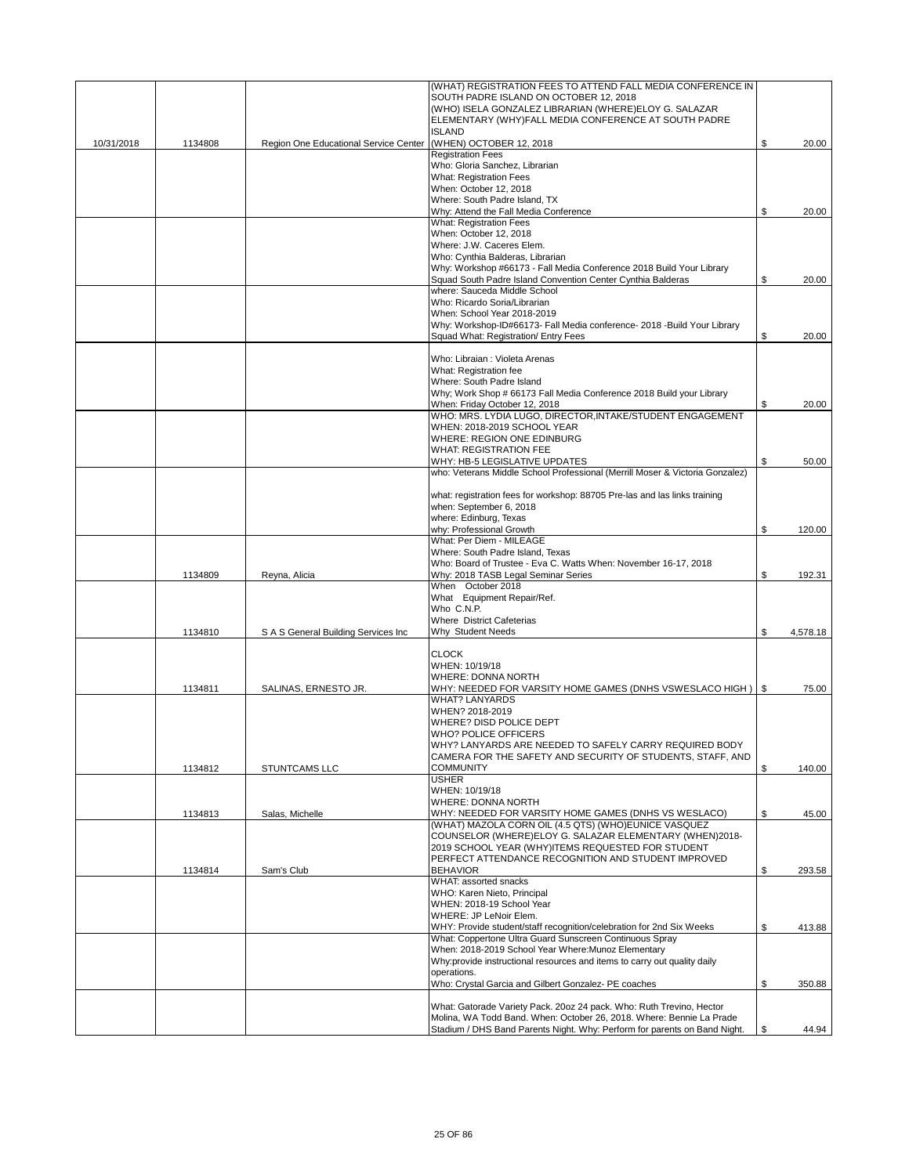|            |         |                                                               | (WHAT) REGISTRATION FEES TO ATTEND FALL MEDIA CONFERENCE IN<br>SOUTH PADRE ISLAND ON OCTOBER 12, 2018        |                |
|------------|---------|---------------------------------------------------------------|--------------------------------------------------------------------------------------------------------------|----------------|
|            |         |                                                               | (WHO) ISELA GONZALEZ LIBRARIAN (WHERE)ELOY G. SALAZAR                                                        |                |
|            |         |                                                               | ELEMENTARY (WHY)FALL MEDIA CONFERENCE AT SOUTH PADRE                                                         |                |
|            |         |                                                               | <b>ISLAND</b>                                                                                                |                |
| 10/31/2018 | 1134808 | Region One Educational Service Center (WHEN) OCTOBER 12, 2018 |                                                                                                              | \$<br>20.00    |
|            |         |                                                               | <b>Registration Fees</b>                                                                                     |                |
|            |         |                                                               | Who: Gloria Sanchez, Librarian                                                                               |                |
|            |         |                                                               | <b>What: Registration Fees</b><br>When: October 12, 2018                                                     |                |
|            |         |                                                               | Where: South Padre Island, TX                                                                                |                |
|            |         |                                                               | Why: Attend the Fall Media Conference                                                                        | \$<br>20.00    |
|            |         |                                                               | <b>What: Registration Fees</b>                                                                               |                |
|            |         |                                                               | When: October 12, 2018                                                                                       |                |
|            |         |                                                               | Where: J.W. Caceres Elem.                                                                                    |                |
|            |         |                                                               | Who: Cynthia Balderas, Librarian                                                                             |                |
|            |         |                                                               | Why: Workshop #66173 - Fall Media Conference 2018 Build Your Library                                         |                |
|            |         |                                                               | Squad South Padre Island Convention Center Cynthia Balderas                                                  | \$<br>20.00    |
|            |         |                                                               | where: Sauceda Middle School                                                                                 |                |
|            |         |                                                               | Who: Ricardo Soria/Librarian                                                                                 |                |
|            |         |                                                               | When: School Year 2018-2019                                                                                  |                |
|            |         |                                                               | Why: Workshop-ID#66173- Fall Media conference- 2018 -Build Your Library                                      |                |
|            |         |                                                               | Squad What: Registration/ Entry Fees                                                                         | \$<br>20.00    |
|            |         |                                                               | Who: Libraian : Violeta Arenas                                                                               |                |
|            |         |                                                               | What: Registration fee                                                                                       |                |
|            |         |                                                               | Where: South Padre Island                                                                                    |                |
|            |         |                                                               | Why; Work Shop # 66173 Fall Media Conference 2018 Build your Library                                         |                |
|            |         |                                                               | When: Friday October 12, 2018                                                                                | \$<br>20.00    |
|            |         |                                                               | WHO: MRS. LYDIA LUGO, DIRECTOR, INTAKE/STUDENT ENGAGEMENT                                                    |                |
|            |         |                                                               | WHEN: 2018-2019 SCHOOL YEAR                                                                                  |                |
|            |         |                                                               | WHERE: REGION ONE EDINBURG                                                                                   |                |
|            |         |                                                               | <b>WHAT: REGISTRATION FEE</b>                                                                                |                |
|            |         |                                                               | WHY: HB-5 LEGISLATIVE UPDATES                                                                                | \$<br>50.00    |
|            |         |                                                               | who: Veterans Middle School Professional (Merrill Moser & Victoria Gonzalez)                                 |                |
|            |         |                                                               |                                                                                                              |                |
|            |         |                                                               | what: registration fees for workshop: 88705 Pre-las and las links training                                   |                |
|            |         |                                                               | when: September 6, 2018                                                                                      |                |
|            |         |                                                               | where: Edinburg, Texas                                                                                       |                |
|            |         |                                                               | why: Professional Growth                                                                                     | \$<br>120.00   |
|            |         |                                                               | What: Per Diem - MILEAGE                                                                                     |                |
|            |         |                                                               | Where: South Padre Island, Texas                                                                             |                |
|            |         |                                                               | Who: Board of Trustee - Eva C. Watts When: November 16-17, 2018                                              |                |
|            | 1134809 | Reyna, Alicia                                                 | Why: 2018 TASB Legal Seminar Series<br>When October 2018                                                     | \$<br>192.31   |
|            |         |                                                               | What Equipment Repair/Ref.                                                                                   |                |
|            |         |                                                               | Who C.N.P.                                                                                                   |                |
|            |         |                                                               | Where District Cafeterias                                                                                    |                |
|            | 1134810 | S A S General Building Services Inc                           | Why Student Needs                                                                                            | \$<br>4,578.18 |
|            |         |                                                               |                                                                                                              |                |
|            |         |                                                               | <b>CLOCK</b>                                                                                                 |                |
|            |         |                                                               | WHEN: 10/19/18                                                                                               |                |
|            |         |                                                               | <b>WHERE: DONNA NORTH</b>                                                                                    |                |
|            | 1134811 | SALINAS, ERNESTO JR.                                          | WHY: NEEDED FOR VARSITY HOME GAMES (DNHS VSWESLACO HIGH)   \$                                                | 75.00          |
|            |         |                                                               | <b>WHAT? LANYARDS</b>                                                                                        |                |
|            |         |                                                               | WHEN? 2018-2019                                                                                              |                |
|            |         |                                                               | WHERE? DISD POLICE DEPT                                                                                      |                |
|            |         |                                                               | <b>WHO? POLICE OFFICERS</b>                                                                                  |                |
|            |         |                                                               | WHY? LANYARDS ARE NEEDED TO SAFELY CARRY REQUIRED BODY                                                       |                |
|            |         |                                                               | CAMERA FOR THE SAFETY AND SECURITY OF STUDENTS, STAFF, AND                                                   |                |
|            | 1134812 | STUNTCAMS LLC                                                 | <b>COMMUNITY</b>                                                                                             | \$<br>140.00   |
|            |         |                                                               | <b>USHER</b>                                                                                                 |                |
|            |         |                                                               | WHEN: 10/19/18                                                                                               |                |
|            |         |                                                               | <b>WHERE: DONNA NORTH</b>                                                                                    |                |
|            | 1134813 | Salas, Michelle                                               | WHY: NEEDED FOR VARSITY HOME GAMES (DNHS VS WESLACO)<br>(WHAT) MAZOLA CORN OIL (4.5 QTS) (WHO)EUNICE VASQUEZ | \$<br>45.00    |
|            |         |                                                               | COUNSELOR (WHERE)ELOY G. SALAZAR ELEMENTARY (WHEN)2018-                                                      |                |
|            |         |                                                               | 2019 SCHOOL YEAR (WHY)ITEMS REQUESTED FOR STUDENT                                                            |                |
|            |         |                                                               | PERFECT ATTENDANCE RECOGNITION AND STUDENT IMPROVED                                                          |                |
|            | 1134814 | Sam's Club                                                    | <b>BEHAVIOR</b>                                                                                              | \$<br>293.58   |
|            |         |                                                               | WHAT: assorted snacks                                                                                        |                |
|            |         |                                                               | WHO: Karen Nieto, Principal                                                                                  |                |
|            |         |                                                               | WHEN: 2018-19 School Year                                                                                    |                |
|            |         |                                                               | WHERE: JP LeNoir Elem.                                                                                       |                |
|            |         |                                                               | WHY: Provide student/staff recognition/celebration for 2nd Six Weeks                                         | \$<br>413.88   |
|            |         |                                                               | What: Coppertone Ultra Guard Sunscreen Continuous Spray                                                      |                |
|            |         |                                                               | When: 2018-2019 School Year Where: Munoz Elementary                                                          |                |
|            |         |                                                               | Why:provide instructional resources and items to carry out quality daily                                     |                |
|            |         |                                                               | operations.                                                                                                  |                |
|            |         |                                                               | Who: Crystal Garcia and Gilbert Gonzalez- PE coaches                                                         | \$<br>350.88   |
|            |         |                                                               |                                                                                                              |                |
|            |         |                                                               | What: Gatorade Variety Pack. 20oz 24 pack. Who: Ruth Trevino, Hector                                         |                |
|            |         |                                                               | Molina, WA Todd Band. When: October 26, 2018. Where: Bennie La Prade                                         |                |
|            |         |                                                               | Stadium / DHS Band Parents Night. Why: Perform for parents on Band Night.                                    | \$<br>44.94    |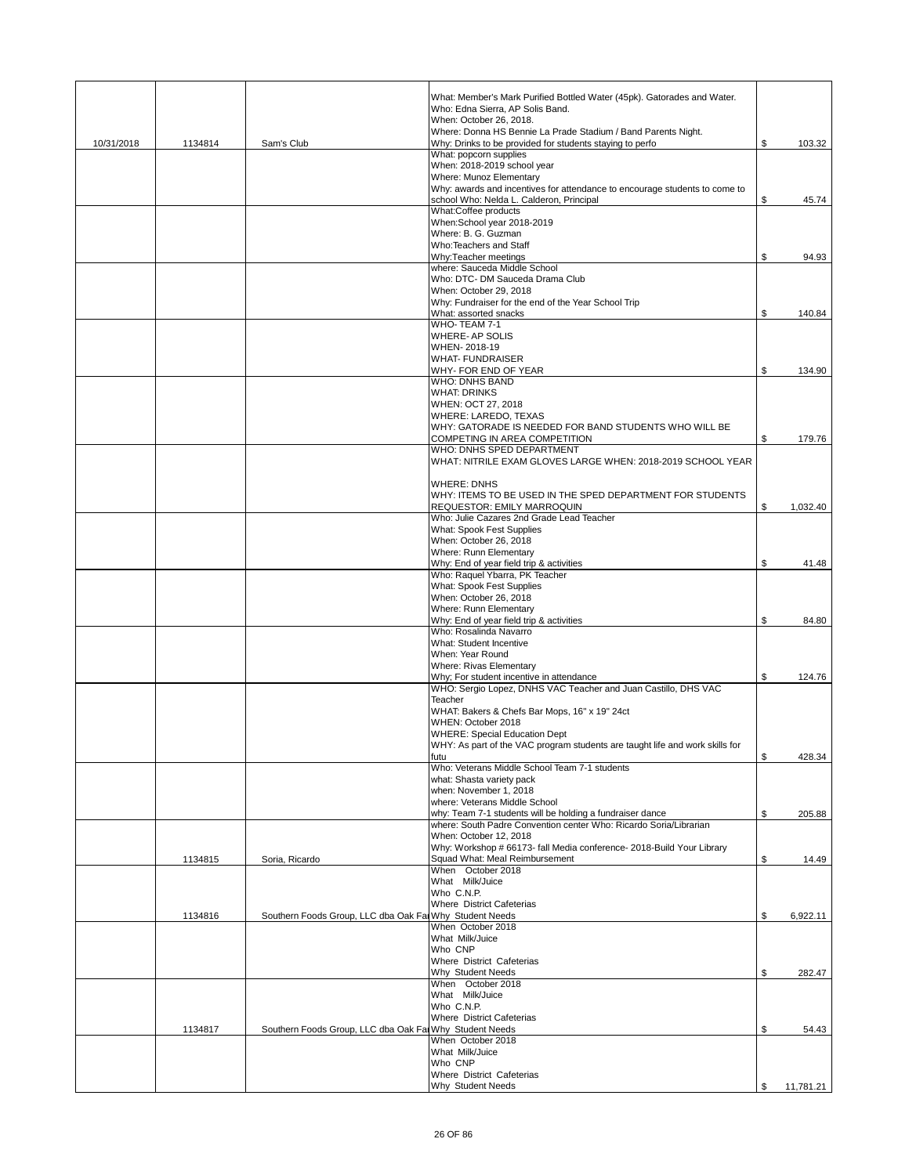|            |         |                                                         | What: Member's Mark Purified Bottled Water (45pk). Gatorades and Water.<br>Who: Edna Sierra, AP Solis Band.               |                 |
|------------|---------|---------------------------------------------------------|---------------------------------------------------------------------------------------------------------------------------|-----------------|
|            |         |                                                         | When: October 26, 2018.                                                                                                   |                 |
| 10/31/2018 | 1134814 | Sam's Club                                              | Where: Donna HS Bennie La Prade Stadium / Band Parents Night.<br>Why: Drinks to be provided for students staying to perfo | \$              |
|            |         |                                                         | What: popcorn supplies                                                                                                    | 103.32          |
|            |         |                                                         | When: 2018-2019 school year<br>Where: Munoz Elementary                                                                    |                 |
|            |         |                                                         | Why: awards and incentives for attendance to encourage students to come to                                                |                 |
|            |         |                                                         | school Who: Nelda L. Calderon, Principal<br>What:Coffee products                                                          | \$<br>45.74     |
|            |         |                                                         | When:School year 2018-2019                                                                                                |                 |
|            |         |                                                         | Where: B. G. Guzman                                                                                                       |                 |
|            |         |                                                         | Who:Teachers and Staff<br>Why:Teacher meetings                                                                            | \$<br>94.93     |
|            |         |                                                         | where: Sauceda Middle School                                                                                              |                 |
|            |         |                                                         | Who: DTC- DM Sauceda Drama Club<br>When: October 29, 2018                                                                 |                 |
|            |         |                                                         | Why: Fundraiser for the end of the Year School Trip                                                                       |                 |
|            |         |                                                         | What: assorted snacks<br>WHO-TEAM 7-1                                                                                     | \$<br>140.84    |
|            |         |                                                         | <b>WHERE-AP SOLIS</b>                                                                                                     |                 |
|            |         |                                                         | WHEN-2018-19<br><b>WHAT-FUNDRAISER</b>                                                                                    |                 |
|            |         |                                                         | WHY- FOR END OF YEAR                                                                                                      | \$<br>134.90    |
|            |         |                                                         | <b>WHO: DNHS BAND</b>                                                                                                     |                 |
|            |         |                                                         | <b>WHAT: DRINKS</b><br>WHEN: OCT 27, 2018                                                                                 |                 |
|            |         |                                                         | WHERE: LAREDO, TEXAS                                                                                                      |                 |
|            |         |                                                         | WHY: GATORADE IS NEEDED FOR BAND STUDENTS WHO WILL BE<br>COMPETING IN AREA COMPETITION                                    | \$<br>179.76    |
|            |         |                                                         | WHO: DNHS SPED DEPARTMENT                                                                                                 |                 |
|            |         |                                                         | WHAT: NITRILE EXAM GLOVES LARGE WHEN: 2018-2019 SCHOOL YEAR                                                               |                 |
|            |         |                                                         | <b>WHERE: DNHS</b>                                                                                                        |                 |
|            |         |                                                         | WHY: ITEMS TO BE USED IN THE SPED DEPARTMENT FOR STUDENTS                                                                 |                 |
|            |         |                                                         | REQUESTOR: EMILY MARROQUIN<br>Who: Julie Cazares 2nd Grade Lead Teacher                                                   | \$<br>1,032.40  |
|            |         |                                                         | What: Spook Fest Supplies                                                                                                 |                 |
|            |         |                                                         | When: October 26, 2018<br>Where: Runn Elementary                                                                          |                 |
|            |         |                                                         | Why: End of year field trip & activities                                                                                  | \$<br>41.48     |
|            |         |                                                         | Who: Raquel Ybarra, PK Teacher<br>What: Spook Fest Supplies                                                               |                 |
|            |         |                                                         | When: October 26, 2018                                                                                                    |                 |
|            |         |                                                         | Where: Runn Elementary                                                                                                    |                 |
|            |         |                                                         | Why: End of year field trip & activities<br>Who: Rosalinda Navarro                                                        | \$<br>84.80     |
|            |         |                                                         | What: Student Incentive                                                                                                   |                 |
|            |         |                                                         | When: Year Round<br><b>Where: Rivas Elementary</b>                                                                        |                 |
|            |         |                                                         | Why; For student incentive in attendance                                                                                  | \$<br>124.76    |
|            |         |                                                         | WHO: Sergio Lopez, DNHS VAC Teacher and Juan Castillo, DHS VAC<br>Teacher                                                 |                 |
|            |         |                                                         | WHAT: Bakers & Chefs Bar Mops, 16" x 19" 24ct                                                                             |                 |
|            |         |                                                         | WHEN: October 2018<br><b>WHERE: Special Education Dept</b>                                                                |                 |
|            |         |                                                         | WHY: As part of the VAC program students are taught life and work skills for                                              |                 |
|            |         |                                                         | futu<br>Who: Veterans Middle School Team 7-1 students                                                                     | \$<br>428.34    |
|            |         |                                                         | what: Shasta variety pack                                                                                                 |                 |
|            |         |                                                         | when: November 1, 2018                                                                                                    |                 |
|            |         |                                                         | where: Veterans Middle School<br>why: Team 7-1 students will be holding a fundraiser dance                                | \$<br>205.88    |
|            |         |                                                         | where: South Padre Convention center Who: Ricardo Soria/Librarian                                                         |                 |
|            |         |                                                         | When: October 12, 2018<br>Why: Workshop # 66173- fall Media conference- 2018-Build Your Library                           |                 |
|            | 1134815 | Soria, Ricardo                                          | Squad What: Meal Reimbursement                                                                                            | \$<br>14.49     |
|            |         |                                                         | When October 2018<br>What Milk/Juice                                                                                      |                 |
|            |         |                                                         | Who C.N.P.                                                                                                                |                 |
|            | 1134816 | Southern Foods Group, LLC dba Oak Fai Why Student Needs | Where District Cafeterias                                                                                                 | \$<br>6,922.11  |
|            |         |                                                         | When October 2018                                                                                                         |                 |
|            |         |                                                         | What Milk/Juice<br>Who CNP                                                                                                |                 |
|            |         |                                                         | Where District Cafeterias                                                                                                 |                 |
|            |         |                                                         | Why Student Needs                                                                                                         | \$<br>282.47    |
|            |         |                                                         | When October 2018<br>What Milk/Juice                                                                                      |                 |
|            |         |                                                         | Who C.N.P.                                                                                                                |                 |
|            | 1134817 | Southern Foods Group, LLC dba Oak Far Why Student Needs | Where District Cafeterias                                                                                                 | \$<br>54.43     |
|            |         |                                                         | When October 2018                                                                                                         |                 |
|            |         |                                                         | What Milk/Juice<br>Who CNP                                                                                                |                 |
|            |         |                                                         | Where District Cafeterias                                                                                                 |                 |
|            |         |                                                         | Why Student Needs                                                                                                         | \$<br>11,781.21 |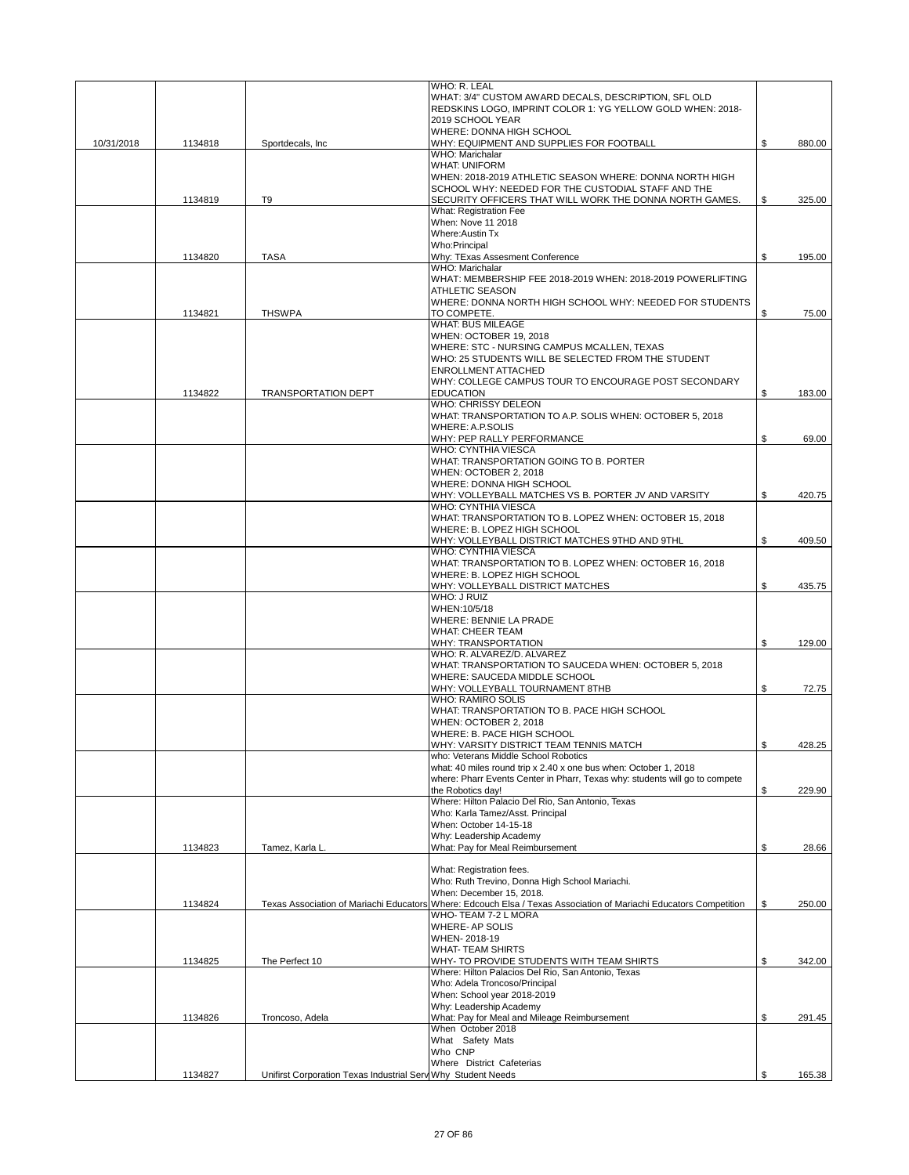|            |         |                                                              | WHO: R. LEAL                                                                                                       |              |
|------------|---------|--------------------------------------------------------------|--------------------------------------------------------------------------------------------------------------------|--------------|
|            |         |                                                              | WHAT: 3/4" CUSTOM AWARD DECALS, DESCRIPTION, SFL OLD<br>REDSKINS LOGO, IMPRINT COLOR 1: YG YELLOW GOLD WHEN: 2018- |              |
|            |         |                                                              | 2019 SCHOOL YEAR                                                                                                   |              |
|            |         |                                                              | WHERE: DONNA HIGH SCHOOL                                                                                           |              |
| 10/31/2018 | 1134818 | Sportdecals, Inc.                                            | WHY: EQUIPMENT AND SUPPLIES FOR FOOTBALL                                                                           | \$<br>880.00 |
|            |         |                                                              | WHO: Marichalar                                                                                                    |              |
|            |         |                                                              | <b>WHAT: UNIFORM</b>                                                                                               |              |
|            |         |                                                              | WHEN: 2018-2019 ATHLETIC SEASON WHERE: DONNA NORTH HIGH                                                            |              |
|            |         |                                                              | SCHOOL WHY: NEEDED FOR THE CUSTODIAL STAFF AND THE                                                                 |              |
|            | 1134819 | T9                                                           | SECURITY OFFICERS THAT WILL WORK THE DONNA NORTH GAMES.                                                            | \$<br>325.00 |
|            |         |                                                              | What: Registration Fee<br>When: Nove 11 2018                                                                       |              |
|            |         |                                                              | Where: Austin Tx                                                                                                   |              |
|            |         |                                                              | Who:Principal                                                                                                      |              |
|            | 1134820 | <b>TASA</b>                                                  | Why: TExas Assesment Conference                                                                                    | \$<br>195.00 |
|            |         |                                                              | WHO: Marichalar                                                                                                    |              |
|            |         |                                                              | WHAT: MEMBERSHIP FEE 2018-2019 WHEN: 2018-2019 POWERLIFTING                                                        |              |
|            |         |                                                              | <b>ATHLETIC SEASON</b>                                                                                             |              |
|            |         |                                                              | WHERE: DONNA NORTH HIGH SCHOOL WHY: NEEDED FOR STUDENTS                                                            |              |
|            | 1134821 | <b>THSWPA</b>                                                | TO COMPETE.                                                                                                        | \$<br>75.00  |
|            |         |                                                              | <b>WHAT: BUS MILEAGE</b>                                                                                           |              |
|            |         |                                                              | WHEN: OCTOBER 19, 2018                                                                                             |              |
|            |         |                                                              | WHERE: STC - NURSING CAMPUS MCALLEN, TEXAS                                                                         |              |
|            |         |                                                              | WHO: 25 STUDENTS WILL BE SELECTED FROM THE STUDENT                                                                 |              |
|            |         |                                                              | <b>ENROLLMENT ATTACHED</b>                                                                                         |              |
|            | 1134822 | <b>TRANSPORTATION DEPT</b>                                   | WHY: COLLEGE CAMPUS TOUR TO ENCOURAGE POST SECONDARY<br><b>EDUCATION</b>                                           |              |
|            |         |                                                              | WHO: CHRISSY DELEON                                                                                                | \$<br>183.00 |
|            |         |                                                              | WHAT: TRANSPORTATION TO A.P. SOLIS WHEN: OCTOBER 5, 2018                                                           |              |
|            |         |                                                              | <b>WHERE: A.P.SOLIS</b>                                                                                            |              |
|            |         |                                                              | WHY: PEP RALLY PERFORMANCE                                                                                         | \$<br>69.00  |
|            |         |                                                              | <b>WHO: CYNTHIA VIESCA</b>                                                                                         |              |
|            |         |                                                              | WHAT: TRANSPORTATION GOING TO B. PORTER                                                                            |              |
|            |         |                                                              | WHEN: OCTOBER 2, 2018                                                                                              |              |
|            |         |                                                              | WHERE: DONNA HIGH SCHOOL                                                                                           |              |
|            |         |                                                              | WHY: VOLLEYBALL MATCHES VS B. PORTER JV AND VARSITY                                                                | \$<br>420.75 |
|            |         |                                                              | <b>WHO: CYNTHIA VIESCA</b>                                                                                         |              |
|            |         |                                                              | WHAT: TRANSPORTATION TO B. LOPEZ WHEN: OCTOBER 15, 2018                                                            |              |
|            |         |                                                              | WHERE: B. LOPEZ HIGH SCHOOL                                                                                        |              |
|            |         |                                                              | WHY: VOLLEYBALL DISTRICT MATCHES 9THD AND 9THL<br>WHO: CYNTHIA VIESCA                                              | \$<br>409.50 |
|            |         |                                                              | WHAT: TRANSPORTATION TO B. LOPEZ WHEN: OCTOBER 16, 2018                                                            |              |
|            |         |                                                              | WHERE: B. LOPEZ HIGH SCHOOL                                                                                        |              |
|            |         |                                                              | WHY: VOLLEYBALL DISTRICT MATCHES                                                                                   | \$<br>435.75 |
|            |         |                                                              | WHO: J RUIZ                                                                                                        |              |
|            |         |                                                              | WHEN:10/5/18                                                                                                       |              |
|            |         |                                                              | WHERE: BENNIE LA PRADE                                                                                             |              |
|            |         |                                                              | <b>WHAT: CHEER TEAM</b>                                                                                            |              |
|            |         |                                                              | WHY: TRANSPORTATION                                                                                                | \$<br>129.00 |
|            |         |                                                              | WHO: R. ALVAREZ/D. ALVAREZ                                                                                         |              |
|            |         |                                                              | WHAT: TRANSPORTATION TO SAUCEDA WHEN: OCTOBER 5, 2018                                                              |              |
|            |         |                                                              | WHERE: SAUCEDA MIDDLE SCHOOL                                                                                       |              |
|            |         |                                                              | WHY: VOLLEYBALL TOURNAMENT 8THB                                                                                    | \$<br>72.75  |
|            |         |                                                              | <b>WHO: RAMIRO SOLIS</b><br>WHAT: TRANSPORTATION TO B. PACE HIGH SCHOOL                                            |              |
|            |         |                                                              | WHEN: OCTOBER 2, 2018                                                                                              |              |
|            |         |                                                              | WHERE: B. PACE HIGH SCHOOL                                                                                         |              |
|            |         |                                                              | WHY: VARSITY DISTRICT TEAM TENNIS MATCH                                                                            | \$<br>428.25 |
|            |         |                                                              | who: Veterans Middle School Robotics                                                                               |              |
|            |         |                                                              | what: 40 miles round trip x 2.40 x one bus when: October 1, 2018                                                   |              |
|            |         |                                                              | where: Pharr Events Center in Pharr, Texas why: students will go to compete                                        |              |
|            |         |                                                              | the Robotics day!                                                                                                  | \$<br>229.90 |
|            |         |                                                              | Where: Hilton Palacio Del Rio, San Antonio, Texas                                                                  |              |
|            |         |                                                              | Who: Karla Tamez/Asst. Principal                                                                                   |              |
|            |         |                                                              | When: October 14-15-18                                                                                             |              |
|            |         |                                                              | Why: Leadership Academy                                                                                            |              |
|            | 1134823 | Tamez, Karla L                                               | What: Pay for Meal Reimbursement                                                                                   | \$<br>28.66  |
|            |         |                                                              | What: Registration fees.                                                                                           |              |
|            |         |                                                              | Who: Ruth Trevino, Donna High School Mariachi.                                                                     |              |
|            |         |                                                              | When: December 15, 2018.                                                                                           |              |
|            | 1134824 |                                                              | Texas Association of Mariachi Educators Where: Edcouch Elsa / Texas Association of Mariachi Educators Competition  | \$<br>250.00 |
|            |         |                                                              | WHO-TEAM 7-2 L MORA                                                                                                |              |
|            |         |                                                              | WHERE- AP SOLIS                                                                                                    |              |
|            |         |                                                              | WHEN-2018-19                                                                                                       |              |
|            |         |                                                              | <b>WHAT-TEAM SHIRTS</b>                                                                                            |              |
|            | 1134825 | The Perfect 10                                               | WHY- TO PROVIDE STUDENTS WITH TEAM SHIRTS                                                                          | \$<br>342.00 |
|            |         |                                                              | Where: Hilton Palacios Del Rio, San Antonio, Texas                                                                 |              |
|            |         |                                                              | Who: Adela Troncoso/Principal                                                                                      |              |
|            |         |                                                              | When: School year 2018-2019<br>Why: Leadership Academy                                                             |              |
|            | 1134826 | Troncoso, Adela                                              | What: Pay for Meal and Mileage Reimbursement                                                                       | \$<br>291.45 |
|            |         |                                                              | When October 2018                                                                                                  |              |
|            |         |                                                              | What Safety Mats                                                                                                   |              |
|            |         |                                                              | Who CNP                                                                                                            |              |
|            |         |                                                              | Where District Cafeterias                                                                                          |              |
|            | 1134827 | Unifirst Corporation Texas Industrial Serv Why Student Needs |                                                                                                                    | \$<br>165.38 |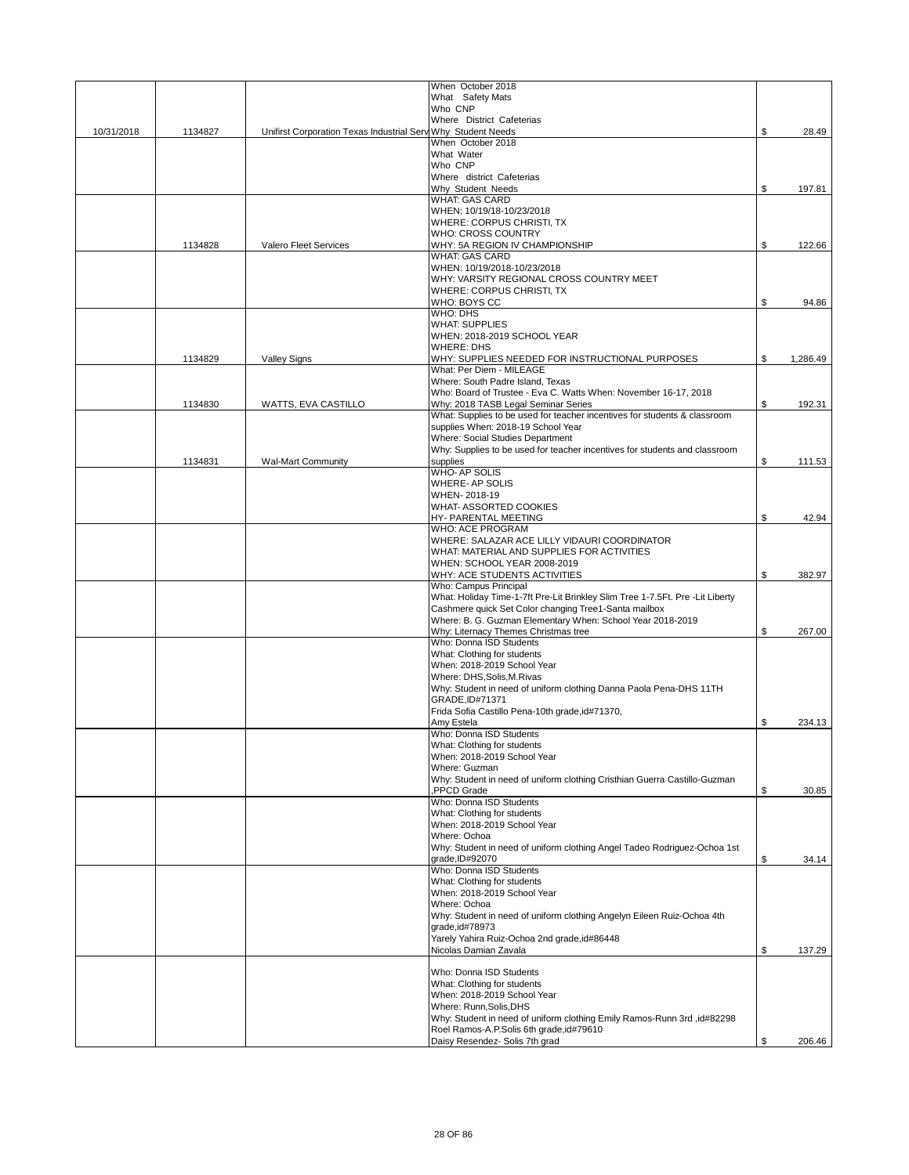|            |         |                                                              | When October 2018                                                                                   |                |
|------------|---------|--------------------------------------------------------------|-----------------------------------------------------------------------------------------------------|----------------|
|            |         |                                                              | What Safety Mats                                                                                    |                |
|            |         |                                                              | Who CNP                                                                                             |                |
|            |         |                                                              | Where District Cafeterias                                                                           |                |
| 10/31/2018 | 1134827 | Unifirst Corporation Texas Industrial Serv Why Student Needs | When October 2018                                                                                   | \$<br>28.49    |
|            |         |                                                              | What Water                                                                                          |                |
|            |         |                                                              | Who CNP                                                                                             |                |
|            |         |                                                              | Where district Cafeterias                                                                           |                |
|            |         |                                                              | Why Student Needs                                                                                   | \$<br>197.81   |
|            |         |                                                              | <b>WHAT: GAS CARD</b><br>WHEN: 10/19/18-10/23/2018                                                  |                |
|            |         |                                                              | WHERE: CORPUS CHRISTI, TX                                                                           |                |
|            |         |                                                              | <b>WHO: CROSS COUNTRY</b>                                                                           |                |
|            | 1134828 | Valero Fleet Services                                        | WHY: 5A REGION IV CHAMPIONSHIP                                                                      | \$<br>122.66   |
|            |         |                                                              | <b>WHAT: GAS CARD</b>                                                                               |                |
|            |         |                                                              | WHEN: 10/19/2018-10/23/2018                                                                         |                |
|            |         |                                                              | WHY: VARSITY REGIONAL CROSS COUNTRY MEET                                                            |                |
|            |         |                                                              | WHERE: CORPUS CHRISTI, TX<br>WHO: BOYS CC                                                           | \$<br>94.86    |
|            |         |                                                              | WHO: DHS                                                                                            |                |
|            |         |                                                              | <b>WHAT: SUPPLIES</b>                                                                               |                |
|            |         |                                                              | WHEN: 2018-2019 SCHOOL YEAR                                                                         |                |
|            |         |                                                              | <b>WHERE: DHS</b>                                                                                   |                |
|            | 1134829 | <b>Valley Signs</b>                                          | WHY: SUPPLIES NEEDED FOR INSTRUCTIONAL PURPOSES                                                     | \$<br>1,286.49 |
|            |         |                                                              | What: Per Diem - MILEAGE                                                                            |                |
|            |         |                                                              | Where: South Padre Island, Texas<br>Who: Board of Trustee - Eva C. Watts When: November 16-17, 2018 |                |
|            | 1134830 | WATTS, EVA CASTILLO                                          | Why: 2018 TASB Legal Seminar Series                                                                 | \$<br>192.31   |
|            |         |                                                              | What: Supplies to be used for teacher incentives for students & classroom                           |                |
|            |         |                                                              | supplies When: 2018-19 School Year                                                                  |                |
|            |         |                                                              | Where: Social Studies Department                                                                    |                |
|            |         |                                                              | Why: Supplies to be used for teacher incentives for students and classroom                          |                |
|            | 1134831 | <b>Wal-Mart Community</b>                                    | supplies                                                                                            | \$<br>111.53   |
|            |         |                                                              | <b>WHO-AP SOLIS</b>                                                                                 |                |
|            |         |                                                              | <b>WHERE-AP SOLIS</b><br>WHEN-2018-19                                                               |                |
|            |         |                                                              | WHAT-ASSORTED COOKIES                                                                               |                |
|            |         |                                                              | HY- PARENTAL MEETING                                                                                | \$<br>42.94    |
|            |         |                                                              | <b>WHO: ACE PROGRAM</b>                                                                             |                |
|            |         |                                                              | WHERE: SALAZAR ACE LILLY VIDAURI COORDINATOR                                                        |                |
|            |         |                                                              | WHAT: MATERIAL AND SUPPLIES FOR ACTIVITIES                                                          |                |
|            |         |                                                              | WHEN: SCHOOL YEAR 2008-2019                                                                         |                |
|            |         |                                                              | WHY: ACE STUDENTS ACTIVITIES<br>Who: Campus Principal                                               | \$<br>382.97   |
|            |         |                                                              | What: Holiday Time-1-7ft Pre-Lit Brinkley Slim Tree 1-7.5Ft. Pre -Lit Liberty                       |                |
|            |         |                                                              | Cashmere quick Set Color changing Tree1-Santa mailbox                                               |                |
|            |         |                                                              | Where: B. G. Guzman Elementary When: School Year 2018-2019                                          |                |
|            |         |                                                              | Why: Liternacy Themes Christmas tree                                                                | \$<br>267.00   |
|            |         |                                                              | Who: Donna ISD Students                                                                             |                |
|            |         |                                                              | What: Clothing for students                                                                         |                |
|            |         |                                                              | When: 2018-2019 School Year                                                                         |                |
|            |         |                                                              | Where: DHS, Solis, M. Rivas<br>Why: Student in need of uniform clothing Danna Paola Pena-DHS 11TH   |                |
|            |         |                                                              | GRADE, ID#71371                                                                                     |                |
|            |         |                                                              | Frida Sofia Castillo Pena-10th grade, id#71370,                                                     |                |
|            |         |                                                              | Amv Estela                                                                                          | \$<br>234.13   |
|            |         |                                                              | Who: Donna ISD Students                                                                             |                |
|            |         |                                                              | What: Clothing for students                                                                         |                |
|            |         |                                                              | When: 2018-2019 School Year                                                                         |                |
|            |         |                                                              | Where: Guzman<br>Why: Student in need of uniform clothing Cristhian Guerra Castillo-Guzman          |                |
|            |         |                                                              | PPCD Grade                                                                                          | \$<br>30.85    |
|            |         |                                                              | Who: Donna ISD Students                                                                             |                |
|            |         |                                                              | What: Clothing for students                                                                         |                |
|            |         |                                                              | When: 2018-2019 School Year                                                                         |                |
|            |         |                                                              | Where: Ochoa                                                                                        |                |
|            |         |                                                              | Why: Student in need of uniform clothing Angel Tadeo Rodriguez-Ochoa 1st                            |                |
|            |         |                                                              | grade, ID#92070<br>Who: Donna ISD Students                                                          | \$<br>34.14    |
|            |         |                                                              | What: Clothing for students                                                                         |                |
|            |         |                                                              | When: 2018-2019 School Year                                                                         |                |
|            |         |                                                              | Where: Ochoa                                                                                        |                |
|            |         |                                                              | Why: Student in need of uniform clothing Angelyn Eileen Ruiz-Ochoa 4th                              |                |
|            |         |                                                              | grade, id#78973                                                                                     |                |
|            |         |                                                              | Yarely Yahira Ruiz-Ochoa 2nd grade, id#86448                                                        |                |
|            |         |                                                              | Nicolas Damian Zavala                                                                               | \$<br>137.29   |
|            |         |                                                              | Who: Donna ISD Students                                                                             |                |
|            |         |                                                              | What: Clothing for students                                                                         |                |
|            |         |                                                              | When: 2018-2019 School Year                                                                         |                |
|            |         |                                                              | Where: Runn, Solis, DHS                                                                             |                |
|            |         |                                                              | Why: Student in need of uniform clothing Emily Ramos-Runn 3rd ,id#82298                             |                |
|            |         |                                                              | Roel Ramos-A.P.Solis 6th grade, id#79610                                                            |                |
|            |         |                                                              | Daisy Resendez- Solis 7th grad                                                                      | \$<br>206.46   |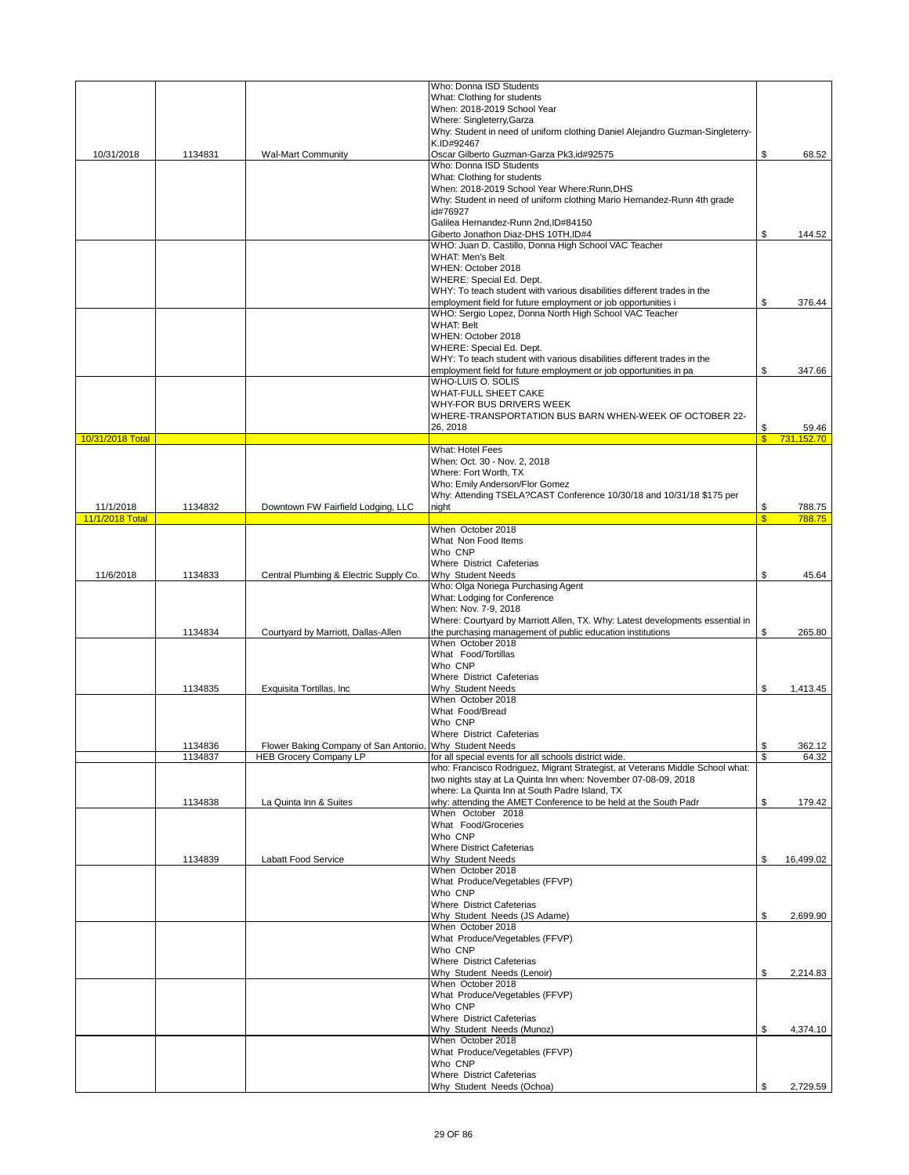|                  |                    |                                                                                          | Who: Donna ISD Students                                                                               |                               |                 |
|------------------|--------------------|------------------------------------------------------------------------------------------|-------------------------------------------------------------------------------------------------------|-------------------------------|-----------------|
|                  |                    |                                                                                          | What: Clothing for students                                                                           |                               |                 |
|                  |                    |                                                                                          | When: 2018-2019 School Year                                                                           |                               |                 |
|                  |                    |                                                                                          | Where: Singleterry, Garza                                                                             |                               |                 |
|                  |                    |                                                                                          | Why: Student in need of uniform clothing Daniel Alejandro Guzman-Singleterry-                         |                               |                 |
| 10/31/2018       | 1134831            |                                                                                          | K.ID#92467<br>Oscar Gilberto Guzman-Garza Pk3,id#92575                                                |                               | 68.52           |
|                  |                    | <b>Wal-Mart Community</b>                                                                | Who: Donna ISD Students                                                                               | \$                            |                 |
|                  |                    |                                                                                          | What: Clothing for students                                                                           |                               |                 |
|                  |                    |                                                                                          | When: 2018-2019 School Year Where:Runn,DHS                                                            |                               |                 |
|                  |                    |                                                                                          | Why: Student in need of uniform clothing Mario Hernandez-Runn 4th grade                               |                               |                 |
|                  |                    |                                                                                          | id#76927                                                                                              |                               |                 |
|                  |                    |                                                                                          | Galilea Hernandez-Runn 2nd, ID#84150                                                                  |                               |                 |
|                  |                    |                                                                                          | Giberto Jonathon Diaz-DHS 10TH, ID#4                                                                  | \$                            | 144.52          |
|                  |                    |                                                                                          | WHO: Juan D. Castillo, Donna High School VAC Teacher                                                  |                               |                 |
|                  |                    |                                                                                          | <b>WHAT: Men's Belt</b><br>WHEN: October 2018                                                         |                               |                 |
|                  |                    |                                                                                          | WHERE: Special Ed. Dept.                                                                              |                               |                 |
|                  |                    |                                                                                          | WHY: To teach student with various disabilities different trades in the                               |                               |                 |
|                  |                    |                                                                                          | employment field for future employment or job opportunities i                                         | \$                            | 376.44          |
|                  |                    |                                                                                          | WHO: Sergio Lopez, Donna North High School VAC Teacher                                                |                               |                 |
|                  |                    |                                                                                          | <b>WHAT: Belt</b>                                                                                     |                               |                 |
|                  |                    |                                                                                          | WHEN: October 2018                                                                                    |                               |                 |
|                  |                    |                                                                                          | WHERE: Special Ed. Dept.                                                                              |                               |                 |
|                  |                    |                                                                                          | WHY: To teach student with various disabilities different trades in the                               |                               |                 |
|                  |                    |                                                                                          | employment field for future employment or job opportunities in pa                                     | \$                            | 347.66          |
|                  |                    |                                                                                          | WHO-LUIS O. SOLIS<br><b>WHAT-FULL SHEET CAKE</b>                                                      |                               |                 |
|                  |                    |                                                                                          | WHY-FOR BUS DRIVERS WEEK                                                                              |                               |                 |
|                  |                    |                                                                                          | WHERE-TRANSPORTATION BUS BARN WHEN-WEEK OF OCTOBER 22-                                                |                               |                 |
|                  |                    |                                                                                          | 26, 2018                                                                                              | \$                            | 59.46           |
| 10/31/2018 Total |                    |                                                                                          |                                                                                                       | $\mathbf{\$}$                 | 731.152.70      |
|                  |                    |                                                                                          | What: Hotel Fees                                                                                      |                               |                 |
|                  |                    |                                                                                          | When: Oct. 30 - Nov. 2, 2018                                                                          |                               |                 |
|                  |                    |                                                                                          | Where: Fort Worth, TX                                                                                 |                               |                 |
|                  |                    |                                                                                          | Who: Emily Anderson/Flor Gomez                                                                        |                               |                 |
| 11/1/2018        |                    |                                                                                          | Why: Attending TSELA?CAST Conference 10/30/18 and 10/31/18 \$175 per<br>night                         |                               | 788.75          |
| 11/1/2018 Total  | 1134832            | Downtown FW Fairfield Lodging, LLC                                                       |                                                                                                       | \$<br>$\overline{\mathbb{S}}$ | 788.75          |
|                  |                    |                                                                                          | When October 2018                                                                                     |                               |                 |
|                  |                    |                                                                                          | What Non Food Items                                                                                   |                               |                 |
|                  |                    |                                                                                          | Who CNP                                                                                               |                               |                 |
|                  |                    |                                                                                          | Where District Cafeterias                                                                             |                               |                 |
| 11/6/2018        | 1134833            | Central Plumbing & Electric Supply Co.                                                   | Why Student Needs                                                                                     | \$                            | 45.64           |
|                  |                    |                                                                                          | Who: Olga Noriega Purchasing Agent                                                                    |                               |                 |
|                  |                    |                                                                                          | What: Lodging for Conference                                                                          |                               |                 |
|                  |                    |                                                                                          | When: Nov. 7-9, 2018<br>Where: Courtyard by Marriott Allen, TX. Why: Latest developments essential in |                               |                 |
|                  | 1134834            | Courtyard by Marriott, Dallas-Allen                                                      | the purchasing management of public education institutions                                            | \$                            | 265.80          |
|                  |                    |                                                                                          | When October 2018                                                                                     |                               |                 |
|                  |                    |                                                                                          | What Food/Tortillas                                                                                   |                               |                 |
|                  |                    |                                                                                          | Who CNP                                                                                               |                               |                 |
|                  |                    |                                                                                          | Where District Cafeterias                                                                             |                               |                 |
|                  | 1134835            | Exquisita Tortillas, Inc.                                                                | Why Student Needs                                                                                     | \$                            | 1,413.45        |
|                  |                    |                                                                                          | When October 2018                                                                                     |                               |                 |
|                  |                    |                                                                                          | What Food/Bread                                                                                       |                               |                 |
|                  |                    |                                                                                          | Who CNP                                                                                               |                               |                 |
|                  |                    |                                                                                          | Where District Cafeterias                                                                             |                               |                 |
|                  | 1134836<br>1134837 | Flower Baking Company of San Antonio, Why Student Needs<br><b>HEB Grocery Company LP</b> | for all special events for all schools district wide.                                                 | \$<br>\$                      | 362.12<br>64.32 |
|                  |                    |                                                                                          | who: Francisco Rodriguez, Migrant Strategist, at Veterans Middle School what:                         |                               |                 |
|                  |                    |                                                                                          | two nights stay at La Quinta Inn when: November 07-08-09, 2018                                        |                               |                 |
|                  |                    |                                                                                          | where: La Quinta Inn at South Padre Island, TX                                                        |                               |                 |
|                  | 1134838            | La Quinta Inn & Suites                                                                   | why: attending the AMET Conference to be held at the South Padr                                       | \$                            | 179.42          |
|                  |                    |                                                                                          | When October 2018                                                                                     |                               |                 |
|                  |                    |                                                                                          | What Food/Groceries<br>Who CNP                                                                        |                               |                 |
|                  |                    |                                                                                          | <b>Where District Cafeterias</b>                                                                      |                               |                 |
|                  | 1134839            | Labatt Food Service                                                                      | Why Student Needs                                                                                     | \$                            | 16,499.02       |
|                  |                    |                                                                                          | When October 2018                                                                                     |                               |                 |
|                  |                    |                                                                                          | What Produce/Vegetables (FFVP)                                                                        |                               |                 |
|                  |                    |                                                                                          | Who CNP                                                                                               |                               |                 |
|                  |                    |                                                                                          | Where District Cafeterias                                                                             |                               |                 |
|                  |                    |                                                                                          | Why Student Needs (JS Adame)<br>When October 2018                                                     | \$                            | 2,699.90        |
|                  |                    |                                                                                          | What Produce/Vegetables (FFVP)                                                                        |                               |                 |
|                  |                    |                                                                                          | Who CNP                                                                                               |                               |                 |
|                  |                    |                                                                                          | Where District Cafeterias                                                                             |                               |                 |
|                  |                    |                                                                                          | Why Student Needs (Lenoir)                                                                            | \$                            | 2,214.83        |
|                  |                    |                                                                                          | When October 2018                                                                                     |                               |                 |
|                  |                    |                                                                                          | What Produce/Vegetables (FFVP)                                                                        |                               |                 |
|                  |                    |                                                                                          | Who CNP                                                                                               |                               |                 |
|                  |                    |                                                                                          | Where District Cafeterias                                                                             |                               |                 |
|                  |                    |                                                                                          | Why Student Needs (Munoz)                                                                             | \$                            | 4,374.10        |
|                  |                    |                                                                                          | When October 2018<br>What Produce/Vegetables (FFVP)                                                   |                               |                 |
|                  |                    |                                                                                          | Who CNP                                                                                               |                               |                 |
|                  |                    |                                                                                          | Where District Cafeterias                                                                             |                               |                 |
|                  |                    |                                                                                          | Why Student Needs (Ochoa)                                                                             | \$                            | 2,729.59        |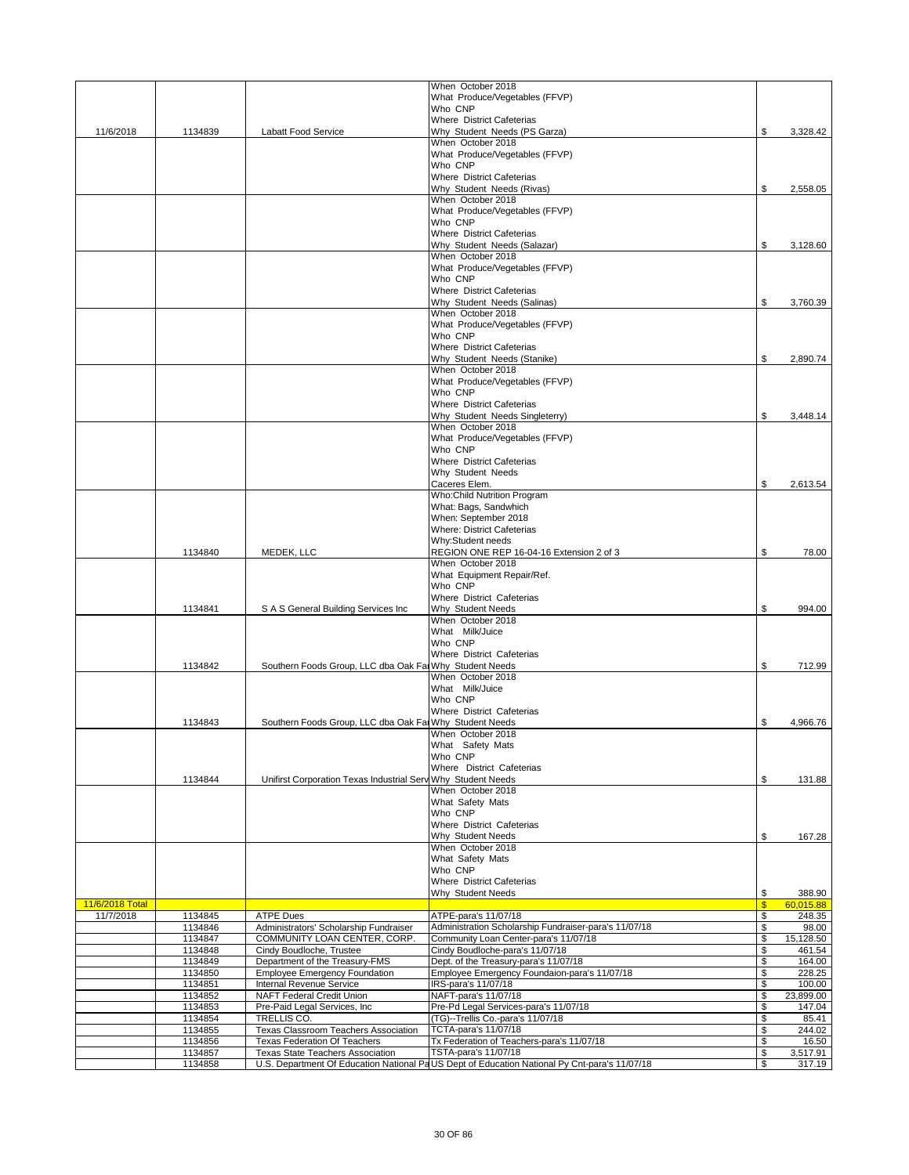|                              |                    |                                                                         | When October 2018                                                                                                    |                     |                     |
|------------------------------|--------------------|-------------------------------------------------------------------------|----------------------------------------------------------------------------------------------------------------------|---------------------|---------------------|
|                              |                    |                                                                         | What Produce/Vegetables (FFVP)                                                                                       |                     |                     |
|                              |                    |                                                                         | Who CNP<br>Where District Cafeterias                                                                                 |                     |                     |
| 11/6/2018                    | 1134839            | <b>Labatt Food Service</b>                                              | Why Student Needs (PS Garza)                                                                                         | \$                  | 3.328.42            |
|                              |                    |                                                                         | When October 2018                                                                                                    |                     |                     |
|                              |                    |                                                                         | What Produce/Vegetables (FFVP)                                                                                       |                     |                     |
|                              |                    |                                                                         | Who CNP                                                                                                              |                     |                     |
|                              |                    |                                                                         | Where District Cafeterias                                                                                            |                     |                     |
|                              |                    |                                                                         | Why Student Needs (Rivas)                                                                                            | \$                  | 2,558.05            |
|                              |                    |                                                                         | When October 2018                                                                                                    |                     |                     |
|                              |                    |                                                                         | What Produce/Vegetables (FFVP)                                                                                       |                     |                     |
|                              |                    |                                                                         | Who CNP                                                                                                              |                     |                     |
|                              |                    |                                                                         | Where District Cafeterias                                                                                            |                     |                     |
|                              |                    |                                                                         | Why Student Needs (Salazar)<br>When October 2018                                                                     | \$                  | 3,128.60            |
|                              |                    |                                                                         | What Produce/Vegetables (FFVP)                                                                                       |                     |                     |
|                              |                    |                                                                         | Who CNP                                                                                                              |                     |                     |
|                              |                    |                                                                         | Where District Cafeterias                                                                                            |                     |                     |
|                              |                    |                                                                         | Why Student Needs (Salinas)                                                                                          | \$                  | 3,760.39            |
|                              |                    |                                                                         | When October 2018                                                                                                    |                     |                     |
|                              |                    |                                                                         | What Produce/Vegetables (FFVP)                                                                                       |                     |                     |
|                              |                    |                                                                         | Who CNP                                                                                                              |                     |                     |
|                              |                    |                                                                         | Where District Cafeterias                                                                                            |                     |                     |
|                              |                    |                                                                         | Why Student Needs (Stanike)                                                                                          | \$                  | 2,890.74            |
|                              |                    |                                                                         | When October 2018<br>What Produce/Vegetables (FFVP)                                                                  |                     |                     |
|                              |                    |                                                                         | Who CNP                                                                                                              |                     |                     |
|                              |                    |                                                                         | Where District Cafeterias                                                                                            |                     |                     |
|                              |                    |                                                                         | Why Student Needs Singleterry)                                                                                       | \$                  | 3,448.14            |
|                              |                    |                                                                         | When October 2018                                                                                                    |                     |                     |
|                              |                    |                                                                         | What Produce/Vegetables (FFVP)                                                                                       |                     |                     |
|                              |                    |                                                                         | Who CNP                                                                                                              |                     |                     |
|                              |                    |                                                                         | Where District Cafeterias                                                                                            |                     |                     |
|                              |                    |                                                                         | Why Student Needs                                                                                                    |                     |                     |
|                              |                    |                                                                         | Caceres Elem.                                                                                                        | \$                  | 2,613.54            |
|                              |                    |                                                                         | <b>Who:Child Nutrition Program</b><br>What: Bags, Sandwhich                                                          |                     |                     |
|                              |                    |                                                                         | When: September 2018                                                                                                 |                     |                     |
|                              |                    |                                                                         | Where: District Cafeterias                                                                                           |                     |                     |
|                              |                    |                                                                         | Why:Student needs                                                                                                    |                     |                     |
|                              | 1134840            | MEDEK, LLC                                                              | REGION ONE REP 16-04-16 Extension 2 of 3                                                                             | \$                  | 78.00               |
|                              |                    |                                                                         | When October 2018<br>What Equipment Repair/Ref.                                                                      |                     |                     |
|                              |                    |                                                                         | Who CNP                                                                                                              |                     |                     |
|                              |                    |                                                                         | Where District Cafeterias                                                                                            |                     |                     |
|                              | 1134841            | S A S General Building Services Inc                                     | Why Student Needs                                                                                                    | \$                  | 994.00              |
|                              |                    |                                                                         | When October 2018                                                                                                    |                     |                     |
|                              |                    |                                                                         | What Milk/Juice                                                                                                      |                     |                     |
|                              |                    |                                                                         | Who CNP<br>Where District Cafeterias                                                                                 |                     |                     |
|                              | 1134842            | Southern Foods Group, LLC dba Oak Fal Why Student Needs                 |                                                                                                                      | \$                  | 712.99              |
|                              |                    |                                                                         | When October 2018                                                                                                    |                     |                     |
|                              |                    |                                                                         | What Milk/Juice                                                                                                      |                     |                     |
|                              |                    |                                                                         | Who CNP                                                                                                              |                     |                     |
|                              |                    |                                                                         | Where District Cafeterias                                                                                            |                     |                     |
|                              | 1134843            | Southern Foods Group, LLC dba Oak Fai Why Student Needs                 |                                                                                                                      | \$                  | 4.966.76            |
|                              |                    |                                                                         | When October 2018                                                                                                    |                     |                     |
|                              |                    |                                                                         | What Safety Mats<br>Who CNP                                                                                          |                     |                     |
|                              |                    |                                                                         | Where District Cafeterias                                                                                            |                     |                     |
|                              | 1134844            | Unifirst Corporation Texas Industrial Serv Why Student Needs            |                                                                                                                      | \$                  | 131.88              |
|                              |                    |                                                                         | When October 2018                                                                                                    |                     |                     |
|                              |                    |                                                                         | What Safety Mats                                                                                                     |                     |                     |
|                              |                    |                                                                         | Who CNP                                                                                                              |                     |                     |
|                              |                    |                                                                         | Where District Cafeterias<br>Why Student Needs                                                                       | \$                  | 167.28              |
|                              |                    |                                                                         | When October 2018                                                                                                    |                     |                     |
|                              |                    |                                                                         | What Safety Mats                                                                                                     |                     |                     |
|                              |                    |                                                                         | Who CNP                                                                                                              |                     |                     |
|                              |                    |                                                                         | Where District Cafeterias                                                                                            |                     |                     |
|                              |                    |                                                                         | Why Student Needs                                                                                                    | \$                  | 388.90              |
| 11/6/2018 Total<br>11/7/2018 | 1134845            | <b>ATPE Dues</b>                                                        | ATPE-para's 11/07/18                                                                                                 | $\sqrt[6]{3}$<br>\$ | 60,015.88<br>248.35 |
|                              | 1134846            | Administrators' Scholarship Fundraiser                                  | Administration Scholarship Fundraiser-para's 11/07/18                                                                | \$                  | 98.00               |
|                              | 1134847            | COMMUNITY LOAN CENTER, CORP.                                            | Community Loan Center-para's 11/07/18                                                                                | \$                  | 15,128.50           |
|                              | 1134848            | Cindy Boudloche, Trustee                                                | Cindy Boudloche-para's 11/07/18                                                                                      | \$                  | 461.54              |
|                              | 1134849            | Department of the Treasury-FMS                                          | Dept. of the Treasury-para's 11/07/18                                                                                | \$                  | 164.00              |
|                              | 1134850<br>1134851 | <b>Employee Emergency Foundation</b><br><b>Internal Revenue Service</b> | Employee Emergency Foundaion-para's 11/07/18<br>IRS-para's 11/07/18                                                  | \$<br>\$            | 228.25<br>100.00    |
|                              |                    |                                                                         |                                                                                                                      | \$                  | 23,899.00           |
|                              |                    |                                                                         |                                                                                                                      |                     |                     |
|                              | 1134852<br>1134853 | <b>NAFT Federal Credit Union</b><br>Pre-Paid Legal Services, Inc.       | NAFT-para's 11/07/18                                                                                                 | \$                  | 147.04              |
|                              | 1134854            | TRELLIS CO.                                                             | Pre-Pd Legal Services-para's 11/07/18<br>(TG)--Trellis Co.-para's 11/07/18                                           | \$                  | 85.41               |
|                              | 1134855            | Texas Classroom Teachers Association                                    | TCTA-para's 11/07/18                                                                                                 | \$                  | 244.02              |
|                              | 1134856            | <b>Texas Federation Of Teachers</b>                                     | Tx Federation of Teachers-para's 11/07/18                                                                            | \$                  | 16.50               |
|                              | 1134857<br>1134858 | Texas State Teachers Association                                        | TSTA-para's 11/07/18<br>U.S. Department Of Education National PaUS Dept of Education National Py Cnt-para's 11/07/18 | \$<br>\$            | 3,517.91<br>317.19  |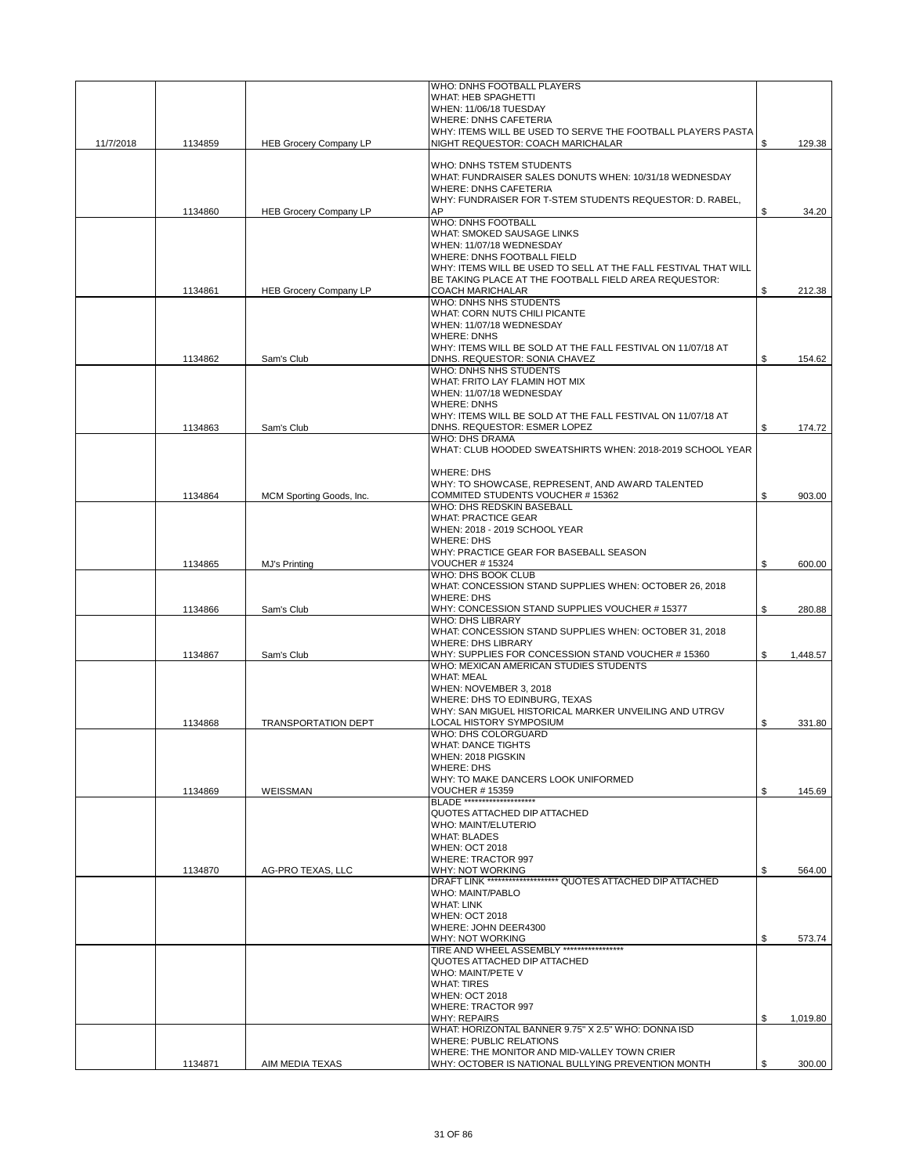|           |         |                               | WHO: DNHS FOOTBALL PLAYERS                                                                                              |                |
|-----------|---------|-------------------------------|-------------------------------------------------------------------------------------------------------------------------|----------------|
|           |         |                               | WHAT: HEB SPAGHETTI                                                                                                     |                |
|           |         |                               | WHEN: 11/06/18 TUESDAY<br><b>WHERE: DNHS CAFETERIA</b>                                                                  |                |
|           |         |                               | WHY: ITEMS WILL BE USED TO SERVE THE FOOTBALL PLAYERS PASTA                                                             |                |
| 11/7/2018 | 1134859 | <b>HEB Grocery Company LP</b> | NIGHT REQUESTOR: COACH MARICHALAR                                                                                       | \$<br>129.38   |
|           |         |                               |                                                                                                                         |                |
|           |         |                               | WHO: DNHS TSTEM STUDENTS<br>WHAT: FUNDRAISER SALES DONUTS WHEN: 10/31/18 WEDNESDAY                                      |                |
|           |         |                               | <b>WHERE: DNHS CAFETERIA</b>                                                                                            |                |
|           |         |                               | WHY: FUNDRAISER FOR T-STEM STUDENTS REQUESTOR: D. RABEL,                                                                |                |
|           | 1134860 | <b>HEB Grocery Company LP</b> | AP                                                                                                                      | \$<br>34.20    |
|           |         |                               | <b>WHO: DNHS FOOTBALL</b>                                                                                               |                |
|           |         |                               | WHAT: SMOKED SAUSAGE LINKS                                                                                              |                |
|           |         |                               | WHEN: 11/07/18 WEDNESDAY                                                                                                |                |
|           |         |                               | <b>WHERE: DNHS FOOTBALL FIELD</b>                                                                                       |                |
|           |         |                               | WHY: ITEMS WILL BE USED TO SELL AT THE FALL FESTIVAL THAT WILL<br>BE TAKING PLACE AT THE FOOTBALL FIELD AREA REQUESTOR: |                |
|           | 1134861 | <b>HEB Grocery Company LP</b> | COACH MARICHALAR                                                                                                        | \$<br>212.38   |
|           |         |                               | WHO: DNHS NHS STUDENTS                                                                                                  |                |
|           |         |                               | WHAT: CORN NUTS CHILI PICANTE                                                                                           |                |
|           |         |                               | WHEN: 11/07/18 WEDNESDAY                                                                                                |                |
|           |         |                               | <b>WHERE: DNHS</b>                                                                                                      |                |
|           |         |                               | WHY: ITEMS WILL BE SOLD AT THE FALL FESTIVAL ON 11/07/18 AT                                                             |                |
|           | 1134862 | Sam's Club                    | DNHS. REQUESTOR: SONIA CHAVEZ<br>WHO: DNHS NHS STUDENTS                                                                 | \$<br>154.62   |
|           |         |                               | WHAT: FRITO LAY FLAMIN HOT MIX                                                                                          |                |
|           |         |                               | WHEN: 11/07/18 WEDNESDAY                                                                                                |                |
|           |         |                               | <b>WHERE: DNHS</b>                                                                                                      |                |
|           |         |                               | WHY: ITEMS WILL BE SOLD AT THE FALL FESTIVAL ON 11/07/18 AT                                                             |                |
|           | 1134863 | Sam's Club                    | DNHS. REQUESTOR: ESMER LOPEZ                                                                                            | \$<br>174.72   |
|           |         |                               | <b>WHO: DHS DRAMA</b>                                                                                                   |                |
|           |         |                               | WHAT: CLUB HOODED SWEATSHIRTS WHEN: 2018-2019 SCHOOL YEAR                                                               |                |
|           |         |                               | <b>WHERE: DHS</b>                                                                                                       |                |
|           |         |                               | WHY: TO SHOWCASE, REPRESENT, AND AWARD TALENTED                                                                         |                |
|           | 1134864 | MCM Sporting Goods, Inc.      | COMMITED STUDENTS VOUCHER #15362                                                                                        | \$<br>903.00   |
|           |         |                               | WHO: DHS REDSKIN BASEBALL                                                                                               |                |
|           |         |                               | <b>WHAT: PRACTICE GEAR</b>                                                                                              |                |
|           |         |                               | WHEN: 2018 - 2019 SCHOOL YEAR                                                                                           |                |
|           |         |                               | <b>WHERE: DHS</b>                                                                                                       |                |
|           |         |                               | WHY: PRACTICE GEAR FOR BASEBALL SEASON                                                                                  |                |
|           | 1134865 | MJ's Printing                 | <b>VOUCHER #15324</b><br>WHO: DHS BOOK CLUB                                                                             | \$<br>600.00   |
|           |         |                               | WHAT: CONCESSION STAND SUPPLIES WHEN: OCTOBER 26, 2018                                                                  |                |
|           |         |                               | <b>WHERE: DHS</b>                                                                                                       |                |
|           | 1134866 | Sam's Club                    | WHY: CONCESSION STAND SUPPLIES VOUCHER #15377                                                                           | \$<br>280.88   |
|           |         |                               | <b>WHO: DHS LIBRARY</b>                                                                                                 |                |
|           |         |                               | WHAT: CONCESSION STAND SUPPLIES WHEN: OCTOBER 31, 2018                                                                  |                |
|           |         |                               | <b>WHERE: DHS LIBRARY</b>                                                                                               |                |
|           | 1134867 | Sam's Club                    | WHY: SUPPLIES FOR CONCESSION STAND VOUCHER #15360<br>WHO: MEXICAN AMERICAN STUDIES STUDENTS                             | \$<br>1,448.57 |
|           |         |                               | <b>WHAT: MEAL</b>                                                                                                       |                |
|           |         |                               | WHEN: NOVEMBER 3, 2018                                                                                                  |                |
|           |         |                               | WHERE: DHS TO EDINBURG, TEXAS                                                                                           |                |
|           |         |                               | WHY: SAN MIGUEL HISTORICAL MARKER UNVEILING AND UTRGV                                                                   |                |
|           | 1134868 | <b>TRANSPORTATION DEPT</b>    | LOCAL HISTORY SYMPOSIUM                                                                                                 | \$<br>331.80   |
|           |         |                               | WHO: DHS COLORGUARD                                                                                                     |                |
|           |         |                               | WHAT: DANCE TIGHTS                                                                                                      |                |
|           |         |                               | WHEN: 2018 PIGSKIN<br><b>WHERE: DHS</b>                                                                                 |                |
|           |         |                               | WHY: TO MAKE DANCERS LOOK UNIFORMED                                                                                     |                |
|           | 1134869 | WEISSMAN                      | <b>VOUCHER #15359</b>                                                                                                   | \$<br>145.69   |
|           |         |                               | <b>BLADE *********************</b>                                                                                      |                |
|           |         |                               | QUOTES ATTACHED DIP ATTACHED                                                                                            |                |
|           |         |                               | WHO: MAINT/ELUTERIO                                                                                                     |                |
|           |         |                               | <b>WHAT: BLADES</b><br><b>WHEN: OCT 2018</b>                                                                            |                |
|           |         |                               | <b>WHERE: TRACTOR 997</b>                                                                                               |                |
|           | 1134870 | AG-PRO TEXAS, LLC             | WHY: NOT WORKING                                                                                                        | \$<br>564.00   |
|           |         |                               | DRAFT LINK ********************* QUOTES ATTACHED DIP ATTACHED                                                           |                |
|           |         |                               | WHO: MAINT/PABLO                                                                                                        |                |
|           |         |                               | <b>WHAT: LINK</b>                                                                                                       |                |
|           |         |                               | <b>WHEN: OCT 2018</b>                                                                                                   |                |
|           |         |                               | WHERE: JOHN DEER4300<br>WHY: NOT WORKING                                                                                | 573.74         |
|           |         |                               | TIRE AND WHEEL ASSEMBLY ******************                                                                              | \$             |
|           |         |                               | QUOTES ATTACHED DIP ATTACHED                                                                                            |                |
|           |         |                               | WHO: MAINT/PETE V                                                                                                       |                |
|           |         |                               | <b>WHAT: TIRES</b>                                                                                                      |                |
|           |         |                               | <b>WHEN: OCT 2018</b>                                                                                                   |                |
|           |         |                               | <b>WHERE: TRACTOR 997</b>                                                                                               |                |
|           |         |                               | <b>WHY: REPAIRS</b><br>WHAT: HORIZONTAL BANNER 9.75" X 2.5" WHO: DONNA ISD                                              | \$<br>1,019.80 |
|           |         |                               | <b>WHERE: PUBLIC RELATIONS</b>                                                                                          |                |
|           |         |                               | WHERE: THE MONITOR AND MID-VALLEY TOWN CRIER                                                                            |                |
|           | 1134871 | AIM MEDIA TEXAS               | WHY: OCTOBER IS NATIONAL BULLYING PREVENTION MONTH                                                                      | \$<br>300.00   |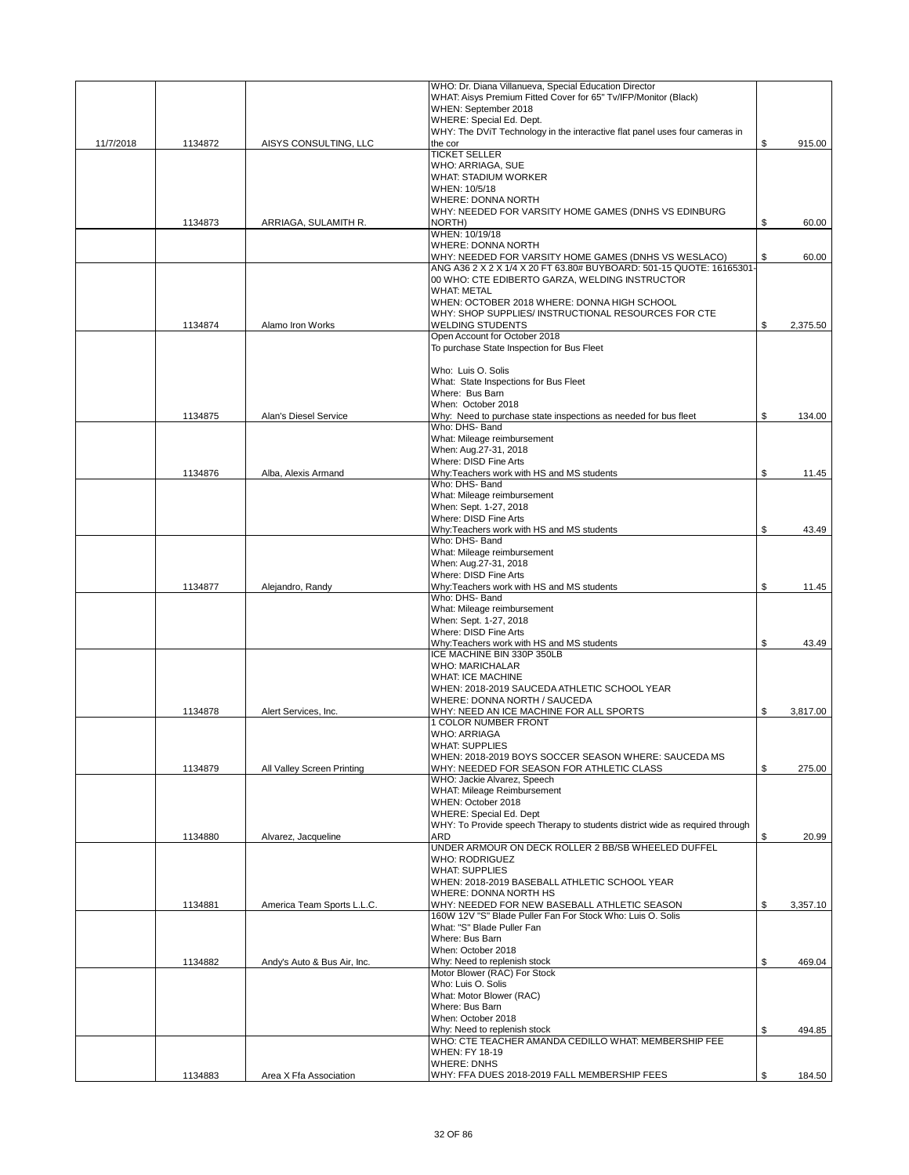|           |         |                             | WHO: Dr. Diana Villanueva, Special Education Director                        |                |
|-----------|---------|-----------------------------|------------------------------------------------------------------------------|----------------|
|           |         |                             | WHAT: Aisys Premium Fitted Cover for 65" Tv/IFP/Monitor (Black)              |                |
|           |         |                             | WHEN: September 2018                                                         |                |
|           |         |                             | WHERE: Special Ed. Dept.                                                     |                |
|           |         |                             | WHY: The DVIT Technology in the interactive flat panel uses four cameras in  |                |
| 11/7/2018 | 1134872 | AISYS CONSULTING, LLC       | the cor<br><b>TICKET SELLER</b>                                              | \$<br>915.00   |
|           |         |                             | WHO: ARRIAGA, SUE                                                            |                |
|           |         |                             | <b>WHAT: STADIUM WORKER</b>                                                  |                |
|           |         |                             | WHEN: 10/5/18                                                                |                |
|           |         |                             | <b>WHERE: DONNA NORTH</b>                                                    |                |
|           |         |                             | WHY: NEEDED FOR VARSITY HOME GAMES (DNHS VS EDINBURG                         |                |
|           | 1134873 | ARRIAGA, SULAMITH R.        | NORTH)                                                                       | \$<br>60.00    |
|           |         |                             | WHEN: 10/19/18                                                               |                |
|           |         |                             | WHERE: DONNA NORTH                                                           |                |
|           |         |                             | WHY: NEEDED FOR VARSITY HOME GAMES (DNHS VS WESLACO)                         | \$<br>60.00    |
|           |         |                             | ANG A36 2 X 2 X 1/4 X 20 FT 63.80# BUYBOARD: 501-15 QUOTE: 16165301-         |                |
|           |         |                             | 00 WHO: CTE EDIBERTO GARZA, WELDING INSTRUCTOR                               |                |
|           |         |                             | <b>WHAT: METAL</b>                                                           |                |
|           |         |                             | WHEN: OCTOBER 2018 WHERE: DONNA HIGH SCHOOL                                  |                |
|           |         |                             | WHY: SHOP SUPPLIES/ INSTRUCTIONAL RESOURCES FOR CTE                          |                |
|           | 1134874 | Alamo Iron Works            | <b>WELDING STUDENTS</b>                                                      | \$<br>2,375.50 |
|           |         |                             | Open Account for October 2018                                                |                |
|           |         |                             | To purchase State Inspection for Bus Fleet                                   |                |
|           |         |                             |                                                                              |                |
|           |         |                             | Who: Luis O. Solis                                                           |                |
|           |         |                             | What: State Inspections for Bus Fleet                                        |                |
|           |         |                             | Where: Bus Barn                                                              |                |
|           |         |                             | When: October 2018                                                           |                |
|           | 1134875 | Alan's Diesel Service       | Why: Need to purchase state inspections as needed for bus fleet              | \$<br>134.00   |
|           |         |                             | Who: DHS- Band                                                               |                |
|           |         |                             | What: Mileage reimbursement                                                  |                |
|           |         |                             | When: Aug.27-31, 2018                                                        |                |
|           | 1134876 | Alba, Alexis Armand         | Where: DISD Fine Arts<br>Why:Teachers work with HS and MS students           | \$             |
|           |         |                             | Who: DHS- Band                                                               | 11.45          |
|           |         |                             | What: Mileage reimbursement                                                  |                |
|           |         |                             | When: Sept. 1-27, 2018                                                       |                |
|           |         |                             | Where: DISD Fine Arts                                                        |                |
|           |         |                             | Why:Teachers work with HS and MS students                                    | \$<br>43.49    |
|           |         |                             | Who: DHS- Band                                                               |                |
|           |         |                             | What: Mileage reimbursement                                                  |                |
|           |         |                             | When: Aug.27-31, 2018                                                        |                |
|           |         |                             | Where: DISD Fine Arts                                                        |                |
|           | 1134877 | Alejandro, Randy            | Why:Teachers work with HS and MS students                                    | \$<br>11.45    |
|           |         |                             | Who: DHS- Band                                                               |                |
|           |         |                             | What: Mileage reimbursement                                                  |                |
|           |         |                             | When: Sept. 1-27, 2018                                                       |                |
|           |         |                             | Where: DISD Fine Arts                                                        |                |
|           |         |                             | Why:Teachers work with HS and MS students                                    | \$<br>43.49    |
|           |         |                             | ICE MACHINE BIN 330P 350LB                                                   |                |
|           |         |                             | <b>WHO: MARICHALAR</b>                                                       |                |
|           |         |                             | <b>WHAT: ICE MACHINE</b>                                                     |                |
|           |         |                             | WHEN: 2018-2019 SAUCEDA ATHLETIC SCHOOL YEAR                                 |                |
|           |         |                             | WHERE: DONNA NORTH / SAUCEDA                                                 |                |
|           | 1134878 | Alert Services, Inc.        | WHY: NEED AN ICE MACHINE FOR ALL SPORTS                                      | \$<br>3,817.00 |
|           |         |                             | 1 COLOR NUMBER FRONT                                                         |                |
|           |         |                             | <b>WHO: ARRIAGA</b>                                                          |                |
|           |         |                             | WHAT: SUPPLIES                                                               |                |
|           |         |                             | WHEN: 2018-2019 BOYS SOCCER SEASON WHERE: SAUCEDA MS                         |                |
|           | 1134879 | All Valley Screen Printing  | WHY: NEEDED FOR SEASON FOR ATHLETIC CLASS<br>WHO: Jackie Alvarez, Speech     | \$<br>275.00   |
|           |         |                             | <b>WHAT: Mileage Reimbursement</b>                                           |                |
|           |         |                             | WHEN: October 2018                                                           |                |
|           |         |                             | <b>WHERE: Special Ed. Dept</b>                                               |                |
|           |         |                             | WHY: To Provide speech Therapy to students district wide as required through |                |
|           | 1134880 | Alvarez, Jacqueline         | ARD                                                                          | \$<br>20.99    |
|           |         |                             | UNDER ARMOUR ON DECK ROLLER 2 BB/SB WHEELED DUFFEL                           |                |
|           |         |                             | <b>WHO: RODRIGUEZ</b>                                                        |                |
|           |         |                             | <b>WHAT: SUPPLIES</b>                                                        |                |
|           |         |                             | WHEN: 2018-2019 BASEBALL ATHLETIC SCHOOL YEAR                                |                |
|           |         |                             | WHERE: DONNA NORTH HS                                                        |                |
|           | 1134881 | America Team Sports L.L.C.  | WHY: NEEDED FOR NEW BASEBALL ATHLETIC SEASON                                 | \$<br>3,357.10 |
|           |         |                             | 160W 12V "S" Blade Puller Fan For Stock Who: Luis O. Solis                   |                |
|           |         |                             | What: "S" Blade Puller Fan                                                   |                |
|           |         |                             | Where: Bus Barn                                                              |                |
|           |         |                             | When: October 2018                                                           |                |
|           | 1134882 | Andy's Auto & Bus Air, Inc. | Why: Need to replenish stock                                                 | \$<br>469.04   |
|           |         |                             | Motor Blower (RAC) For Stock                                                 |                |
|           |         |                             | Who: Luis O. Solis                                                           |                |
|           |         |                             | What: Motor Blower (RAC)                                                     |                |
|           |         |                             | Where: Bus Barn                                                              |                |
|           |         |                             | When: October 2018                                                           |                |
|           |         |                             | Why: Need to replenish stock                                                 | \$<br>494.85   |
|           |         |                             | WHO: CTE TEACHER AMANDA CEDILLO WHAT: MEMBERSHIP FEE                         |                |
|           |         |                             | <b>WHEN: FY 18-19</b>                                                        |                |
|           |         |                             | <b>WHERE: DNHS</b>                                                           |                |
|           | 1134883 | Area X Ffa Association      | WHY: FFA DUES 2018-2019 FALL MEMBERSHIP FEES                                 | \$<br>184.50   |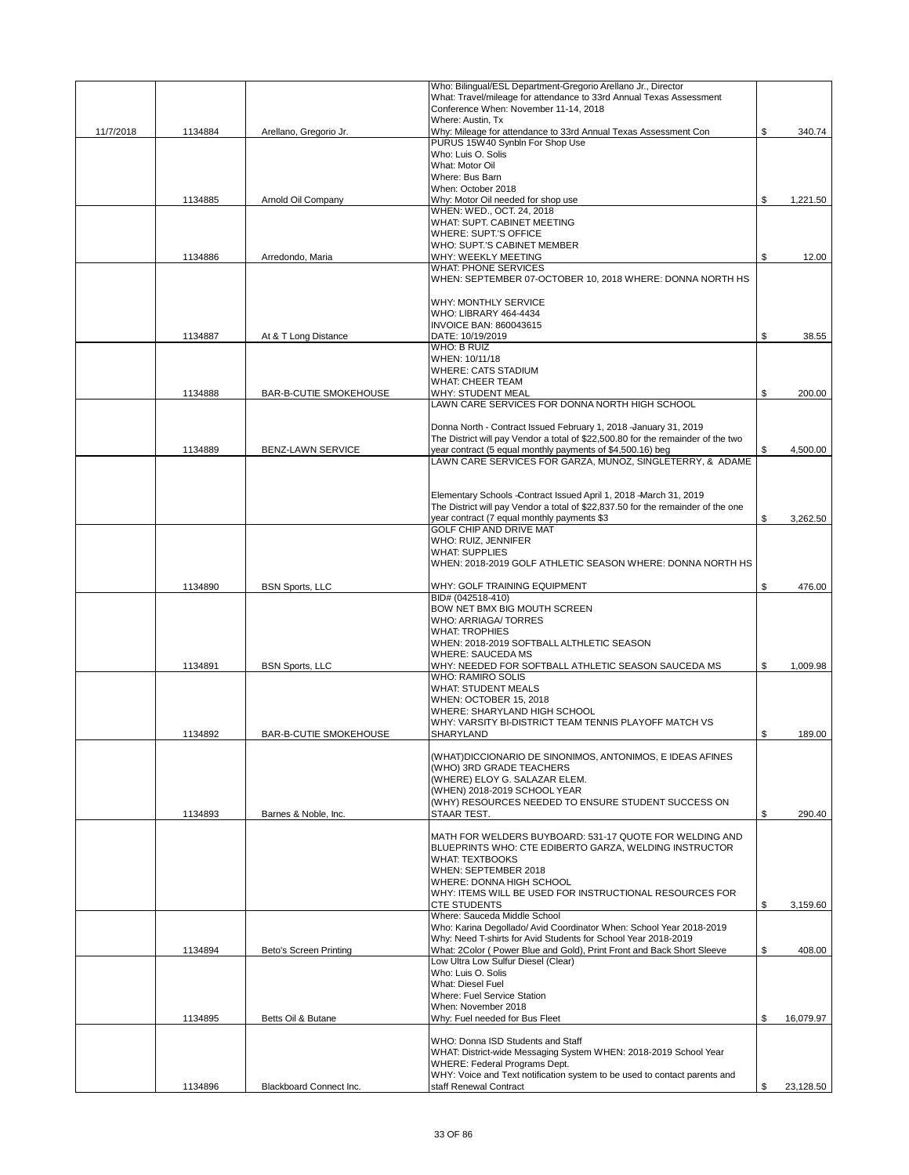|           |         |                               | Who: Bilingual/ESL Department-Gregorio Arellano Jr., Director                                                                         |                 |
|-----------|---------|-------------------------------|---------------------------------------------------------------------------------------------------------------------------------------|-----------------|
|           |         |                               | What: Travel/mileage for attendance to 33rd Annual Texas Assessment<br>Conference When: November 11-14, 2018                          |                 |
|           |         |                               | Where: Austin, Tx                                                                                                                     |                 |
| 11/7/2018 | 1134884 | Arellano, Gregorio Jr.        | Why: Mileage for attendance to 33rd Annual Texas Assessment Con                                                                       | \$<br>340.74    |
|           |         |                               | PURUS 15W40 Synbln For Shop Use                                                                                                       |                 |
|           |         |                               | Who: Luis O. Solis                                                                                                                    |                 |
|           |         |                               | What: Motor Oil                                                                                                                       |                 |
|           |         |                               | Where: Bus Barn<br>When: October 2018                                                                                                 |                 |
|           | 1134885 | Arnold Oil Company            | Why: Motor Oil needed for shop use                                                                                                    | \$<br>1,221.50  |
|           |         |                               | WHEN: WED., OCT. 24, 2018                                                                                                             |                 |
|           |         |                               | WHAT: SUPT. CABINET MEETING                                                                                                           |                 |
|           |         |                               | WHERE: SUPT.'S OFFICE                                                                                                                 |                 |
|           |         |                               | WHO: SUPT.'S CABINET MEMBER                                                                                                           |                 |
|           | 1134886 | Arredondo, Maria              | WHY: WEEKLY MEETING<br><b>WHAT: PHONE SERVICES</b>                                                                                    | \$<br>12.00     |
|           |         |                               | WHEN: SEPTEMBER 07-OCTOBER 10, 2018 WHERE: DONNA NORTH HS                                                                             |                 |
|           |         |                               |                                                                                                                                       |                 |
|           |         |                               | WHY: MONTHLY SERVICE                                                                                                                  |                 |
|           |         |                               | WHO: LIBRARY 464-4434                                                                                                                 |                 |
|           |         |                               | <b>INVOICE BAN: 860043615</b>                                                                                                         |                 |
|           | 1134887 | At & T Long Distance          | DATE: 10/19/2019                                                                                                                      | \$<br>38.55     |
|           |         |                               | WHO: B RUIZ<br>WHEN: 10/11/18                                                                                                         |                 |
|           |         |                               | <b>WHERE: CATS STADIUM</b>                                                                                                            |                 |
|           |         |                               | <b>WHAT: CHEER TEAM</b>                                                                                                               |                 |
|           | 1134888 | BAR-B-CUTIE SMOKEHOUSE        | <b>WHY: STUDENT MEAL</b>                                                                                                              | \$<br>200.00    |
|           |         |                               | LAWN CARE SERVICES FOR DONNA NORTH HIGH SCHOOL                                                                                        |                 |
|           |         |                               |                                                                                                                                       |                 |
|           |         |                               | Donna North - Contract Issued February 1, 2018 -January 31, 2019                                                                      |                 |
|           |         |                               | The District will pay Vendor a total of \$22,500.80 for the remainder of the two                                                      | \$              |
|           | 1134889 | BENZ-LAWN SERVICE             | year contract (5 equal monthly payments of \$4,500.16) beg<br>LAWN CARE SERVICES FOR GARZA, MUNOZ, SINGLETERRY, & ADAME               | 4,500.00        |
|           |         |                               |                                                                                                                                       |                 |
|           |         |                               |                                                                                                                                       |                 |
|           |         |                               | Elementary Schools-Contract Issued April 1, 2018 -March 31, 2019                                                                      |                 |
|           |         |                               | The District will pay Vendor a total of \$22,837.50 for the remainder of the one                                                      |                 |
|           |         |                               | year contract (7 equal monthly payments \$3                                                                                           | \$<br>3,262.50  |
|           |         |                               | GOLF CHIP AND DRIVE MAT                                                                                                               |                 |
|           |         |                               | WHO: RUIZ, JENNIFER<br><b>WHAT: SUPPLIES</b>                                                                                          |                 |
|           |         |                               | WHEN: 2018-2019 GOLF ATHLETIC SEASON WHERE: DONNA NORTH HS                                                                            |                 |
|           |         |                               |                                                                                                                                       |                 |
|           | 1134890 | <b>BSN Sports, LLC</b>        | WHY: GOLF TRAINING EQUIPMENT                                                                                                          | \$<br>476.00    |
|           |         |                               | BID# (042518-410)                                                                                                                     |                 |
|           |         |                               | BOW NET BMX BIG MOUTH SCREEN                                                                                                          |                 |
|           |         |                               | WHO: ARRIAGA/TORRES                                                                                                                   |                 |
|           |         |                               | <b>WHAT: TROPHIES</b>                                                                                                                 |                 |
|           |         |                               | WHEN: 2018-2019 SOFTBALL ALTHLETIC SEASON<br><b>WHERE: SAUCEDA MS</b>                                                                 |                 |
|           | 1134891 | <b>BSN Sports, LLC</b>        | WHY: NEEDED FOR SOFTBALL ATHLETIC SEASON SAUCEDA MS                                                                                   | \$<br>1,009.98  |
|           |         |                               | <b>WHO: RAMIRO SOLIS</b>                                                                                                              |                 |
|           |         |                               | <b>WHAT: STUDENT MEALS</b>                                                                                                            |                 |
|           |         |                               | WHEN: OCTOBER 15, 2018                                                                                                                |                 |
|           |         |                               | WHERE: SHARYLAND HIGH SCHOOL                                                                                                          |                 |
|           |         |                               | WHY: VARSITY BI-DISTRICT TEAM TENNIS PLAYOFF MATCH VS                                                                                 |                 |
|           | 1134892 | <b>BAR-B-CUTIE SMOKEHOUSE</b> | SHARYLAND                                                                                                                             | \$<br>189.00    |
|           |         |                               | (WHAT)DICCIONARIO DE SINONIMOS, ANTONIMOS, E IDEAS AFINES                                                                             |                 |
|           |         |                               | (WHO) 3RD GRADE TEACHERS                                                                                                              |                 |
|           |         |                               | (WHERE) ELOY G. SALAZAR ELEM.                                                                                                         |                 |
|           |         |                               | (WHEN) 2018-2019 SCHOOL YEAR                                                                                                          |                 |
|           |         |                               | (WHY) RESOURCES NEEDED TO ENSURE STUDENT SUCCESS ON                                                                                   |                 |
|           | 1134893 | Barnes & Noble, Inc.          | STAAR TEST.                                                                                                                           | \$<br>290.40    |
|           |         |                               | MATH FOR WELDERS BUYBOARD: 531-17 QUOTE FOR WELDING AND                                                                               |                 |
|           |         |                               | BLUEPRINTS WHO: CTE EDIBERTO GARZA, WELDING INSTRUCTOR                                                                                |                 |
|           |         |                               | <b>WHAT: TEXTBOOKS</b>                                                                                                                |                 |
|           |         |                               | WHEN: SEPTEMBER 2018                                                                                                                  |                 |
|           |         |                               | WHERE: DONNA HIGH SCHOOL                                                                                                              |                 |
|           |         |                               | WHY: ITEMS WILL BE USED FOR INSTRUCTIONAL RESOURCES FOR                                                                               |                 |
|           |         |                               | <b>CTE STUDENTS</b>                                                                                                                   | \$<br>3,159.60  |
|           |         |                               | Where: Sauceda Middle School                                                                                                          |                 |
|           |         |                               | Who: Karina Degollado/ Avid Coordinator When: School Year 2018-2019<br>Why: Need T-shirts for Avid Students for School Year 2018-2019 |                 |
|           | 1134894 | Beto's Screen Printing        | What: 2Color (Power Blue and Gold), Print Front and Back Short Sleeve                                                                 | \$<br>408.00    |
|           |         |                               | Low Ultra Low Sulfur Diesel (Clear)                                                                                                   |                 |
|           |         |                               | Who: Luis O. Solis                                                                                                                    |                 |
|           |         |                               | What: Diesel Fuel                                                                                                                     |                 |
|           |         |                               | Where: Fuel Service Station                                                                                                           |                 |
|           |         |                               | When: November 2018                                                                                                                   |                 |
|           | 1134895 | Betts Oil & Butane            | Why: Fuel needed for Bus Fleet                                                                                                        | \$<br>16,079.97 |
|           |         |                               | WHO: Donna ISD Students and Staff                                                                                                     |                 |
|           |         |                               | WHAT: District-wide Messaging System WHEN: 2018-2019 School Year                                                                      |                 |
|           |         |                               | WHERE: Federal Programs Dept.                                                                                                         |                 |
|           |         |                               | WHY: Voice and Text notification system to be used to contact parents and                                                             |                 |
|           | 1134896 | Blackboard Connect Inc.       | staff Renewal Contract                                                                                                                | \$<br>23,128.50 |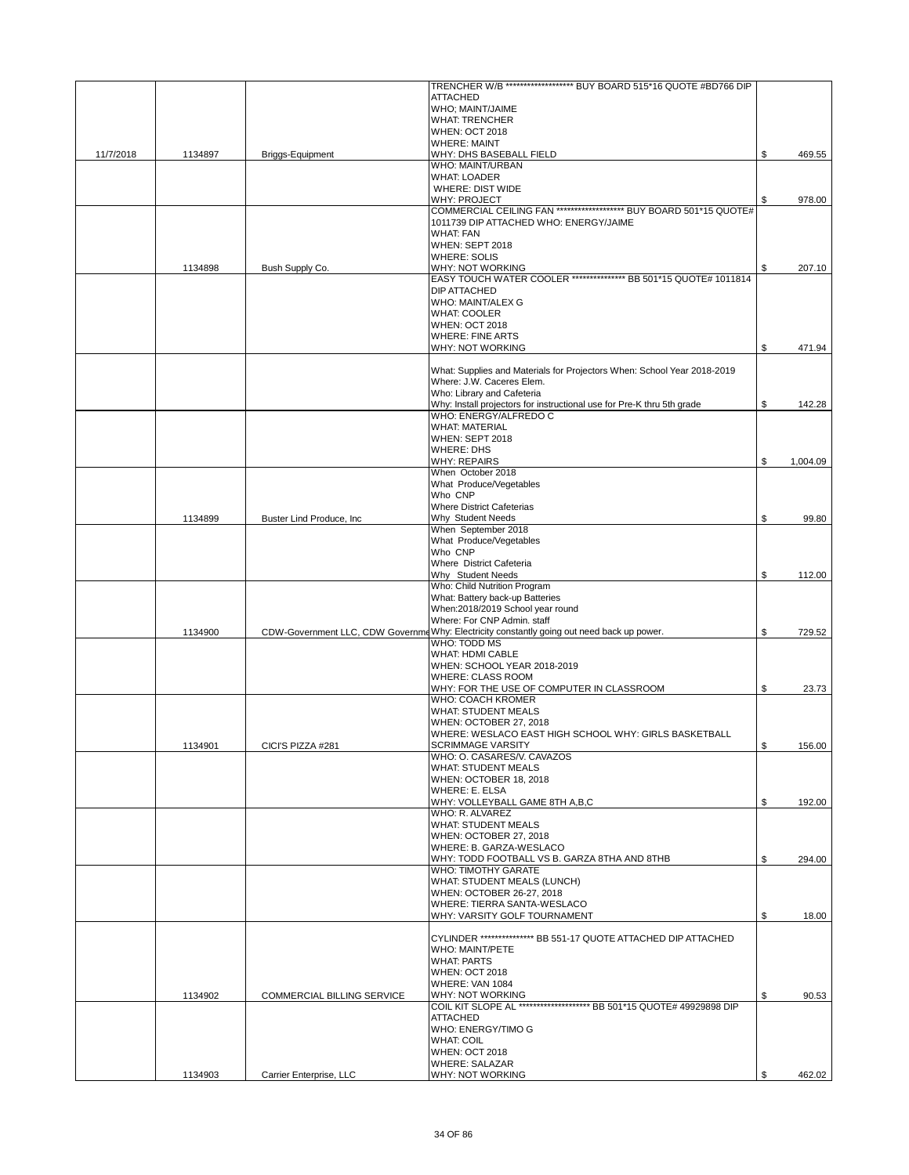|           |         |                            | TRENCHER W/B ******************** BUY BOARD 515*16 QUOTE #BD766 DIP                                  |                |
|-----------|---------|----------------------------|------------------------------------------------------------------------------------------------------|----------------|
|           |         |                            | <b>ATTACHED</b>                                                                                      |                |
|           |         |                            | WHO; MAINT/JAIME<br><b>WHAT: TRENCHER</b>                                                            |                |
|           |         |                            | <b>WHEN: OCT 2018</b>                                                                                |                |
|           |         |                            | <b>WHERE: MAINT</b>                                                                                  |                |
| 11/7/2018 | 1134897 | Briggs-Equipment           | WHY: DHS BASEBALL FIELD                                                                              | \$<br>469.55   |
|           |         |                            | WHO: MAINT/URBAN                                                                                     |                |
|           |         |                            | <b>WHAT: LOADER</b><br>WHERE: DIST WIDE                                                              |                |
|           |         |                            | WHY: PROJECT                                                                                         | \$<br>978.00   |
|           |         |                            | COMMERCIAL CEILING FAN ******************** BUY BOARD 501*15 QUOTE#                                  |                |
|           |         |                            | 1011739 DIP ATTACHED WHO: ENERGY/JAIME                                                               |                |
|           |         |                            | <b>WHAT: FAN</b>                                                                                     |                |
|           |         |                            | WHEN: SEPT 2018<br><b>WHERE: SOLIS</b>                                                               |                |
|           | 1134898 | Bush Supply Co.            | WHY: NOT WORKING                                                                                     | \$<br>207.10   |
|           |         |                            | EASY TOUCH WATER COOLER *************** BB 501*15 QUOTE# 1011814                                     |                |
|           |         |                            | DIP ATTACHED                                                                                         |                |
|           |         |                            | WHO: MAINT/ALEX G                                                                                    |                |
|           |         |                            | <b>WHAT: COOLER</b><br><b>WHEN: OCT 2018</b>                                                         |                |
|           |         |                            | <b>WHERE: FINE ARTS</b>                                                                              |                |
|           |         |                            | <b>WHY: NOT WORKING</b>                                                                              | \$<br>471.94   |
|           |         |                            |                                                                                                      |                |
|           |         |                            | What: Supplies and Materials for Projectors When: School Year 2018-2019                              |                |
|           |         |                            | Where: J.W. Caceres Elem.                                                                            |                |
|           |         |                            | Who: Library and Cafeteria<br>Why: Install projectors for instructional use for Pre-K thru 5th grade | \$<br>142.28   |
|           |         |                            | WHO: ENERGY/ALFREDO C                                                                                |                |
|           |         |                            | <b>WHAT: MATERIAL</b>                                                                                |                |
|           |         |                            | WHEN: SEPT 2018                                                                                      |                |
|           |         |                            | <b>WHERE: DHS</b>                                                                                    |                |
|           |         |                            | <b>WHY: REPAIRS</b><br>When October 2018                                                             | \$<br>1,004.09 |
|           |         |                            | What Produce/Vegetables                                                                              |                |
|           |         |                            | Who CNP                                                                                              |                |
|           |         |                            | <b>Where District Cafeterias</b>                                                                     |                |
|           | 1134899 | Buster Lind Produce, Inc.  | Why Student Needs                                                                                    | \$<br>99.80    |
|           |         |                            | When September 2018<br>What Produce/Vegetables                                                       |                |
|           |         |                            | Who CNP                                                                                              |                |
|           |         |                            | Where District Cafeteria                                                                             |                |
|           |         |                            | Why Student Needs                                                                                    | \$<br>112.00   |
|           |         |                            | Who: Child Nutrition Program                                                                         |                |
|           |         |                            | What: Battery back-up Batteries<br>When:2018/2019 School year round                                  |                |
|           |         |                            | Where: For CNP Admin. staff                                                                          |                |
|           | 1134900 |                            | CDW-Government LLC, CDW Governme Why: Electricity constantly going out need back up power.           | \$<br>729.52   |
|           |         |                            | WHO: TODD MS                                                                                         |                |
|           |         |                            | <b>WHAT: HDMI CABLE</b>                                                                              |                |
|           |         |                            | WHEN: SCHOOL YEAR 2018-2019<br><b>WHERE: CLASS ROOM</b>                                              |                |
|           |         |                            | WHY: FOR THE USE OF COMPUTER IN CLASSROOM                                                            | \$<br>23.73    |
|           |         |                            | WHO: COACH KROMER                                                                                    |                |
|           |         |                            | <b>WHAT: STUDENT MEALS</b>                                                                           |                |
|           |         |                            | WHEN: OCTOBER 27, 2018                                                                               |                |
|           | 1134901 | CICI'S PIZZA #281          | WHERE: WESLACO EAST HIGH SCHOOL WHY: GIRLS BASKETBALL<br><b>SCRIMMAGE VARSITY</b>                    | 156.00         |
|           |         |                            | WHO: O. CASARES/V. CAVAZOS                                                                           |                |
|           |         |                            | <b>WHAT: STUDENT MEALS</b>                                                                           |                |
|           |         |                            | WHEN: OCTOBER 18, 2018                                                                               |                |
|           |         |                            | WHERE: E. ELSA                                                                                       |                |
|           |         |                            | WHY: VOLLEYBALL GAME 8TH A,B,C<br>WHO: R. ALVAREZ                                                    | \$<br>192.00   |
|           |         |                            | <b>WHAT: STUDENT MEALS</b>                                                                           |                |
|           |         |                            | WHEN: OCTOBER 27, 2018                                                                               |                |
|           |         |                            | WHERE: B. GARZA-WESLACO                                                                              |                |
|           |         |                            | WHY: TODD FOOTBALL VS B. GARZA 8THA AND 8THB<br><b>WHO: TIMOTHY GARATE</b>                           | \$<br>294.00   |
|           |         |                            | WHAT: STUDENT MEALS (LUNCH)                                                                          |                |
|           |         |                            | WHEN: OCTOBER 26-27, 2018                                                                            |                |
|           |         |                            | WHERE: TIERRA SANTA-WESLACO                                                                          |                |
|           |         |                            | WHY: VARSITY GOLF TOURNAMENT                                                                         | \$<br>18.00    |
|           |         |                            | CYLINDER ***************** BB 551-17 QUOTE ATTACHED DIP ATTACHED                                     |                |
|           |         |                            | WHO: MAINT/PETE                                                                                      |                |
|           |         |                            | <b>WHAT: PARTS</b>                                                                                   |                |
|           |         |                            | <b>WHEN: OCT 2018</b>                                                                                |                |
|           |         |                            | WHERE: VAN 1084                                                                                      |                |
|           | 1134902 | COMMERCIAL BILLING SERVICE | WHY: NOT WORKING<br>COIL KIT SLOPE AL ************************ BB 501*15 QUOTE# 49929898 DIP         | \$<br>90.53    |
|           |         |                            | <b>ATTACHED</b>                                                                                      |                |
|           |         |                            | WHO: ENERGY/TIMO G                                                                                   |                |
|           |         |                            | <b>WHAT: COIL</b>                                                                                    |                |
|           |         |                            | <b>WHEN: OCT 2018</b>                                                                                |                |
|           | 1134903 | Carrier Enterprise, LLC    | <b>WHERE: SALAZAR</b><br>WHY: NOT WORKING                                                            | 462.02         |
|           |         |                            |                                                                                                      |                |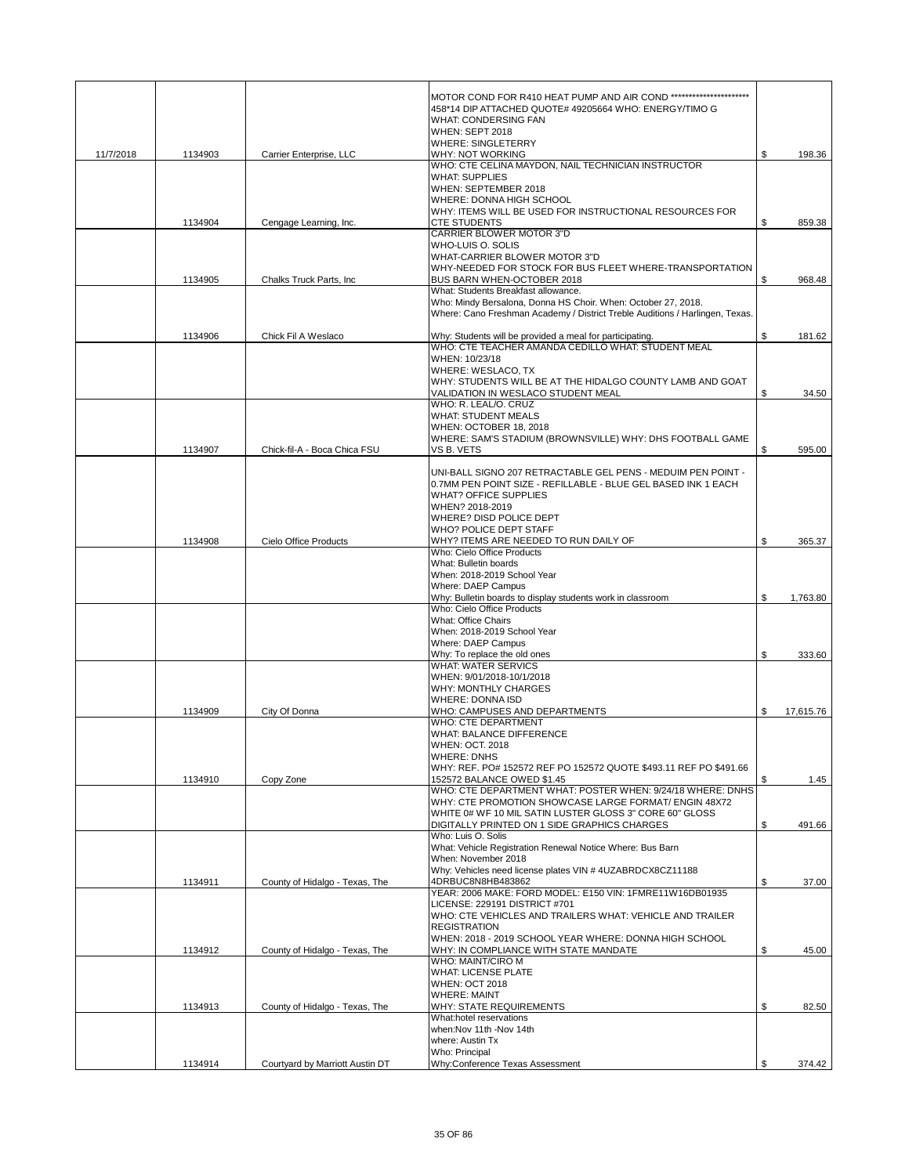|           |         |                                 | MOTOR COND FOR R410 HEAT PUMP AND AIR COND ***********************<br>458*14 DIP ATTACHED QUOTE# 49205664 WHO: ENERGY/TIMO G<br><b>WHAT: CONDERSING FAN</b>                                                 |                 |
|-----------|---------|---------------------------------|-------------------------------------------------------------------------------------------------------------------------------------------------------------------------------------------------------------|-----------------|
|           |         |                                 | <b>WHEN: SEPT 2018</b><br><b>WHERE: SINGLETERRY</b>                                                                                                                                                         |                 |
| 11/7/2018 | 1134903 | Carrier Enterprise, LLC         | <b>WHY: NOT WORKING</b><br>WHO: CTE CELINA MAYDON, NAIL TECHNICIAN INSTRUCTOR<br><b>WHAT: SUPPLIES</b><br>WHEN: SEPTEMBER 2018<br>WHERE: DONNA HIGH SCHOOL                                                  | \$<br>198.36    |
|           | 1134904 | Cengage Learning, Inc.          | WHY: ITEMS WILL BE USED FOR INSTRUCTIONAL RESOURCES FOR<br><b>CTE STUDENTS</b>                                                                                                                              | \$<br>859.38    |
|           |         |                                 | <b>CARRIER BLOWER MOTOR 3"D</b><br>WHO-LUIS O. SOLIS                                                                                                                                                        |                 |
|           | 1134905 | Chalks Truck Parts, Inc.        | WHAT-CARRIER BLOWER MOTOR 3"D<br>WHY-NEEDED FOR STOCK FOR BUS FLEET WHERE-TRANSPORTATION<br>BUS BARN WHEN-OCTOBER 2018<br>What: Students Breakfast allowance.                                               | \$<br>968.48    |
|           |         |                                 | Who: Mindy Bersalona, Donna HS Choir. When: October 27, 2018.<br>Where: Cano Freshman Academy / District Treble Auditions / Harlingen, Texas.                                                               |                 |
|           | 1134906 | Chick Fil A Weslaco             | Why: Students will be provided a meal for participating.                                                                                                                                                    | \$<br>181.62    |
|           |         |                                 | WHO: CTE TEACHER AMANDA CEDILLO WHAT: STUDENT MEAL<br>WHEN: 10/23/18<br>WHERE: WESLACO, TX<br>WHY: STUDENTS WILL BE AT THE HIDALGO COUNTY LAMB AND GOAT                                                     |                 |
|           |         |                                 | VALIDATION IN WESLACO STUDENT MEAL<br>WHO: R. LEAL/O. CRUZ                                                                                                                                                  | \$<br>34.50     |
|           |         |                                 | <b>WHAT: STUDENT MEALS</b>                                                                                                                                                                                  |                 |
|           | 1134907 | Chick-fil-A - Boca Chica FSU    | WHEN: OCTOBER 18, 2018<br>WHERE: SAM'S STADIUM (BROWNSVILLE) WHY: DHS FOOTBALL GAME<br>VS B. VETS                                                                                                           | \$<br>595.00    |
|           |         |                                 | UNI-BALL SIGNO 207 RETRACTABLE GEL PENS - MEDUIM PEN POINT -<br>0.7MM PEN POINT SIZE - REFILLABLE - BLUE GEL BASED INK 1 EACH<br><b>WHAT? OFFICE SUPPLIES</b><br>WHEN? 2018-2019<br>WHERE? DISD POLICE DEPT |                 |
|           | 1134908 | Cielo Office Products           | WHO? POLICE DEPT STAFF<br>WHY? ITEMS ARE NEEDED TO RUN DAILY OF                                                                                                                                             | \$<br>365.37    |
|           |         |                                 | Who: Cielo Office Products<br>What: Bulletin boards<br>When: 2018-2019 School Year<br>Where: DAEP Campus                                                                                                    |                 |
|           |         |                                 | Why: Bulletin boards to display students work in classroom                                                                                                                                                  | \$<br>1,763.80  |
|           |         |                                 | Who: Cielo Office Products<br>What: Office Chairs<br>When: 2018-2019 School Year<br>Where: DAEP Campus                                                                                                      |                 |
|           |         |                                 | Why: To replace the old ones<br><b>WHAT: WATER SERVICS</b>                                                                                                                                                  | \$<br>333.60    |
|           |         |                                 | WHEN: 9/01/2018-10/1/2018<br><b>WHY: MONTHLY CHARGES</b><br><b>WHERE: DONNA ISD</b>                                                                                                                         |                 |
|           | 1134909 | City Of Donna                   | WHO: CAMPUSES AND DEPARTMENTS                                                                                                                                                                               | \$<br>17,615.76 |
|           |         |                                 | <b>WHO: CTE DEPARTMENT</b><br>WHAT: BALANCE DIFFERENCE<br><b>WHEN: OCT. 2018</b><br><b>WHERE: DNHS</b>                                                                                                      |                 |
|           | 1134910 | Copy Zone                       | WHY: REF. PO# 152572 REF PO 152572 QUOTE \$493.11 REF PO \$491.66<br>152572 BALANCE OWED \$1.45                                                                                                             | \$<br>1.45      |
|           |         |                                 | WHO: CTE DEPARTMENT WHAT: POSTER WHEN: 9/24/18 WHERE: DNHS<br>WHY: CTE PROMOTION SHOWCASE LARGE FORMAT/ ENGIN 48X72<br>WHITE 0# WF 10 MIL SATIN LUSTER GLOSS 3" CORE 60" GLOSS                              |                 |
|           |         |                                 | DIGITALLY PRINTED ON 1 SIDE GRAPHICS CHARGES<br>Who: Luis O. Solis<br>What: Vehicle Registration Renewal Notice Where: Bus Barn                                                                             | \$<br>491.66    |
|           |         |                                 | When: November 2018<br>Why: Vehicles need license plates VIN # 4UZABRDCX8CZ11188                                                                                                                            |                 |
|           | 1134911 | County of Hidalgo - Texas, The  | 4DRBUC8N8HB483862<br>YEAR: 2006 MAKE: FORD MODEL: E150 VIN: 1FMRE11W16DB01935<br>LICENSE: 229191 DISTRICT #701                                                                                              | \$<br>37.00     |
|           |         |                                 | WHO: CTE VEHICLES AND TRAILERS WHAT: VEHICLE AND TRAILER<br><b>REGISTRATION</b>                                                                                                                             |                 |
|           | 1134912 | County of Hidalgo - Texas, The  | WHEN: 2018 - 2019 SCHOOL YEAR WHERE: DONNA HIGH SCHOOL<br>WHY: IN COMPLIANCE WITH STATE MANDATE<br>WHO: MAINT/CIRO M                                                                                        | \$<br>45.00     |
|           |         |                                 | <b>WHAT: LICENSE PLATE</b><br><b>WHEN: OCT 2018</b>                                                                                                                                                         |                 |
|           | 1134913 | County of Hidalgo - Texas, The  | <b>WHERE: MAINT</b><br><b>WHY: STATE REQUIREMENTS</b>                                                                                                                                                       | \$<br>82.50     |
|           |         |                                 | What:hotel reservations<br>when: Nov 11th - Nov 14th<br>where: Austin Tx                                                                                                                                    |                 |
|           | 1134914 | Courtyard by Marriott Austin DT | Who: Principal<br>Why:Conference Texas Assessment                                                                                                                                                           | \$<br>374.42    |
|           |         |                                 |                                                                                                                                                                                                             |                 |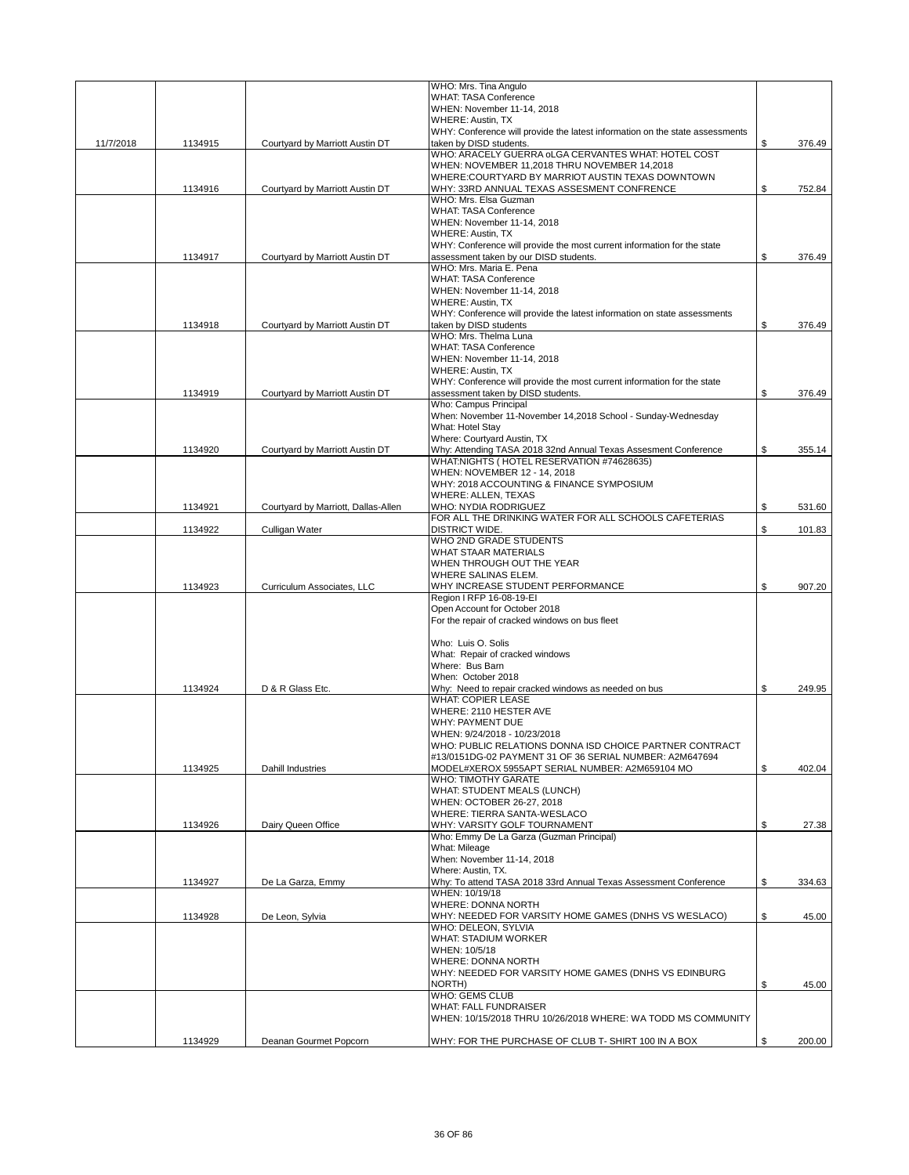|           |         |                                     | WHO: Mrs. Tina Angulo                                                                                      |              |
|-----------|---------|-------------------------------------|------------------------------------------------------------------------------------------------------------|--------------|
|           |         |                                     | <b>WHAT: TASA Conference</b><br>WHEN: November 11-14, 2018                                                 |              |
|           |         |                                     | <b>WHERE: Austin, TX</b>                                                                                   |              |
|           |         |                                     | WHY: Conference will provide the latest information on the state assessments                               |              |
| 11/7/2018 | 1134915 | Courtyard by Marriott Austin DT     | taken by DISD students.                                                                                    | \$<br>376.49 |
|           |         |                                     | WHO: ARACELY GUERRA oLGA CERVANTES WHAT: HOTEL COST                                                        |              |
|           |         |                                     | WHEN: NOVEMBER 11,2018 THRU NOVEMBER 14,2018<br>WHERE: COURTYARD BY MARRIOT AUSTIN TEXAS DOWNTOWN          |              |
|           | 1134916 | Courtyard by Marriott Austin DT     | WHY: 33RD ANNUAL TEXAS ASSESMENT CONFRENCE                                                                 | \$<br>752.84 |
|           |         |                                     | WHO: Mrs. Elsa Guzman                                                                                      |              |
|           |         |                                     | <b>WHAT: TASA Conference</b>                                                                               |              |
|           |         |                                     | WHEN: November 11-14, 2018                                                                                 |              |
|           |         |                                     | <b>WHERE: Austin, TX</b><br>WHY: Conference will provide the most current information for the state        |              |
|           | 1134917 | Courtyard by Marriott Austin DT     | assessment taken by our DISD students.                                                                     | \$<br>376.49 |
|           |         |                                     | WHO: Mrs. Maria E. Pena                                                                                    |              |
|           |         |                                     | <b>WHAT: TASA Conference</b>                                                                               |              |
|           |         |                                     | WHEN: November 11-14, 2018                                                                                 |              |
|           |         |                                     | <b>WHERE: Austin, TX</b><br>WHY: Conference will provide the latest information on state assessments       |              |
|           | 1134918 | Courtyard by Marriott Austin DT     | taken by DISD students                                                                                     | \$<br>376.49 |
|           |         |                                     | WHO: Mrs. Thelma Luna                                                                                      |              |
|           |         |                                     | <b>WHAT: TASA Conference</b>                                                                               |              |
|           |         |                                     | WHEN: November 11-14, 2018<br><b>WHERE: Austin, TX</b>                                                     |              |
|           |         |                                     | WHY: Conference will provide the most current information for the state                                    |              |
|           | 1134919 | Courtyard by Marriott Austin DT     | assessment taken by DISD students.                                                                         | \$<br>376.49 |
|           |         |                                     | Who: Campus Principal                                                                                      |              |
|           |         |                                     | When: November 11-November 14,2018 School - Sunday-Wednesday                                               |              |
|           |         |                                     | What: Hotel Stay<br>Where: Courtyard Austin, TX                                                            |              |
|           | 1134920 | Courtyard by Marriott Austin DT     | Why: Attending TASA 2018 32nd Annual Texas Assesment Conference                                            | \$<br>355.14 |
|           |         |                                     | WHAT:NIGHTS (HOTEL RESERVATION #74628635)                                                                  |              |
|           |         |                                     | WHEN: NOVEMBER 12 - 14, 2018                                                                               |              |
|           |         |                                     | WHY: 2018 ACCOUNTING & FINANCE SYMPOSIUM                                                                   |              |
|           | 1134921 | Courtyard by Marriott, Dallas-Allen | WHERE: ALLEN, TEXAS<br>WHO: NYDIA RODRIGUEZ                                                                | \$<br>531.60 |
|           |         |                                     | FOR ALL THE DRINKING WATER FOR ALL SCHOOLS CAFETERIAS                                                      |              |
|           | 1134922 | Culligan Water                      | <b>DISTRICT WIDE.</b>                                                                                      | \$<br>101.83 |
|           |         |                                     | <b>WHO 2ND GRADE STUDENTS</b>                                                                              |              |
|           |         |                                     | <b>WHAT STAAR MATERIALS</b>                                                                                |              |
|           |         |                                     | WHEN THROUGH OUT THE YEAR<br>WHERE SALINAS ELEM.                                                           |              |
|           | 1134923 | Curriculum Associates, LLC          | WHY INCREASE STUDENT PERFORMANCE                                                                           | \$<br>907.20 |
|           |         |                                     | Region I RFP 16-08-19-EI                                                                                   |              |
|           |         |                                     | Open Account for October 2018                                                                              |              |
|           |         |                                     | For the repair of cracked windows on bus fleet                                                             |              |
|           |         |                                     | Who: Luis O. Solis                                                                                         |              |
|           |         |                                     | What: Repair of cracked windows                                                                            |              |
|           |         |                                     | Where: Bus Barn                                                                                            |              |
|           |         |                                     | When: October 2018                                                                                         |              |
|           | 1134924 | D & R Glass Etc.                    | Why: Need to repair cracked windows as needed on bus<br><b>WHAT: COPIER LEASE</b>                          | \$<br>249.95 |
|           |         |                                     | WHERE: 2110 HESTER AVE                                                                                     |              |
|           |         |                                     | <b>WHY: PAYMENT DUE</b>                                                                                    |              |
|           |         |                                     | WHEN: 9/24/2018 - 10/23/2018                                                                               |              |
|           |         |                                     | WHO: PUBLIC RELATIONS DONNA ISD CHOICE PARTNER CONTRACT                                                    |              |
|           | 1134925 | <b>Dahill Industries</b>            | #13/0151DG-02 PAYMENT 31 OF 36 SERIAL NUMBER: A2M647694<br>MODEL#XEROX 5955APT SERIAL NUMBER: A2M659104 MO | \$<br>402.04 |
|           |         |                                     | WHO: TIMOTHY GARATE                                                                                        |              |
|           |         |                                     | WHAT: STUDENT MEALS (LUNCH)                                                                                |              |
|           |         |                                     | WHEN: OCTOBER 26-27, 2018                                                                                  |              |
|           | 1134926 | Dairy Queen Office                  | WHERE: TIERRA SANTA-WESLACO<br>WHY: VARSITY GOLF TOURNAMENT                                                | \$<br>27.38  |
|           |         |                                     | Who: Emmy De La Garza (Guzman Principal)                                                                   |              |
|           |         |                                     | What: Mileage                                                                                              |              |
|           |         |                                     | When: November 11-14, 2018                                                                                 |              |
|           |         |                                     | Where: Austin, TX.<br>Why: To attend TASA 2018 33rd Annual Texas Assessment Conference                     |              |
|           | 1134927 | De La Garza, Emmy                   | WHEN: 10/19/18                                                                                             | \$<br>334.63 |
|           |         |                                     | WHERE: DONNA NORTH                                                                                         |              |
|           | 1134928 | De Leon, Sylvia                     | WHY: NEEDED FOR VARSITY HOME GAMES (DNHS VS WESLACO)                                                       | \$<br>45.00  |
|           |         |                                     | WHO: DELEON, SYLVIA                                                                                        |              |
|           |         |                                     | <b>WHAT: STADIUM WORKER</b><br>WHEN: 10/5/18                                                               |              |
|           |         |                                     | <b>WHERE: DONNA NORTH</b>                                                                                  |              |
|           |         |                                     | WHY: NEEDED FOR VARSITY HOME GAMES (DNHS VS EDINBURG                                                       |              |
|           |         |                                     | NORTH)                                                                                                     | \$<br>45.00  |
|           |         |                                     | <b>WHO: GEMS CLUB</b>                                                                                      |              |
|           |         |                                     | <b>WHAT: FALL FUNDRAISER</b><br>WHEN: 10/15/2018 THRU 10/26/2018 WHERE: WA TODD MS COMMUNITY               |              |
|           |         |                                     |                                                                                                            |              |
|           | 1134929 | Deanan Gourmet Popcorn              | WHY: FOR THE PURCHASE OF CLUB T- SHIRT 100 IN A BOX                                                        | \$<br>200.00 |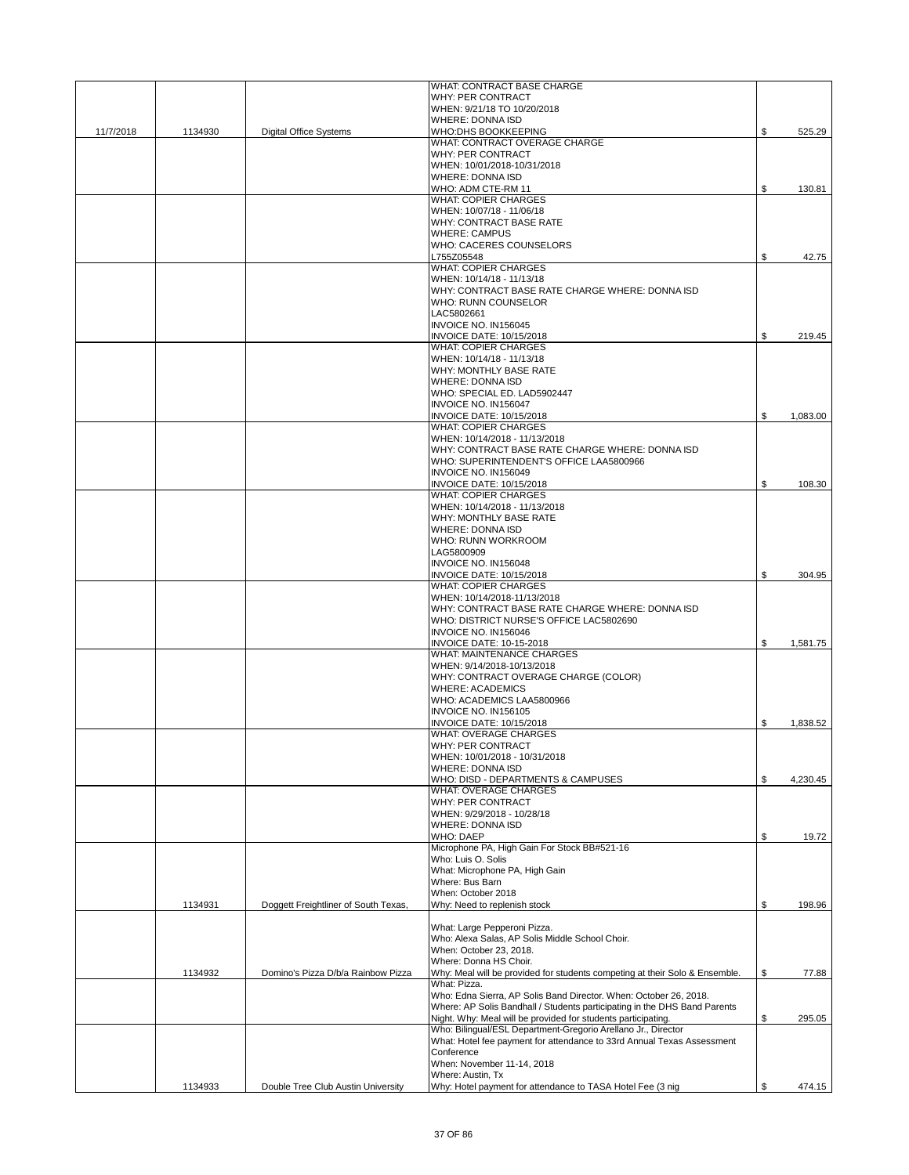|           |         |                                      | WHAT: CONTRACT BASE CHARGE                                                                 |                |
|-----------|---------|--------------------------------------|--------------------------------------------------------------------------------------------|----------------|
|           |         |                                      | WHY: PER CONTRACT                                                                          |                |
|           |         |                                      | WHEN: 9/21/18 TO 10/20/2018<br>WHERE: DONNA ISD                                            |                |
| 11/7/2018 | 1134930 | <b>Digital Office Systems</b>        | WHO:DHS BOOKKEEPING                                                                        | \$<br>525.29   |
|           |         |                                      | WHAT: CONTRACT OVERAGE CHARGE                                                              |                |
|           |         |                                      | WHY: PER CONTRACT<br>WHEN: 10/01/2018-10/31/2018                                           |                |
|           |         |                                      | <b>WHERE: DONNA ISD</b>                                                                    |                |
|           |         |                                      | WHO: ADM CTE-RM 11                                                                         | \$<br>130.81   |
|           |         |                                      | <b>WHAT: COPIER CHARGES</b>                                                                |                |
|           |         |                                      | WHEN: 10/07/18 - 11/06/18                                                                  |                |
|           |         |                                      | WHY: CONTRACT BASE RATE<br><b>WHERE: CAMPUS</b>                                            |                |
|           |         |                                      | WHO: CACERES COUNSELORS                                                                    |                |
|           |         |                                      | L755Z05548                                                                                 | \$<br>42.75    |
|           |         |                                      | <b>WHAT: COPIER CHARGES</b>                                                                |                |
|           |         |                                      | WHEN: 10/14/18 - 11/13/18                                                                  |                |
|           |         |                                      | WHY: CONTRACT BASE RATE CHARGE WHERE: DONNA ISD<br>WHO: RUNN COUNSELOR                     |                |
|           |         |                                      | LAC5802661                                                                                 |                |
|           |         |                                      | INVOICE NO. IN156045                                                                       |                |
|           |         |                                      | INVOICE DATE: 10/15/2018                                                                   | \$<br>219.45   |
|           |         |                                      | <b>WHAT: COPIER CHARGES</b>                                                                |                |
|           |         |                                      | WHEN: 10/14/18 - 11/13/18                                                                  |                |
|           |         |                                      | WHY: MONTHLY BASE RATE<br>WHERE: DONNA ISD                                                 |                |
|           |         |                                      | WHO: SPECIAL ED. LAD5902447                                                                |                |
|           |         |                                      | INVOICE NO. IN156047                                                                       |                |
|           |         |                                      | <b>INVOICE DATE: 10/15/2018</b>                                                            | \$<br>1,083.00 |
|           |         |                                      | <b>WHAT: COPIER CHARGES</b>                                                                |                |
|           |         |                                      | WHEN: 10/14/2018 - 11/13/2018                                                              |                |
|           |         |                                      | WHY: CONTRACT BASE RATE CHARGE WHERE: DONNA ISD<br>WHO: SUPERINTENDENT'S OFFICE LAA5800966 |                |
|           |         |                                      | INVOICE NO. IN156049                                                                       |                |
|           |         |                                      | <b>INVOICE DATE: 10/15/2018</b>                                                            | \$<br>108.30   |
|           |         |                                      | <b>WHAT: COPIER CHARGES</b>                                                                |                |
|           |         |                                      | WHEN: 10/14/2018 - 11/13/2018                                                              |                |
|           |         |                                      | WHY: MONTHLY BASE RATE                                                                     |                |
|           |         |                                      | <b>WHERE: DONNA ISD</b><br>WHO: RUNN WORKROOM                                              |                |
|           |         |                                      | LAG5800909                                                                                 |                |
|           |         |                                      | INVOICE NO. IN156048                                                                       |                |
|           |         |                                      | INVOICE DATE: 10/15/2018                                                                   | \$<br>304.95   |
|           |         |                                      | <b>WHAT: COPIER CHARGES</b>                                                                |                |
|           |         |                                      | WHEN: 10/14/2018-11/13/2018                                                                |                |
|           |         |                                      | WHY: CONTRACT BASE RATE CHARGE WHERE: DONNA ISD<br>WHO: DISTRICT NURSE'S OFFICE LAC5802690 |                |
|           |         |                                      | INVOICE NO. IN156046                                                                       |                |
|           |         |                                      | <b>INVOICE DATE: 10-15-2018</b>                                                            | \$<br>1,581.75 |
|           |         |                                      | <b>WHAT: MAINTENANCE CHARGES</b>                                                           |                |
|           |         |                                      | WHEN: 9/14/2018-10/13/2018                                                                 |                |
|           |         |                                      | WHY: CONTRACT OVERAGE CHARGE (COLOR)                                                       |                |
|           |         |                                      | <b>WHERE: ACADEMICS</b><br>WHO: ACADEMICS LAA5800966                                       |                |
|           |         |                                      | INVOICE NO. IN156105                                                                       |                |
|           |         |                                      | INVOICE DATE: 10/15/2018                                                                   | \$<br>1,838.52 |
|           |         |                                      | <b>WHAT: OVERAGE CHARGES</b>                                                               |                |
|           |         |                                      | WHY: PER CONTRACT                                                                          |                |
|           |         |                                      | WHEN: 10/01/2018 - 10/31/2018                                                              |                |
|           |         |                                      | WHERE: DONNA ISD                                                                           |                |
|           |         |                                      | WHO: DISD - DEPARTMENTS & CAMPUSES<br><b>WHAT: OVERAGE CHARGES</b>                         | \$<br>4,230.45 |
|           |         |                                      | WHY: PER CONTRACT                                                                          |                |
|           |         |                                      | WHEN: 9/29/2018 - 10/28/18                                                                 |                |
|           |         |                                      | <b>WHERE: DONNA ISD</b>                                                                    |                |
|           |         |                                      | WHO: DAEP                                                                                  | \$<br>19.72    |
|           |         |                                      | Microphone PA, High Gain For Stock BB#521-16                                               |                |
|           |         |                                      | Who: Luis O. Solis<br>What: Microphone PA, High Gain                                       |                |
|           |         |                                      | Where: Bus Barn                                                                            |                |
|           |         |                                      | When: October 2018                                                                         |                |
|           | 1134931 | Doggett Freightliner of South Texas, | Why: Need to replenish stock                                                               | \$<br>198.96   |
|           |         |                                      |                                                                                            |                |
|           |         |                                      | What: Large Pepperoni Pizza.<br>Who: Alexa Salas, AP Solis Middle School Choir.            |                |
|           |         |                                      | When: October 23, 2018.                                                                    |                |
|           |         |                                      | Where: Donna HS Choir.                                                                     |                |
|           |         |                                      | Why: Meal will be provided for students competing at their Solo & Ensemble.                | \$<br>77.88    |
|           | 1134932 | Domino's Pizza D/b/a Rainbow Pizza   |                                                                                            |                |
|           |         |                                      | What: Pizza.                                                                               |                |
|           |         |                                      | Who: Edna Sierra, AP Solis Band Director. When: October 26, 2018.                          |                |
|           |         |                                      | Where: AP Solis Bandhall / Students participating in the DHS Band Parents                  |                |
|           |         |                                      | Night. Why: Meal will be provided for students participating.                              | \$<br>295.05   |
|           |         |                                      | Who: Bilingual/ESL Department-Gregorio Arellano Jr., Director                              |                |
|           |         |                                      | What: Hotel fee payment for attendance to 33rd Annual Texas Assessment<br>Conference       |                |
|           |         |                                      | When: November 11-14, 2018                                                                 |                |
|           | 1134933 | Double Tree Club Austin University   | Where: Austin, Tx<br>Why: Hotel payment for attendance to TASA Hotel Fee (3 nig            | \$<br>474.15   |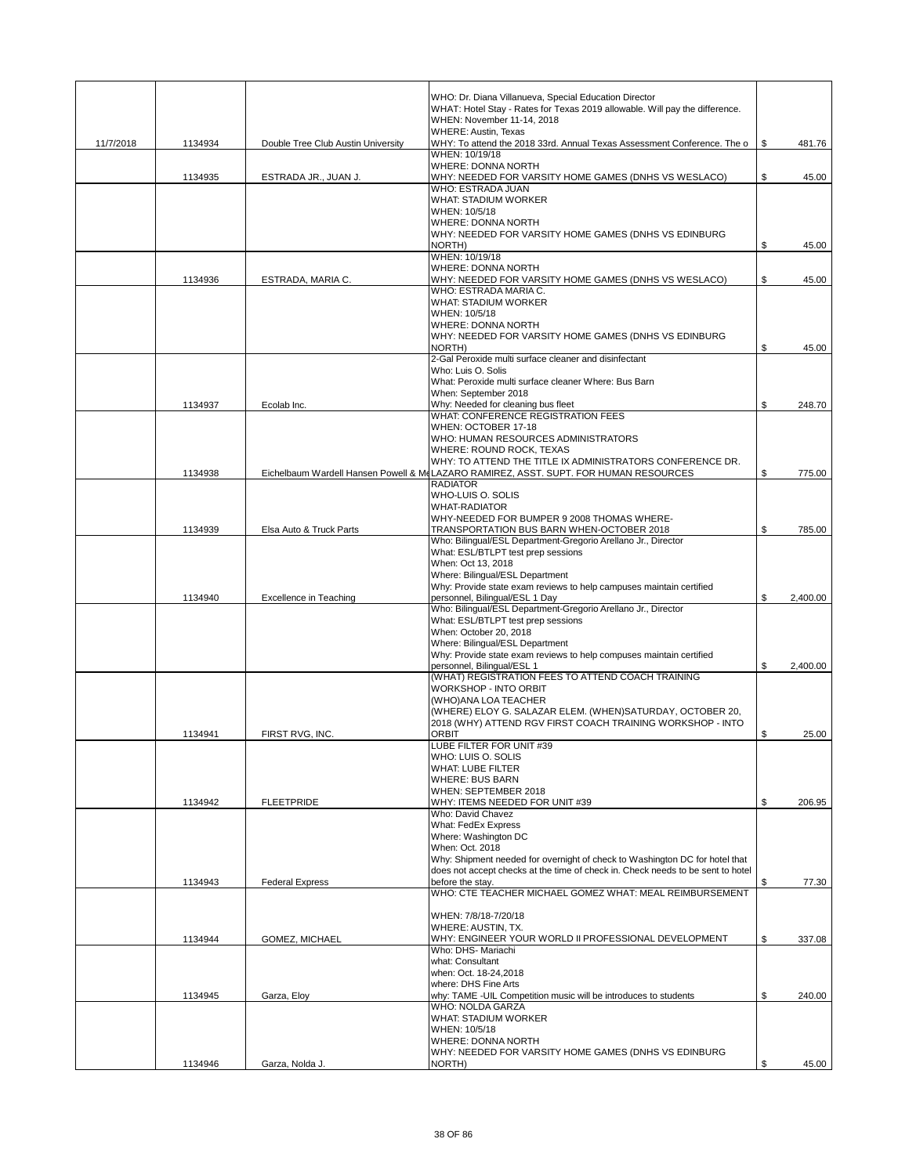|           |         |                                    | WHO: Dr. Diana Villanueva, Special Education Director                                                  |                |
|-----------|---------|------------------------------------|--------------------------------------------------------------------------------------------------------|----------------|
|           |         |                                    | WHAT: Hotel Stay - Rates for Texas 2019 allowable. Will pay the difference.                            |                |
|           |         |                                    | WHEN: November 11-14, 2018<br><b>WHERE: Austin, Texas</b>                                              |                |
| 11/7/2018 | 1134934 | Double Tree Club Austin University | WHY: To attend the 2018 33rd. Annual Texas Assessment Conference. The o                                | \$<br>481.76   |
|           |         |                                    | WHEN: 10/19/18                                                                                         |                |
|           | 1134935 | ESTRADA JR., JUAN J.               | <b>WHERE: DONNA NORTH</b>                                                                              | \$<br>45.00    |
|           |         |                                    | WHY: NEEDED FOR VARSITY HOME GAMES (DNHS VS WESLACO)<br>WHO: ESTRADA JUAN                              |                |
|           |         |                                    | <b>WHAT: STADIUM WORKER</b>                                                                            |                |
|           |         |                                    | WHEN: 10/5/18<br>WHERE: DONNA NORTH                                                                    |                |
|           |         |                                    | WHY: NEEDED FOR VARSITY HOME GAMES (DNHS VS EDINBURG                                                   |                |
|           |         |                                    | NORTH)                                                                                                 | \$<br>45.00    |
|           |         |                                    | WHEN: 10/19/18<br><b>WHERE: DONNA NORTH</b>                                                            |                |
|           | 1134936 | ESTRADA, MARIA C.                  | WHY: NEEDED FOR VARSITY HOME GAMES (DNHS VS WESLACO)                                                   | \$<br>45.00    |
|           |         |                                    | WHO: ESTRADA MARIA C.                                                                                  |                |
|           |         |                                    | <b>WHAT: STADIUM WORKER</b>                                                                            |                |
|           |         |                                    | WHEN: 10/5/18<br><b>WHERE: DONNA NORTH</b>                                                             |                |
|           |         |                                    | WHY: NEEDED FOR VARSITY HOME GAMES (DNHS VS EDINBURG                                                   |                |
|           |         |                                    | NORTH)                                                                                                 | \$<br>45.00    |
|           |         |                                    | 2-Gal Peroxide multi surface cleaner and disinfectant<br>Who: Luis O. Solis                            |                |
|           |         |                                    | What: Peroxide multi surface cleaner Where: Bus Barn                                                   |                |
|           |         |                                    | When: September 2018                                                                                   |                |
|           | 1134937 | Ecolab Inc.                        | Why: Needed for cleaning bus fleet<br>WHAT: CONFERENCE REGISTRATION FEES                               | \$<br>248.70   |
|           |         |                                    | WHEN: OCTOBER 17-18                                                                                    |                |
|           |         |                                    | WHO: HUMAN RESOURCES ADMINISTRATORS                                                                    |                |
|           |         |                                    | WHERE: ROUND ROCK, TEXAS<br>WHY: TO ATTEND THE TITLE IX ADMINISTRATORS CONFERENCE DR.                  |                |
|           | 1134938 |                                    | Eichelbaum Wardell Hansen Powell & McLAZARO RAMIREZ, ASST. SUPT. FOR HUMAN RESOURCES                   | \$<br>775.00   |
|           |         |                                    | <b>RADIATOR</b>                                                                                        |                |
|           |         |                                    | WHO-LUIS O. SOLIS<br><b>WHAT-RADIATOR</b>                                                              |                |
|           |         |                                    | WHY-NEEDED FOR BUMPER 9 2008 THOMAS WHERE-                                                             |                |
|           | 1134939 | Elsa Auto & Truck Parts            | TRANSPORTATION BUS BARN WHEN-OCTOBER 2018                                                              | \$<br>785.00   |
|           |         |                                    | Who: Bilingual/ESL Department-Gregorio Arellano Jr., Director                                          |                |
|           |         |                                    | What: ESL/BTLPT test prep sessions<br>When: Oct 13, 2018                                               |                |
|           |         |                                    | Where: Bilingual/ESL Department                                                                        |                |
|           |         |                                    | Why: Provide state exam reviews to help campuses maintain certified                                    |                |
|           | 1134940 | Excellence in Teaching             | personnel, Bilingual/ESL 1 Day<br>Who: Bilingual/ESL Department-Gregorio Arellano Jr., Director        | \$<br>2,400.00 |
|           |         |                                    | What: ESL/BTLPT test prep sessions                                                                     |                |
|           |         |                                    | When: October 20, 2018                                                                                 |                |
|           |         |                                    | Where: Bilingual/ESL Department<br>Why: Provide state exam reviews to help compuses maintain certified |                |
|           |         |                                    | personnel, Bilingual/ESL 1                                                                             | \$<br>2,400.00 |
|           |         |                                    | (WHAT) REGISTRATION FEES TO ATTEND COACH TRAINING                                                      |                |
|           |         |                                    | <b>WORKSHOP - INTO ORBIT</b><br>(WHO)ANA LOA TEACHER                                                   |                |
|           |         |                                    | (WHERE) ELOY G. SALAZAR ELEM. (WHEN)SATURDAY, OCTOBER 20,                                              |                |
|           |         |                                    | 2018 (WHY) ATTEND RGV FIRST COACH TRAINING WORKSHOP - INTO                                             |                |
|           | 1134941 | FIRST RVG. INC.                    | <b>ORBIT</b><br>LUBE FILTER FOR UNIT #39                                                               | \$<br>25.00    |
|           |         |                                    | WHO: LUIS O. SOLIS                                                                                     |                |
|           |         |                                    | WHAT: LUBE FILTER                                                                                      |                |
|           |         |                                    | <b>WHERE: BUS BARN</b><br>WHEN: SEPTEMBER 2018                                                         |                |
|           | 1134942 | <b>FLEETPRIDE</b>                  | WHY: ITEMS NEEDED FOR UNIT #39                                                                         | \$<br>206.95   |
|           |         |                                    | Who: David Chavez                                                                                      |                |
|           |         |                                    | What: FedEx Express<br>Where: Washington DC                                                            |                |
|           |         |                                    | When: Oct. 2018                                                                                        |                |
|           |         |                                    | Why: Shipment needed for overnight of check to Washington DC for hotel that                            |                |
|           | 1134943 | <b>Federal Express</b>             | does not accept checks at the time of check in. Check needs to be sent to hotel<br>before the stay.    | \$<br>77.30    |
|           |         |                                    | WHO: CTE TEACHER MICHAEL GOMEZ WHAT: MEAL REIMBURSEMENT                                                |                |
|           |         |                                    |                                                                                                        |                |
|           |         |                                    | WHEN: 7/8/18-7/20/18<br>WHERE: AUSTIN, TX.                                                             |                |
|           | 1134944 | GOMEZ, MICHAEL                     | WHY: ENGINEER YOUR WORLD II PROFESSIONAL DEVELOPMENT                                                   | \$<br>337.08   |
|           |         |                                    | Who: DHS- Mariachi                                                                                     |                |
|           |         |                                    | what: Consultant<br>when: Oct. 18-24,2018                                                              |                |
|           |         |                                    | where: DHS Fine Arts                                                                                   |                |
|           | 1134945 | Garza, Eloy                        | why: TAME -UIL Competition music will be introduces to students                                        | \$<br>240.00   |
|           |         |                                    | WHO: NOLDA GARZA<br><b>WHAT: STADIUM WORKER</b>                                                        |                |
|           |         |                                    | WHEN: 10/5/18                                                                                          |                |
|           |         |                                    | WHERE: DONNA NORTH                                                                                     |                |
|           | 1134946 | Garza, Nolda J.                    | WHY: NEEDED FOR VARSITY HOME GAMES (DNHS VS EDINBURG<br>NORTH)                                         | \$<br>45.00    |
|           |         |                                    |                                                                                                        |                |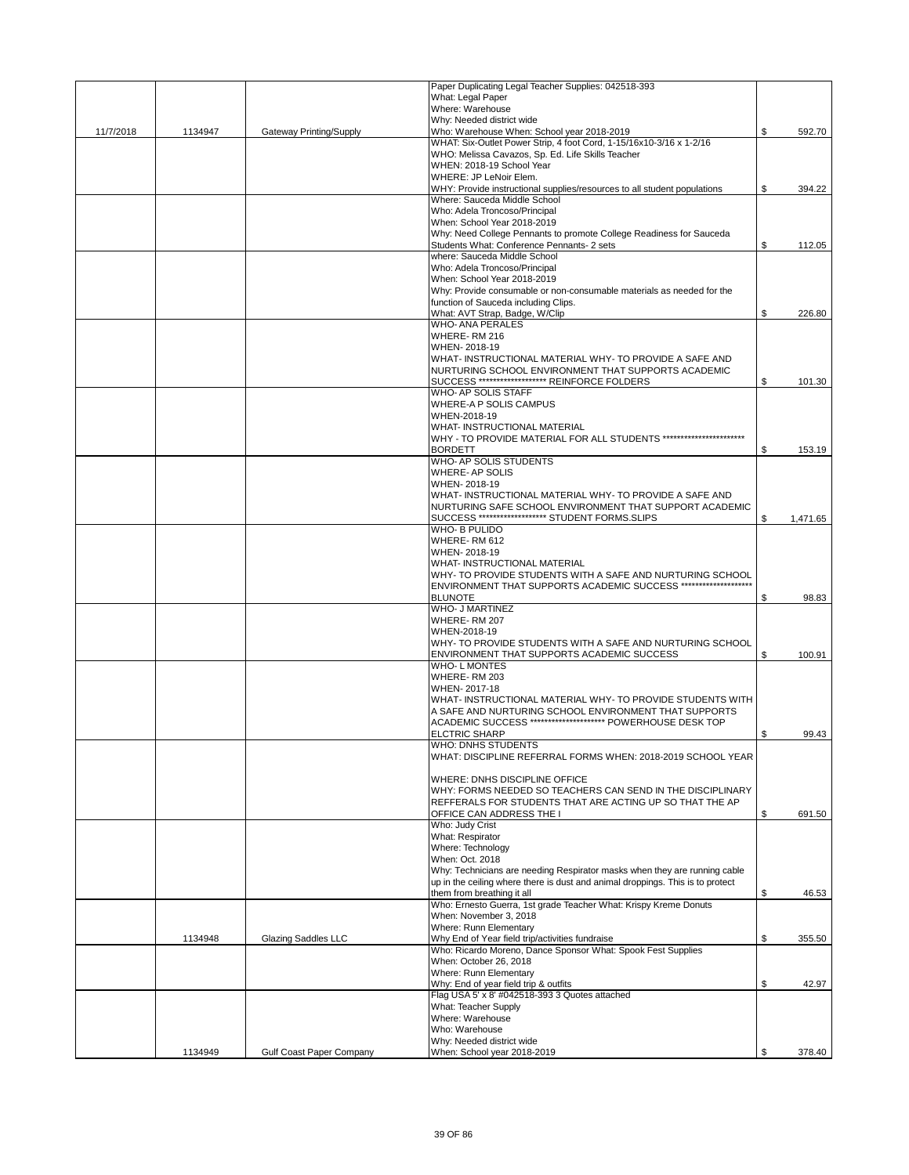|           |         |                          | Paper Duplicating Legal Teacher Supplies: 042518-393                                                                          |                |
|-----------|---------|--------------------------|-------------------------------------------------------------------------------------------------------------------------------|----------------|
|           |         |                          | What: Legal Paper                                                                                                             |                |
|           |         |                          | Where: Warehouse                                                                                                              |                |
| 11/7/2018 | 1134947 | Gateway Printing/Supply  | Why: Needed district wide<br>Who: Warehouse When: School year 2018-2019                                                       | \$<br>592.70   |
|           |         |                          | WHAT: Six-Outlet Power Strip, 4 foot Cord, 1-15/16x10-3/16 x 1-2/16                                                           |                |
|           |         |                          | WHO: Melissa Cavazos, Sp. Ed. Life Skills Teacher                                                                             |                |
|           |         |                          | WHEN: 2018-19 School Year                                                                                                     |                |
|           |         |                          | WHERE: JP LeNoir Elem.                                                                                                        |                |
|           |         |                          | WHY: Provide instructional supplies/resources to all student populations<br>Where: Sauceda Middle School                      | \$<br>394.22   |
|           |         |                          | Who: Adela Troncoso/Principal                                                                                                 |                |
|           |         |                          | When: School Year 2018-2019                                                                                                   |                |
|           |         |                          | Why: Need College Pennants to promote College Readiness for Sauceda                                                           |                |
|           |         |                          | Students What: Conference Pennants- 2 sets                                                                                    | \$<br>112.05   |
|           |         |                          | where: Sauceda Middle School                                                                                                  |                |
|           |         |                          | Who: Adela Troncoso/Principal                                                                                                 |                |
|           |         |                          | When: School Year 2018-2019                                                                                                   |                |
|           |         |                          | Why: Provide consumable or non-consumable materials as needed for the<br>function of Sauceda including Clips.                 |                |
|           |         |                          | What: AVT Strap, Badge, W/Clip                                                                                                | \$<br>226.80   |
|           |         |                          | <b>WHO- ANA PERALES</b>                                                                                                       |                |
|           |         |                          | WHERE-RM 216                                                                                                                  |                |
|           |         |                          | WHEN-2018-19                                                                                                                  |                |
|           |         |                          | WHAT- INSTRUCTIONAL MATERIAL WHY- TO PROVIDE A SAFE AND                                                                       |                |
|           |         |                          | NURTURING SCHOOL ENVIRONMENT THAT SUPPORTS ACADEMIC<br>SUCCESS ******************** REINFORCE FOLDERS                         |                |
|           |         |                          | WHO- AP SOLIS STAFF                                                                                                           | \$<br>101.30   |
|           |         |                          | WHERE-A P SOLIS CAMPUS                                                                                                        |                |
|           |         |                          | WHEN-2018-19                                                                                                                  |                |
|           |         |                          | <b>WHAT- INSTRUCTIONAL MATERIAL</b>                                                                                           |                |
|           |         |                          | WHY - TO PROVIDE MATERIAL FOR ALL STUDENTS ***********************                                                            |                |
|           |         |                          | <b>BORDETT</b>                                                                                                                | \$<br>153.19   |
|           |         |                          | WHO- AP SOLIS STUDENTS<br><b>WHERE-AP SOLIS</b>                                                                               |                |
|           |         |                          | WHEN-2018-19                                                                                                                  |                |
|           |         |                          | WHAT- INSTRUCTIONAL MATERIAL WHY- TO PROVIDE A SAFE AND                                                                       |                |
|           |         |                          | NURTURING SAFE SCHOOL ENVIRONMENT THAT SUPPORT ACADEMIC                                                                       |                |
|           |         |                          | SUCCESS ******************** STUDENT FORMS.SLIPS                                                                              | \$<br>1,471.65 |
|           |         |                          | WHO- B PULIDO                                                                                                                 |                |
|           |         |                          | WHERE-RM 612                                                                                                                  |                |
|           |         |                          | WHEN-2018-19                                                                                                                  |                |
|           |         |                          | WHAT- INSTRUCTIONAL MATERIAL                                                                                                  |                |
|           |         |                          | WHY- TO PROVIDE STUDENTS WITH A SAFE AND NURTURING SCHOOL<br>ENVIRONMENT THAT SUPPORTS ACADEMIC SUCCESS ********************* |                |
|           |         |                          | <b>BLUNOTE</b>                                                                                                                | \$<br>98.83    |
|           |         |                          | <b>WHO- J MARTINEZ</b>                                                                                                        |                |
|           |         |                          | WHERE-RM 207                                                                                                                  |                |
|           |         |                          | WHEN-2018-19                                                                                                                  |                |
|           |         |                          | WHY- TO PROVIDE STUDENTS WITH A SAFE AND NURTURING SCHOOL                                                                     |                |
|           |         |                          | ENVIRONMENT THAT SUPPORTS ACADEMIC SUCCESS                                                                                    | \$<br>100.91   |
|           |         |                          | <b>WHO-LMONTES</b><br>WHERE-RM 203                                                                                            |                |
|           |         |                          | WHEN-2017-18                                                                                                                  |                |
|           |         |                          | WHAT-INSTRUCTIONAL MATERIAL WHY- TO PROVIDE STUDENTS WITH                                                                     |                |
|           |         |                          | A SAFE AND NURTURING SCHOOL ENVIRONMENT THAT SUPPORTS                                                                         |                |
|           |         |                          | ACADEMIC SUCCESS ********************** POWERHOUSE DESK TOP                                                                   |                |
|           |         |                          | <b>ELCTRIC SHARP</b>                                                                                                          | \$<br>99.43    |
|           |         |                          | WHO: DNHS STUDENTS                                                                                                            |                |
|           |         |                          | WHAT: DISCIPLINE REFERRAL FORMS WHEN: 2018-2019 SCHOOL YEAR                                                                   |                |
|           |         |                          | WHERE: DNHS DISCIPLINE OFFICE                                                                                                 |                |
|           |         |                          | WHY: FORMS NEEDED SO TEACHERS CAN SEND IN THE DISCIPLINARY                                                                    |                |
|           |         |                          | REFFERALS FOR STUDENTS THAT ARE ACTING UP SO THAT THE AP                                                                      |                |
|           |         |                          | OFFICE CAN ADDRESS THE I                                                                                                      | \$<br>691.50   |
|           |         |                          | Who: Judy Crist                                                                                                               |                |
|           |         |                          | What: Respirator                                                                                                              |                |
|           |         |                          | Where: Technology<br>When: Oct. 2018                                                                                          |                |
|           |         |                          | Why: Technicians are needing Respirator masks when they are running cable                                                     |                |
|           |         |                          | up in the ceiling where there is dust and animal droppings. This is to protect                                                |                |
|           |         |                          | them from breathing it all                                                                                                    | \$<br>46.53    |
|           |         |                          | Who: Ernesto Guerra, 1st grade Teacher What: Krispy Kreme Donuts                                                              |                |
|           |         |                          | When: November 3, 2018                                                                                                        |                |
|           |         |                          | Where: Runn Elementary                                                                                                        |                |
|           | 1134948 | Glazing Saddles LLC      | Why End of Year field trip/activities fundraise<br>Who: Ricardo Moreno, Dance Sponsor What: Spook Fest Supplies               | \$<br>355.50   |
|           |         |                          | When: October 26, 2018                                                                                                        |                |
|           |         |                          | Where: Runn Elementary                                                                                                        |                |
|           |         |                          | Why: End of year field trip & outfits                                                                                         | \$<br>42.97    |
|           |         |                          | Flag USA 5' x 8' #042518-393 3 Quotes attached                                                                                |                |
|           |         |                          | What: Teacher Supply                                                                                                          |                |
|           |         |                          | Where: Warehouse                                                                                                              |                |
|           |         |                          | Who: Warehouse                                                                                                                |                |
|           | 1134949 | Gulf Coast Paper Company | Why: Needed district wide<br>When: School year 2018-2019                                                                      | \$<br>378.40   |
|           |         |                          |                                                                                                                               |                |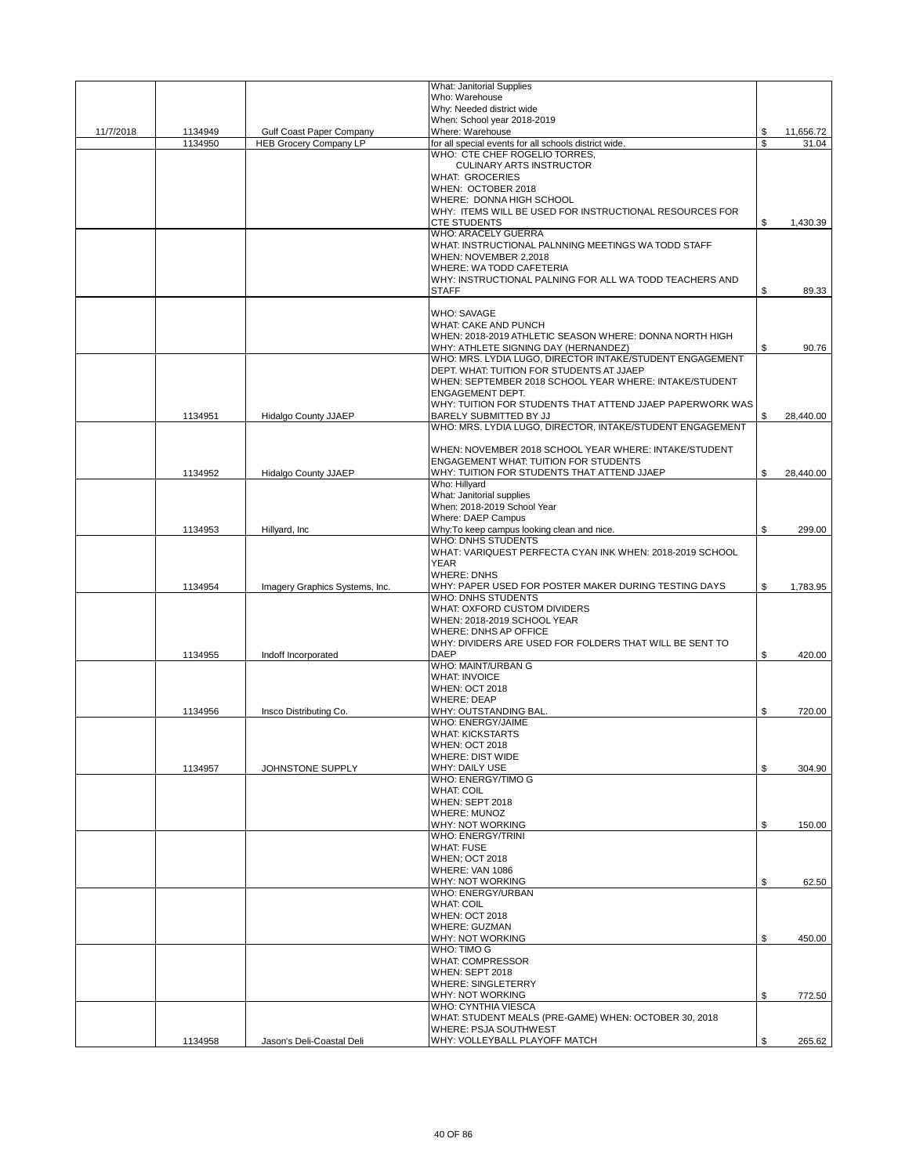|           |                    |                                 | What: Janitorial Supplies                                                              |          |           |
|-----------|--------------------|---------------------------------|----------------------------------------------------------------------------------------|----------|-----------|
|           |                    |                                 | Who: Warehouse                                                                         |          |           |
|           |                    |                                 | Why: Needed district wide                                                              |          |           |
|           |                    |                                 | When: School year 2018-2019                                                            |          |           |
| 11/7/2018 | 1134949<br>1134950 | <b>Gulf Coast Paper Company</b> | Where: Warehouse                                                                       | \$<br>\$ | 11,656.72 |
|           |                    | <b>HEB Grocery Company LP</b>   | for all special events for all schools district wide.<br>WHO: CTE CHEF ROGELIO TORRES, |          | 31.04     |
|           |                    |                                 | <b>CULINARY ARTS INSTRUCTOR</b>                                                        |          |           |
|           |                    |                                 | <b>WHAT: GROCERIES</b>                                                                 |          |           |
|           |                    |                                 | WHEN: OCTOBER 2018                                                                     |          |           |
|           |                    |                                 | WHERE: DONNA HIGH SCHOOL                                                               |          |           |
|           |                    |                                 | WHY: ITEMS WILL BE USED FOR INSTRUCTIONAL RESOURCES FOR                                |          |           |
|           |                    |                                 | <b>CTE STUDENTS</b>                                                                    | \$       | 1,430.39  |
|           |                    |                                 | <b>WHO: ARACELY GUERRA</b>                                                             |          |           |
|           |                    |                                 | WHAT: INSTRUCTIONAL PALNNING MEETINGS WA TODD STAFF                                    |          |           |
|           |                    |                                 | WHEN: NOVEMBER 2,2018                                                                  |          |           |
|           |                    |                                 | WHERE: WA TODD CAFETERIA                                                               |          |           |
|           |                    |                                 | WHY: INSTRUCTIONAL PALNING FOR ALL WA TODD TEACHERS AND                                |          |           |
|           |                    |                                 | <b>STAFF</b>                                                                           | \$       | 89.33     |
|           |                    |                                 |                                                                                        |          |           |
|           |                    |                                 | <b>WHO: SAVAGE</b>                                                                     |          |           |
|           |                    |                                 | WHAT: CAKE AND PUNCH                                                                   |          |           |
|           |                    |                                 | WHEN: 2018-2019 ATHLETIC SEASON WHERE: DONNA NORTH HIGH                                |          |           |
|           |                    |                                 | WHY: ATHLETE SIGNING DAY (HERNANDEZ)                                                   | \$       | 90.76     |
|           |                    |                                 | WHO: MRS. LYDIA LUGO, DIRECTOR INTAKE/STUDENT ENGAGEMENT                               |          |           |
|           |                    |                                 | DEPT. WHAT: TUITION FOR STUDENTS AT JJAEP                                              |          |           |
|           |                    |                                 | WHEN: SEPTEMBER 2018 SCHOOL YEAR WHERE: INTAKE/STUDENT                                 |          |           |
|           |                    |                                 | <b>ENGAGEMENT DEPT.</b>                                                                |          |           |
|           |                    |                                 | WHY: TUITION FOR STUDENTS THAT ATTEND JJAEP PAPERWORK WAS                              |          |           |
|           | 1134951            | <b>Hidalgo County JJAEP</b>     | BARELY SUBMITTED BY JJ                                                                 | \$       | 28,440.00 |
|           |                    |                                 | WHO: MRS. LYDIA LUGO, DIRECTOR, INTAKE/STUDENT ENGAGEMENT                              |          |           |
|           |                    |                                 |                                                                                        |          |           |
|           |                    |                                 | WHEN: NOVEMBER 2018 SCHOOL YEAR WHERE: INTAKE/STUDENT                                  |          |           |
|           |                    |                                 | <b>ENGAGEMENT WHAT: TUITION FOR STUDENTS</b>                                           |          |           |
|           | 1134952            | <b>Hidalgo County JJAEP</b>     | WHY: TUITION FOR STUDENTS THAT ATTEND JJAEP                                            | \$       | 28,440.00 |
|           |                    |                                 | Who: Hillyard                                                                          |          |           |
|           |                    |                                 | What: Janitorial supplies                                                              |          |           |
|           |                    |                                 | When: 2018-2019 School Year                                                            |          |           |
|           |                    |                                 | Where: DAEP Campus                                                                     |          |           |
|           | 1134953            | Hillyard, Inc.                  | Why: To keep campus looking clean and nice.                                            | \$       | 299.00    |
|           |                    |                                 | <b>WHO: DNHS STUDENTS</b>                                                              |          |           |
|           |                    |                                 | WHAT: VARIQUEST PERFECTA CYAN INK WHEN: 2018-2019 SCHOOL                               |          |           |
|           |                    |                                 | <b>YEAR</b>                                                                            |          |           |
|           |                    |                                 | <b>WHERE: DNHS</b>                                                                     |          |           |
|           | 1134954            | Imagery Graphics Systems, Inc.  | WHY: PAPER USED FOR POSTER MAKER DURING TESTING DAYS                                   | \$       | 1,783.95  |
|           |                    |                                 | <b>WHO: DNHS STUDENTS</b>                                                              |          |           |
|           |                    |                                 | WHAT: OXFORD CUSTOM DIVIDERS                                                           |          |           |
|           |                    |                                 | WHEN: 2018-2019 SCHOOL YEAR                                                            |          |           |
|           |                    |                                 | WHERE: DNHS AP OFFICE                                                                  |          |           |
|           |                    |                                 | WHY: DIVIDERS ARE USED FOR FOLDERS THAT WILL BE SENT TO                                |          |           |
|           | 1134955            | Indoff Incorporated             | <b>DAEP</b>                                                                            | \$       | 420.00    |
|           |                    |                                 | WHO: MAINT/URBAN G                                                                     |          |           |
|           |                    |                                 | <b>WHAT: INVOICE</b>                                                                   |          |           |
|           |                    |                                 | <b>WHEN: OCT 2018</b>                                                                  |          |           |
|           |                    |                                 | <b>WHERE: DEAP</b>                                                                     |          |           |
|           | 1134956            | Insco Distributing Co.          | WHY: OUTSTANDING BAL.                                                                  | \$       | 720.00    |
|           |                    |                                 | WHO: ENERGY/JAIME                                                                      |          |           |
|           |                    |                                 | <b>WHAT: KICKSTARTS</b>                                                                |          |           |
|           |                    |                                 | <b>WHEN: OCT 2018</b>                                                                  |          |           |
|           |                    |                                 | <b>WHERE: DIST WIDE</b>                                                                |          |           |
|           | 1134957            | JOHNSTONE SUPPLY                | WHY: DAILY USE                                                                         | \$       | 304.90    |
|           |                    |                                 | WHO: ENERGY/TIMO G                                                                     |          |           |
|           |                    |                                 | <b>WHAT: COIL</b>                                                                      |          |           |
|           |                    |                                 | <b>WHEN: SEPT 2018</b>                                                                 |          |           |
|           |                    |                                 | <b>WHERE: MUNOZ</b>                                                                    |          |           |
|           |                    |                                 | <b>WHY: NOT WORKING</b>                                                                | \$       | 150.00    |
|           |                    |                                 | <b>WHO: ENERGY/TRINI</b>                                                               |          |           |
|           |                    |                                 | <b>WHAT: FUSE</b>                                                                      |          |           |
|           |                    |                                 | <b>WHEN; OCT 2018</b>                                                                  |          |           |
|           |                    |                                 | WHERE: VAN 1086                                                                        |          |           |
|           |                    |                                 | WHY: NOT WORKING                                                                       | \$       | 62.50     |
|           |                    |                                 | WHO: ENERGY/URBAN                                                                      |          |           |
|           |                    |                                 | <b>WHAT: COIL</b>                                                                      |          |           |
|           |                    |                                 | <b>WHEN: OCT 2018</b>                                                                  |          |           |
|           |                    |                                 | <b>WHERE: GUZMAN</b>                                                                   |          |           |
|           |                    |                                 | <b>WHY: NOT WORKING</b>                                                                | \$       | 450.00    |
|           |                    |                                 | WHO: TIMO G                                                                            |          |           |
|           |                    |                                 | <b>WHAT: COMPRESSOR</b>                                                                |          |           |
|           |                    |                                 | WHEN: SEPT 2018                                                                        |          |           |
|           |                    |                                 | <b>WHERE: SINGLETERRY</b>                                                              |          |           |
|           |                    |                                 | WHY: NOT WORKING                                                                       | \$       | 772.50    |
|           |                    |                                 | WHO: CYNTHIA VIESCA                                                                    |          |           |
|           |                    |                                 | WHAT: STUDENT MEALS (PRE-GAME) WHEN: OCTOBER 30, 2018                                  |          |           |
|           |                    |                                 | WHERE: PSJA SOUTHWEST                                                                  |          |           |
|           | 1134958            | Jason's Deli-Coastal Deli       | WHY: VOLLEYBALL PLAYOFF MATCH                                                          | \$       | 265.62    |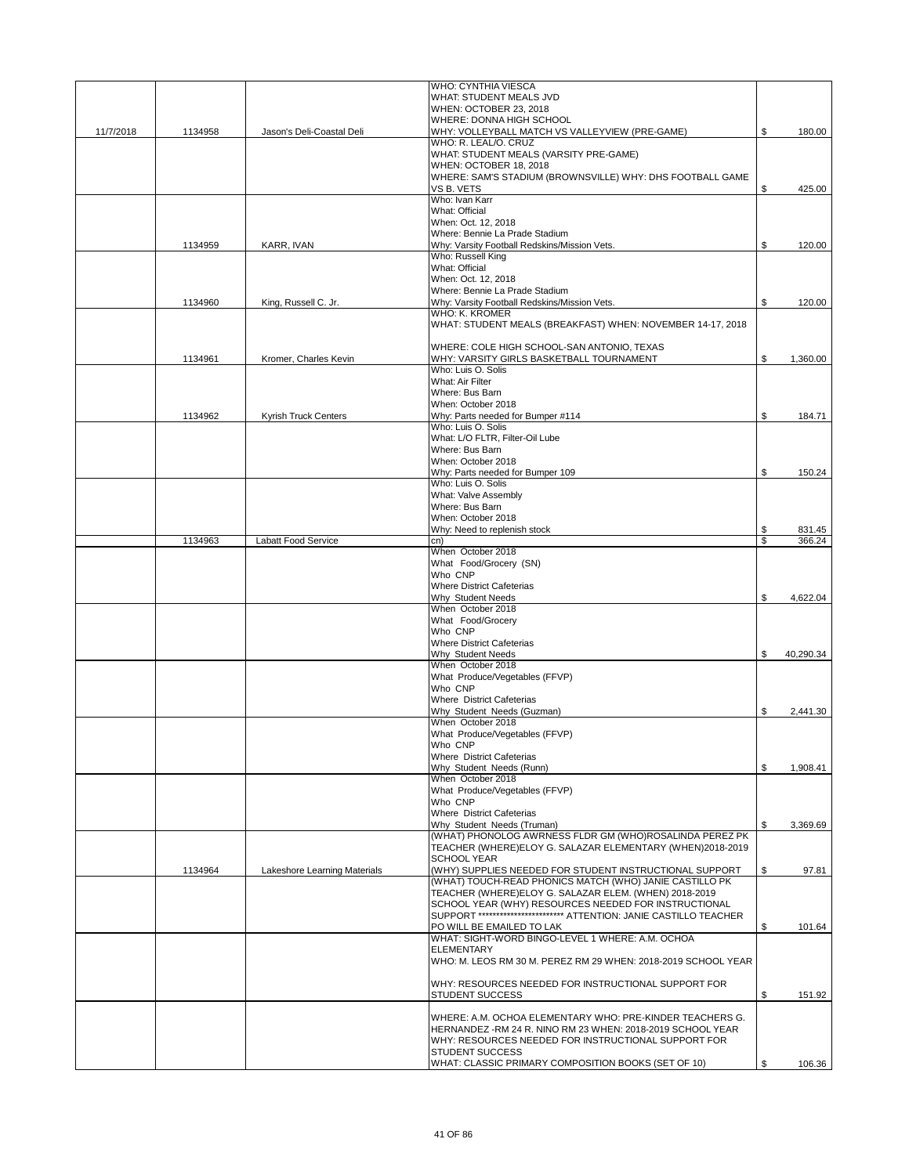|           |         |                              | WHO: CYNTHIA VIESCA                                                                 |                 |
|-----------|---------|------------------------------|-------------------------------------------------------------------------------------|-----------------|
|           |         |                              | WHAT: STUDENT MEALS JVD                                                             |                 |
|           |         |                              | WHEN: OCTOBER 23, 2018                                                              |                 |
|           |         |                              | WHERE: DONNA HIGH SCHOOL                                                            |                 |
| 11/7/2018 | 1134958 | Jason's Deli-Coastal Deli    | WHY: VOLLEYBALL MATCH VS VALLEYVIEW (PRE-GAME)                                      | \$<br>180.00    |
|           |         |                              | WHO: R. LEAL/O. CRUZ                                                                |                 |
|           |         |                              | WHAT: STUDENT MEALS (VARSITY PRE-GAME)                                              |                 |
|           |         |                              | WHEN: OCTOBER 18, 2018<br>WHERE: SAM'S STADIUM (BROWNSVILLE) WHY: DHS FOOTBALL GAME |                 |
|           |         |                              | VS B. VETS                                                                          | \$<br>425.00    |
|           |         |                              | Who: Ivan Karr                                                                      |                 |
|           |         |                              | What: Official                                                                      |                 |
|           |         |                              | When: Oct. 12, 2018                                                                 |                 |
|           |         |                              | Where: Bennie La Prade Stadium                                                      |                 |
|           | 1134959 | KARR, IVAN                   | Why: Varsity Football Redskins/Mission Vets.                                        | \$<br>120.00    |
|           |         |                              | Who: Russell King                                                                   |                 |
|           |         |                              | What: Official                                                                      |                 |
|           |         |                              | When: Oct. 12, 2018                                                                 |                 |
|           |         |                              | Where: Bennie La Prade Stadium                                                      |                 |
|           | 1134960 | King, Russell C. Jr.         | Why: Varsity Football Redskins/Mission Vets.                                        | \$<br>120.00    |
|           |         |                              | WHO: K. KROMER                                                                      |                 |
|           |         |                              | WHAT: STUDENT MEALS (BREAKFAST) WHEN: NOVEMBER 14-17, 2018                          |                 |
|           |         |                              |                                                                                     |                 |
|           |         |                              | WHERE: COLE HIGH SCHOOL-SAN ANTONIO, TEXAS                                          |                 |
|           | 1134961 | Kromer, Charles Kevin        | WHY: VARSITY GIRLS BASKETBALL TOURNAMENT<br>Who: Luis O. Solis                      | \$<br>1,360.00  |
|           |         |                              | What: Air Filter                                                                    |                 |
|           |         |                              | Where: Bus Barn                                                                     |                 |
|           |         |                              | When: October 2018                                                                  |                 |
|           | 1134962 | Kyrish Truck Centers         | Why: Parts needed for Bumper #114                                                   | \$<br>184.71    |
|           |         |                              | Who: Luis O. Solis                                                                  |                 |
|           |         |                              | What: L/O FLTR. Filter-Oil Lube                                                     |                 |
|           |         |                              | Where: Bus Barn                                                                     |                 |
|           |         |                              | When: October 2018                                                                  |                 |
|           |         |                              | Why: Parts needed for Bumper 109                                                    | \$<br>150.24    |
|           |         |                              | Who: Luis O. Solis                                                                  |                 |
|           |         |                              | What: Valve Assembly                                                                |                 |
|           |         |                              | Where: Bus Barn                                                                     |                 |
|           |         |                              | When: October 2018                                                                  |                 |
|           |         |                              | Why: Need to replenish stock                                                        | \$<br>831.45    |
|           | 1134963 | Labatt Food Service          | cn)                                                                                 | \$<br>366.24    |
|           |         |                              | When October 2018<br>What Food/Grocery (SN)                                         |                 |
|           |         |                              | Who CNP                                                                             |                 |
|           |         |                              | <b>Where District Cafeterias</b>                                                    |                 |
|           |         |                              | Why Student Needs                                                                   | \$<br>4,622.04  |
|           |         |                              | When October 2018                                                                   |                 |
|           |         |                              | What Food/Grocery                                                                   |                 |
|           |         |                              | Who CNP                                                                             |                 |
|           |         |                              | <b>Where District Cafeterias</b>                                                    |                 |
|           |         |                              | <b>Why Student Needs</b>                                                            | \$<br>40,290.34 |
|           |         |                              | When October 2018                                                                   |                 |
|           |         |                              | What Produce/Vegetables (FFVP)                                                      |                 |
|           |         |                              | Who CNP                                                                             |                 |
|           |         |                              | Where District Cafeterias                                                           |                 |
|           |         |                              | Why Student Needs (Guzman)                                                          | \$<br>2,441.30  |
|           |         |                              | When October 2018                                                                   |                 |
|           |         |                              | What Produce/Vegetables (FFVP)                                                      |                 |
|           |         |                              | Who CNP                                                                             |                 |
|           |         |                              | <b>Where District Cafeterias</b>                                                    |                 |
|           |         |                              | Why Student Needs (Runn)                                                            | \$<br>1,908.41  |
|           |         |                              | When October 2018<br>What Produce/Vegetables (FFVP)                                 |                 |
|           |         |                              | Who CNP                                                                             |                 |
|           |         |                              | Where District Cafeterias                                                           |                 |
|           |         |                              | Why Student Needs (Truman)                                                          | \$<br>3,369.69  |
|           |         |                              | (WHAT) PHONOLOG AWRNESS FLDR GM (WHO)ROSALINDA PEREZ PK                             |                 |
|           |         |                              | TEACHER (WHERE)ELOY G. SALAZAR ELEMENTARY (WHEN)2018-2019                           |                 |
|           |         |                              | <b>SCHOOL YEAR</b>                                                                  |                 |
|           | 1134964 | Lakeshore Learning Materials | (WHY) SUPPLIES NEEDED FOR STUDENT INSTRUCTIONAL SUPPORT                             | \$<br>97.81     |
|           |         |                              | (WHAT) TOUCH-READ PHONICS MATCH (WHO) JANIE CASTILLO PK                             |                 |
|           |         |                              | TEACHER (WHERE)ELOY G. SALAZAR ELEM. (WHEN) 2018-2019                               |                 |
|           |         |                              | SCHOOL YEAR (WHY) RESOURCES NEEDED FOR INSTRUCTIONAL                                |                 |
|           |         |                              | SUPPORT ************************* ATTENTION: JANIE CASTILLO TEACHER                 |                 |
|           |         |                              | PO WILL BE EMAILED TO LAK                                                           | \$<br>101.64    |
|           |         |                              | WHAT: SIGHT-WORD BINGO-LEVEL 1 WHERE: A.M. OCHOA                                    |                 |
|           |         |                              | <b>ELEMENTARY</b>                                                                   |                 |
|           |         |                              | WHO: M. LEOS RM 30 M. PEREZ RM 29 WHEN: 2018-2019 SCHOOL YEAR                       |                 |
|           |         |                              | WHY: RESOURCES NEEDED FOR INSTRUCTIONAL SUPPORT FOR                                 |                 |
|           |         |                              | <b>STUDENT SUCCESS</b>                                                              | \$<br>151.92    |
|           |         |                              |                                                                                     |                 |
|           |         |                              | WHERE: A.M. OCHOA ELEMENTARY WHO: PRE-KINDER TEACHERS G.                            |                 |
|           |         |                              | HERNANDEZ - RM 24 R. NINO RM 23 WHEN: 2018-2019 SCHOOL YEAR                         |                 |
|           |         |                              | WHY: RESOURCES NEEDED FOR INSTRUCTIONAL SUPPORT FOR                                 |                 |
|           |         |                              | <b>STUDENT SUCCESS</b>                                                              |                 |
|           |         |                              | WHAT: CLASSIC PRIMARY COMPOSITION BOOKS (SET OF 10)                                 | \$<br>106.36    |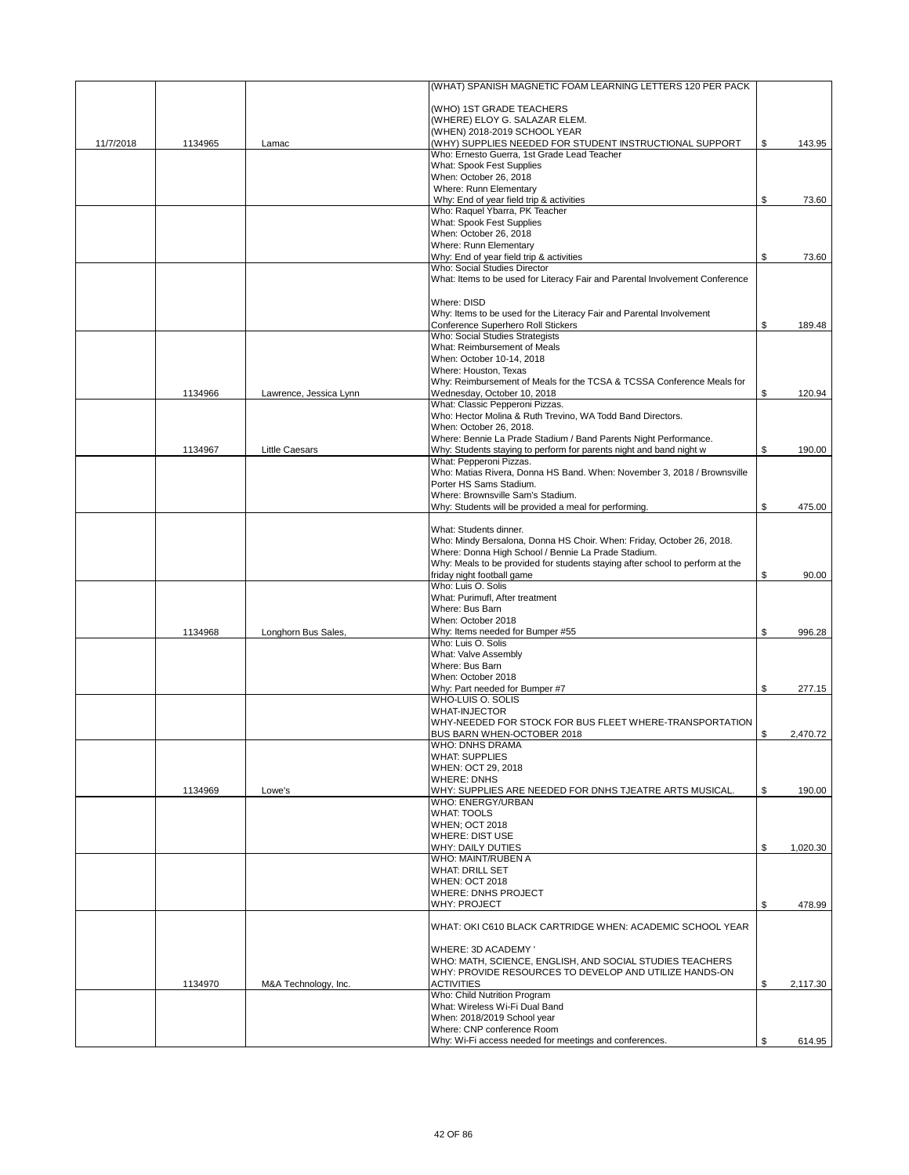|           |         |                        | (WHAT) SPANISH MAGNETIC FOAM LEARNING LETTERS 120 PER PACK                                                                           |                |
|-----------|---------|------------------------|--------------------------------------------------------------------------------------------------------------------------------------|----------------|
|           |         |                        | (WHO) 1ST GRADE TEACHERS                                                                                                             |                |
|           |         |                        | (WHERE) ELOY G. SALAZAR ELEM.                                                                                                        |                |
|           |         |                        | (WHEN) 2018-2019 SCHOOL YEAR<br>(WHY) SUPPLIES NEEDED FOR STUDENT INSTRUCTIONAL SUPPORT                                              | \$             |
| 11/7/2018 | 1134965 | Lamac                  | Who: Ernesto Guerra, 1st Grade Lead Teacher                                                                                          | 143.95         |
|           |         |                        | What: Spook Fest Supplies                                                                                                            |                |
|           |         |                        | When: October 26, 2018                                                                                                               |                |
|           |         |                        | Where: Runn Elementary<br>Why: End of year field trip & activities                                                                   | \$<br>73.60    |
|           |         |                        | Who: Raquel Ybarra, PK Teacher                                                                                                       |                |
|           |         |                        | What: Spook Fest Supplies                                                                                                            |                |
|           |         |                        | When: October 26, 2018                                                                                                               |                |
|           |         |                        | Where: Runn Elementary<br>Why: End of year field trip & activities                                                                   | \$             |
|           |         |                        | Who: Social Studies Director                                                                                                         | 73.60          |
|           |         |                        | What: Items to be used for Literacy Fair and Parental Involvement Conference                                                         |                |
|           |         |                        | Where: DISD                                                                                                                          |                |
|           |         |                        | Why: Items to be used for the Literacy Fair and Parental Involvement                                                                 |                |
|           |         |                        | Conference Superhero Roll Stickers                                                                                                   | \$<br>189.48   |
|           |         |                        | Who: Social Studies Strategists                                                                                                      |                |
|           |         |                        | What: Reimbursement of Meals                                                                                                         |                |
|           |         |                        | When: October 10-14, 2018<br>Where: Houston, Texas                                                                                   |                |
|           |         |                        | Why: Reimbursement of Meals for the TCSA & TCSSA Conference Meals for                                                                |                |
|           | 1134966 | Lawrence, Jessica Lynn | Wednesday, October 10, 2018                                                                                                          | \$<br>120.94   |
|           |         |                        | What: Classic Pepperoni Pizzas.                                                                                                      |                |
|           |         |                        | Who: Hector Molina & Ruth Trevino, WA Todd Band Directors.<br>When: October 26, 2018.                                                |                |
|           |         |                        | Where: Bennie La Prade Stadium / Band Parents Night Performance.                                                                     |                |
|           | 1134967 | <b>Little Caesars</b>  | Why: Students staying to perform for parents night and band night w                                                                  | \$<br>190.00   |
|           |         |                        | What: Pepperoni Pizzas.                                                                                                              |                |
|           |         |                        | Who: Matias Rivera, Donna HS Band. When: November 3, 2018 / Brownsville                                                              |                |
|           |         |                        | Porter HS Sams Stadium.<br>Where: Brownsville Sam's Stadium.                                                                         |                |
|           |         |                        | Why: Students will be provided a meal for performing.                                                                                | \$<br>475.00   |
|           |         |                        |                                                                                                                                      |                |
|           |         |                        | What: Students dinner.                                                                                                               |                |
|           |         |                        | Who: Mindy Bersalona, Donna HS Choir. When: Friday, October 26, 2018.                                                                |                |
|           |         |                        | Where: Donna High School / Bennie La Prade Stadium.<br>Why: Meals to be provided for students staying after school to perform at the |                |
|           |         |                        | friday night football game                                                                                                           | \$<br>90.00    |
|           |         |                        | Who: Luis O. Solis                                                                                                                   |                |
|           |         |                        | What: Purimufl, After treatment                                                                                                      |                |
|           |         |                        | Where: Bus Barn                                                                                                                      |                |
|           | 1134968 | Longhorn Bus Sales,    | When: October 2018<br>Why: Items needed for Bumper #55                                                                               | \$<br>996.28   |
|           |         |                        | Who: Luis O. Solis                                                                                                                   |                |
|           |         |                        | What: Valve Assembly                                                                                                                 |                |
|           |         |                        | Where: Bus Barn                                                                                                                      |                |
|           |         |                        | When: October 2018                                                                                                                   |                |
|           |         |                        | Why: Part needed for Bumper #7<br>WHO-LUIS O. SOLIS                                                                                  | \$<br>277.15   |
|           |         |                        | <b>WHAT-INJECTOR</b>                                                                                                                 |                |
|           |         |                        | WHY-NEEDED FOR STOCK FOR BUS FLEET WHERE-TRANSPORTATION                                                                              |                |
|           |         |                        | BUS BARN WHEN-OCTOBER 2018                                                                                                           | \$<br>2,470.72 |
|           |         |                        | WHO: DNHS DRAMA<br><b>WHAT: SUPPLIES</b>                                                                                             |                |
|           |         |                        | WHEN: OCT 29, 2018                                                                                                                   |                |
|           |         |                        | <b>WHERE: DNHS</b>                                                                                                                   |                |
|           | 1134969 | Lowe's                 | WHY: SUPPLIES ARE NEEDED FOR DNHS TJEATRE ARTS MUSICAL.                                                                              | \$<br>190.00   |
|           |         |                        | WHO: ENERGY/URBAN                                                                                                                    |                |
|           |         |                        | <b>WHAT: TOOLS</b><br><b>WHEN: OCT 2018</b>                                                                                          |                |
|           |         |                        | <b>WHERE: DIST USE</b>                                                                                                               |                |
|           |         |                        | WHY: DAILY DUTIES                                                                                                                    | \$<br>1,020.30 |
|           |         |                        | WHO: MAINT/RUBEN A                                                                                                                   |                |
|           |         |                        | <b>WHAT: DRILL SET</b>                                                                                                               |                |
|           |         |                        | <b>WHEN: OCT 2018</b><br><b>WHERE: DNHS PROJECT</b>                                                                                  |                |
|           |         |                        | <b>WHY: PROJECT</b>                                                                                                                  | \$<br>478.99   |
|           |         |                        | WHAT: OKI C610 BLACK CARTRIDGE WHEN: ACADEMIC SCHOOL YEAR                                                                            |                |
|           |         |                        |                                                                                                                                      |                |
|           |         |                        | WHERE: 3D ACADEMY '<br>WHO: MATH, SCIENCE, ENGLISH, AND SOCIAL STUDIES TEACHERS                                                      |                |
|           |         |                        | WHY: PROVIDE RESOURCES TO DEVELOP AND UTILIZE HANDS-ON                                                                               |                |
|           | 1134970 | M&A Technology, Inc.   | <b>ACTIVITIES</b>                                                                                                                    | \$<br>2,117.30 |
|           |         |                        | Who: Child Nutrition Program                                                                                                         |                |
|           |         |                        | What: Wireless Wi-Fi Dual Band<br>When: 2018/2019 School year                                                                        |                |
|           |         |                        | Where: CNP conference Room                                                                                                           |                |
|           |         |                        | Why: Wi-Fi access needed for meetings and conferences.                                                                               | \$<br>614.95   |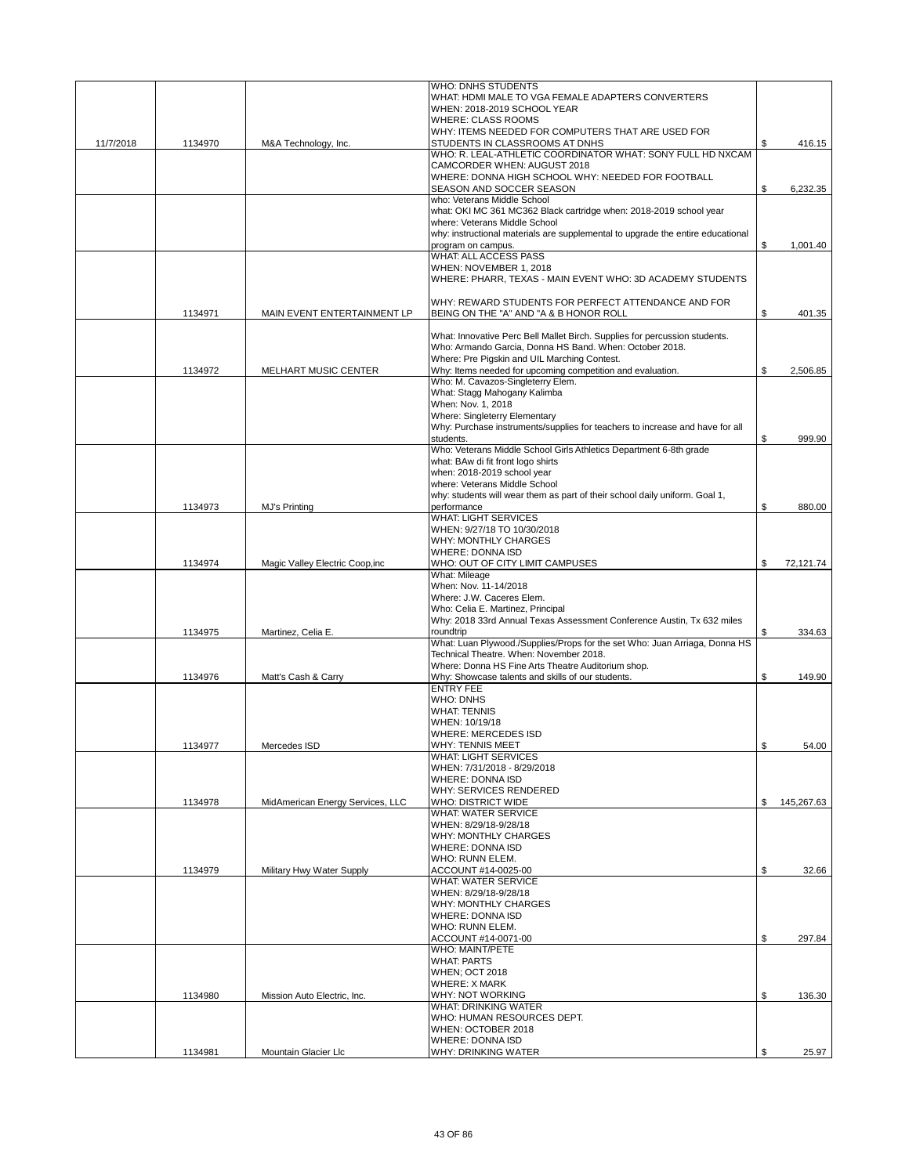|           |         |                                  | WHO: DNHS STUDENTS<br>WHAT: HDMI MALE TO VGA FEMALE ADAPTERS CONVERTERS                                    |     |            |
|-----------|---------|----------------------------------|------------------------------------------------------------------------------------------------------------|-----|------------|
|           |         |                                  | WHEN: 2018-2019 SCHOOL YEAR                                                                                |     |            |
|           |         |                                  | <b>WHERE: CLASS ROOMS</b>                                                                                  |     |            |
|           |         |                                  | WHY: ITEMS NEEDED FOR COMPUTERS THAT ARE USED FOR                                                          |     |            |
| 11/7/2018 | 1134970 | M&A Technology, Inc.             | STUDENTS IN CLASSROOMS AT DNHS<br>WHO: R. LEAL-ATHLETIC COORDINATOR WHAT: SONY FULL HD NXCAM               | \$  | 416.15     |
|           |         |                                  | CAMCORDER WHEN: AUGUST 2018                                                                                |     |            |
|           |         |                                  | WHERE: DONNA HIGH SCHOOL WHY: NEEDED FOR FOOTBALL                                                          |     |            |
|           |         |                                  | SEASON AND SOCCER SEASON                                                                                   | \$  | 6,232.35   |
|           |         |                                  | who: Veterans Middle School                                                                                |     |            |
|           |         |                                  | what: OKI MC 361 MC362 Black cartridge when: 2018-2019 school year<br>where: Veterans Middle School        |     |            |
|           |         |                                  | why: instructional materials are supplemental to upgrade the entire educational                            |     |            |
|           |         |                                  | program on campus.                                                                                         | \$  | 1,001.40   |
|           |         |                                  | WHAT: ALL ACCESS PASS                                                                                      |     |            |
|           |         |                                  | WHEN: NOVEMBER 1, 2018                                                                                     |     |            |
|           |         |                                  | WHERE: PHARR, TEXAS - MAIN EVENT WHO: 3D ACADEMY STUDENTS                                                  |     |            |
|           |         |                                  | WHY: REWARD STUDENTS FOR PERFECT ATTENDANCE AND FOR                                                        |     |            |
|           | 1134971 | MAIN EVENT ENTERTAINMENT LP      | BEING ON THE "A" AND "A & B HONOR ROLL                                                                     | \$. | 401.35     |
|           |         |                                  |                                                                                                            |     |            |
|           |         |                                  | What: Innovative Perc Bell Mallet Birch. Supplies for percussion students.                                 |     |            |
|           |         |                                  | Who: Armando Garcia, Donna HS Band. When: October 2018.                                                    |     |            |
|           | 1134972 | MELHART MUSIC CENTER             | Where: Pre Pigskin and UIL Marching Contest.<br>Why: Items needed for upcoming competition and evaluation. | \$  | 2,506.85   |
|           |         |                                  | Who: M. Cavazos-Singleterry Elem.                                                                          |     |            |
|           |         |                                  | What: Stagg Mahogany Kalimba                                                                               |     |            |
|           |         |                                  | When: Nov. 1, 2018                                                                                         |     |            |
|           |         |                                  | Where: Singleterry Elementary                                                                              |     |            |
|           |         |                                  | Why: Purchase instruments/supplies for teachers to increase and have for all                               |     |            |
|           |         |                                  | students.<br>Who: Veterans Middle School Girls Athletics Department 6-8th grade                            | \$  | 999.90     |
|           |         |                                  | what: BAw di fit front logo shirts                                                                         |     |            |
|           |         |                                  | when: 2018-2019 school year                                                                                |     |            |
|           |         |                                  | where: Veterans Middle School                                                                              |     |            |
|           |         |                                  | why: students will wear them as part of their school daily uniform. Goal 1,                                |     |            |
|           | 1134973 | MJ's Printing                    | performance                                                                                                | \$  | 880.00     |
|           |         |                                  | <b>WHAT: LIGHT SERVICES</b><br>WHEN: 9/27/18 TO 10/30/2018                                                 |     |            |
|           |         |                                  | WHY: MONTHLY CHARGES                                                                                       |     |            |
|           |         |                                  | <b>WHERE: DONNA ISD</b>                                                                                    |     |            |
|           | 1134974 | Magic Valley Electric Coop, inc  | WHO: OUT OF CITY LIMIT CAMPUSES                                                                            | \$  | 72,121.74  |
|           |         |                                  | What: Mileage                                                                                              |     |            |
|           |         |                                  | When: Nov. 11-14/2018                                                                                      |     |            |
|           |         |                                  | Where: J.W. Caceres Elem.<br>Who: Celia E. Martinez, Principal                                             |     |            |
|           |         |                                  | Why: 2018 33rd Annual Texas Assessment Conference Austin, Tx 632 miles                                     |     |            |
|           | 1134975 | Martinez, Celia E.               | roundtrip                                                                                                  | \$  | 334.63     |
|           |         |                                  | What: Luan Plywood./Supplies/Props for the set Who: Juan Arriaga, Donna HS                                 |     |            |
|           |         |                                  | Technical Theatre. When: November 2018.                                                                    |     |            |
|           |         |                                  | Where: Donna HS Fine Arts Theatre Auditorium shop.                                                         | \$  |            |
|           | 1134976 | Matt's Cash & Carry              | Why: Showcase talents and skills of our students.<br><b>ENTRY FEE</b>                                      |     | 149.90     |
|           |         |                                  | <b>WHO: DNHS</b>                                                                                           |     |            |
|           |         |                                  | <b>WHAT: TENNIS</b>                                                                                        |     |            |
|           |         |                                  | WHEN: 10/19/18                                                                                             |     |            |
|           |         |                                  | WHERE: MERCEDES ISD                                                                                        |     |            |
|           | 1134977 | Mercedes ISD                     | WHY: TENNIS MEET                                                                                           | \$  | 54.00      |
|           |         |                                  | <b>WHAT: LIGHT SERVICES</b><br>WHEN: 7/31/2018 - 8/29/2018                                                 |     |            |
|           |         |                                  | <b>WHERE: DONNA ISD</b>                                                                                    |     |            |
|           |         |                                  | WHY: SERVICES RENDERED                                                                                     |     |            |
|           | 1134978 | MidAmerican Energy Services, LLC | <b>WHO: DISTRICT WIDE</b>                                                                                  | \$  | 145,267.63 |
|           |         |                                  | <b>WHAT: WATER SERVICE</b>                                                                                 |     |            |
|           |         |                                  | WHEN: 8/29/18-9/28/18<br><b>WHY: MONTHLY CHARGES</b>                                                       |     |            |
|           |         |                                  | <b>WHERE: DONNA ISD</b>                                                                                    |     |            |
|           |         |                                  | WHO: RUNN ELEM.                                                                                            |     |            |
|           | 1134979 | Military Hwy Water Supply        | ACCOUNT #14-0025-00                                                                                        | \$  | 32.66      |
|           |         |                                  | <b>WHAT: WATER SERVICE</b>                                                                                 |     |            |
|           |         |                                  | WHEN: 8/29/18-9/28/18                                                                                      |     |            |
|           |         |                                  | <b>WHY: MONTHLY CHARGES</b><br><b>WHERE: DONNA ISD</b>                                                     |     |            |
|           |         |                                  | WHO: RUNN ELEM.                                                                                            |     |            |
|           |         |                                  | ACCOUNT#14-0071-00                                                                                         | \$  | 297.84     |
|           |         |                                  | <b>WHO: MAINT/PETE</b>                                                                                     |     |            |
|           |         |                                  | <b>WHAT: PARTS</b>                                                                                         |     |            |
|           |         |                                  | <b>WHEN; OCT 2018</b>                                                                                      |     |            |
|           |         |                                  | <b>WHERE: X MARK</b>                                                                                       |     |            |
|           | 1134980 | Mission Auto Electric, Inc.      | WHY: NOT WORKING<br><b>WHAT: DRINKING WATER</b>                                                            | \$  | 136.30     |
|           |         |                                  | WHO: HUMAN RESOURCES DEPT.                                                                                 |     |            |
|           |         |                                  | WHEN: OCTOBER 2018                                                                                         |     |            |
|           |         |                                  | <b>WHERE: DONNA ISD</b>                                                                                    |     |            |
|           | 1134981 | Mountain Glacier Llc             | WHY: DRINKING WATER                                                                                        | \$  | 25.97      |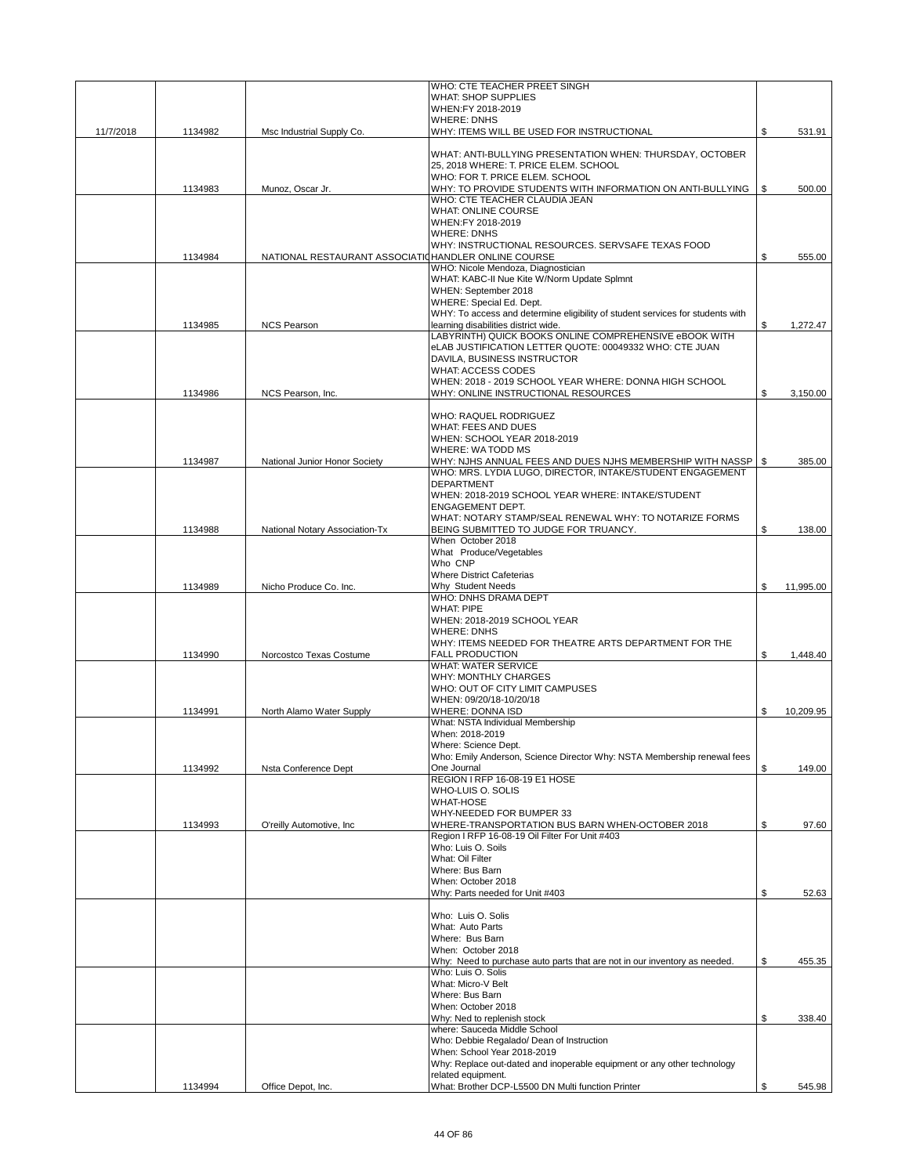|           |         |                                                      | WHO: CTE TEACHER PREET SINGH                                                                    |                 |
|-----------|---------|------------------------------------------------------|-------------------------------------------------------------------------------------------------|-----------------|
|           |         |                                                      | <b>WHAT: SHOP SUPPLIES</b><br>WHEN:FY 2018-2019                                                 |                 |
|           |         |                                                      | <b>WHERE: DNHS</b>                                                                              |                 |
| 11/7/2018 | 1134982 | Msc Industrial Supply Co.                            | WHY: ITEMS WILL BE USED FOR INSTRUCTIONAL                                                       | \$<br>531.91    |
|           |         |                                                      | WHAT: ANTI-BULLYING PRESENTATION WHEN: THURSDAY, OCTOBER                                        |                 |
|           |         |                                                      | 25, 2018 WHERE: T. PRICE ELEM. SCHOOL                                                           |                 |
|           |         |                                                      | WHO: FOR T. PRICE ELEM. SCHOOL                                                                  |                 |
|           | 1134983 | Munoz, Oscar Jr.                                     | WHY: TO PROVIDE STUDENTS WITH INFORMATION ON ANTI-BULLYING<br>WHO: CTE TEACHER CLAUDIA JEAN     | \$<br>500.00    |
|           |         |                                                      | <b>WHAT: ONLINE COURSE</b>                                                                      |                 |
|           |         |                                                      | WHEN:FY 2018-2019                                                                               |                 |
|           |         |                                                      | <b>WHERE: DNHS</b><br>WHY: INSTRUCTIONAL RESOURCES. SERVSAFE TEXAS FOOD                         |                 |
|           | 1134984 | NATIONAL RESTAURANT ASSOCIATION ANDLER ONLINE COURSE |                                                                                                 | \$<br>555.00    |
|           |         |                                                      | WHO: Nicole Mendoza, Diagnostician                                                              |                 |
|           |         |                                                      | WHAT: KABC-II Nue Kite W/Norm Update Splmnt<br>WHEN: September 2018                             |                 |
|           |         |                                                      | WHERE: Special Ed. Dept.                                                                        |                 |
|           |         |                                                      | WHY: To access and determine eligibility of student services for students with                  |                 |
|           | 1134985 | <b>NCS Pearson</b>                                   | learning disabilities district wide.<br>LABYRINTH) QUICK BOOKS ONLINE COMPREHENSIVE eBOOK WITH  | \$<br>1,272.47  |
|           |         |                                                      | eLAB JUSTIFICATION LETTER QUOTE: 00049332 WHO: CTE JUAN                                         |                 |
|           |         |                                                      | DAVILA, BUSINESS INSTRUCTOR                                                                     |                 |
|           |         |                                                      | <b>WHAT: ACCESS CODES</b><br>WHEN: 2018 - 2019 SCHOOL YEAR WHERE: DONNA HIGH SCHOOL             |                 |
|           | 1134986 | NCS Pearson, Inc.                                    | WHY: ONLINE INSTRUCTIONAL RESOURCES                                                             | \$<br>3,150.00  |
|           |         |                                                      |                                                                                                 |                 |
|           |         |                                                      | WHO: RAQUEL RODRIGUEZ<br>WHAT: FEES AND DUES                                                    |                 |
|           |         |                                                      | WHEN: SCHOOL YEAR 2018-2019                                                                     |                 |
|           |         |                                                      | WHERE: WA TODD MS                                                                               |                 |
|           | 1134987 | National Junior Honor Society                        | WHY: NJHS ANNUAL FEES AND DUES NJHS MEMBERSHIP WITH NASSP                                       | \$<br>385.00    |
|           |         |                                                      | WHO: MRS. LYDIA LUGO, DIRECTOR, INTAKE/STUDENT ENGAGEMENT<br><b>DEPARTMENT</b>                  |                 |
|           |         |                                                      | WHEN: 2018-2019 SCHOOL YEAR WHERE: INTAKE/STUDENT                                               |                 |
|           |         |                                                      | <b>ENGAGEMENT DEPT.</b>                                                                         |                 |
|           | 1134988 | National Notary Association-Tx                       | WHAT: NOTARY STAMP/SEAL RENEWAL WHY: TO NOTARIZE FORMS<br>BEING SUBMITTED TO JUDGE FOR TRUANCY. | \$<br>138.00    |
|           |         |                                                      | When October 2018                                                                               |                 |
|           |         |                                                      | What Produce/Vegetables                                                                         |                 |
|           |         |                                                      | Who CNP<br><b>Where District Cafeterias</b>                                                     |                 |
|           | 1134989 | Nicho Produce Co. Inc.                               | Why Student Needs                                                                               | \$<br>11,995.00 |
|           |         |                                                      | WHO: DNHS DRAMA DEPT                                                                            |                 |
|           |         |                                                      | <b>WHAT: PIPE</b><br>WHEN: 2018-2019 SCHOOL YEAR                                                |                 |
|           |         |                                                      | <b>WHERE: DNHS</b>                                                                              |                 |
|           |         |                                                      | WHY: ITEMS NEEDED FOR THEATRE ARTS DEPARTMENT FOR THE                                           |                 |
|           | 1134990 | Norcostco Texas Costume                              | <b>FALL PRODUCTION</b>                                                                          | \$<br>1,448.40  |
|           |         |                                                      | <b>WHAT: WATER SERVICE</b><br><b>WHY: MONTHLY CHARGES</b>                                       |                 |
|           |         |                                                      | WHO: OUT OF CITY LIMIT CAMPUSES                                                                 |                 |
|           |         |                                                      | WHEN: 09/20/18-10/20/18                                                                         |                 |
|           | 1134991 | North Alamo Water Supply                             | <b>WHERE: DONNA ISD</b><br>What: NSTA Individual Membership                                     | \$<br>10.209.95 |
|           |         |                                                      | When: 2018-2019                                                                                 |                 |
|           |         |                                                      | Where: Science Dept.                                                                            |                 |
|           | 1134992 | Nsta Conference Dept                                 | Who: Emily Anderson, Science Director Why: NSTA Membership renewal fees<br>One Journal          | \$<br>149.00    |
|           |         |                                                      | REGION I RFP 16-08-19 E1 HOSE                                                                   |                 |
|           |         |                                                      | WHO-LUIS O. SOLIS                                                                               |                 |
|           |         |                                                      | <b>WHAT-HOSE</b><br>WHY-NEEDED FOR BUMPER 33                                                    |                 |
|           | 1134993 | O'reilly Automotive, Inc.                            | WHERE-TRANSPORTATION BUS BARN WHEN-OCTOBER 2018                                                 | \$<br>97.60     |
|           |         |                                                      | Region I RFP 16-08-19 Oil Filter For Unit #403                                                  |                 |
|           |         |                                                      | Who: Luis O. Soils<br>What: Oil Filter                                                          |                 |
|           |         |                                                      | Where: Bus Barn                                                                                 |                 |
|           |         |                                                      | When: October 2018                                                                              |                 |
|           |         |                                                      | Why: Parts needed for Unit #403                                                                 | \$<br>52.63     |
|           |         |                                                      | Who: Luis O. Solis                                                                              |                 |
|           |         |                                                      | What: Auto Parts                                                                                |                 |
|           |         |                                                      | Where: Bus Barn                                                                                 |                 |
|           |         |                                                      | When: October 2018<br>Why: Need to purchase auto parts that are not in our inventory as needed. | \$<br>455.35    |
|           |         |                                                      | Who: Luis O. Solis                                                                              |                 |
|           |         |                                                      | What: Micro-V Belt                                                                              |                 |
|           |         |                                                      | Where: Bus Barn<br>When: October 2018                                                           |                 |
|           |         |                                                      | Why: Ned to replenish stock                                                                     | \$<br>338.40    |
|           |         |                                                      | where: Sauceda Middle School                                                                    |                 |
|           |         |                                                      | Who: Debbie Regalado/ Dean of Instruction<br>When: School Year 2018-2019                        |                 |
|           |         |                                                      | Why: Replace out-dated and inoperable equipment or any other technology                         |                 |
|           |         |                                                      | related equipment.                                                                              |                 |
|           | 1134994 | Office Depot, Inc.                                   | What: Brother DCP-L5500 DN Multi function Printer                                               | \$<br>545.98    |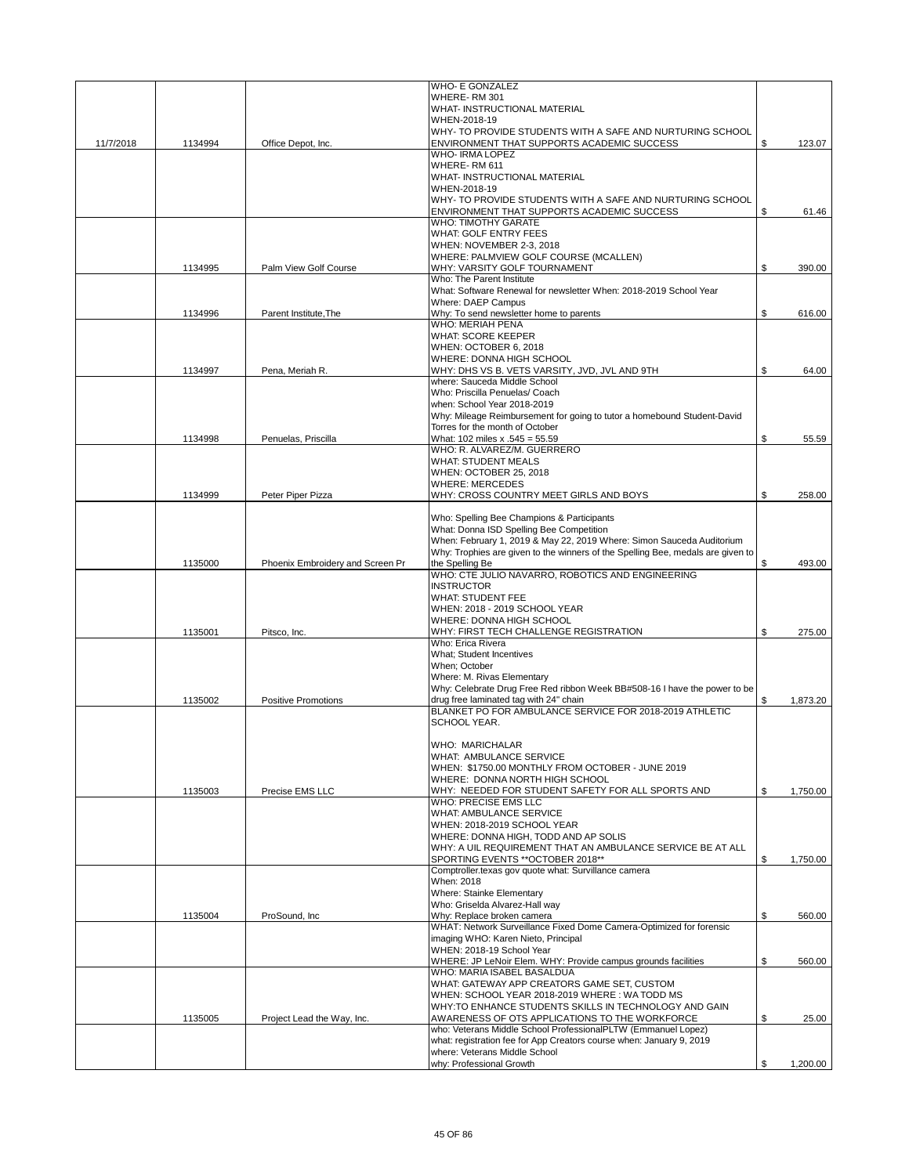|           |         |                                  | <b>WHO- E GONZALEZ</b>                                                                            |                |
|-----------|---------|----------------------------------|---------------------------------------------------------------------------------------------------|----------------|
|           |         |                                  | WHERE-RM 301                                                                                      |                |
|           |         |                                  | <b>WHAT- INSTRUCTIONAL MATERIAL</b><br>WHEN-2018-19                                               |                |
|           |         |                                  | WHY- TO PROVIDE STUDENTS WITH A SAFE AND NURTURING SCHOOL                                         |                |
| 11/7/2018 | 1134994 | Office Depot, Inc.               | ENVIRONMENT THAT SUPPORTS ACADEMIC SUCCESS                                                        | \$<br>123.07   |
|           |         |                                  | <b>WHO-IRMA LOPEZ</b>                                                                             |                |
|           |         |                                  | WHERE-RM 611                                                                                      |                |
|           |         |                                  | WHAT- INSTRUCTIONAL MATERIAL                                                                      |                |
|           |         |                                  | WHEN-2018-19                                                                                      |                |
|           |         |                                  | WHY- TO PROVIDE STUDENTS WITH A SAFE AND NURTURING SCHOOL                                         |                |
|           |         |                                  | ENVIRONMENT THAT SUPPORTS ACADEMIC SUCCESS                                                        | \$<br>61.46    |
|           |         |                                  | <b>WHO: TIMOTHY GARATE</b>                                                                        |                |
|           |         |                                  | <b>WHAT: GOLF ENTRY FEES</b>                                                                      |                |
|           |         |                                  | WHEN: NOVEMBER 2-3, 2018                                                                          |                |
|           |         |                                  | WHERE: PALMVIEW GOLF COURSE (MCALLEN)                                                             |                |
|           | 1134995 | Palm View Golf Course            | WHY: VARSITY GOLF TOURNAMENT<br>Who: The Parent Institute                                         | \$<br>390.00   |
|           |         |                                  | What: Software Renewal for newsletter When: 2018-2019 School Year                                 |                |
|           |         |                                  | Where: DAEP Campus                                                                                |                |
|           | 1134996 | Parent Institute, The            | Why: To send newsletter home to parents                                                           | \$<br>616.00   |
|           |         |                                  | <b>WHO: MERIAH PENA</b>                                                                           |                |
|           |         |                                  | <b>WHAT: SCORE KEEPER</b>                                                                         |                |
|           |         |                                  | WHEN: OCTOBER 6, 2018                                                                             |                |
|           |         |                                  | WHERE: DONNA HIGH SCHOOL                                                                          |                |
|           | 1134997 | Pena, Meriah R.                  | WHY: DHS VS B. VETS VARSITY, JVD, JVL AND 9TH                                                     | \$<br>64.00    |
|           |         |                                  | where: Sauceda Middle School                                                                      |                |
|           |         |                                  | Who: Priscilla Penuelas/ Coach                                                                    |                |
|           |         |                                  | when: School Year 2018-2019                                                                       |                |
|           |         |                                  | Why: Mileage Reimbursement for going to tutor a homebound Student-David                           |                |
|           |         |                                  | Torres for the month of October                                                                   |                |
|           | 1134998 | Penuelas, Priscilla              | What: 102 miles x .545 = 55.59                                                                    | \$<br>55.59    |
|           |         |                                  | WHO: R. ALVAREZ/M. GUERRERO                                                                       |                |
|           |         |                                  | <b>WHAT: STUDENT MEALS</b>                                                                        |                |
|           |         |                                  | WHEN: OCTOBER 25, 2018                                                                            |                |
|           | 1134999 |                                  | <b>WHERE: MERCEDES</b><br>WHY: CROSS COUNTRY MEET GIRLS AND BOYS                                  |                |
|           |         | Peter Piper Pizza                |                                                                                                   | \$<br>258.00   |
|           |         |                                  | Who: Spelling Bee Champions & Participants                                                        |                |
|           |         |                                  | What: Donna ISD Spelling Bee Competition                                                          |                |
|           |         |                                  | When: February 1, 2019 & May 22, 2019 Where: Simon Sauceda Auditorium                             |                |
|           |         |                                  | Why: Trophies are given to the winners of the Spelling Bee, medals are given to                   |                |
|           | 1135000 | Phoenix Embroidery and Screen Pr | the Spelling Be                                                                                   | \$<br>493.00   |
|           |         |                                  | WHO: CTE JULIO NAVARRO, ROBOTICS AND ENGINEERING                                                  |                |
|           |         |                                  | <b>INSTRUCTOR</b>                                                                                 |                |
|           |         |                                  | <b>WHAT: STUDENT FEE</b>                                                                          |                |
|           |         |                                  | WHEN: 2018 - 2019 SCHOOL YEAR                                                                     |                |
|           |         |                                  | WHERE: DONNA HIGH SCHOOL                                                                          |                |
|           | 1135001 | Pitsco, Inc.                     | WHY: FIRST TECH CHALLENGE REGISTRATION                                                            | \$<br>275.00   |
|           |         |                                  | Who: Erica Rivera                                                                                 |                |
|           |         |                                  | <b>What: Student Incentives</b>                                                                   |                |
|           |         |                                  | When; October                                                                                     |                |
|           |         |                                  | Where: M. Rivas Elementary                                                                        |                |
|           | 1135002 |                                  | Why: Celebrate Drug Free Red ribbon Week BB#508-16 I have the power to be                         |                |
|           |         | <b>Positive Promotions</b>       | drug free laminated tag with 24" chain<br>BLANKET PO FOR AMBULANCE SERVICE FOR 2018-2019 ATHLETIC | \$<br>1,873.20 |
|           |         |                                  | SCHOOL YEAR.                                                                                      |                |
|           |         |                                  |                                                                                                   |                |
|           |         |                                  | WHO: MARICHALAR                                                                                   |                |
|           |         |                                  | WHAT: AMBULANCE SERVICE                                                                           |                |
|           |         |                                  | WHEN: \$1750.00 MONTHLY FROM OCTOBER - JUNE 2019                                                  |                |
|           |         |                                  | WHERE: DONNA NORTH HIGH SCHOOL                                                                    |                |
|           | 1135003 | Precise EMS LLC                  | WHY: NEEDED FOR STUDENT SAFETY FOR ALL SPORTS AND                                                 | \$<br>1,750.00 |
|           |         |                                  | <b>WHO: PRECISE EMS LLC</b>                                                                       |                |
|           |         |                                  | WHAT: AMBULANCE SERVICE                                                                           |                |
|           |         |                                  | WHEN: 2018-2019 SCHOOL YEAR                                                                       |                |
|           |         |                                  | WHERE: DONNA HIGH, TODD AND AP SOLIS                                                              |                |
|           |         |                                  | WHY: A UIL REQUIREMENT THAT AN AMBULANCE SERVICE BE AT ALL                                        |                |
|           |         |                                  | SPORTING EVENTS ** OCTOBER 2018**                                                                 | \$<br>1,750.00 |
|           |         |                                  | Comptroller.texas gov quote what: Survillance camera                                              |                |
|           |         |                                  | When: 2018<br>Where: Stainke Elementary                                                           |                |
|           |         |                                  | Who: Griselda Alvarez-Hall way                                                                    |                |
|           | 1135004 | ProSound, Inc.                   | Why: Replace broken camera                                                                        | \$<br>560.00   |
|           |         |                                  | WHAT: Network Surveillance Fixed Dome Camera-Optimized for forensic                               |                |
|           |         |                                  | imaging WHO: Karen Nieto, Principal                                                               |                |
|           |         |                                  | WHEN: 2018-19 School Year                                                                         |                |
|           |         |                                  | WHERE: JP LeNoir Elem. WHY: Provide campus grounds facilities                                     | \$<br>560.00   |
|           |         |                                  | WHO: MARIA ISABEL BASALDUA                                                                        |                |
|           |         |                                  | WHAT: GATEWAY APP CREATORS GAME SET, CUSTOM                                                       |                |
|           |         |                                  | WHEN: SCHOOL YEAR 2018-2019 WHERE: WA TODD MS                                                     |                |
|           |         |                                  | WHY:TO ENHANCE STUDENTS SKILLS IN TECHNOLOGY AND GAIN                                             |                |
|           | 1135005 | Project Lead the Way, Inc.       | AWARENESS OF OTS APPLICATIONS TO THE WORKFORCE                                                    | \$<br>25.00    |
|           |         |                                  | who: Veterans Middle School ProfessionalPLTW (Emmanuel Lopez)                                     |                |
|           |         |                                  | what: registration fee for App Creators course when: January 9, 2019                              |                |
|           |         |                                  | where: Veterans Middle School                                                                     |                |
|           |         |                                  | why: Professional Growth                                                                          | \$<br>1,200.00 |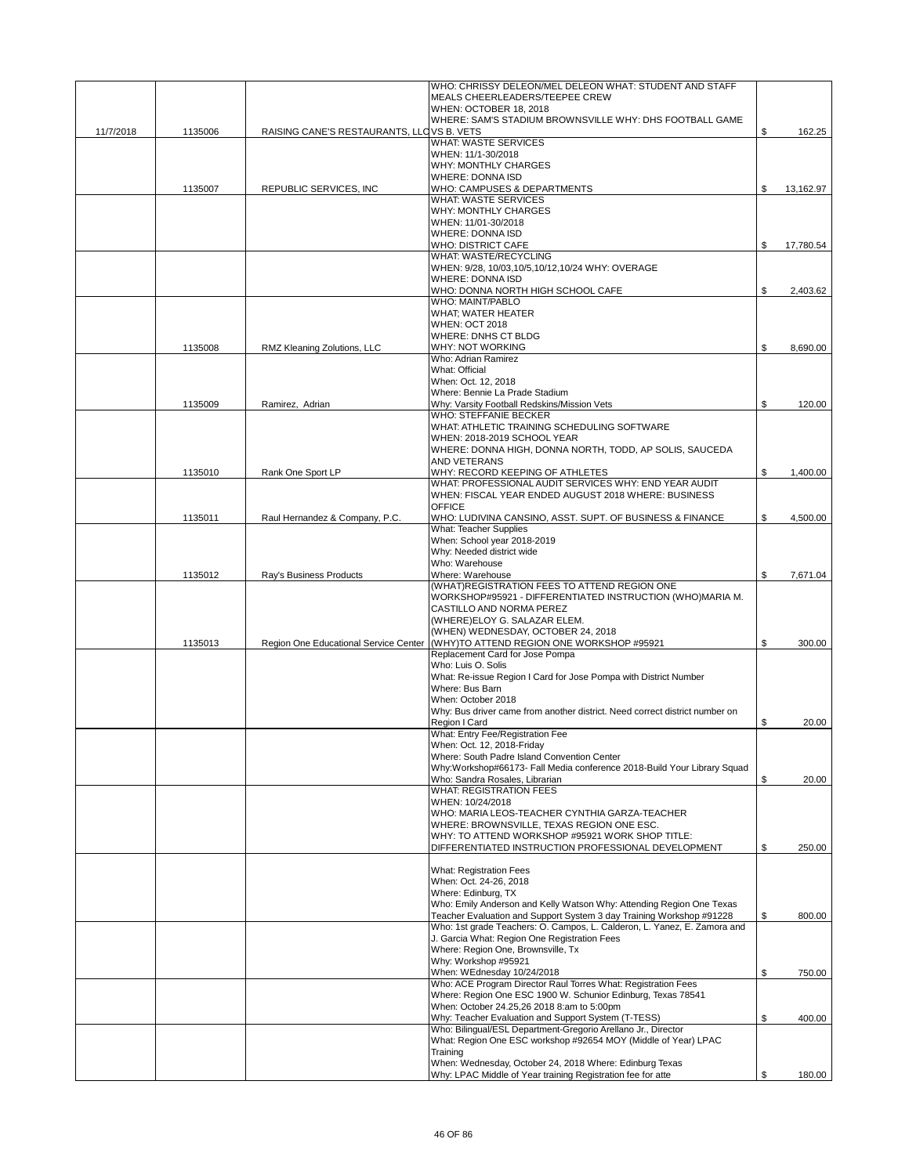|           |         |                                           | WHO: CHRISSY DELEON/MEL DELEON WHAT: STUDENT AND STAFF                                                                          |                 |
|-----------|---------|-------------------------------------------|---------------------------------------------------------------------------------------------------------------------------------|-----------------|
|           |         |                                           | MEALS CHEERLEADERS/TEEPEE CREW                                                                                                  |                 |
|           |         |                                           | WHEN: OCTOBER 18, 2018<br>WHERE: SAM'S STADIUM BROWNSVILLE WHY: DHS FOOTBALL GAME                                               |                 |
| 11/7/2018 | 1135006 | RAISING CANE'S RESTAURANTS, LLCVS B. VETS |                                                                                                                                 | \$<br>162.25    |
|           |         |                                           | <b>WHAT: WASTE SERVICES</b>                                                                                                     |                 |
|           |         |                                           | WHEN: 11/1-30/2018                                                                                                              |                 |
|           |         |                                           | <b>WHY: MONTHLY CHARGES</b><br><b>WHERE: DONNA ISD</b>                                                                          |                 |
|           | 1135007 | REPUBLIC SERVICES, INC                    | WHO: CAMPUSES & DEPARTMENTS                                                                                                     | \$<br>13,162.97 |
|           |         |                                           | WHAT: WASTE SERVICES                                                                                                            |                 |
|           |         |                                           | <b>WHY: MONTHLY CHARGES</b>                                                                                                     |                 |
|           |         |                                           | WHEN: 11/01-30/2018<br><b>WHERE: DONNA ISD</b>                                                                                  |                 |
|           |         |                                           | <b>WHO: DISTRICT CAFE</b>                                                                                                       | \$<br>17,780.54 |
|           |         |                                           | <b>WHAT: WASTE/RECYCLING</b>                                                                                                    |                 |
|           |         |                                           | WHEN: 9/28, 10/03,10/5,10/12,10/24 WHY: OVERAGE<br><b>WHERE: DONNA ISD</b>                                                      |                 |
|           |         |                                           | WHO: DONNA NORTH HIGH SCHOOL CAFE                                                                                               | \$<br>2.403.62  |
|           |         |                                           | <b>WHO: MAINT/PABLO</b>                                                                                                         |                 |
|           |         |                                           | WHAT; WATER HEATER                                                                                                              |                 |
|           |         |                                           | <b>WHEN: OCT 2018</b><br><b>WHERE: DNHS CT BLDG</b>                                                                             |                 |
|           | 1135008 | RMZ Kleaning Zolutions, LLC               | <b>WHY: NOT WORKING</b>                                                                                                         | \$<br>8,690.00  |
|           |         |                                           | Who: Adrian Ramirez                                                                                                             |                 |
|           |         |                                           | What: Official                                                                                                                  |                 |
|           |         |                                           | When: Oct. 12, 2018<br>Where: Bennie La Prade Stadium                                                                           |                 |
|           | 1135009 | Ramirez, Adrian                           | Why: Varsity Football Redskins/Mission Vets                                                                                     | \$<br>120.00    |
|           |         |                                           | WHO: STEFFANIE BECKER                                                                                                           |                 |
|           |         |                                           | WHAT: ATHLETIC TRAINING SCHEDULING SOFTWARE                                                                                     |                 |
|           |         |                                           | WHEN: 2018-2019 SCHOOL YEAR                                                                                                     |                 |
|           |         |                                           | WHERE: DONNA HIGH, DONNA NORTH, TODD, AP SOLIS, SAUCEDA<br>AND VETERANS                                                         |                 |
|           | 1135010 | Rank One Sport LP                         | WHY: RECORD KEEPING OF ATHLETES                                                                                                 | \$<br>1,400.00  |
|           |         |                                           | WHAT: PROFESSIONAL AUDIT SERVICES WHY: END YEAR AUDIT                                                                           |                 |
|           |         |                                           | WHEN: FISCAL YEAR ENDED AUGUST 2018 WHERE: BUSINESS<br><b>OFFICE</b>                                                            |                 |
|           | 1135011 | Raul Hernandez & Company, P.C.            | WHO: LUDIVINA CANSINO, ASST. SUPT. OF BUSINESS & FINANCE                                                                        | \$<br>4,500.00  |
|           |         |                                           | What: Teacher Supplies                                                                                                          |                 |
|           |         |                                           | When: School year 2018-2019                                                                                                     |                 |
|           |         |                                           | Why: Needed district wide<br>Who: Warehouse                                                                                     |                 |
|           | 1135012 | Ray's Business Products                   | Where: Warehouse                                                                                                                | \$<br>7,671.04  |
|           |         |                                           | (WHAT)REGISTRATION FEES TO ATTEND REGION ONE                                                                                    |                 |
|           |         |                                           | WORKSHOP#95921 - DIFFERENTIATED INSTRUCTION (WHO)MARIA M.                                                                       |                 |
|           |         |                                           | CASTILLO AND NORMA PEREZ<br>(WHERE)ELOY G. SALAZAR ELEM.                                                                        |                 |
|           |         |                                           | (WHEN) WEDNESDAY, OCTOBER 24, 2018                                                                                              |                 |
|           | 1135013 |                                           | Region One Educational Service Center (WHY)TO ATTEND REGION ONE WORKSHOP #95921                                                 | \$<br>300.00    |
|           |         |                                           | Replacement Card for Jose Pompa                                                                                                 |                 |
|           |         |                                           | Who: Luis O. Solis<br>What: Re-issue Region I Card for Jose Pompa with District Number                                          |                 |
|           |         |                                           | Where: Bus Barn                                                                                                                 |                 |
|           |         |                                           | When: October 2018                                                                                                              |                 |
|           |         |                                           | Why: Bus driver came from another district. Need correct district number on                                                     |                 |
|           |         |                                           | Region I Card<br>What: Entry Fee/Registration Fee                                                                               | \$<br>20.00     |
|           |         |                                           | When: Oct. 12, 2018-Friday                                                                                                      |                 |
|           |         |                                           | Where: South Padre Island Convention Center                                                                                     |                 |
|           |         |                                           | Why:Workshop#66173- Fall Media conference 2018-Build Your Library Squad                                                         |                 |
|           |         |                                           | Who: Sandra Rosales, Librarian<br><b>WHAT: REGISTRATION FEES</b>                                                                | \$<br>20.00     |
|           |         |                                           | WHEN: 10/24/2018                                                                                                                |                 |
|           |         |                                           | WHO: MARIA LEOS-TEACHER CYNTHIA GARZA-TEACHER                                                                                   |                 |
|           |         |                                           | WHERE: BROWNSVILLE, TEXAS REGION ONE ESC.<br>WHY: TO ATTEND WORKSHOP #95921 WORK SHOP TITLE:                                    |                 |
|           |         |                                           | DIFFERENTIATED INSTRUCTION PROFESSIONAL DEVELOPMENT                                                                             | \$<br>250.00    |
|           |         |                                           |                                                                                                                                 |                 |
|           |         |                                           | <b>What: Registration Fees</b>                                                                                                  |                 |
|           |         |                                           | When: Oct. 24-26, 2018<br>Where: Edinburg, TX                                                                                   |                 |
|           |         |                                           | Who: Emily Anderson and Kelly Watson Why: Attending Region One Texas                                                            |                 |
|           |         |                                           | Teacher Evaluation and Support System 3 day Training Workshop #91228                                                            | \$<br>800.00    |
|           |         |                                           | Who: 1st grade Teachers: O. Campos, L. Calderon, L. Yanez, E. Zamora and<br>J. Garcia What: Region One Registration Fees        |                 |
|           |         |                                           | Where: Region One, Brownsville, Tx                                                                                              |                 |
|           |         |                                           | Why: Workshop #95921                                                                                                            |                 |
|           |         |                                           | When: WEdnesday 10/24/2018                                                                                                      | \$<br>750.00    |
|           |         |                                           | Who: ACE Program Director Raul Torres What: Registration Fees<br>Where: Region One ESC 1900 W. Schunior Edinburg, Texas 78541   |                 |
|           |         |                                           | When: October 24.25,26 2018 8:am to 5:00pm                                                                                      |                 |
|           |         |                                           | Why: Teacher Evaluation and Support System (T-TESS)                                                                             | \$<br>400.00    |
|           |         |                                           | Who: Bilingual/ESL Department-Gregorio Arellano Jr., Director<br>What: Region One ESC workshop #92654 MOY (Middle of Year) LPAC |                 |
|           |         |                                           | Training                                                                                                                        |                 |
|           |         |                                           | When: Wednesday, October 24, 2018 Where: Edinburg Texas                                                                         |                 |
|           |         |                                           | Why: LPAC Middle of Year training Registration fee for atte                                                                     | \$<br>180.00    |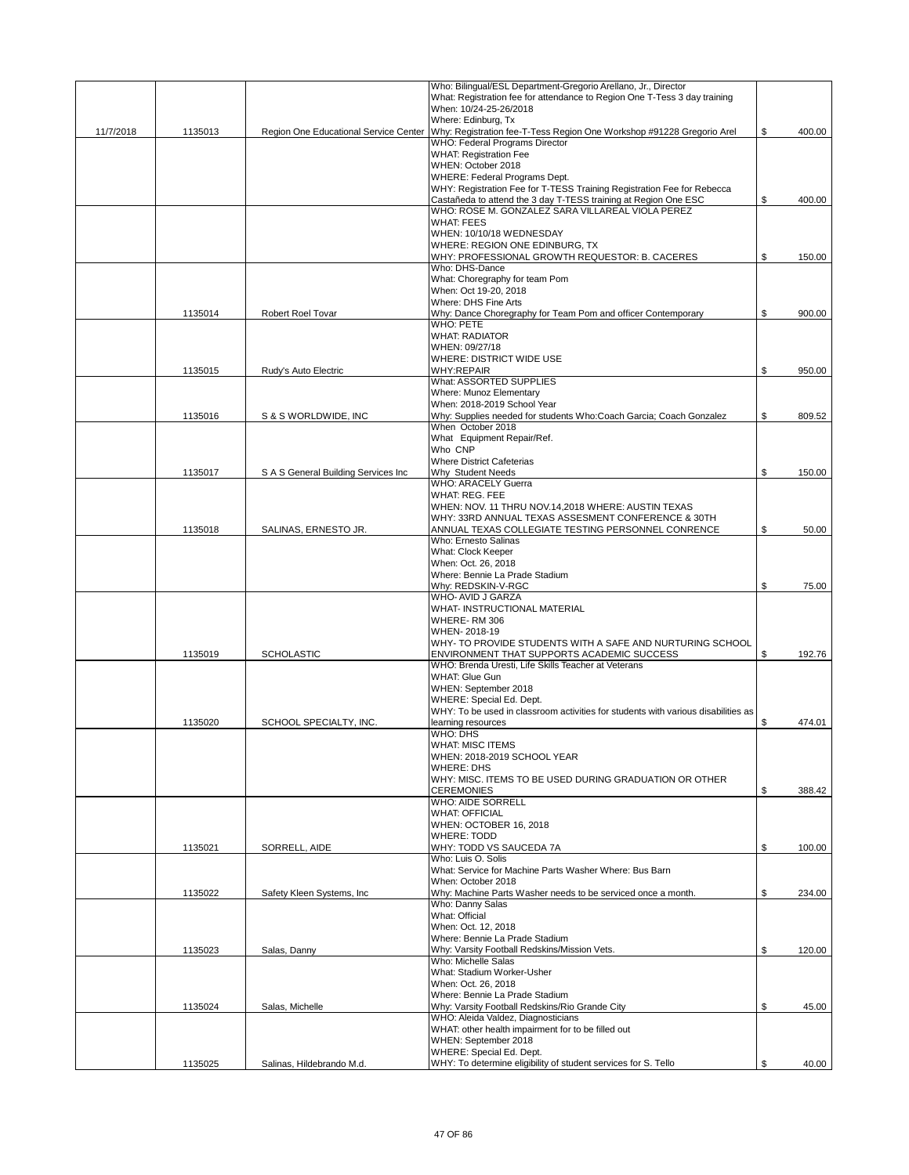|           |         |                                       | Who: Bilingual/ESL Department-Gregorio Arellano, Jr., Director                             |              |
|-----------|---------|---------------------------------------|--------------------------------------------------------------------------------------------|--------------|
|           |         |                                       | What: Registration fee for attendance to Region One T-Tess 3 day training                  |              |
|           |         |                                       | When: 10/24-25-26/2018                                                                     |              |
|           |         |                                       | Where: Edinburg, Tx                                                                        |              |
| 11/7/2018 | 1135013 | Region One Educational Service Center | Why: Registration fee-T-Tess Region One Workshop #91228 Gregorio Arel                      | \$<br>400.00 |
|           |         |                                       | WHO: Federal Programs Director<br><b>WHAT: Registration Fee</b>                            |              |
|           |         |                                       | WHEN: October 2018                                                                         |              |
|           |         |                                       | WHERE: Federal Programs Dept.                                                              |              |
|           |         |                                       | WHY: Registration Fee for T-TESS Training Registration Fee for Rebecca                     |              |
|           |         |                                       | Castañeda to attend the 3 day T-TESS training at Region One ESC                            | \$<br>400.00 |
|           |         |                                       | WHO: ROSE M. GONZALEZ SARA VILLAREAL VIOLA PEREZ                                           |              |
|           |         |                                       | <b>WHAT: FEES</b>                                                                          |              |
|           |         |                                       | WHEN: 10/10/18 WEDNESDAY                                                                   |              |
|           |         |                                       | WHERE: REGION ONE EDINBURG, TX                                                             |              |
|           |         |                                       | WHY: PROFESSIONAL GROWTH REQUESTOR: B. CACERES                                             | \$<br>150.00 |
|           |         |                                       | Who: DHS-Dance                                                                             |              |
|           |         |                                       | What: Choregraphy for team Pom                                                             |              |
|           |         |                                       | When: Oct 19-20, 2018                                                                      |              |
|           |         |                                       | Where: DHS Fine Arts                                                                       |              |
|           | 1135014 | Robert Roel Tovar                     | Why: Dance Choregraphy for Team Pom and officer Contemporary                               | \$<br>900.00 |
|           |         |                                       | <b>WHO: PETE</b>                                                                           |              |
|           |         |                                       | <b>WHAT: RADIATOR</b>                                                                      |              |
|           |         |                                       | WHEN: 09/27/18<br>WHERE: DISTRICT WIDE USE                                                 |              |
|           | 1135015 | Rudy's Auto Electric                  | <b>WHY:REPAIR</b>                                                                          | \$<br>950.00 |
|           |         |                                       | What: ASSORTED SUPPLIES                                                                    |              |
|           |         |                                       | Where: Munoz Elementary                                                                    |              |
|           |         |                                       | When: 2018-2019 School Year                                                                |              |
|           | 1135016 | S & S WORLDWIDE, INC                  | Why: Supplies needed for students Who:Coach Garcia; Coach Gonzalez                         | \$<br>809.52 |
|           |         |                                       | When October 2018                                                                          |              |
|           |         |                                       | What Equipment Repair/Ref.                                                                 |              |
|           |         |                                       | Who CNP                                                                                    |              |
|           |         |                                       | Where District Cafeterias                                                                  |              |
|           | 1135017 | S A S General Building Services Inc   | Why Student Needs                                                                          | \$<br>150.00 |
|           |         |                                       | <b>WHO: ARACELY Guerra</b>                                                                 |              |
|           |         |                                       | <b>WHAT: REG. FEE</b>                                                                      |              |
|           |         |                                       | WHEN: NOV. 11 THRU NOV.14,2018 WHERE: AUSTIN TEXAS                                         |              |
|           |         |                                       | WHY: 33RD ANNUAL TEXAS ASSESMENT CONFERENCE & 30TH                                         |              |
|           | 1135018 | SALINAS, ERNESTO JR.                  | ANNUAL TEXAS COLLEGIATE TESTING PERSONNEL CONRENCE                                         | \$<br>50.00  |
|           |         |                                       | Who: Ernesto Salinas<br>What: Clock Keeper                                                 |              |
|           |         |                                       | When: Oct. 26, 2018                                                                        |              |
|           |         |                                       | Where: Bennie La Prade Stadium                                                             |              |
|           |         |                                       | Why: REDSKIN-V-RGC                                                                         | \$<br>75.00  |
|           |         |                                       | WHO- AVID J GARZA                                                                          |              |
|           |         |                                       | <b>WHAT- INSTRUCTIONAL MATERIAL</b>                                                        |              |
|           |         |                                       | WHERE-RM 306                                                                               |              |
|           |         |                                       | WHEN-2018-19                                                                               |              |
|           |         |                                       | WHY- TO PROVIDE STUDENTS WITH A SAFE AND NURTURING SCHOOL                                  |              |
|           | 1135019 | <b>SCHOLASTIC</b>                     | ENVIRONMENT THAT SUPPORTS ACADEMIC SUCCESS                                                 | \$<br>192.76 |
|           |         |                                       | WHO: Brenda Uresti, Life Skills Teacher at Veterans                                        |              |
|           |         |                                       | <b>WHAT: Glue Gun</b>                                                                      |              |
|           |         |                                       | WHEN: September 2018                                                                       |              |
|           |         |                                       | WHERE: Special Ed. Dept.                                                                   |              |
|           |         |                                       | WHY: To be used in classroom activities for students with various disabilities as          |              |
|           | 1135020 | SCHOOL SPECIALTY, INC.                | learning resources<br>WHO: DHS                                                             | \$<br>474.01 |
|           |         |                                       |                                                                                            |              |
|           |         |                                       | WHAT: MISC ITEMS<br>WHEN: 2018-2019 SCHOOL YEAR                                            |              |
|           |         |                                       | <b>WHERE: DHS</b>                                                                          |              |
|           |         |                                       | WHY: MISC. ITEMS TO BE USED DURING GRADUATION OR OTHER                                     |              |
|           |         |                                       | <b>CEREMONIES</b>                                                                          | \$<br>388.42 |
|           |         |                                       | WHO: AIDE SORRELL                                                                          |              |
|           |         |                                       | <b>WHAT: OFFICIAL</b>                                                                      |              |
|           |         |                                       | WHEN: OCTOBER 16, 2018                                                                     |              |
|           |         |                                       | <b>WHERE: TODD</b>                                                                         |              |
|           | 1135021 | SORRELL, AIDE                         | WHY: TODD VS SAUCEDA 7A                                                                    | \$<br>100.00 |
|           |         |                                       | Who: Luis O. Solis                                                                         |              |
|           |         |                                       | What: Service for Machine Parts Washer Where: Bus Barn                                     |              |
|           |         |                                       | When: October 2018                                                                         |              |
|           | 1135022 | Safety Kleen Systems, Inc.            | Why: Machine Parts Washer needs to be serviced once a month.<br>Who: Danny Salas           | \$<br>234.00 |
|           |         |                                       | What: Official                                                                             |              |
|           |         |                                       | When: Oct. 12, 2018                                                                        |              |
|           |         |                                       | Where: Bennie La Prade Stadium                                                             |              |
|           | 1135023 | Salas, Danny                          | Why: Varsity Football Redskins/Mission Vets.                                               | \$<br>120.00 |
|           |         |                                       | Who: Michelle Salas                                                                        |              |
|           |         |                                       | What: Stadium Worker-Usher                                                                 |              |
|           |         |                                       | When: Oct. 26, 2018                                                                        |              |
|           |         |                                       | Where: Bennie La Prade Stadium                                                             |              |
|           | 1135024 | Salas, Michelle                       | Why: Varsity Football Redskins/Rio Grande City                                             | \$<br>45.00  |
|           |         |                                       | WHO: Aleida Valdez, Diagnosticians                                                         |              |
|           |         |                                       | WHAT: other health impairment for to be filled out                                         |              |
|           |         |                                       | WHEN: September 2018                                                                       |              |
|           | 1135025 | Salinas, Hildebrando M.d.             | WHERE: Special Ed. Dept.<br>WHY: To determine eligibility of student services for S. Tello | \$<br>40.00  |
|           |         |                                       |                                                                                            |              |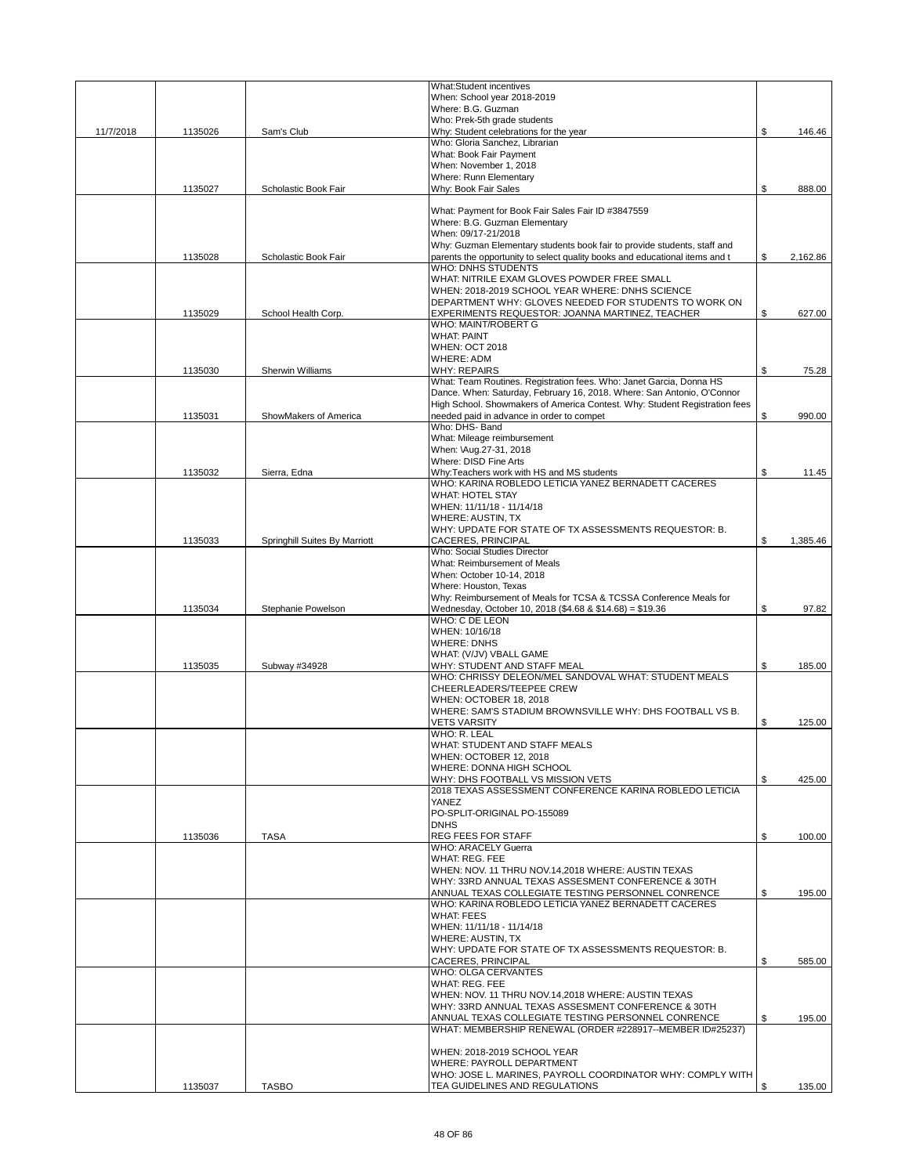|           |         |                               | <b>What:Student incentives</b>                                                                           |                |
|-----------|---------|-------------------------------|----------------------------------------------------------------------------------------------------------|----------------|
|           |         |                               | When: School year 2018-2019                                                                              |                |
|           |         |                               | Where: B.G. Guzman                                                                                       |                |
|           |         |                               | Who: Prek-5th grade students                                                                             |                |
| 11/7/2018 | 1135026 | Sam's Club                    | Why: Student celebrations for the year                                                                   | \$<br>146.46   |
|           |         |                               | Who: Gloria Sanchez, Librarian                                                                           |                |
|           |         |                               | What: Book Fair Payment                                                                                  |                |
|           |         |                               | When: November 1, 2018                                                                                   |                |
|           |         |                               | Where: Runn Elementary                                                                                   |                |
|           | 1135027 | Scholastic Book Fair          | Why: Book Fair Sales                                                                                     | \$<br>888.00   |
|           |         |                               |                                                                                                          |                |
|           |         |                               | What: Payment for Book Fair Sales Fair ID #3847559<br>Where: B.G. Guzman Elementary                      |                |
|           |         |                               | When: 09/17-21/2018                                                                                      |                |
|           |         |                               | Why: Guzman Elementary students book fair to provide students, staff and                                 |                |
|           | 1135028 | Scholastic Book Fair          | parents the opportunity to select quality books and educational items and t                              | \$<br>2,162.86 |
|           |         |                               | <b>WHO: DNHS STUDENTS</b>                                                                                |                |
|           |         |                               | WHAT: NITRILE EXAM GLOVES POWDER FREE SMALL                                                              |                |
|           |         |                               | WHEN: 2018-2019 SCHOOL YEAR WHERE: DNHS SCIENCE                                                          |                |
|           |         |                               | DEPARTMENT WHY: GLOVES NEEDED FOR STUDENTS TO WORK ON                                                    |                |
|           | 1135029 | School Health Corp.           | EXPERIMENTS REQUESTOR: JOANNA MARTINEZ, TEACHER                                                          | \$<br>627.00   |
|           |         |                               | WHO: MAINT/ROBERT G                                                                                      |                |
|           |         |                               | <b>WHAT: PAINT</b>                                                                                       |                |
|           |         |                               | <b>WHEN: OCT 2018</b>                                                                                    |                |
|           |         |                               | <b>WHERE: ADM</b>                                                                                        |                |
|           | 1135030 | Sherwin Williams              | <b>WHY: REPAIRS</b>                                                                                      | \$<br>75.28    |
|           |         |                               | What: Team Routines. Registration fees. Who: Janet Garcia, Donna HS                                      |                |
|           |         |                               | Dance. When: Saturday, February 16, 2018. Where: San Antonio, O'Connor                                   |                |
|           |         |                               | High School. Showmakers of America Contest. Why: Student Registration fees                               |                |
|           | 1135031 | ShowMakers of America         | needed paid in advance in order to compet                                                                | \$<br>990.00   |
|           |         |                               | Who: DHS- Band                                                                                           |                |
|           |         |                               | What: Mileage reimbursement                                                                              |                |
|           |         |                               | When: \Aug.27-31, 2018                                                                                   |                |
|           |         |                               | Where: DISD Fine Arts                                                                                    |                |
|           | 1135032 | Sierra, Edna                  | Why:Teachers work with HS and MS students                                                                | \$<br>11.45    |
|           |         |                               | WHO: KARINA ROBLEDO LETICIA YANEZ BERNADETT CACERES                                                      |                |
|           |         |                               | <b>WHAT: HOTEL STAY</b>                                                                                  |                |
|           |         |                               | WHEN: 11/11/18 - 11/14/18                                                                                |                |
|           |         |                               | WHERE: AUSTIN, TX                                                                                        |                |
|           |         |                               | WHY: UPDATE FOR STATE OF TX ASSESSMENTS REQUESTOR: B.                                                    |                |
|           | 1135033 | Springhill Suites By Marriott | CACERES, PRINCIPAL                                                                                       | \$<br>1,385.46 |
|           |         |                               | Who: Social Studies Director                                                                             |                |
|           |         |                               | What: Reimbursement of Meals                                                                             |                |
|           |         |                               | When: October 10-14, 2018                                                                                |                |
|           |         |                               | Where: Houston, Texas                                                                                    |                |
|           |         |                               | Why: Reimbursement of Meals for TCSA & TCSSA Conference Meals for                                        |                |
|           | 1135034 | Stephanie Powelson            | Wednesday, October 10, 2018 (\$4.68 & \$14.68) = \$19.36                                                 | \$<br>97.82    |
|           |         |                               | WHO: C DE LEON<br>WHEN: 10/16/18                                                                         |                |
|           |         |                               |                                                                                                          |                |
|           |         |                               | <b>WHERE: DNHS</b><br>WHAT: (V/JV) VBALL GAME                                                            |                |
|           | 1135035 | Subway #34928                 | WHY: STUDENT AND STAFF MEAL                                                                              | \$<br>185.00   |
|           |         |                               | WHO: CHRISSY DELEON/MEL SANDOVAL WHAT: STUDENT MEALS                                                     |                |
|           |         |                               | CHEERLEADERS/TEEPEE CREW                                                                                 |                |
|           |         |                               | WHEN: OCTOBER 18, 2018                                                                                   |                |
|           |         |                               | WHERE: SAM'S STADIUM BROWNSVILLE WHY: DHS FOOTBALL VS B.                                                 |                |
|           |         |                               | <b>VETS VARSITY</b>                                                                                      | \$<br>125.00   |
|           |         |                               | WHO: R. LEAL                                                                                             |                |
|           |         |                               | WHAT: STUDENT AND STAFF MEALS                                                                            |                |
|           |         |                               | WHEN: OCTOBER 12, 2018                                                                                   |                |
|           |         |                               | WHERE: DONNA HIGH SCHOOL                                                                                 |                |
|           |         |                               | WHY: DHS FOOTBALL VS MISSION VETS                                                                        | \$<br>425.00   |
|           |         |                               | 2018 TEXAS ASSESSMENT CONFERENCE KARINA ROBLEDO LETICIA                                                  |                |
|           |         |                               | YANEZ                                                                                                    |                |
|           |         |                               | PO-SPLIT-ORIGINAL PO-155089                                                                              |                |
|           |         |                               | <b>DNHS</b>                                                                                              |                |
|           | 1135036 | <b>TASA</b>                   | REG FEES FOR STAFF                                                                                       | \$<br>100.00   |
|           |         |                               | <b>WHO: ARACELY Guerra</b>                                                                               |                |
|           |         |                               | <b>WHAT: REG. FEE</b>                                                                                    |                |
|           |         |                               | WHEN: NOV. 11 THRU NOV.14,2018 WHERE: AUSTIN TEXAS                                                       |                |
|           |         |                               | WHY: 33RD ANNUAL TEXAS ASSESMENT CONFERENCE & 30TH                                                       |                |
|           |         |                               | ANNUAL TEXAS COLLEGIATE TESTING PERSONNEL CONRENCE                                                       | \$<br>195.00   |
|           |         |                               | WHO: KARINA ROBLEDO LETICIA YANEZ BERNADETT CACERES                                                      |                |
|           |         |                               | <b>WHAT: FEES</b>                                                                                        |                |
|           |         |                               | WHEN: 11/11/18 - 11/14/18                                                                                |                |
|           |         |                               | <b>WHERE: AUSTIN, TX</b>                                                                                 |                |
|           |         |                               | WHY: UPDATE FOR STATE OF TX ASSESSMENTS REQUESTOR: B.                                                    |                |
|           |         |                               | CACERES, PRINCIPAL                                                                                       | \$<br>585.00   |
|           |         |                               | <b>WHO: OLGA CERVANTES</b>                                                                               |                |
|           |         |                               | WHAT: REG. FEE                                                                                           |                |
|           |         |                               | WHEN: NOV. 11 THRU NOV.14,2018 WHERE: AUSTIN TEXAS                                                       |                |
|           |         |                               | WHY: 33RD ANNUAL TEXAS ASSESMENT CONFERENCE & 30TH<br>ANNUAL TEXAS COLLEGIATE TESTING PERSONNEL CONRENCE | \$<br>195.00   |
|           |         |                               | WHAT: MEMBERSHIP RENEWAL (ORDER #228917--MEMBER ID#25237)                                                |                |
|           |         |                               |                                                                                                          |                |
|           |         |                               | WHEN: 2018-2019 SCHOOL YEAR                                                                              |                |
|           |         |                               | WHERE: PAYROLL DEPARTMENT                                                                                |                |
|           |         |                               | WHO: JOSE L. MARINES, PAYROLL COORDINATOR WHY: COMPLY WITH                                               |                |
|           | 1135037 | <b>TASBO</b>                  | TEA GUIDELINES AND REGULATIONS                                                                           | \$<br>135.00   |
|           |         |                               |                                                                                                          |                |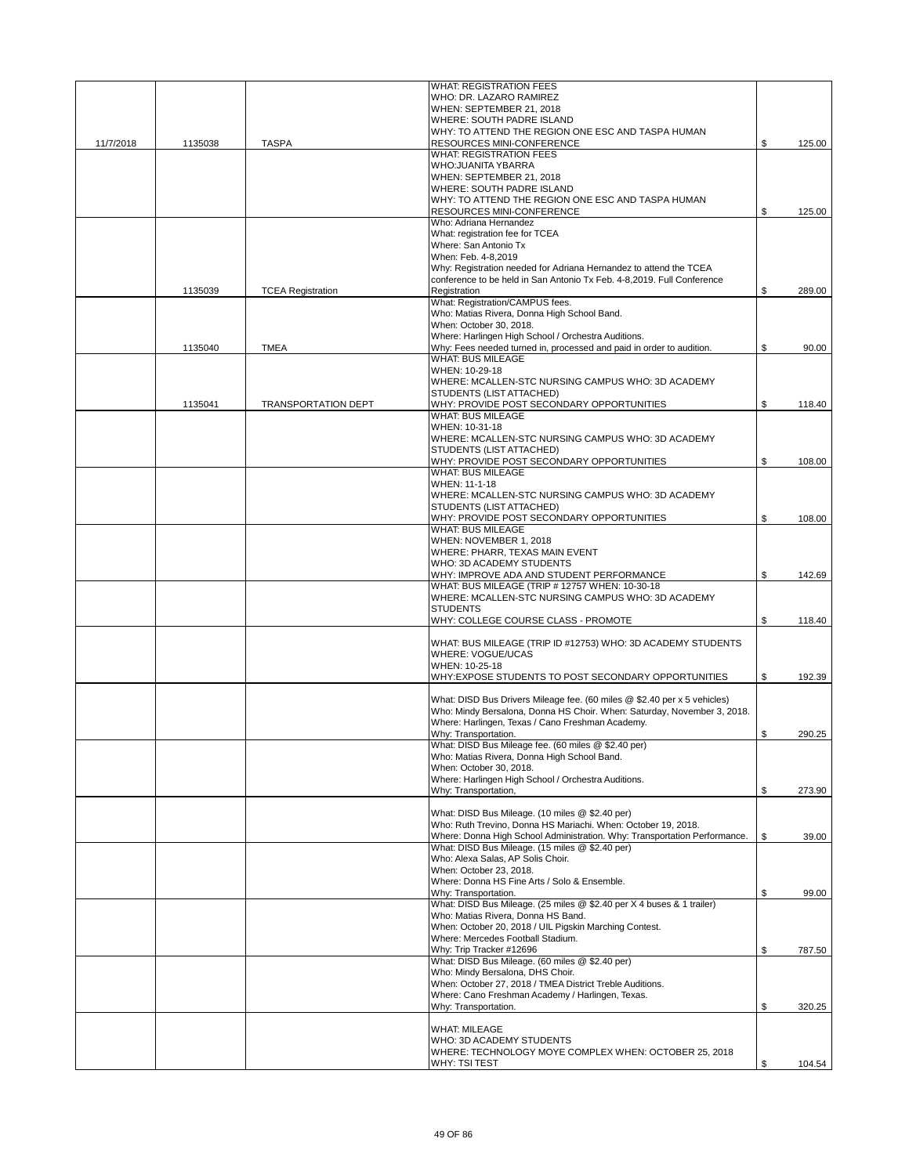|           |         |                            | <b>WHAT: REGISTRATION FEES</b>                                                                                                                      |              |
|-----------|---------|----------------------------|-----------------------------------------------------------------------------------------------------------------------------------------------------|--------------|
|           |         |                            | WHO: DR. LAZARO RAMIREZ                                                                                                                             |              |
|           |         |                            | WHEN: SEPTEMBER 21, 2018                                                                                                                            |              |
|           |         |                            | WHERE: SOUTH PADRE ISLAND                                                                                                                           |              |
| 11/7/2018 | 1135038 | <b>TASPA</b>               | WHY: TO ATTEND THE REGION ONE ESC AND TASPA HUMAN<br>RESOURCES MINI-CONFERENCE                                                                      | \$<br>125.00 |
|           |         |                            | <b>WHAT: REGISTRATION FEES</b>                                                                                                                      |              |
|           |         |                            | WHO: JUANITA YBARRA                                                                                                                                 |              |
|           |         |                            | WHEN: SEPTEMBER 21, 2018                                                                                                                            |              |
|           |         |                            | WHERE: SOUTH PADRE ISLAND                                                                                                                           |              |
|           |         |                            | WHY: TO ATTEND THE REGION ONE ESC AND TASPA HUMAN                                                                                                   |              |
|           |         |                            | RESOURCES MINI-CONFERENCE<br>Who: Adriana Hernandez                                                                                                 | \$<br>125.00 |
|           |         |                            | What: registration fee for TCEA                                                                                                                     |              |
|           |         |                            | Where: San Antonio Tx                                                                                                                               |              |
|           |         |                            | When: Feb. 4-8,2019                                                                                                                                 |              |
|           |         |                            | Why: Registration needed for Adriana Hernandez to attend the TCEA                                                                                   |              |
|           |         |                            | conference to be held in San Antonio Tx Feb. 4-8,2019. Full Conference                                                                              |              |
|           | 1135039 | <b>TCEA Registration</b>   | Registration<br>What: Registration/CAMPUS fees.                                                                                                     | \$<br>289.00 |
|           |         |                            | Who: Matias Rivera, Donna High School Band.                                                                                                         |              |
|           |         |                            | When: October 30, 2018.                                                                                                                             |              |
|           |         |                            | Where: Harlingen High School / Orchestra Auditions.                                                                                                 |              |
|           | 1135040 | <b>TMEA</b>                | Why: Fees needed turned in, processed and paid in order to audition.                                                                                | \$<br>90.00  |
|           |         |                            | <b>WHAT: BUS MILEAGE</b>                                                                                                                            |              |
|           |         |                            | WHEN: 10-29-18                                                                                                                                      |              |
|           |         |                            | WHERE: MCALLEN-STC NURSING CAMPUS WHO: 3D ACADEMY<br>STUDENTS (LIST ATTACHED)                                                                       |              |
|           | 1135041 | <b>TRANSPORTATION DEPT</b> | WHY: PROVIDE POST SECONDARY OPPORTUNITIES                                                                                                           | \$<br>118.40 |
|           |         |                            | <b>WHAT: BUS MILEAGE</b>                                                                                                                            |              |
|           |         |                            | WHEN: 10-31-18                                                                                                                                      |              |
|           |         |                            | WHERE: MCALLEN-STC NURSING CAMPUS WHO: 3D ACADEMY                                                                                                   |              |
|           |         |                            | STUDENTS (LIST ATTACHED)                                                                                                                            |              |
|           |         |                            | WHY: PROVIDE POST SECONDARY OPPORTUNITIES<br><b>WHAT: BUS MILEAGE</b>                                                                               | \$<br>108.00 |
|           |         |                            | WHEN: 11-1-18                                                                                                                                       |              |
|           |         |                            | WHERE: MCALLEN-STC NURSING CAMPUS WHO: 3D ACADEMY                                                                                                   |              |
|           |         |                            | STUDENTS (LIST ATTACHED)                                                                                                                            |              |
|           |         |                            | WHY: PROVIDE POST SECONDARY OPPORTUNITIES                                                                                                           | \$<br>108.00 |
|           |         |                            | <b>WHAT: BUS MILEAGE</b>                                                                                                                            |              |
|           |         |                            | WHEN: NOVEMBER 1, 2018<br>WHERE: PHARR, TEXAS MAIN EVENT                                                                                            |              |
|           |         |                            | WHO: 3D ACADEMY STUDENTS                                                                                                                            |              |
|           |         |                            | WHY: IMPROVE ADA AND STUDENT PERFORMANCE                                                                                                            | \$<br>142.69 |
|           |         |                            | WHAT: BUS MILEAGE (TRIP # 12757 WHEN: 10-30-18                                                                                                      |              |
|           |         |                            | WHERE: MCALLEN-STC NURSING CAMPUS WHO: 3D ACADEMY                                                                                                   |              |
|           |         |                            | <b>STUDENTS</b>                                                                                                                                     |              |
|           |         |                            | WHY: COLLEGE COURSE CLASS - PROMOTE                                                                                                                 | \$<br>118.40 |
|           |         |                            | WHAT: BUS MILEAGE (TRIP ID #12753) WHO: 3D ACADEMY STUDENTS                                                                                         |              |
|           |         |                            | WHERE: VOGUE/UCAS                                                                                                                                   |              |
|           |         |                            | WHEN: 10-25-18                                                                                                                                      |              |
|           |         |                            | WHY:EXPOSE STUDENTS TO POST SECONDARY OPPORTUNITIES                                                                                                 | \$<br>192.39 |
|           |         |                            |                                                                                                                                                     |              |
|           |         |                            | What: DISD Bus Drivers Mileage fee. (60 miles @ \$2.40 per x 5 vehicles)<br>Who: Mindy Bersalona, Donna HS Choir. When: Saturday, November 3, 2018. |              |
|           |         |                            | Where: Harlingen, Texas / Cano Freshman Academy.                                                                                                    |              |
|           |         |                            | Why: Transportation.                                                                                                                                | \$<br>290.25 |
|           |         |                            | What: DISD Bus Mileage fee. (60 miles @ \$2.40 per)                                                                                                 |              |
|           |         |                            | Who: Matias Rivera, Donna High School Band.                                                                                                         |              |
|           |         |                            | When: October 30, 2018.                                                                                                                             |              |
|           |         |                            | Where: Harlingen High School / Orchestra Auditions.<br>Why: Transportation,                                                                         |              |
|           |         |                            |                                                                                                                                                     | \$<br>273.90 |
|           |         |                            | What: DISD Bus Mileage. (10 miles @ \$2.40 per)                                                                                                     |              |
|           |         |                            | Who: Ruth Trevino, Donna HS Mariachi. When: October 19, 2018.                                                                                       |              |
|           |         |                            | Where: Donna High School Administration. Why: Transportation Performance.                                                                           | \$<br>39.00  |
|           |         |                            | What: DISD Bus Mileage. (15 miles @ \$2.40 per)                                                                                                     |              |
|           |         |                            | Who: Alexa Salas, AP Solis Choir,<br>When: October 23, 2018.                                                                                        |              |
|           |         |                            | Where: Donna HS Fine Arts / Solo & Ensemble.                                                                                                        |              |
|           |         |                            | Why: Transportation.                                                                                                                                | \$<br>99.00  |
|           |         |                            | What: DISD Bus Mileage. (25 miles @ \$2.40 per X 4 buses & 1 trailer)                                                                               |              |
|           |         |                            | Who: Matias Rivera, Donna HS Band.                                                                                                                  |              |
|           |         |                            | When: October 20, 2018 / UIL Pigskin Marching Contest.<br>Where: Mercedes Football Stadium.                                                         |              |
|           |         |                            | Why: Trip Tracker #12696                                                                                                                            | \$<br>787.50 |
|           |         |                            | What: DISD Bus Mileage. (60 miles @ \$2.40 per)                                                                                                     |              |
|           |         |                            | Who: Mindy Bersalona, DHS Choir.                                                                                                                    |              |
|           |         |                            | When: October 27, 2018 / TMEA District Treble Auditions.                                                                                            |              |
|           |         |                            | Where: Cano Freshman Academy / Harlingen, Texas.                                                                                                    |              |
|           |         |                            | Why: Transportation.                                                                                                                                | \$<br>320.25 |
|           |         |                            | <b>WHAT: MILEAGE</b>                                                                                                                                |              |
|           |         |                            | WHO: 3D ACADEMY STUDENTS                                                                                                                            |              |
|           |         |                            | WHERE: TECHNOLOGY MOYE COMPLEX WHEN: OCTOBER 25, 2018                                                                                               |              |
|           |         |                            | <b>WHY: TSI TEST</b>                                                                                                                                | \$<br>104.54 |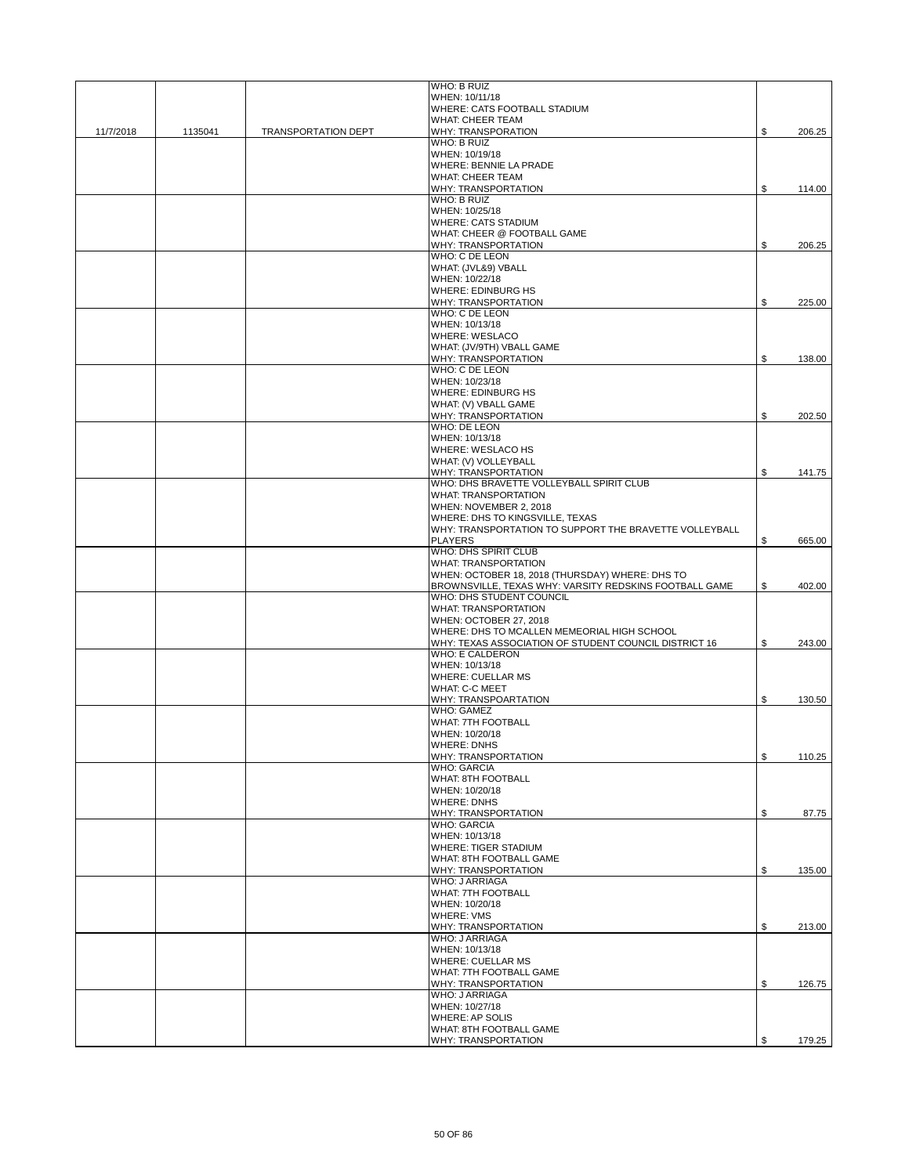|           |         |                            | WHO: B RUIZ                                                              |              |
|-----------|---------|----------------------------|--------------------------------------------------------------------------|--------------|
|           |         |                            | WHEN: 10/11/18                                                           |              |
|           |         |                            | <b>WHERE: CATS FOOTBALL STADIUM</b><br><b>WHAT: CHEER TEAM</b>           |              |
| 11/7/2018 | 1135041 | <b>TRANSPORTATION DEPT</b> | <b>WHY: TRANSPORATION</b>                                                | \$<br>206.25 |
|           |         |                            | WHO: B RUIZ                                                              |              |
|           |         |                            | WHEN: 10/19/18                                                           |              |
|           |         |                            | <b>WHERE: BENNIE LA PRADE</b>                                            |              |
|           |         |                            | <b>WHAT: CHEER TEAM</b><br><b>WHY: TRANSPORTATION</b>                    | \$<br>114.00 |
|           |         |                            | WHO: B RUIZ                                                              |              |
|           |         |                            | WHEN: 10/25/18                                                           |              |
|           |         |                            | <b>WHERE: CATS STADIUM</b>                                               |              |
|           |         |                            | WHAT: CHEER @ FOOTBALL GAME                                              |              |
|           |         |                            | <b>WHY: TRANSPORTATION</b><br>WHO: C DE LEON                             | \$<br>206.25 |
|           |         |                            | WHAT: (JVL&9) VBALL                                                      |              |
|           |         |                            | WHEN: 10/22/18                                                           |              |
|           |         |                            | <b>WHERE: EDINBURG HS</b>                                                |              |
|           |         |                            | <b>WHY: TRANSPORTATION</b>                                               | \$<br>225.00 |
|           |         |                            | WHO: C DE LEON<br>WHEN: 10/13/18                                         |              |
|           |         |                            | <b>WHERE: WESLACO</b>                                                    |              |
|           |         |                            | WHAT: (JV/9TH) VBALL GAME                                                |              |
|           |         |                            | <b>WHY: TRANSPORTATION</b>                                               | \$<br>138.00 |
|           |         |                            | WHO: C DE LEON                                                           |              |
|           |         |                            | WHEN: 10/23/18<br><b>WHERE: EDINBURG HS</b>                              |              |
|           |         |                            | WHAT: (V) VBALL GAME                                                     |              |
|           |         |                            | WHY: TRANSPORTATION                                                      | \$<br>202.50 |
|           |         |                            | <b>WHO: DE LEON</b>                                                      |              |
|           |         |                            | WHEN: 10/13/18                                                           |              |
|           |         |                            | <b>WHERE: WESLACO HS</b><br>WHAT: (V) VOLLEYBALL                         |              |
|           |         |                            | <b>WHY: TRANSPORTATION</b>                                               | \$<br>141.75 |
|           |         |                            | WHO: DHS BRAVETTE VOLLEYBALL SPIRIT CLUB                                 |              |
|           |         |                            | <b>WHAT: TRANSPORTATION</b>                                              |              |
|           |         |                            | WHEN: NOVEMBER 2, 2018                                                   |              |
|           |         |                            | WHERE: DHS TO KINGSVILLE, TEXAS                                          |              |
|           |         |                            | WHY: TRANSPORTATION TO SUPPORT THE BRAVETTE VOLLEYBALL<br><b>PLAYERS</b> | \$<br>665.00 |
|           |         |                            | WHO: DHS SPIRIT CLUB                                                     |              |
|           |         |                            | <b>WHAT: TRANSPORTATION</b>                                              |              |
|           |         |                            | WHEN: OCTOBER 18, 2018 (THURSDAY) WHERE: DHS TO                          |              |
|           |         |                            | BROWNSVILLE, TEXAS WHY: VARSITY REDSKINS FOOTBALL GAME                   | \$<br>402.00 |
|           |         |                            | WHO: DHS STUDENT COUNCIL<br><b>WHAT: TRANSPORTATION</b>                  |              |
|           |         |                            | WHEN: OCTOBER 27, 2018                                                   |              |
|           |         |                            | WHERE: DHS TO MCALLEN MEMEORIAL HIGH SCHOOL                              |              |
|           |         |                            | WHY: TEXAS ASSOCIATION OF STUDENT COUNCIL DISTRICT 16                    | \$<br>243.00 |
|           |         |                            | <b>WHO: E CALDERON</b>                                                   |              |
|           |         |                            | WHEN: 10/13/18                                                           |              |
|           |         |                            | <b>WHERE: CUELLAR MS</b><br><b>WHAT: C-C MEET</b>                        |              |
|           |         |                            | <b>WHY: TRANSPOARTATION</b>                                              | \$<br>130.50 |
|           |         |                            | <b>WHO: GAMEZ</b>                                                        |              |
|           |         |                            | <b>WHAT: 7TH FOOTBALL</b>                                                |              |
|           |         |                            | WHEN: 10/20/18                                                           |              |
|           |         |                            | WHERE: DNHS                                                              |              |
|           |         |                            | WHY: TRANSPORTATION<br><b>WHO: GARCIA</b>                                | \$<br>110.25 |
|           |         |                            | WHAT: 8TH FOOTBALL                                                       |              |
|           |         |                            | WHEN: 10/20/18                                                           |              |
|           |         |                            | <b>WHERE: DNHS</b>                                                       |              |
|           |         |                            | WHY: TRANSPORTATION<br><b>WHO: GARCIA</b>                                | \$<br>87.75  |
|           |         |                            | WHEN: 10/13/18                                                           |              |
|           |         |                            | <b>WHERE: TIGER STADIUM</b>                                              |              |
|           |         |                            | WHAT: 8TH FOOTBALL GAME                                                  |              |
|           |         |                            | WHY: TRANSPORTATION                                                      | \$<br>135.00 |
|           |         |                            | <b>WHO: JARRIAGA</b>                                                     |              |
|           |         |                            | WHAT: 7TH FOOTBALL<br>WHEN: 10/20/18                                     |              |
|           |         |                            | <b>WHERE: VMS</b>                                                        |              |
|           |         |                            | <b>WHY: TRANSPORTATION</b>                                               | \$<br>213.00 |
|           |         |                            | <b>WHO: JARRIAGA</b>                                                     |              |
|           |         |                            | WHEN: 10/13/18<br><b>WHERE: CUELLAR MS</b>                               |              |
|           |         |                            | WHAT: 7TH FOOTBALL GAME                                                  |              |
|           |         |                            | <b>WHY: TRANSPORTATION</b>                                               | \$<br>126.75 |
|           |         |                            | <b>WHO: JARRIAGA</b>                                                     |              |
|           |         |                            | WHEN: 10/27/18                                                           |              |
|           |         |                            | <b>WHERE: AP SOLIS</b><br>WHAT: 8TH FOOTBALL GAME                        |              |
|           |         |                            | WHY: TRANSPORTATION                                                      | \$<br>179.25 |
|           |         |                            |                                                                          |              |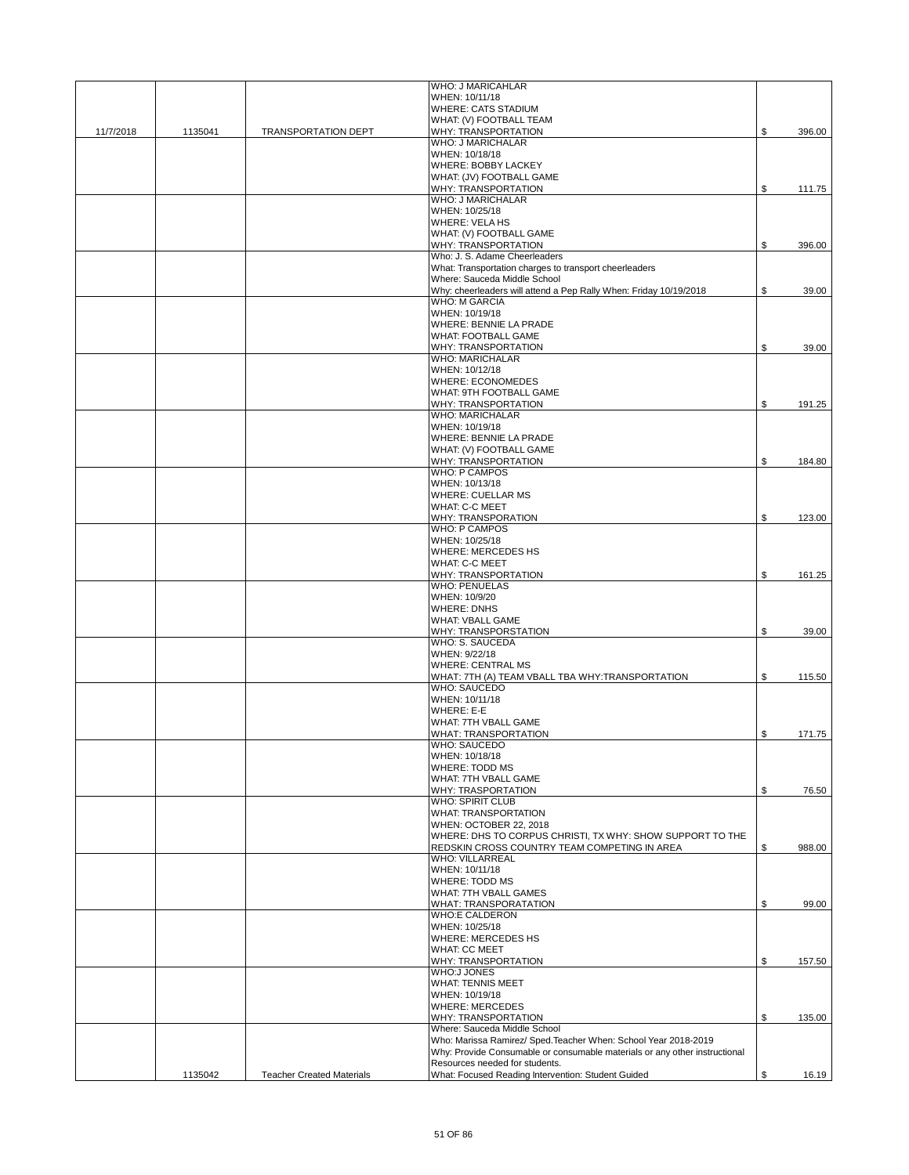|           |         |                                  | WHO: J MARICAHLAR                                                                                                                             |              |
|-----------|---------|----------------------------------|-----------------------------------------------------------------------------------------------------------------------------------------------|--------------|
|           |         |                                  | WHEN: 10/11/18                                                                                                                                |              |
|           |         |                                  | <b>WHERE: CATS STADIUM</b>                                                                                                                    |              |
|           |         |                                  | WHAT: (V) FOOTBALL TEAM                                                                                                                       |              |
| 11/7/2018 | 1135041 | <b>TRANSPORTATION DEPT</b>       | WHY: TRANSPORTATION<br><b>WHO: J MARICHALAR</b>                                                                                               | \$<br>396.00 |
|           |         |                                  | WHEN: 10/18/18                                                                                                                                |              |
|           |         |                                  | WHERE: BOBBY LACKEY                                                                                                                           |              |
|           |         |                                  | WHAT: (JV) FOOTBALL GAME                                                                                                                      |              |
|           |         |                                  | <b>WHY: TRANSPORTATION</b>                                                                                                                    | \$<br>111.75 |
|           |         |                                  | <b>WHO: J MARICHALAR</b>                                                                                                                      |              |
|           |         |                                  | WHEN: 10/25/18                                                                                                                                |              |
|           |         |                                  | <b>WHERE: VELA HS</b>                                                                                                                         |              |
|           |         |                                  | WHAT: (V) FOOTBALL GAME<br><b>WHY: TRANSPORTATION</b>                                                                                         | \$<br>396.00 |
|           |         |                                  | Who: J. S. Adame Cheerleaders                                                                                                                 |              |
|           |         |                                  | What: Transportation charges to transport cheerleaders                                                                                        |              |
|           |         |                                  | Where: Sauceda Middle School                                                                                                                  |              |
|           |         |                                  | Why: cheerleaders will attend a Pep Rally When: Friday 10/19/2018                                                                             | \$<br>39.00  |
|           |         |                                  | <b>WHO: M GARCIA</b>                                                                                                                          |              |
|           |         |                                  | WHEN: 10/19/18                                                                                                                                |              |
|           |         |                                  | <b>WHERE: BENNIE LA PRADE</b>                                                                                                                 |              |
|           |         |                                  | <b>WHAT: FOOTBALL GAME</b><br>WHY: TRANSPORTATION                                                                                             | \$<br>39.00  |
|           |         |                                  | <b>WHO: MARICHALAR</b>                                                                                                                        |              |
|           |         |                                  | WHEN: 10/12/18                                                                                                                                |              |
|           |         |                                  | <b>WHERE: ECONOMEDES</b>                                                                                                                      |              |
|           |         |                                  | WHAT: 9TH FOOTBALL GAME                                                                                                                       |              |
|           |         |                                  | <b>WHY: TRANSPORTATION</b>                                                                                                                    | \$<br>191.25 |
|           |         |                                  | <b>WHO: MARICHALAR</b>                                                                                                                        |              |
|           |         |                                  | WHEN: 10/19/18                                                                                                                                |              |
|           |         |                                  | <b>WHERE: BENNIE LA PRADE</b>                                                                                                                 |              |
|           |         |                                  | WHAT: (V) FOOTBALL GAME                                                                                                                       |              |
|           |         |                                  | WHY: TRANSPORTATION<br><b>WHO: P CAMPOS</b>                                                                                                   | \$<br>184.80 |
|           |         |                                  | WHEN: 10/13/18                                                                                                                                |              |
|           |         |                                  | <b>WHERE: CUELLAR MS</b>                                                                                                                      |              |
|           |         |                                  | <b>WHAT: C-C MEET</b>                                                                                                                         |              |
|           |         |                                  | <b>WHY: TRANSPORATION</b>                                                                                                                     | \$<br>123.00 |
|           |         |                                  | <b>WHO: P CAMPOS</b>                                                                                                                          |              |
|           |         |                                  | WHEN: 10/25/18                                                                                                                                |              |
|           |         |                                  | <b>WHERE: MERCEDES HS</b>                                                                                                                     |              |
|           |         |                                  | <b>WHAT: C-C MEET</b>                                                                                                                         |              |
|           |         |                                  | <b>WHY: TRANSPORTATION</b>                                                                                                                    | \$<br>161.25 |
|           |         |                                  | <b>WHO: PENUELAS</b>                                                                                                                          |              |
|           |         |                                  | WHEN: 10/9/20<br><b>WHERE: DNHS</b>                                                                                                           |              |
|           |         |                                  | <b>WHAT: VBALL GAME</b>                                                                                                                       |              |
|           |         |                                  | WHY: TRANSPORSTATION                                                                                                                          | \$<br>39.00  |
|           |         |                                  | WHO: S. SAUCEDA                                                                                                                               |              |
|           |         |                                  | WHEN: 9/22/18                                                                                                                                 |              |
|           |         |                                  | <b>WHERE: CENTRAL MS</b>                                                                                                                      |              |
|           |         |                                  | WHAT: 7TH (A) TEAM VBALL TBA WHY:TRANSPORTATION                                                                                               | \$<br>115.50 |
|           |         |                                  | <b>WHO: SAUCEDO</b>                                                                                                                           |              |
|           |         |                                  | WHEN: 10/11/18                                                                                                                                |              |
|           |         |                                  | WHERE: E-E                                                                                                                                    |              |
|           |         |                                  | WHAT: 7TH VBALL GAME<br><b>WHAT: TRANSPORTATION</b>                                                                                           | \$<br>171.75 |
|           |         |                                  | WHO: SAUCEDO                                                                                                                                  |              |
|           |         |                                  | WHEN: 10/18/18                                                                                                                                |              |
|           |         |                                  | <b>WHERE: TODD MS</b>                                                                                                                         |              |
|           |         |                                  | WHAT: 7TH VBALL GAME                                                                                                                          |              |
|           |         |                                  | WHY: TRASPORTATION                                                                                                                            | \$<br>76.50  |
|           |         |                                  | <b>WHO: SPIRIT CLUB</b>                                                                                                                       |              |
|           |         |                                  | <b>WHAT: TRANSPORTATION</b>                                                                                                                   |              |
|           |         |                                  | WHEN: OCTOBER 22, 2018<br>WHERE: DHS TO CORPUS CHRISTI, TX WHY: SHOW SUPPORT TO THE                                                           |              |
|           |         |                                  | REDSKIN CROSS COUNTRY TEAM COMPETING IN AREA                                                                                                  | \$<br>988.00 |
|           |         |                                  | <b>WHO: VILLARREAL</b>                                                                                                                        |              |
|           |         |                                  | WHEN: 10/11/18                                                                                                                                |              |
|           |         |                                  | <b>WHERE: TODD MS</b>                                                                                                                         |              |
|           |         |                                  | WHAT: 7TH VBALL GAMES                                                                                                                         |              |
|           |         |                                  | WHAT: TRANSPORATATION                                                                                                                         | \$<br>99.00  |
|           |         |                                  | <b>WHO:E CALDERON</b>                                                                                                                         |              |
|           |         |                                  | WHEN: 10/25/18<br><b>WHERE: MERCEDES HS</b>                                                                                                   |              |
|           |         |                                  | <b>WHAT: CC MEET</b>                                                                                                                          |              |
|           |         |                                  | WHY: TRANSPORTATION                                                                                                                           | \$<br>157.50 |
|           |         |                                  | <b>WHO:J JONES</b>                                                                                                                            |              |
|           |         |                                  | <b>WHAT: TENNIS MEET</b>                                                                                                                      |              |
|           |         |                                  | WHEN: 10/19/18                                                                                                                                |              |
|           |         |                                  | <b>WHERE: MERCEDES</b>                                                                                                                        |              |
|           |         |                                  | WHY: TRANSPORTATION                                                                                                                           | \$<br>135.00 |
|           |         |                                  | Where: Sauceda Middle School                                                                                                                  |              |
|           |         |                                  | Who: Marissa Ramirez/ Sped. Teacher When: School Year 2018-2019<br>Why: Provide Consumable or consumable materials or any other instructional |              |
|           |         |                                  | Resources needed for students.                                                                                                                |              |
|           | 1135042 | <b>Teacher Created Materials</b> | What: Focused Reading Intervention: Student Guided                                                                                            | \$<br>16.19  |
|           |         |                                  |                                                                                                                                               |              |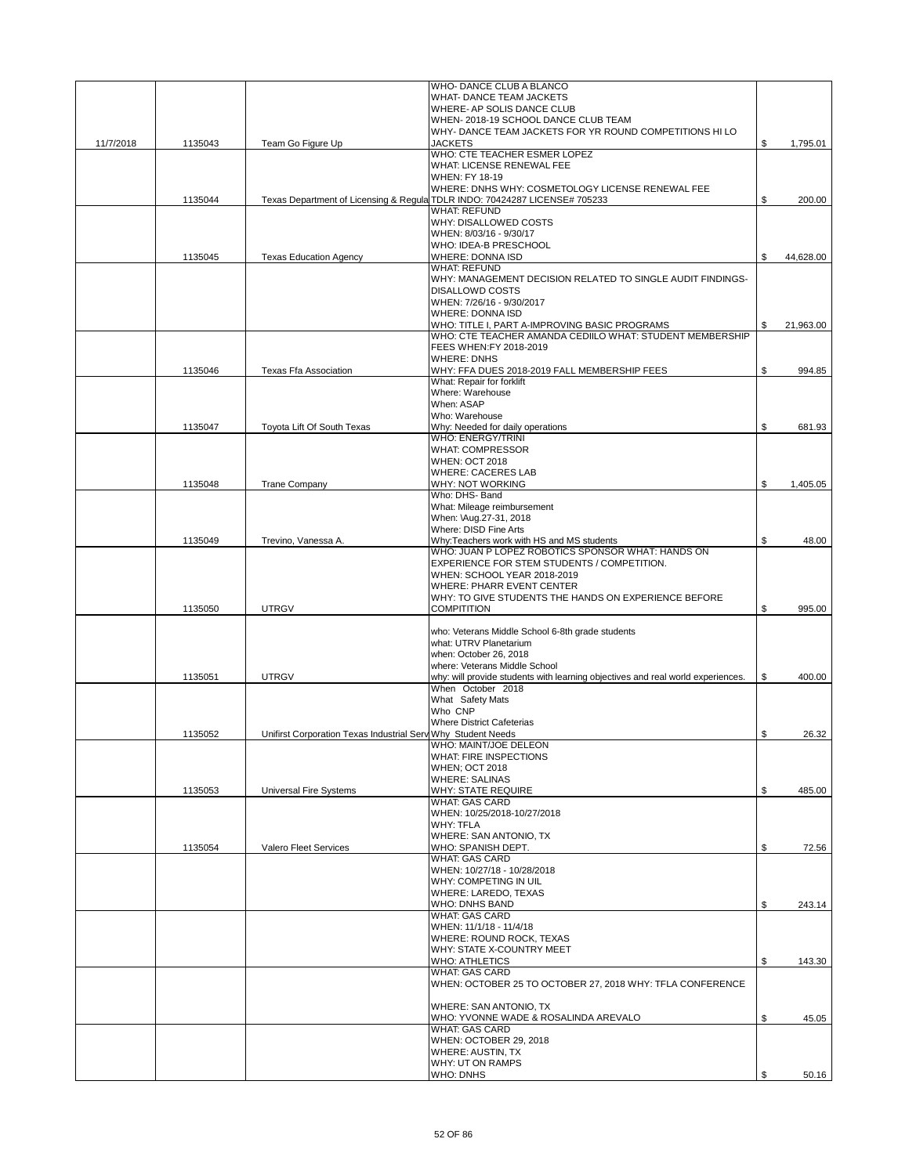|           |         |                                                              | WHO- DANCE CLUB A BLANCO                                                        |                 |
|-----------|---------|--------------------------------------------------------------|---------------------------------------------------------------------------------|-----------------|
|           |         |                                                              | WHAT- DANCE TEAM JACKETS                                                        |                 |
|           |         |                                                              | WHERE- AP SOLIS DANCE CLUB                                                      |                 |
|           |         |                                                              | WHEN-2018-19 SCHOOL DANCE CLUB TEAM                                             |                 |
|           |         |                                                              | WHY-DANCE TEAM JACKETS FOR YR ROUND COMPETITIONS HILO<br>JACKETS                |                 |
| 11/7/2018 | 1135043 | Team Go Figure Up                                            | WHO: CTE TEACHER ESMER LOPEZ                                                    | \$<br>1,795.01  |
|           |         |                                                              | WHAT: LICENSE RENEWAL FEE                                                       |                 |
|           |         |                                                              | <b>WHEN: FY 18-19</b>                                                           |                 |
|           |         |                                                              | WHERE: DNHS WHY: COSMETOLOGY LICENSE RENEWAL FEE                                |                 |
|           | 1135044 | Texas Department of Licensing & Regula                       | TDLR INDO: 70424287 LICENSE# 705233                                             | \$<br>200.00    |
|           |         |                                                              | <b>WHAT: REFUND</b>                                                             |                 |
|           |         |                                                              | WHY: DISALLOWED COSTS                                                           |                 |
|           |         |                                                              | WHEN: 8/03/16 - 9/30/17                                                         |                 |
|           |         |                                                              | WHO: IDEA-B PRESCHOOL                                                           |                 |
|           | 1135045 | <b>Texas Education Agency</b>                                | <b>WHERE: DONNA ISD</b>                                                         | \$<br>44,628.00 |
|           |         |                                                              | <b>WHAT: REFUND</b>                                                             |                 |
|           |         |                                                              | WHY: MANAGEMENT DECISION RELATED TO SINGLE AUDIT FINDINGS-                      |                 |
|           |         |                                                              | <b>DISALLOWD COSTS</b>                                                          |                 |
|           |         |                                                              | WHEN: 7/26/16 - 9/30/2017                                                       |                 |
|           |         |                                                              | <b>WHERE: DONNA ISD</b>                                                         |                 |
|           |         |                                                              | WHO: TITLE I, PART A-IMPROVING BASIC PROGRAMS                                   | \$<br>21,963.00 |
|           |         |                                                              | WHO: CTE TEACHER AMANDA CEDIILO WHAT: STUDENT MEMBERSHIP                        |                 |
|           |         |                                                              | FEES WHEN:FY 2018-2019                                                          |                 |
|           |         |                                                              | <b>WHERE: DNHS</b>                                                              |                 |
|           |         |                                                              |                                                                                 |                 |
|           | 1135046 | Texas Ffa Association                                        | WHY: FFA DUES 2018-2019 FALL MEMBERSHIP FEES                                    | \$<br>994.85    |
|           |         |                                                              | What: Repair for forklift                                                       |                 |
|           |         |                                                              | Where: Warehouse                                                                |                 |
|           |         |                                                              | When: ASAP                                                                      |                 |
|           |         |                                                              | Who: Warehouse                                                                  |                 |
|           | 1135047 | Tovota Lift Of South Texas                                   | Why: Needed for daily operations                                                | \$<br>681.93    |
|           |         |                                                              | <b>WHO: ENERGY/TRINI</b>                                                        |                 |
|           |         |                                                              | <b>WHAT: COMPRESSOR</b>                                                         |                 |
|           |         |                                                              | <b>WHEN: OCT 2018</b>                                                           |                 |
|           |         |                                                              | <b>WHERE: CACERES LAB</b>                                                       |                 |
|           | 1135048 | <b>Trane Company</b>                                         | <b>WHY: NOT WORKING</b>                                                         | \$<br>1,405.05  |
|           |         |                                                              | Who: DHS- Band                                                                  |                 |
|           |         |                                                              | What: Mileage reimbursement                                                     |                 |
|           |         |                                                              | When: \Aug.27-31, 2018                                                          |                 |
|           |         |                                                              | Where: DISD Fine Arts                                                           |                 |
|           | 1135049 | Trevino, Vanessa A.                                          | Why:Teachers work with HS and MS students                                       | \$<br>48.00     |
|           |         |                                                              | WHO: JUAN P LOPEZ ROBOTICS SPONSOR WHAT: HANDS ON                               |                 |
|           |         |                                                              | EXPERIENCE FOR STEM STUDENTS / COMPETITION.                                     |                 |
|           |         |                                                              | WHEN: SCHOOL YEAR 2018-2019                                                     |                 |
|           |         |                                                              | <b>WHERE: PHARR EVENT CENTER</b>                                                |                 |
|           |         |                                                              | WHY: TO GIVE STUDENTS THE HANDS ON EXPERIENCE BEFORE                            |                 |
|           | 1135050 | <b>UTRGV</b>                                                 | <b>COMPITITION</b>                                                              | \$<br>995.00    |
|           |         |                                                              |                                                                                 |                 |
|           |         |                                                              | who: Veterans Middle School 6-8th grade students                                |                 |
|           |         |                                                              | what: UTRV Planetarium                                                          |                 |
|           |         |                                                              | when: October 26, 2018                                                          |                 |
|           |         |                                                              | where: Veterans Middle School                                                   |                 |
|           | 1135051 | <b>UTRGV</b>                                                 | why: will provide students with learning objectives and real world experiences. | \$<br>400.00    |
|           |         |                                                              | When October 2018                                                               |                 |
|           |         |                                                              | What Safety Mats                                                                |                 |
|           |         |                                                              | Who CNP                                                                         |                 |
|           |         |                                                              | <b>Where District Cafeterias</b>                                                |                 |
|           | 1135052 | Unifirst Corporation Texas Industrial Serv Why Student Needs |                                                                                 | \$<br>26.32     |
|           |         |                                                              | WHO: MAINT/JOE DELEON                                                           |                 |
|           |         |                                                              | <b>WHAT: FIRE INSPECTIONS</b>                                                   |                 |
|           |         |                                                              | <b>WHEN: OCT 2018</b>                                                           |                 |
|           |         |                                                              | <b>WHERE: SALINAS</b>                                                           |                 |
|           | 1135053 | Universal Fire Systems                                       | <b>WHY: STATE REQUIRE</b>                                                       | \$<br>485.00    |
|           |         |                                                              | <b>WHAT: GAS CARD</b>                                                           |                 |
|           |         |                                                              | WHEN: 10/25/2018-10/27/2018                                                     |                 |
|           |         |                                                              | <b>WHY: TFLA</b>                                                                |                 |
|           |         |                                                              | WHERE: SAN ANTONIO, TX                                                          |                 |
|           | 1135054 | Valero Fleet Services                                        | WHO: SPANISH DEPT.                                                              | \$<br>72.56     |
|           |         |                                                              | <b>WHAT: GAS CARD</b>                                                           |                 |
|           |         |                                                              | WHEN: 10/27/18 - 10/28/2018                                                     |                 |
|           |         |                                                              | WHY: COMPETING IN UIL                                                           |                 |
|           |         |                                                              | WHERE: LAREDO, TEXAS                                                            |                 |
|           |         |                                                              | WHO: DNHS BAND                                                                  | \$<br>243.14    |
|           |         |                                                              | <b>WHAT: GAS CARD</b>                                                           |                 |
|           |         |                                                              | WHEN: 11/1/18 - 11/4/18                                                         |                 |
|           |         |                                                              | WHERE: ROUND ROCK, TEXAS                                                        |                 |
|           |         |                                                              | WHY: STATE X-COUNTRY MEET                                                       |                 |
|           |         |                                                              | <b>WHO: ATHLETICS</b>                                                           | \$<br>143.30    |
|           |         |                                                              | <b>WHAT: GAS CARD</b>                                                           |                 |
|           |         |                                                              | WHEN: OCTOBER 25 TO OCTOBER 27, 2018 WHY: TFLA CONFERENCE                       |                 |
|           |         |                                                              |                                                                                 |                 |
|           |         |                                                              | WHERE: SAN ANTONIO, TX                                                          |                 |
|           |         |                                                              | WHO: YVONNE WADE & ROSALINDA AREVALO                                            | \$<br>45.05     |
|           |         |                                                              | <b>WHAT: GAS CARD</b>                                                           |                 |
|           |         |                                                              | WHEN: OCTOBER 29, 2018                                                          |                 |
|           |         |                                                              | <b>WHERE: AUSTIN, TX</b>                                                        |                 |
|           |         |                                                              | WHY: UT ON RAMPS                                                                |                 |
|           |         |                                                              | WHO: DNHS                                                                       | \$<br>50.16     |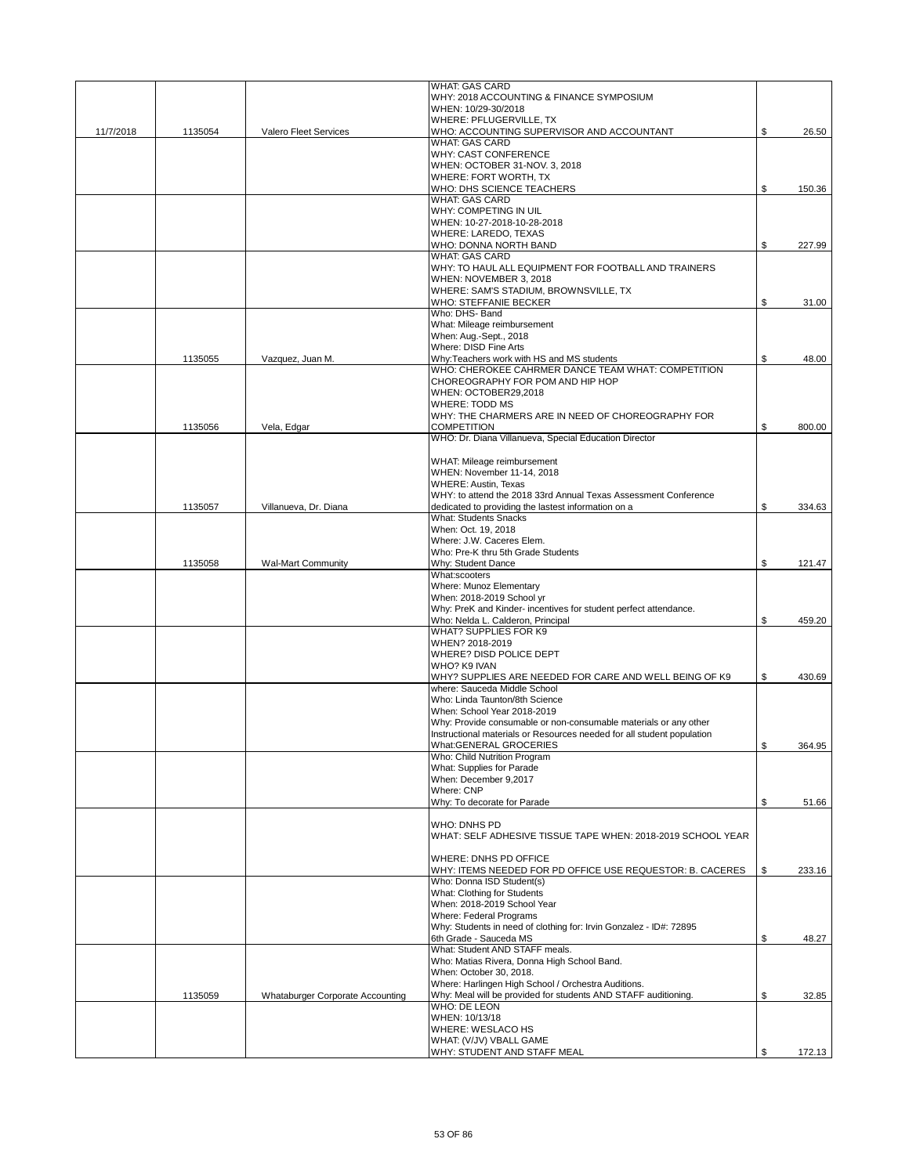|           |         |                                  | <b>WHAT: GAS CARD</b>                                                      |              |
|-----------|---------|----------------------------------|----------------------------------------------------------------------------|--------------|
|           |         |                                  | WHY: 2018 ACCOUNTING & FINANCE SYMPOSIUM                                   |              |
|           |         |                                  | WHEN: 10/29-30/2018                                                        |              |
|           |         |                                  | WHERE: PFLUGERVILLE, TX                                                    |              |
| 11/7/2018 | 1135054 | Valero Fleet Services            | WHO: ACCOUNTING SUPERVISOR AND ACCOUNTANT<br><b>WHAT: GAS CARD</b>         | \$<br>26.50  |
|           |         |                                  | <b>WHY: CAST CONFERENCE</b>                                                |              |
|           |         |                                  | WHEN: OCTOBER 31-NOV. 3, 2018                                              |              |
|           |         |                                  | WHERE: FORT WORTH, TX                                                      |              |
|           |         |                                  | WHO: DHS SCIENCE TEACHERS                                                  | \$<br>150.36 |
|           |         |                                  | <b>WHAT: GAS CARD</b>                                                      |              |
|           |         |                                  | WHY: COMPETING IN UIL                                                      |              |
|           |         |                                  | WHEN: 10-27-2018-10-28-2018                                                |              |
|           |         |                                  | <b>WHERE: LAREDO, TEXAS</b>                                                |              |
|           |         |                                  | WHO: DONNA NORTH BAND                                                      | \$<br>227.99 |
|           |         |                                  | <b>WHAT: GAS CARD</b>                                                      |              |
|           |         |                                  | WHY: TO HAUL ALL EQUIPMENT FOR FOOTBALL AND TRAINERS                       |              |
|           |         |                                  | WHEN: NOVEMBER 3, 2018                                                     |              |
|           |         |                                  | WHERE: SAM'S STADIUM, BROWNSVILLE, TX                                      |              |
|           |         |                                  | WHO: STEFFANIE BECKER                                                      | \$<br>31.00  |
|           |         |                                  | Who: DHS- Band                                                             |              |
|           |         |                                  | What: Mileage reimbursement                                                |              |
|           |         |                                  | When: Aug.-Sept., 2018                                                     |              |
|           |         |                                  | Where: DISD Fine Arts                                                      |              |
|           | 1135055 | Vazquez, Juan M.                 | Why:Teachers work with HS and MS students                                  | \$<br>48.00  |
|           |         |                                  | WHO: CHEROKEE CAHRMER DANCE TEAM WHAT: COMPETITION                         |              |
|           |         |                                  | CHOREOGRAPHY FOR POM AND HIP HOP                                           |              |
|           |         |                                  | WHEN: OCTOBER29.2018                                                       |              |
|           |         |                                  | <b>WHERE: TODD MS</b><br>WHY: THE CHARMERS ARE IN NEED OF CHOREOGRAPHY FOR |              |
|           |         | Vela, Edgar                      | <b>COMPETITION</b>                                                         | \$           |
|           | 1135056 |                                  | WHO: Dr. Diana Villanueva, Special Education Director                      | 800.00       |
|           |         |                                  |                                                                            |              |
|           |         |                                  | WHAT: Mileage reimbursement                                                |              |
|           |         |                                  | WHEN: November 11-14, 2018                                                 |              |
|           |         |                                  | <b>WHERE: Austin, Texas</b>                                                |              |
|           |         |                                  | WHY: to attend the 2018 33rd Annual Texas Assessment Conference            |              |
|           | 1135057 | Villanueva, Dr. Diana            | dedicated to providing the lastest information on a                        | \$<br>334.63 |
|           |         |                                  | <b>What: Students Snacks</b>                                               |              |
|           |         |                                  | When: Oct. 19, 2018                                                        |              |
|           |         |                                  | Where: J.W. Caceres Elem.                                                  |              |
|           |         |                                  | Who: Pre-K thru 5th Grade Students                                         |              |
|           | 1135058 | Wal-Mart Community               | Why: Student Dance                                                         | \$<br>121.47 |
|           |         |                                  | What:scooters                                                              |              |
|           |         |                                  | Where: Munoz Elementary                                                    |              |
|           |         |                                  | When: 2018-2019 School yr                                                  |              |
|           |         |                                  | Why: PreK and Kinder- incentives for student perfect attendance.           |              |
|           |         |                                  | Who: Nelda L. Calderon, Principal                                          | \$<br>459.20 |
|           |         |                                  | WHAT? SUPPLIES FOR K9                                                      |              |
|           |         |                                  | WHEN? 2018-2019                                                            |              |
|           |         |                                  | WHERE? DISD POLICE DEPT<br>WHO? K9 IVAN                                    |              |
|           |         |                                  | WHY? SUPPLIES ARE NEEDED FOR CARE AND WELL BEING OF K9                     |              |
|           |         |                                  | where: Sauceda Middle School                                               | \$<br>430.69 |
|           |         |                                  | Who: Linda Taunton/8th Science                                             |              |
|           |         |                                  | When: School Year 2018-2019                                                |              |
|           |         |                                  | Why: Provide consumable or non-consumable materials or any other           |              |
|           |         |                                  | Instructional materials or Resources needed for all student population     |              |
|           |         |                                  | What:GENERAL GROCERIES                                                     | \$<br>364.95 |
|           |         |                                  | Who: Child Nutrition Program                                               |              |
|           |         |                                  | What: Supplies for Parade                                                  |              |
|           |         |                                  | When: December 9,2017                                                      |              |
|           |         |                                  | Where: CNP                                                                 |              |
|           |         |                                  | Why: To decorate for Parade                                                | \$<br>51.66  |
|           |         |                                  |                                                                            |              |
|           |         |                                  | WHO: DNHS PD                                                               |              |
|           |         |                                  | WHAT: SELF ADHESIVE TISSUE TAPE WHEN: 2018-2019 SCHOOL YEAR                |              |
|           |         |                                  |                                                                            |              |
|           |         |                                  | WHERE: DNHS PD OFFICE                                                      |              |
|           |         |                                  | WHY: ITEMS NEEDED FOR PD OFFICE USE REQUESTOR: B. CACERES                  | \$<br>233.16 |
|           |         |                                  | Who: Donna ISD Student(s)                                                  |              |
|           |         |                                  | What: Clothing for Students<br>When: 2018-2019 School Year                 |              |
|           |         |                                  | Where: Federal Programs                                                    |              |
|           |         |                                  | Why: Students in need of clothing for: Irvin Gonzalez - ID#: 72895         |              |
|           |         |                                  | 6th Grade - Sauceda MS                                                     | \$<br>48.27  |
|           |         |                                  | What: Student AND STAFF meals.                                             |              |
|           |         |                                  | Who: Matias Rivera, Donna High School Band.                                |              |
|           |         |                                  | When: October 30, 2018.                                                    |              |
|           |         |                                  | Where: Harlingen High School / Orchestra Auditions.                        |              |
|           | 1135059 | Whataburger Corporate Accounting | Why: Meal will be provided for students AND STAFF auditioning.             | \$<br>32.85  |
|           |         |                                  | <b>WHO: DE LEON</b>                                                        |              |
|           |         |                                  | WHEN: 10/13/18                                                             |              |
|           |         |                                  | WHERE: WESLACO HS                                                          |              |
|           |         |                                  | WHAT: (V/JV) VBALL GAME                                                    |              |
|           |         |                                  | WHY: STUDENT AND STAFF MEAL                                                | \$<br>172.13 |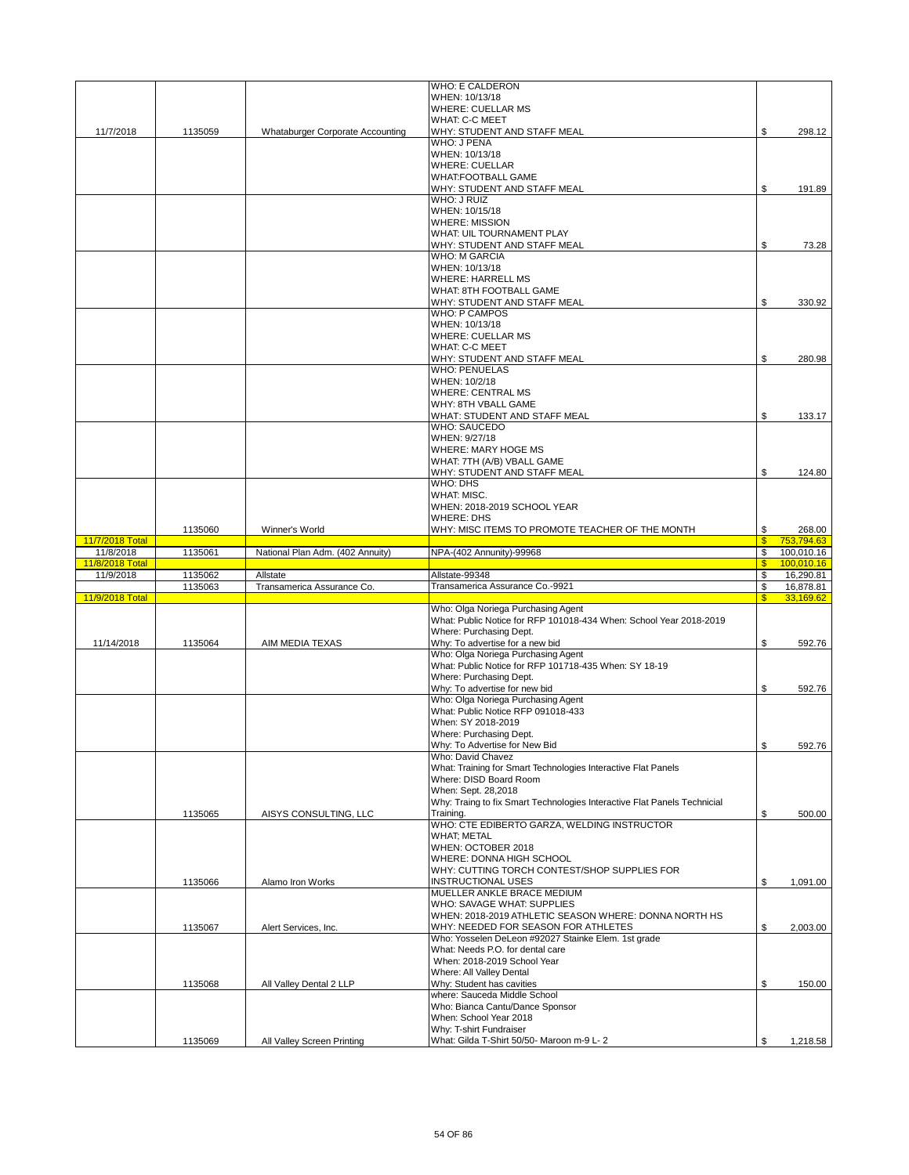|                 |         |                                  | <b>WHO: E CALDERON</b>                                                                       |                               |                        |
|-----------------|---------|----------------------------------|----------------------------------------------------------------------------------------------|-------------------------------|------------------------|
|                 |         |                                  | WHEN: 10/13/18<br><b>WHERE: CUELLAR MS</b>                                                   |                               |                        |
|                 |         |                                  | <b>WHAT: C-C MEET</b>                                                                        |                               |                        |
| 11/7/2018       | 1135059 | Whataburger Corporate Accounting | WHY: STUDENT AND STAFF MEAL                                                                  | \$                            | 298.12                 |
|                 |         |                                  | <b>WHO: J PENA</b>                                                                           |                               |                        |
|                 |         |                                  | WHEN: 10/13/18                                                                               |                               |                        |
|                 |         |                                  | <b>WHERE: CUELLAR</b><br><b>WHAT:FOOTBALL GAME</b>                                           |                               |                        |
|                 |         |                                  | WHY: STUDENT AND STAFF MEAL                                                                  | \$                            | 191.89                 |
|                 |         |                                  | WHO: J RUIZ                                                                                  |                               |                        |
|                 |         |                                  | WHEN: 10/15/18                                                                               |                               |                        |
|                 |         |                                  | <b>WHERE: MISSION</b>                                                                        |                               |                        |
|                 |         |                                  | WHAT: UIL TOURNAMENT PLAY                                                                    |                               |                        |
|                 |         |                                  | WHY: STUDENT AND STAFF MEAL<br><b>WHO: M GARCIA</b>                                          | \$                            | 73.28                  |
|                 |         |                                  | WHEN: 10/13/18                                                                               |                               |                        |
|                 |         | <b>WHERE: HARRELL MS</b>         |                                                                                              |                               |                        |
|                 |         | <b>WHAT: 8TH FOOTBALL GAME</b>   |                                                                                              |                               |                        |
|                 |         |                                  | WHY: STUDENT AND STAFF MEAL                                                                  | \$                            | 330.92                 |
|                 |         |                                  | <b>WHO: P CAMPOS</b>                                                                         |                               |                        |
|                 |         |                                  | WHEN: 10/13/18                                                                               |                               |                        |
|                 |         |                                  | <b>WHERE: CUELLAR MS</b>                                                                     |                               |                        |
|                 |         |                                  | <b>WHAT: C-C MEET</b><br>WHY: STUDENT AND STAFF MEAL                                         | \$                            |                        |
|                 |         |                                  | <b>WHO: PENUELAS</b>                                                                         |                               | 280.98                 |
|                 |         |                                  | WHEN: 10/2/18                                                                                |                               |                        |
|                 |         |                                  | <b>WHERE: CENTRAL MS</b>                                                                     |                               |                        |
|                 |         |                                  | WHY: 8TH VBALL GAME                                                                          |                               |                        |
|                 |         |                                  | WHAT: STUDENT AND STAFF MEAL                                                                 | \$                            | 133.17                 |
|                 |         |                                  | <b>WHO: SAUCEDO</b>                                                                          |                               |                        |
|                 |         |                                  | WHEN: 9/27/18<br><b>WHERE: MARY HOGE MS</b>                                                  |                               |                        |
|                 |         |                                  | WHAT: 7TH (A/B) VBALL GAME                                                                   |                               |                        |
|                 |         |                                  | WHY: STUDENT AND STAFF MEAL                                                                  | \$                            | 124.80                 |
|                 |         |                                  | WHO: DHS                                                                                     |                               |                        |
|                 |         | WHAT: MISC.                      |                                                                                              |                               |                        |
|                 |         |                                  | WHEN: 2018-2019 SCHOOL YEAR                                                                  |                               |                        |
|                 |         |                                  | <b>WHERE: DHS</b>                                                                            |                               |                        |
| 11/7/2018 Total | 1135060 | Winner's World                   | WHY: MISC ITEMS TO PROMOTE TEACHER OF THE MONTH                                              | \$<br>$\mathbf{\$}$           | 268.00<br>753,794.63   |
| 11/8/2018       | 1135061 | National Plan Adm. (402 Annuity) | NPA-(402 Annunity)-99968                                                                     | \$                            | 100,010.16             |
|                 |         |                                  |                                                                                              |                               |                        |
| 11/8/2018 Total |         |                                  |                                                                                              | $\mathbf{\$}$                 | 100,010.16             |
| 11/9/2018       | 1135062 | Allstate                         | Allstate-99348                                                                               | \$                            | 16,290.81              |
| 11/9/2018 Total | 1135063 | Transamerica Assurance Co.       | Transamerica Assurance Co.-9921                                                              | \$<br>$\overline{\mathbf{s}}$ | 16,878.81<br>33,169.62 |
|                 |         |                                  | Who: Olga Noriega Purchasing Agent                                                           |                               |                        |
|                 |         |                                  | What: Public Notice for RFP 101018-434 When: School Year 2018-2019                           |                               |                        |
|                 |         |                                  | Where: Purchasing Dept.                                                                      |                               |                        |
| 11/14/2018      | 1135064 | AIM MEDIA TEXAS                  | Why: To advertise for a new bid                                                              | \$                            | 592.76                 |
|                 |         |                                  | Who: Olga Noriega Purchasing Agent                                                           |                               |                        |
|                 |         |                                  | What: Public Notice for RFP 101718-435 When: SY 18-19<br>Where: Purchasing Dept.             |                               |                        |
|                 |         |                                  | Why: To advertise for new bid                                                                | \$                            | 592.76                 |
|                 |         |                                  | Who: Olga Noriega Purchasing Agent                                                           |                               |                        |
|                 |         |                                  | What: Public Notice RFP 091018-433                                                           |                               |                        |
|                 |         |                                  | When: SY 2018-2019                                                                           |                               |                        |
|                 |         |                                  | Where: Purchasing Dept.                                                                      |                               |                        |
|                 |         |                                  | Why: To Advertise for New Bid                                                                | \$                            | 592.76                 |
|                 |         |                                  | Who: David Chavez<br>What: Training for Smart Technologies Interactive Flat Panels           |                               |                        |
|                 |         |                                  | Where: DISD Board Room                                                                       |                               |                        |
|                 |         |                                  | When: Sept. 28,2018                                                                          |                               |                        |
|                 |         |                                  | Why: Traing to fix Smart Technologies Interactive Flat Panels Technicial                     |                               |                        |
|                 | 1135065 | AISYS CONSULTING, LLC            | Training.                                                                                    | \$                            | 500.00                 |
|                 |         |                                  | WHO: CTE EDIBERTO GARZA, WELDING INSTRUCTOR                                                  |                               |                        |
|                 |         |                                  | <b>WHAT; METAL</b><br>WHEN: OCTOBER 2018                                                     |                               |                        |
|                 |         |                                  | WHERE: DONNA HIGH SCHOOL                                                                     |                               |                        |
|                 |         |                                  | WHY: CUTTING TORCH CONTEST/SHOP SUPPLIES FOR                                                 |                               |                        |
|                 | 1135066 | Alamo Iron Works                 | <b>INSTRUCTIONAL USES</b>                                                                    | \$                            | 1,091.00               |
|                 |         |                                  | MUELLER ANKLE BRACE MEDIUM                                                                   |                               |                        |
|                 |         |                                  | WHO: SAVAGE WHAT: SUPPLIES                                                                   |                               |                        |
|                 | 1135067 | Alert Services, Inc.             | WHEN: 2018-2019 ATHLETIC SEASON WHERE: DONNA NORTH HS<br>WHY: NEEDED FOR SEASON FOR ATHLETES | \$                            | 2,003.00               |
|                 |         |                                  | Who: Yosselen DeLeon #92027 Stainke Elem. 1st grade                                          |                               |                        |
|                 |         |                                  | What: Needs P.O. for dental care                                                             |                               |                        |
|                 |         |                                  | When: 2018-2019 School Year                                                                  |                               |                        |
|                 |         |                                  | Where: All Valley Dental                                                                     |                               |                        |
|                 | 1135068 | All Valley Dental 2 LLP          | Why: Student has cavities                                                                    | \$                            | 150.00                 |
|                 |         |                                  | where: Sauceda Middle School<br>Who: Bianca Cantu/Dance Sponsor                              |                               |                        |
|                 |         |                                  | When: School Year 2018                                                                       |                               |                        |
|                 | 1135069 | All Valley Screen Printing       | Why: T-shirt Fundraiser<br>What: Gilda T-Shirt 50/50- Maroon m-9 L- 2                        | \$                            | 1,218.58               |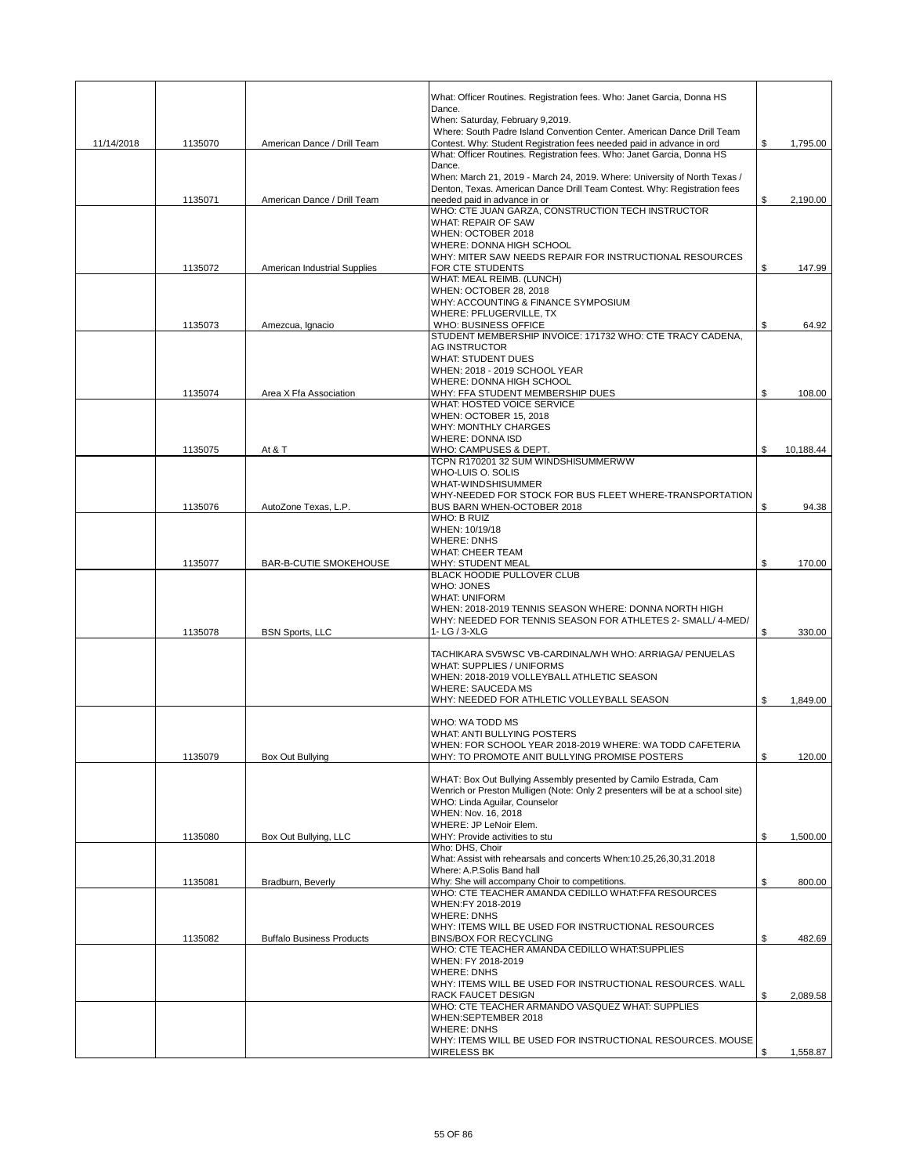|            |         |                                  | What: Officer Routines. Registration fees. Who: Janet Garcia, Donna HS<br>Dance.<br>When: Saturday, February 9,2019.                            |                 |
|------------|---------|----------------------------------|-------------------------------------------------------------------------------------------------------------------------------------------------|-----------------|
|            |         |                                  | Where: South Padre Island Convention Center. American Dance Drill Team                                                                          |                 |
| 11/14/2018 | 1135070 | American Dance / Drill Team      | Contest. Why: Student Registration fees needed paid in advance in ord<br>What: Officer Routines. Registration fees. Who: Janet Garcia, Donna HS | \$<br>1,795.00  |
|            |         |                                  | Dance.                                                                                                                                          |                 |
|            |         |                                  | When: March 21, 2019 - March 24, 2019. Where: University of North Texas /                                                                       |                 |
|            |         |                                  | Denton, Texas. American Dance Drill Team Contest. Why: Registration fees                                                                        |                 |
|            | 1135071 | American Dance / Drill Team      | needed paid in advance in or<br>WHO: CTE JUAN GARZA, CONSTRUCTION TECH INSTRUCTOR                                                               | \$<br>2,190.00  |
|            |         |                                  | WHAT: REPAIR OF SAW                                                                                                                             |                 |
|            |         |                                  | WHEN: OCTOBER 2018                                                                                                                              |                 |
|            |         |                                  | WHERE: DONNA HIGH SCHOOL                                                                                                                        |                 |
|            | 1135072 | American Industrial Supplies     | WHY: MITER SAW NEEDS REPAIR FOR INSTRUCTIONAL RESOURCES<br>FOR CTE STUDENTS                                                                     | \$<br>147.99    |
|            |         |                                  | WHAT: MEAL REIMB. (LUNCH)                                                                                                                       |                 |
|            |         |                                  | WHEN: OCTOBER 28, 2018                                                                                                                          |                 |
|            |         |                                  | WHY: ACCOUNTING & FINANCE SYMPOSIUM                                                                                                             |                 |
|            | 1135073 | Amezcua, Ignacio                 | WHERE: PFLUGERVILLE, TX<br>WHO: BUSINESS OFFICE                                                                                                 | \$<br>64.92     |
|            |         |                                  | STUDENT MEMBERSHIP INVOICE: 171732 WHO: CTE TRACY CADENA,                                                                                       |                 |
|            |         |                                  | <b>AG INSTRUCTOR</b>                                                                                                                            |                 |
|            |         |                                  | <b>WHAT: STUDENT DUES</b>                                                                                                                       |                 |
|            |         |                                  | WHEN: 2018 - 2019 SCHOOL YEAR<br>WHERE: DONNA HIGH SCHOOL                                                                                       |                 |
|            | 1135074 | Area X Ffa Association           | WHY: FFA STUDENT MEMBERSHIP DUES                                                                                                                | \$<br>108.00    |
|            |         |                                  | WHAT: HOSTED VOICE SERVICE                                                                                                                      |                 |
|            |         |                                  | WHEN: OCTOBER 15, 2018                                                                                                                          |                 |
|            |         |                                  | <b>WHY: MONTHLY CHARGES</b>                                                                                                                     |                 |
|            | 1135075 | At & T                           | <b>WHERE: DONNA ISD</b><br>WHO: CAMPUSES & DEPT.                                                                                                | \$<br>10,188.44 |
|            |         |                                  | TCPN R170201 32 SUM WINDSHISUMMERWW                                                                                                             |                 |
|            |         |                                  | WHO-LUIS O. SOLIS                                                                                                                               |                 |
|            |         |                                  | <b>WHAT-WINDSHISUMMER</b>                                                                                                                       |                 |
|            |         |                                  | WHY-NEEDED FOR STOCK FOR BUS FLEET WHERE-TRANSPORTATION                                                                                         |                 |
|            | 1135076 | AutoZone Texas, L.P.             | BUS BARN WHEN-OCTOBER 2018<br>WHO: B RUIZ                                                                                                       | \$<br>94.38     |
|            |         |                                  | WHEN: 10/19/18                                                                                                                                  |                 |
|            |         |                                  | <b>WHERE: DNHS</b>                                                                                                                              |                 |
|            |         |                                  | <b>WHAT: CHEER TEAM</b>                                                                                                                         |                 |
|            | 1135077 | BAR-B-CUTIE SMOKEHOUSE           | WHY: STUDENT MEAL<br><b>BLACK HOODIE PULLOVER CLUB</b>                                                                                          | \$<br>170.00    |
|            |         |                                  | <b>WHO: JONES</b>                                                                                                                               |                 |
|            |         |                                  | <b>WHAT: UNIFORM</b>                                                                                                                            |                 |
|            |         |                                  | WHEN: 2018-2019 TENNIS SEASON WHERE: DONNA NORTH HIGH                                                                                           |                 |
|            |         |                                  | WHY: NEEDED FOR TENNIS SEASON FOR ATHLETES 2- SMALL/ 4-MED/                                                                                     |                 |
|            | 1135078 | <b>BSN Sports, LLC</b>           | 1-LG / 3-XLG                                                                                                                                    | \$<br>330.00    |
|            |         |                                  | TACHIKARA SV5WSC VB-CARDINAL/WH WHO: ARRIAGA/ PENUELAS                                                                                          |                 |
|            |         |                                  | WHAT: SUPPLIES / UNIFORMS                                                                                                                       |                 |
|            |         |                                  | WHEN: 2018-2019 VOLLEYBALL ATHLETIC SEASON                                                                                                      |                 |
|            |         |                                  | <b>WHERE: SAUCEDA MS</b><br>WHY: NEEDED FOR ATHLETIC VOLLEYBALL SEASON                                                                          | \$<br>1,849.00  |
|            |         |                                  |                                                                                                                                                 |                 |
|            |         |                                  | WHO: WA TODD MS                                                                                                                                 |                 |
|            |         |                                  | WHAT: ANTI BULLYING POSTERS                                                                                                                     |                 |
|            |         |                                  | WHEN: FOR SCHOOL YEAR 2018-2019 WHERE: WA TODD CAFETERIA                                                                                        |                 |
|            | 1135079 | Box Out Bullying                 | WHY: TO PROMOTE ANIT BULLYING PROMISE POSTERS                                                                                                   | \$<br>120.00    |
|            |         |                                  | WHAT: Box Out Bullying Assembly presented by Camilo Estrada, Cam                                                                                |                 |
|            |         |                                  | Wenrich or Preston Mulligen (Note: Only 2 presenters will be at a school site)                                                                  |                 |
|            |         |                                  | WHO: Linda Aquilar, Counselor                                                                                                                   |                 |
|            |         |                                  | WHEN: Nov. 16, 2018<br>WHERE: JP LeNoir Elem.                                                                                                   |                 |
|            | 1135080 | Box Out Bullying, LLC            | WHY: Provide activities to stu                                                                                                                  | \$<br>1,500.00  |
|            |         |                                  | Who: DHS, Choir                                                                                                                                 |                 |
|            |         |                                  | What: Assist with rehearsals and concerts When:10.25,26,30,31.2018                                                                              |                 |
|            | 1135081 | Bradburn, Beverly                | Where: A.P.Solis Band hall<br>Why: She will accompany Choir to competitions.                                                                    | \$<br>800.00    |
|            |         |                                  | WHO: CTE TEACHER AMANDA CEDILLO WHAT:FFA RESOURCES                                                                                              |                 |
|            |         |                                  | WHEN:FY 2018-2019                                                                                                                               |                 |
|            |         |                                  | <b>WHERE: DNHS</b>                                                                                                                              |                 |
|            |         |                                  | WHY: ITEMS WILL BE USED FOR INSTRUCTIONAL RESOURCES                                                                                             |                 |
|            | 1135082 | <b>Buffalo Business Products</b> | <b>BINS/BOX FOR RECYCLING</b><br>WHO: CTE TEACHER AMANDA CEDILLO WHAT:SUPPLIES                                                                  | \$<br>482.69    |
|            |         |                                  | WHEN: FY 2018-2019                                                                                                                              |                 |
|            |         |                                  | <b>WHERE: DNHS</b>                                                                                                                              |                 |
|            |         |                                  | WHY: ITEMS WILL BE USED FOR INSTRUCTIONAL RESOURCES. WALL                                                                                       |                 |
|            |         |                                  | RACK FAUCET DESIGN                                                                                                                              | \$<br>2,089.58  |
|            |         |                                  | WHO: CTE TEACHER ARMANDO VASQUEZ WHAT: SUPPLIES<br>WHEN:SEPTEMBER 2018                                                                          |                 |
|            |         |                                  | <b>WHERE: DNHS</b>                                                                                                                              |                 |
|            |         |                                  |                                                                                                                                                 |                 |
|            |         |                                  | WHY: ITEMS WILL BE USED FOR INSTRUCTIONAL RESOURCES. MOUSE                                                                                      |                 |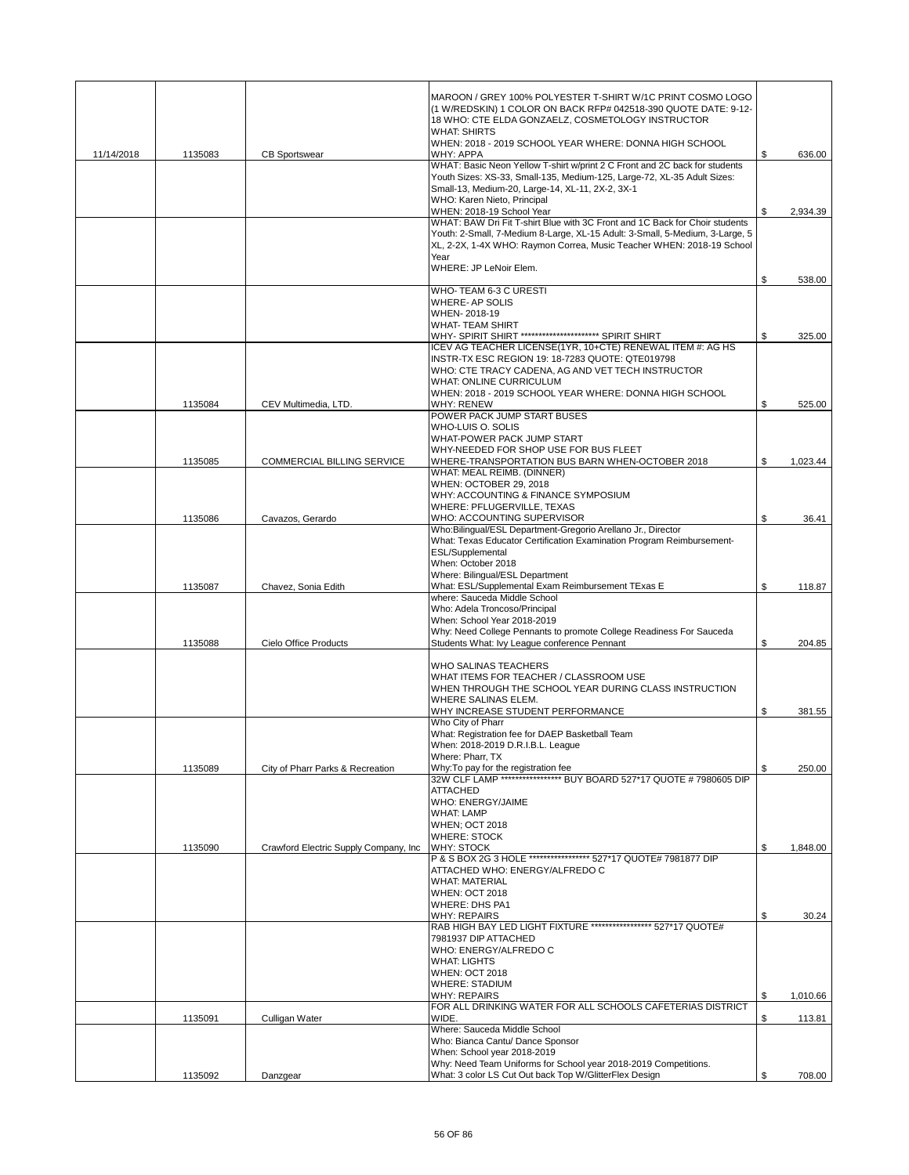|            |         |                                        | MAROON / GREY 100% POLYESTER T-SHIRT W/1C PRINT COSMO LOGO<br>(1 W/REDSKIN) 1 COLOR ON BACK RFP# 042518-390 QUOTE DATE: 9-12-<br>18 WHO: CTE ELDA GONZAELZ, COSMETOLOGY INSTRUCTOR<br><b>WHAT: SHIRTS</b>                                |                |
|------------|---------|----------------------------------------|------------------------------------------------------------------------------------------------------------------------------------------------------------------------------------------------------------------------------------------|----------------|
| 11/14/2018 | 1135083 | <b>CB Sportswear</b>                   | WHEN: 2018 - 2019 SCHOOL YEAR WHERE: DONNA HIGH SCHOOL<br>WHY: APPA                                                                                                                                                                      | \$<br>636.00   |
|            |         |                                        | WHAT: Basic Neon Yellow T-shirt w/print 2 C Front and 2C back for students<br>Youth Sizes: XS-33, Small-135, Medium-125, Large-72, XL-35 Adult Sizes:<br>Small-13, Medium-20, Large-14, XL-11, 2X-2, 3X-1<br>WHO: Karen Nieto, Principal |                |
|            |         |                                        | WHEN: 2018-19 School Year<br>WHAT: BAW Dri Fit T-shirt Blue with 3C Front and 1C Back for Choir students                                                                                                                                 | \$<br>2,934.39 |
|            |         |                                        | Youth: 2-Small, 7-Medium 8-Large, XL-15 Adult: 3-Small, 5-Medium, 3-Large, 5<br>XL, 2-2X, 1-4X WHO: Raymon Correa, Music Teacher WHEN: 2018-19 School<br>Year                                                                            |                |
|            |         |                                        | WHERE: JP LeNoir Elem.                                                                                                                                                                                                                   | \$<br>538.00   |
|            |         |                                        | WHO-TEAM 6-3 C URESTI<br><b>WHERE-AP SOLIS</b>                                                                                                                                                                                           |                |
|            |         |                                        | WHEN-2018-19                                                                                                                                                                                                                             |                |
|            |         |                                        | <b>WHAT-TEAM SHIRT</b><br>WHY- SPIRIT SHIRT ********************** SPIRIT SHIRT                                                                                                                                                          | \$<br>325.00   |
|            |         |                                        | ICEV AG TEACHER LICENSE(1YR, 10+CTE) RENEWAL ITEM #: AG HS<br>INSTR-TX ESC REGION 19: 18-7283 QUOTE: QTE019798<br>WHO: CTE TRACY CADENA, AG AND VET TECH INSTRUCTOR                                                                      |                |
|            |         |                                        | <b>WHAT: ONLINE CURRICULUM</b><br>WHEN: 2018 - 2019 SCHOOL YEAR WHERE: DONNA HIGH SCHOOL                                                                                                                                                 |                |
|            | 1135084 | CEV Multimedia, LTD.                   | <b>WHY: RENEW</b><br>POWER PACK JUMP START BUSES                                                                                                                                                                                         | \$<br>525.00   |
|            |         |                                        | WHO-LUIS O. SOLIS                                                                                                                                                                                                                        |                |
|            |         |                                        | WHAT-POWER PACK JUMP START<br>WHY-NEEDED FOR SHOP USE FOR BUS FLEET                                                                                                                                                                      |                |
|            | 1135085 | COMMERCIAL BILLING SERVICE             | WHERE-TRANSPORTATION BUS BARN WHEN-OCTOBER 2018                                                                                                                                                                                          | \$<br>1,023.44 |
|            |         |                                        | WHAT: MEAL REIMB. (DINNER)<br>WHEN: OCTOBER 29, 2018                                                                                                                                                                                     |                |
|            |         |                                        | WHY: ACCOUNTING & FINANCE SYMPOSIUM<br>WHERE: PFLUGERVILLE, TEXAS                                                                                                                                                                        |                |
|            | 1135086 | Cavazos, Gerardo                       | WHO: ACCOUNTING SUPERVISOR                                                                                                                                                                                                               | \$<br>36.41    |
|            |         |                                        | Who:Bilingual/ESL Department-Gregorio Arellano Jr., Director<br>What: Texas Educator Certification Examination Program Reimbursement-                                                                                                    |                |
|            |         |                                        | ESL/Supplemental<br>When: October 2018                                                                                                                                                                                                   |                |
|            |         |                                        | Where: Bilingual/ESL Department                                                                                                                                                                                                          |                |
|            | 1135087 | Chavez, Sonia Edith                    | What: ESL/Supplemental Exam Reimbursement TExas E<br>where: Sauceda Middle School                                                                                                                                                        | \$<br>118.87   |
|            |         |                                        | Who: Adela Troncoso/Principal<br>When: School Year 2018-2019                                                                                                                                                                             |                |
|            |         |                                        | Why: Need College Pennants to promote College Readiness For Sauceda                                                                                                                                                                      |                |
|            | 1135088 | Cielo Office Products                  | Students What: Ivy League conference Pennant                                                                                                                                                                                             | \$<br>204.85   |
|            |         |                                        | <b>WHO SALINAS TEACHERS</b><br>WHAT ITEMS FOR TEACHER / CLASSROOM USE<br>WHEN THROUGH THE SCHOOL YEAR DURING CLASS INSTRUCTION                                                                                                           |                |
|            |         |                                        | WHERE SALINAS ELEM.                                                                                                                                                                                                                      |                |
|            |         |                                        | WHY INCREASE STUDENT PERFORMANCE<br>Who City of Pharr                                                                                                                                                                                    | \$<br>381.55   |
|            |         |                                        | What: Registration fee for DAEP Basketball Team<br>When: 2018-2019 D.R.I.B.L. League                                                                                                                                                     |                |
|            | 1135089 | City of Pharr Parks & Recreation       | Where: Pharr, TX<br>Why: To pay for the registration fee                                                                                                                                                                                 | \$<br>250.00   |
|            |         |                                        | 32W CLF LAMP ****************** BUY BOARD 527*17 QUOTE # 7980605 DIP<br><b>ATTACHED</b>                                                                                                                                                  |                |
|            |         |                                        | <b>WHO: ENERGY/JAIME</b>                                                                                                                                                                                                                 |                |
|            |         |                                        | <b>WHAT: LAMP</b><br><b>WHEN; OCT 2018</b>                                                                                                                                                                                               |                |
|            | 1135090 | Crawford Electric Supply Company, Inc. | <b>WHERE: STOCK</b><br><b>WHY: STOCK</b>                                                                                                                                                                                                 | \$<br>1,848.00 |
|            |         |                                        | P & S BOX 2G 3 HOLE ***************** 527*17 QUOTE# 7981877 DIP                                                                                                                                                                          |                |
|            |         |                                        | ATTACHED WHO: ENERGY/ALFREDO C<br><b>WHAT: MATERIAL</b>                                                                                                                                                                                  |                |
|            |         |                                        | <b>WHEN: OCT 2018</b><br><b>WHERE: DHS PA1</b>                                                                                                                                                                                           |                |
|            |         |                                        | WHY: REPAIRS                                                                                                                                                                                                                             | \$<br>30.24    |
|            |         |                                        | RAB HIGH BAY LED LIGHT FIXTURE ****************** 527*17 QUOTE#<br>7981937 DIP ATTACHED                                                                                                                                                  |                |
|            |         |                                        | WHO: ENERGY/ALFREDO C<br><b>WHAT: LIGHTS</b>                                                                                                                                                                                             |                |
|            |         |                                        | <b>WHEN: OCT 2018</b>                                                                                                                                                                                                                    |                |
|            |         |                                        | <b>WHERE: STADIUM</b><br><b>WHY: REPAIRS</b>                                                                                                                                                                                             | \$<br>1,010.66 |
|            | 1135091 | Culligan Water                         | FOR ALL DRINKING WATER FOR ALL SCHOOLS CAFETERIAS DISTRICT<br>WIDE.                                                                                                                                                                      | \$             |
|            |         |                                        | Where: Sauceda Middle School                                                                                                                                                                                                             | 113.81         |
|            |         |                                        | Who: Bianca Cantu/ Dance Sponsor<br>When: School year 2018-2019                                                                                                                                                                          |                |
|            |         |                                        | Why: Need Team Uniforms for School year 2018-2019 Competitions.                                                                                                                                                                          |                |
|            | 1135092 | Danzgear                               | What: 3 color LS Cut Out back Top W/GlitterFlex Design                                                                                                                                                                                   | 708.00         |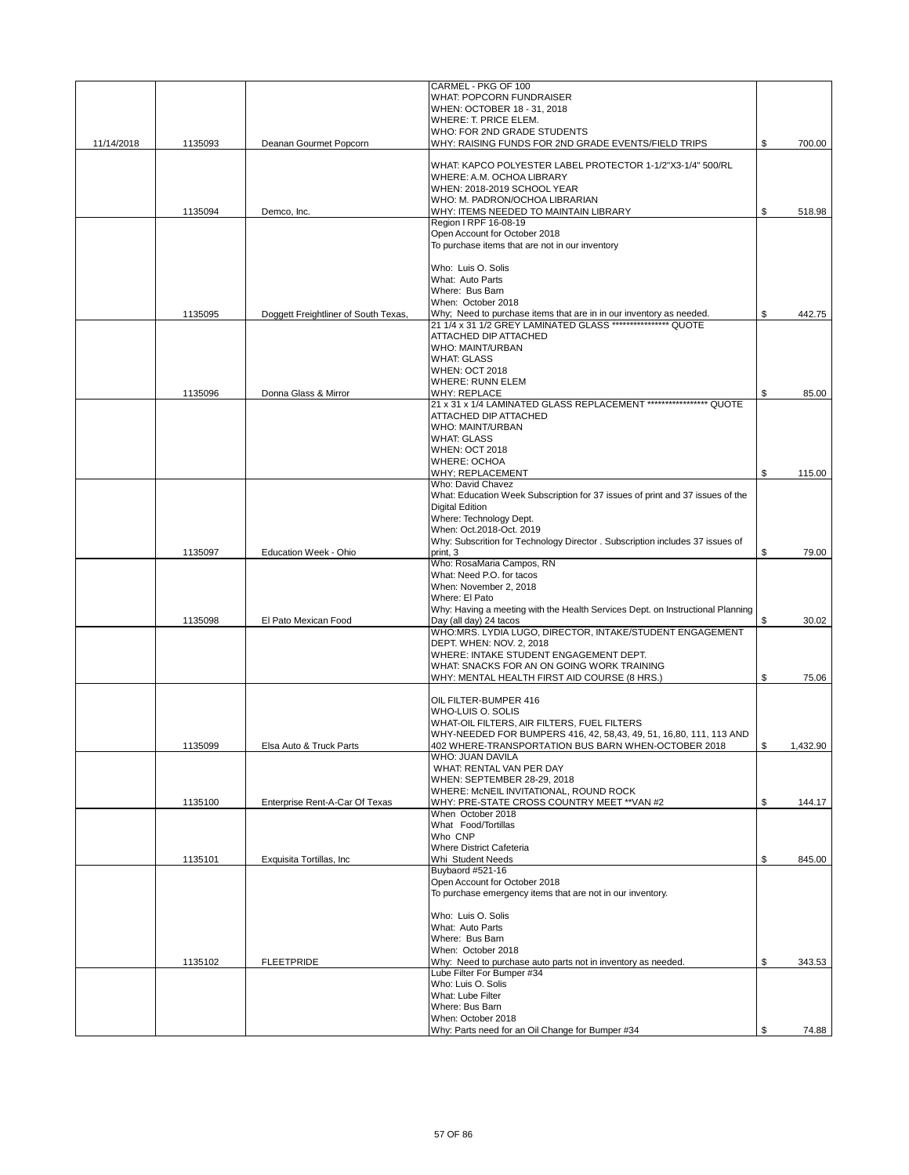|            |         |                                      | CARMEL - PKG OF 100                                                            |                |
|------------|---------|--------------------------------------|--------------------------------------------------------------------------------|----------------|
|            |         |                                      | <b>WHAT: POPCORN FUNDRAISER</b>                                                |                |
|            |         |                                      | WHEN: OCTOBER 18 - 31, 2018                                                    |                |
|            |         |                                      | WHERE: T. PRICE ELEM.                                                          |                |
|            |         |                                      | WHO: FOR 2ND GRADE STUDENTS                                                    |                |
| 11/14/2018 | 1135093 | Deanan Gourmet Popcorn               | WHY: RAISING FUNDS FOR 2ND GRADE EVENTS/FIELD TRIPS                            | \$<br>700.00   |
|            |         |                                      |                                                                                |                |
|            |         |                                      | WHAT: KAPCO POLYESTER LABEL PROTECTOR 1-1/2"X3-1/4" 500/RL                     |                |
|            |         |                                      | WHERE: A.M. OCHOA LIBRARY                                                      |                |
|            |         |                                      | WHEN: 2018-2019 SCHOOL YEAR                                                    |                |
|            |         |                                      | WHO: M. PADRON/OCHOA LIBRARIAN                                                 |                |
|            | 1135094 | Demco, Inc.                          | WHY: ITEMS NEEDED TO MAINTAIN LIBRARY                                          | \$<br>518.98   |
|            |         |                                      | Region I RPF 16-08-19                                                          |                |
|            |         |                                      | Open Account for October 2018                                                  |                |
|            |         |                                      | To purchase items that are not in our inventory                                |                |
|            |         |                                      |                                                                                |                |
|            |         |                                      | Who: Luis O. Solis                                                             |                |
|            |         |                                      | What: Auto Parts                                                               |                |
|            |         |                                      |                                                                                |                |
|            |         |                                      | Where: Bus Barn                                                                |                |
|            |         |                                      | When: October 2018                                                             |                |
|            | 1135095 | Doggett Freightliner of South Texas, | Why; Need to purchase items that are in in our inventory as needed.            | \$<br>442.75   |
|            |         |                                      | 21 1/4 x 31 1/2 GREY LAMINATED GLASS **************** QUOTE                    |                |
|            |         |                                      | ATTACHED DIP ATTACHED                                                          |                |
|            |         |                                      | <b>WHO: MAINT/URBAN</b>                                                        |                |
|            |         |                                      | <b>WHAT: GLASS</b>                                                             |                |
|            |         |                                      | <b>WHEN: OCT 2018</b>                                                          |                |
|            |         |                                      | <b>WHERE: RUNN ELEM</b>                                                        |                |
|            | 1135096 | Donna Glass & Mirror                 | <b>WHY: REPLACE</b>                                                            | \$<br>85.00    |
|            |         |                                      | 21 x 31 x 1/4 LAMINATED GLASS REPLACEMENT ****************** QUOTE             |                |
|            |         |                                      |                                                                                |                |
|            |         |                                      | ATTACHED DIP ATTACHED                                                          |                |
|            |         |                                      | <b>WHO: MAINT/URBAN</b>                                                        |                |
|            |         |                                      | <b>WHAT: GLASS</b>                                                             |                |
|            |         |                                      | <b>WHEN: OCT 2018</b>                                                          |                |
|            |         |                                      | <b>WHERE: OCHOA</b>                                                            |                |
|            |         |                                      | <b>WHY: REPLACEMENT</b>                                                        | \$<br>115.00   |
|            |         |                                      | Who: David Chavez                                                              |                |
|            |         |                                      | What: Education Week Subscription for 37 issues of print and 37 issues of the  |                |
|            |         |                                      | <b>Digital Edition</b>                                                         |                |
|            |         |                                      | Where: Technology Dept.                                                        |                |
|            |         |                                      |                                                                                |                |
|            |         |                                      | When: Oct.2018-Oct. 2019                                                       |                |
|            |         |                                      | Why: Subscrition for Technology Director . Subscription includes 37 issues of  |                |
|            | 1135097 | Education Week - Ohio                | print, 3                                                                       | \$<br>79.00    |
|            |         |                                      | Who: RosaMaria Campos, RN                                                      |                |
|            |         |                                      | What: Need P.O. for tacos                                                      |                |
|            |         |                                      | When: November 2, 2018                                                         |                |
|            |         |                                      | Where: El Pato                                                                 |                |
|            |         |                                      | Why: Having a meeting with the Health Services Dept. on Instructional Planning |                |
|            | 1135098 | El Pato Mexican Food                 | Day (all day) 24 tacos                                                         | \$<br>30.02    |
|            |         |                                      | WHO:MRS. LYDIA LUGO, DIRECTOR, INTAKE/STUDENT ENGAGEMENT                       |                |
|            |         |                                      | DEPT. WHEN: NOV. 2, 2018                                                       |                |
|            |         |                                      |                                                                                |                |
|            |         |                                      | WHERE: INTAKE STUDENT ENGAGEMENT DEPT.                                         |                |
|            |         |                                      | WHAT: SNACKS FOR AN ON GOING WORK TRAINING                                     |                |
|            |         |                                      | WHY: MENTAL HEALTH FIRST AID COURSE (8 HRS.)                                   | \$<br>75.06    |
|            |         |                                      |                                                                                |                |
|            |         |                                      | OIL FILTER-BUMPER 416                                                          |                |
|            |         |                                      | WHO-LUIS O. SOLIS                                                              |                |
|            |         |                                      | WHAT-OIL FILTERS, AIR FILTERS, FUEL FILTERS                                    |                |
|            |         |                                      | WHY-NEEDED FOR BUMPERS 416, 42, 58,43, 49, 51, 16,80, 111, 113 AND             |                |
|            | 1135099 | Elsa Auto & Truck Parts              | 402 WHERE-TRANSPORTATION BUS BARN WHEN-OCTOBER 2018                            | \$<br>1,432.90 |
|            |         |                                      | <b>WHO: JUAN DAVILA</b>                                                        |                |
|            |         |                                      | WHAT: RENTAL VAN PER DAY                                                       |                |
|            |         |                                      |                                                                                |                |
|            |         |                                      | WHEN: SEPTEMBER 28-29, 2018                                                    |                |
|            |         |                                      | WHERE: McNEIL INVITATIONAL, ROUND ROCK                                         |                |
|            | 1135100 | Enterprise Rent-A-Car Of Texas       | WHY: PRE-STATE CROSS COUNTRY MEET ** VAN #2                                    | \$<br>144.17   |
|            |         |                                      | When October 2018                                                              |                |
|            |         |                                      | What Food/Tortillas                                                            |                |
|            |         |                                      | Who CNP                                                                        |                |
|            |         |                                      | <b>Where District Cafeteria</b>                                                |                |
|            | 1135101 | Exquisita Tortillas, Inc.            | Whi Student Needs                                                              | \$<br>845.00   |
|            |         |                                      | Buybaord #521-16                                                               |                |
|            |         |                                      | Open Account for October 2018                                                  |                |
|            |         |                                      | To purchase emergency items that are not in our inventory.                     |                |
|            |         |                                      |                                                                                |                |
|            |         |                                      | Who: Luis O. Solis                                                             |                |
|            |         |                                      | What: Auto Parts                                                               |                |
|            |         |                                      |                                                                                |                |
|            |         |                                      | Where: Bus Barn                                                                |                |
|            |         |                                      | When: October 2018                                                             |                |
|            | 1135102 | <b>FLEETPRIDE</b>                    | Why: Need to purchase auto parts not in inventory as needed.                   | \$<br>343.53   |
|            |         |                                      | Lube Filter For Bumper #34                                                     |                |
|            |         |                                      | Who: Luis O. Solis                                                             |                |
|            |         |                                      | What: Lube Filter                                                              |                |
|            |         |                                      | Where: Bus Barn                                                                |                |
|            |         |                                      | When: October 2018                                                             |                |
|            |         |                                      | Why: Parts need for an Oil Change for Bumper #34                               | \$<br>74.88    |
|            |         |                                      |                                                                                |                |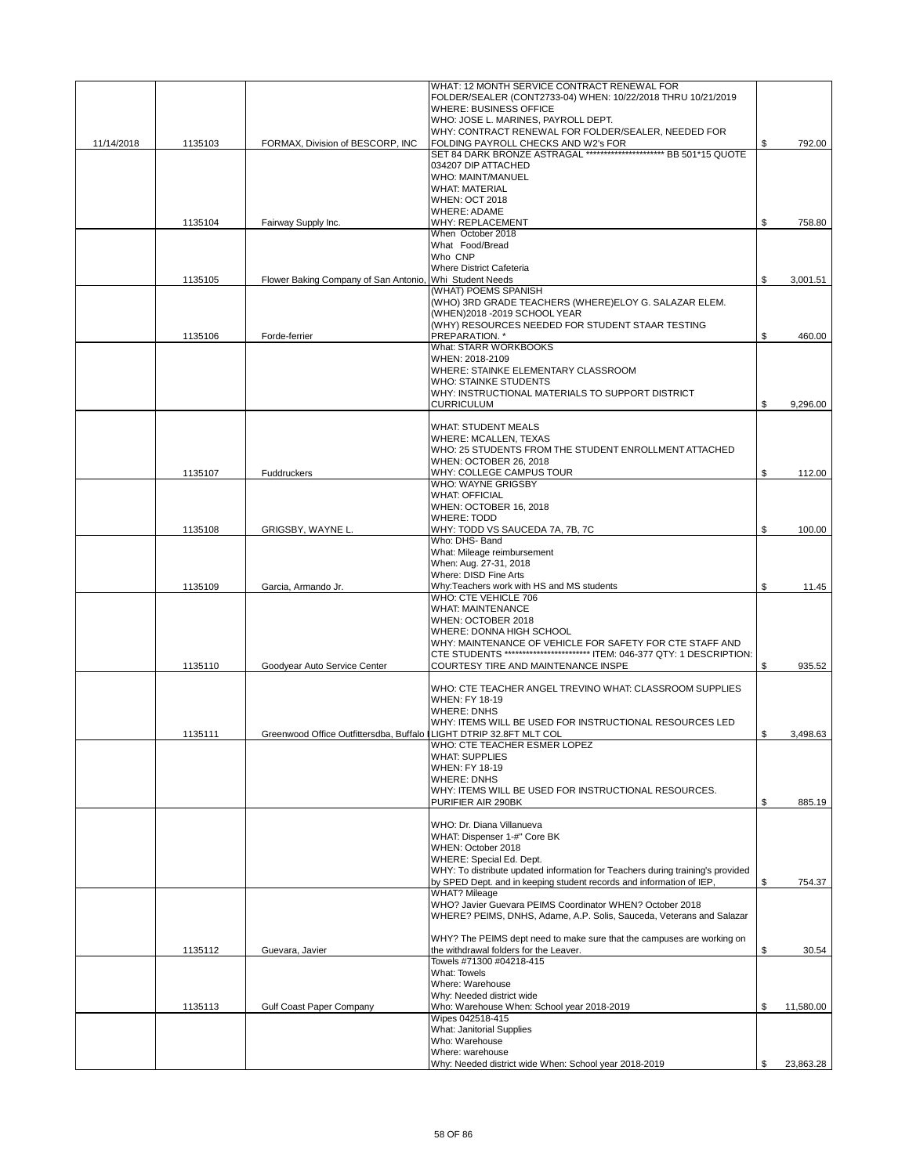|            |         |                                                                    | WHAT: 12 MONTH SERVICE CONTRACT RENEWAL FOR                                                                                      |                 |
|------------|---------|--------------------------------------------------------------------|----------------------------------------------------------------------------------------------------------------------------------|-----------------|
|            |         |                                                                    | FOLDER/SEALER (CONT2733-04) WHEN: 10/22/2018 THRU 10/21/2019                                                                     |                 |
|            |         |                                                                    | <b>WHERE: BUSINESS OFFICE</b>                                                                                                    |                 |
|            |         |                                                                    | WHO: JOSE L. MARINES, PAYROLL DEPT.                                                                                              |                 |
|            |         |                                                                    | WHY: CONTRACT RENEWAL FOR FOLDER/SEALER, NEEDED FOR                                                                              |                 |
| 11/14/2018 | 1135103 | FORMAX, Division of BESCORP, INC                                   | FOLDING PAYROLL CHECKS AND W2's FOR<br>SET 84 DARK BRONZE ASTRAGAL ******************************* BB 501*15 QUOTE               | \$<br>792.00    |
|            |         |                                                                    | 034207 DIP ATTACHED                                                                                                              |                 |
|            |         |                                                                    | WHO: MAINT/MANUEL                                                                                                                |                 |
|            |         |                                                                    | <b>WHAT: MATERIAL</b>                                                                                                            |                 |
|            |         |                                                                    | <b>WHEN: OCT 2018</b>                                                                                                            |                 |
|            |         |                                                                    | <b>WHERE: ADAME</b>                                                                                                              |                 |
|            | 1135104 | Fairway Supply Inc.                                                | WHY: REPLACEMENT                                                                                                                 | \$<br>758.80    |
|            |         |                                                                    | When October 2018                                                                                                                |                 |
|            |         |                                                                    | What Food/Bread                                                                                                                  |                 |
|            |         |                                                                    | Who CNP                                                                                                                          |                 |
|            |         |                                                                    | Where District Cafeteria                                                                                                         |                 |
|            | 1135105 | Flower Baking Company of San Antonio, Whi Student Needs            |                                                                                                                                  | \$<br>3,001.51  |
|            |         |                                                                    | (WHAT) POEMS SPANISH                                                                                                             |                 |
|            |         |                                                                    | (WHO) 3RD GRADE TEACHERS (WHERE)ELOY G. SALAZAR ELEM.                                                                            |                 |
|            |         |                                                                    | (WHEN)2018 - 2019 SCHOOL YEAR                                                                                                    |                 |
|            |         |                                                                    | (WHY) RESOURCES NEEDED FOR STUDENT STAAR TESTING                                                                                 |                 |
|            | 1135106 | Forde-ferrier                                                      | PREPARATION. *                                                                                                                   | \$<br>460.00    |
|            |         |                                                                    | What: STARR WORKBOOKS                                                                                                            |                 |
|            |         |                                                                    | WHEN: 2018-2109                                                                                                                  |                 |
|            |         |                                                                    | WHERE: STAINKE ELEMENTARY CLASSROOM                                                                                              |                 |
|            |         |                                                                    | <b>WHO: STAINKE STUDENTS</b>                                                                                                     |                 |
|            |         |                                                                    | WHY: INSTRUCTIONAL MATERIALS TO SUPPORT DISTRICT                                                                                 |                 |
|            |         |                                                                    | <b>CURRICULUM</b>                                                                                                                | \$<br>9,296.00  |
|            |         |                                                                    |                                                                                                                                  |                 |
|            |         |                                                                    | <b>WHAT: STUDENT MEALS</b>                                                                                                       |                 |
|            |         |                                                                    | <b>WHERE: MCALLEN, TEXAS</b>                                                                                                     |                 |
|            |         |                                                                    | WHO: 25 STUDENTS FROM THE STUDENT ENROLLMENT ATTACHED                                                                            |                 |
|            |         |                                                                    | WHEN: OCTOBER 26, 2018                                                                                                           |                 |
|            | 1135107 | Fuddruckers                                                        | WHY: COLLEGE CAMPUS TOUR                                                                                                         | \$<br>112.00    |
|            |         |                                                                    | WHO: WAYNE GRIGSBY                                                                                                               |                 |
|            |         |                                                                    | <b>WHAT: OFFICIAL</b>                                                                                                            |                 |
|            |         |                                                                    | WHEN: OCTOBER 16, 2018                                                                                                           |                 |
|            |         |                                                                    | <b>WHERE: TODD</b>                                                                                                               |                 |
|            | 1135108 | GRIGSBY, WAYNE L.                                                  | WHY: TODD VS SAUCEDA 7A, 7B, 7C<br>Who: DHS- Band                                                                                | \$<br>100.00    |
|            |         |                                                                    |                                                                                                                                  |                 |
|            |         |                                                                    | What: Mileage reimbursement<br>When: Aug. 27-31, 2018                                                                            |                 |
|            |         |                                                                    | Where: DISD Fine Arts                                                                                                            |                 |
|            | 1135109 | Garcia, Armando Jr.                                                | Why:Teachers work with HS and MS students                                                                                        | \$<br>11.45     |
|            |         |                                                                    | WHO: CTE VEHICLE 706                                                                                                             |                 |
|            |         |                                                                    | <b>WHAT: MAINTENANCE</b>                                                                                                         |                 |
|            |         |                                                                    | WHEN: OCTOBER 2018                                                                                                               |                 |
|            |         |                                                                    | WHERE: DONNA HIGH SCHOOL                                                                                                         |                 |
|            |         |                                                                    | WHY: MAINTENANCE OF VEHICLE FOR SAFETY FOR CTE STAFF AND                                                                         |                 |
|            |         |                                                                    | CTE STUDENTS ************************** ITEM: 046-377 QTY: 1 DESCRIPTION:                                                        |                 |
|            | 1135110 | Goodyear Auto Service Center                                       | COURTESY TIRE AND MAINTENANCE INSPE                                                                                              | \$<br>935.52    |
|            |         |                                                                    |                                                                                                                                  |                 |
|            |         |                                                                    | WHO: CTE TEACHER ANGEL TREVINO WHAT: CLASSROOM SUPPLIES                                                                          |                 |
|            |         |                                                                    | WHEN: FY 18-19                                                                                                                   |                 |
|            |         |                                                                    | <b>WHERE: DNHS</b>                                                                                                               |                 |
|            |         |                                                                    | WHY: ITEMS WILL BE USED FOR INSTRUCTIONAL RESOURCES LED                                                                          |                 |
|            | 1135111 | Greenwood Office Outfittersdba, Buffalo LIGHT DTRIP 32.8FT MLT COL |                                                                                                                                  | \$<br>3,498.63  |
|            |         |                                                                    | WHO: CTE TEACHER ESMER LOPEZ                                                                                                     |                 |
|            |         |                                                                    | <b>WHAT: SUPPLIES</b>                                                                                                            |                 |
|            |         |                                                                    | <b>WHEN: FY 18-19</b>                                                                                                            |                 |
|            |         |                                                                    | <b>WHERE: DNHS</b>                                                                                                               |                 |
|            |         |                                                                    | WHY: ITEMS WILL BE USED FOR INSTRUCTIONAL RESOURCES.                                                                             |                 |
|            |         |                                                                    | PURIFIER AIR 290BK                                                                                                               | \$<br>885.19    |
|            |         |                                                                    |                                                                                                                                  |                 |
|            |         |                                                                    | WHO: Dr. Diana Villanueva                                                                                                        |                 |
|            |         |                                                                    | WHAT: Dispenser 1-#" Core BK                                                                                                     |                 |
|            |         |                                                                    | WHEN: October 2018                                                                                                               |                 |
|            |         |                                                                    | WHERE: Special Ed. Dept.                                                                                                         |                 |
|            |         |                                                                    | WHY: To distribute updated information for Teachers during training's provided                                                   |                 |
|            |         |                                                                    | by SPED Dept. and in keeping student records and information of IEP,                                                             | \$<br>754.37    |
|            |         |                                                                    | <b>WHAT? Mileage</b>                                                                                                             |                 |
|            |         |                                                                    | WHO? Javier Guevara PEIMS Coordinator WHEN? October 2018<br>WHERE? PEIMS, DNHS, Adame, A.P. Solis, Sauceda, Veterans and Salazar |                 |
|            |         |                                                                    |                                                                                                                                  |                 |
|            |         |                                                                    | WHY? The PEIMS dept need to make sure that the campuses are working on                                                           |                 |
|            |         |                                                                    | the withdrawal folders for the Leaver.                                                                                           | \$<br>30.54     |
|            | 1135112 | Guevara, Javier                                                    | Towels #71300 #04218-415                                                                                                         |                 |
|            |         |                                                                    | <b>What: Towels</b>                                                                                                              |                 |
|            |         |                                                                    | Where: Warehouse                                                                                                                 |                 |
|            |         |                                                                    | Why: Needed district wide                                                                                                        |                 |
|            | 1135113 | Gulf Coast Paper Company                                           | Who: Warehouse When: School year 2018-2019                                                                                       | \$<br>11,580.00 |
|            |         |                                                                    | Wipes 042518-415                                                                                                                 |                 |
|            |         |                                                                    | What: Janitorial Supplies                                                                                                        |                 |
|            |         |                                                                    | Who: Warehouse                                                                                                                   |                 |
|            |         |                                                                    | Where: warehouse                                                                                                                 |                 |
|            |         |                                                                    | Why: Needed district wide When: School year 2018-2019                                                                            | \$<br>23,863.28 |
|            |         |                                                                    |                                                                                                                                  |                 |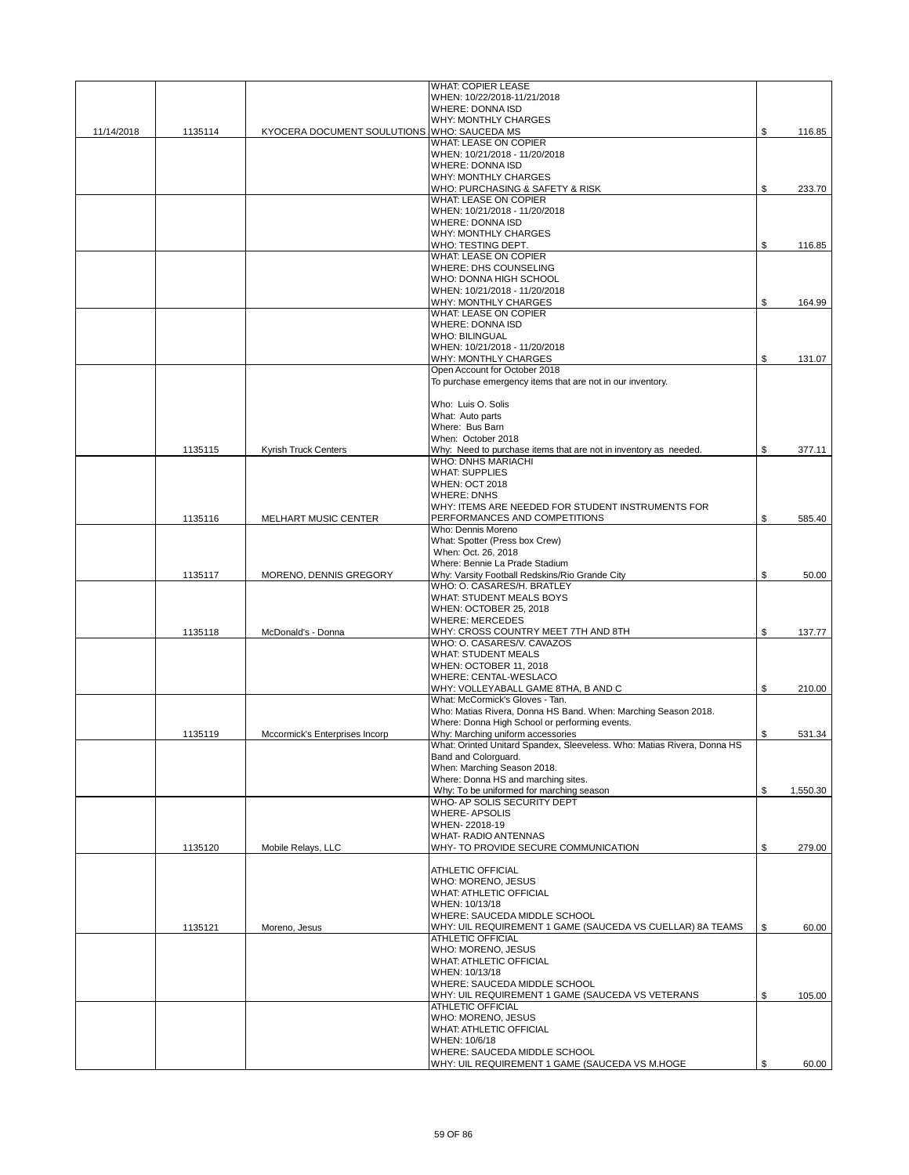|            |         |                                             | <b>WHAT: COPIER LEASE</b>                                                                       |                |
|------------|---------|---------------------------------------------|-------------------------------------------------------------------------------------------------|----------------|
|            |         |                                             | WHEN: 10/22/2018-11/21/2018<br>WHERE: DONNA ISD                                                 |                |
|            |         |                                             | WHY: MONTHLY CHARGES                                                                            |                |
| 11/14/2018 | 1135114 | KYOCERA DOCUMENT SOULUTIONS WHO: SAUCEDA MS |                                                                                                 | \$<br>116.85   |
|            |         |                                             | <b>WHAT: LEASE ON COPIER</b>                                                                    |                |
|            |         |                                             | WHEN: 10/21/2018 - 11/20/2018                                                                   |                |
|            |         |                                             | <b>WHERE: DONNA ISD</b>                                                                         |                |
|            |         |                                             | <b>WHY: MONTHLY CHARGES</b>                                                                     |                |
|            |         |                                             | WHO: PURCHASING & SAFETY & RISK                                                                 | \$<br>233.70   |
|            |         |                                             | WHAT: LEASE ON COPIER                                                                           |                |
|            |         |                                             | WHEN: 10/21/2018 - 11/20/2018<br><b>WHERE: DONNA ISD</b>                                        |                |
|            |         |                                             | <b>WHY: MONTHLY CHARGES</b>                                                                     |                |
|            |         |                                             | WHO: TESTING DEPT.                                                                              | \$<br>116.85   |
|            |         |                                             | <b>WHAT: LEASE ON COPIER</b>                                                                    |                |
|            |         |                                             | WHERE: DHS COUNSELING                                                                           |                |
|            |         |                                             | WHO: DONNA HIGH SCHOOL                                                                          |                |
|            |         |                                             | WHEN: 10/21/2018 - 11/20/2018                                                                   |                |
|            |         |                                             | WHY: MONTHLY CHARGES                                                                            | \$<br>164.99   |
|            |         |                                             | WHAT: LEASE ON COPIER                                                                           |                |
|            |         |                                             | <b>WHERE: DONNA ISD</b>                                                                         |                |
|            |         |                                             | <b>WHO: BILINGUAL</b>                                                                           |                |
|            |         |                                             | WHEN: 10/21/2018 - 11/20/2018<br>WHY: MONTHLY CHARGES                                           | \$<br>131.07   |
|            |         |                                             | Open Account for October 2018                                                                   |                |
|            |         |                                             | To purchase emergency items that are not in our inventory.                                      |                |
|            |         |                                             |                                                                                                 |                |
|            |         |                                             | Who: Luis O. Solis                                                                              |                |
|            |         |                                             | What: Auto parts                                                                                |                |
|            |         |                                             | Where: Bus Barn                                                                                 |                |
|            |         |                                             | When: October 2018                                                                              |                |
|            | 1135115 | <b>Kyrish Truck Centers</b>                 | Why: Need to purchase items that are not in inventory as needed.                                | \$<br>377.11   |
|            |         |                                             | <b>WHO: DNHS MARIACHI</b>                                                                       |                |
|            |         |                                             | <b>WHAT: SUPPLIES</b><br><b>WHEN: OCT 2018</b>                                                  |                |
|            |         |                                             | <b>WHERE: DNHS</b>                                                                              |                |
|            |         |                                             | WHY: ITEMS ARE NEEDED FOR STUDENT INSTRUMENTS FOR                                               |                |
|            | 1135116 | MELHART MUSIC CENTER                        | PERFORMANCES AND COMPETITIONS                                                                   | \$<br>585.40   |
|            |         |                                             | Who: Dennis Moreno                                                                              |                |
|            |         |                                             | What: Spotter (Press box Crew)                                                                  |                |
|            |         |                                             | When: Oct. 26, 2018                                                                             |                |
|            |         |                                             | Where: Bennie La Prade Stadium                                                                  |                |
|            | 1135117 | MORENO, DENNIS GREGORY                      | Why: Varsity Football Redskins/Rio Grande City                                                  | \$<br>50.00    |
|            |         |                                             | WHO: O. CASARES/H. BRATLEY                                                                      |                |
|            |         |                                             | WHAT: STUDENT MEALS BOYS                                                                        |                |
|            |         |                                             | WHEN: OCTOBER 25, 2018<br><b>WHERE: MERCEDES</b>                                                |                |
|            | 1135118 | McDonald's - Donna                          | WHY: CROSS COUNTRY MEET 7TH AND 8TH                                                             | \$<br>137.77   |
|            |         |                                             | WHO: O. CASARES/V. CAVAZOS                                                                      |                |
|            |         |                                             | <b>WHAT: STUDENT MEALS</b>                                                                      |                |
|            |         |                                             | WHEN: OCTOBER 11, 2018                                                                          |                |
|            |         |                                             | WHERE: CENTAL-WESLACO                                                                           |                |
|            |         |                                             | WHY: VOLLEYABALL GAME 8THA, B AND C                                                             | \$<br>210.00   |
|            |         |                                             | What: McCormick's Gloves - Tan.                                                                 |                |
|            |         |                                             | Who: Matias Rivera, Donna HS Band. When: Marching Season 2018.                                  |                |
|            |         |                                             | Where: Donna High School or performing events.                                                  |                |
|            | 1135119 | Mccormick's Enterprises Incorp              | Why: Marching uniform accessories                                                               | \$<br>531.34   |
|            |         |                                             | What: Orinted Unitard Spandex, Sleeveless. Who: Matias Rivera, Donna HS<br>Band and Colorguard. |                |
|            |         |                                             | When: Marching Season 2018.                                                                     |                |
|            |         |                                             | Where: Donna HS and marching sites.                                                             |                |
|            |         |                                             | Why: To be uniformed for marching season                                                        | \$<br>1,550.30 |
|            |         |                                             | WHO- AP SOLIS SECURITY DEPT                                                                     |                |
|            |         |                                             | <b>WHERE-APSOLIS</b>                                                                            |                |
|            |         |                                             | WHEN-22018-19                                                                                   |                |
|            |         |                                             | WHAT- RADIO ANTENNAS                                                                            |                |
|            | 1135120 | Mobile Relays, LLC                          | WHY- TO PROVIDE SECURE COMMUNICATION                                                            | \$<br>279.00   |
|            |         |                                             | ATHLETIC OFFICIAL                                                                               |                |
|            |         |                                             | WHO: MORENO, JESUS                                                                              |                |
|            |         |                                             | WHAT: ATHLETIC OFFICIAL                                                                         |                |
|            |         |                                             | WHEN: 10/13/18                                                                                  |                |
|            |         |                                             | WHERE: SAUCEDA MIDDLE SCHOOL                                                                    |                |
|            | 1135121 | Moreno, Jesus                               | WHY: UIL REQUIREMENT 1 GAME (SAUCEDA VS CUELLAR) 8A TEAMS                                       | \$<br>60.00    |
|            |         |                                             | <b>ATHLETIC OFFICIAL</b>                                                                        |                |
|            |         |                                             | WHO: MORENO, JESUS                                                                              |                |
|            |         |                                             | <b>WHAT: ATHLETIC OFFICIAL</b>                                                                  |                |
|            |         |                                             | WHEN: 10/13/18<br>WHERE: SAUCEDA MIDDLE SCHOOL                                                  |                |
|            |         |                                             | WHY: UIL REQUIREMENT 1 GAME (SAUCEDA VS VETERANS                                                | \$<br>105.00   |
|            |         |                                             | <b>ATHLETIC OFFICIAL</b>                                                                        |                |
|            |         |                                             | WHO: MORENO, JESUS                                                                              |                |
|            |         |                                             | <b>WHAT: ATHLETIC OFFICIAL</b>                                                                  |                |
|            |         |                                             | WHEN: 10/6/18                                                                                   |                |
|            |         |                                             | WHERE: SAUCEDA MIDDLE SCHOOL                                                                    |                |
|            |         |                                             | WHY: UIL REQUIREMENT 1 GAME (SAUCEDA VS M.HOGE                                                  | \$<br>60.00    |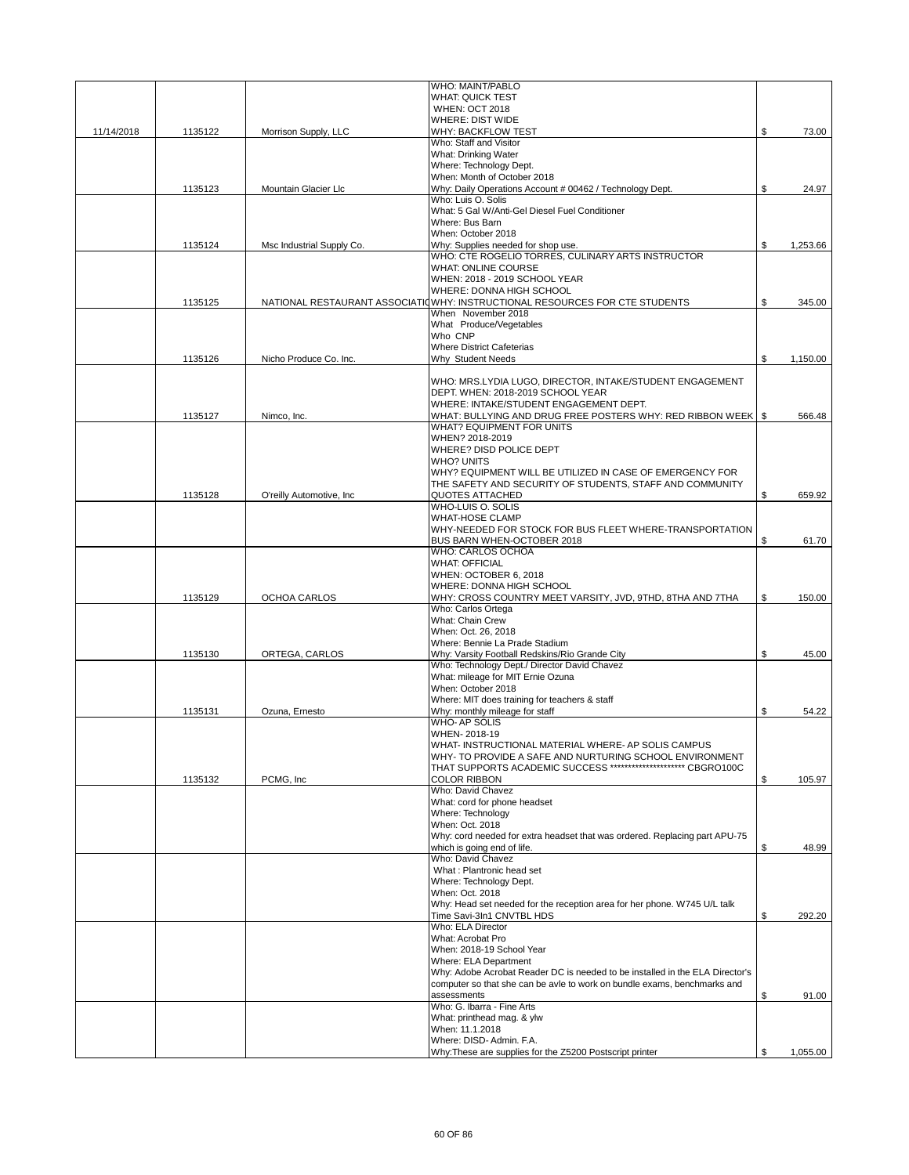|            |         |                           | WHO: MAINT/PABLO                                                                                                                                         |                |
|------------|---------|---------------------------|----------------------------------------------------------------------------------------------------------------------------------------------------------|----------------|
|            |         |                           | <b>WHAT: QUICK TEST</b>                                                                                                                                  |                |
|            |         |                           | <b>WHEN: OCT 2018</b><br><b>WHERE: DIST WIDE</b>                                                                                                         |                |
| 11/14/2018 | 1135122 | Morrison Supply, LLC      | WHY: BACKFLOW TEST                                                                                                                                       | \$<br>73.00    |
|            |         |                           | Who: Staff and Visitor                                                                                                                                   |                |
|            |         |                           | What: Drinking Water                                                                                                                                     |                |
|            |         |                           | Where: Technology Dept.                                                                                                                                  |                |
|            |         | Mountain Glacier Llc      | When: Month of October 2018<br>Why: Daily Operations Account # 00462 / Technology Dept.                                                                  | \$             |
|            | 1135123 |                           | Who: Luis O. Solis                                                                                                                                       | 24.97          |
|            |         |                           | What: 5 Gal W/Anti-Gel Diesel Fuel Conditioner                                                                                                           |                |
|            |         |                           | Where: Bus Barn                                                                                                                                          |                |
|            |         |                           | When: October 2018                                                                                                                                       |                |
|            | 1135124 | Msc Industrial Supply Co. | Why: Supplies needed for shop use.<br>WHO: CTE ROGELIO TORRES, CULINARY ARTS INSTRUCTOR                                                                  | \$<br>1,253.66 |
|            |         |                           | <b>WHAT: ONLINE COURSE</b>                                                                                                                               |                |
|            |         |                           | WHEN: 2018 - 2019 SCHOOL YEAR                                                                                                                            |                |
|            |         |                           | WHERE: DONNA HIGH SCHOOL                                                                                                                                 |                |
|            | 1135125 |                           | NATIONAL RESTAURANT ASSOCIATIOWHY: INSTRUCTIONAL RESOURCES FOR CTE STUDENTS                                                                              | \$<br>345.00   |
|            |         |                           | When November 2018                                                                                                                                       |                |
|            |         |                           | What Produce/Vegetables<br>Who CNP                                                                                                                       |                |
|            |         |                           | <b>Where District Cafeterias</b>                                                                                                                         |                |
|            | 1135126 | Nicho Produce Co. Inc.    | Why Student Needs                                                                                                                                        | \$<br>1,150.00 |
|            |         |                           |                                                                                                                                                          |                |
|            |         |                           | WHO: MRS.LYDIA LUGO, DIRECTOR, INTAKE/STUDENT ENGAGEMENT                                                                                                 |                |
|            |         |                           | DEPT. WHEN: 2018-2019 SCHOOL YEAR                                                                                                                        |                |
|            |         | Nimco, Inc.               | WHERE: INTAKE/STUDENT ENGAGEMENT DEPT.<br>WHAT: BULLYING AND DRUG FREE POSTERS WHY: RED RIBBON WEEK   \$                                                 | 566.48         |
|            | 1135127 |                           | WHAT? EQUIPMENT FOR UNITS                                                                                                                                |                |
|            |         |                           | WHEN? 2018-2019                                                                                                                                          |                |
|            |         |                           | WHERE? DISD POLICE DEPT                                                                                                                                  |                |
|            |         |                           | <b>WHO? UNITS</b>                                                                                                                                        |                |
|            |         |                           | WHY? EQUIPMENT WILL BE UTILIZED IN CASE OF EMERGENCY FOR                                                                                                 |                |
|            |         |                           | THE SAFETY AND SECURITY OF STUDENTS, STAFF AND COMMUNITY                                                                                                 |                |
|            | 1135128 | O'reilly Automotive, Inc. | <b>QUOTES ATTACHED</b><br>WHO-LUIS O. SOLIS                                                                                                              | \$<br>659.92   |
|            |         |                           | <b>WHAT-HOSE CLAMP</b>                                                                                                                                   |                |
|            |         |                           | WHY-NEEDED FOR STOCK FOR BUS FLEET WHERE-TRANSPORTATION                                                                                                  |                |
|            |         |                           | BUS BARN WHEN-OCTOBER 2018                                                                                                                               | \$<br>61.70    |
|            |         |                           | WHO: CARLOS OCHOA                                                                                                                                        |                |
|            |         |                           | <b>WHAT: OFFICIAL</b>                                                                                                                                    |                |
|            |         |                           | WHEN: OCTOBER 6, 2018<br>WHERE: DONNA HIGH SCHOOL                                                                                                        |                |
|            | 1135129 | OCHOA CARLOS              | WHY: CROSS COUNTRY MEET VARSITY, JVD, 9THD, 8THA AND 7THA                                                                                                | \$<br>150.00   |
|            |         |                           | Who: Carlos Ortega                                                                                                                                       |                |
|            |         |                           | What: Chain Crew                                                                                                                                         |                |
|            |         |                           | When: Oct. 26, 2018                                                                                                                                      |                |
|            |         |                           | Where: Bennie La Prade Stadium                                                                                                                           |                |
|            | 1135130 | ORTEGA, CARLOS            | Why: Varsity Football Redskins/Rio Grande City<br>Who: Technology Dept./ Director David Chavez                                                           | \$<br>45.00    |
|            |         |                           | What: mileage for MIT Ernie Ozuna                                                                                                                        |                |
|            |         |                           | When: October 2018                                                                                                                                       |                |
|            |         |                           | Where: MIT does training for teachers & staff                                                                                                            |                |
|            | 1135131 | Ozuna, Ernesto            | Why: monthly mileage for staff                                                                                                                           | \$<br>54.22    |
|            |         |                           | <b>WHO-AP SOLIS</b>                                                                                                                                      |                |
|            |         |                           | WHEN-2018-19<br>WHAT- INSTRUCTIONAL MATERIAL WHERE- AP SOLIS CAMPUS                                                                                      |                |
|            |         |                           | WHY- TO PROVIDE A SAFE AND NURTURING SCHOOL ENVIRONMENT                                                                                                  |                |
|            |         |                           | THAT SUPPORTS ACADEMIC SUCCESS ********************** CBGRO100C                                                                                          |                |
|            | 1135132 | PCMG, Inc                 | <b>COLOR RIBBON</b>                                                                                                                                      | \$<br>105.97   |
|            |         |                           | Who: David Chavez                                                                                                                                        |                |
|            |         |                           | What: cord for phone headset                                                                                                                             |                |
|            |         |                           | Where: Technology<br>When: Oct. 2018                                                                                                                     |                |
|            |         |                           | Why: cord needed for extra headset that was ordered. Replacing part APU-75                                                                               |                |
|            |         |                           | which is going end of life.                                                                                                                              | \$<br>48.99    |
|            |         |                           | Who: David Chavez                                                                                                                                        |                |
|            |         |                           | What: Plantronic head set                                                                                                                                |                |
|            |         |                           | Where: Technology Dept.<br>When: Oct. 2018                                                                                                               |                |
|            |         |                           | Why: Head set needed for the reception area for her phone. W745 U/L talk                                                                                 |                |
|            |         |                           | Time Savi-3In1 CNVTBL HDS                                                                                                                                | \$<br>292.20   |
|            |         |                           | Who: ELA Director                                                                                                                                        |                |
|            |         |                           | What: Acrobat Pro                                                                                                                                        |                |
|            |         |                           | When: 2018-19 School Year                                                                                                                                |                |
|            |         |                           | Where: ELA Department                                                                                                                                    |                |
|            |         |                           | Why: Adobe Acrobat Reader DC is needed to be installed in the ELA Director's<br>computer so that she can be avle to work on bundle exams, benchmarks and |                |
|            |         |                           | assessments                                                                                                                                              | \$<br>91.00    |
|            |         |                           | Who: G. Ibarra - Fine Arts                                                                                                                               |                |
|            |         |                           | What: printhead mag. & ylw                                                                                                                               |                |
|            |         |                           | When: 11.1.2018                                                                                                                                          |                |
|            |         |                           | Where: DISD-Admin. F.A.                                                                                                                                  |                |
|            |         |                           | Why: These are supplies for the Z5200 Postscript printer                                                                                                 | \$<br>1,055.00 |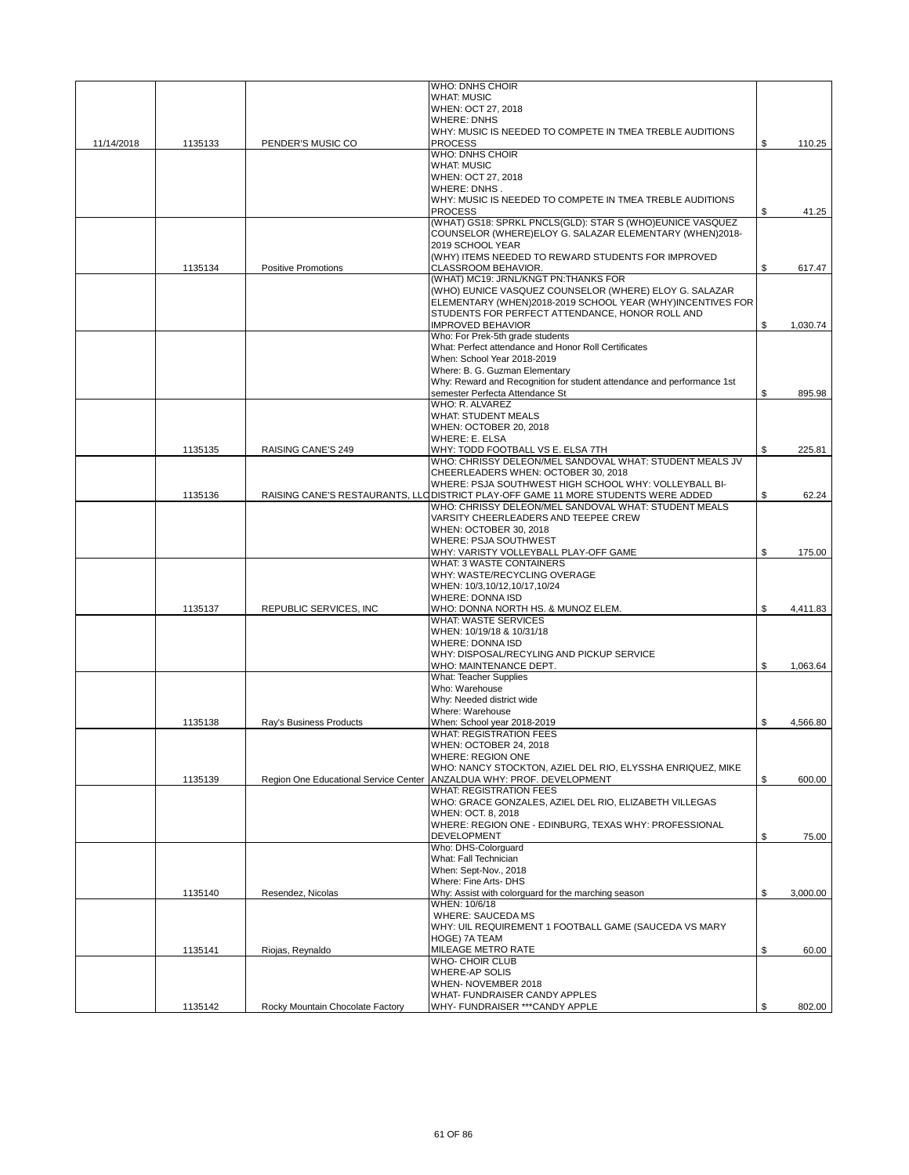|            |         |                                  | <b>WHO: DNHS CHOIR</b>                                                                                                                     |                |
|------------|---------|----------------------------------|--------------------------------------------------------------------------------------------------------------------------------------------|----------------|
|            |         |                                  | <b>WHAT: MUSIC</b><br>WHEN: OCT 27, 2018                                                                                                   |                |
|            |         |                                  | <b>WHERE: DNHS</b>                                                                                                                         |                |
|            |         |                                  | WHY: MUSIC IS NEEDED TO COMPETE IN TMEA TREBLE AUDITIONS                                                                                   |                |
| 11/14/2018 | 1135133 | PENDER'S MUSIC CO                | <b>PROCESS</b>                                                                                                                             | \$<br>110.25   |
|            |         |                                  | <b>WHO: DNHS CHOIR</b><br><b>WHAT: MUSIC</b>                                                                                               |                |
|            |         |                                  | WHEN: OCT 27, 2018                                                                                                                         |                |
|            |         |                                  | WHERE: DNHS.                                                                                                                               |                |
|            |         |                                  | WHY: MUSIC IS NEEDED TO COMPETE IN TMEA TREBLE AUDITIONS                                                                                   |                |
|            |         |                                  | <b>PROCESS</b><br>(WHAT) GS18: SPRKL PNCLS(GLD): STAR S (WHO)EUNICE VASQUEZ                                                                | \$<br>41.25    |
|            |         |                                  | COUNSELOR (WHERE)ELOY G. SALAZAR ELEMENTARY (WHEN)2018-                                                                                    |                |
|            |         |                                  | 2019 SCHOOL YEAR                                                                                                                           |                |
|            |         |                                  | (WHY) ITEMS NEEDED TO REWARD STUDENTS FOR IMPROVED                                                                                         |                |
|            | 1135134 | <b>Positive Promotions</b>       | CLASSROOM BEHAVIOR.<br>(WHAT) MC19: JRNL/KNGT PN:THANKS FOR                                                                                | \$<br>617.47   |
|            |         |                                  | (WHO) EUNICE VASQUEZ COUNSELOR (WHERE) ELOY G. SALAZAR                                                                                     |                |
|            |         |                                  | ELEMENTARY (WHEN)2018-2019 SCHOOL YEAR (WHY)INCENTIVES FOR                                                                                 |                |
|            |         |                                  | STUDENTS FOR PERFECT ATTENDANCE, HONOR ROLL AND                                                                                            |                |
|            |         |                                  | <b>IMPROVED BEHAVIOR</b><br>Who: For Prek-5th grade students                                                                               | \$<br>1,030.74 |
|            |         |                                  | What: Perfect attendance and Honor Roll Certificates                                                                                       |                |
|            |         |                                  | When: School Year 2018-2019                                                                                                                |                |
|            |         |                                  | Where: B. G. Guzman Elementary                                                                                                             |                |
|            |         |                                  | Why: Reward and Recognition for student attendance and performance 1st<br>semester Perfecta Attendance St                                  | \$<br>895.98   |
|            |         |                                  | WHO: R. ALVAREZ                                                                                                                            |                |
|            |         |                                  | <b>WHAT: STUDENT MEALS</b>                                                                                                                 |                |
|            |         |                                  | WHEN: OCTOBER 20, 2018                                                                                                                     |                |
|            | 1135135 | RAISING CANE'S 249               | <b>WHERE: E. ELSA</b><br>WHY: TODD FOOTBALL VS E. ELSA 7TH                                                                                 | \$<br>225.81   |
|            |         |                                  | WHO: CHRISSY DELEON/MEL SANDOVAL WHAT: STUDENT MEALS JV                                                                                    |                |
|            |         |                                  | CHEERLEADERS WHEN: OCTOBER 30, 2018                                                                                                        |                |
|            |         |                                  | WHERE: PSJA SOUTHWEST HIGH SCHOOL WHY: VOLLEYBALL BI-                                                                                      |                |
|            | 1135136 |                                  | RAISING CANE'S RESTAURANTS, LLO DISTRICT PLAY-OFF GAME 11 MORE STUDENTS WERE ADDED<br>WHO: CHRISSY DELEON/MEL SANDOVAL WHAT: STUDENT MEALS | \$<br>62.24    |
|            |         |                                  | VARSITY CHEERLEADERS AND TEEPEE CREW                                                                                                       |                |
|            |         |                                  | WHEN: OCTOBER 30, 2018                                                                                                                     |                |
|            |         |                                  | WHERE: PSJA SOUTHWEST                                                                                                                      |                |
|            |         |                                  | WHY: VARISTY VOLLEYBALL PLAY-OFF GAME<br>WHAT: 3 WASTE CONTAINERS                                                                          | \$<br>175.00   |
|            |         |                                  | WHY: WASTE/RECYCLING OVERAGE                                                                                                               |                |
|            |         |                                  | WHEN: 10/3,10/12,10/17,10/24                                                                                                               |                |
|            |         |                                  | WHERE: DONNA ISD                                                                                                                           |                |
|            | 1135137 | REPUBLIC SERVICES, INC           | WHO: DONNA NORTH HS. & MUNOZ ELEM.<br><b>WHAT: WASTE SERVICES</b>                                                                          | \$<br>4,411.83 |
|            |         |                                  | WHEN: 10/19/18 & 10/31/18                                                                                                                  |                |
|            |         |                                  | <b>WHERE: DONNA ISD</b>                                                                                                                    |                |
|            |         |                                  | WHY: DISPOSAL/RECYLING AND PICKUP SERVICE<br>WHO: MAINTENANCE DEPT.                                                                        |                |
|            |         |                                  | What: Teacher Supplies                                                                                                                     | \$<br>1,063.64 |
|            |         |                                  | Who: Warehouse                                                                                                                             |                |
|            |         |                                  | Why: Needed district wide                                                                                                                  |                |
|            |         |                                  | Where: Warehouse                                                                                                                           |                |
|            | 1135138 | Ray's Business Products          | When: School year 2018-2019<br><b>WHAT: REGISTRATION FEES</b>                                                                              | \$<br>4,566.80 |
|            |         |                                  | WHEN: OCTOBER 24, 2018                                                                                                                     |                |
|            |         |                                  | <b>WHERE: REGION ONE</b>                                                                                                                   |                |
|            |         |                                  | WHO: NANCY STOCKTON, AZIEL DEL RIO, ELYSSHA ENRIQUEZ, MIKE                                                                                 | \$             |
|            | 1135139 |                                  | Region One Educational Service Center   ANZALDUA WHY: PROF. DEVELOPMENT<br><b>WHAT: REGISTRATION FEES</b>                                  | 600.00         |
|            |         |                                  | WHO: GRACE GONZALES, AZIEL DEL RIO, ELIZABETH VILLEGAS                                                                                     |                |
|            |         |                                  | WHEN: OCT. 8, 2018                                                                                                                         |                |
|            |         |                                  | WHERE: REGION ONE - EDINBURG, TEXAS WHY: PROFESSIONAL<br><b>DEVELOPMENT</b>                                                                | \$<br>75.00    |
|            |         |                                  | Who: DHS-Colorguard                                                                                                                        |                |
|            |         |                                  | What: Fall Technician                                                                                                                      |                |
|            |         |                                  | When: Sept-Nov., 2018                                                                                                                      |                |
|            | 1135140 | Resendez, Nicolas                | Where: Fine Arts- DHS<br>Why: Assist with colorguard for the marching season                                                               | \$<br>3,000.00 |
|            |         |                                  | WHEN: 10/6/18                                                                                                                              |                |
|            |         |                                  | <b>WHERE: SAUCEDA MS</b>                                                                                                                   |                |
|            |         |                                  | WHY: UIL REQUIREMENT 1 FOOTBALL GAME (SAUCEDA VS MARY                                                                                      |                |
|            |         |                                  | <b>HOGE) 7A TEAM</b><br>MILEAGE METRO RATE                                                                                                 |                |
|            | 1135141 | Riojas, Reynaldo                 | WHO- CHOIR CLUB                                                                                                                            | \$<br>60.00    |
|            |         |                                  | <b>WHERE-AP SOLIS</b>                                                                                                                      |                |
|            |         |                                  | WHEN-NOVEMBER 2018                                                                                                                         |                |
|            |         |                                  | <b>WHAT-FUNDRAISER CANDY APPLES</b>                                                                                                        |                |
|            | 1135142 | Rocky Mountain Chocolate Factory | WHY- FUNDRAISER *** CANDY APPLE                                                                                                            | \$<br>802.00   |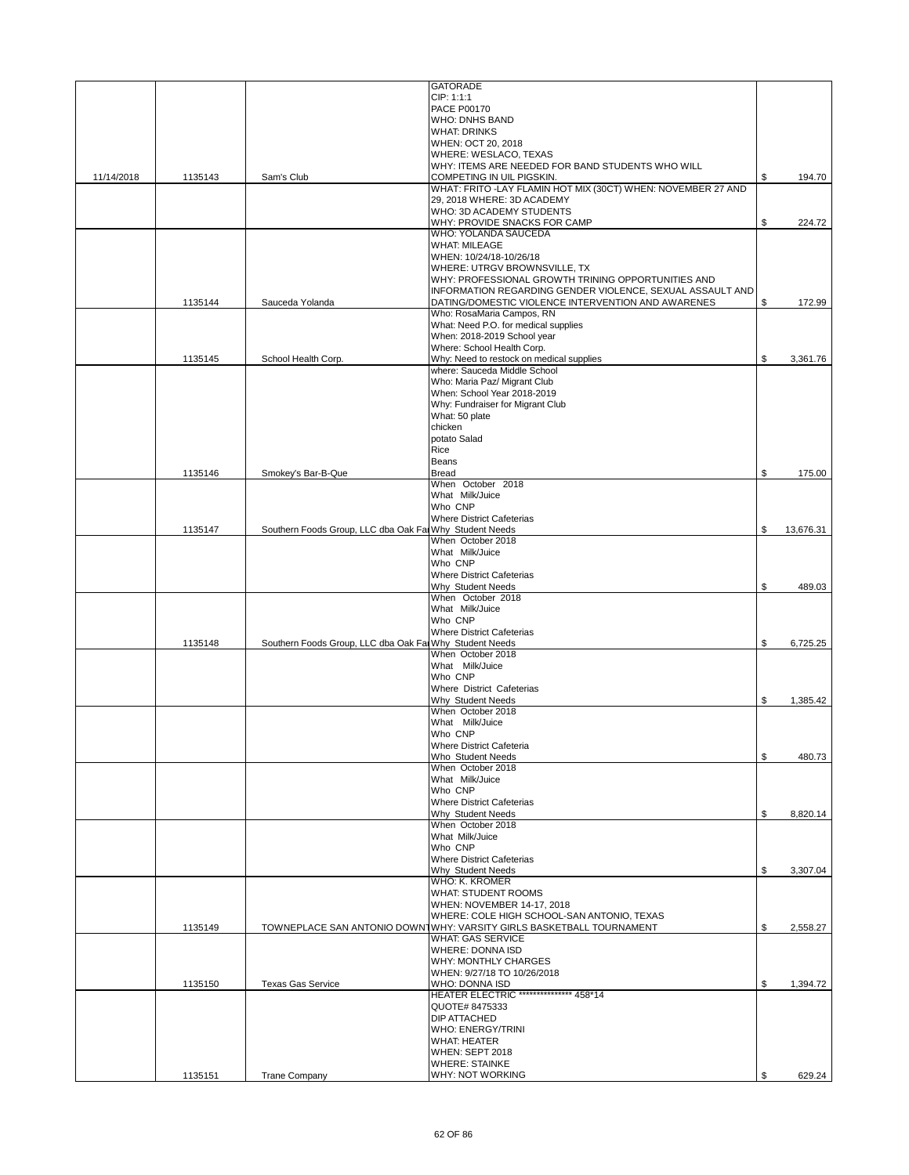|            |         |                                                         | <b>GATORADE</b>                                                                            |                 |
|------------|---------|---------------------------------------------------------|--------------------------------------------------------------------------------------------|-----------------|
|            |         |                                                         | CIP: 1:1:1                                                                                 |                 |
|            |         |                                                         | PACE P00170                                                                                |                 |
|            |         |                                                         | <b>WHO: DNHS BAND</b>                                                                      |                 |
|            |         |                                                         | <b>WHAT: DRINKS</b>                                                                        |                 |
|            |         |                                                         | WHEN: OCT 20, 2018                                                                         |                 |
|            |         |                                                         | WHERE: WESLACO, TEXAS                                                                      |                 |
|            |         |                                                         | WHY: ITEMS ARE NEEDED FOR BAND STUDENTS WHO WILL                                           |                 |
| 11/14/2018 | 1135143 | Sam's Club                                              | COMPETING IN UIL PIGSKIN.                                                                  | \$<br>194.70    |
|            |         |                                                         | WHAT: FRITO -LAY FLAMIN HOT MIX (30CT) WHEN: NOVEMBER 27 AND<br>29, 2018 WHERE: 3D ACADEMY |                 |
|            |         |                                                         | WHO: 3D ACADEMY STUDENTS                                                                   |                 |
|            |         |                                                         | WHY: PROVIDE SNACKS FOR CAMP                                                               | \$<br>224.72    |
|            |         |                                                         | WHO: YOLANDA SAUCEDA                                                                       |                 |
|            |         |                                                         | <b>WHAT: MILEAGE</b>                                                                       |                 |
|            |         |                                                         | WHEN: 10/24/18-10/26/18                                                                    |                 |
|            |         |                                                         | WHERE: UTRGV BROWNSVILLE, TX                                                               |                 |
|            |         |                                                         | WHY: PROFESSIONAL GROWTH TRINING OPPORTUNITIES AND                                         |                 |
|            |         |                                                         | INFORMATION REGARDING GENDER VIOLENCE, SEXUAL ASSAULT AND                                  |                 |
|            | 1135144 | Sauceda Yolanda                                         | DATING/DOMESTIC VIOLENCE INTERVENTION AND AWARENES                                         | \$<br>172.99    |
|            |         |                                                         | Who: RosaMaria Campos, RN                                                                  |                 |
|            |         |                                                         | What: Need P.O. for medical supplies                                                       |                 |
|            |         |                                                         | When: 2018-2019 School year                                                                |                 |
|            |         |                                                         | Where: School Health Corp.                                                                 |                 |
|            | 1135145 | School Health Corp.                                     | Why: Need to restock on medical supplies                                                   | \$<br>3,361.76  |
|            |         |                                                         | where: Sauceda Middle School                                                               |                 |
|            |         |                                                         | Who: Maria Paz/ Migrant Club                                                               |                 |
|            |         |                                                         | When: School Year 2018-2019                                                                |                 |
|            |         |                                                         | Why: Fundraiser for Migrant Club                                                           |                 |
|            |         |                                                         | What: 50 plate                                                                             |                 |
|            |         |                                                         | chicken                                                                                    |                 |
|            |         |                                                         | potato Salad                                                                               |                 |
|            |         |                                                         | Rice                                                                                       |                 |
|            |         |                                                         | <b>Beans</b>                                                                               |                 |
|            | 1135146 | Smokey's Bar-B-Que                                      | <b>Bread</b><br>When October 2018                                                          | \$<br>175.00    |
|            |         |                                                         | What Milk/Juice                                                                            |                 |
|            |         |                                                         | Who CNP                                                                                    |                 |
|            |         |                                                         | <b>Where District Cafeterias</b>                                                           |                 |
|            | 1135147 | Southern Foods Group, LLC dba Oak Far Why Student Needs |                                                                                            | \$<br>13,676.31 |
|            |         |                                                         | When October 2018                                                                          |                 |
|            |         |                                                         | What Milk/Juice                                                                            |                 |
|            |         |                                                         | Who CNP                                                                                    |                 |
|            |         |                                                         | <b>Where District Cafeterias</b>                                                           |                 |
|            |         |                                                         | Why Student Needs                                                                          | \$<br>489.03    |
|            |         |                                                         | When October 2018                                                                          |                 |
|            |         |                                                         | What Milk/Juice                                                                            |                 |
|            |         |                                                         | Who CNP                                                                                    |                 |
|            |         |                                                         | <b>Where District Cafeterias</b>                                                           |                 |
|            | 1135148 | Southern Foods Group, LLC dba Oak Far Why Student Needs |                                                                                            | \$<br>6,725.25  |
|            |         |                                                         | When October 2018                                                                          |                 |
|            |         |                                                         | What Milk/Juice                                                                            |                 |
|            |         |                                                         | Who CNP                                                                                    |                 |
|            |         |                                                         | Where District Cafeterias                                                                  |                 |
|            |         |                                                         | Why Student Needs                                                                          | \$<br>1.385.42  |
|            |         |                                                         | When October 2018                                                                          |                 |
|            |         |                                                         | What Milk/Juice                                                                            |                 |
|            |         |                                                         | Who CNP                                                                                    |                 |
|            |         |                                                         | <b>Where District Cafeteria</b>                                                            |                 |
|            |         |                                                         | Who Student Needs                                                                          | \$<br>480.73    |
|            |         |                                                         | When October 2018                                                                          |                 |
|            |         |                                                         | What Milk/Juice                                                                            |                 |
|            |         |                                                         | Who CNP                                                                                    |                 |
|            |         |                                                         | <b>Where District Cafeterias</b>                                                           |                 |
|            |         |                                                         | Why Student Needs<br>When October 2018                                                     | \$<br>8,820.14  |
|            |         |                                                         | What Milk/Juice                                                                            |                 |
|            |         |                                                         | Who CNP                                                                                    |                 |
|            |         |                                                         | <b>Where District Cafeterias</b>                                                           |                 |
|            |         |                                                         | Why Student Needs                                                                          | \$<br>3,307.04  |
|            |         |                                                         | <b>WHO: K. KROMER</b>                                                                      |                 |
|            |         |                                                         | <b>WHAT: STUDENT ROOMS</b>                                                                 |                 |
|            |         |                                                         | WHEN: NOVEMBER 14-17, 2018                                                                 |                 |
|            |         |                                                         | WHERE: COLE HIGH SCHOOL-SAN ANTONIO, TEXAS                                                 |                 |
|            | 1135149 |                                                         | TOWNEPLACE SAN ANTONIO DOWNTWHY: VARSITY GIRLS BASKETBALL TOURNAMENT                       | \$<br>2,558.27  |
|            |         |                                                         | <b>WHAT: GAS SERVICE</b>                                                                   |                 |
|            |         |                                                         | <b>WHERE: DONNA ISD</b>                                                                    |                 |
|            |         |                                                         | WHY: MONTHLY CHARGES                                                                       |                 |
|            |         |                                                         | WHEN: 9/27/18 TO 10/26/2018                                                                |                 |
|            | 1135150 | <b>Texas Gas Service</b>                                | WHO: DONNA ISD                                                                             | \$<br>1,394.72  |
|            |         |                                                         | HEATER ELECTRIC *************** 458*14                                                     |                 |
|            |         |                                                         | QUOTE# 8475333                                                                             |                 |
|            |         |                                                         | <b>DIP ATTACHED</b>                                                                        |                 |
|            |         |                                                         | <b>WHO: ENERGY/TRINI</b>                                                                   |                 |
|            |         |                                                         | <b>WHAT: HEATER</b>                                                                        |                 |
|            |         |                                                         | WHEN: SEPT 2018                                                                            |                 |
|            |         |                                                         | <b>WHERE: STAINKE</b>                                                                      |                 |
|            | 1135151 | <b>Trane Company</b>                                    | WHY: NOT WORKING                                                                           | \$<br>629.24    |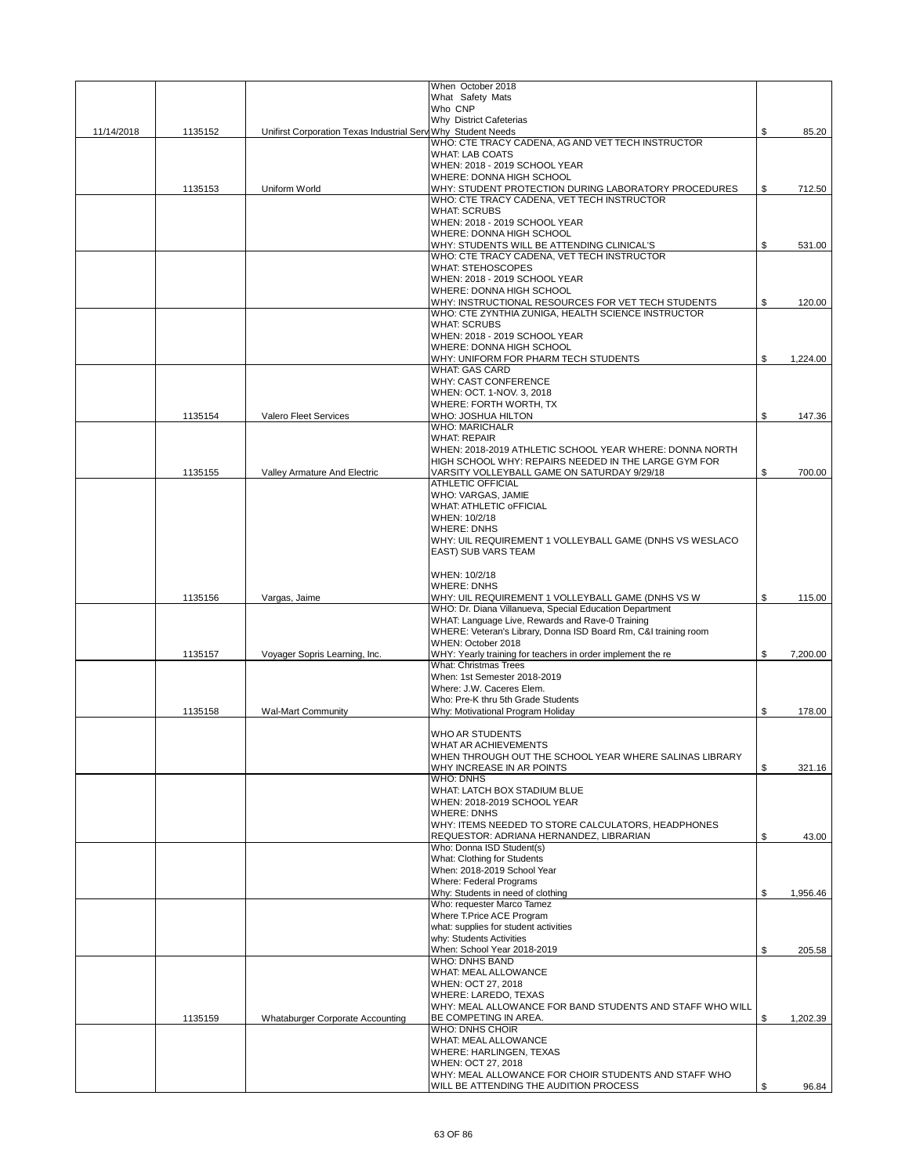|            |         |                                                              | When October 2018<br>What Safety Mats                                                    |                |
|------------|---------|--------------------------------------------------------------|------------------------------------------------------------------------------------------|----------------|
|            |         |                                                              | Who CNP                                                                                  |                |
| 11/14/2018 | 1135152 | Unifirst Corporation Texas Industrial Serv Why Student Needs | Why District Cafeterias                                                                  | \$<br>85.20    |
|            |         |                                                              | WHO: CTE TRACY CADENA, AG AND VET TECH INSTRUCTOR<br><b>WHAT: LAB COATS</b>              |                |
|            |         |                                                              | WHEN: 2018 - 2019 SCHOOL YEAR                                                            |                |
|            | 1135153 | Uniform World                                                | WHERE: DONNA HIGH SCHOOL<br>WHY: STUDENT PROTECTION DURING LABORATORY PROCEDURES         | \$<br>712.50   |
|            |         |                                                              | WHO: CTE TRACY CADENA, VET TECH INSTRUCTOR                                               |                |
|            |         |                                                              | <b>WHAT: SCRUBS</b><br>WHEN: 2018 - 2019 SCHOOL YEAR                                     |                |
|            |         |                                                              | WHERE: DONNA HIGH SCHOOL                                                                 |                |
|            |         |                                                              | WHY: STUDENTS WILL BE ATTENDING CLINICAL'S<br>WHO: CTE TRACY CADENA, VET TECH INSTRUCTOR | \$<br>531.00   |
|            |         |                                                              | <b>WHAT: STEHOSCOPES</b>                                                                 |                |
|            |         |                                                              | WHEN: 2018 - 2019 SCHOOL YEAR<br>WHERE: DONNA HIGH SCHOOL                                |                |
|            |         |                                                              | WHY: INSTRUCTIONAL RESOURCES FOR VET TECH STUDENTS                                       | \$<br>120.00   |
|            |         |                                                              | WHO: CTE ZYNTHIA ZUNIGA, HEALTH SCIENCE INSTRUCTOR                                       |                |
|            |         |                                                              | <b>WHAT: SCRUBS</b><br>WHEN: 2018 - 2019 SCHOOL YEAR                                     |                |
|            |         |                                                              | WHERE: DONNA HIGH SCHOOL                                                                 |                |
|            |         |                                                              | WHY: UNIFORM FOR PHARM TECH STUDENTS<br><b>WHAT: GAS CARD</b>                            | \$<br>1,224.00 |
|            |         |                                                              | <b>WHY: CAST CONFERENCE</b>                                                              |                |
|            |         |                                                              | WHEN: OCT. 1-NOV. 3, 2018<br>WHERE: FORTH WORTH, TX                                      |                |
|            | 1135154 | Valero Fleet Services                                        | WHO: JOSHUA HILTON                                                                       | \$<br>147.36   |
|            |         |                                                              | <b>WHO: MARICHALR</b>                                                                    |                |
|            |         |                                                              | <b>WHAT: REPAIR</b><br>WHEN: 2018-2019 ATHLETIC SCHOOL YEAR WHERE: DONNA NORTH           |                |
|            |         |                                                              | HIGH SCHOOL WHY: REPAIRS NEEDED IN THE LARGE GYM FOR                                     |                |
|            | 1135155 | Valley Armature And Electric                                 | VARSITY VOLLEYBALL GAME ON SATURDAY 9/29/18<br><b>ATHLETIC OFFICIAL</b>                  | \$<br>700.00   |
|            |         |                                                              | <b>WHO: VARGAS, JAMIE</b>                                                                |                |
|            |         |                                                              | <b>WHAT: ATHLETIC OFFICIAL</b>                                                           |                |
|            |         |                                                              | WHEN: 10/2/18<br><b>WHERE: DNHS</b>                                                      |                |
|            |         |                                                              | WHY: UIL REQUIREMENT 1 VOLLEYBALL GAME (DNHS VS WESLACO                                  |                |
|            |         |                                                              | EAST) SUB VARS TEAM                                                                      |                |
|            |         |                                                              | WHEN: 10/2/18                                                                            |                |
|            | 1135156 | Vargas, Jaime                                                | <b>WHERE: DNHS</b><br>WHY: UIL REQUIREMENT 1 VOLLEYBALL GAME (DNHS VS W                  | \$<br>115.00   |
|            |         |                                                              | WHO: Dr. Diana Villanueva, Special Education Department                                  |                |
|            |         |                                                              | WHAT: Language Live, Rewards and Rave-0 Training                                         |                |
|            |         |                                                              | WHERE: Veteran's Library, Donna ISD Board Rm, C&I training room<br>WHEN: October 2018    |                |
|            | 1135157 | Voyager Sopris Learning, Inc.                                | WHY: Yearly training for teachers in order implement the re                              | \$<br>7,200.00 |
|            |         |                                                              | <b>What: Christmas Trees</b><br>When: 1st Semester 2018-2019                             |                |
|            |         |                                                              | Where: J.W. Caceres Elem.                                                                |                |
|            | 1135158 | <b>Wal-Mart Community</b>                                    | Who: Pre-K thru 5th Grade Students<br>Why: Motivational Program Holiday                  | \$<br>178.00   |
|            |         |                                                              |                                                                                          |                |
|            |         |                                                              | <b>WHO AR STUDENTS</b><br>WHAT AR ACHIEVEMENTS                                           |                |
|            |         |                                                              | WHEN THROUGH OUT THE SCHOOL YEAR WHERE SALINAS LIBRARY                                   |                |
|            |         |                                                              | WHY INCREASE IN AR POINTS                                                                | \$<br>321.16   |
|            |         |                                                              | <b>WHO: DNHS</b><br>WHAT: LATCH BOX STADIUM BLUE                                         |                |
|            |         |                                                              | WHEN: 2018-2019 SCHOOL YEAR                                                              |                |
|            |         |                                                              | <b>WHERE: DNHS</b><br>WHY: ITEMS NEEDED TO STORE CALCULATORS, HEADPHONES                 |                |
|            |         |                                                              | REQUESTOR: ADRIANA HERNANDEZ, LIBRARIAN                                                  | \$<br>43.00    |
|            |         |                                                              | Who: Donna ISD Student(s)<br>What: Clothing for Students                                 |                |
|            |         |                                                              | When: 2018-2019 School Year                                                              |                |
|            |         |                                                              | <b>Where: Federal Programs</b>                                                           |                |
|            |         |                                                              | Why: Students in need of clothing<br>Who: requester Marco Tamez                          | \$<br>1,956.46 |
|            |         |                                                              | Where T.Price ACE Program                                                                |                |
|            |         |                                                              | what: supplies for student activities<br>why: Students Activities                        |                |
|            |         |                                                              | When: School Year 2018-2019                                                              | \$<br>205.58   |
|            |         |                                                              | <b>WHO: DNHS BAND</b>                                                                    |                |
|            |         |                                                              | WHAT: MEAL ALLOWANCE<br>WHEN: OCT 27, 2018                                               |                |
|            |         |                                                              | WHERE: LAREDO, TEXAS                                                                     |                |
|            | 1135159 | Whataburger Corporate Accounting                             | WHY: MEAL ALLOWANCE FOR BAND STUDENTS AND STAFF WHO WILL<br>BE COMPETING IN AREA.        | \$<br>1,202.39 |
|            |         |                                                              | <b>WHO: DNHS CHOIR</b>                                                                   |                |
|            |         |                                                              | WHAT: MEAL ALLOWANCE<br><b>WHERE: HARLINGEN, TEXAS</b>                                   |                |
|            |         |                                                              | WHEN: OCT 27, 2018                                                                       |                |
|            |         |                                                              | WHY: MEAL ALLOWANCE FOR CHOIR STUDENTS AND STAFF WHO                                     |                |
|            |         |                                                              | WILL BE ATTENDING THE AUDITION PROCESS                                                   | \$<br>96.84    |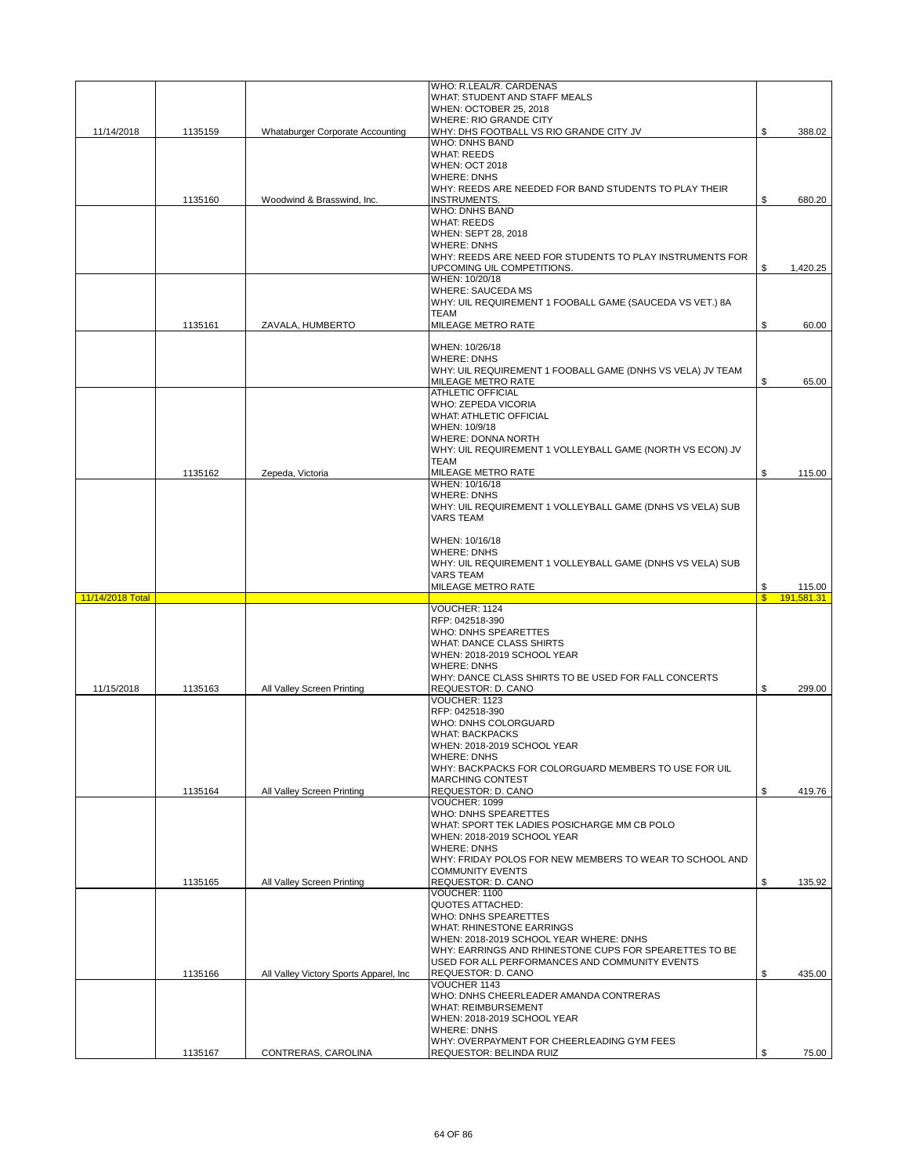|                  |         |                                         | WHO: R.LEAL/R. CARDENAS                                                            |              |            |
|------------------|---------|-----------------------------------------|------------------------------------------------------------------------------------|--------------|------------|
|                  |         |                                         | WHAT: STUDENT AND STAFF MEALS                                                      |              |            |
|                  |         |                                         | WHEN: OCTOBER 25, 2018<br><b>WHERE: RIO GRANDE CITY</b>                            |              |            |
| 11/14/2018       | 1135159 | Whataburger Corporate Accounting        | WHY: DHS FOOTBALL VS RIO GRANDE CITY JV                                            | \$           | 388.02     |
|                  |         |                                         | <b>WHO: DNHS BAND</b>                                                              |              |            |
|                  |         |                                         | <b>WHAT: REEDS</b>                                                                 |              |            |
|                  |         |                                         | <b>WHEN: OCT 2018</b>                                                              |              |            |
|                  |         |                                         | <b>WHERE: DNHS</b>                                                                 |              |            |
|                  |         |                                         | WHY: REEDS ARE NEEDED FOR BAND STUDENTS TO PLAY THEIR                              |              |            |
|                  | 1135160 | Woodwind & Brasswind, Inc.              | <b>INSTRUMENTS.</b>                                                                | \$           | 680.20     |
|                  |         |                                         | <b>WHO: DNHS BAND</b><br><b>WHAT: REEDS</b>                                        |              |            |
|                  |         |                                         | WHEN: SEPT 28, 2018                                                                |              |            |
|                  |         |                                         | <b>WHERE: DNHS</b>                                                                 |              |            |
|                  |         |                                         | WHY: REEDS ARE NEED FOR STUDENTS TO PLAY INSTRUMENTS FOR                           |              |            |
|                  |         |                                         | UPCOMING UIL COMPETITIONS.                                                         | \$           | 1,420.25   |
|                  |         |                                         | WHEN: 10/20/18                                                                     |              |            |
|                  |         |                                         | <b>WHERE: SAUCEDA MS</b>                                                           |              |            |
|                  |         |                                         | WHY: UIL REQUIREMENT 1 FOOBALL GAME (SAUCEDA VS VET.) 8A                           |              |            |
|                  |         |                                         | <b>TEAM</b>                                                                        |              |            |
|                  | 1135161 | ZAVALA, HUMBERTO                        | MILEAGE METRO RATE                                                                 | \$           | 60.00      |
|                  |         |                                         | WHEN: 10/26/18                                                                     |              |            |
|                  |         |                                         | <b>WHERE: DNHS</b>                                                                 |              |            |
|                  |         |                                         | WHY: UIL REQUIREMENT 1 FOOBALL GAME (DNHS VS VELA) JV TEAM                         |              |            |
|                  |         |                                         | MILEAGE METRO RATE                                                                 | \$           | 65.00      |
|                  |         |                                         | <b>ATHLETIC OFFICIAL</b>                                                           |              |            |
|                  |         |                                         | WHO: ZEPEDA VICORIA                                                                |              |            |
|                  |         |                                         | <b>WHAT: ATHLETIC OFFICIAL</b>                                                     |              |            |
|                  |         |                                         | WHEN: 10/9/18                                                                      |              |            |
|                  |         |                                         | <b>WHERE: DONNA NORTH</b>                                                          |              |            |
|                  |         |                                         | WHY: UIL REQUIREMENT 1 VOLLEYBALL GAME (NORTH VS ECON) JV                          |              |            |
|                  |         |                                         | <b>TEAM</b>                                                                        |              |            |
|                  | 1135162 | Zepeda, Victoria                        | MILEAGE METRO RATE                                                                 | \$           | 115.00     |
|                  |         |                                         | WHEN: 10/16/18<br><b>WHERE: DNHS</b>                                               |              |            |
|                  |         |                                         | WHY: UIL REQUIREMENT 1 VOLLEYBALL GAME (DNHS VS VELA) SUB                          |              |            |
|                  |         |                                         | <b>VARS TEAM</b>                                                                   |              |            |
|                  |         |                                         |                                                                                    |              |            |
|                  |         |                                         | WHEN: 10/16/18                                                                     |              |            |
|                  |         |                                         | <b>WHERE: DNHS</b>                                                                 |              |            |
|                  |         |                                         |                                                                                    |              |            |
|                  |         |                                         |                                                                                    |              |            |
|                  |         |                                         | WHY: UIL REQUIREMENT 1 VOLLEYBALL GAME (DNHS VS VELA) SUB<br><b>VARS TEAM</b>      |              |            |
|                  |         |                                         | MILEAGE METRO RATE                                                                 | \$           | 115.00     |
| 11/14/2018 Total |         |                                         |                                                                                    | $\mathbf{s}$ | 191.581.31 |
|                  |         |                                         | VOUCHER: 1124                                                                      |              |            |
|                  |         |                                         | RFP: 042518-390                                                                    |              |            |
|                  |         |                                         | <b>WHO: DNHS SPEARETTES</b>                                                        |              |            |
|                  |         |                                         | <b>WHAT: DANCE CLASS SHIRTS</b>                                                    |              |            |
|                  |         |                                         | WHEN: 2018-2019 SCHOOL YEAR                                                        |              |            |
|                  |         |                                         | <b>WHERE: DNHS</b>                                                                 |              |            |
| 11/15/2018       | 1135163 | All Valley Screen Printing              | WHY: DANCE CLASS SHIRTS TO BE USED FOR FALL CONCERTS<br>REQUESTOR: D. CANO         | \$           | 299.00     |
|                  |         |                                         | VOUCHER: 1123                                                                      |              |            |
|                  |         |                                         | RFP: 042518-390                                                                    |              |            |
|                  |         |                                         | WHO: DNHS COLORGUARD                                                               |              |            |
|                  |         |                                         | <b>WHAT: BACKPACKS</b>                                                             |              |            |
|                  |         |                                         | WHEN: 2018-2019 SCHOOL YEAR                                                        |              |            |
|                  |         |                                         | <b>WHERE: DNHS</b>                                                                 |              |            |
|                  |         |                                         | WHY: BACKPACKS FOR COLORGUARD MEMBERS TO USE FOR UIL                               |              |            |
|                  |         |                                         | <b>MARCHING CONTEST</b>                                                            |              |            |
|                  | 1135164 | All Valley Screen Printing              | REQUESTOR: D. CANO                                                                 | \$           | 419.76     |
|                  |         |                                         | VOUCHER: 1099                                                                      |              |            |
|                  |         |                                         | <b>WHO: DNHS SPEARETTES</b>                                                        |              |            |
|                  |         |                                         | WHAT: SPORT TEK LADIES POSICHARGE MM CB POLO                                       |              |            |
|                  |         |                                         | WHEN: 2018-2019 SCHOOL YEAR                                                        |              |            |
|                  |         |                                         | <b>WHERE: DNHS</b>                                                                 |              |            |
|                  |         |                                         | WHY: FRIDAY POLOS FOR NEW MEMBERS TO WEAR TO SCHOOL AND<br><b>COMMUNITY EVENTS</b> |              |            |
|                  | 1135165 | All Valley Screen Printing              | REQUESTOR: D. CANO                                                                 | \$           | 135.92     |
|                  |         |                                         | VOUCHER: 1100                                                                      |              |            |
|                  |         |                                         | <b>QUOTES ATTACHED:</b>                                                            |              |            |
|                  |         |                                         | WHO: DNHS SPEARETTES                                                               |              |            |
|                  |         |                                         | WHAT: RHINESTONE EARRINGS                                                          |              |            |
|                  |         |                                         | WHEN: 2018-2019 SCHOOL YEAR WHERE: DNHS                                            |              |            |
|                  |         |                                         | WHY: EARRINGS AND RHINESTONE CUPS FOR SPEARETTES TO BE                             |              |            |
|                  |         |                                         | USED FOR ALL PERFORMANCES AND COMMUNITY EVENTS                                     |              |            |
|                  | 1135166 | All Valley Victory Sports Apparel, Inc. | REQUESTOR: D. CANO                                                                 | \$           | 435.00     |
|                  |         |                                         | VOUCHER 1143                                                                       |              |            |
|                  |         |                                         | WHO: DNHS CHEERLEADER AMANDA CONTRERAS<br><b>WHAT: REIMBURSEMENT</b>               |              |            |
|                  |         |                                         | WHEN: 2018-2019 SCHOOL YEAR                                                        |              |            |
|                  |         |                                         | <b>WHERE: DNHS</b>                                                                 |              |            |
|                  |         |                                         | WHY: OVERPAYMENT FOR CHEERLEADING GYM FEES                                         |              |            |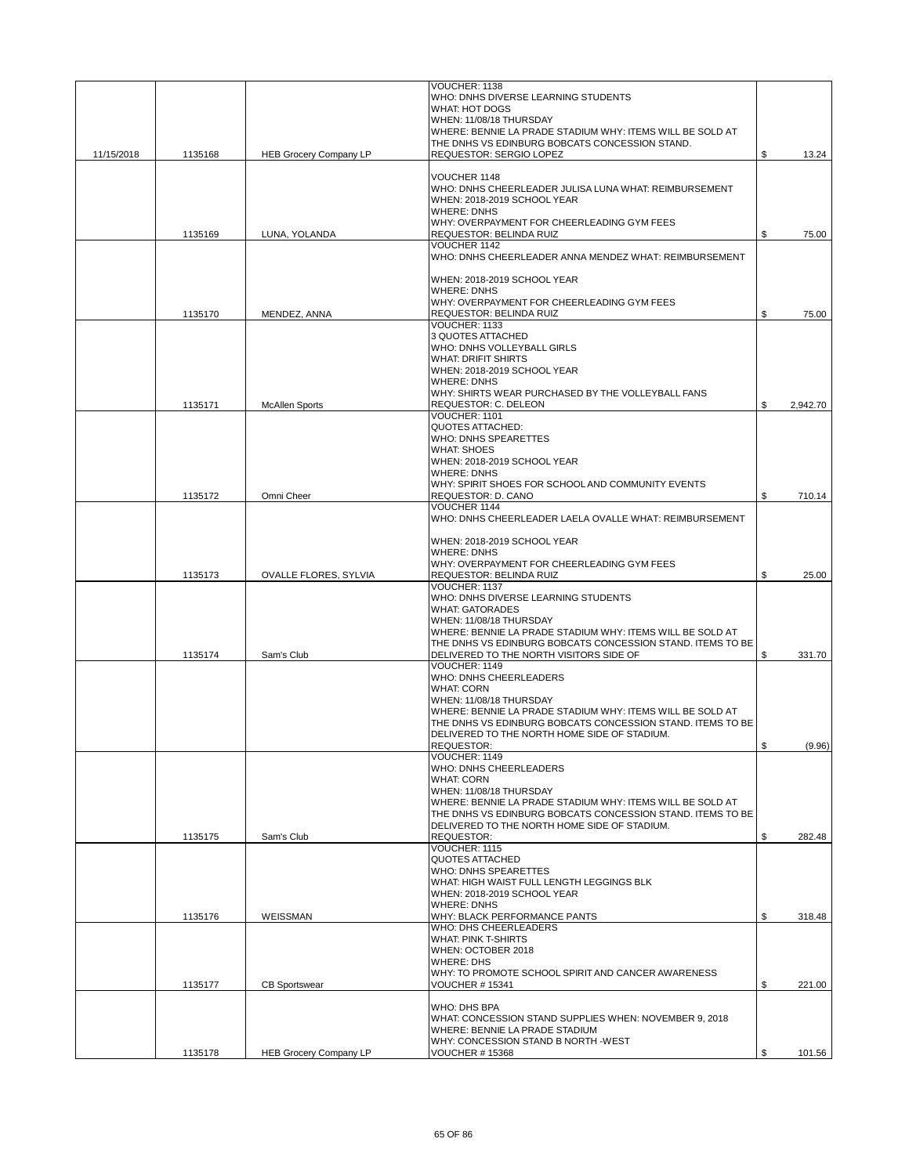|            |         |                               | VOUCHER: 1138                                                                                                           |                |
|------------|---------|-------------------------------|-------------------------------------------------------------------------------------------------------------------------|----------------|
|            |         |                               | WHO: DNHS DIVERSE LEARNING STUDENTS                                                                                     |                |
|            |         |                               | <b>WHAT: HOT DOGS</b><br>WHEN: 11/08/18 THURSDAY                                                                        |                |
|            |         |                               | WHERE: BENNIE LA PRADE STADIUM WHY: ITEMS WILL BE SOLD AT                                                               |                |
|            |         |                               | THE DNHS VS EDINBURG BOBCATS CONCESSION STAND.                                                                          |                |
| 11/15/2018 | 1135168 | <b>HEB Grocery Company LP</b> | <b>REQUESTOR: SERGIO LOPEZ</b>                                                                                          | \$<br>13.24    |
|            |         |                               | VOUCHER 1148                                                                                                            |                |
|            |         |                               | WHO: DNHS CHEERLEADER JULISA LUNA WHAT: REIMBURSEMENT                                                                   |                |
|            |         |                               | WHEN: 2018-2019 SCHOOL YEAR                                                                                             |                |
|            |         |                               | <b>WHERE: DNHS</b>                                                                                                      |                |
|            |         |                               | WHY: OVERPAYMENT FOR CHEERLEADING GYM FEES                                                                              |                |
|            | 1135169 | LUNA, YOLANDA                 | REQUESTOR: BELINDA RUIZ<br>VOUCHER 1142                                                                                 | \$<br>75.00    |
|            |         |                               | WHO: DNHS CHEERLEADER ANNA MENDEZ WHAT: REIMBURSEMENT                                                                   |                |
|            |         |                               |                                                                                                                         |                |
|            |         |                               | WHEN: 2018-2019 SCHOOL YEAR                                                                                             |                |
|            |         |                               | <b>WHERE: DNHS</b><br>WHY: OVERPAYMENT FOR CHEERLEADING GYM FEES                                                        |                |
|            | 1135170 | MENDEZ, ANNA                  | REQUESTOR: BELINDA RUIZ                                                                                                 | \$<br>75.00    |
|            |         |                               | VOUCHER: 1133                                                                                                           |                |
|            |         |                               | 3 QUOTES ATTACHED                                                                                                       |                |
|            |         |                               | WHO: DNHS VOLLEYBALL GIRLS                                                                                              |                |
|            |         |                               | <b>WHAT: DRIFIT SHIRTS</b><br>WHEN: 2018-2019 SCHOOL YEAR                                                               |                |
|            |         |                               | <b>WHERE: DNHS</b>                                                                                                      |                |
|            |         |                               | WHY: SHIRTS WEAR PURCHASED BY THE VOLLEYBALL FANS                                                                       |                |
|            | 1135171 | <b>McAllen Sports</b>         | REQUESTOR: C. DELEON                                                                                                    | \$<br>2,942.70 |
|            |         |                               | VOUCHER: 1101<br><b>QUOTES ATTACHED:</b>                                                                                |                |
|            |         |                               | WHO: DNHS SPEARETTES                                                                                                    |                |
|            |         |                               | <b>WHAT: SHOES</b>                                                                                                      |                |
|            |         |                               | WHEN: 2018-2019 SCHOOL YEAR                                                                                             |                |
|            |         |                               | <b>WHERE: DNHS</b>                                                                                                      |                |
|            | 1135172 | Omni Cheer                    | WHY: SPIRIT SHOES FOR SCHOOL AND COMMUNITY EVENTS<br>REQUESTOR: D. CANO                                                 | \$<br>710.14   |
|            |         |                               | VOUCHER 1144                                                                                                            |                |
|            |         |                               | WHO: DNHS CHEERLEADER LAELA OVALLE WHAT: REIMBURSEMENT                                                                  |                |
|            |         |                               |                                                                                                                         |                |
|            |         |                               | WHEN: 2018-2019 SCHOOL YEAR                                                                                             |                |
|            |         |                               | <b>WHERE: DNHS</b><br>WHY: OVERPAYMENT FOR CHEERLEADING GYM FEES                                                        |                |
|            | 1135173 | OVALLE FLORES, SYLVIA         | REQUESTOR: BELINDA RUIZ                                                                                                 | \$<br>25.00    |
|            |         |                               | VOUCHER: 1137                                                                                                           |                |
|            |         |                               | WHO: DNHS DIVERSE LEARNING STUDENTS                                                                                     |                |
|            |         |                               | <b>WHAT: GATORADES</b><br>WHEN: 11/08/18 THURSDAY                                                                       |                |
|            |         |                               | WHERE: BENNIE LA PRADE STADIUM WHY: ITEMS WILL BE SOLD AT                                                               |                |
|            |         |                               | THE DNHS VS EDINBURG BOBCATS CONCESSION STAND. ITEMS TO BE                                                              |                |
|            | 1135174 | Sam's Club                    | DELIVERED TO THE NORTH VISITORS SIDE OF                                                                                 | \$<br>331.70   |
|            |         |                               | VOUCHER: 1149                                                                                                           |                |
|            |         |                               | WHO: DNHS CHEERLEADERS<br><b>WHAT: CORN</b>                                                                             |                |
|            |         |                               | WHEN: 11/08/18 THURSDAY                                                                                                 |                |
|            |         |                               | WHERE: BENNIE LA PRADE STADIUM WHY: ITEMS WILL BE SOLD AT                                                               |                |
|            |         |                               | THE DNHS VS EDINBURG BOBCATS CONCESSION STAND. ITEMS TO BE                                                              |                |
|            |         |                               | DELIVERED TO THE NORTH HOME SIDE OF STADIUM.                                                                            |                |
|            |         |                               | REQUESTOR:<br>VOUCHER: 1149                                                                                             | \$<br>(9.96)   |
|            |         |                               | WHO: DNHS CHEERLEADERS                                                                                                  |                |
|            |         |                               | <b>WHAT: CORN</b>                                                                                                       |                |
|            |         |                               | WHEN: 11/08/18 THURSDAY                                                                                                 |                |
|            |         |                               | WHERE: BENNIE LA PRADE STADIUM WHY: ITEMS WILL BE SOLD AT<br>THE DNHS VS EDINBURG BOBCATS CONCESSION STAND. ITEMS TO BE |                |
|            |         |                               | DELIVERED TO THE NORTH HOME SIDE OF STADIUM.                                                                            |                |
|            | 1135175 | Sam's Club                    | <b>REQUESTOR:</b>                                                                                                       | \$<br>282.48   |
|            |         |                               | VOUCHER: 1115                                                                                                           |                |
|            |         |                               | <b>QUOTES ATTACHED</b><br>WHO: DNHS SPEARETTES                                                                          |                |
|            |         |                               | WHAT: HIGH WAIST FULL LENGTH LEGGINGS BLK                                                                               |                |
|            |         |                               | WHEN: 2018-2019 SCHOOL YEAR                                                                                             |                |
|            |         |                               | <b>WHERE: DNHS</b>                                                                                                      |                |
|            | 1135176 | WEISSMAN                      | WHY: BLACK PERFORMANCE PANTS                                                                                            | \$<br>318.48   |
|            |         |                               | WHO: DHS CHEERLEADERS<br><b>WHAT: PINK T-SHIRTS</b>                                                                     |                |
|            |         |                               | WHEN: OCTOBER 2018                                                                                                      |                |
|            |         |                               | <b>WHERE: DHS</b>                                                                                                       |                |
|            |         |                               | WHY: TO PROMOTE SCHOOL SPIRIT AND CANCER AWARENESS                                                                      |                |
|            | 1135177 | <b>CB Sportswear</b>          | <b>VOUCHER #15341</b>                                                                                                   | \$<br>221.00   |
|            |         |                               | WHO: DHS BPA                                                                                                            |                |
|            |         |                               | WHAT: CONCESSION STAND SUPPLIES WHEN: NOVEMBER 9, 2018                                                                  |                |
|            |         |                               | WHERE: BENNIE LA PRADE STADIUM                                                                                          |                |
|            |         |                               | WHY: CONCESSION STAND B NORTH -WEST                                                                                     |                |
|            | 1135178 | <b>HEB Grocery Company LP</b> | <b>VOUCHER #15368</b>                                                                                                   | \$<br>101.56   |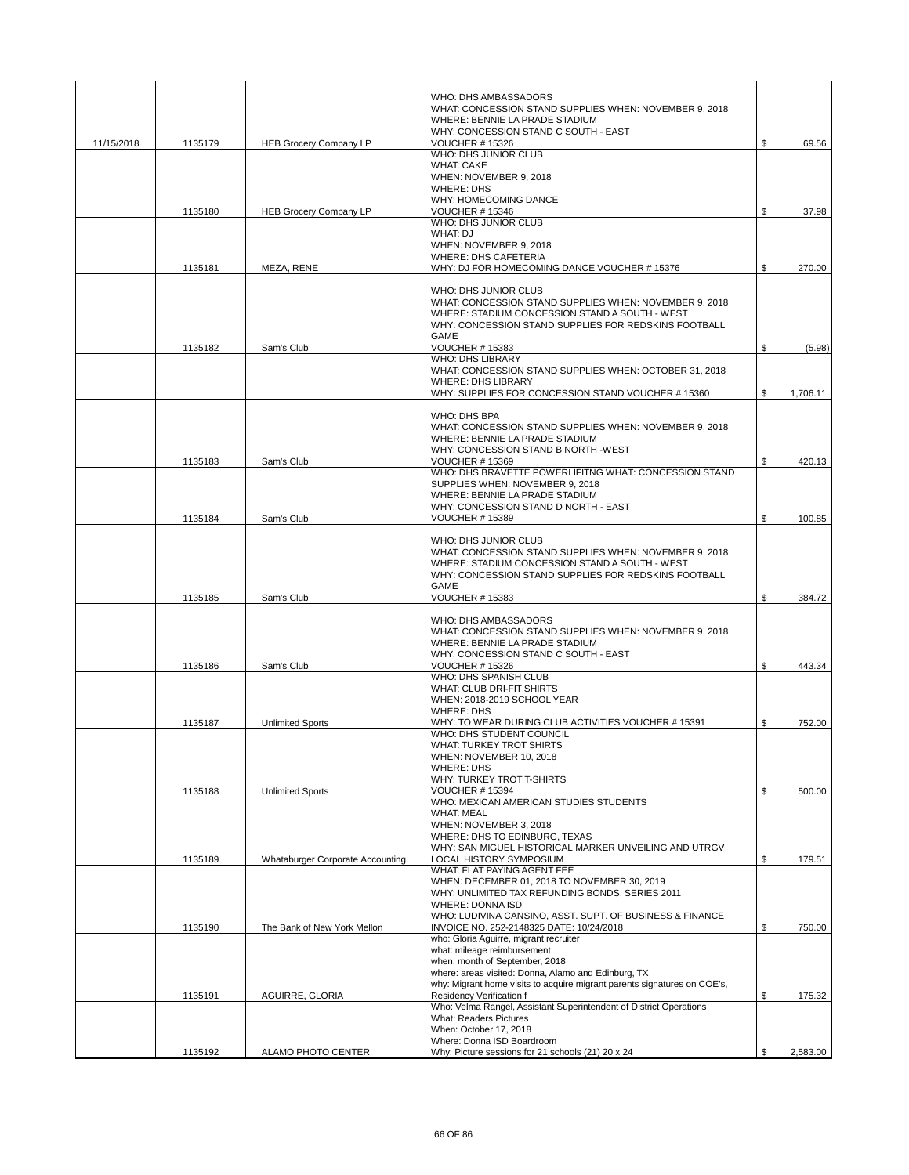|            |         |                                  | WHO: DHS AMBASSADORS<br>WHAT: CONCESSION STAND SUPPLIES WHEN: NOVEMBER 9, 2018                                                                                                                                                                                         |                |
|------------|---------|----------------------------------|------------------------------------------------------------------------------------------------------------------------------------------------------------------------------------------------------------------------------------------------------------------------|----------------|
|            |         |                                  | WHERE: BENNIE LA PRADE STADIUM<br>WHY: CONCESSION STAND C SOUTH - EAST                                                                                                                                                                                                 |                |
| 11/15/2018 | 1135179 | <b>HEB Grocery Company LP</b>    | <b>VOUCHER #15326</b><br><b>WHO: DHS JUNIOR CLUB</b>                                                                                                                                                                                                                   | \$<br>69.56    |
|            |         |                                  | <b>WHAT: CAKE</b>                                                                                                                                                                                                                                                      |                |
|            |         |                                  | WHEN: NOVEMBER 9, 2018<br><b>WHERE: DHS</b>                                                                                                                                                                                                                            |                |
|            | 1135180 | <b>HEB Grocery Company LP</b>    | WHY: HOMECOMING DANCE<br><b>VOUCHER #15346</b>                                                                                                                                                                                                                         | \$<br>37.98    |
|            |         |                                  | WHO: DHS JUNIOR CLUB                                                                                                                                                                                                                                                   |                |
|            |         |                                  | WHAT: DJ<br>WHEN: NOVEMBER 9, 2018                                                                                                                                                                                                                                     |                |
|            |         |                                  | <b>WHERE: DHS CAFETERIA</b>                                                                                                                                                                                                                                            |                |
|            | 1135181 | MEZA, RENE                       | WHY: DJ FOR HOMECOMING DANCE VOUCHER #15376                                                                                                                                                                                                                            | \$<br>270.00   |
|            |         |                                  | WHO: DHS JUNIOR CLUB<br>WHAT: CONCESSION STAND SUPPLIES WHEN: NOVEMBER 9, 2018<br>WHERE: STADIUM CONCESSION STAND A SOUTH - WEST<br>WHY: CONCESSION STAND SUPPLIES FOR REDSKINS FOOTBALL<br><b>GAME</b>                                                                |                |
|            | 1135182 | Sam's Club                       | <b>VOUCHER #15383</b>                                                                                                                                                                                                                                                  | \$<br>(5.98)   |
|            |         |                                  | <b>WHO: DHS LIBRARY</b><br>WHAT: CONCESSION STAND SUPPLIES WHEN: OCTOBER 31, 2018                                                                                                                                                                                      |                |
|            |         |                                  | <b>WHERE: DHS LIBRARY</b>                                                                                                                                                                                                                                              |                |
|            |         |                                  | WHY: SUPPLIES FOR CONCESSION STAND VOUCHER #15360                                                                                                                                                                                                                      | \$<br>1,706.11 |
|            |         |                                  | WHO: DHS BPA<br>WHAT: CONCESSION STAND SUPPLIES WHEN: NOVEMBER 9, 2018<br>WHERE: BENNIE LA PRADE STADIUM<br>WHY: CONCESSION STAND B NORTH -WEST                                                                                                                        |                |
|            | 1135183 | Sam's Club                       | <b>VOUCHER #15369</b><br>WHO: DHS BRAVETTE POWERLIFITNG WHAT: CONCESSION STAND                                                                                                                                                                                         | \$<br>420.13   |
|            |         |                                  | SUPPLIES WHEN: NOVEMBER 9, 2018<br>WHERE: BENNIE LA PRADE STADIUM                                                                                                                                                                                                      |                |
|            |         |                                  | WHY: CONCESSION STAND D NORTH - EAST                                                                                                                                                                                                                                   |                |
|            | 1135184 | Sam's Club                       | <b>VOUCHER #15389</b>                                                                                                                                                                                                                                                  | \$<br>100.85   |
|            |         |                                  | WHO: DHS JUNIOR CLUB<br>WHAT: CONCESSION STAND SUPPLIES WHEN: NOVEMBER 9, 2018<br>WHERE: STADIUM CONCESSION STAND A SOUTH - WEST<br>WHY: CONCESSION STAND SUPPLIES FOR REDSKINS FOOTBALL<br>GAME                                                                       |                |
|            | 1135185 | Sam's Club                       | <b>VOUCHER #15383</b>                                                                                                                                                                                                                                                  | \$<br>384.72   |
|            | 1135186 | Sam's Club                       | WHO: DHS AMBASSADORS<br>WHAT: CONCESSION STAND SUPPLIES WHEN: NOVEMBER 9, 2018<br>WHERE: BENNIE LA PRADE STADIUM<br>WHY: CONCESSION STAND C SOUTH - EAST<br><b>VOUCHER #15326</b><br>WHO: DHS SPANISH CLUB<br>WHAT: CLUB DRI-FIT SHIRTS<br>WHEN: 2018-2019 SCHOOL YEAR | \$<br>443.34   |
|            |         |                                  | <b>WHERE: DHS</b>                                                                                                                                                                                                                                                      |                |
|            | 1135187 | <b>Unlimited Sports</b>          | WHY: TO WEAR DURING CLUB ACTIVITIES VOUCHER #15391<br>WHO: DHS STUDENT COUNCIL                                                                                                                                                                                         | \$<br>752.00   |
|            |         |                                  | WHAT: TURKEY TROT SHIRTS<br>WHEN: NOVEMBER 10, 2018<br><b>WHERE: DHS</b><br>WHY: TURKEY TROT T-SHIRTS                                                                                                                                                                  |                |
|            | 1135188 | <b>Unlimited Sports</b>          | <b>VOUCHER #15394</b><br>WHO: MEXICAN AMERICAN STUDIES STUDENTS                                                                                                                                                                                                        | \$<br>500.00   |
|            |         |                                  | <b>WHAT: MEAL</b><br>WHEN: NOVEMBER 3, 2018<br>WHERE: DHS TO EDINBURG, TEXAS<br>WHY: SAN MIGUEL HISTORICAL MARKER UNVEILING AND UTRGV                                                                                                                                  |                |
|            | 1135189 | Whataburger Corporate Accounting | LOCAL HISTORY SYMPOSIUM<br>WHAT: FLAT PAYING AGENT FEE                                                                                                                                                                                                                 | \$<br>179.51   |
|            |         |                                  | WHEN: DECEMBER 01, 2018 TO NOVEMBER 30, 2019<br>WHY: UNLIMITED TAX REFUNDING BONDS, SERIES 2011<br><b>WHERE: DONNA ISD</b><br>WHO: LUDIVINA CANSINO, ASST. SUPT. OF BUSINESS & FINANCE                                                                                 |                |
|            | 1135190 | The Bank of New York Mellon      | INVOICE NO. 252-2148325 DATE: 10/24/2018                                                                                                                                                                                                                               | \$<br>750.00   |
|            |         |                                  | who: Gloria Aguirre, migrant recruiter<br>what: mileage reimbursement<br>when: month of September, 2018<br>where: areas visited: Donna, Alamo and Edinburg, TX<br>why: Migrant home visits to acquire migrant parents signatures on COE's,                             |                |
|            | 1135191 | AGUIRRE, GLORIA                  | Residency Verification f<br>Who: Velma Rangel, Assistant Superintendent of District Operations                                                                                                                                                                         | \$<br>175.32   |
|            |         |                                  | What: Readers Pictures<br>When: October 17, 2018<br>Where: Donna ISD Boardroom                                                                                                                                                                                         |                |
|            | 1135192 | ALAMO PHOTO CENTER               | Why: Picture sessions for 21 schools (21) 20 x 24                                                                                                                                                                                                                      | \$<br>2,583.00 |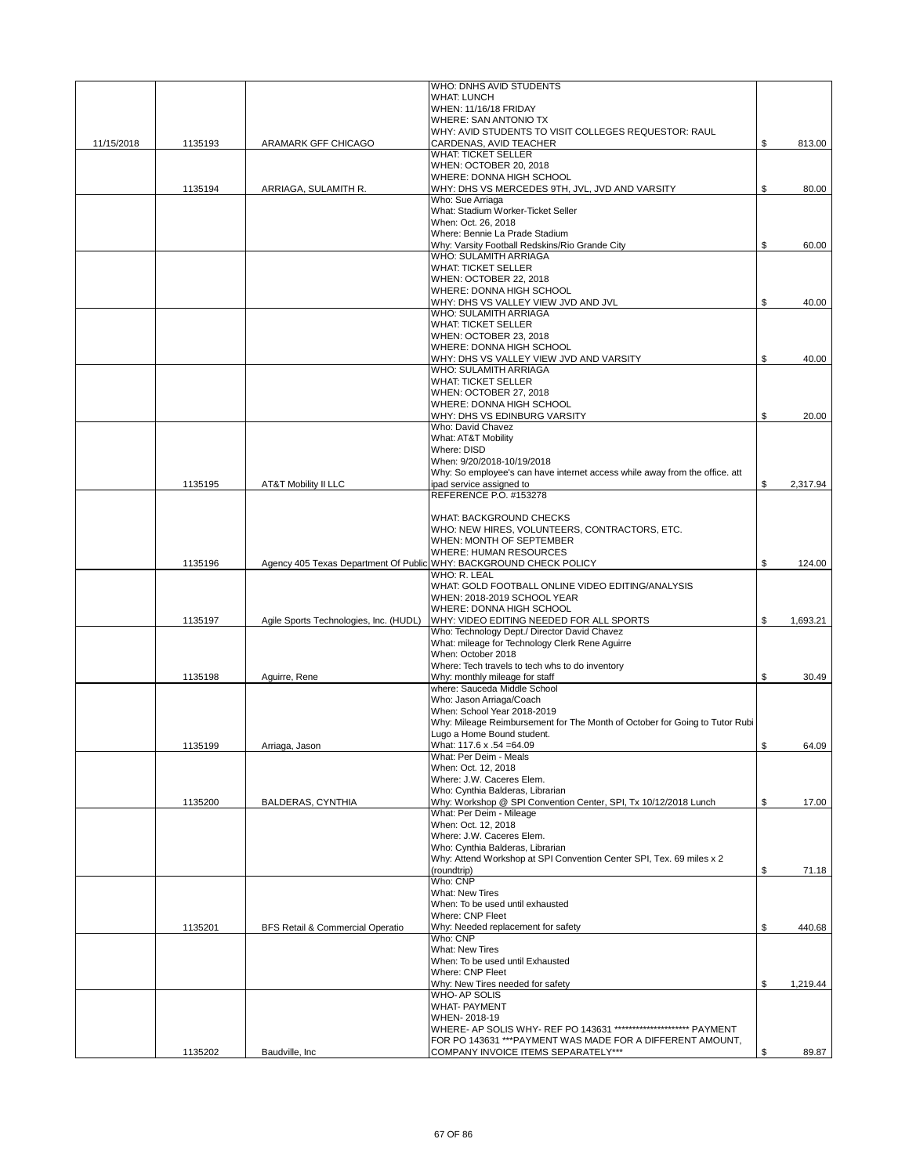|            |         |                                        | WHO: DNHS AVID STUDENTS                                                                                                         |     |          |
|------------|---------|----------------------------------------|---------------------------------------------------------------------------------------------------------------------------------|-----|----------|
|            |         |                                        | <b>WHAT: LUNCH</b>                                                                                                              |     |          |
|            |         |                                        | WHEN: 11/16/18 FRIDAY<br><b>WHERE: SAN ANTONIO TX</b>                                                                           |     |          |
|            |         |                                        | WHY: AVID STUDENTS TO VISIT COLLEGES REQUESTOR: RAUL                                                                            |     |          |
| 11/15/2018 | 1135193 | ARAMARK GFF CHICAGO                    | CARDENAS, AVID TEACHER                                                                                                          | \$  | 813.00   |
|            |         |                                        | <b>WHAT: TICKET SELLER</b>                                                                                                      |     |          |
|            |         |                                        | WHEN: OCTOBER 20, 2018<br>WHERE: DONNA HIGH SCHOOL                                                                              |     |          |
|            | 1135194 | ARRIAGA, SULAMITH R.                   | WHY: DHS VS MERCEDES 9TH, JVL, JVD AND VARSITY                                                                                  | \$  | 80.00    |
|            |         |                                        | Who: Sue Arriaga                                                                                                                |     |          |
|            |         |                                        | What: Stadium Worker-Ticket Seller                                                                                              |     |          |
|            |         |                                        | When: Oct. 26, 2018                                                                                                             |     |          |
|            |         |                                        | Where: Bennie La Prade Stadium                                                                                                  |     |          |
|            |         |                                        | Why: Varsity Football Redskins/Rio Grande City<br>WHO: SULAMITH ARRIAGA                                                         | \$  | 60.00    |
|            |         |                                        | <b>WHAT: TICKET SELLER</b>                                                                                                      |     |          |
|            |         |                                        | WHEN: OCTOBER 22, 2018                                                                                                          |     |          |
|            |         |                                        | WHERE: DONNA HIGH SCHOOL                                                                                                        |     |          |
|            |         |                                        | WHY: DHS VS VALLEY VIEW JVD AND JVL                                                                                             | \$  | 40.00    |
|            |         |                                        | WHO: SULAMITH ARRIAGA                                                                                                           |     |          |
|            |         |                                        | <b>WHAT: TICKET SELLER</b><br>WHEN: OCTOBER 23, 2018                                                                            |     |          |
|            |         |                                        | WHERE: DONNA HIGH SCHOOL                                                                                                        |     |          |
|            |         |                                        | WHY: DHS VS VALLEY VIEW JVD AND VARSITY                                                                                         | \$  | 40.00    |
|            |         |                                        | WHO: SULAMITH ARRIAGA                                                                                                           |     |          |
|            |         |                                        | <b>WHAT: TICKET SELLER</b>                                                                                                      |     |          |
|            |         |                                        | WHEN: OCTOBER 27, 2018                                                                                                          |     |          |
|            |         |                                        | WHERE: DONNA HIGH SCHOOL                                                                                                        |     |          |
|            |         |                                        | WHY: DHS VS EDINBURG VARSITY<br>Who: David Chavez                                                                               | \$  | 20.00    |
|            |         |                                        | What: AT&T Mobility                                                                                                             |     |          |
|            |         |                                        | Where: DISD                                                                                                                     |     |          |
|            |         |                                        | When: 9/20/2018-10/19/2018                                                                                                      |     |          |
|            |         |                                        | Why: So employee's can have internet access while away from the office. att                                                     |     |          |
|            | 1135195 | <b>AT&amp;T Mobility II LLC</b>        | ipad service assigned to                                                                                                        | \$  | 2,317.94 |
|            |         |                                        | REFERENCE P.O. #153278                                                                                                          |     |          |
|            |         |                                        | WHAT: BACKGROUND CHECKS                                                                                                         |     |          |
|            |         |                                        | WHO: NEW HIRES, VOLUNTEERS, CONTRACTORS, ETC.                                                                                   |     |          |
|            |         |                                        | WHEN: MONTH OF SEPTEMBER                                                                                                        |     |          |
|            |         |                                        | <b>WHERE: HUMAN RESOURCES</b>                                                                                                   |     |          |
|            | 1135196 |                                        | Agency 405 Texas Department Of Public WHY: BACKGROUND CHECK POLICY                                                              | \$  | 124.00   |
|            |         |                                        | WHO: R. LEAL                                                                                                                    |     |          |
|            |         |                                        | WHAT: GOLD FOOTBALL ONLINE VIDEO EDITING/ANALYSIS<br>WHEN: 2018-2019 SCHOOL YEAR                                                |     |          |
|            |         |                                        | WHERE: DONNA HIGH SCHOOL                                                                                                        |     |          |
|            | 1135197 | Agile Sports Technologies, Inc. (HUDL) | WHY: VIDEO EDITING NEEDED FOR ALL SPORTS                                                                                        | \$  | 1,693.21 |
|            |         |                                        | Who: Technology Dept./ Director David Chavez                                                                                    |     |          |
|            |         |                                        | What: mileage for Technology Clerk Rene Aguirre                                                                                 |     |          |
|            |         |                                        | When: October 2018                                                                                                              |     |          |
|            |         |                                        | Where: Tech travels to tech whs to do inventory                                                                                 |     |          |
|            |         |                                        |                                                                                                                                 |     |          |
|            | 1135198 | Aguirre, Rene                          | Why: monthly mileage for staff                                                                                                  | \$  | 30.49    |
|            |         |                                        | where: Sauceda Middle School                                                                                                    |     |          |
|            |         |                                        | Who: Jason Arriaga/Coach<br>When: School Year 2018-2019                                                                         |     |          |
|            |         |                                        | Why: Mileage Reimbursement for The Month of October for Going to Tutor Rubi                                                     |     |          |
|            |         |                                        | Lugo a Home Bound student.                                                                                                      |     |          |
|            | 1135199 | Arriaga, Jason                         | What: 117.6 x .54 = 64.09                                                                                                       | \$  | 64.09    |
|            |         |                                        | What: Per Deim - Meals                                                                                                          |     |          |
|            |         |                                        | When: Oct. 12, 2018                                                                                                             |     |          |
|            |         |                                        | Where: J.W. Caceres Elem.<br>Who: Cynthia Balderas, Librarian                                                                   |     |          |
|            | 1135200 | BALDERAS, CYNTHIA                      | Why: Workshop @ SPI Convention Center, SPI, Tx 10/12/2018 Lunch                                                                 | \$  | 17.00    |
|            |         |                                        | What: Per Deim - Mileage                                                                                                        |     |          |
|            |         |                                        | When: Oct. 12, 2018                                                                                                             |     |          |
|            |         |                                        | Where: J.W. Caceres Elem.                                                                                                       |     |          |
|            |         |                                        | Who: Cynthia Balderas, Librarian                                                                                                |     |          |
|            |         |                                        | Why: Attend Workshop at SPI Convention Center SPI, Tex. 69 miles x 2                                                            |     |          |
|            |         |                                        | (roundtrip)<br>Who: CNP                                                                                                         | \$  | 71.18    |
|            |         |                                        | <b>What: New Tires</b>                                                                                                          |     |          |
|            |         |                                        | When: To be used until exhausted                                                                                                |     |          |
|            |         |                                        | Where: CNP Fleet                                                                                                                |     |          |
|            | 1135201 | BFS Retail & Commercial Operatio       | Why: Needed replacement for safety                                                                                              | \$  | 440.68   |
|            |         |                                        | Who: CNP                                                                                                                        |     |          |
|            |         |                                        | <b>What: New Tires</b>                                                                                                          |     |          |
|            |         |                                        | When: To be used until Exhausted<br>Where: CNP Fleet                                                                            |     |          |
|            |         |                                        | Why: New Tires needed for safety                                                                                                | \$. | 1,219.44 |
|            |         |                                        | WHO-AP SOLIS                                                                                                                    |     |          |
|            |         |                                        | <b>WHAT- PAYMENT</b>                                                                                                            |     |          |
|            |         |                                        | WHEN-2018-19                                                                                                                    |     |          |
|            |         |                                        | WHERE- AP SOLIS WHY- REF PO 143631 ********************** PAYMENT<br>FOR PO 143631 *** PAYMENT WAS MADE FOR A DIFFERENT AMOUNT, |     |          |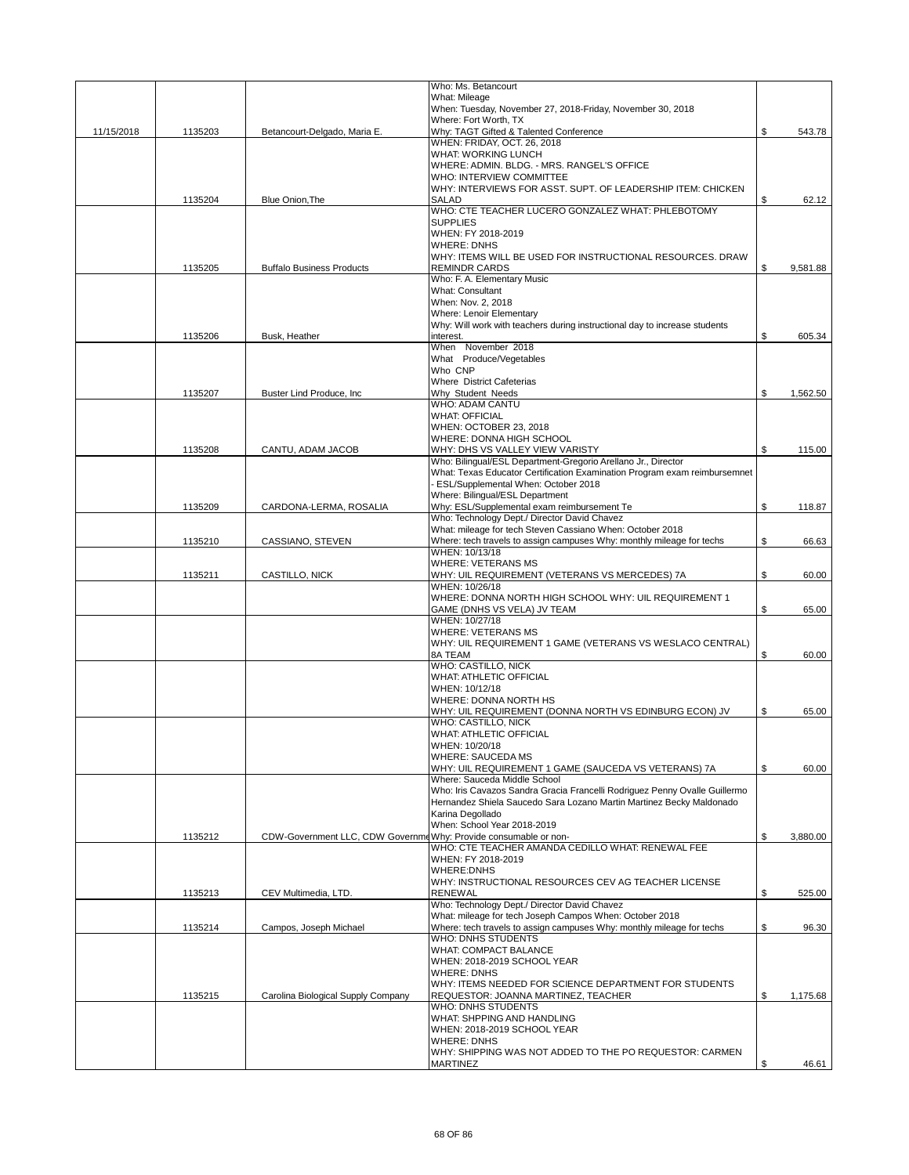|            |         |                                                                 | Who: Ms. Betancourt                                                                                           |                |
|------------|---------|-----------------------------------------------------------------|---------------------------------------------------------------------------------------------------------------|----------------|
|            |         |                                                                 | What: Mileage                                                                                                 |                |
|            |         |                                                                 | When: Tuesday, November 27, 2018-Friday, November 30, 2018<br>Where: Fort Worth, TX                           |                |
| 11/15/2018 | 1135203 | Betancourt-Delgado, Maria E.                                    | Why: TAGT Gifted & Talented Conference                                                                        | \$<br>543.78   |
|            |         |                                                                 | WHEN: FRIDAY, OCT. 26, 2018                                                                                   |                |
|            |         |                                                                 | WHAT: WORKING LUNCH                                                                                           |                |
|            |         |                                                                 | WHERE: ADMIN. BLDG. - MRS. RANGEL'S OFFICE                                                                    |                |
|            |         |                                                                 | WHO: INTERVIEW COMMITTEE                                                                                      |                |
|            |         |                                                                 | WHY: INTERVIEWS FOR ASST. SUPT. OF LEADERSHIP ITEM: CHICKEN                                                   |                |
|            | 1135204 | Blue Onion, The                                                 | <b>SALAD</b>                                                                                                  | \$<br>62.12    |
|            |         |                                                                 | WHO: CTE TEACHER LUCERO GONZALEZ WHAT: PHLEBOTOMY<br><b>SUPPLIES</b>                                          |                |
|            |         |                                                                 | WHEN: FY 2018-2019                                                                                            |                |
|            |         |                                                                 | <b>WHERE: DNHS</b>                                                                                            |                |
|            |         |                                                                 | WHY: ITEMS WILL BE USED FOR INSTRUCTIONAL RESOURCES. DRAW                                                     |                |
|            | 1135205 | <b>Buffalo Business Products</b>                                | <b>REMINDR CARDS</b>                                                                                          | \$<br>9,581.88 |
|            |         |                                                                 | Who: F. A. Elementary Music                                                                                   |                |
|            |         |                                                                 | <b>What: Consultant</b>                                                                                       |                |
|            |         |                                                                 | When: Nov. 2, 2018                                                                                            |                |
|            |         |                                                                 | <b>Where: Lenoir Elementary</b><br>Why: Will work with teachers during instructional day to increase students |                |
|            | 1135206 | Busk, Heather                                                   | interest.                                                                                                     | \$<br>605.34   |
|            |         |                                                                 | When November 2018                                                                                            |                |
|            |         |                                                                 | What Produce/Vegetables                                                                                       |                |
|            |         |                                                                 | Who CNP                                                                                                       |                |
|            |         |                                                                 | <b>Where District Cafeterias</b>                                                                              |                |
|            | 1135207 | Buster Lind Produce, Inc.                                       | Why Student Needs                                                                                             | \$<br>1,562.50 |
|            |         |                                                                 | <b>WHO: ADAM CANTU</b>                                                                                        |                |
|            |         |                                                                 | <b>WHAT: OFFICIAL</b>                                                                                         |                |
|            |         |                                                                 | WHEN: OCTOBER 23, 2018                                                                                        |                |
|            | 1135208 | CANTU, ADAM JACOB                                               | WHERE: DONNA HIGH SCHOOL<br>WHY: DHS VS VALLEY VIEW VARISTY                                                   | \$             |
|            |         |                                                                 | Who: Bilingual/ESL Department-Gregorio Arellano Jr., Director                                                 | 115.00         |
|            |         |                                                                 | What: Texas Educator Certification Examination Program exam reimbursemnet                                     |                |
|            |         |                                                                 | - ESL/Supplemental When: October 2018                                                                         |                |
|            |         |                                                                 | Where: Bilingual/ESL Department                                                                               |                |
|            | 1135209 | CARDONA-LERMA, ROSALIA                                          | Why: ESL/Supplemental exam reimbursement Te                                                                   | \$<br>118.87   |
|            |         |                                                                 | Who: Technology Dept./ Director David Chavez                                                                  |                |
|            |         |                                                                 | What: mileage for tech Steven Cassiano When: October 2018                                                     |                |
|            | 1135210 | CASSIANO, STEVEN                                                | Where: tech travels to assign campuses Why: monthly mileage for techs                                         | \$<br>66.63    |
|            |         |                                                                 | WHEN: 10/13/18                                                                                                |                |
|            | 1135211 | CASTILLO, NICK                                                  | <b>WHERE: VETERANS MS</b><br>WHY: UIL REQUIREMENT (VETERANS VS MERCEDES) 7A                                   | \$<br>60.00    |
|            |         |                                                                 | WHEN: 10/26/18                                                                                                |                |
|            |         |                                                                 | WHERE: DONNA NORTH HIGH SCHOOL WHY: UIL REQUIREMENT 1                                                         |                |
|            |         |                                                                 | GAME (DNHS VS VELA) JV TEAM                                                                                   | \$<br>65.00    |
|            |         |                                                                 | WHEN: 10/27/18                                                                                                |                |
|            |         |                                                                 | <b>WHERE: VETERANS MS</b>                                                                                     |                |
|            |         |                                                                 | WHY: UIL REQUIREMENT 1 GAME (VETERANS VS WESLACO CENTRAL)                                                     |                |
|            |         |                                                                 | 8A TEAM                                                                                                       | \$<br>60.00    |
|            |         |                                                                 | <b>WHO: CASTILLO, NICK</b>                                                                                    |                |
|            |         |                                                                 | <b>WHAT: ATHLETIC OFFICIAL</b>                                                                                |                |
|            |         |                                                                 | WHEN: 10/12/18<br>WHERE: DONNA NORTH HS                                                                       |                |
|            |         |                                                                 | WHY: UIL REQUIREMENT (DONNA NORTH VS EDINBURG ECON) JV                                                        | \$<br>65.00    |
|            |         |                                                                 | WHO: CASTILLO, NICK                                                                                           |                |
|            |         |                                                                 | <b>WHAT: ATHLETIC OFFICIAL</b>                                                                                |                |
|            |         |                                                                 | WHEN: 10/20/18                                                                                                |                |
|            |         |                                                                 | <b>WHERE: SAUCEDA MS</b>                                                                                      |                |
|            |         |                                                                 | WHY: UIL REQUIREMENT 1 GAME (SAUCEDA VS VETERANS) 7A                                                          | \$<br>60.00    |
|            |         |                                                                 | Where: Sauceda Middle School                                                                                  |                |
|            |         |                                                                 | Who: Iris Cavazos Sandra Gracia Francelli Rodriguez Penny Ovalle Guillermo                                    |                |
|            |         |                                                                 | Hernandez Shiela Saucedo Sara Lozano Martin Martinez Becky Maldonado                                          |                |
|            |         |                                                                 | Karina Degollado<br>When: School Year 2018-2019                                                               |                |
|            | 1135212 | CDW-Government LLC, CDW GovernmeWhy: Provide consumable or non- |                                                                                                               | \$<br>3.880.00 |
|            |         |                                                                 | WHO: CTE TEACHER AMANDA CEDILLO WHAT: RENEWAL FEE                                                             |                |
|            |         |                                                                 | WHEN: FY 2018-2019                                                                                            |                |
|            |         |                                                                 | <b>WHERE:DNHS</b>                                                                                             |                |
|            |         |                                                                 | WHY: INSTRUCTIONAL RESOURCES CEV AG TEACHER LICENSE                                                           |                |
|            | 1135213 | CEV Multimedia, LTD.                                            | <b>RENEWAL</b>                                                                                                | \$<br>525.00   |
|            |         |                                                                 | Who: Technology Dept./ Director David Chavez                                                                  |                |
|            |         |                                                                 | What: mileage for tech Joseph Campos When: October 2018                                                       |                |
|            | 1135214 | Campos, Joseph Michael                                          | Where: tech travels to assign campuses Why: monthly mileage for techs                                         | \$<br>96.30    |
|            |         |                                                                 | <b>WHO: DNHS STUDENTS</b>                                                                                     |                |
|            |         |                                                                 | <b>WHAT: COMPACT BALANCE</b><br>WHEN: 2018-2019 SCHOOL YEAR                                                   |                |
|            |         |                                                                 | <b>WHERE: DNHS</b>                                                                                            |                |
|            |         |                                                                 | WHY: ITEMS NEEDED FOR SCIENCE DEPARTMENT FOR STUDENTS                                                         |                |
|            | 1135215 | Carolina Biological Supply Company                              | REQUESTOR: JOANNA MARTINEZ, TEACHER                                                                           | \$<br>1,175.68 |
|            |         |                                                                 | WHO: DNHS STUDENTS                                                                                            |                |
|            |         |                                                                 | WHAT: SHPPING AND HANDLING                                                                                    |                |
|            |         |                                                                 | WHEN: 2018-2019 SCHOOL YEAR                                                                                   |                |
|            |         |                                                                 | <b>WHERE: DNHS</b>                                                                                            |                |
|            |         |                                                                 | WHY: SHIPPING WAS NOT ADDED TO THE PO REQUESTOR: CARMEN                                                       |                |
|            |         |                                                                 | MARTINEZ                                                                                                      | \$<br>46.61    |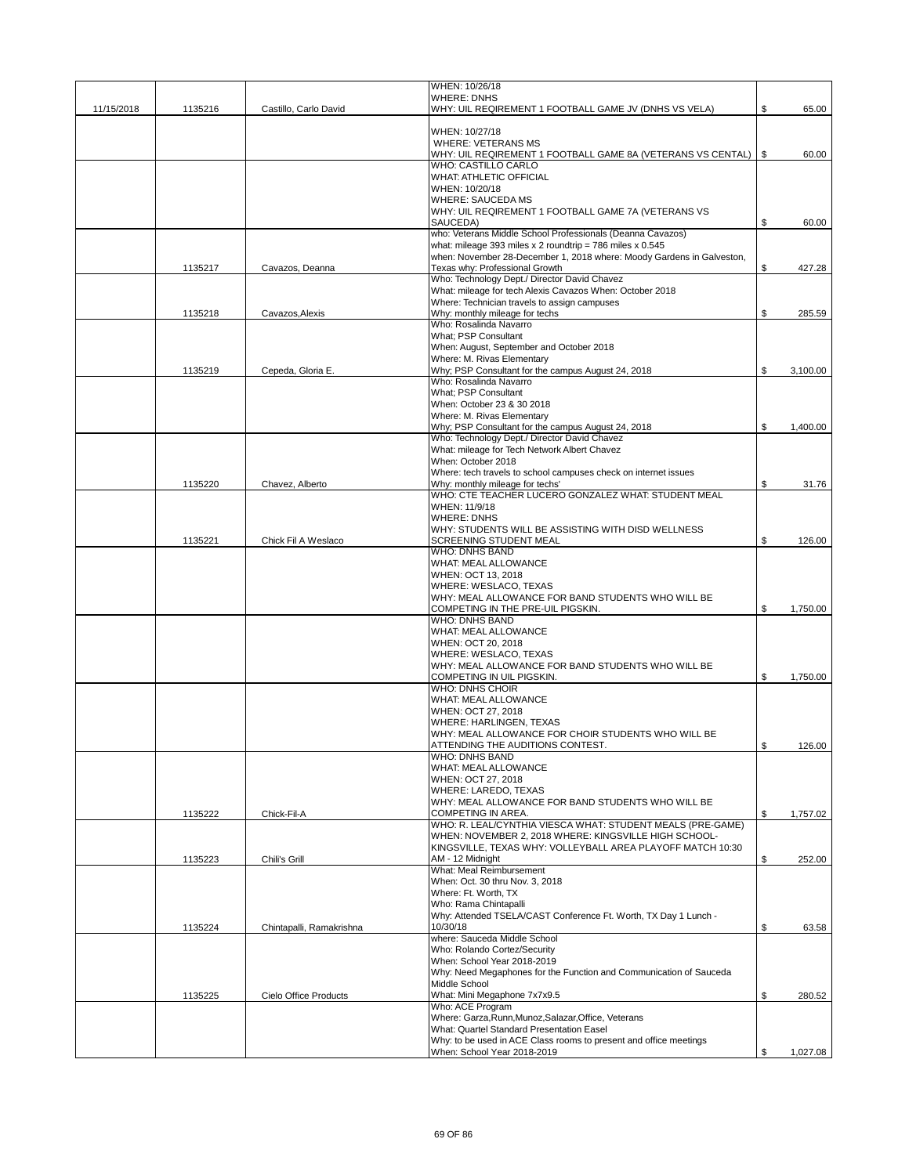|            |         |                          | WHEN: 10/26/18                                                                                                      |                |
|------------|---------|--------------------------|---------------------------------------------------------------------------------------------------------------------|----------------|
| 11/15/2018 | 1135216 | Castillo, Carlo David    | <b>WHERE: DNHS</b><br>WHY: UIL REQIREMENT 1 FOOTBALL GAME JV (DNHS VS VELA)                                         | \$<br>65.00    |
|            |         |                          |                                                                                                                     |                |
|            |         |                          | WHEN: 10/27/18<br>WHERE: VETERANS MS                                                                                |                |
|            |         |                          | WHY: UIL REQIREMENT 1 FOOTBALL GAME 8A (VETERANS VS CENTAL)   \$                                                    | 60.00          |
|            |         |                          | <b>WHO: CASTILLO CARLO</b><br><b>WHAT: ATHLETIC OFFICIAL</b>                                                        |                |
|            |         |                          | WHEN: 10/20/18                                                                                                      |                |
|            |         |                          | <b>WHERE: SAUCEDA MS</b>                                                                                            |                |
|            |         |                          | WHY: UIL REQIREMENT 1 FOOTBALL GAME 7A (VETERANS VS<br>SAUCEDA)                                                     | \$<br>60.00    |
|            |         |                          | who: Veterans Middle School Professionals (Deanna Cavazos)                                                          |                |
|            |         |                          | what: mileage 393 miles x 2 roundtrip = 786 miles x $0.545$                                                         |                |
|            | 1135217 | Cavazos, Deanna          | when: November 28-December 1, 2018 where: Moody Gardens in Galveston.<br>Texas why: Professional Growth             | \$<br>427.28   |
|            |         |                          | Who: Technology Dept./ Director David Chavez                                                                        |                |
|            |         |                          | What: mileage for tech Alexis Cavazos When: October 2018                                                            |                |
|            | 1135218 | Cavazos, Alexis          | Where: Technician travels to assign campuses<br>Why: monthly mileage for techs                                      | \$<br>285.59   |
|            |         |                          | Who: Rosalinda Navarro                                                                                              |                |
|            |         |                          | What; PSP Consultant                                                                                                |                |
|            |         |                          | When: August, September and October 2018<br>Where: M. Rivas Elementary                                              |                |
|            | 1135219 | Cepeda, Gloria E.        | Why: PSP Consultant for the campus August 24, 2018                                                                  | \$<br>3,100.00 |
|            |         |                          | Who: Rosalinda Navarro                                                                                              |                |
|            |         |                          | What; PSP Consultant<br>When: October 23 & 30 2018                                                                  |                |
|            |         |                          | Where: M. Rivas Elementary                                                                                          |                |
|            |         |                          | Why; PSP Consultant for the campus August 24, 2018                                                                  | \$<br>1,400.00 |
|            |         |                          | Who: Technology Dept./ Director David Chavez<br>What: mileage for Tech Network Albert Chavez                        |                |
|            |         |                          | When: October 2018                                                                                                  |                |
|            |         |                          | Where: tech travels to school campuses check on internet issues                                                     |                |
|            | 1135220 | Chavez, Alberto          | Why: monthly mileage for techs'<br>WHO: CTE TEACHER LUCERO GONZALEZ WHAT: STUDENT MEAL                              | \$<br>31.76    |
|            |         |                          | WHEN: 11/9/18                                                                                                       |                |
|            |         |                          | <b>WHERE: DNHS</b>                                                                                                  |                |
|            | 1135221 | Chick Fil A Weslaco      | WHY: STUDENTS WILL BE ASSISTING WITH DISD WELLNESS<br>SCREENING STUDENT MEAL                                        | \$<br>126.00   |
|            |         |                          | <b>WHO: DNHS BAND</b>                                                                                               |                |
|            |         |                          | WHAT: MEAL ALLOWANCE                                                                                                |                |
|            |         |                          | WHEN: OCT 13, 2018<br>WHERE: WESLACO, TEXAS                                                                         |                |
|            |         |                          | WHY: MEAL ALLOWANCE FOR BAND STUDENTS WHO WILL BE                                                                   |                |
|            |         |                          | COMPETING IN THE PRE-UIL PIGSKIN.                                                                                   | \$<br>1,750.00 |
|            |         |                          | <b>WHO: DNHS BAND</b><br>WHAT: MEAL ALLOWANCE                                                                       |                |
|            |         |                          | WHEN: OCT 20, 2018                                                                                                  |                |
|            |         |                          | WHERE: WESLACO, TEXAS<br>WHY: MEAL ALLOWANCE FOR BAND STUDENTS WHO WILL BE                                          |                |
|            |         |                          | COMPETING IN UIL PIGSKIN.                                                                                           | \$<br>1.750.00 |
|            |         |                          | <b>WHO: DNHS CHOIR</b>                                                                                              |                |
|            |         |                          | WHAT: MEAL ALLOWANCE<br>WHEN: OCT 27, 2018                                                                          |                |
|            |         |                          | WHERE: HARLINGEN, TEXAS                                                                                             |                |
|            |         |                          | WHY: MEAL ALLOWANCE FOR CHOIR STUDENTS WHO WILL BE                                                                  |                |
|            |         |                          | ATTENDING THE AUDITIONS CONTEST.<br>WHO: DNHS BAND                                                                  | 126.00         |
|            |         |                          | WHAT: MEAL ALLOWANCE                                                                                                |                |
|            |         |                          | WHEN: OCT 27, 2018                                                                                                  |                |
|            |         |                          | WHERE: LAREDO, TEXAS<br>WHY: MEAL ALLOWANCE FOR BAND STUDENTS WHO WILL BE                                           |                |
|            | 1135222 | Chick-Fil-A              | COMPETING IN AREA.                                                                                                  | \$<br>1,757.02 |
|            |         |                          | WHO: R. LEAL/CYNTHIA VIESCA WHAT: STUDENT MEALS (PRE-GAME)                                                          |                |
|            |         |                          | WHEN: NOVEMBER 2, 2018 WHERE: KINGSVILLE HIGH SCHOOL-<br>KINGSVILLE, TEXAS WHY: VOLLEYBALL AREA PLAYOFF MATCH 10:30 |                |
|            | 1135223 | Chili's Grill            | AM - 12 Midnight                                                                                                    | \$<br>252.00   |
|            |         |                          | What: Meal Reimbursement                                                                                            |                |
|            |         |                          | When: Oct. 30 thru Nov. 3, 2018<br>Where: Ft. Worth, TX                                                             |                |
|            |         |                          | Who: Rama Chintapalli                                                                                               |                |
|            |         |                          | Why: Attended TSELA/CAST Conference Ft. Worth, TX Day 1 Lunch -                                                     |                |
|            | 1135224 | Chintapalli, Ramakrishna | 10/30/18<br>where: Sauceda Middle School                                                                            | \$<br>63.58    |
|            |         |                          | Who: Rolando Cortez/Security                                                                                        |                |
|            |         |                          | When: School Year 2018-2019                                                                                         |                |
|            |         |                          | Why: Need Megaphones for the Function and Communication of Sauceda<br>Middle School                                 |                |
|            | 1135225 | Cielo Office Products    | What: Mini Megaphone 7x7x9.5                                                                                        | \$<br>280.52   |
|            |         |                          | Who: ACE Program                                                                                                    |                |
|            |         |                          | Where: Garza, Runn, Munoz, Salazar, Office, Veterans<br>What: Quartel Standard Presentation Easel                   |                |
|            |         |                          | Why: to be used in ACE Class rooms to present and office meetings                                                   |                |
|            |         |                          | When: School Year 2018-2019                                                                                         | \$<br>1,027.08 |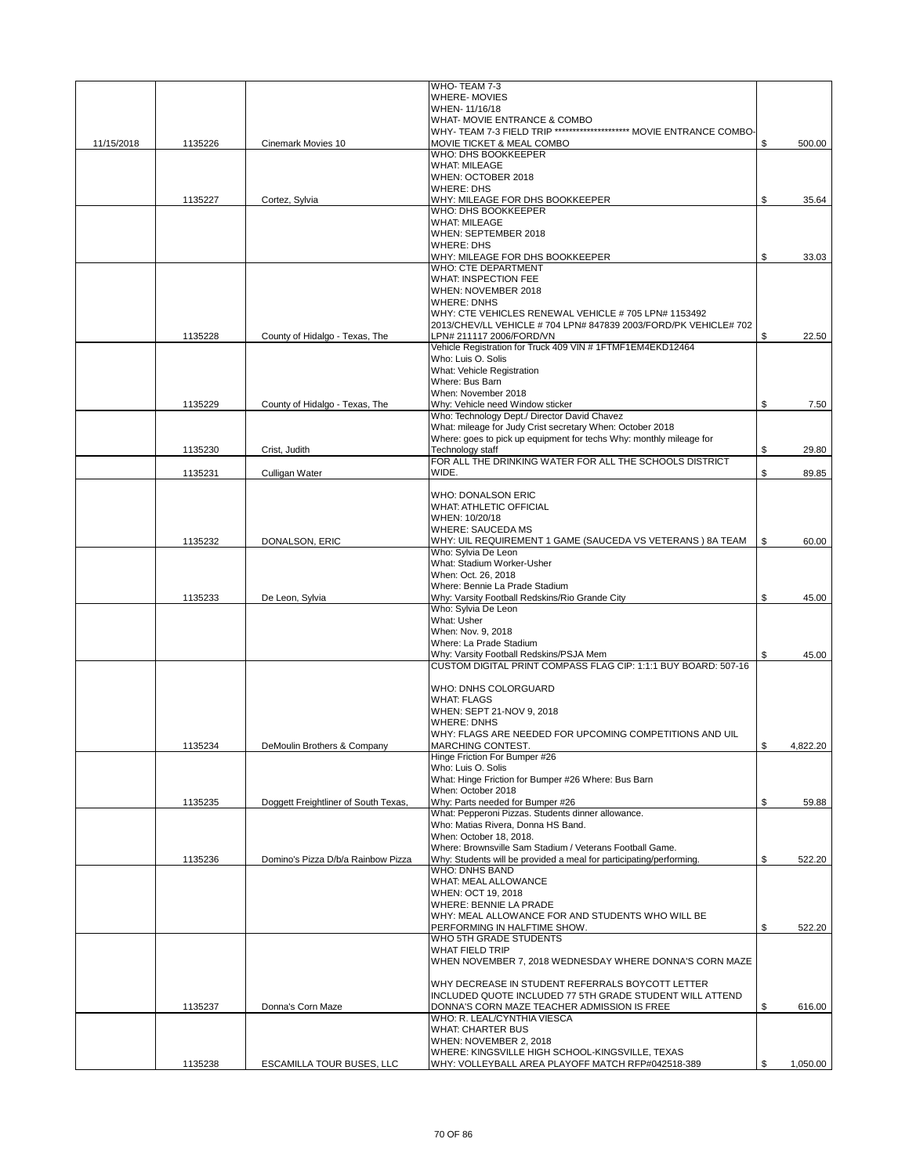|            |         |                                      | WHO-TEAM 7-3                                                                                         |                |
|------------|---------|--------------------------------------|------------------------------------------------------------------------------------------------------|----------------|
|            |         |                                      | WHERE-MOVIES                                                                                         |                |
|            |         |                                      | WHEN-11/16/18                                                                                        |                |
|            |         |                                      | WHAT- MOVIE ENTRANCE & COMBO<br>WHY- TEAM 7-3 FIELD TRIP ********************* MOVIE ENTRANCE COMBO- |                |
| 11/15/2018 | 1135226 | Cinemark Movies 10                   | MOVIE TICKET & MEAL COMBO                                                                            | \$<br>500.00   |
|            |         |                                      | WHO: DHS BOOKKEEPER                                                                                  |                |
|            |         |                                      | <b>WHAT: MILEAGE</b>                                                                                 |                |
|            |         |                                      | WHEN: OCTOBER 2018                                                                                   |                |
|            |         |                                      | <b>WHERE: DHS</b>                                                                                    |                |
|            | 1135227 | Cortez, Sylvia                       | WHY: MILEAGE FOR DHS BOOKKEEPER                                                                      | \$<br>35.64    |
|            |         |                                      | WHO: DHS BOOKKEEPER                                                                                  |                |
|            |         |                                      | <b>WHAT: MILEAGE</b>                                                                                 |                |
|            |         |                                      | WHEN: SEPTEMBER 2018                                                                                 |                |
|            |         |                                      | <b>WHERE: DHS</b>                                                                                    |                |
|            |         |                                      | WHY: MILEAGE FOR DHS BOOKKEEPER<br><b>WHO: CTE DEPARTMENT</b>                                        | \$<br>33.03    |
|            |         |                                      | WHAT: INSPECTION FEE                                                                                 |                |
|            |         |                                      | WHEN: NOVEMBER 2018                                                                                  |                |
|            |         |                                      | <b>WHERE: DNHS</b>                                                                                   |                |
|            |         |                                      | WHY: CTE VEHICLES RENEWAL VEHICLE # 705 LPN# 1153492                                                 |                |
|            |         |                                      | 2013/CHEV/LL VEHICLE # 704 LPN# 847839 2003/FORD/PK VEHICLE# 702                                     |                |
|            | 1135228 | County of Hidalgo - Texas, The       | LPN# 211117 2006/FORD/VN                                                                             | \$<br>22.50    |
|            |         |                                      | Vehicle Registration for Truck 409 VIN # 1FTMF1EM4EKD12464                                           |                |
|            |         |                                      | Who: Luis O. Solis                                                                                   |                |
|            |         |                                      | What: Vehicle Registration                                                                           |                |
|            |         |                                      | Where: Bus Barn                                                                                      |                |
|            |         |                                      | When: November 2018                                                                                  |                |
|            | 1135229 | County of Hidalgo - Texas, The       | Why: Vehicle need Window sticker<br>Who: Technology Dept./ Director David Chavez                     | \$<br>7.50     |
|            |         |                                      | What: mileage for Judy Crist secretary When: October 2018                                            |                |
|            |         |                                      | Where: goes to pick up equipment for techs Why: monthly mileage for                                  |                |
|            | 1135230 | Crist, Judith                        | Technology staff                                                                                     | \$<br>29.80    |
|            |         |                                      | FOR ALL THE DRINKING WATER FOR ALL THE SCHOOLS DISTRICT                                              |                |
|            | 1135231 | Culligan Water                       | WIDE.                                                                                                | \$<br>89.85    |
|            |         |                                      |                                                                                                      |                |
|            |         |                                      | <b>WHO: DONALSON ERIC</b>                                                                            |                |
|            |         |                                      | <b>WHAT: ATHLETIC OFFICIAL</b>                                                                       |                |
|            |         |                                      | WHEN: 10/20/18                                                                                       |                |
|            |         |                                      | <b>WHERE: SAUCEDA MS</b>                                                                             |                |
|            | 1135232 | DONALSON, ERIC                       | WHY: UIL REQUIREMENT 1 GAME (SAUCEDA VS VETERANS) 8A TEAM                                            | \$<br>60.00    |
|            |         |                                      | Who: Sylvia De Leon<br>What: Stadium Worker-Usher                                                    |                |
|            |         |                                      | When: Oct. 26, 2018                                                                                  |                |
|            |         |                                      | Where: Bennie La Prade Stadium                                                                       |                |
|            | 1135233 | De Leon, Sylvia                      | Why: Varsity Football Redskins/Rio Grande City                                                       | \$<br>45.00    |
|            |         |                                      | Who: Sylvia De Leon                                                                                  |                |
|            |         |                                      | What: Usher                                                                                          |                |
|            |         |                                      | When: Nov. 9, 2018                                                                                   |                |
|            |         |                                      | Where: La Prade Stadium                                                                              |                |
|            |         |                                      | Why: Varsity Football Redskins/PSJA Mem                                                              | 45.00          |
|            |         |                                      | CUSTOM DIGITAL PRINT COMPASS FLAG CIP: 1:1:1 BUY BOARD: 507-16                                       |                |
|            |         |                                      |                                                                                                      |                |
|            |         |                                      | WHO: DNHS COLORGUARD<br><b>WHAT: FLAGS</b>                                                           |                |
|            |         |                                      | WHEN: SEPT 21-NOV 9, 2018                                                                            |                |
|            |         |                                      | <b>WHERE: DNHS</b>                                                                                   |                |
|            |         |                                      | WHY: FLAGS ARE NEEDED FOR UPCOMING COMPETITIONS AND UIL                                              |                |
|            | 1135234 | DeMoulin Brothers & Company          | MARCHING CONTEST.                                                                                    | \$<br>4,822.20 |
|            |         |                                      | Hinge Friction For Bumper #26                                                                        |                |
|            |         |                                      | Who: Luis O. Solis                                                                                   |                |
|            |         |                                      | What: Hinge Friction for Bumper #26 Where: Bus Barn                                                  |                |
|            |         |                                      | When: October 2018                                                                                   |                |
|            | 1135235 | Doggett Freightliner of South Texas, | Why: Parts needed for Bumper #26                                                                     | \$<br>59.88    |
|            |         |                                      | What: Pepperoni Pizzas. Students dinner allowance.                                                   |                |
|            |         |                                      | Who: Matias Rivera, Donna HS Band.<br>When: October 18, 2018.                                        |                |
|            |         |                                      | Where: Brownsville Sam Stadium / Veterans Football Game.                                             |                |
|            | 1135236 | Domino's Pizza D/b/a Rainbow Pizza   | Why: Students will be provided a meal for participating/performing.                                  | \$<br>522.20   |
|            |         |                                      | <b>WHO: DNHS BAND</b>                                                                                |                |
|            |         |                                      | WHAT: MEAL ALLOWANCE                                                                                 |                |
|            |         |                                      | WHEN: OCT 19, 2018                                                                                   |                |
|            |         |                                      | WHERE: BENNIE LA PRADE                                                                               |                |
|            |         |                                      | WHY: MEAL ALLOWANCE FOR AND STUDENTS WHO WILL BE                                                     |                |
|            |         |                                      | PERFORMING IN HALFTIME SHOW.                                                                         | \$<br>522.20   |
|            |         |                                      | WHO 5TH GRADE STUDENTS<br>WHAT FIELD TRIP                                                            |                |
|            |         |                                      | WHEN NOVEMBER 7, 2018 WEDNESDAY WHERE DONNA'S CORN MAZE                                              |                |
|            |         |                                      |                                                                                                      |                |
|            |         |                                      | WHY DECREASE IN STUDENT REFERRALS BOYCOTT LETTER                                                     |                |
|            |         |                                      | INCLUDED QUOTE INCLUDED 77 5TH GRADE STUDENT WILL ATTEND                                             |                |
|            | 1135237 | Donna's Corn Maze                    | DONNA'S CORN MAZE TEACHER ADMISSION IS FREE                                                          | \$<br>616.00   |
|            |         |                                      | WHO: R. LEAL/CYNTHIA VIESCA                                                                          |                |
|            |         |                                      | <b>WHAT: CHARTER BUS</b>                                                                             |                |
|            |         |                                      | WHEN: NOVEMBER 2, 2018                                                                               |                |
|            |         |                                      | WHERE: KINGSVILLE HIGH SCHOOL-KINGSVILLE, TEXAS                                                      |                |
|            | 1135238 | ESCAMILLA TOUR BUSES, LLC            | WHY: VOLLEYBALL AREA PLAYOFF MATCH RFP#042518-389                                                    | \$<br>1,050.00 |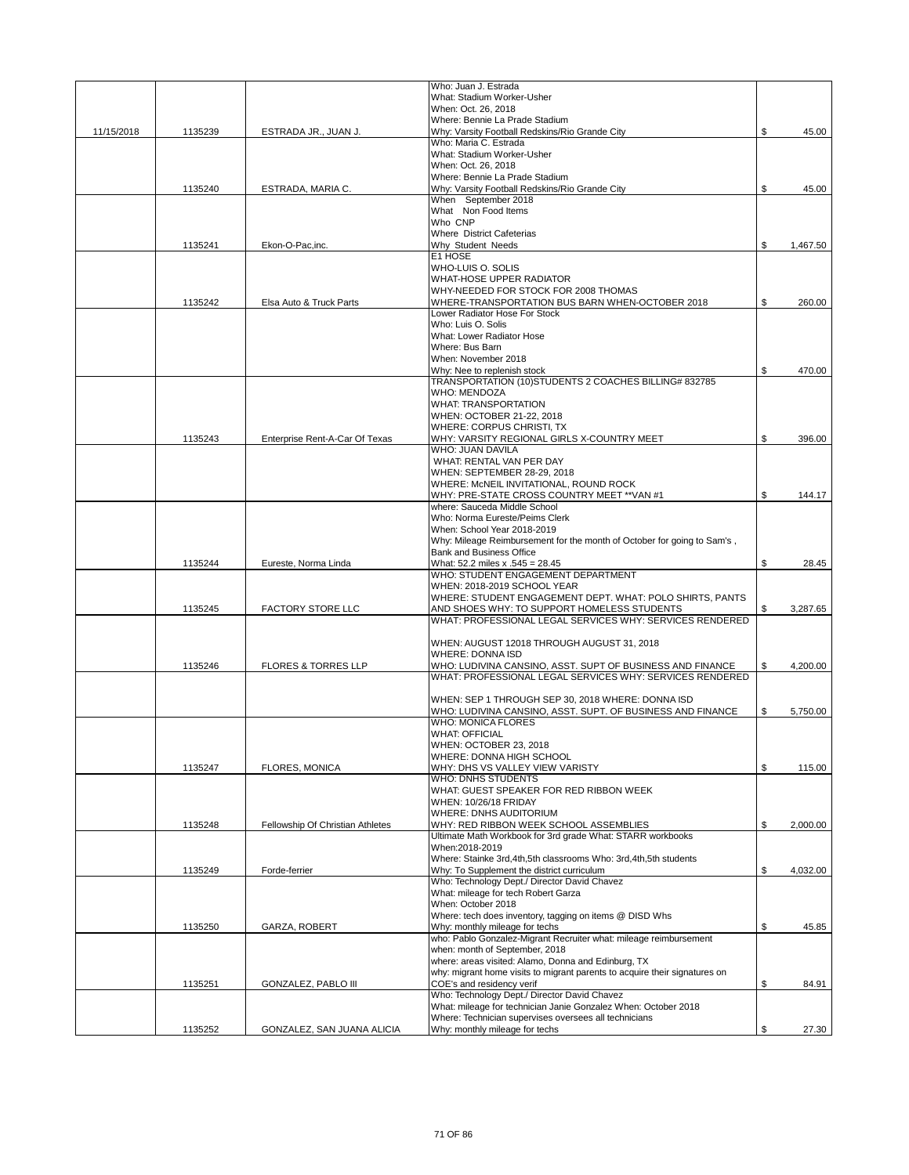|            |         |                                  | Who: Juan J. Estrada                                                                                              |                |
|------------|---------|----------------------------------|-------------------------------------------------------------------------------------------------------------------|----------------|
|            |         |                                  | What: Stadium Worker-Usher<br>When: Oct. 26, 2018                                                                 |                |
|            |         |                                  | Where: Bennie La Prade Stadium                                                                                    |                |
| 11/15/2018 | 1135239 | ESTRADA JR., JUAN J.             | Why: Varsity Football Redskins/Rio Grande City                                                                    | \$<br>45.00    |
|            |         |                                  | Who: Maria C. Estrada                                                                                             |                |
|            |         |                                  | What: Stadium Worker-Usher                                                                                        |                |
|            |         |                                  | When: Oct. 26, 2018<br>Where: Bennie La Prade Stadium                                                             |                |
|            | 1135240 | ESTRADA, MARIA C.                | Why: Varsity Football Redskins/Rio Grande City                                                                    | \$<br>45.00    |
|            |         |                                  | When September 2018                                                                                               |                |
|            |         |                                  | What Non Food Items                                                                                               |                |
|            |         |                                  | Who CNP                                                                                                           |                |
|            | 1135241 | Ekon-O-Pac,inc.                  | <b>Where District Cafeterias</b><br>Why Student Needs                                                             | \$<br>1,467.50 |
|            |         |                                  | E1 HOSE                                                                                                           |                |
|            |         |                                  | WHO-LUIS O. SOLIS                                                                                                 |                |
|            |         |                                  | WHAT-HOSE UPPER RADIATOR                                                                                          |                |
|            |         |                                  | WHY-NEEDED FOR STOCK FOR 2008 THOMAS                                                                              |                |
|            | 1135242 | Elsa Auto & Truck Parts          | WHERE-TRANSPORTATION BUS BARN WHEN-OCTOBER 2018<br>Lower Radiator Hose For Stock                                  | \$<br>260.00   |
|            |         |                                  | Who: Luis O. Solis                                                                                                |                |
|            |         |                                  | What: Lower Radiator Hose                                                                                         |                |
|            |         |                                  | Where: Bus Barn                                                                                                   |                |
|            |         |                                  | When: November 2018                                                                                               |                |
|            |         |                                  | Why: Nee to replenish stock<br>TRANSPORTATION (10) STUDENTS 2 COACHES BILLING# 832785                             | \$<br>470.00   |
|            |         |                                  | <b>WHO: MENDOZA</b>                                                                                               |                |
|            |         |                                  | <b>WHAT: TRANSPORTATION</b>                                                                                       |                |
|            |         |                                  | WHEN: OCTOBER 21-22, 2018                                                                                         |                |
|            |         |                                  | WHERE: CORPUS CHRISTI, TX                                                                                         |                |
|            | 1135243 | Enterprise Rent-A-Car Of Texas   | WHY: VARSITY REGIONAL GIRLS X-COUNTRY MEET<br>WHO: JUAN DAVILA                                                    | \$<br>396.00   |
|            |         |                                  | WHAT: RENTAL VAN PER DAY                                                                                          |                |
|            |         |                                  | WHEN: SEPTEMBER 28-29, 2018                                                                                       |                |
|            |         |                                  | WHERE: McNEIL INVITATIONAL, ROUND ROCK                                                                            |                |
|            |         |                                  | WHY: PRE-STATE CROSS COUNTRY MEET ** VAN #1                                                                       | \$<br>144.17   |
|            |         |                                  | where: Sauceda Middle School                                                                                      |                |
|            |         |                                  | Who: Norma Eureste/Peims Clerk<br>When: School Year 2018-2019                                                     |                |
|            |         |                                  | Why: Mileage Reimbursement for the month of October for going to Sam's,                                           |                |
|            |         |                                  | <b>Bank and Business Office</b>                                                                                   |                |
|            | 1135244 | Eureste, Norma Linda             | What: 52.2 miles x .545 = 28.45                                                                                   | \$<br>28.45    |
|            |         |                                  | WHO: STUDENT ENGAGEMENT DEPARTMENT                                                                                |                |
|            |         |                                  | WHEN: 2018-2019 SCHOOL YEAR<br>WHERE: STUDENT ENGAGEMENT DEPT. WHAT: POLO SHIRTS, PANTS                           |                |
|            | 1135245 | <b>FACTORY STORE LLC</b>         | AND SHOES WHY: TO SUPPORT HOMELESS STUDENTS                                                                       | \$<br>3,287.65 |
|            |         |                                  | WHAT: PROFESSIONAL LEGAL SERVICES WHY: SERVICES RENDERED                                                          |                |
|            |         |                                  |                                                                                                                   |                |
|            |         |                                  | WHEN: AUGUST 12018 THROUGH AUGUST 31, 2018                                                                        |                |
|            | 1135246 | <b>FLORES &amp; TORRES LLP</b>   | <b>WHERE: DONNA ISD</b><br>WHO: LUDIVINA CANSINO, ASST. SUPT OF BUSINESS AND FINANCE                              | \$<br>4,200.00 |
|            |         |                                  | WHAT: PROFESSIONAL LEGAL SERVICES WHY: SERVICES RENDERED                                                          |                |
|            |         |                                  |                                                                                                                   |                |
|            |         |                                  | WHEN: SEP 1 THROUGH SEP 30, 2018 WHERE: DONNA ISD                                                                 |                |
|            |         |                                  | WHO: LUDIVINA CANSINO, ASST. SUPT. OF BUSINESS AND FINANCE                                                        | \$<br>5,750.00 |
|            |         |                                  | <b>WHO: MONICA FLORES</b>                                                                                         |                |
|            |         |                                  | <b>WHAT: OFFICIAL</b><br>WHEN: OCTOBER 23, 2018                                                                   |                |
|            |         |                                  | WHERE: DONNA HIGH SCHOOL                                                                                          |                |
|            | 1135247 | <b>FLORES, MONICA</b>            | WHY: DHS VS VALLEY VIEW VARISTY                                                                                   | \$<br>115.00   |
|            |         |                                  | <b>WHO: DNHS STUDENTS</b>                                                                                         |                |
|            |         |                                  | WHAT: GUEST SPEAKER FOR RED RIBBON WEEK<br>WHEN: 10/26/18 FRIDAY                                                  |                |
|            |         |                                  | WHERE: DNHS AUDITORIUM                                                                                            |                |
|            | 1135248 | Fellowship Of Christian Athletes | WHY: RED RIBBON WEEK SCHOOL ASSEMBLIES                                                                            | \$<br>2,000.00 |
|            |         |                                  | Ultimate Math Workbook for 3rd grade What: STARR workbooks                                                        |                |
|            |         |                                  | When:2018-2019                                                                                                    |                |
|            | 1135249 | Forde-ferrier                    | Where: Stainke 3rd, 4th, 5th classrooms Who: 3rd, 4th, 5th students<br>Why: To Supplement the district curriculum | \$<br>4,032.00 |
|            |         |                                  | Who: Technology Dept./ Director David Chavez                                                                      |                |
|            |         |                                  | What: mileage for tech Robert Garza                                                                               |                |
|            |         |                                  | When: October 2018                                                                                                |                |
|            |         |                                  | Where: tech does inventory, tagging on items @ DISD Whs                                                           |                |
|            | 1135250 | GARZA, ROBERT                    | Why: monthly mileage for techs<br>who: Pablo Gonzalez-Migrant Recruiter what: mileage reimbursement               | \$<br>45.85    |
|            |         |                                  | when: month of September, 2018                                                                                    |                |
|            |         |                                  | where: areas visited: Alamo, Donna and Edinburg, TX                                                               |                |
|            |         |                                  | why: migrant home visits to migrant parents to acquire their signatures on                                        |                |
|            | 1135251 | <b>GONZALEZ, PABLO III</b>       | COE's and residency verif                                                                                         | \$<br>84.91    |
|            |         |                                  | Who: Technology Dept./ Director David Chavez<br>What: mileage for technician Janie Gonzalez When: October 2018    |                |
|            |         |                                  | Where: Technician supervises oversees all technicians                                                             |                |
|            | 1135252 | GONZALEZ, SAN JUANA ALICIA       | Why: monthly mileage for techs                                                                                    | \$<br>27.30    |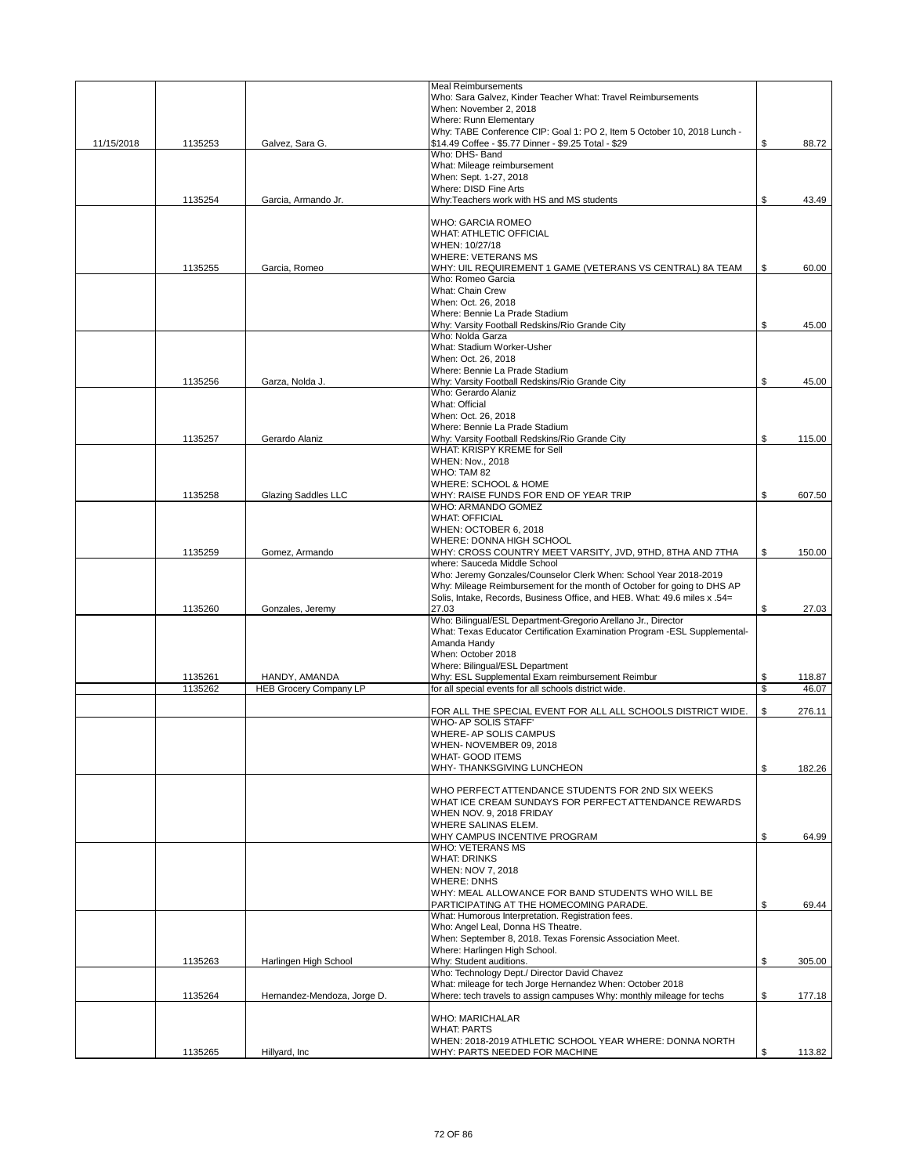|            |         |                               | <b>Meal Reimbursements</b>                                                |              |
|------------|---------|-------------------------------|---------------------------------------------------------------------------|--------------|
|            |         |                               | Who: Sara Galvez, Kinder Teacher What: Travel Reimbursements              |              |
|            |         |                               | When: November 2, 2018                                                    |              |
|            |         |                               | Where: Runn Elementary                                                    |              |
|            |         |                               | Why: TABE Conference CIP: Goal 1: PO 2, Item 5 October 10, 2018 Lunch -   |              |
| 11/15/2018 | 1135253 | Galvez, Sara G.               | \$14.49 Coffee - \$5.77 Dinner - \$9.25 Total - \$29                      | \$<br>88.72  |
|            |         |                               | Who: DHS- Band                                                            |              |
|            |         |                               | What: Mileage reimbursement                                               |              |
|            |         |                               | When: Sept. 1-27, 2018                                                    |              |
|            |         |                               | Where: DISD Fine Arts                                                     |              |
|            | 1135254 | Garcia, Armando Jr.           | Why:Teachers work with HS and MS students                                 | \$<br>43.49  |
|            |         |                               |                                                                           |              |
|            |         |                               | <b>WHO: GARCIA ROMEO</b>                                                  |              |
|            |         |                               | WHAT: ATHLETIC OFFICIAL                                                   |              |
|            |         |                               | WHEN: 10/27/18                                                            |              |
|            |         |                               | <b>WHERE: VETERANS MS</b>                                                 |              |
|            | 1135255 | Garcia, Romeo                 | WHY: UIL REQUIREMENT 1 GAME (VETERANS VS CENTRAL) 8A TEAM                 | \$<br>60.00  |
|            |         |                               | Who: Romeo Garcia                                                         |              |
|            |         |                               | What: Chain Crew                                                          |              |
|            |         |                               | When: Oct. 26, 2018                                                       |              |
|            |         |                               | Where: Bennie La Prade Stadium                                            |              |
|            |         |                               | Why: Varsity Football Redskins/Rio Grande City                            | \$<br>45.00  |
|            |         |                               | Who: Nolda Garza                                                          |              |
|            |         |                               | What: Stadium Worker-Usher                                                |              |
|            |         |                               | When: Oct. 26, 2018                                                       |              |
|            |         |                               | Where: Bennie La Prade Stadium                                            |              |
|            |         | Garza, Nolda J.               | Why: Varsity Football Redskins/Rio Grande City                            |              |
|            | 1135256 |                               | Who: Gerardo Alaniz                                                       | \$<br>45.00  |
|            |         |                               | What: Official                                                            |              |
|            |         |                               |                                                                           |              |
|            |         |                               | When: Oct. 26, 2018                                                       |              |
|            |         |                               | Where: Bennie La Prade Stadium                                            |              |
|            | 1135257 | Gerardo Alaniz                | Why: Varsity Football Redskins/Rio Grande City                            | \$<br>115.00 |
|            |         |                               | WHAT: KRISPY KREME for Sell                                               |              |
|            |         |                               | WHEN: Nov., 2018                                                          |              |
|            |         |                               | WHO: TAM 82                                                               |              |
|            |         |                               | WHERE: SCHOOL & HOME                                                      |              |
|            | 1135258 | Glazing Saddles LLC           | WHY: RAISE FUNDS FOR END OF YEAR TRIP                                     | \$<br>607.50 |
|            |         |                               | WHO: ARMANDO GOMEZ                                                        |              |
|            |         |                               | <b>WHAT: OFFICIAL</b>                                                     |              |
|            |         |                               | WHEN: OCTOBER 6, 2018                                                     |              |
|            |         |                               | WHERE: DONNA HIGH SCHOOL                                                  |              |
|            | 1135259 | Gomez, Armando                | WHY: CROSS COUNTRY MEET VARSITY, JVD, 9THD, 8THA AND 7THA                 | \$<br>150.00 |
|            |         |                               | where: Sauceda Middle School                                              |              |
|            |         |                               | Who: Jeremy Gonzales/Counselor Clerk When: School Year 2018-2019          |              |
|            |         |                               | Why: Mileage Reimbursement for the month of October for going to DHS AP   |              |
|            |         |                               | Solis, Intake, Records, Business Office, and HEB. What: 49.6 miles x .54= |              |
|            | 1135260 | Gonzales, Jeremy              | 27.03                                                                     | \$<br>27.03  |
|            |         |                               | Who: Bilingual/ESL Department-Gregorio Arellano Jr., Director             |              |
|            |         |                               | What: Texas Educator Certification Examination Program -ESL Supplemental- |              |
|            |         |                               | Amanda Handy                                                              |              |
|            |         |                               | When: October 2018                                                        |              |
|            |         |                               | Where: Bilingual/ESL Department                                           |              |
|            | 1135261 | HANDY, AMANDA                 | Why: ESL Supplemental Exam reimbursement Reimbur                          | \$<br>118.87 |
|            | 1135262 | <b>HEB Grocery Company LP</b> | for all special events for all schools district wide.                     | \$<br>46.07  |
|            |         |                               |                                                                           |              |
|            |         |                               | FOR ALL THE SPECIAL EVENT FOR ALL ALL SCHOOLS DISTRICT WIDE.              | \$<br>276.11 |
|            |         |                               | WHO- AP SOLIS STAFF'                                                      |              |
|            |         |                               | WHERE- AP SOLIS CAMPUS                                                    |              |
|            |         |                               | WHEN- NOVEMBER 09, 2018                                                   |              |
|            |         |                               | WHAT- GOOD ITEMS                                                          |              |
|            |         |                               | WHY-THANKSGIVING LUNCHEON                                                 | \$<br>182.26 |
|            |         |                               |                                                                           |              |
|            |         |                               | WHO PERFECT ATTENDANCE STUDENTS FOR 2ND SIX WEEKS                         |              |
|            |         |                               | WHAT ICE CREAM SUNDAYS FOR PERFECT ATTENDANCE REWARDS                     |              |
|            |         |                               | WHEN NOV. 9, 2018 FRIDAY                                                  |              |
|            |         |                               | WHERE SALINAS ELEM.                                                       |              |
|            |         |                               | WHY CAMPUS INCENTIVE PROGRAM                                              | \$<br>64.99  |
|            |         |                               | <b>WHO: VETERANS MS</b>                                                   |              |
|            |         |                               | <b>WHAT: DRINKS</b>                                                       |              |
|            |         |                               | WHEN: NOV 7, 2018                                                         |              |
|            |         |                               | <b>WHERE: DNHS</b>                                                        |              |
|            |         |                               | WHY: MEAL ALLOWANCE FOR BAND STUDENTS WHO WILL BE                         |              |
|            |         |                               | PARTICIPATING AT THE HOMECOMING PARADE.                                   | \$<br>69.44  |
|            |         |                               | What: Humorous Interpretation. Registration fees.                         |              |
|            |         |                               | Who: Angel Leal, Donna HS Theatre.                                        |              |
|            |         |                               | When: September 8, 2018. Texas Forensic Association Meet.                 |              |
|            |         |                               | Where: Harlingen High School.                                             |              |
|            | 1135263 | Harlingen High School         | Why: Student auditions.                                                   | \$<br>305.00 |
|            |         |                               | Who: Technology Dept./ Director David Chavez                              |              |
|            |         |                               | What: mileage for tech Jorge Hernandez When: October 2018                 |              |
|            | 1135264 | Hernandez-Mendoza, Jorge D.   | Where: tech travels to assign campuses Why: monthly mileage for techs     | \$<br>177.18 |
|            |         |                               |                                                                           |              |
|            |         |                               | <b>WHO: MARICHALAR</b>                                                    |              |
|            |         |                               | <b>WHAT: PARTS</b>                                                        |              |
|            |         |                               | WHEN: 2018-2019 ATHLETIC SCHOOL YEAR WHERE: DONNA NORTH                   |              |
|            | 1135265 | Hillyard, Inc.                | WHY: PARTS NEEDED FOR MACHINE                                             | \$<br>113.82 |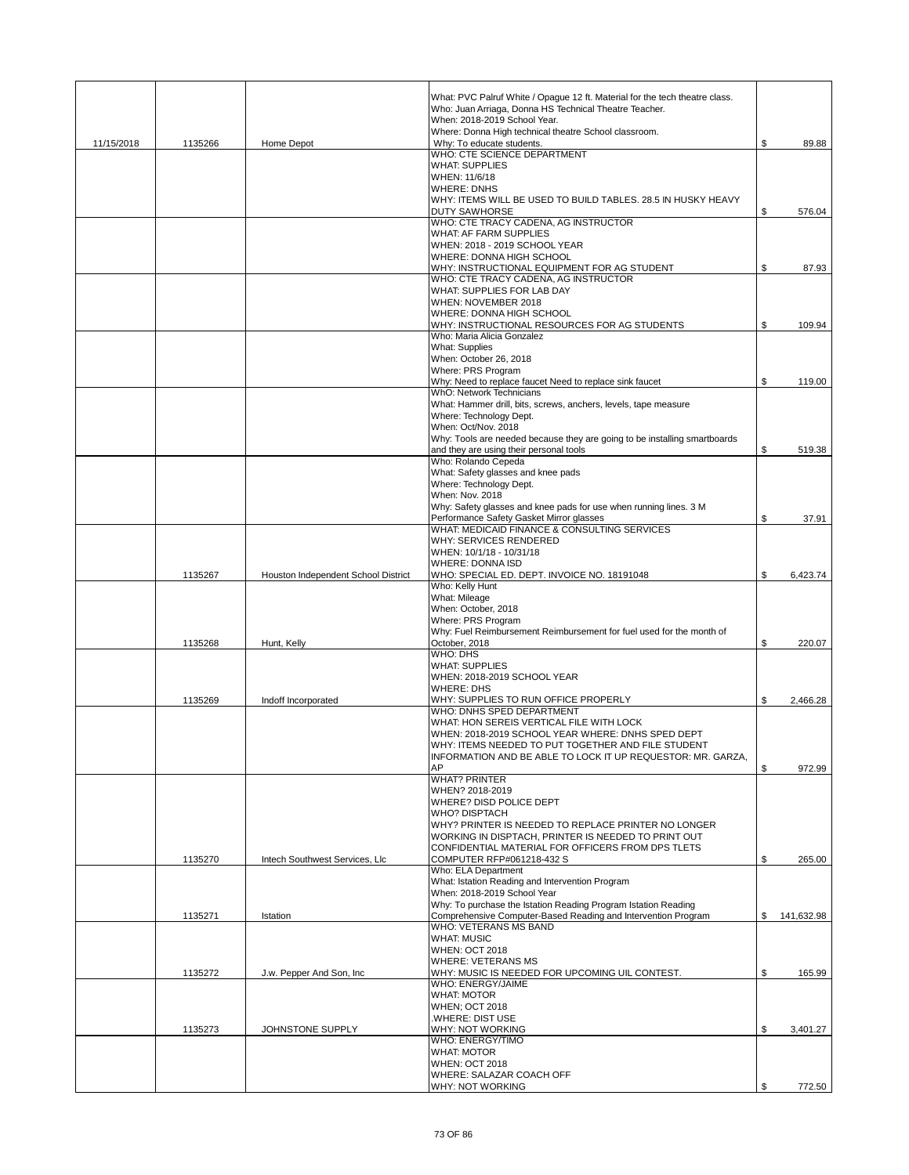|            |         |                                     | What: PVC Palruf White / Opague 12 ft. Material for the tech theatre class.<br>Who: Juan Arriaga, Donna HS Technical Theatre Teacher. |                  |
|------------|---------|-------------------------------------|---------------------------------------------------------------------------------------------------------------------------------------|------------------|
|            |         |                                     | When: 2018-2019 School Year.<br>Where: Donna High technical theatre School classroom.                                                 |                  |
| 11/15/2018 | 1135266 | Home Depot                          | Why: To educate students.                                                                                                             | \$<br>89.88      |
|            |         |                                     | WHO: CTE SCIENCE DEPARTMENT                                                                                                           |                  |
|            |         |                                     | <b>WHAT: SUPPLIES</b><br>WHEN: 11/6/18                                                                                                |                  |
|            |         |                                     | <b>WHERE: DNHS</b>                                                                                                                    |                  |
|            |         |                                     | WHY: ITEMS WILL BE USED TO BUILD TABLES. 28.5 IN HUSKY HEAVY                                                                          |                  |
|            |         |                                     | <b>DUTY SAWHORSE</b><br>WHO: CTE TRACY CADENA, AG INSTRUCTOR                                                                          | \$<br>576.04     |
|            |         |                                     | <b>WHAT: AF FARM SUPPLIES</b>                                                                                                         |                  |
|            |         |                                     | WHEN: 2018 - 2019 SCHOOL YEAR                                                                                                         |                  |
|            |         |                                     | WHERE: DONNA HIGH SCHOOL                                                                                                              |                  |
|            |         |                                     | WHY: INSTRUCTIONAL EQUIPMENT FOR AG STUDENT<br>WHO: CTE TRACY CADENA, AG INSTRUCTOR                                                   | \$<br>87.93      |
|            |         |                                     | WHAT: SUPPLIES FOR LAB DAY                                                                                                            |                  |
|            |         |                                     | WHEN: NOVEMBER 2018                                                                                                                   |                  |
|            |         |                                     | WHERE: DONNA HIGH SCHOOL                                                                                                              |                  |
|            |         |                                     | WHY: INSTRUCTIONAL RESOURCES FOR AG STUDENTS<br>Who: Maria Alicia Gonzalez                                                            | \$<br>109.94     |
|            |         |                                     | <b>What: Supplies</b>                                                                                                                 |                  |
|            |         |                                     | When: October 26, 2018                                                                                                                |                  |
|            |         |                                     | Where: PRS Program                                                                                                                    |                  |
|            |         |                                     | Why: Need to replace faucet Need to replace sink faucet<br>WhO: Network Technicians                                                   | \$<br>119.00     |
|            |         |                                     | What: Hammer drill, bits, screws, anchers, levels, tape measure                                                                       |                  |
|            |         |                                     | Where: Technology Dept.                                                                                                               |                  |
|            |         |                                     | When: Oct/Nov. 2018<br>Why: Tools are needed because they are going to be installing smartboards                                      |                  |
|            |         |                                     | and they are using their personal tools                                                                                               | \$<br>519.38     |
|            |         |                                     | Who: Rolando Cepeda                                                                                                                   |                  |
|            |         |                                     | What: Safety glasses and knee pads                                                                                                    |                  |
|            |         |                                     | Where: Technology Dept.<br><b>When: Nov. 2018</b>                                                                                     |                  |
|            |         |                                     | Why: Safety glasses and knee pads for use when running lines. 3 M                                                                     |                  |
|            |         |                                     | Performance Safety Gasket Mirror glasses                                                                                              | \$<br>37.91      |
|            |         |                                     | WHAT: MEDICAID FINANCE & CONSULTING SERVICES                                                                                          |                  |
|            |         |                                     | WHY: SERVICES RENDERED<br>WHEN: 10/1/18 - 10/31/18                                                                                    |                  |
|            |         |                                     | <b>WHERE: DONNA ISD</b>                                                                                                               |                  |
|            | 1135267 | Houston Independent School District | WHO: SPECIAL ED. DEPT. INVOICE NO. 18191048                                                                                           | \$<br>6,423.74   |
|            |         |                                     | Who: Kelly Hunt                                                                                                                       |                  |
|            |         |                                     | What: Mileage<br>When: October, 2018                                                                                                  |                  |
|            |         |                                     | Where: PRS Program                                                                                                                    |                  |
|            |         |                                     | Why: Fuel Reimbursement Reimbursement for fuel used for the month of                                                                  |                  |
|            | 1135268 | Hunt, Kelly                         | October, 2018<br>WHO: DHS                                                                                                             | \$<br>220.07     |
|            |         |                                     | <b>WHAT: SUPPLIES</b>                                                                                                                 |                  |
|            |         |                                     | WHEN: 2018-2019 SCHOOL YEAR                                                                                                           |                  |
|            |         |                                     | <b>WHERE: DHS</b>                                                                                                                     |                  |
|            | 1135269 | Indoff Incorporated                 | WHY: SUPPLIES TO RUN OFFICE PROPERLY<br>WHO: DNHS SPED DEPARTMENT                                                                     | \$<br>2.466.28   |
|            |         |                                     | WHAT: HON SEREIS VERTICAL FILE WITH LOCK                                                                                              |                  |
|            |         |                                     | WHEN: 2018-2019 SCHOOL YEAR WHERE: DNHS SPED DEPT                                                                                     |                  |
|            |         |                                     | WHY: ITEMS NEEDED TO PUT TOGETHER AND FILE STUDENT                                                                                    |                  |
|            |         |                                     | INFORMATION AND BE ABLE TO LOCK IT UP REQUESTOR: MR. GARZA,<br>AP                                                                     | \$<br>972.99     |
|            |         |                                     | <b>WHAT? PRINTER</b>                                                                                                                  |                  |
|            |         |                                     | WHEN? 2018-2019                                                                                                                       |                  |
|            |         |                                     | WHERE? DISD POLICE DEPT                                                                                                               |                  |
|            |         |                                     | <b>WHO? DISPTACH</b><br>WHY? PRINTER IS NEEDED TO REPLACE PRINTER NO LONGER                                                           |                  |
|            |         |                                     | WORKING IN DISPTACH, PRINTER IS NEEDED TO PRINT OUT                                                                                   |                  |
|            |         |                                     | CONFIDENTIAL MATERIAL FOR OFFICERS FROM DPS TLETS                                                                                     |                  |
|            | 1135270 | Intech Southwest Services, Llc      | COMPUTER RFP#061218-432 S<br>Who: ELA Department                                                                                      | \$<br>265.00     |
|            |         |                                     | What: Istation Reading and Intervention Program                                                                                       |                  |
|            |         |                                     | When: 2018-2019 School Year                                                                                                           |                  |
|            |         |                                     | Why: To purchase the Istation Reading Program Istation Reading                                                                        |                  |
|            | 1135271 | Istation                            | Comprehensive Computer-Based Reading and Intervention Program<br>WHO: VETERANS MS BAND                                                | \$<br>141,632.98 |
|            |         |                                     | <b>WHAT: MUSIC</b>                                                                                                                    |                  |
|            |         |                                     | <b>WHEN: OCT 2018</b>                                                                                                                 |                  |
|            |         |                                     | <b>WHERE: VETERANS MS</b>                                                                                                             |                  |
|            | 1135272 | J.w. Pepper And Son, Inc.           | WHY: MUSIC IS NEEDED FOR UPCOMING UIL CONTEST.<br>WHO: ENERGY/JAIME                                                                   | \$<br>165.99     |
|            |         |                                     | <b>WHAT: MOTOR</b>                                                                                                                    |                  |
|            |         |                                     | <b>WHEN; OCT 2018</b>                                                                                                                 |                  |
|            |         |                                     | .WHERE: DIST USE                                                                                                                      |                  |
|            | 1135273 | JOHNSTONE SUPPLY                    | WHY: NOT WORKING<br><b>WHO: ENERGY/TIMO</b>                                                                                           | \$<br>3,401.27   |
|            |         |                                     | <b>WHAT: MOTOR</b>                                                                                                                    |                  |
|            |         |                                     | <b>WHEN: OCT 2018</b>                                                                                                                 |                  |
|            |         |                                     | WHERE: SALAZAR COACH OFF<br>WHY: NOT WORKING                                                                                          | \$<br>772.50     |
|            |         |                                     |                                                                                                                                       |                  |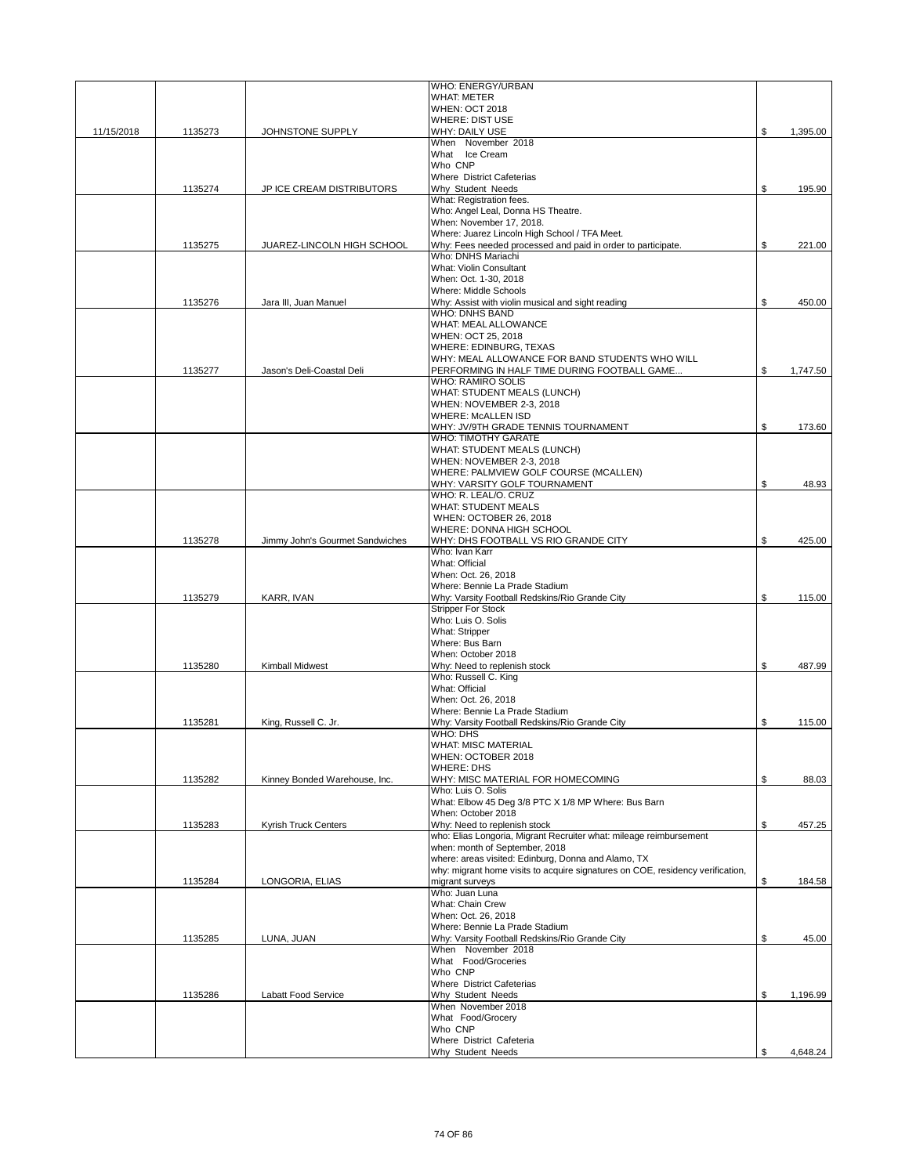|            |         |                                 | WHO: ENERGY/URBAN                                                                              |                |
|------------|---------|---------------------------------|------------------------------------------------------------------------------------------------|----------------|
|            |         |                                 | <b>WHAT: METER</b><br><b>WHEN: OCT 2018</b>                                                    |                |
|            |         |                                 | <b>WHERE: DIST USE</b>                                                                         |                |
| 11/15/2018 | 1135273 | JOHNSTONE SUPPLY                | WHY: DAILY USE                                                                                 | \$<br>1,395.00 |
|            |         |                                 | When November 2018                                                                             |                |
|            |         |                                 | What Ice Cream                                                                                 |                |
|            |         |                                 | Who CNP<br>Where District Cafeterias                                                           |                |
|            | 1135274 | JP ICE CREAM DISTRIBUTORS       | Why Student Needs                                                                              | \$<br>195.90   |
|            |         |                                 | What: Registration fees.                                                                       |                |
|            |         |                                 | Who: Angel Leal, Donna HS Theatre.                                                             |                |
|            |         |                                 | When: November 17, 2018.                                                                       |                |
|            |         |                                 | Where: Juarez Lincoln High School / TFA Meet.                                                  |                |
|            | 1135275 | JUAREZ-LINCOLN HIGH SCHOOL      | Why: Fees needed processed and paid in order to participate.<br>Who: DNHS Mariachi             | \$<br>221.00   |
|            |         |                                 | <b>What: Violin Consultant</b>                                                                 |                |
|            |         |                                 | When: Oct. 1-30, 2018                                                                          |                |
|            |         |                                 | Where: Middle Schools                                                                          |                |
|            | 1135276 | Jara III, Juan Manuel           | Why: Assist with violin musical and sight reading                                              | \$<br>450.00   |
|            |         |                                 | <b>WHO: DNHS BAND</b>                                                                          |                |
|            |         |                                 | WHAT: MEAL ALLOWANCE                                                                           |                |
|            |         |                                 | WHEN: OCT 25, 2018                                                                             |                |
|            |         |                                 | WHERE: EDINBURG, TEXAS                                                                         |                |
|            | 1135277 | Jason's Deli-Coastal Deli       | WHY: MEAL ALLOWANCE FOR BAND STUDENTS WHO WILL<br>PERFORMING IN HALF TIME DURING FOOTBALL GAME | \$<br>1,747.50 |
|            |         |                                 | <b>WHO: RAMIRO SOLIS</b>                                                                       |                |
|            |         |                                 | WHAT: STUDENT MEALS (LUNCH)                                                                    |                |
|            |         |                                 | WHEN: NOVEMBER 2-3, 2018                                                                       |                |
|            |         |                                 | <b>WHERE: McALLEN ISD</b>                                                                      |                |
|            |         |                                 | WHY: JV/9TH GRADE TENNIS TOURNAMENT                                                            | \$<br>173.60   |
|            |         |                                 | <b>WHO: TIMOTHY GARATE</b>                                                                     |                |
|            |         |                                 | WHAT: STUDENT MEALS (LUNCH)                                                                    |                |
|            |         |                                 | WHEN: NOVEMBER 2-3, 2018<br>WHERE: PALMVIEW GOLF COURSE (MCALLEN)                              |                |
|            |         |                                 | WHY: VARSITY GOLF TOURNAMENT                                                                   | \$<br>48.93    |
|            |         |                                 | WHO: R. LEAL/O. CRUZ                                                                           |                |
|            |         |                                 | <b>WHAT: STUDENT MEALS</b>                                                                     |                |
|            |         |                                 | WHEN: OCTOBER 26, 2018                                                                         |                |
|            |         |                                 | WHERE: DONNA HIGH SCHOOL                                                                       |                |
|            | 1135278 | Jimmy John's Gourmet Sandwiches | WHY: DHS FOOTBALL VS RIO GRANDE CITY                                                           | \$<br>425.00   |
|            |         |                                 | Who: Ivan Karr                                                                                 |                |
|            |         |                                 | What: Official<br>When: Oct. 26, 2018                                                          |                |
|            |         |                                 | Where: Bennie La Prade Stadium                                                                 |                |
|            | 1135279 | KARR, IVAN                      | Why: Varsity Football Redskins/Rio Grande City                                                 | \$<br>115.00   |
|            |         |                                 | <b>Stripper For Stock</b>                                                                      |                |
|            |         |                                 | Who: Luis O. Solis                                                                             |                |
|            |         |                                 | What: Stripper                                                                                 |                |
|            |         |                                 | Where: Bus Barn                                                                                |                |
|            |         |                                 | When: October 2018                                                                             |                |
|            | 1135280 | Kimball Midwest                 | Why: Need to replenish stock                                                                   | \$<br>487.99   |
|            |         |                                 | Who: Russell C. King<br>What: Official                                                         |                |
|            |         |                                 | When: Oct. 26, 2018                                                                            |                |
|            |         |                                 | Where: Bennie La Prade Stadium                                                                 |                |
|            | 1135281 | King, Russell C. Jr.            | Why: Varsity Football Redskins/Rio Grande City                                                 | \$<br>115.00   |
|            |         |                                 | WHO: DHS                                                                                       |                |
|            |         |                                 | WHAT: MISC MATERIAL                                                                            |                |
|            |         |                                 | WHEN: OCTOBER 2018                                                                             |                |
|            |         |                                 | <b>WHERE: DHS</b>                                                                              |                |
|            | 1135282 | Kinney Bonded Warehouse, Inc.   | WHY: MISC MATERIAL FOR HOMECOMING<br>Who: Luis O. Solis                                        | \$<br>88.03    |
|            |         |                                 | What: Elbow 45 Deg 3/8 PTC X 1/8 MP Where: Bus Barn                                            |                |
|            |         |                                 | When: October 2018                                                                             |                |
|            | 1135283 | <b>Kyrish Truck Centers</b>     | Why: Need to replenish stock                                                                   | \$<br>457.25   |
|            |         |                                 | who: Elias Longoria, Migrant Recruiter what: mileage reimbursement                             |                |
|            |         |                                 | when: month of September, 2018                                                                 |                |
|            |         |                                 | where: areas visited: Edinburg, Donna and Alamo, TX                                            |                |
|            |         |                                 | why: migrant home visits to acquire signatures on COE, residency verification,                 |                |
|            | 1135284 | LONGORIA, ELIAS                 | migrant surveys<br>Who: Juan Luna                                                              | \$<br>184.58   |
|            |         |                                 | What: Chain Crew                                                                               |                |
|            |         |                                 | When: Oct. 26, 2018                                                                            |                |
|            |         |                                 | Where: Bennie La Prade Stadium                                                                 |                |
|            | 1135285 | LUNA, JUAN                      | Why: Varsity Football Redskins/Rio Grande City                                                 | \$<br>45.00    |
|            |         |                                 | When November 2018                                                                             |                |
|            |         |                                 | What Food/Groceries                                                                            |                |
|            |         |                                 | Who CNP                                                                                        |                |
|            |         |                                 | Where District Cafeterias                                                                      |                |
|            | 1135286 | Labatt Food Service             | Why Student Needs<br>When November 2018                                                        | \$<br>1,196.99 |
|            |         |                                 | What Food/Grocery                                                                              |                |
|            |         |                                 | Who CNP                                                                                        |                |
|            |         |                                 |                                                                                                |                |
|            |         |                                 | Where District Cafeteria                                                                       |                |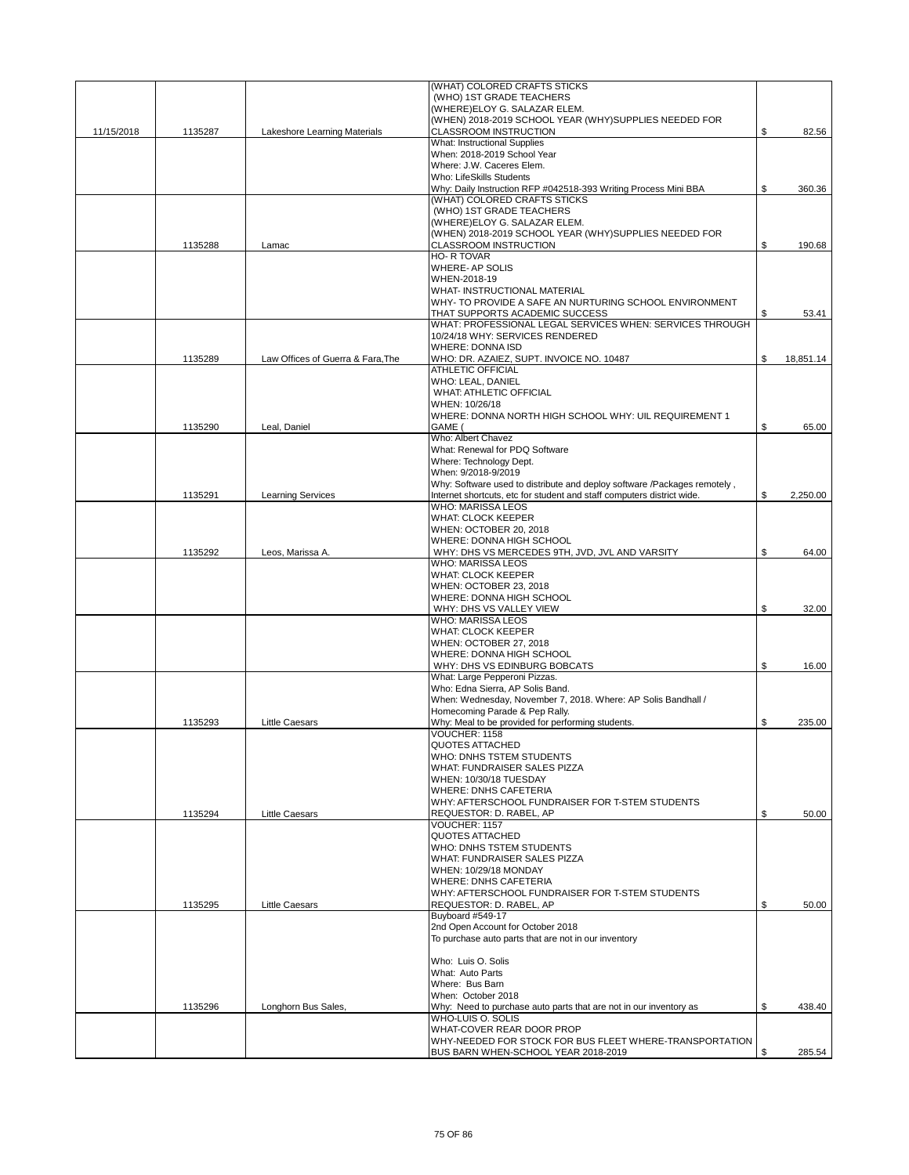|            |         |                                   | (WHAT) COLORED CRAFTS STICKS                                                                       |                 |
|------------|---------|-----------------------------------|----------------------------------------------------------------------------------------------------|-----------------|
|            |         |                                   | (WHO) 1ST GRADE TEACHERS<br>(WHERE)ELOY G. SALAZAR ELEM.                                           |                 |
|            |         |                                   | (WHEN) 2018-2019 SCHOOL YEAR (WHY)SUPPLIES NEEDED FOR                                              |                 |
| 11/15/2018 | 1135287 | Lakeshore Learning Materials      | CLASSROOM INSTRUCTION                                                                              | \$<br>82.56     |
|            |         |                                   | <b>What: Instructional Supplies</b>                                                                |                 |
|            |         |                                   | When: 2018-2019 School Year<br>Where: J.W. Caceres Elem.                                           |                 |
|            |         |                                   | Who: LifeSkills Students                                                                           |                 |
|            |         |                                   | Why: Daily Instruction RFP #042518-393 Writing Process Mini BBA                                    | \$<br>360.36    |
|            |         |                                   | (WHAT) COLORED CRAFTS STICKS                                                                       |                 |
|            |         |                                   | (WHO) 1ST GRADE TEACHERS<br>(WHERE)ELOY G. SALAZAR ELEM.                                           |                 |
|            |         |                                   | (WHEN) 2018-2019 SCHOOL YEAR (WHY)SUPPLIES NEEDED FOR                                              |                 |
|            | 1135288 | Lamac                             | CLASSROOM INSTRUCTION                                                                              | \$<br>190.68    |
|            |         |                                   | HO-R TOVAR<br>WHERE-AP SOLIS                                                                       |                 |
|            |         |                                   | WHEN-2018-19                                                                                       |                 |
|            |         |                                   | WHAT- INSTRUCTIONAL MATERIAL                                                                       |                 |
|            |         |                                   | WHY- TO PROVIDE A SAFE AN NURTURING SCHOOL ENVIRONMENT                                             |                 |
|            |         |                                   | THAT SUPPORTS ACADEMIC SUCCESS<br>WHAT: PROFESSIONAL LEGAL SERVICES WHEN: SERVICES THROUGH         | \$<br>53.41     |
|            |         |                                   | 10/24/18 WHY: SERVICES RENDERED                                                                    |                 |
|            |         |                                   | <b>WHERE: DONNA ISD</b>                                                                            |                 |
|            | 1135289 | Law Offices of Guerra & Fara, The | WHO: DR. AZAIEZ, SUPT. INVOICE NO. 10487                                                           | \$<br>18,851.14 |
|            |         |                                   | ATHLETIC OFFICIAL                                                                                  |                 |
|            |         |                                   | WHO: LEAL, DANIEL<br>WHAT: ATHLETIC OFFICIAL                                                       |                 |
|            |         |                                   | WHEN: 10/26/18                                                                                     |                 |
|            |         |                                   | WHERE: DONNA NORTH HIGH SCHOOL WHY: UIL REQUIREMENT 1                                              |                 |
|            | 1135290 | Leal, Daniel                      | GAME (                                                                                             | \$<br>65.00     |
|            |         |                                   | Who: Albert Chavez<br>What: Renewal for PDQ Software                                               |                 |
|            |         |                                   | Where: Technology Dept.                                                                            |                 |
|            |         |                                   | When: 9/2018-9/2019                                                                                |                 |
|            |         |                                   | Why: Software used to distribute and deploy software /Packages remotely,                           |                 |
|            | 1135291 | <b>Learning Services</b>          | Internet shortcuts, etc for student and staff computers district wide.<br><b>WHO: MARISSA LEOS</b> | \$<br>2,250.00  |
|            |         |                                   | <b>WHAT: CLOCK KEEPER</b>                                                                          |                 |
|            |         |                                   | WHEN: OCTOBER 20, 2018                                                                             |                 |
|            |         |                                   | WHERE: DONNA HIGH SCHOOL                                                                           |                 |
|            | 1135292 | Leos, Marissa A.                  | WHY: DHS VS MERCEDES 9TH, JVD, JVL AND VARSITY<br>WHO: MARISSA LEOS                                | \$<br>64.00     |
|            |         |                                   | WHAT: CLOCK KEEPER                                                                                 |                 |
|            |         |                                   | WHEN: OCTOBER 23, 2018                                                                             |                 |
|            |         |                                   | WHERE: DONNA HIGH SCHOOL                                                                           |                 |
|            |         |                                   | WHY: DHS VS VALLEY VIEW<br><b>WHO: MARISSA LEOS</b>                                                | \$<br>32.00     |
|            |         |                                   | <b>WHAT: CLOCK KEEPER</b>                                                                          |                 |
|            |         |                                   | WHEN: OCTOBER 27, 2018                                                                             |                 |
|            |         |                                   | WHERE: DONNA HIGH SCHOOL                                                                           |                 |
|            |         |                                   | WHY: DHS VS EDINBURG BOBCATS<br>What: Large Pepperoni Pizzas.                                      | \$<br>16.00     |
|            |         |                                   | Who: Edna Sierra, AP Solis Band.                                                                   |                 |
|            |         |                                   | When: Wednesday, November 7, 2018. Where: AP Solis Bandhall /                                      |                 |
|            |         |                                   | Homecoming Parade & Pep Rally.                                                                     |                 |
|            | 1135293 | <b>Little Caesars</b>             | Why: Meal to be provided for performing students.<br>VOUCHER: 1158                                 | \$<br>235.00    |
|            |         |                                   | QUOTES ATTACHED                                                                                    |                 |
|            |         |                                   | WHO: DNHS TSTEM STUDENTS                                                                           |                 |
|            |         |                                   | <b>WHAT: FUNDRAISER SALES PIZZA</b><br>WHEN: 10/30/18 TUESDAY                                      |                 |
|            |         |                                   | <b>WHERE: DNHS CAFETERIA</b>                                                                       |                 |
|            |         |                                   | WHY: AFTERSCHOOL FUNDRAISER FOR T-STEM STUDENTS                                                    |                 |
|            | 1135294 | <b>Little Caesars</b>             | REQUESTOR: D. RABEL, AP                                                                            | \$<br>50.00     |
|            |         |                                   | VOUCHER: 1157<br>QUOTES ATTACHED                                                                   |                 |
|            |         |                                   | WHO: DNHS TSTEM STUDENTS                                                                           |                 |
|            |         |                                   | WHAT: FUNDRAISER SALES PIZZA                                                                       |                 |
|            |         |                                   | WHEN: 10/29/18 MONDAY                                                                              |                 |
|            |         |                                   | <b>WHERE: DNHS CAFETERIA</b><br>WHY: AFTERSCHOOL FUNDRAISER FOR T-STEM STUDENTS                    |                 |
|            | 1135295 | <b>Little Caesars</b>             | REQUESTOR: D. RABEL, AP                                                                            | \$<br>50.00     |
|            |         |                                   | Buyboard #549-17                                                                                   |                 |
|            |         |                                   | 2nd Open Account for October 2018                                                                  |                 |
|            |         |                                   | To purchase auto parts that are not in our inventory                                               |                 |
|            |         |                                   | Who: Luis O. Solis                                                                                 |                 |
|            |         |                                   | What: Auto Parts                                                                                   |                 |
|            |         |                                   | Where: Bus Barn                                                                                    |                 |
|            | 1135296 |                                   | When: October 2018                                                                                 | \$<br>438.40    |
|            |         | Longhorn Bus Sales,               | Why: Need to purchase auto parts that are not in our inventory as<br>WHO-LUIS O. SOLIS             |                 |
|            |         |                                   | WHAT-COVER REAR DOOR PROP                                                                          |                 |
|            |         |                                   | WHY-NEEDED FOR STOCK FOR BUS FLEET WHERE-TRANSPORTATION                                            |                 |
|            |         |                                   | BUS BARN WHEN-SCHOOL YEAR 2018-2019                                                                | \$<br>285.54    |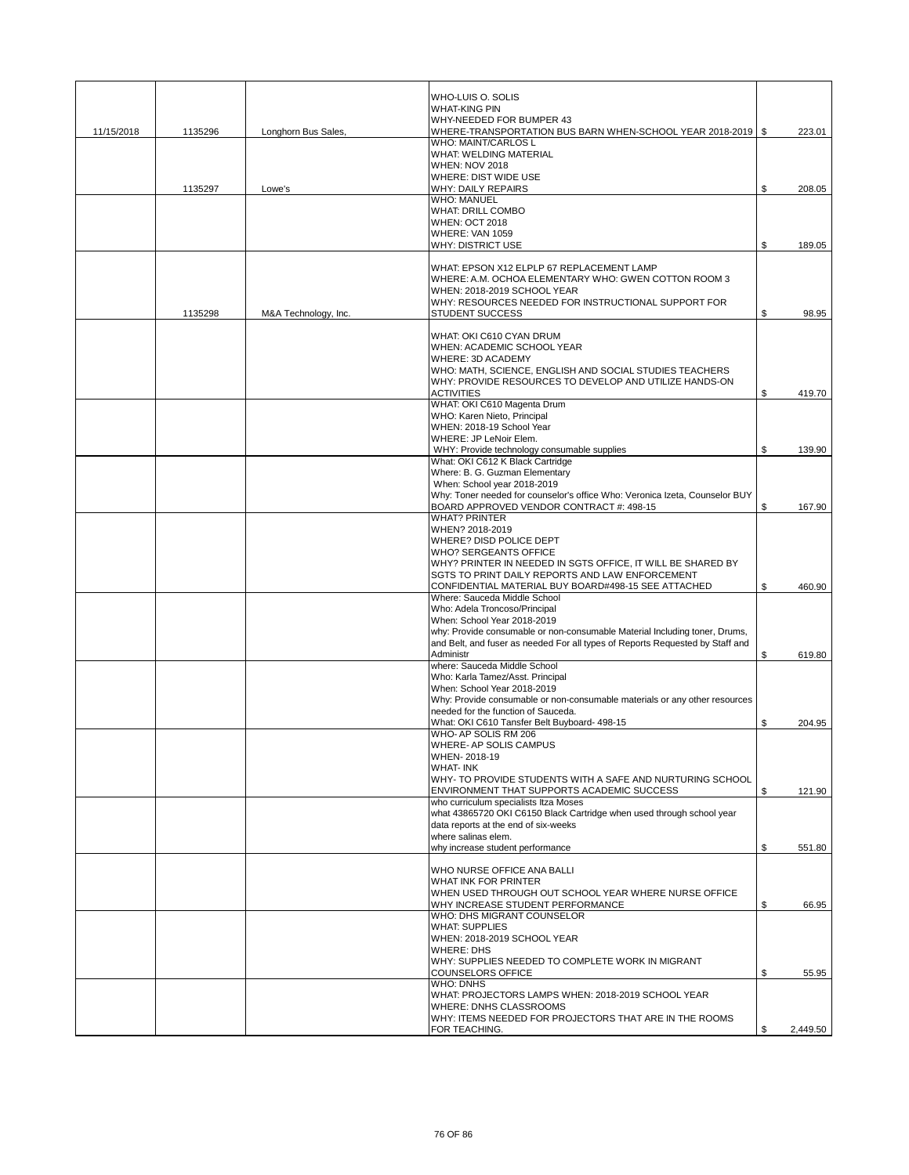|            |         |                      | WHO-LUIS O. SOLIS                                                                                                 |                |
|------------|---------|----------------------|-------------------------------------------------------------------------------------------------------------------|----------------|
|            |         |                      | <b>WHAT-KING PIN</b>                                                                                              |                |
|            |         |                      | WHY-NEEDED FOR BUMPER 43                                                                                          |                |
| 11/15/2018 | 1135296 | Longhorn Bus Sales.  | WHERE-TRANSPORTATION BUS BARN WHEN-SCHOOL YEAR 2018-2019   \$                                                     | 223.01         |
|            |         |                      | WHO: MAINT/CARLOS L                                                                                               |                |
|            |         |                      | WHAT: WELDING MATERIAL                                                                                            |                |
|            |         |                      | <b>WHEN: NOV 2018</b>                                                                                             |                |
|            |         |                      | WHERE: DIST WIDE USE                                                                                              |                |
|            | 1135297 | Lowe's               | <b>WHY: DAILY REPAIRS</b><br><b>WHO: MANUEL</b>                                                                   | \$<br>208.05   |
|            |         |                      | <b>WHAT: DRILL COMBO</b>                                                                                          |                |
|            |         |                      | <b>WHEN: OCT 2018</b>                                                                                             |                |
|            |         |                      | WHERE: VAN 1059                                                                                                   |                |
|            |         |                      | <b>WHY: DISTRICT USE</b>                                                                                          | \$<br>189.05   |
|            |         |                      |                                                                                                                   |                |
|            |         |                      | WHAT: EPSON X12 ELPLP 67 REPLACEMENT LAMP                                                                         |                |
|            |         |                      | WHERE: A.M. OCHOA ELEMENTARY WHO: GWEN COTTON ROOM 3                                                              |                |
|            |         |                      | WHEN: 2018-2019 SCHOOL YEAR                                                                                       |                |
|            |         |                      | WHY: RESOURCES NEEDED FOR INSTRUCTIONAL SUPPORT FOR                                                               |                |
|            | 1135298 | M&A Technology, Inc. | <b>STUDENT SUCCESS</b>                                                                                            | \$<br>98.95    |
|            |         |                      | WHAT: OKI C610 CYAN DRUM                                                                                          |                |
|            |         |                      | WHEN: ACADEMIC SCHOOL YEAR                                                                                        |                |
|            |         |                      | WHERE: 3D ACADEMY                                                                                                 |                |
|            |         |                      | WHO: MATH, SCIENCE, ENGLISH AND SOCIAL STUDIES TEACHERS                                                           |                |
|            |         |                      | WHY: PROVIDE RESOURCES TO DEVELOP AND UTILIZE HANDS-ON                                                            |                |
|            |         |                      | <b>ACTIVITIES</b>                                                                                                 | \$<br>419.70   |
|            |         |                      | WHAT: OKI C610 Magenta Drum                                                                                       |                |
|            |         |                      | WHO: Karen Nieto, Principal                                                                                       |                |
|            |         |                      | WHEN: 2018-19 School Year<br>WHERE: JP LeNoir Elem.                                                               |                |
|            |         |                      | WHY: Provide technology consumable supplies                                                                       | \$<br>139.90   |
|            |         |                      | What: OKI C612 K Black Cartridge                                                                                  |                |
|            |         |                      | Where: B. G. Guzman Elementary                                                                                    |                |
|            |         |                      | When: School year 2018-2019                                                                                       |                |
|            |         |                      | Why: Toner needed for counselor's office Who: Veronica Izeta, Counselor BUY                                       |                |
|            |         |                      | BOARD APPROVED VENDOR CONTRACT #: 498-15                                                                          | \$<br>167.90   |
|            |         |                      | <b>WHAT? PRINTER</b>                                                                                              |                |
|            |         |                      | WHEN? 2018-2019                                                                                                   |                |
|            |         |                      | WHERE? DISD POLICE DEPT                                                                                           |                |
|            |         |                      | <b>WHO? SERGEANTS OFFICE</b>                                                                                      |                |
|            |         |                      | WHY? PRINTER IN NEEDED IN SGTS OFFICE, IT WILL BE SHARED BY<br>SGTS TO PRINT DAILY REPORTS AND LAW ENFORCEMENT    |                |
|            |         |                      | CONFIDENTIAL MATERIAL BUY BOARD#498-15 SEE ATTACHED                                                               | \$<br>460.90   |
|            |         |                      | Where: Sauceda Middle School                                                                                      |                |
|            |         |                      | Who: Adela Troncoso/Principal                                                                                     |                |
|            |         |                      | When: School Year 2018-2019                                                                                       |                |
|            |         |                      | why: Provide consumable or non-consumable Material Including toner, Drums,                                        |                |
|            |         |                      | and Belt, and fuser as needed For all types of Reports Requested by Staff and                                     |                |
|            |         |                      | Administr                                                                                                         | \$<br>619.80   |
|            |         |                      | where: Sauceda Middle School                                                                                      |                |
|            |         |                      | Who: Karla Tamez/Asst. Principal                                                                                  |                |
|            |         |                      | When: School Year 2018-2019                                                                                       |                |
|            |         |                      | Why: Provide consumable or non-consumable materials or any other resources<br>needed for the function of Sauceda. |                |
|            |         |                      | What: OKI C610 Tansfer Belt Buyboard- 498-15                                                                      | \$<br>204.95   |
|            |         |                      | WHO- AP SOLIS RM 206                                                                                              |                |
|            |         |                      | WHERE- AP SOLIS CAMPUS                                                                                            |                |
|            |         |                      | WHEN-2018-19                                                                                                      |                |
|            |         |                      | <b>WHAT-INK</b>                                                                                                   |                |
|            |         |                      | WHY- TO PROVIDE STUDENTS WITH A SAFE AND NURTURING SCHOOL                                                         |                |
|            |         |                      | ENVIRONMENT THAT SUPPORTS ACADEMIC SUCCESS                                                                        | \$<br>121.90   |
|            |         |                      | who curriculum specialists Itza Moses                                                                             |                |
|            |         |                      | what 43865720 OKI C6150 Black Cartridge when used through school year<br>data reports at the end of six-weeks     |                |
|            |         |                      | where salinas elem.                                                                                               |                |
|            |         |                      | why increase student performance                                                                                  | \$<br>551.80   |
|            |         |                      |                                                                                                                   |                |
|            |         |                      | WHO NURSE OFFICE ANA BALLI                                                                                        |                |
|            |         |                      | WHAT INK FOR PRINTER                                                                                              |                |
|            |         |                      | WHEN USED THROUGH OUT SCHOOL YEAR WHERE NURSE OFFICE                                                              |                |
|            |         |                      | WHY INCREASE STUDENT PERFORMANCE                                                                                  | \$<br>66.95    |
|            |         |                      | WHO: DHS MIGRANT COUNSELOR                                                                                        |                |
|            |         |                      | <b>WHAT: SUPPLIES</b>                                                                                             |                |
|            |         |                      | WHEN: 2018-2019 SCHOOL YEAR<br><b>WHERE: DHS</b>                                                                  |                |
|            |         |                      | WHY: SUPPLIES NEEDED TO COMPLETE WORK IN MIGRANT                                                                  |                |
|            |         |                      | <b>COUNSELORS OFFICE</b>                                                                                          | \$<br>55.95    |
|            |         |                      | <b>WHO: DNHS</b>                                                                                                  |                |
|            |         |                      | WHAT: PROJECTORS LAMPS WHEN: 2018-2019 SCHOOL YEAR                                                                |                |
|            |         |                      | <b>WHERE: DNHS CLASSROOMS</b>                                                                                     |                |
|            |         |                      | WHY: ITEMS NEEDED FOR PROJECTORS THAT ARE IN THE ROOMS                                                            |                |
|            |         |                      | FOR TEACHING.                                                                                                     | \$<br>2,449.50 |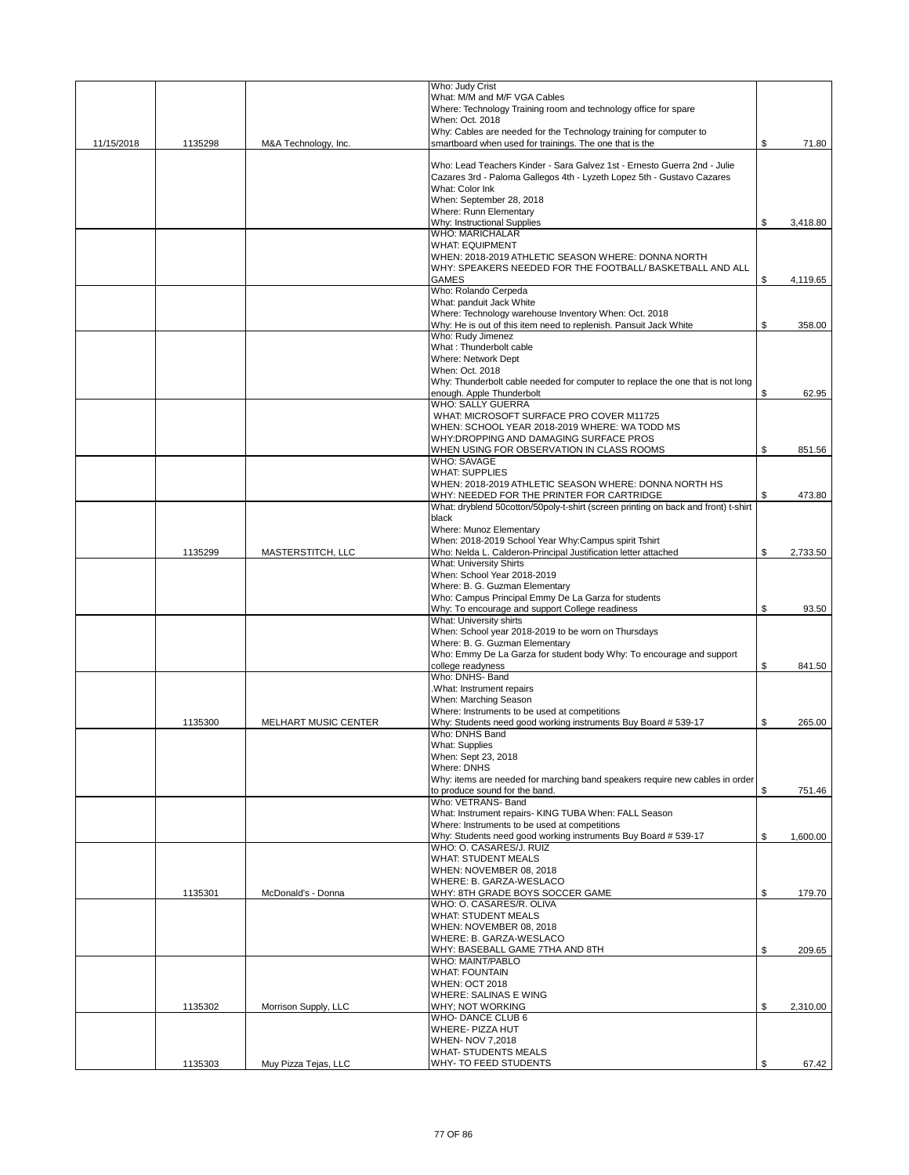|            |         |                      | Who: Judy Crist                                                                                                                                    |                |
|------------|---------|----------------------|----------------------------------------------------------------------------------------------------------------------------------------------------|----------------|
|            |         |                      | What: M/M and M/F VGA Cables                                                                                                                       |                |
|            |         |                      | Where: Technology Training room and technology office for spare<br>When: Oct. 2018                                                                 |                |
|            |         |                      | Why: Cables are needed for the Technology training for computer to                                                                                 |                |
| 11/15/2018 | 1135298 | M&A Technology, Inc. | smartboard when used for trainings. The one that is the                                                                                            | \$<br>71.80    |
|            |         |                      |                                                                                                                                                    |                |
|            |         |                      | Who: Lead Teachers Kinder - Sara Galvez 1st - Ernesto Guerra 2nd - Julie<br>Cazares 3rd - Paloma Gallegos 4th - Lyzeth Lopez 5th - Gustavo Cazares |                |
|            |         |                      | What: Color Ink                                                                                                                                    |                |
|            |         |                      | When: September 28, 2018                                                                                                                           |                |
|            |         |                      | Where: Runn Elementary                                                                                                                             |                |
|            |         |                      | Why: Instructional Supplies                                                                                                                        | \$<br>3,418.80 |
|            |         |                      | <b>WHO: MARICHALAR</b>                                                                                                                             |                |
|            |         |                      | <b>WHAT: EQUIPMENT</b>                                                                                                                             |                |
|            |         |                      | WHEN: 2018-2019 ATHLETIC SEASON WHERE: DONNA NORTH<br>WHY: SPEAKERS NEEDED FOR THE FOOTBALL/ BASKETBALL AND ALL                                    |                |
|            |         |                      | <b>GAMES</b>                                                                                                                                       | \$<br>4,119.65 |
|            |         |                      | Who: Rolando Cerpeda                                                                                                                               |                |
|            |         |                      | What: panduit Jack White                                                                                                                           |                |
|            |         |                      | Where: Technology warehouse Inventory When: Oct. 2018                                                                                              |                |
|            |         |                      | Why: He is out of this item need to replenish. Pansuit Jack White                                                                                  | \$<br>358.00   |
|            |         |                      | Who: Rudy Jimenez                                                                                                                                  |                |
|            |         |                      | What: Thunderbolt cable<br><b>Where: Network Dept</b>                                                                                              |                |
|            |         |                      | When: Oct. 2018                                                                                                                                    |                |
|            |         |                      | Why: Thunderbolt cable needed for computer to replace the one that is not long                                                                     |                |
|            |         |                      | enough. Apple Thunderbolt                                                                                                                          | \$<br>62.95    |
|            |         |                      | <b>WHO: SALLY GUERRA</b>                                                                                                                           |                |
|            |         |                      | WHAT: MICROSOFT SURFACE PRO COVER M11725                                                                                                           |                |
|            |         |                      | WHEN: SCHOOL YEAR 2018-2019 WHERE: WA TODD MS                                                                                                      |                |
|            |         |                      | WHY: DROPPING AND DAMAGING SURFACE PROS                                                                                                            |                |
|            |         |                      | WHEN USING FOR OBSERVATION IN CLASS ROOMS<br><b>WHO: SAVAGE</b>                                                                                    | \$<br>851.56   |
|            |         |                      | <b>WHAT: SUPPLIES</b>                                                                                                                              |                |
|            |         |                      | WHEN: 2018-2019 ATHLETIC SEASON WHERE: DONNA NORTH HS                                                                                              |                |
|            |         |                      | WHY: NEEDED FOR THE PRINTER FOR CARTRIDGE                                                                                                          | \$<br>473.80   |
|            |         |                      | What: dryblend 50cotton/50poly-t-shirt (screen printing on back and front) t-shirt                                                                 |                |
|            |         |                      | black                                                                                                                                              |                |
|            |         |                      | Where: Munoz Elementary<br>When: 2018-2019 School Year Why:Campus spirit Tshirt                                                                    |                |
|            | 1135299 | MASTERSTITCH, LLC    | Who: Nelda L. Calderon-Principal Justification letter attached                                                                                     | \$<br>2,733.50 |
|            |         |                      | <b>What: University Shirts</b>                                                                                                                     |                |
|            |         |                      | When: School Year 2018-2019                                                                                                                        |                |
|            |         |                      | Where: B. G. Guzman Elementary                                                                                                                     |                |
|            |         |                      | Who: Campus Principal Emmy De La Garza for students                                                                                                |                |
|            |         |                      | Why: To encourage and support College readiness                                                                                                    | \$<br>93.50    |
|            |         |                      | What: University shirts                                                                                                                            |                |
|            |         |                      | When: School year 2018-2019 to be worn on Thursdays<br>Where: B. G. Guzman Elementary                                                              |                |
|            |         |                      | Who: Emmy De La Garza for student body Why: To encourage and support                                                                               |                |
|            |         |                      | college readyness                                                                                                                                  | \$<br>841.50   |
|            |         |                      | Who: DNHS- Band                                                                                                                                    |                |
|            |         |                      | .What: Instrument repairs                                                                                                                          |                |
|            |         |                      | When: Marching Season                                                                                                                              |                |
|            |         |                      | Where: Instruments to be used at competitions                                                                                                      |                |
|            | 1135300 | MELHART MUSIC CENTER | Why: Students need good working instruments Buy Board # 539-17<br>Who: DNHS Band                                                                   | \$<br>265.00   |
|            |         |                      | What: Supplies                                                                                                                                     |                |
|            |         |                      | When: Sept 23, 2018                                                                                                                                |                |
|            |         |                      | <b>Where: DNHS</b>                                                                                                                                 |                |
|            |         |                      | Why: items are needed for marching band speakers require new cables in order                                                                       |                |
|            |         |                      | to produce sound for the band.                                                                                                                     | \$<br>751.46   |
|            |         |                      | Who: VETRANS- Band                                                                                                                                 |                |
|            |         |                      | What: Instrument repairs- KING TUBA When: FALL Season<br>Where: Instruments to be used at competitions                                             |                |
|            |         |                      | Why: Students need good working instruments Buy Board # 539-17                                                                                     | \$<br>1,600.00 |
|            |         |                      | WHO: O. CASARES/J. RUIZ                                                                                                                            |                |
|            |         |                      | <b>WHAT: STUDENT MEALS</b>                                                                                                                         |                |
|            |         |                      | WHEN: NOVEMBER 08, 2018                                                                                                                            |                |
|            |         |                      | WHERE: B. GARZA-WESLACO                                                                                                                            |                |
|            | 1135301 | McDonald's - Donna   | WHY: 8TH GRADE BOYS SOCCER GAME<br>WHO: O. CASARES/R. OLIVA                                                                                        | \$<br>179.70   |
|            |         |                      | <b>WHAT: STUDENT MEALS</b>                                                                                                                         |                |
|            |         |                      | WHEN: NOVEMBER 08, 2018                                                                                                                            |                |
|            |         |                      | WHERE: B. GARZA-WESLACO                                                                                                                            |                |
|            |         |                      | WHY: BASEBALL GAME 7THA AND 8TH                                                                                                                    | \$<br>209.65   |
|            |         |                      | WHO: MAINT/PABLO                                                                                                                                   |                |
|            |         |                      | <b>WHAT: FOUNTAIN</b>                                                                                                                              |                |
|            |         |                      | <b>WHEN: OCT 2018</b><br>WHERE: SALINAS E WING                                                                                                     |                |
|            | 1135302 | Morrison Supply, LLC | WHY; NOT WORKING                                                                                                                                   | \$<br>2,310.00 |
|            |         |                      | <b>WHO-DANCE CLUB 6</b>                                                                                                                            |                |
|            |         |                      | WHERE- PIZZA HUT                                                                                                                                   |                |
|            |         |                      | WHEN- NOV 7,2018                                                                                                                                   |                |
|            |         |                      | <b>WHAT- STUDENTS MEALS</b>                                                                                                                        |                |
|            | 1135303 | Muy Pizza Tejas, LLC | WHY- TO FEED STUDENTS                                                                                                                              | \$<br>67.42    |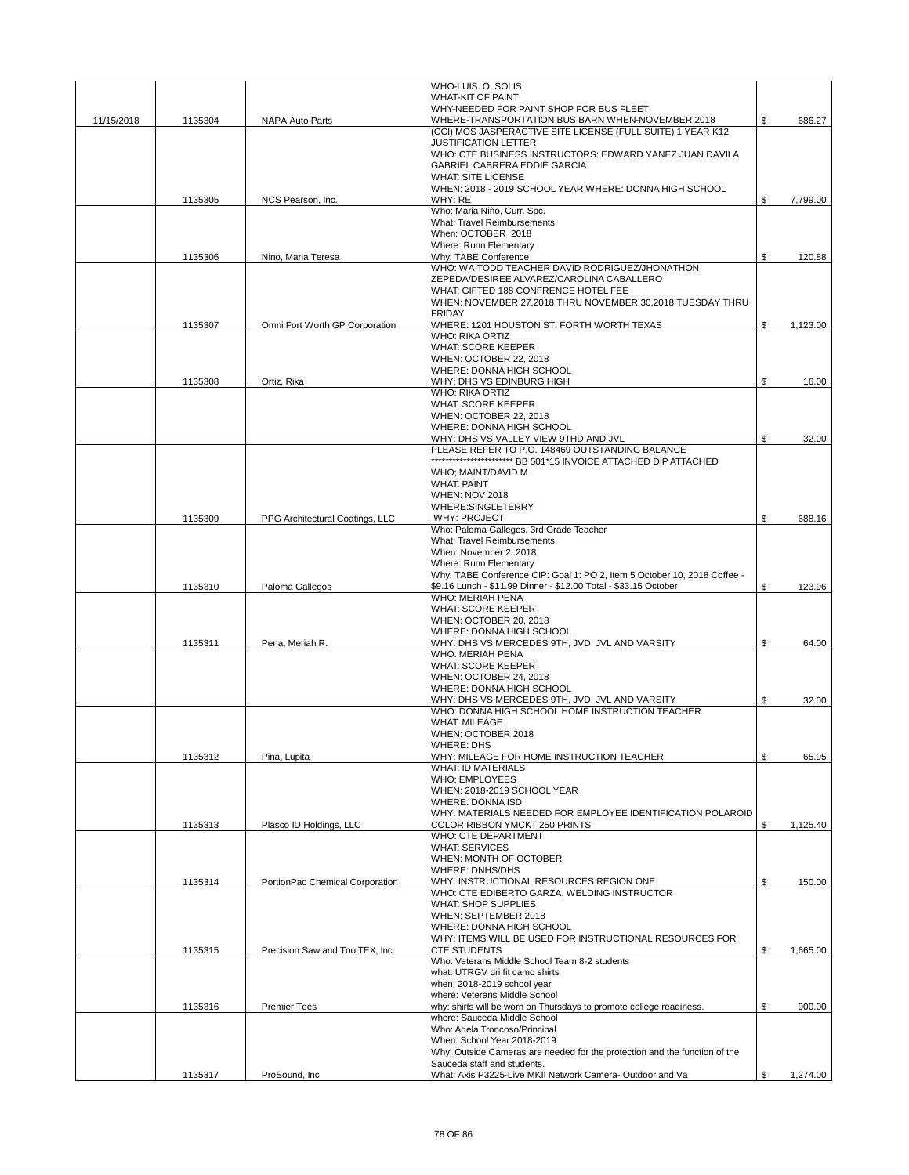|            |         |                                 | WHO-LUIS. O. SOLIS                                                                                        |                |
|------------|---------|---------------------------------|-----------------------------------------------------------------------------------------------------------|----------------|
|            |         |                                 | <b>WHAT-KIT OF PAINT</b><br>WHY-NEEDED FOR PAINT SHOP FOR BUS FLEET                                       |                |
| 11/15/2018 | 1135304 | NAPA Auto Parts                 | WHERE-TRANSPORTATION BUS BARN WHEN-NOVEMBER 2018                                                          | \$<br>686.27   |
|            |         |                                 | (CCI) MOS JASPERACTIVE SITE LICENSE (FULL SUITE) 1 YEAR K12                                               |                |
|            |         |                                 | <b>JUSTIFICATION LETTER</b>                                                                               |                |
|            |         |                                 | WHO: CTE BUSINESS INSTRUCTORS: EDWARD YANEZ JUAN DAVILA<br><b>GABRIEL CABRERA EDDIE GARCIA</b>            |                |
|            |         |                                 | <b>WHAT: SITE LICENSE</b>                                                                                 |                |
|            |         |                                 | WHEN: 2018 - 2019 SCHOOL YEAR WHERE: DONNA HIGH SCHOOL                                                    |                |
|            | 1135305 | NCS Pearson, Inc.               | WHY: RE                                                                                                   | \$<br>7,799.00 |
|            |         |                                 | Who: Maria Niño, Curr. Spc.                                                                               |                |
|            |         |                                 | What: Travel Reimbursements<br>When: OCTOBER 2018                                                         |                |
|            |         |                                 | Where: Runn Elementary                                                                                    |                |
|            | 1135306 | Nino, Maria Teresa              | Whv: TABE Conference                                                                                      | \$<br>120.88   |
|            |         |                                 | WHO: WA TODD TEACHER DAVID RODRIGUEZ/JHONATHON                                                            |                |
|            |         |                                 | ZEPEDA/DESIREE ALVAREZ/CAROLINA CABALLERO<br>WHAT: GIFTED 188 CONFRENCE HOTEL FEE                         |                |
|            |         |                                 | WHEN: NOVEMBER 27,2018 THRU NOVEMBER 30,2018 TUESDAY THRU                                                 |                |
|            |         |                                 | <b>FRIDAY</b>                                                                                             |                |
|            | 1135307 | Omni Fort Worth GP Corporation  | WHERE: 1201 HOUSTON ST, FORTH WORTH TEXAS                                                                 | \$<br>1,123.00 |
|            |         |                                 | <b>WHO: RIKA ORTIZ</b>                                                                                    |                |
|            |         |                                 | <b>WHAT: SCORE KEEPER</b><br>WHEN: OCTOBER 22, 2018                                                       |                |
|            |         |                                 | WHERE: DONNA HIGH SCHOOL                                                                                  |                |
|            | 1135308 | Ortiz, Rika                     | WHY: DHS VS EDINBURG HIGH                                                                                 | \$<br>16.00    |
|            |         |                                 | <b>WHO: RIKA ORTIZ</b>                                                                                    |                |
|            |         |                                 | WHAT: SCORE KEEPER<br>WHEN: OCTOBER 22, 2018                                                              |                |
|            |         |                                 | WHERE: DONNA HIGH SCHOOL                                                                                  |                |
|            |         |                                 | WHY: DHS VS VALLEY VIEW 9THD AND JVL                                                                      | \$<br>32.00    |
|            |         |                                 | PLEASE REFER TO P.O. 148469 OUTSTANDING BALANCE                                                           |                |
|            |         |                                 |                                                                                                           |                |
|            |         |                                 | WHO; MAINT/DAVID M<br><b>WHAT: PAINT</b>                                                                  |                |
|            |         |                                 | <b>WHEN: NOV 2018</b>                                                                                     |                |
|            |         |                                 | <b>WHERE:SINGLETERRY</b>                                                                                  |                |
|            | 1135309 | PPG Architectural Coatings, LLC | WHY: PROJECT                                                                                              | \$<br>688.16   |
|            |         |                                 | Who: Paloma Gallegos, 3rd Grade Teacher                                                                   |                |
|            |         |                                 | What: Travel Reimbursements<br>When: November 2, 2018                                                     |                |
|            |         |                                 | <b>Where: Runn Elementary</b>                                                                             |                |
|            |         |                                 | Why: TABE Conference CIP: Goal 1: PO 2, Item 5 October 10, 2018 Coffee -                                  |                |
|            | 1135310 | Paloma Gallegos                 | \$9.16 Lunch - \$11.99 Dinner - \$12.00 Total - \$33.15 October                                           | \$<br>123.96   |
|            |         |                                 | <b>WHO: MERIAH PENA</b><br><b>WHAT: SCORE KEEPER</b>                                                      |                |
|            |         |                                 | WHEN: OCTOBER 20, 2018                                                                                    |                |
|            |         |                                 | WHERE: DONNA HIGH SCHOOL                                                                                  |                |
|            | 1135311 | Pena, Meriah R.                 | WHY: DHS VS MERCEDES 9TH, JVD, JVL AND VARSITY                                                            | \$<br>64.00    |
|            |         |                                 | <b>WHO: MERIAH PENA</b>                                                                                   |                |
|            |         |                                 | <b>WHAT: SCORE KEEPER</b><br>WHEN: OCTOBER 24, 2018                                                       |                |
|            |         |                                 | WHERE: DONNA HIGH SCHOOL                                                                                  |                |
|            |         |                                 | WHY: DHS VS MERCEDES 9TH, JVD, JVL AND VARSITY                                                            | \$<br>32.00    |
|            |         |                                 | WHO: DONNA HIGH SCHOOL HOME INSTRUCTION TEACHER                                                           |                |
|            |         |                                 | <b>WHAT: MILEAGE</b>                                                                                      |                |
|            |         |                                 | WHEN: OCTOBER 2018<br><b>WHERE: DHS</b>                                                                   |                |
|            | 1135312 | Pina, Lupita                    | WHY: MILEAGE FOR HOME INSTRUCTION TEACHER                                                                 | \$<br>65.95    |
|            |         |                                 | <b>WHAT: ID MATERIALS</b>                                                                                 |                |
|            |         |                                 | <b>WHO: EMPLOYEES</b>                                                                                     |                |
|            |         |                                 | WHEN: 2018-2019 SCHOOL YEAR<br><b>WHERE: DONNA ISD</b>                                                    |                |
|            |         |                                 | WHY: MATERIALS NEEDED FOR EMPLOYEE IDENTIFICATION POLAROID                                                |                |
|            | 1135313 | Plasco ID Holdings, LLC         | COLOR RIBBON YMCKT 250 PRINTS                                                                             | \$<br>1,125.40 |
|            |         |                                 | <b>WHO: CTE DEPARTMENT</b>                                                                                |                |
|            |         |                                 | <b>WHAT: SERVICES</b>                                                                                     |                |
|            |         |                                 | WHEN: MONTH OF OCTOBER<br><b>WHERE: DNHS/DHS</b>                                                          |                |
|            | 1135314 | PortionPac Chemical Corporation | WHY: INSTRUCTIONAL RESOURCES REGION ONE                                                                   | \$<br>150.00   |
|            |         |                                 | WHO: CTE EDIBERTO GARZA, WELDING INSTRUCTOR                                                               |                |
|            |         |                                 | <b>WHAT: SHOP SUPPLIES</b>                                                                                |                |
|            |         |                                 | WHEN: SEPTEMBER 2018<br>WHERE: DONNA HIGH SCHOOL                                                          |                |
|            |         |                                 | WHY: ITEMS WILL BE USED FOR INSTRUCTIONAL RESOURCES FOR                                                   |                |
|            | 1135315 | Precision Saw and ToolTEX, Inc. | <b>CTE STUDENTS</b>                                                                                       | \$<br>1,665.00 |
|            |         |                                 | Who: Veterans Middle School Team 8-2 students                                                             |                |
|            |         |                                 | what: UTRGV dri fit camo shirts                                                                           |                |
|            |         |                                 | when: 2018-2019 school year<br>where: Veterans Middle School                                              |                |
|            | 1135316 | <b>Premier Tees</b>             | why: shirts will be worn on Thursdays to promote college readiness.                                       | \$<br>900.00   |
|            |         |                                 | where: Sauceda Middle School                                                                              |                |
|            |         |                                 | Who: Adela Troncoso/Principal                                                                             |                |
|            |         |                                 | When: School Year 2018-2019<br>Why: Outside Cameras are needed for the protection and the function of the |                |
|            |         |                                 | Sauceda staff and students.                                                                               |                |
|            | 1135317 | ProSound, Inc.                  | What: Axis P3225-Live MKII Network Camera-Outdoor and Va                                                  | \$<br>1,274.00 |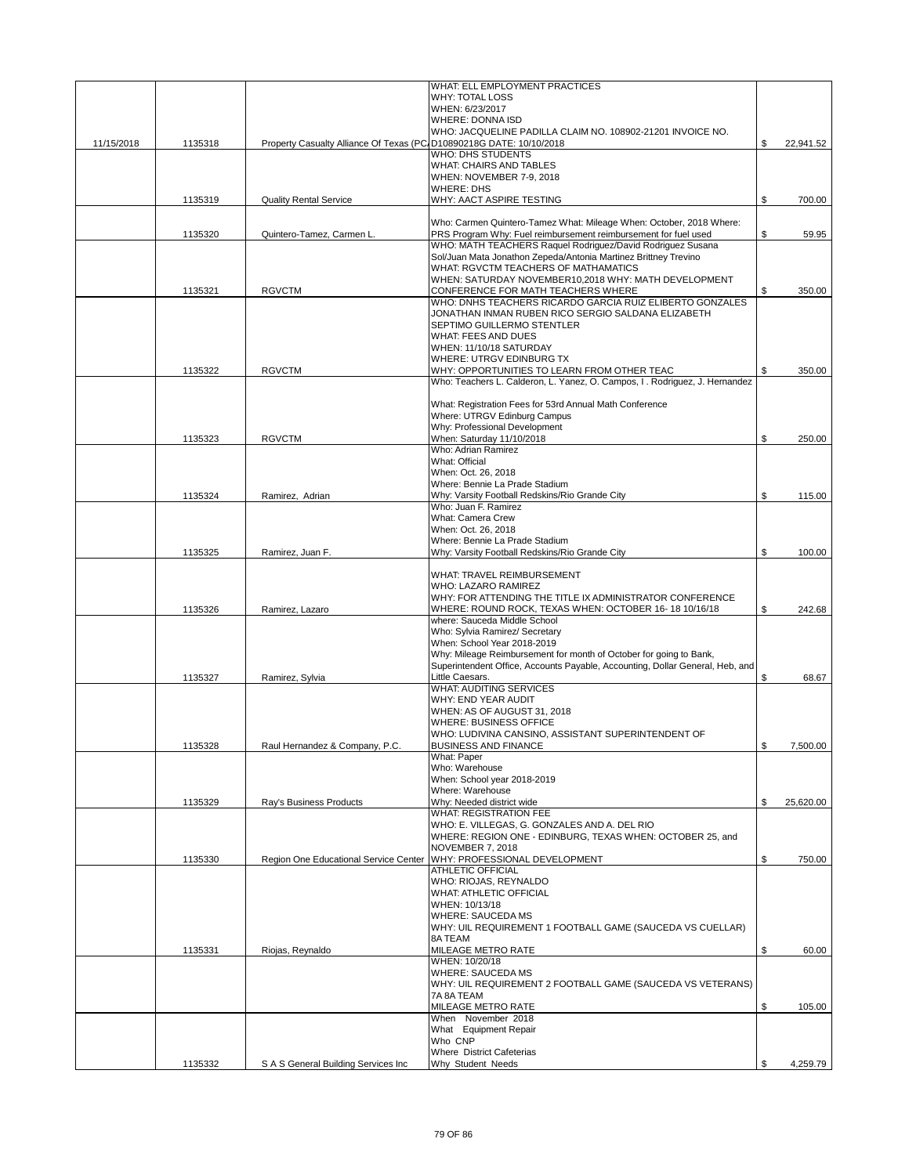|            |         |                                                                     | WHAT: ELL EMPLOYMENT PRACTICES                                                                                                |                 |
|------------|---------|---------------------------------------------------------------------|-------------------------------------------------------------------------------------------------------------------------------|-----------------|
|            |         |                                                                     | <b>WHY: TOTAL LOSS</b>                                                                                                        |                 |
|            |         |                                                                     | WHEN: 6/23/2017<br>WHERE: DONNA ISD                                                                                           |                 |
|            |         |                                                                     | WHO: JACQUELINE PADILLA CLAIM NO. 108902-21201 INVOICE NO.                                                                    |                 |
| 11/15/2018 | 1135318 | Property Casualty Alliance Of Texas (PC/D10890218G DATE: 10/10/2018 |                                                                                                                               | \$<br>22,941.52 |
|            |         |                                                                     | <b>WHO: DHS STUDENTS</b>                                                                                                      |                 |
|            |         |                                                                     | <b>WHAT: CHAIRS AND TABLES</b>                                                                                                |                 |
|            |         |                                                                     | WHEN: NOVEMBER 7-9, 2018<br><b>WHERE: DHS</b>                                                                                 |                 |
|            | 1135319 | <b>Quality Rental Service</b>                                       | WHY: AACT ASPIRE TESTING                                                                                                      | \$<br>700.00    |
|            |         |                                                                     |                                                                                                                               |                 |
|            |         |                                                                     | Who: Carmen Quintero-Tamez What: Mileage When: October, 2018 Where:                                                           |                 |
|            | 1135320 | Quintero-Tamez, Carmen L.                                           | PRS Program Why: Fuel reimbursement reimbursement for fuel used<br>WHO: MATH TEACHERS Raquel Rodriquez/David Rodriquez Susana | \$<br>59.95     |
|            |         |                                                                     | Sol/Juan Mata Jonathon Zepeda/Antonia Martinez Brittney Trevino                                                               |                 |
|            |         |                                                                     | WHAT: RGVCTM TEACHERS OF MATHAMATICS                                                                                          |                 |
|            |         |                                                                     | WHEN: SATURDAY NOVEMBER10,2018 WHY: MATH DEVELOPMENT                                                                          |                 |
|            | 1135321 | <b>RGVCTM</b>                                                       | CONFERENCE FOR MATH TEACHERS WHERE<br>WHO: DNHS TEACHERS RICARDO GARCIA RUIZ ELIBERTO GONZALES                                | \$<br>350.00    |
|            |         |                                                                     | JONATHAN INMAN RUBEN RICO SERGIO SALDANA ELIZABETH                                                                            |                 |
|            |         |                                                                     | SEPTIMO GUILLERMO STENTLER                                                                                                    |                 |
|            |         |                                                                     | WHAT: FEES AND DUES                                                                                                           |                 |
|            |         |                                                                     | WHEN: 11/10/18 SATURDAY                                                                                                       |                 |
|            | 1135322 | <b>RGVCTM</b>                                                       | <b>WHERE: UTRGV EDINBURG TX</b><br>WHY: OPPORTUNITIES TO LEARN FROM OTHER TEAC                                                | \$<br>350.00    |
|            |         |                                                                     | Who: Teachers L. Calderon, L. Yanez, O. Campos, I. Rodriguez, J. Hernandez                                                    |                 |
|            |         |                                                                     |                                                                                                                               |                 |
|            |         |                                                                     | What: Registration Fees for 53rd Annual Math Conference                                                                       |                 |
|            |         |                                                                     | Where: UTRGV Edinburg Campus                                                                                                  |                 |
|            | 1135323 | <b>RGVCTM</b>                                                       | Why: Professional Development<br>When: Saturday 11/10/2018                                                                    | \$<br>250.00    |
|            |         |                                                                     | Who: Adrian Ramirez                                                                                                           |                 |
|            |         |                                                                     | What: Official                                                                                                                |                 |
|            |         |                                                                     | When: Oct. 26, 2018                                                                                                           |                 |
|            |         |                                                                     | Where: Bennie La Prade Stadium                                                                                                | \$              |
|            | 1135324 | Ramirez, Adrian                                                     | Why: Varsity Football Redskins/Rio Grande City<br>Who: Juan F. Ramirez                                                        | 115.00          |
|            |         |                                                                     | What: Camera Crew                                                                                                             |                 |
|            |         |                                                                     | When: Oct. 26, 2018                                                                                                           |                 |
|            |         |                                                                     | Where: Bennie La Prade Stadium                                                                                                |                 |
|            | 1135325 | Ramirez, Juan F.                                                    | Why: Varsity Football Redskins/Rio Grande City                                                                                | \$<br>100.00    |
|            |         |                                                                     | WHAT: TRAVEL REIMBURSEMENT                                                                                                    |                 |
|            |         |                                                                     | <b>WHO: LAZARO RAMIREZ</b>                                                                                                    |                 |
|            |         |                                                                     | WHY: FOR ATTENDING THE TITLE IX ADMINISTRATOR CONFERENCE                                                                      |                 |
|            | 1135326 | Ramirez, Lazaro                                                     | WHERE: ROUND ROCK, TEXAS WHEN: OCTOBER 16-18 10/16/18<br>where: Sauceda Middle School                                         | \$<br>242.68    |
|            |         |                                                                     | Who: Sylvia Ramirez/ Secretary                                                                                                |                 |
|            |         |                                                                     | When: School Year 2018-2019                                                                                                   |                 |
|            |         |                                                                     | Why: Mileage Reimbursement for month of October for going to Bank,                                                            |                 |
|            |         |                                                                     | Superintendent Office, Accounts Payable, Accounting, Dollar General, Heb, and                                                 |                 |
|            | 1135327 | Ramirez, Sylvia                                                     | Little Caesars.<br><b>WHAT: AUDITING SERVICES</b>                                                                             | \$<br>68.67     |
|            |         |                                                                     | WHY: END YEAR AUDIT                                                                                                           |                 |
|            |         |                                                                     | WHEN: AS OF AUGUST 31, 2018                                                                                                   |                 |
|            |         |                                                                     | <b>WHERE: BUSINESS OFFICE</b>                                                                                                 |                 |
|            |         |                                                                     | WHO: LUDIVINA CANSINO, ASSISTANT SUPERINTENDENT OF                                                                            |                 |
|            | 1135328 | Raul Hernandez & Company, P.C.                                      | <b>BUSINESS AND FINANCE</b><br>What: Paper                                                                                    | \$<br>7,500.00  |
|            |         |                                                                     | Who: Warehouse                                                                                                                |                 |
|            |         |                                                                     | When: School year 2018-2019                                                                                                   |                 |
|            |         |                                                                     | Where: Warehouse                                                                                                              |                 |
|            | 1135329 | Ray's Business Products                                             | Why: Needed district wide                                                                                                     | \$<br>25.620.00 |
|            |         |                                                                     | <b>WHAT: REGISTRATION FEE</b><br>WHO: E. VILLEGAS, G. GONZALES AND A. DEL RIO                                                 |                 |
|            |         |                                                                     | WHERE: REGION ONE - EDINBURG, TEXAS WHEN: OCTOBER 25, and                                                                     |                 |
|            |         |                                                                     | NOVEMBER 7, 2018                                                                                                              |                 |
|            | 1135330 | Region One Educational Service Center                               | WHY: PROFESSIONAL DEVELOPMENT                                                                                                 | \$<br>750.00    |
|            |         |                                                                     | <b>ATHLETIC OFFICIAL</b><br>WHO: RIOJAS, REYNALDO                                                                             |                 |
|            |         |                                                                     | WHAT: ATHLETIC OFFICIAL                                                                                                       |                 |
|            |         |                                                                     | WHEN: 10/13/18                                                                                                                |                 |
|            |         |                                                                     | <b>WHERE: SAUCEDA MS</b>                                                                                                      |                 |
|            |         |                                                                     | WHY: UIL REQUIREMENT 1 FOOTBALL GAME (SAUCEDA VS CUELLAR)                                                                     |                 |
|            | 1135331 | Riojas, Reynaldo                                                    | 8A TEAM<br>MILEAGE METRO RATE                                                                                                 | \$<br>60.00     |
|            |         |                                                                     | WHEN: 10/20/18                                                                                                                |                 |
|            |         |                                                                     | <b>WHERE: SAUCEDA MS</b>                                                                                                      |                 |
|            |         |                                                                     | WHY: UIL REQUIREMENT 2 FOOTBALL GAME (SAUCEDA VS VETERANS)                                                                    |                 |
|            |         |                                                                     | 7A 8A TEAM                                                                                                                    |                 |
|            |         |                                                                     | MILEAGE METRO RATE<br>When November 2018                                                                                      | \$<br>105.00    |
|            |         |                                                                     | What Equipment Repair                                                                                                         |                 |
|            |         |                                                                     | Who CNP                                                                                                                       |                 |
|            |         |                                                                     | <b>Where District Cafeterias</b>                                                                                              |                 |
|            | 1135332 | S A S General Building Services Inc                                 | Why Student Needs                                                                                                             | \$<br>4,259.79  |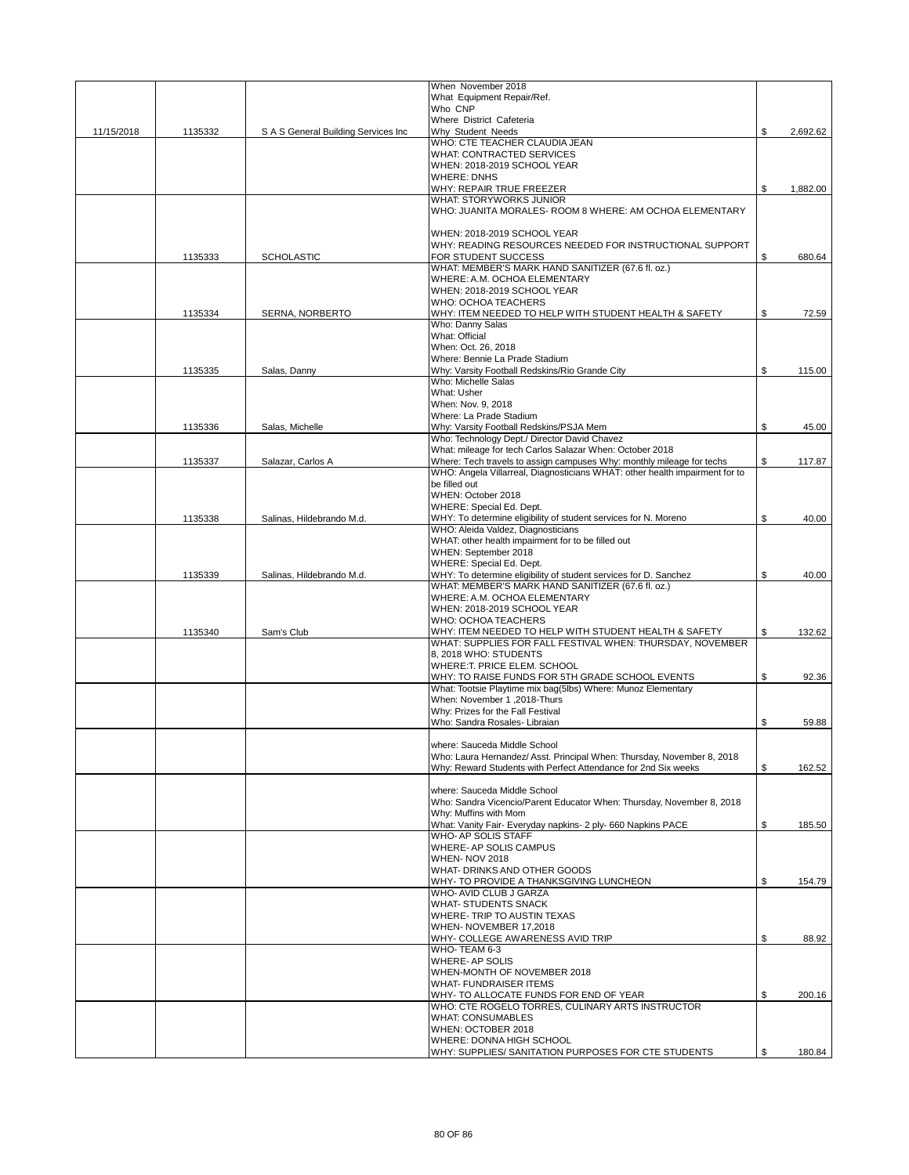|            |         |                                      | When November 2018                                                          |     |          |
|------------|---------|--------------------------------------|-----------------------------------------------------------------------------|-----|----------|
|            |         |                                      | What Equipment Repair/Ref.                                                  |     |          |
|            |         |                                      | Who CNP                                                                     |     |          |
|            |         |                                      | Where District Cafeteria                                                    |     |          |
| 11/15/2018 | 1135332 | S A S General Building Services Inc. | Why Student Needs                                                           | \$  | 2,692.62 |
|            |         |                                      | WHO: CTE TEACHER CLAUDIA JEAN                                               |     |          |
|            |         |                                      | WHAT: CONTRACTED SERVICES                                                   |     |          |
|            |         |                                      | WHEN: 2018-2019 SCHOOL YEAR                                                 |     |          |
|            |         |                                      | <b>WHERE: DNHS</b>                                                          |     |          |
|            |         |                                      | WHY: REPAIR TRUE FREEZER                                                    | \$  | 1,882.00 |
|            |         |                                      | WHAT: STORYWORKS JUNIOR                                                     |     |          |
|            |         |                                      | WHO: JUANITA MORALES- ROOM 8 WHERE: AM OCHOA ELEMENTARY                     |     |          |
|            |         |                                      |                                                                             |     |          |
|            |         |                                      | WHEN: 2018-2019 SCHOOL YEAR                                                 |     |          |
|            |         |                                      | WHY: READING RESOURCES NEEDED FOR INSTRUCTIONAL SUPPORT                     |     |          |
|            |         |                                      | FOR STUDENT SUCCESS                                                         | \$  |          |
|            | 1135333 | <b>SCHOLASTIC</b>                    | WHAT: MEMBER'S MARK HAND SANITIZER (67.6 fl. oz.)                           |     | 680.64   |
|            |         |                                      |                                                                             |     |          |
|            |         |                                      | WHERE: A.M. OCHOA ELEMENTARY                                                |     |          |
|            |         |                                      | WHEN: 2018-2019 SCHOOL YEAR                                                 |     |          |
|            |         |                                      | WHO: OCHOA TEACHERS                                                         |     |          |
|            | 1135334 | SERNA, NORBERTO                      | WHY: ITEM NEEDED TO HELP WITH STUDENT HEALTH & SAFETY                       | \$  | 72.59    |
|            |         |                                      | Who: Danny Salas                                                            |     |          |
|            |         |                                      | What: Official                                                              |     |          |
|            |         |                                      | When: Oct. 26, 2018                                                         |     |          |
|            |         |                                      | Where: Bennie La Prade Stadium                                              |     |          |
|            | 1135335 | Salas, Danny                         | Why: Varsity Football Redskins/Rio Grande City                              |     | 115.00   |
|            |         |                                      | Who: Michelle Salas                                                         |     |          |
|            |         |                                      | What: Usher                                                                 |     |          |
|            |         |                                      | When: Nov. 9, 2018                                                          |     |          |
|            |         |                                      | Where: La Prade Stadium                                                     |     |          |
|            | 1135336 | Salas, Michelle                      | Why: Varsity Football Redskins/PSJA Mem                                     | \$  | 45.00    |
|            |         |                                      | Who: Technology Dept./ Director David Chavez                                |     |          |
|            |         |                                      | What: mileage for tech Carlos Salazar When: October 2018                    |     |          |
|            | 1135337 | Salazar, Carlos A                    | Where: Tech travels to assign campuses Why: monthly mileage for techs       | \$  | 117.87   |
|            |         |                                      | WHO: Angela Villarreal, Diagnosticians WHAT: other health impairment for to |     |          |
|            |         |                                      | be filled out                                                               |     |          |
|            |         |                                      | WHEN: October 2018                                                          |     |          |
|            |         |                                      |                                                                             |     |          |
|            |         |                                      | WHERE: Special Ed. Dept.                                                    |     |          |
|            | 1135338 | Salinas, Hildebrando M.d.            | WHY: To determine eligibility of student services for N. Moreno             | \$  | 40.00    |
|            |         |                                      | WHO: Aleida Valdez, Diagnosticians                                          |     |          |
|            |         |                                      | WHAT: other health impairment for to be filled out                          |     |          |
|            |         |                                      | WHEN: September 2018                                                        |     |          |
|            |         |                                      | WHERE: Special Ed. Dept.                                                    |     |          |
|            | 1135339 | Salinas, Hildebrando M.d.            | WHY: To determine eligibility of student services for D. Sanchez            | \$. | 40.00    |
|            |         |                                      | WHAT: MEMBER'S MARK HAND SANITIZER (67.6 fl. oz.)                           |     |          |
|            |         |                                      | WHERE: A.M. OCHOA ELEMENTARY                                                |     |          |
|            |         |                                      | WHEN: 2018-2019 SCHOOL YEAR                                                 |     |          |
|            |         |                                      | WHO: OCHOA TEACHERS                                                         |     |          |
|            | 1135340 | Sam's Club                           | WHY: ITEM NEEDED TO HELP WITH STUDENT HEALTH & SAFETY                       |     | 132.62   |
|            |         |                                      | WHAT: SUPPLIES FOR FALL FESTIVAL WHEN: THURSDAY, NOVEMBER                   |     |          |
|            |         |                                      | 8, 2018 WHO: STUDENTS                                                       |     |          |
|            |         |                                      | WHERE:T. PRICE ELEM. SCHOOL                                                 |     |          |
|            |         |                                      | WHY: TO RAISE FUNDS FOR 5TH GRADE SCHOOL EVENTS                             | \$  | 92.36    |
|            |         |                                      | What: Tootsie Playtime mix bag(5lbs) Where: Munoz Elementary                |     |          |
|            |         |                                      | When: November 1,2018-Thurs                                                 |     |          |
|            |         |                                      | Why: Prizes for the Fall Festival                                           |     |          |
|            |         |                                      | Who: Sandra Rosales- Libraian                                               | \$  | 59.88    |
|            |         |                                      |                                                                             |     |          |
|            |         |                                      | where: Sauceda Middle School                                                |     |          |
|            |         |                                      |                                                                             |     |          |
|            |         |                                      | Who: Laura Hernandez/ Asst. Principal When: Thursday, November 8, 2018      |     |          |
|            |         |                                      | Why: Reward Students with Perfect Attendance for 2nd Six weeks              | \$  | 162.52   |
|            |         |                                      |                                                                             |     |          |
|            |         |                                      | where: Sauceda Middle School                                                |     |          |
|            |         |                                      | Who: Sandra Vicencio/Parent Educator When: Thursday, November 8, 2018       |     |          |
|            |         |                                      | Why: Muffins with Mom                                                       |     |          |
|            |         |                                      | What: Vanity Fair- Everyday napkins- 2 ply- 660 Napkins PACE                | \$  | 185.50   |
|            |         |                                      | WHO- AP SOLIS STAFF                                                         |     |          |
|            |         |                                      | WHERE- AP SOLIS CAMPUS                                                      |     |          |
|            |         |                                      | WHEN-NOV 2018                                                               |     |          |
|            |         |                                      | WHAT- DRINKS AND OTHER GOODS                                                |     |          |
|            |         |                                      | WHY- TO PROVIDE A THANKSGIVING LUNCHEON                                     | \$  | 154.79   |
|            |         |                                      | WHO- AVID CLUB J GARZA                                                      |     |          |
|            |         |                                      | WHAT- STUDENTS SNACK                                                        |     |          |
|            |         |                                      | WHERE- TRIP TO AUSTIN TEXAS                                                 |     |          |
|            |         |                                      | WHEN- NOVEMBER 17,2018                                                      |     |          |
|            |         |                                      | WHY- COLLEGE AWARENESS AVID TRIP                                            | \$  | 88.92    |
|            |         |                                      | WHO- TEAM 6-3                                                               |     |          |
|            |         |                                      | WHERE- AP SOLIS                                                             |     |          |
|            |         |                                      | WHEN-MONTH OF NOVEMBER 2018                                                 |     |          |
|            |         |                                      | <b>WHAT- FUNDRAISER ITEMS</b>                                               |     |          |
|            |         |                                      |                                                                             |     |          |
|            |         |                                      |                                                                             |     |          |
|            |         |                                      | WHY- TO ALLOCATE FUNDS FOR END OF YEAR                                      | \$  | 200.16   |
|            |         |                                      | WHO: CTE ROGELO TORRES, CULINARY ARTS INSTRUCTOR                            |     |          |
|            |         |                                      | WHAT: CONSUMABLES                                                           |     |          |
|            |         |                                      | WHEN: OCTOBER 2018                                                          |     |          |
|            |         |                                      | WHERE: DONNA HIGH SCHOOL                                                    |     |          |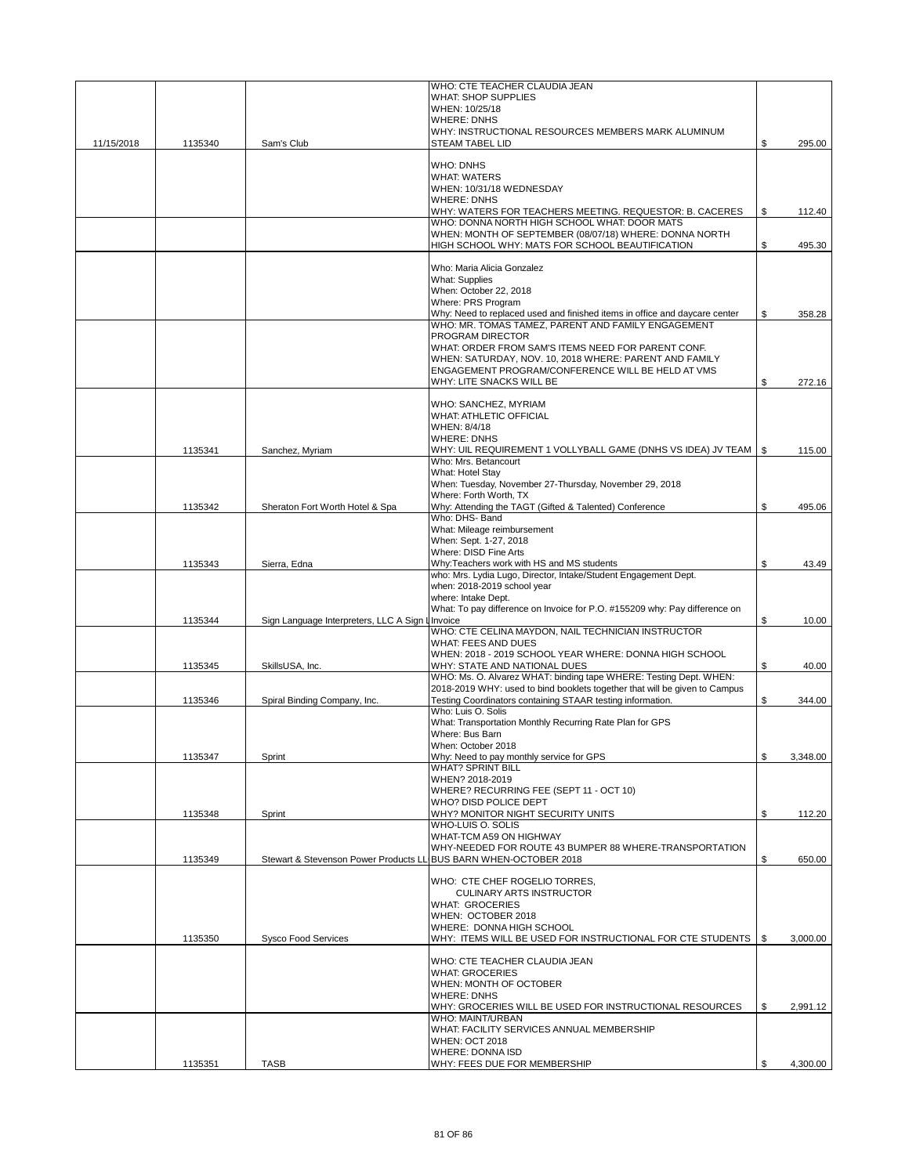|            |         |                                                  | WHO: CTE TEACHER CLAUDIA JEAN                                                             |      |          |
|------------|---------|--------------------------------------------------|-------------------------------------------------------------------------------------------|------|----------|
|            |         |                                                  | <b>WHAT: SHOP SUPPLIES</b>                                                                |      |          |
|            |         |                                                  | WHEN: 10/25/18                                                                            |      |          |
|            |         |                                                  | <b>WHERE: DNHS</b>                                                                        |      |          |
|            |         |                                                  | WHY: INSTRUCTIONAL RESOURCES MEMBERS MARK ALUMINUM                                        |      |          |
| 11/15/2018 | 1135340 | Sam's Club                                       | <b>STEAM TABEL LID</b>                                                                    | \$   | 295.00   |
|            |         |                                                  |                                                                                           |      |          |
|            |         |                                                  | <b>WHO: DNHS</b>                                                                          |      |          |
|            |         |                                                  | <b>WHAT: WATERS</b>                                                                       |      |          |
|            |         |                                                  | WHEN: 10/31/18 WEDNESDAY                                                                  |      |          |
|            |         |                                                  | <b>WHERE: DNHS</b>                                                                        |      |          |
|            |         |                                                  | WHY: WATERS FOR TEACHERS MEETING. REQUESTOR: B. CACERES                                   | \$   | 112.40   |
|            |         |                                                  | WHO: DONNA NORTH HIGH SCHOOL WHAT: DOOR MATS                                              |      |          |
|            |         |                                                  | WHEN: MONTH OF SEPTEMBER (08/07/18) WHERE: DONNA NORTH                                    |      |          |
|            |         |                                                  | HIGH SCHOOL WHY: MATS FOR SCHOOL BEAUTIFICATION                                           | \$   | 495.30   |
|            |         |                                                  | Who: Maria Alicia Gonzalez                                                                |      |          |
|            |         |                                                  | <b>What: Supplies</b>                                                                     |      |          |
|            |         |                                                  | When: October 22, 2018                                                                    |      |          |
|            |         |                                                  | Where: PRS Program                                                                        |      |          |
|            |         |                                                  | Why: Need to replaced used and finished items in office and daycare center                | \$   | 358.28   |
|            |         |                                                  | WHO: MR. TOMAS TAMEZ, PARENT AND FAMILY ENGAGEMENT                                        |      |          |
|            |         |                                                  | <b>PROGRAM DIRECTOR</b>                                                                   |      |          |
|            |         |                                                  | WHAT: ORDER FROM SAM'S ITEMS NEED FOR PARENT CONF.                                        |      |          |
|            |         |                                                  | WHEN: SATURDAY, NOV. 10, 2018 WHERE: PARENT AND FAMILY                                    |      |          |
|            |         |                                                  | ENGAGEMENT PROGRAM/CONFERENCE WILL BE HELD AT VMS                                         |      |          |
|            |         |                                                  | WHY: LITE SNACKS WILL BE                                                                  | \$   | 272.16   |
|            |         |                                                  |                                                                                           |      |          |
|            |         |                                                  | WHO: SANCHEZ, MYRIAM                                                                      |      |          |
|            |         |                                                  | <b>WHAT: ATHLETIC OFFICIAL</b>                                                            |      |          |
|            |         |                                                  | WHEN: 8/4/18                                                                              |      |          |
|            |         |                                                  | <b>WHERE: DNHS</b>                                                                        |      |          |
|            | 1135341 | Sanchez, Myriam                                  | WHY: UIL REQUIREMENT 1 VOLLYBALL GAME (DNHS VS IDEA) JV TEAM   \$<br>Who: Mrs. Betancourt |      | 115.00   |
|            |         |                                                  | What: Hotel Stay                                                                          |      |          |
|            |         |                                                  | When: Tuesday, November 27-Thursday, November 29, 2018                                    |      |          |
|            |         |                                                  | Where: Forth Worth, TX                                                                    |      |          |
|            | 1135342 | Sheraton Fort Worth Hotel & Spa                  | Why: Attending the TAGT (Gifted & Talented) Conference                                    | \$   | 495.06   |
|            |         |                                                  | Who: DHS- Band                                                                            |      |          |
|            |         |                                                  | What: Mileage reimbursement                                                               |      |          |
|            |         |                                                  | When: Sept. 1-27, 2018                                                                    |      |          |
|            |         |                                                  | Where: DISD Fine Arts                                                                     |      |          |
|            | 1135343 | Sierra, Edna                                     | Why:Teachers work with HS and MS students                                                 | \$   | 43.49    |
|            |         |                                                  | who: Mrs. Lydia Lugo, Director, Intake/Student Engagement Dept.                           |      |          |
|            |         |                                                  | when: 2018-2019 school year                                                               |      |          |
|            |         |                                                  | where: Intake Dept.                                                                       |      |          |
|            |         |                                                  | What: To pay difference on Invoice for P.O. #155209 why: Pay difference on                |      |          |
|            | 1135344 | Sign Language Interpreters, LLC A Sign I Invoice | WHO: CTE CELINA MAYDON, NAIL TECHNICIAN INSTRUCTOR                                        | \$   | 10.00    |
|            |         |                                                  | <b>WHAT: FEES AND DUES</b>                                                                |      |          |
|            |         |                                                  | WHEN: 2018 - 2019 SCHOOL YEAR WHERE: DONNA HIGH SCHOOL                                    |      |          |
|            | 1135345 | SkillsUSA, Inc.                                  | WHY: STATE AND NATIONAL DUES                                                              | \$   | 40.00    |
|            |         |                                                  | WHO: Ms. O. Alvarez WHAT: binding tape WHERE: Testing Dept. WHEN:                         |      |          |
|            |         |                                                  | 2018-2019 WHY: used to bind booklets together that will be given to Campus                |      |          |
|            | 1135346 | Spiral Binding Company, Inc.                     | Testing Coordinators containing STAAR testing information.                                | \$   | 344.00   |
|            |         |                                                  | Who: Luis O. Solis                                                                        |      |          |
|            |         |                                                  | What: Transportation Monthly Recurring Rate Plan for GPS                                  |      |          |
|            |         |                                                  | Where: Bus Barn                                                                           |      |          |
|            |         |                                                  | When: October 2018                                                                        |      |          |
|            | 1135347 | Sprint                                           | Why: Need to pay monthly service for GPS                                                  | \$   | 3,348.00 |
|            |         |                                                  | <b>WHAT? SPRINT BILL</b><br>WHEN? 2018-2019                                               |      |          |
|            |         |                                                  | WHERE? RECURRING FEE (SEPT 11 - OCT 10)                                                   |      |          |
|            |         |                                                  | WHO? DISD POLICE DEPT                                                                     |      |          |
|            | 1135348 | Sprint                                           | WHY? MONITOR NIGHT SECURITY UNITS                                                         | \$   | 112.20   |
|            |         |                                                  | WHO-LUIS O. SOLIS                                                                         |      |          |
|            |         |                                                  | WHAT-TCM A59 ON HIGHWAY                                                                   |      |          |
|            |         |                                                  | WHY-NEEDED FOR ROUTE 43 BUMPER 88 WHERE-TRANSPORTATION                                    |      |          |
|            | 1135349 | Stewart & Stevenson Power Products LL            | BUS BARN WHEN-OCTOBER 2018                                                                | \$   | 650.00   |
|            |         |                                                  |                                                                                           |      |          |
|            |         |                                                  | WHO: CTE CHEF ROGELIO TORRES,                                                             |      |          |
|            |         |                                                  | <b>CULINARY ARTS INSTRUCTOR</b>                                                           |      |          |
|            |         |                                                  | <b>WHAT: GROCERIES</b>                                                                    |      |          |
|            |         |                                                  | WHEN: OCTOBER 2018<br>WHERE: DONNA HIGH SCHOOL                                            |      |          |
|            | 1135350 | Sysco Food Services                              | WHY: ITEMS WILL BE USED FOR INSTRUCTIONAL FOR CTE STUDENTS                                | - \$ | 3,000.00 |
|            |         |                                                  |                                                                                           |      |          |
|            |         |                                                  | WHO: CTE TEACHER CLAUDIA JEAN                                                             |      |          |
|            |         |                                                  | <b>WHAT: GROCERIES</b>                                                                    |      |          |
|            |         |                                                  | WHEN: MONTH OF OCTOBER                                                                    |      |          |
|            |         |                                                  | <b>WHERE: DNHS</b>                                                                        |      |          |
|            |         |                                                  | WHY: GROCERIES WILL BE USED FOR INSTRUCTIONAL RESOURCES                                   | \$   | 2,991.12 |
|            |         |                                                  | <b>WHO: MAINT/URBAN</b>                                                                   |      |          |
|            |         |                                                  | WHAT: FACILITY SERVICES ANNUAL MEMBERSHIP                                                 |      |          |
|            |         |                                                  | <b>WHEN: OCT 2018</b>                                                                     |      |          |
|            |         |                                                  | <b>WHERE: DONNA ISD</b>                                                                   |      |          |
|            | 1135351 | <b>TASB</b>                                      | WHY: FEES DUE FOR MEMBERSHIP                                                              | \$   | 4,300.00 |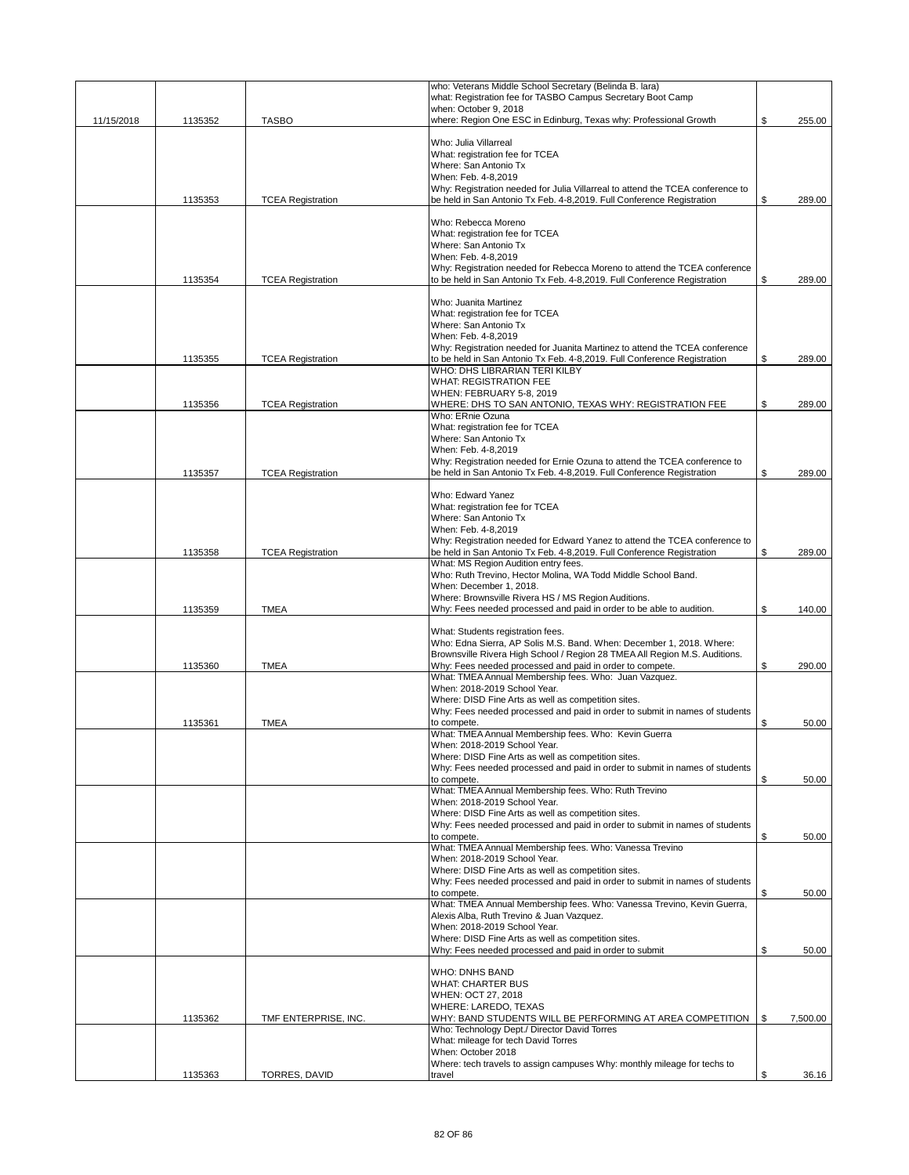|            |         |                          | who: Veterans Middle School Secretary (Belinda B. lara)                                                                                             |                |
|------------|---------|--------------------------|-----------------------------------------------------------------------------------------------------------------------------------------------------|----------------|
|            |         |                          | what: Registration fee for TASBO Campus Secretary Boot Camp                                                                                         |                |
| 11/15/2018 | 1135352 | <b>TASBO</b>             | when: October 9, 2018<br>where: Region One ESC in Edinburg, Texas why: Professional Growth                                                          | \$<br>255.00   |
|            |         |                          |                                                                                                                                                     |                |
|            |         |                          | Who: Julia Villarreal                                                                                                                               |                |
|            |         |                          | What: registration fee for TCEA                                                                                                                     |                |
|            |         |                          | Where: San Antonio Tx<br>When: Feb. 4-8,2019                                                                                                        |                |
|            |         |                          | Why: Registration needed for Julia Villarreal to attend the TCEA conference to                                                                      |                |
|            | 1135353 | <b>TCEA Registration</b> | be held in San Antonio Tx Feb. 4-8,2019. Full Conference Registration                                                                               | \$<br>289.00   |
|            |         |                          |                                                                                                                                                     |                |
|            |         |                          | Who: Rebecca Moreno<br>What: registration fee for TCEA                                                                                              |                |
|            |         |                          | Where: San Antonio Tx                                                                                                                               |                |
|            |         |                          | When: Feb. 4-8,2019                                                                                                                                 |                |
|            |         |                          | Why: Registration needed for Rebecca Moreno to attend the TCEA conference                                                                           |                |
|            | 1135354 | <b>TCEA Registration</b> | to be held in San Antonio Tx Feb. 4-8,2019. Full Conference Registration                                                                            | \$<br>289.00   |
|            |         |                          | Who: Juanita Martinez                                                                                                                               |                |
|            |         |                          | What: registration fee for TCEA                                                                                                                     |                |
|            |         |                          | Where: San Antonio Tx                                                                                                                               |                |
|            |         |                          | When: Feb. 4-8,2019                                                                                                                                 |                |
|            |         | <b>TCEA Registration</b> | Why: Registration needed for Juanita Martinez to attend the TCEA conference                                                                         | \$<br>289.00   |
|            | 1135355 |                          | to be held in San Antonio Tx Feb. 4-8,2019. Full Conference Registration<br>WHO: DHS LIBRARIAN TERI KILBY                                           |                |
|            |         |                          | <b>WHAT: REGISTRATION FEE</b>                                                                                                                       |                |
|            |         |                          | WHEN: FEBRUARY 5-8, 2019                                                                                                                            |                |
|            | 1135356 | <b>TCEA Registration</b> | WHERE: DHS TO SAN ANTONIO, TEXAS WHY: REGISTRATION FEE                                                                                              | \$<br>289.00   |
|            |         |                          | Who: ERnie Ozuna<br>What: registration fee for TCEA                                                                                                 |                |
|            |         |                          | Where: San Antonio Tx                                                                                                                               |                |
|            |         |                          | When: Feb. 4-8.2019                                                                                                                                 |                |
|            |         |                          | Why: Registration needed for Ernie Ozuna to attend the TCEA conference to                                                                           |                |
|            | 1135357 | <b>TCEA Registration</b> | be held in San Antonio Tx Feb. 4-8,2019. Full Conference Registration                                                                               | \$<br>289.00   |
|            |         |                          | Who: Edward Yanez                                                                                                                                   |                |
|            |         |                          | What: registration fee for TCEA                                                                                                                     |                |
|            |         |                          | Where: San Antonio Tx                                                                                                                               |                |
|            |         |                          | When: Feb. 4-8,2019                                                                                                                                 |                |
|            | 1135358 | <b>TCEA Registration</b> | Why: Registration needed for Edward Yanez to attend the TCEA conference to<br>be held in San Antonio Tx Feb. 4-8,2019. Full Conference Registration | \$<br>289.00   |
|            |         |                          | What: MS Region Audition entry fees.                                                                                                                |                |
|            |         |                          | Who: Ruth Trevino, Hector Molina, WA Todd Middle School Band.                                                                                       |                |
|            |         |                          | When: December 1, 2018.                                                                                                                             |                |
|            | 1135359 | <b>TMEA</b>              | Where: Brownsville Rivera HS / MS Region Auditions.                                                                                                 | \$<br>140.00   |
|            |         |                          | Why: Fees needed processed and paid in order to be able to audition.                                                                                |                |
|            |         |                          | What: Students registration fees.                                                                                                                   |                |
|            |         |                          | Who: Edna Sierra, AP Solis M.S. Band. When: December 1, 2018. Where:                                                                                |                |
|            |         |                          | Brownsville Rivera High School / Region 28 TMEA All Region M.S. Auditions.                                                                          | \$<br>290.00   |
|            | 1135360 | <b>TMEA</b>              | Why: Fees needed processed and paid in order to compete.<br>What: TMEA Annual Membership fees. Who: Juan Vazquez.                                   |                |
|            |         |                          | When: 2018-2019 School Year.                                                                                                                        |                |
|            |         |                          | Where: DISD Fine Arts as well as competition sites.                                                                                                 |                |
|            |         |                          | Why: Fees needed processed and paid in order to submit in names of students                                                                         |                |
|            | 1135361 | <b>TMEA</b>              | to compete.<br>What: TMEA Annual Membership fees. Who: Kevin Guerra                                                                                 | \$<br>50.00    |
|            |         |                          | When: 2018-2019 School Year.                                                                                                                        |                |
|            |         |                          | Where: DISD Fine Arts as well as competition sites.                                                                                                 |                |
|            |         |                          | Why: Fees needed processed and paid in order to submit in names of students                                                                         |                |
|            |         |                          | to compete.<br>What: TMEA Annual Membership fees. Who: Ruth Trevino                                                                                 | \$<br>50.00    |
|            |         |                          | When: 2018-2019 School Year.                                                                                                                        |                |
|            |         |                          | Where: DISD Fine Arts as well as competition sites.                                                                                                 |                |
|            |         |                          | Why: Fees needed processed and paid in order to submit in names of students                                                                         |                |
|            |         |                          | to compete.<br>What: TMEA Annual Membership fees. Who: Vanessa Trevino                                                                              | \$<br>50.00    |
|            |         |                          | When: 2018-2019 School Year.                                                                                                                        |                |
|            |         |                          | Where: DISD Fine Arts as well as competition sites.                                                                                                 |                |
|            |         |                          | Why: Fees needed processed and paid in order to submit in names of students                                                                         |                |
|            |         |                          | to compete.<br>What: TMEA Annual Membership fees. Who: Vanessa Trevino, Kevin Guerra,                                                               | \$<br>50.00    |
|            |         |                          | Alexis Alba, Ruth Trevino & Juan Vazquez.                                                                                                           |                |
|            |         |                          | When: 2018-2019 School Year.                                                                                                                        |                |
|            |         |                          | Where: DISD Fine Arts as well as competition sites.                                                                                                 |                |
|            |         |                          | Why: Fees needed processed and paid in order to submit                                                                                              | \$<br>50.00    |
|            |         |                          | <b>WHO: DNHS BAND</b>                                                                                                                               |                |
|            |         |                          | <b>WHAT: CHARTER BUS</b>                                                                                                                            |                |
|            |         |                          | WHEN: OCT 27, 2018                                                                                                                                  |                |
|            |         |                          | WHERE: LAREDO, TEXAS                                                                                                                                |                |
|            | 1135362 | TMF ENTERPRISE, INC.     | WHY: BAND STUDENTS WILL BE PERFORMING AT AREA COMPETITION<br>Who: Technology Dept./ Director David Torres                                           | \$<br>7,500.00 |
|            |         |                          | What: mileage for tech David Torres                                                                                                                 |                |
|            |         |                          | When: October 2018                                                                                                                                  |                |
|            | 1135363 |                          | Where: tech travels to assign campuses Why: monthly mileage for techs to<br>travel                                                                  | \$<br>36.16    |
|            |         | TORRES, DAVID            |                                                                                                                                                     |                |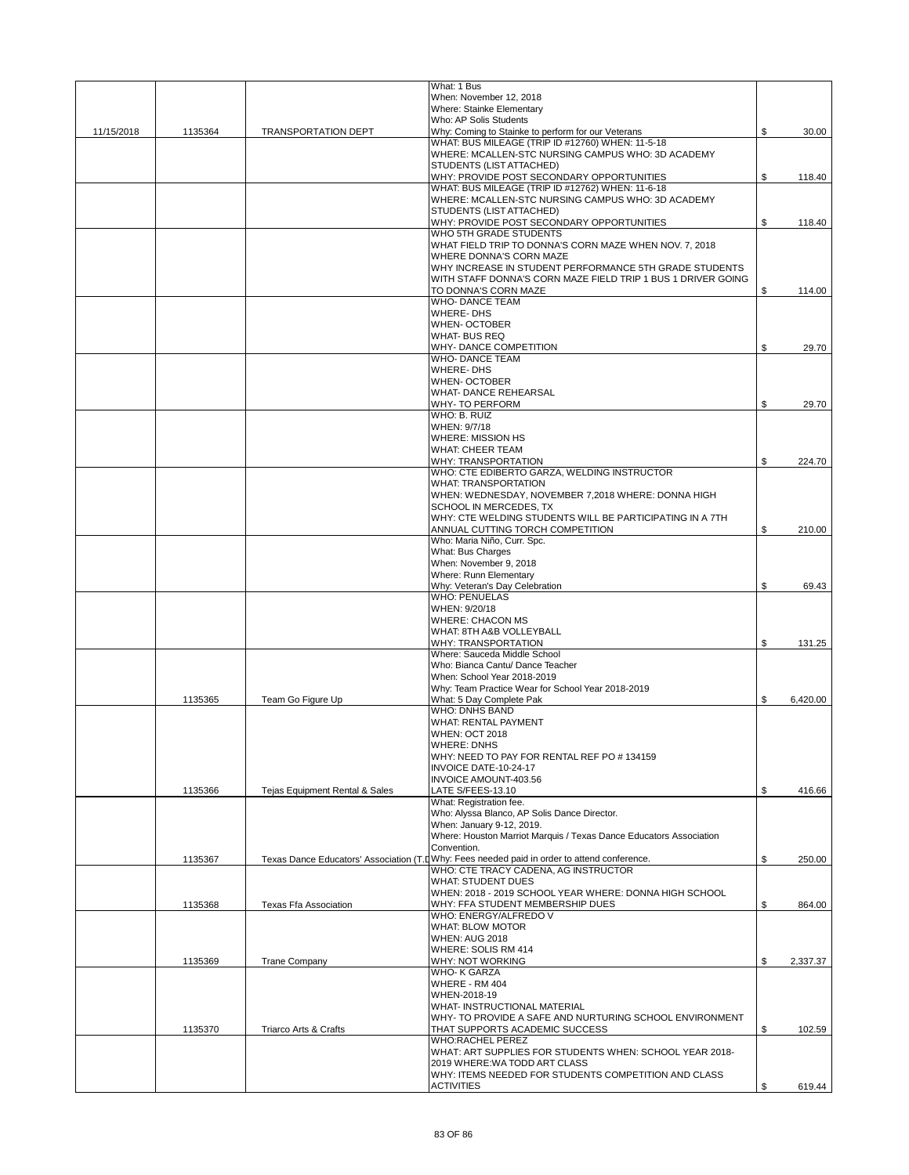|            |         |                                | What: 1 Bus                                                                                 |                |
|------------|---------|--------------------------------|---------------------------------------------------------------------------------------------|----------------|
|            |         |                                | When: November 12, 2018                                                                     |                |
|            |         |                                | <b>Where: Stainke Elementary</b>                                                            |                |
|            |         |                                | Who: AP Solis Students                                                                      |                |
| 11/15/2018 | 1135364 | <b>TRANSPORTATION DEPT</b>     | Why: Coming to Stainke to perform for our Veterans                                          | \$<br>30.00    |
|            |         |                                | WHAT: BUS MILEAGE (TRIP ID #12760) WHEN: 11-5-18                                            |                |
|            |         |                                | WHERE: MCALLEN-STC NURSING CAMPUS WHO: 3D ACADEMY<br>STUDENTS (LIST ATTACHED)               |                |
|            |         |                                | WHY: PROVIDE POST SECONDARY OPPORTUNITIES                                                   | \$<br>118.40   |
|            |         |                                | WHAT: BUS MILEAGE (TRIP ID #12762) WHEN: 11-6-18                                            |                |
|            |         |                                | WHERE: MCALLEN-STC NURSING CAMPUS WHO: 3D ACADEMY                                           |                |
|            |         |                                | STUDENTS (LIST ATTACHED)                                                                    |                |
|            |         |                                | WHY: PROVIDE POST SECONDARY OPPORTUNITIES                                                   | \$<br>118.40   |
|            |         |                                | WHO 5TH GRADE STUDENTS                                                                      |                |
|            |         |                                | WHAT FIELD TRIP TO DONNA'S CORN MAZE WHEN NOV. 7, 2018                                      |                |
|            |         |                                | WHERE DONNA'S CORN MAZE                                                                     |                |
|            |         |                                | WHY INCREASE IN STUDENT PERFORMANCE 5TH GRADE STUDENTS                                      |                |
|            |         |                                | WITH STAFF DONNA'S CORN MAZE FIELD TRIP 1 BUS 1 DRIVER GOING                                |                |
|            |         |                                | TO DONNA'S CORN MAZE                                                                        | \$<br>114.00   |
|            |         |                                | <b>WHO- DANCE TEAM</b><br><b>WHERE-DHS</b>                                                  |                |
|            |         |                                | <b>WHEN-OCTOBER</b>                                                                         |                |
|            |         |                                | <b>WHAT-BUS REQ</b>                                                                         |                |
|            |         |                                | WHY-DANCE COMPETITION                                                                       | \$<br>29.70    |
|            |         |                                | <b>WHO-DANCE TEAM</b>                                                                       |                |
|            |         |                                | <b>WHERE-DHS</b>                                                                            |                |
|            |         |                                | <b>WHEN- OCTOBER</b>                                                                        |                |
|            |         |                                | <b>WHAT-DANCE REHEARSAL</b>                                                                 |                |
|            |         |                                | <b>WHY-TO PERFORM</b>                                                                       | \$<br>29.70    |
|            |         |                                | WHO: B. RUIZ                                                                                |                |
|            |         |                                | WHEN: 9/7/18                                                                                |                |
|            |         |                                | <b>WHERE: MISSION HS</b>                                                                    |                |
|            |         |                                | <b>WHAT: CHEER TEAM</b>                                                                     |                |
|            |         |                                | WHY: TRANSPORTATION<br>WHO: CTE EDIBERTO GARZA, WELDING INSTRUCTOR                          | \$<br>224.70   |
|            |         |                                | <b>WHAT: TRANSPORTATION</b>                                                                 |                |
|            |         |                                | WHEN: WEDNESDAY, NOVEMBER 7,2018 WHERE: DONNA HIGH                                          |                |
|            |         |                                | SCHOOL IN MERCEDES. TX                                                                      |                |
|            |         |                                | WHY: CTE WELDING STUDENTS WILL BE PARTICIPATING IN A 7TH                                    |                |
|            |         |                                | ANNUAL CUTTING TORCH COMPETITION                                                            | \$<br>210.00   |
|            |         |                                | Who: Maria Niño, Curr. Spc.                                                                 |                |
|            |         |                                | What: Bus Charges                                                                           |                |
|            |         |                                | When: November 9, 2018                                                                      |                |
|            |         |                                | Where: Runn Elementary                                                                      |                |
|            |         |                                | Why: Veteran's Day Celebration                                                              | \$<br>69.43    |
|            |         |                                | <b>WHO: PENUELAS</b>                                                                        |                |
|            |         |                                | WHEN: 9/20/18                                                                               |                |
|            |         |                                | <b>WHERE: CHACON MS</b>                                                                     |                |
|            |         |                                | WHAT: 8TH A&B VOLLEYBALL                                                                    |                |
|            |         |                                | <b>WHY: TRANSPORTATION</b><br>Where: Sauceda Middle School                                  | \$<br>131.25   |
|            |         |                                | Who: Bianca Cantu/ Dance Teacher                                                            |                |
|            |         |                                | When: School Year 2018-2019                                                                 |                |
|            |         |                                | Why: Team Practice Wear for School Year 2018-2019                                           |                |
|            | 1135365 | Team Go Figure Up              | What: 5 Day Complete Pak                                                                    | \$<br>6.420.00 |
|            |         |                                | <b>WHO: DNHS BAND</b>                                                                       |                |
|            |         |                                | <b>WHAT: RENTAL PAYMENT</b>                                                                 |                |
|            |         |                                | <b>WHEN: OCT 2018</b>                                                                       |                |
|            |         |                                | <b>WHERE: DNHS</b>                                                                          |                |
|            |         |                                | WHY: NEED TO PAY FOR RENTAL REF PO #134159                                                  |                |
|            |         |                                | INVOICE DATE-10-24-17                                                                       |                |
|            |         |                                | <b>INVOICE AMOUNT-403.56</b>                                                                |                |
|            | 1135366 | Tejas Equipment Rental & Sales | LATE S/FEES-13.10<br>What: Registration fee.                                                | \$<br>416.66   |
|            |         |                                | Who: Alyssa Blanco, AP Solis Dance Director.                                                |                |
|            |         |                                | When: January 9-12, 2019.                                                                   |                |
|            |         |                                | Where: Houston Marriot Marquis / Texas Dance Educators Association                          |                |
|            |         |                                | Convention.                                                                                 |                |
|            | 1135367 |                                | Texas Dance Educators' Association (T.DWhy: Fees needed paid in order to attend conference. | \$<br>250.00   |
|            |         |                                | WHO: CTE TRACY CADENA, AG INSTRUCTOR                                                        |                |
|            |         |                                | <b>WHAT: STUDENT DUES</b>                                                                   |                |
|            |         |                                | WHEN: 2018 - 2019 SCHOOL YEAR WHERE: DONNA HIGH SCHOOL                                      |                |
|            | 1135368 | Texas Ffa Association          | WHY: FFA STUDENT MEMBERSHIP DUES                                                            | \$<br>864.00   |
|            |         |                                | WHO: ENERGY/ALFREDO V<br><b>WHAT: BLOW MOTOR</b>                                            |                |
|            |         |                                | WHEN: AUG 2018                                                                              |                |
|            |         |                                | WHERE: SOLIS RM 414                                                                         |                |
|            | 1135369 | <b>Trane Company</b>           | WHY: NOT WORKING                                                                            | \$<br>2,337.37 |
|            |         |                                | <b>WHO-K GARZA</b>                                                                          |                |
|            |         |                                | WHERE - RM 404                                                                              |                |
|            |         |                                | WHEN-2018-19                                                                                |                |
|            |         |                                | WHAT- INSTRUCTIONAL MATERIAL                                                                |                |
|            |         |                                | WHY- TO PROVIDE A SAFE AND NURTURING SCHOOL ENVIRONMENT                                     |                |
|            | 1135370 | Triarco Arts & Crafts          | THAT SUPPORTS ACADEMIC SUCCESS                                                              | \$<br>102.59   |
|            |         |                                | <b>WHO:RACHEL PEREZ</b>                                                                     |                |
|            |         |                                | WHAT: ART SUPPLIES FOR STUDENTS WHEN: SCHOOL YEAR 2018-<br>2019 WHERE: WA TODD ART CLASS    |                |
|            |         |                                | WHY: ITEMS NEEDED FOR STUDENTS COMPETITION AND CLASS                                        |                |
|            |         |                                | <b>ACTIVITIES</b>                                                                           | \$<br>619.44   |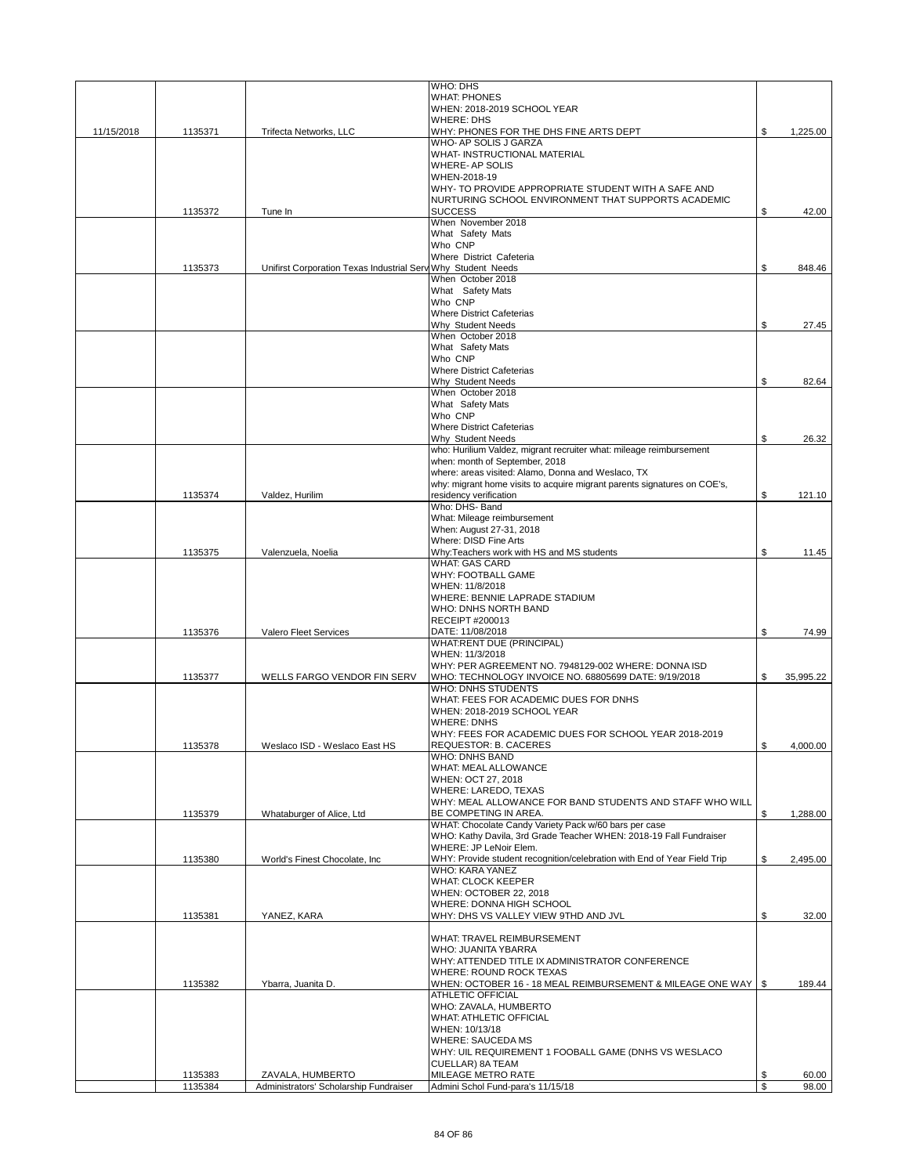|            |                    |                                                              | WHO: DHS<br><b>WHAT: PHONES</b>                                                              |          |                |
|------------|--------------------|--------------------------------------------------------------|----------------------------------------------------------------------------------------------|----------|----------------|
|            |                    |                                                              | WHEN: 2018-2019 SCHOOL YEAR                                                                  |          |                |
|            |                    |                                                              | <b>WHERE: DHS</b>                                                                            |          |                |
| 11/15/2018 | 1135371            | Trifecta Networks, LLC                                       | WHY: PHONES FOR THE DHS FINE ARTS DEPT<br>WHO- AP SOLIS J GARZA                              | \$       | 1,225.00       |
|            |                    |                                                              | WHAT- INSTRUCTIONAL MATERIAL                                                                 |          |                |
|            |                    |                                                              | <b>WHERE-AP SOLIS</b>                                                                        |          |                |
|            |                    |                                                              | WHEN-2018-19<br>WHY- TO PROVIDE APPROPRIATE STUDENT WITH A SAFE AND                          |          |                |
|            |                    |                                                              | NURTURING SCHOOL ENVIRONMENT THAT SUPPORTS ACADEMIC                                          |          |                |
|            | 1135372            | Tune In                                                      | <b>SUCCESS</b>                                                                               | \$       | 42.00          |
|            |                    |                                                              | When November 2018<br>What Safety Mats                                                       |          |                |
|            |                    |                                                              | Who CNP                                                                                      |          |                |
|            |                    |                                                              | Where District Cafeteria                                                                     |          |                |
|            | 1135373            | Unifirst Corporation Texas Industrial Serv Why Student Needs | When October 2018                                                                            | \$       | 848.46         |
|            |                    |                                                              | What Safety Mats                                                                             |          |                |
|            |                    |                                                              | Who CNP                                                                                      |          |                |
|            |                    |                                                              | <b>Where District Cafeterias</b>                                                             | \$       |                |
|            |                    |                                                              | Why Student Needs<br>When October 2018                                                       |          | 27.45          |
|            |                    |                                                              | What Safety Mats                                                                             |          |                |
|            |                    |                                                              | Who CNP<br><b>Where District Cafeterias</b>                                                  |          |                |
|            |                    |                                                              | Why Student Needs                                                                            | \$       | 82.64          |
|            |                    |                                                              | When October 2018                                                                            |          |                |
|            |                    |                                                              | What Safety Mats<br>Who CNP                                                                  |          |                |
|            |                    |                                                              | <b>Where District Cafeterias</b>                                                             |          |                |
|            |                    |                                                              | Why Student Needs                                                                            | \$       | 26.32          |
|            |                    |                                                              | who: Hurilium Valdez, migrant recruiter what: mileage reimbursement                          |          |                |
|            |                    |                                                              | when: month of September, 2018<br>where: areas visited: Alamo, Donna and Weslaco, TX         |          |                |
|            |                    |                                                              | why: migrant home visits to acquire migrant parents signatures on COE's,                     |          |                |
|            | 1135374            | Valdez, Hurilim                                              | residency verification                                                                       | \$       | 121.10         |
|            |                    |                                                              | Who: DHS- Band<br>What: Mileage reimbursement                                                |          |                |
|            |                    |                                                              | When: August 27-31, 2018                                                                     |          |                |
|            |                    |                                                              | Where: DISD Fine Arts                                                                        |          |                |
|            | 1135375            | Valenzuela, Noelia                                           | Why:Teachers work with HS and MS students<br><b>WHAT: GAS CARD</b>                           | \$       | 11.45          |
|            |                    |                                                              | WHY: FOOTBALL GAME                                                                           |          |                |
|            |                    |                                                              | WHEN: 11/8/2018                                                                              |          |                |
|            |                    |                                                              | WHERE: BENNIE LAPRADE STADIUM<br>WHO: DNHS NORTH BAND                                        |          |                |
|            |                    |                                                              | RECEIPT #200013                                                                              |          |                |
|            | 1135376            | Valero Fleet Services                                        | DATE: 11/08/2018                                                                             | \$       | 74.99          |
|            |                    |                                                              | WHAT:RENT DUE (PRINCIPAL)<br>WHEN: 11/3/2018                                                 |          |                |
|            |                    |                                                              | WHY: PER AGREEMENT NO. 7948129-002 WHERE: DONNA ISD                                          |          |                |
|            | 1135377            | WELLS FARGO VENDOR FIN SERV                                  | WHO: TECHNOLOGY INVOICE NO. 68805699 DATE: 9/19/2018                                         | \$       | 35.995.22      |
|            |                    |                                                              | <b>WHO: DNHS STUDENTS</b>                                                                    |          |                |
|            |                    |                                                              | WHAT: FEES FOR ACADEMIC DUES FOR DNHS<br>WHEN: 2018-2019 SCHOOL YEAR                         |          |                |
|            |                    |                                                              | <b>WHERE: DNHS</b>                                                                           |          |                |
|            |                    |                                                              | WHY: FEES FOR ACADEMIC DUES FOR SCHOOL YEAR 2018-2019                                        |          |                |
|            | 1135378            | Weslaco ISD - Weslaco East HS                                | REQUESTOR: B. CACERES<br><b>WHO: DNHS BAND</b>                                               | \$       | 4,000.00       |
|            |                    |                                                              | WHAT: MEAL ALLOWANCE                                                                         |          |                |
|            |                    |                                                              | WHEN: OCT 27, 2018                                                                           |          |                |
|            |                    |                                                              | WHERE: LAREDO, TEXAS<br>WHY: MEAL ALLOWANCE FOR BAND STUDENTS AND STAFF WHO WILL             |          |                |
|            | 1135379            | Whataburger of Alice, Ltd                                    | BE COMPETING IN AREA.                                                                        | \$       | 1,288.00       |
|            |                    |                                                              | WHAT: Chocolate Candy Variety Pack w/60 bars per case                                        |          |                |
|            |                    |                                                              | WHO: Kathy Davila, 3rd Grade Teacher WHEN: 2018-19 Fall Fundraiser<br>WHERE: JP LeNoir Elem. |          |                |
|            | 1135380            | World's Finest Chocolate, Inc.                               | WHY: Provide student recognition/celebration with End of Year Field Trip                     | \$       | 2,495.00       |
|            |                    |                                                              | WHO: KARA YANEZ                                                                              |          |                |
|            |                    |                                                              | <b>WHAT: CLOCK KEEPER</b><br>WHEN: OCTOBER 22, 2018                                          |          |                |
|            |                    |                                                              | WHERE: DONNA HIGH SCHOOL                                                                     |          |                |
|            | 1135381            | YANEZ, KARA                                                  | WHY: DHS VS VALLEY VIEW 9THD AND JVL                                                         | \$       | 32.00          |
|            |                    |                                                              | WHAT: TRAVEL REIMBURSEMENT                                                                   |          |                |
|            |                    |                                                              | WHO: JUANITA YBARRA                                                                          |          |                |
|            |                    |                                                              | WHY: ATTENDED TITLE IX ADMINISTRATOR CONFERENCE                                              |          |                |
|            |                    |                                                              | WHERE: ROUND ROCK TEXAS                                                                      |          |                |
|            | 1135382            | Ybarra, Juanita D.                                           | WHEN: OCTOBER 16 - 18 MEAL REIMBURSEMENT & MILEAGE ONE WAY   \$<br>ATHLETIC OFFICIAL         |          | 189.44         |
|            |                    |                                                              | WHO: ZAVALA, HUMBERTO                                                                        |          |                |
|            |                    |                                                              | <b>WHAT: ATHLETIC OFFICIAL</b>                                                               |          |                |
|            |                    |                                                              | WHEN: 10/13/18<br><b>WHERE: SAUCEDA MS</b>                                                   |          |                |
|            |                    |                                                              | WHY: UIL REQUIREMENT 1 FOOBALL GAME (DNHS VS WESLACO                                         |          |                |
|            |                    |                                                              | CUELLAR) 8A TEAM                                                                             |          |                |
|            | 1135383<br>1135384 | ZAVALA, HUMBERTO<br>Administrators' Scholarship Fundraiser   | MILEAGE METRO RATE<br>Admini Schol Fund-para's 11/15/18                                      | \$<br>\$ | 60.00<br>98.00 |
|            |                    |                                                              |                                                                                              |          |                |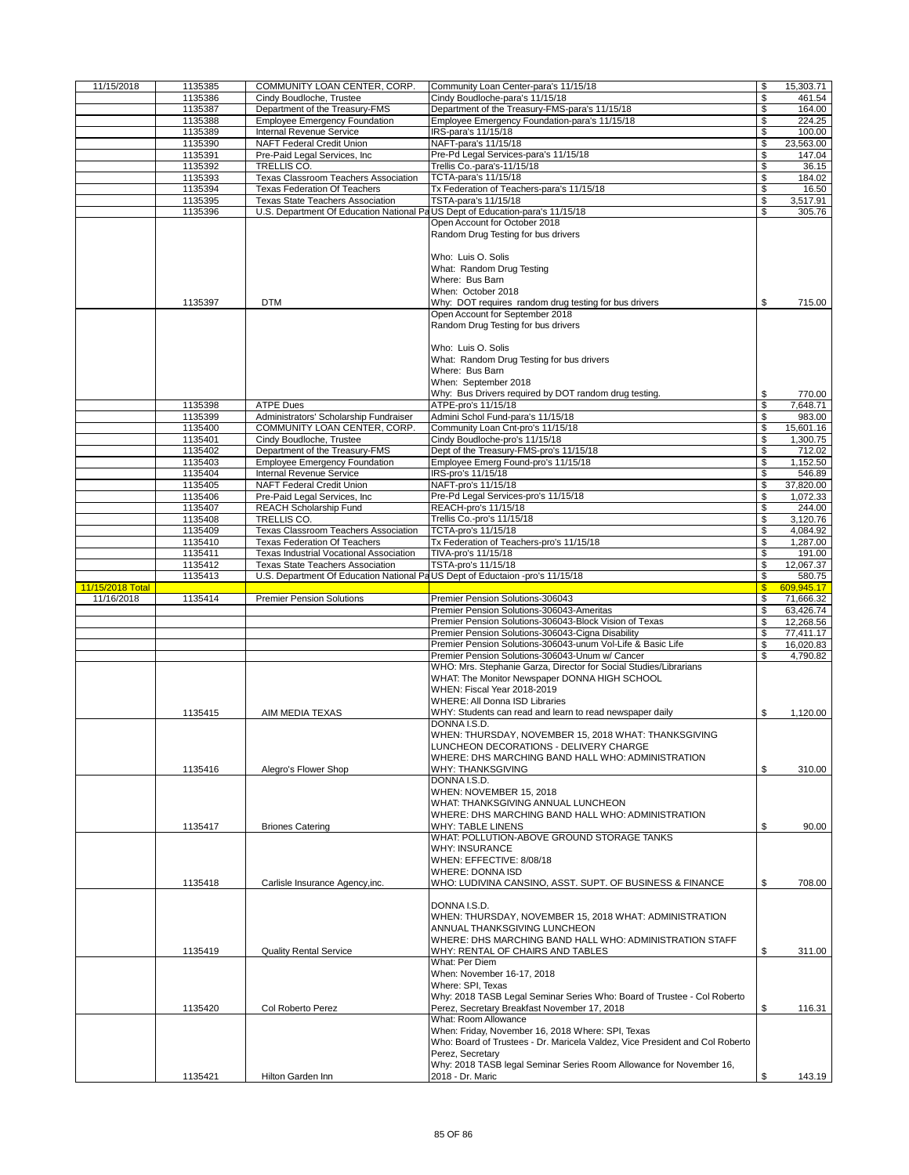| 11/15/2018       | 1135385 | COMMUNITY LOAN CENTER, CORP.                                                 | Community Loan Center-para's 11/15/18                                                                                                                                                                                                                                                                                                                                                              | \$            | 15,303.71        |
|------------------|---------|------------------------------------------------------------------------------|----------------------------------------------------------------------------------------------------------------------------------------------------------------------------------------------------------------------------------------------------------------------------------------------------------------------------------------------------------------------------------------------------|---------------|------------------|
|                  | 1135386 | Cindy Boudloche, Trustee                                                     | Cindy Boudloche-para's 11/15/18                                                                                                                                                                                                                                                                                                                                                                    | \$            | 461.54           |
|                  | 1135387 | Department of the Treasury-FMS                                               | Department of the Treasury-FMS-para's 11/15/18                                                                                                                                                                                                                                                                                                                                                     | \$            | 164.00           |
|                  | 1135388 | <b>Employee Emergency Foundation</b>                                         | Employee Emergency Foundation-para's 11/15/18                                                                                                                                                                                                                                                                                                                                                      | \$            | 224.25           |
|                  | 1135389 | Internal Revenue Service                                                     | IRS-para's 11/15/18                                                                                                                                                                                                                                                                                                                                                                                | \$            | 100.00           |
|                  | 1135390 | NAFT Federal Credit Union                                                    | NAFT-para's 11/15/18                                                                                                                                                                                                                                                                                                                                                                               | \$            | 23,563.00        |
|                  |         |                                                                              |                                                                                                                                                                                                                                                                                                                                                                                                    |               |                  |
|                  | 1135391 | Pre-Paid Legal Services, Inc.                                                | Pre-Pd Legal Services-para's 11/15/18                                                                                                                                                                                                                                                                                                                                                              | \$            | 147.04           |
|                  | 1135392 | TRELLIS CO.                                                                  | Trellis Co.-para's-11/15/18                                                                                                                                                                                                                                                                                                                                                                        | \$            | 36.15            |
|                  | 1135393 | Texas Classroom Teachers Association                                         | TCTA-para's 11/15/18                                                                                                                                                                                                                                                                                                                                                                               | \$            | 184.02           |
|                  | 1135394 | <b>Texas Federation Of Teachers</b>                                          | Tx Federation of Teachers-para's 11/15/18                                                                                                                                                                                                                                                                                                                                                          | \$            | 16.50            |
|                  | 1135395 | <b>Texas State Teachers Association</b>                                      | TSTA-para's 11/15/18                                                                                                                                                                                                                                                                                                                                                                               | \$            | 3,517.91         |
|                  | 1135396 | U.S. Department Of Education National PaUS Dept of Education-para's 11/15/18 |                                                                                                                                                                                                                                                                                                                                                                                                    | \$            | 305.76           |
|                  |         |                                                                              | Open Account for October 2018                                                                                                                                                                                                                                                                                                                                                                      |               |                  |
|                  |         |                                                                              | Random Drug Testing for bus drivers                                                                                                                                                                                                                                                                                                                                                                |               |                  |
|                  | 1135397 | <b>DTM</b>                                                                   | Who: Luis O. Solis<br>What: Random Drug Testing<br>Where: Bus Barn<br>When: October 2018<br>Why: DOT requires random drug testing for bus drivers<br>Open Account for September 2018<br>Random Drug Testing for bus drivers<br>Who: Luis O. Solis<br>What: Random Drug Testing for bus drivers<br>Where: Bus Barn<br>When: September 2018<br>Why: Bus Drivers required by DOT random drug testing. | \$<br>\$      | 715.00<br>770.00 |
|                  | 1135398 | <b>ATPE Dues</b>                                                             | ATPE-pro's 11/15/18                                                                                                                                                                                                                                                                                                                                                                                | \$            | 7,648.71         |
|                  | 1135399 | Administrators' Scholarship Fundraiser                                       | Admini Schol Fund-para's 11/15/18                                                                                                                                                                                                                                                                                                                                                                  | \$            | 983.00           |
|                  | 1135400 | COMMUNITY LOAN CENTER, CORP.                                                 | Community Loan Cnt-pro's 11/15/18                                                                                                                                                                                                                                                                                                                                                                  | \$            | 15,601.16        |
|                  | 1135401 | Cindy Boudloche, Trustee                                                     | Cindy Boudloche-pro's 11/15/18                                                                                                                                                                                                                                                                                                                                                                     | \$            | 1,300.75         |
|                  | 1135402 | Department of the Treasury-FMS                                               | Dept of the Treasury-FMS-pro's 11/15/18                                                                                                                                                                                                                                                                                                                                                            | \$            | 712.02           |
|                  | 1135403 | <b>Employee Emergency Foundation</b>                                         | Employee Emerg Found-pro's 11/15/18                                                                                                                                                                                                                                                                                                                                                                | \$            | 1,152.50         |
|                  |         |                                                                              |                                                                                                                                                                                                                                                                                                                                                                                                    |               |                  |
|                  | 1135404 | Internal Revenue Service                                                     | IRS-pro's 11/15/18                                                                                                                                                                                                                                                                                                                                                                                 | \$            | 546.89           |
|                  | 1135405 | NAFT Federal Credit Union                                                    | NAFT-pro's 11/15/18                                                                                                                                                                                                                                                                                                                                                                                | \$            | 37,820.00        |
|                  | 1135406 | Pre-Paid Legal Services, Inc.                                                | Pre-Pd Legal Services-pro's 11/15/18                                                                                                                                                                                                                                                                                                                                                               | \$            | 1,072.33         |
|                  | 1135407 | REACH Scholarship Fund                                                       | REACH-pro's 11/15/18                                                                                                                                                                                                                                                                                                                                                                               | \$            | 244.00           |
|                  | 1135408 | TRELLIS CO.                                                                  | Trellis Co.-pro's 11/15/18                                                                                                                                                                                                                                                                                                                                                                         | \$            | 3,120.76         |
|                  | 1135409 | Texas Classroom Teachers Association                                         | TCTA-pro's 11/15/18                                                                                                                                                                                                                                                                                                                                                                                | \$            | 4,084.92         |
|                  | 1135410 | Texas Federation Of Teachers                                                 | Tx Federation of Teachers-pro's 11/15/18                                                                                                                                                                                                                                                                                                                                                           | \$            | 1,287.00         |
|                  | 1135411 | Texas Industrial Vocational Association                                      | TIVA-pro's 11/15/18                                                                                                                                                                                                                                                                                                                                                                                | \$            | 191.00           |
|                  | 1135412 | Texas State Teachers Association                                             | TSTA-pro's 11/15/18                                                                                                                                                                                                                                                                                                                                                                                | \$            | 12,067.37        |
|                  | 1135413 | U.S. Department Of Education National PaUS Dept of Eductaion -pro's 11/15/18 |                                                                                                                                                                                                                                                                                                                                                                                                    | \$            | 580.75           |
| 11/15/2018 Total |         |                                                                              |                                                                                                                                                                                                                                                                                                                                                                                                    | $\mathbf{\$}$ | 609,945.17       |
|                  |         |                                                                              |                                                                                                                                                                                                                                                                                                                                                                                                    |               |                  |
|                  |         |                                                                              |                                                                                                                                                                                                                                                                                                                                                                                                    |               |                  |
| 11/16/2018       | 1135414 | <b>Premier Pension Solutions</b>                                             | Premier Pension Solutions-306043                                                                                                                                                                                                                                                                                                                                                                   | \$            | 71,666.32        |
|                  |         |                                                                              | Premier Pension Solutions-306043-Ameritas                                                                                                                                                                                                                                                                                                                                                          | \$            | 63,426.74        |
|                  |         |                                                                              | Premier Pension Solutions-306043-Block Vision of Texas                                                                                                                                                                                                                                                                                                                                             | \$            | 12,268.56        |
|                  |         |                                                                              | Premier Pension Solutions-306043-Cigna Disability                                                                                                                                                                                                                                                                                                                                                  | \$            | 77,411.17        |
|                  |         |                                                                              | Premier Pension Solutions-306043-unum Vol-Life & Basic Life                                                                                                                                                                                                                                                                                                                                        | \$            | 16,020.83        |
|                  |         |                                                                              | Premier Pension Solutions-306043-Unum w/ Cancer                                                                                                                                                                                                                                                                                                                                                    | \$            | 4,790.82         |
|                  | 1135415 | AIM MEDIA TEXAS                                                              | WHO: Mrs. Stephanie Garza, Director for Social Studies/Librarians<br>WHAT: The Monitor Newspaper DONNA HIGH SCHOOL<br>WHEN: Fiscal Year 2018-2019<br><b>WHERE: All Donna ISD Libraries</b><br>WHY: Students can read and learn to read newspaper daily                                                                                                                                             | \$            | 1,120.00         |
|                  |         |                                                                              | DONNA I.S.D.                                                                                                                                                                                                                                                                                                                                                                                       |               |                  |
|                  | 1135416 | Alegro's Flower Shop                                                         | WHEN: THURSDAY, NOVEMBER 15, 2018 WHAT: THANKSGIVING<br>LUNCHEON DECORATIONS - DELIVERY CHARGE<br>WHERE: DHS MARCHING BAND HALL WHO: ADMINISTRATION<br>WHY: THANKSGIVING                                                                                                                                                                                                                           | \$            | 310.00           |
|                  |         |                                                                              | DONNA I.S.D.                                                                                                                                                                                                                                                                                                                                                                                       |               |                  |
|                  | 1135417 | <b>Briones Catering</b>                                                      | WHEN: NOVEMBER 15, 2018<br>WHAT: THANKSGIVING ANNUAL LUNCHEON<br>WHERE: DHS MARCHING BAND HALL WHO: ADMINISTRATION<br><b>WHY: TABLE LINENS</b>                                                                                                                                                                                                                                                     | \$            | 90.00            |
|                  |         |                                                                              | WHAT: POLLUTION-ABOVE GROUND STORAGE TANKS<br><b>WHY: INSURANCE</b><br>WHEN: EFFECTIVE: 8/08/18<br><b>WHERE: DONNA ISD</b>                                                                                                                                                                                                                                                                         |               |                  |
|                  | 1135418 | Carlisle Insurance Agency, inc.                                              | WHO: LUDIVINA CANSINO, ASST. SUPT. OF BUSINESS & FINANCE                                                                                                                                                                                                                                                                                                                                           | \$            | 708.00           |
|                  | 1135419 | <b>Quality Rental Service</b>                                                | DONNA I.S.D.<br>WHEN: THURSDAY, NOVEMBER 15, 2018 WHAT: ADMINISTRATION<br>ANNUAL THANKSGIVING LUNCHEON<br>WHERE: DHS MARCHING BAND HALL WHO: ADMINISTRATION STAFF<br>WHY: RENTAL OF CHAIRS AND TABLES<br>What: Per Diem<br>When: November 16-17, 2018                                                                                                                                              | \$            | 311.00           |
|                  | 1135420 | Col Roberto Perez                                                            | Where: SPI, Texas<br>Why: 2018 TASB Legal Seminar Series Who: Board of Trustee - Col Roberto<br>Perez, Secretary Breakfast November 17, 2018                                                                                                                                                                                                                                                       | \$            | 116.31           |
|                  | 1135421 | Hilton Garden Inn                                                            | What: Room Allowance<br>When: Friday, November 16, 2018 Where: SPI, Texas<br>Who: Board of Trustees - Dr. Maricela Valdez, Vice President and Col Roberto<br>Perez, Secretary<br>Why: 2018 TASB legal Seminar Series Room Allowance for November 16,<br>2018 - Dr. Maric                                                                                                                           | ፍ             | 143.19           |